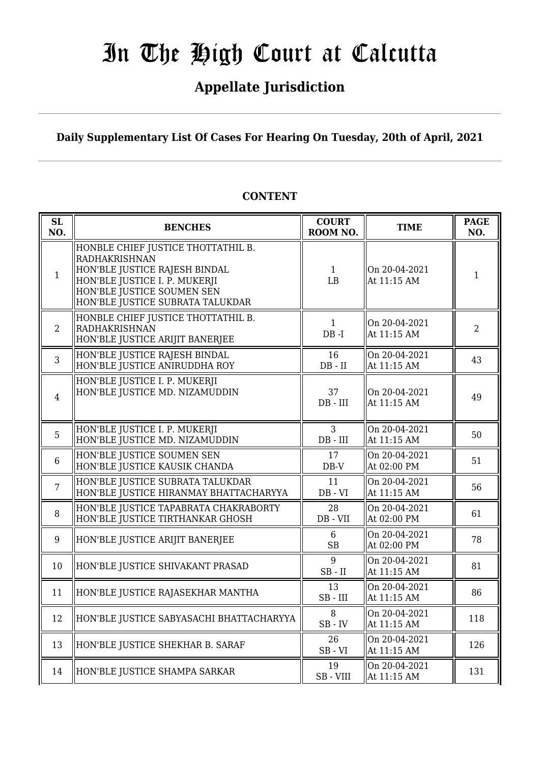# In The High Court at Calcutta

### **Appellate Jurisdiction**

**Daily Supplementary List Of Cases For Hearing On Tuesday, 20th of April, 2021**

#### **SL SL**<br> **NO. BENCHES COURT**<br> **ROOM** N **ROOM NO. TIME PAGE ROOM NO. NO.** 1 HONBLE CHIEF JUSTICE THOTTATHIL B. RADHAKRISHNAN HON'BLE JUSTICE RAJESH BINDAL HON'BLE JUSTICE I. P. MUKERJI HON'BLE JUSTICE SOUMEN SEN HON'BLE JUSTICE SUBRATA TALUKDAR 1 LB On 20-04-2021  $\left\| \begin{array}{ccc} \n\text{Out 20-04-2021} \\ \n\text{At 11:15 AM} \n\end{array} \right\| \quad 1$ 2 HONBLE CHIEF JUSTICE THOTTATHIL B. RADHAKRISHNAN HON'BLE JUSTICE ARIJIT BANERJEE 1 DB -I On 20-04-2021  $\begin{array}{|c|c|c|c|c|c|} \hline \text{Out 20-04-2021} & & 2 \\ \text{At 11:15 AM} & & 2 \\\hline \end{array}$ 3 HON'BLE JUSTICE RAJESH BINDAL HON'BLE JUSTICE ANIRUDDHA ROY 16 DB - II On 20-04-2021 At 11:15 AM  $\begin{array}{|l|} \hline 43 \end{array}$ 4 HON'BLE JUSTICE I. P. MUKERJI HON'BLE JUSTICE MD. NIZAMUDDIN 37 DB - III On 20-04-2021  $\begin{array}{|c|c|c|c|c|} \hline \text{Out 20-04-2021} & & 49 \ \hline \text{At 11:15 AM} & & 49 \ \hline \end{array}$ 5 HON'BLE JUSTICE I. P. MUKERJI HON'BLE JUSTICE MD. NIZAMUDDIN 3 DB - III On 20-04-2021  $\begin{array}{|c|c|c|c|c|}\n\hline\n\text{At 11:15 AM} & & 50\n\end{array}$ 6 HON'BLE JUSTICE SOUMEN SEN HON'BLE JUSTICE KAUSIK CHANDA 17 DB-V On 20-04-2021  $\left[\begin{array}{cc} \n\text{OH 20-04-2021} \\
\text{At 02:00 PM} \n\end{array}\right]$  51 7 HON'BLE JUSTICE SUBRATA TALUKDAR HON'BLE JUSTICE HIRANMAY BHATTACHARYYA 11 DB - VI On 20-04-2021  $\begin{array}{|c|c|c|c|c|}\n\hline\n\text{At 11:15 AM} & & 56\n\end{array}$ 8 HON'BLE JUSTICE TAPABRATA CHAKRABORTY HON'BLE JUSTICE TIRTHANKAR GHOSH 28 DB - VII On 20-04-2021 At 02:00 PM  $\begin{vmatrix} 61 & 61 \\ 1 & 61 \end{vmatrix}$ 9 HON'BLE JUSTICE ARIJIT BANERJEE  $\begin{array}{ccc} | & 6 \\ \hline \text{C1} & \text{A2} \end{array}$ SB On 20-04-2021  $\left[\begin{array}{c|c}\n\text{On 20-04-2021} \\
\text{At 02:00 PM}\n\end{array}\right]$  78 10 HON'BLE JUSTICE SHIVAKANT PRASAD  $\parallel$  9 SB - II On 20-04-2021  $\begin{array}{|c|c|c|c|c|c|} \hline \text{At 11:15 AM} & & 81 \hline \end{array}$ 11 HON'BLE JUSTICE RAJASEKHAR MANTHA  $\begin{array}{|c|c|c|c|c|}\n\hline\n & 13 & 13\n\end{array}$ SB - III On 20-04-2021  $\begin{array}{|c|c|c|c|c|c|c|c|} \hline \text{At 11:15 AM} & & 86 \hline \end{array}$ 12 HON'BLE JUSTICE SABYASACHI BHATTACHARYYA  $\begin{bmatrix} 8 & 8 \end{bmatrix}$ SB - IV On 20-04-2021  $\begin{array}{|c|c|c|c|c|}\n\hline\n\text{At 11:15 AM} & & 118 \\
\hline\n\end{array}$ 13 HON'BLE JUSTICE SHEKHAR B. SARAF 26 SB - VI On 20-04-2021  $\begin{array}{|c|c|c|c|c|c|c|c|} \hline \text{At 11:15 AM} & & 126 \hline \end{array}$ 14 HON'BLE JUSTICE SHAMPA SARKAR  $\parallel$  19 SB - VIII On 20-04-2021  $\begin{array}{|c|c|c|c|c|}\n\hline\n\text{At 11:15 AM} & & 131 \\
\hline\n\end{array}$

#### **CONTENT**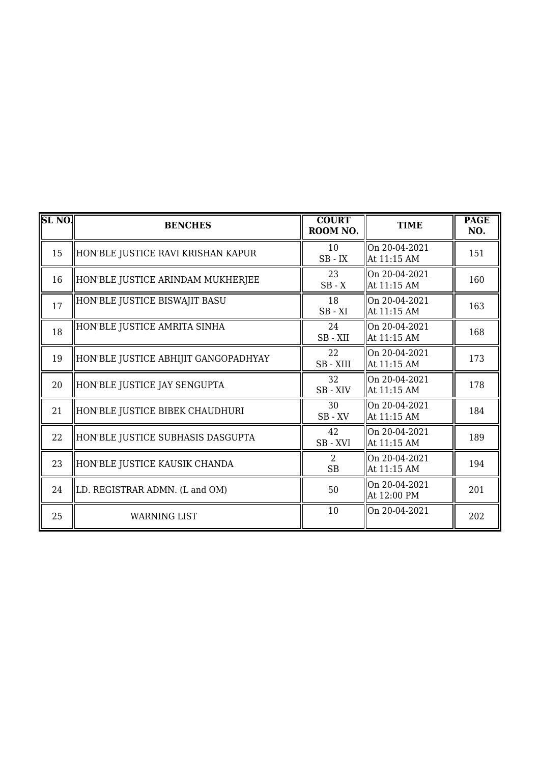| SL NO. | <b>BENCHES</b>                       | <b>COURT</b><br>ROOM NO. | <b>TIME</b>                  | <b>PAGE</b><br>NO. |
|--------|--------------------------------------|--------------------------|------------------------------|--------------------|
| 15     | HON'BLE JUSTICE RAVI KRISHAN KAPUR   | 10<br>$SB$ - $IX$        | On 20-04-2021<br>At 11:15 AM | 151                |
| 16     | HON'BLE JUSTICE ARINDAM MUKHERJEE    | 23<br>$SB - X$           | On 20-04-2021<br>At 11:15 AM | 160                |
| 17     | HON'BLE JUSTICE BISWAJIT BASU        | 18<br>$SB - XI$          | On 20-04-2021<br>At 11:15 AM | 163                |
| 18     | HON'BLE JUSTICE AMRITA SINHA         | 24<br>SB-XII             | On 20-04-2021<br>At 11:15 AM | 168                |
| 19     | HON'BLE JUSTICE ABHIJIT GANGOPADHYAY | 22<br>SB-XIII            | On 20-04-2021<br>At 11:15 AM | 173                |
| 20     | HON'BLE JUSTICE JAY SENGUPTA         | 32<br>SB - XIV           | On 20-04-2021<br>At 11:15 AM | 178                |
| 21     | HON'BLE JUSTICE BIBEK CHAUDHURI      | 30<br>$SB$ - $XV$        | On 20-04-2021<br>At 11:15 AM | 184                |
| 22     | HON'BLE JUSTICE SUBHASIS DASGUPTA    | 42<br>$SB - XVI$         | On 20-04-2021<br>At 11:15 AM | 189                |
| 23     | HON'BLE JUSTICE KAUSIK CHANDA        | 2<br><b>SB</b>           | On 20-04-2021<br>At 11:15 AM | 194                |
| 24     | LD. REGISTRAR ADMN. (L and OM)       | 50                       | On 20-04-2021<br>At 12:00 PM | 201                |
| 25     | <b>WARNING LIST</b>                  | 10                       | On 20-04-2021                | 202                |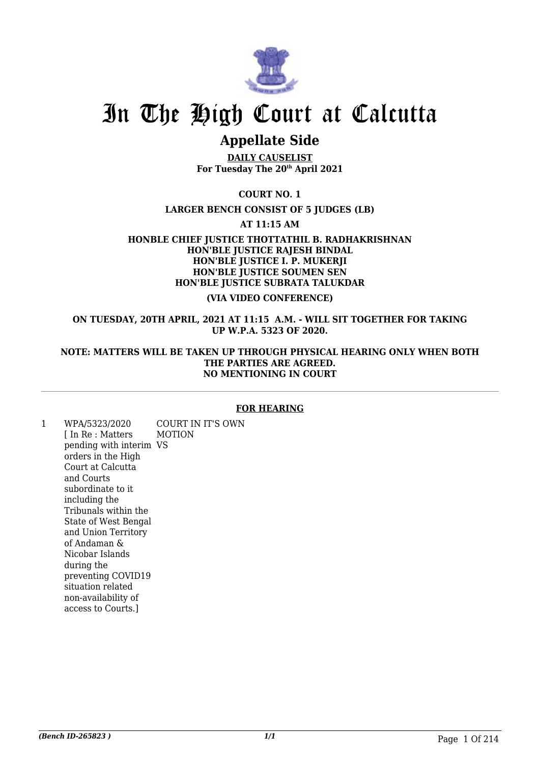

## In The High Court at Calcutta

### **Appellate Side**

**DAILY CAUSELIST For Tuesday The 20th April 2021**

**COURT NO. 1**

**LARGER BENCH CONSIST OF 5 JUDGES (LB)**

**AT 11:15 AM**

**HONBLE CHIEF JUSTICE THOTTATHIL B. RADHAKRISHNAN HON'BLE JUSTICE RAJESH BINDAL HON'BLE JUSTICE I. P. MUKERJI HON'BLE JUSTICE SOUMEN SEN HON'BLE JUSTICE SUBRATA TALUKDAR**

#### **(VIA VIDEO CONFERENCE)**

**ON TUESDAY, 20TH APRIL, 2021 AT 11:15 A.M. - WILL SIT TOGETHER FOR TAKING UP W.P.A. 5323 OF 2020.**

#### **NOTE: MATTERS WILL BE TAKEN UP THROUGH PHYSICAL HEARING ONLY WHEN BOTH THE PARTIES ARE AGREED. NO MENTIONING IN COURT**

#### **FOR HEARING**

1 WPA/5323/2020 [ In Re : Matters pending with interim VS orders in the High Court at Calcutta and Courts subordinate to it including the Tribunals within the State of West Bengal and Union Territory of Andaman & Nicobar Islands during the preventing COVID19 situation related non-availability of access to Courts.] COURT IN IT'S OWN MOTION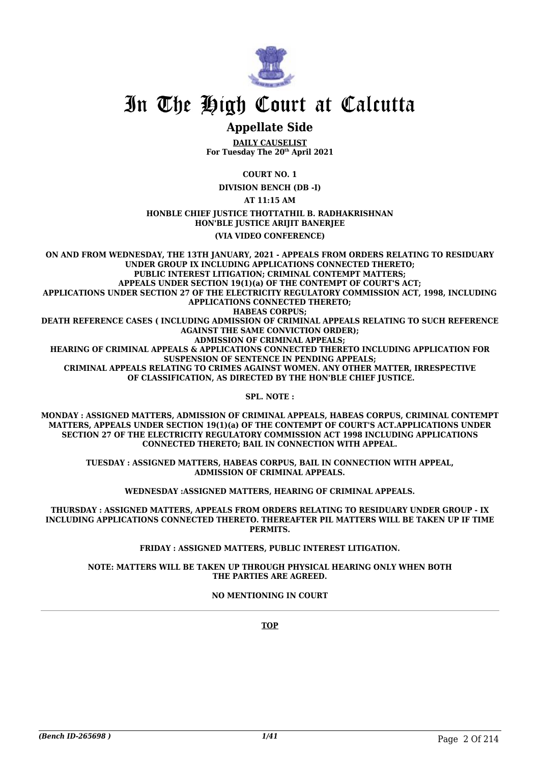

## In The High Court at Calcutta

### **Appellate Side**

**DAILY CAUSELIST For Tuesday The 20th April 2021**

**COURT NO. 1**

**DIVISION BENCH (DB -I)**

**AT 11:15 AM**

**HONBLE CHIEF JUSTICE THOTTATHIL B. RADHAKRISHNAN HON'BLE JUSTICE ARIJIT BANERJEE**

#### **(VIA VIDEO CONFERENCE)**

**ON AND FROM WEDNESDAY, THE 13TH JANUARY, 2021 - APPEALS FROM ORDERS RELATING TO RESIDUARY UNDER GROUP IX INCLUDING APPLICATIONS CONNECTED THERETO; PUBLIC INTEREST LITIGATION; CRIMINAL CONTEMPT MATTERS; APPEALS UNDER SECTION 19(1)(a) OF THE CONTEMPT OF COURT'S ACT; APPLICATIONS UNDER SECTION 27 OF THE ELECTRICITY REGULATORY COMMISSION ACT, 1998, INCLUDING APPLICATIONS CONNECTED THERETO; HABEAS CORPUS; DEATH REFERENCE CASES ( INCLUDING ADMISSION OF CRIMINAL APPEALS RELATING TO SUCH REFERENCE AGAINST THE SAME CONVICTION ORDER); ADMISSION OF CRIMINAL APPEALS; HEARING OF CRIMINAL APPEALS & APPLICATIONS CONNECTED THERETO INCLUDING APPLICATION FOR SUSPENSION OF SENTENCE IN PENDING APPEALS; CRIMINAL APPEALS RELATING TO CRIMES AGAINST WOMEN. ANY OTHER MATTER, IRRESPECTIVE OF CLASSIFICATION, AS DIRECTED BY THE HON'BLE CHIEF JUSTICE.**

**SPL. NOTE :**

**MONDAY : ASSIGNED MATTERS, ADMISSION OF CRIMINAL APPEALS, HABEAS CORPUS, CRIMINAL CONTEMPT MATTERS, APPEALS UNDER SECTION 19(1)(a) OF THE CONTEMPT OF COURT'S ACT.APPLICATIONS UNDER SECTION 27 OF THE ELECTRICITY REGULATORY COMMISSION ACT 1998 INCLUDING APPLICATIONS CONNECTED THERETO; BAIL IN CONNECTION WITH APPEAL.**

**TUESDAY : ASSIGNED MATTERS, HABEAS CORPUS, BAIL IN CONNECTION WITH APPEAL, ADMISSION OF CRIMINAL APPEALS.**

**WEDNESDAY :ASSIGNED MATTERS, HEARING OF CRIMINAL APPEALS.**

**THURSDAY : ASSIGNED MATTERS, APPEALS FROM ORDERS RELATING TO RESIDUARY UNDER GROUP - IX INCLUDING APPLICATIONS CONNECTED THERETO. THEREAFTER PIL MATTERS WILL BE TAKEN UP IF TIME PERMITS.**

**FRIDAY : ASSIGNED MATTERS, PUBLIC INTEREST LITIGATION.**

**NOTE: MATTERS WILL BE TAKEN UP THROUGH PHYSICAL HEARING ONLY WHEN BOTH THE PARTIES ARE AGREED.**

**NO MENTIONING IN COURT**

**TOP**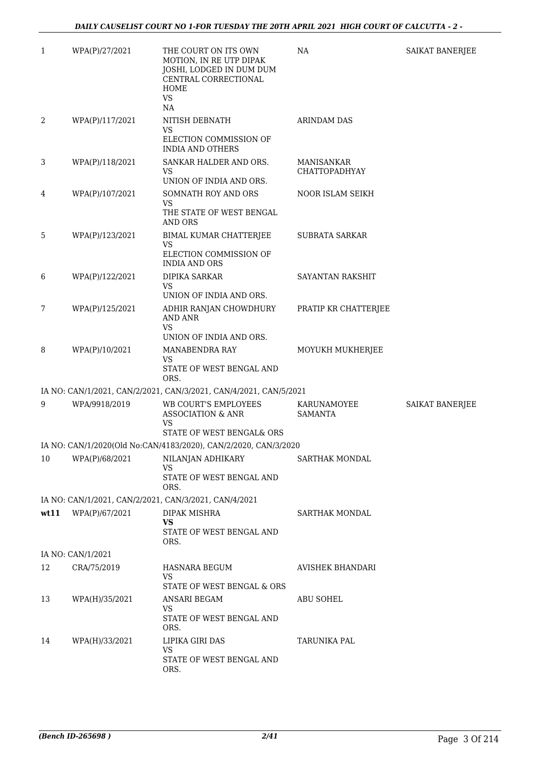| 1    | WPA(P)/27/2021    | THE COURT ON ITS OWN<br>MOTION, IN RE UTP DIPAK<br>JOSHI, LODGED IN DUM DUM<br>CENTRAL CORRECTIONAL<br>HOME<br><b>VS</b><br>NA | NA                                        | SAIKAT BANERJEE        |
|------|-------------------|--------------------------------------------------------------------------------------------------------------------------------|-------------------------------------------|------------------------|
| 2    | WPA(P)/117/2021   | NITISH DEBNATH<br>VS<br>ELECTION COMMISSION OF<br><b>INDIA AND OTHERS</b>                                                      | <b>ARINDAM DAS</b>                        |                        |
| 3    | WPA(P)/118/2021   | SANKAR HALDER AND ORS.<br>VS<br>UNION OF INDIA AND ORS.                                                                        | <b>MANISANKAR</b><br><b>CHATTOPADHYAY</b> |                        |
| 4    | WPA(P)/107/2021   | SOMNATH ROY AND ORS<br><b>VS</b><br>THE STATE OF WEST BENGAL<br>AND ORS                                                        | NOOR ISLAM SEIKH                          |                        |
| 5    | WPA(P)/123/2021   | BIMAL KUMAR CHATTERJEE<br>VS<br>ELECTION COMMISSION OF<br><b>INDIA AND ORS</b>                                                 | SUBRATA SARKAR                            |                        |
| 6    | WPA(P)/122/2021   | DIPIKA SARKAR<br><b>VS</b><br>UNION OF INDIA AND ORS.                                                                          | SAYANTAN RAKSHIT                          |                        |
| 7    | WPA(P)/125/2021   | ADHIR RANJAN CHOWDHURY<br><b>AND ANR</b><br><b>VS</b><br>UNION OF INDIA AND ORS.                                               | PRATIP KR CHATTERJEE                      |                        |
| 8    | WPA(P)/10/2021    | MANABENDRA RAY<br><b>VS</b><br>STATE OF WEST BENGAL AND<br>ORS.                                                                | MOYUKH MUKHERJEE                          |                        |
|      |                   | IA NO: CAN/1/2021, CAN/2/2021, CAN/3/2021, CAN/4/2021, CAN/5/2021                                                              |                                           |                        |
| 9    | WPA/9918/2019     | <b>WB COURT'S EMPLOYEES</b><br><b>ASSOCIATION &amp; ANR</b><br><b>VS</b>                                                       | KARUNAMOYEE<br><b>SAMANTA</b>             | <b>SAIKAT BANERJEE</b> |
|      |                   | STATE OF WEST BENGAL& ORS                                                                                                      |                                           |                        |
|      |                   | IA NO: CAN/1/2020(Old No:CAN/4183/2020), CAN/2/2020, CAN/3/2020                                                                |                                           |                        |
| 10   | WPA(P)/68/2021    | NILANJAN ADHIKARY<br><b>VS</b><br>STATE OF WEST BENGAL AND                                                                     | SARTHAK MONDAL                            |                        |
|      |                   | ORS.                                                                                                                           |                                           |                        |
| wt11 | WPA(P)/67/2021    | IA NO: CAN/1/2021, CAN/2/2021, CAN/3/2021, CAN/4/2021<br>DIPAK MISHRA                                                          | <b>SARTHAK MONDAL</b>                     |                        |
|      |                   | <b>VS</b><br>STATE OF WEST BENGAL AND<br>ORS.                                                                                  |                                           |                        |
|      | IA NO: CAN/1/2021 |                                                                                                                                |                                           |                        |
| 12   | CRA/75/2019       | HASNARA BEGUM<br><b>VS</b><br>STATE OF WEST BENGAL & ORS                                                                       | <b>AVISHEK BHANDARI</b>                   |                        |
| 13   | WPA(H)/35/2021    | ANSARI BEGAM<br><b>VS</b><br>STATE OF WEST BENGAL AND<br>ORS.                                                                  | <b>ABU SOHEL</b>                          |                        |
| 14   | WPA(H)/33/2021    | LIPIKA GIRI DAS<br><b>VS</b><br>STATE OF WEST BENGAL AND<br>ORS.                                                               | TARUNIKA PAL                              |                        |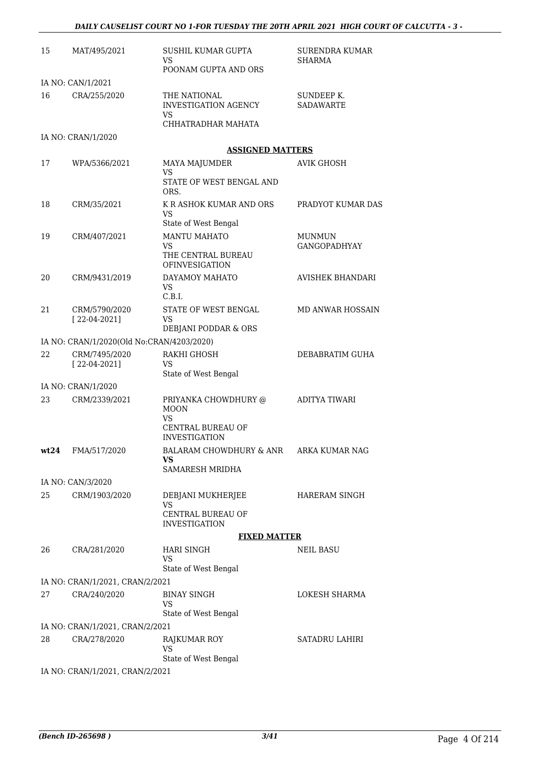| 15   | MAT/495/2021                              | SUSHIL KUMAR GUPTA<br>VS<br>POONAM GUPTA AND ORS                        | <b>SURENDRA KUMAR</b><br>SHARMA |
|------|-------------------------------------------|-------------------------------------------------------------------------|---------------------------------|
|      | IA NO: CAN/1/2021                         |                                                                         |                                 |
| 16   | CRA/255/2020                              | THE NATIONAL<br><b>INVESTIGATION AGENCY</b><br>VS<br>CHHATRADHAR MAHATA | SUNDEEP K.<br><b>SADAWARTE</b>  |
|      | IA NO: CRAN/1/2020                        |                                                                         |                                 |
|      |                                           | <b>ASSIGNED MATTERS</b>                                                 |                                 |
| 17   | WPA/5366/2021                             | MAYA MAJUMDER                                                           | <b>AVIK GHOSH</b>               |
|      |                                           | VS<br>STATE OF WEST BENGAL AND<br>ORS.                                  |                                 |
| 18   | CRM/35/2021                               | K R ASHOK KUMAR AND ORS<br>VS                                           | PRADYOT KUMAR DAS               |
| 19   | CRM/407/2021                              | State of West Bengal<br>MANTU MAHATO                                    | <b>MUNMUN</b>                   |
|      |                                           | VS<br>THE CENTRAL BUREAU<br><b>OFINVESIGATION</b>                       | GANGOPADHYAY                    |
| 20   | CRM/9431/2019                             | DAYAMOY MAHATO<br>VS<br>C.B.I.                                          | <b>AVISHEK BHANDARI</b>         |
| 21   | CRM/5790/2020                             | STATE OF WEST BENGAL                                                    | <b>MD ANWAR HOSSAIN</b>         |
|      | $[22-04-2021]$                            | VS                                                                      |                                 |
|      | IA NO: CRAN/1/2020(Old No:CRAN/4203/2020) | DEBJANI PODDAR & ORS                                                    |                                 |
| 22   | CRM/7495/2020                             | <b>RAKHI GHOSH</b>                                                      | DEBABRATIM GUHA                 |
|      | $[22-04-2021]$                            | VS<br>State of West Bengal                                              |                                 |
|      | IA NO: CRAN/1/2020                        |                                                                         |                                 |
| 23   | CRM/2339/2021                             | PRIYANKA CHOWDHURY @<br><b>MOON</b><br><b>VS</b><br>CENTRAL BUREAU OF   | ADITYA TIWARI                   |
| wt24 | FMA/517/2020                              | <b>INVESTIGATION</b><br>BALARAM CHOWDHURY & ANR ARKA KUMAR NAG<br>VS    |                                 |
|      |                                           | SAMARESH MRIDHA                                                         |                                 |
|      | IA NO: CAN/3/2020                         |                                                                         |                                 |
| 25   | CRM/1903/2020                             | DEBJANI MUKHERJEE<br>VS                                                 | <b>HARERAM SINGH</b>            |
|      |                                           | <b>CENTRAL BUREAU OF</b><br><b>INVESTIGATION</b>                        |                                 |
|      |                                           | <b>FIXED MATTER</b>                                                     |                                 |
| 26   | CRA/281/2020                              | <b>HARI SINGH</b><br>VS<br>State of West Bengal                         | NEIL BASU                       |
|      | IA NO: CRAN/1/2021, CRAN/2/2021           |                                                                         |                                 |
| 27   | CRA/240/2020                              | <b>BINAY SINGH</b><br><b>VS</b><br>State of West Bengal                 | LOKESH SHARMA                   |
|      | IA NO: CRAN/1/2021, CRAN/2/2021           |                                                                         |                                 |
| 28   | CRA/278/2020                              | RAJKUMAR ROY<br><b>VS</b>                                               | SATADRU LAHIRI                  |
|      | IA NO: CRAN/1/2021, CRAN/2/2021           | State of West Bengal                                                    |                                 |
|      |                                           |                                                                         |                                 |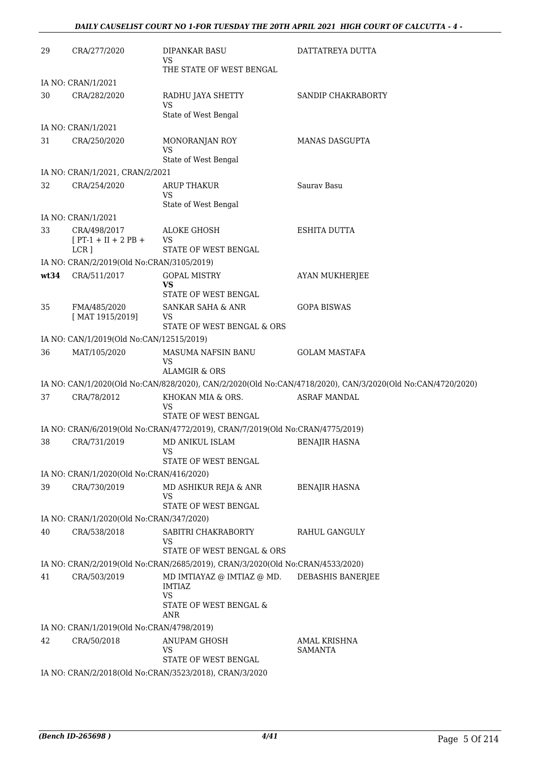| 29   | CRA/277/2020                                         | <b>DIPANKAR BASU</b><br>VS                                                                                  | DATTATREYA DUTTA                                                                                           |
|------|------------------------------------------------------|-------------------------------------------------------------------------------------------------------------|------------------------------------------------------------------------------------------------------------|
|      |                                                      | THE STATE OF WEST BENGAL                                                                                    |                                                                                                            |
|      | IA NO: CRAN/1/2021                                   |                                                                                                             |                                                                                                            |
| 30   | CRA/282/2020                                         | RADHU JAYA SHETTY<br>VS<br>State of West Bengal                                                             | SANDIP CHAKRABORTY                                                                                         |
|      | IA NO: CRAN/1/2021                                   |                                                                                                             |                                                                                                            |
| 31   | CRA/250/2020                                         | MONORANJAN ROY                                                                                              | <b>MANAS DASGUPTA</b>                                                                                      |
|      |                                                      | <b>VS</b><br>State of West Bengal                                                                           |                                                                                                            |
|      | IA NO: CRAN/1/2021, CRAN/2/2021                      |                                                                                                             |                                                                                                            |
| 32   | CRA/254/2020                                         | <b>ARUP THAKUR</b><br><b>VS</b><br>State of West Bengal                                                     | Sauray Basu                                                                                                |
|      | IA NO: CRAN/1/2021                                   |                                                                                                             |                                                                                                            |
| 33   | CRA/498/2017                                         | <b>ALOKE GHOSH</b>                                                                                          | <b>ESHITA DUTTA</b>                                                                                        |
|      | $[PT-1 + II + 2 PB +$                                | VS                                                                                                          |                                                                                                            |
|      | $LCR$ ]<br>IA NO: CRAN/2/2019(Old No:CRAN/3105/2019) | STATE OF WEST BENGAL                                                                                        |                                                                                                            |
| wt34 | CRA/511/2017                                         | <b>GOPAL MISTRY</b>                                                                                         | AYAN MUKHERJEE                                                                                             |
|      |                                                      | VS<br>STATE OF WEST BENGAL                                                                                  |                                                                                                            |
| 35   | FMA/485/2020                                         | SANKAR SAHA & ANR                                                                                           | <b>GOPA BISWAS</b>                                                                                         |
|      | [MAT 1915/2019]                                      | VS<br>STATE OF WEST BENGAL & ORS                                                                            |                                                                                                            |
|      | IA NO: CAN/1/2019(Old No:CAN/12515/2019)             |                                                                                                             |                                                                                                            |
| 36   | MAT/105/2020                                         | MASUMA NAFSIN BANU<br><b>VS</b><br><b>ALAMGIR &amp; ORS</b>                                                 | <b>GOLAM MASTAFA</b>                                                                                       |
|      |                                                      |                                                                                                             | IA NO: CAN/1/2020(Old No:CAN/828/2020), CAN/2/2020(Old No:CAN/4718/2020), CAN/3/2020(Old No:CAN/4720/2020) |
| 37   | CRA/78/2012                                          | KHOKAN MIA & ORS.                                                                                           | <b>ASRAF MANDAL</b>                                                                                        |
|      |                                                      | VS<br>STATE OF WEST BENGAL                                                                                  |                                                                                                            |
|      |                                                      | IA NO: CRAN/6/2019(Old No:CRAN/4772/2019), CRAN/7/2019(Old No:CRAN/4775/2019)                               |                                                                                                            |
| 38   | CRA/731/2019                                         | MD ANIKUL ISLAM<br>VS                                                                                       | <b>BENAJIR HASNA</b>                                                                                       |
|      |                                                      | STATE OF WEST BENGAL                                                                                        |                                                                                                            |
|      | IA NO: CRAN/1/2020(Old No:CRAN/416/2020)             |                                                                                                             |                                                                                                            |
| 39   | CRA/730/2019                                         | MD ASHIKUR REJA & ANR<br>VS<br>STATE OF WEST BENGAL                                                         | <b>BENAJIR HASNA</b>                                                                                       |
|      | IA NO: CRAN/1/2020(Old No:CRAN/347/2020)             |                                                                                                             |                                                                                                            |
| 40   | CRA/538/2018                                         | SABITRI CHAKRABORTY<br>VS                                                                                   | RAHUL GANGULY                                                                                              |
|      |                                                      | STATE OF WEST BENGAL & ORS<br>IA NO: CRAN/2/2019(Old No:CRAN/2685/2019), CRAN/3/2020(Old No:CRAN/4533/2020) |                                                                                                            |
| 41   | CRA/503/2019                                         | MD IMTIAYAZ @ IMTIAZ @ MD.                                                                                  |                                                                                                            |
|      |                                                      | <b>IMTIAZ</b><br><b>VS</b><br>STATE OF WEST BENGAL &<br>ANR                                                 | DEBASHIS BANERJEE                                                                                          |
|      | IA NO: CRAN/1/2019(Old No:CRAN/4798/2019)            |                                                                                                             |                                                                                                            |
| 42   | CRA/50/2018                                          | ANUPAM GHOSH<br>VS                                                                                          | AMAL KRISHNA<br><b>SAMANTA</b>                                                                             |
|      |                                                      | STATE OF WEST BENGAL                                                                                        |                                                                                                            |
|      |                                                      | IA NO: CRAN/2/2018(Old No:CRAN/3523/2018), CRAN/3/2020                                                      |                                                                                                            |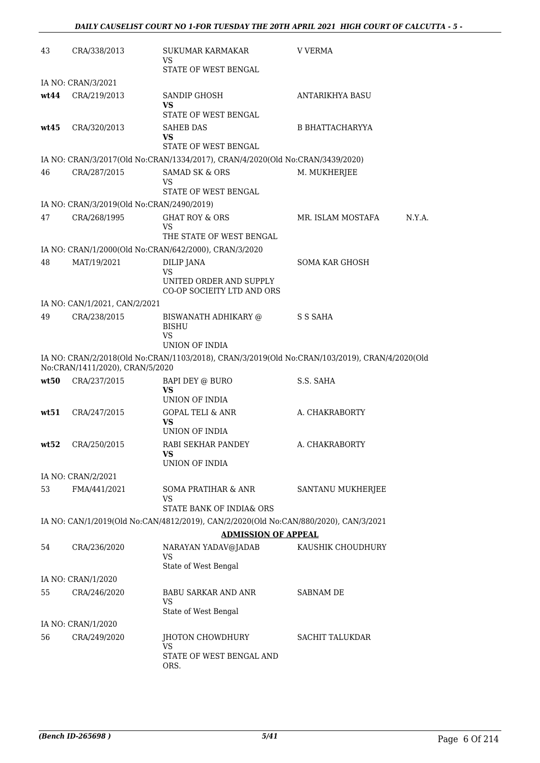| 43   | CRA/338/2013                              | <b>SUKUMAR KARMAKAR</b><br>VS                                                        | <b>V VERMA</b>                                                                                |  |  |
|------|-------------------------------------------|--------------------------------------------------------------------------------------|-----------------------------------------------------------------------------------------------|--|--|
|      |                                           | STATE OF WEST BENGAL                                                                 |                                                                                               |  |  |
|      | IA NO: CRAN/3/2021                        |                                                                                      |                                                                                               |  |  |
| wt44 | CRA/219/2013                              | <b>SANDIP GHOSH</b><br>VS                                                            | ANTARIKHYA BASU                                                                               |  |  |
|      |                                           | STATE OF WEST BENGAL                                                                 |                                                                                               |  |  |
| wt45 | CRA/320/2013                              | <b>SAHEB DAS</b><br>VS<br>STATE OF WEST BENGAL                                       | B BHATTACHARYYA                                                                               |  |  |
|      |                                           | IA NO: CRAN/3/2017(Old No:CRAN/1334/2017), CRAN/4/2020(Old No:CRAN/3439/2020)        |                                                                                               |  |  |
| 46   | CRA/287/2015                              | <b>SAMAD SK &amp; ORS</b><br>VS<br>STATE OF WEST BENGAL                              | M. MUKHERJEE                                                                                  |  |  |
|      | IA NO: CRAN/3/2019(Old No:CRAN/2490/2019) |                                                                                      |                                                                                               |  |  |
| 47   | CRA/268/1995                              | <b>GHAT ROY &amp; ORS</b><br>VS                                                      | MR. ISLAM MOSTAFA<br>N.Y.A.                                                                   |  |  |
|      |                                           | THE STATE OF WEST BENGAL                                                             |                                                                                               |  |  |
|      |                                           | IA NO: CRAN/1/2000(Old No:CRAN/642/2000), CRAN/3/2020                                |                                                                                               |  |  |
| 48   | MAT/19/2021                               | DILIP JANA<br><b>VS</b>                                                              | SOMA KAR GHOSH                                                                                |  |  |
|      |                                           | UNITED ORDER AND SUPPLY<br>CO-OP SOCIEITY LTD AND ORS                                |                                                                                               |  |  |
|      | IA NO: CAN/1/2021, CAN/2/2021             |                                                                                      |                                                                                               |  |  |
| 49   | CRA/238/2015                              | BISWANATH ADHIKARY @<br><b>BISHU</b><br>VS<br>UNION OF INDIA                         | S S SAHA                                                                                      |  |  |
|      | No:CRAN/1411/2020), CRAN/5/2020           |                                                                                      | IA NO: CRAN/2/2018(Old No:CRAN/1103/2018), CRAN/3/2019(Old No:CRAN/103/2019), CRAN/4/2020(Old |  |  |
| wt50 | CRA/237/2015                              | BAPI DEY @ BURO<br><b>VS</b><br>UNION OF INDIA                                       | S.S. SAHA                                                                                     |  |  |
| wt51 | CRA/247/2015                              | GOPAL TELI & ANR                                                                     | A. CHAKRABORTY                                                                                |  |  |
|      |                                           | VS<br>UNION OF INDIA                                                                 |                                                                                               |  |  |
| wt52 | CRA/250/2015                              | RABI SEKHAR PANDEY<br>VS<br>UNION OF INDIA                                           | A. CHAKRABORTY                                                                                |  |  |
|      | IA NO: CRAN/2/2021                        |                                                                                      |                                                                                               |  |  |
| 53   | FMA/441/2021                              | SOMA PRATIHAR & ANR<br><b>VS</b>                                                     | SANTANU MUKHERJEE                                                                             |  |  |
|      |                                           | STATE BANK OF INDIA& ORS                                                             |                                                                                               |  |  |
|      |                                           | IA NO: CAN/1/2019(Old No:CAN/4812/2019), CAN/2/2020(Old No:CAN/880/2020), CAN/3/2021 |                                                                                               |  |  |
|      |                                           | <b>ADMISSION OF APPEAL</b>                                                           |                                                                                               |  |  |
| 54   | CRA/236/2020                              | NARAYAN YADAV@JADAB<br>VS                                                            | KAUSHIK CHOUDHURY                                                                             |  |  |
|      |                                           | State of West Bengal                                                                 |                                                                                               |  |  |
|      | IA NO: CRAN/1/2020                        |                                                                                      |                                                                                               |  |  |
| 55   | CRA/246/2020                              | BABU SARKAR AND ANR<br>VS<br>State of West Bengal                                    | <b>SABNAM DE</b>                                                                              |  |  |
|      | IA NO: CRAN/1/2020                        |                                                                                      |                                                                                               |  |  |
| 56   | CRA/249/2020                              | JHOTON CHOWDHURY<br>VS                                                               | SACHIT TALUKDAR                                                                               |  |  |
|      |                                           | STATE OF WEST BENGAL AND<br>ORS.                                                     |                                                                                               |  |  |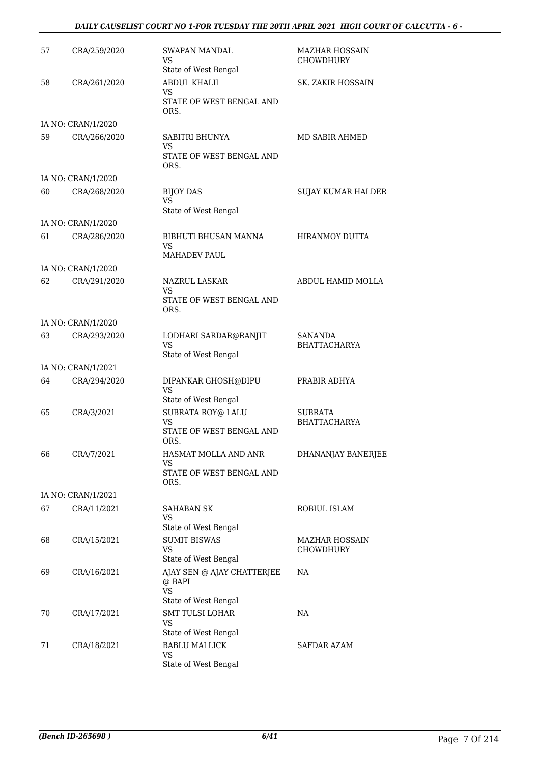#### *DAILY CAUSELIST COURT NO 1-FOR TUESDAY THE 20TH APRIL 2021 HIGH COURT OF CALCUTTA - 6 -*

| 57 | CRA/259/2020       | <b>SWAPAN MANDAL</b><br>VS<br>State of West Bengal                        | <b>MAZHAR HOSSAIN</b><br>CHOWDHURY        |
|----|--------------------|---------------------------------------------------------------------------|-------------------------------------------|
| 58 | CRA/261/2020       | ABDUL KHALIL<br>VS<br>STATE OF WEST BENGAL AND<br>ORS.                    | <b>SK. ZAKIR HOSSAIN</b>                  |
|    | IA NO: CRAN/1/2020 |                                                                           |                                           |
| 59 | CRA/266/2020       | SABITRI BHUNYA<br>VS<br>STATE OF WEST BENGAL AND<br>ORS.                  | MD SABIR AHMED                            |
|    | IA NO: CRAN/1/2020 |                                                                           |                                           |
| 60 | CRA/268/2020       | <b>BIJOY DAS</b><br>VS<br>State of West Bengal                            | <b>SUJAY KUMAR HALDER</b>                 |
|    | IA NO: CRAN/1/2020 |                                                                           |                                           |
| 61 | CRA/286/2020       | BIBHUTI BHUSAN MANNA<br>VS<br><b>MAHADEV PAUL</b>                         | HIRANMOY DUTTA                            |
|    | IA NO: CRAN/1/2020 |                                                                           |                                           |
| 62 | CRA/291/2020       | NAZRUL LASKAR<br><b>VS</b><br>STATE OF WEST BENGAL AND                    | ABDUL HAMID MOLLA                         |
|    |                    | ORS.                                                                      |                                           |
|    | IA NO: CRAN/1/2020 |                                                                           |                                           |
| 63 | CRA/293/2020       | LODHARI SARDAR@RANJIT<br><b>VS</b><br>State of West Bengal                | <b>SANANDA</b><br><b>BHATTACHARYA</b>     |
|    | IA NO: CRAN/1/2021 |                                                                           |                                           |
| 64 | CRA/294/2020       | DIPANKAR GHOSH@DIPU<br><b>VS</b><br>State of West Bengal                  | PRABIR ADHYA                              |
| 65 | CRA/3/2021         | SUBRATA ROY@ LALU                                                         | <b>SUBRATA</b>                            |
|    |                    | VS<br>STATE OF WEST BENGAL AND<br>ORS.                                    | BHATTACHARYA                              |
| 66 | CRA/7/2021         | HASMAT MOLLA AND ANR<br><b>VS</b><br>STATE OF WEST BENGAL AND             | DHANANJAY BANERJEE                        |
|    |                    | ORS.                                                                      |                                           |
|    | IA NO: CRAN/1/2021 |                                                                           |                                           |
| 67 | CRA/11/2021        | <b>SAHABAN SK</b><br><b>VS</b><br>State of West Bengal                    | ROBIUL ISLAM                              |
| 68 | CRA/15/2021        | <b>SUMIT BISWAS</b><br>VS<br>State of West Bengal                         | <b>MAZHAR HOSSAIN</b><br><b>CHOWDHURY</b> |
| 69 | CRA/16/2021        | AJAY SEN @ AJAY CHATTERJEE<br>@ BAPI<br><b>VS</b><br>State of West Bengal | NA                                        |
| 70 | CRA/17/2021        | <b>SMT TULSI LOHAR</b><br>VS<br>State of West Bengal                      | NA                                        |
| 71 | CRA/18/2021        | <b>BABLU MALLICK</b><br>VS<br>State of West Bengal                        | <b>SAFDAR AZAM</b>                        |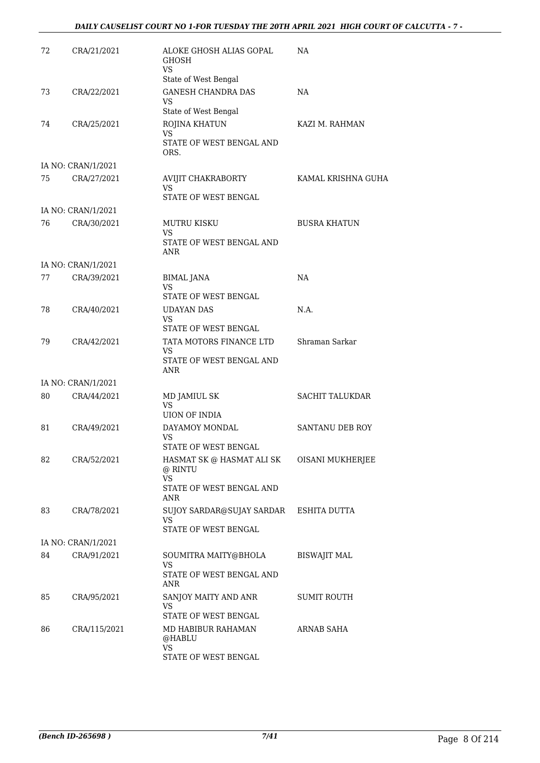| 72 | CRA/21/2021        | ALOKE GHOSH ALIAS GOPAL<br><b>GHOSH</b><br>VS<br>State of West Bengal                                 | NA.                    |
|----|--------------------|-------------------------------------------------------------------------------------------------------|------------------------|
| 73 | CRA/22/2021        | <b>GANESH CHANDRA DAS</b><br><b>VS</b><br>State of West Bengal                                        | NA                     |
| 74 | CRA/25/2021        | ROJINA KHATUN<br><b>VS</b><br>STATE OF WEST BENGAL AND<br>ORS.                                        | KAZI M. RAHMAN         |
|    | IA NO: CRAN/1/2021 |                                                                                                       |                        |
| 75 | CRA/27/2021        | AVIJIT CHAKRABORTY<br>VS.<br><b>STATE OF WEST BENGAL</b>                                              | KAMAL KRISHNA GUHA     |
|    | IA NO: CRAN/1/2021 |                                                                                                       |                        |
| 76 | CRA/30/2021        | <b>MUTRU KISKU</b><br>VS.<br>STATE OF WEST BENGAL AND<br><b>ANR</b>                                   | <b>BUSRA KHATUN</b>    |
|    | IA NO: CRAN/1/2021 |                                                                                                       |                        |
| 77 | CRA/39/2021        | <b>BIMAL JANA</b><br>VS                                                                               | NA                     |
| 78 | CRA/40/2021        | STATE OF WEST BENGAL<br><b>UDAYAN DAS</b><br>VS.<br>STATE OF WEST BENGAL                              | N.A.                   |
| 79 | CRA/42/2021        | TATA MOTORS FINANCE LTD<br>VS.<br>STATE OF WEST BENGAL AND<br>ANR                                     | Shraman Sarkar         |
|    | IA NO: CRAN/1/2021 |                                                                                                       |                        |
| 80 | CRA/44/2021        | MD JAMIUL SK<br>VS.<br><b>UION OF INDIA</b>                                                           | <b>SACHIT TALUKDAR</b> |
| 81 | CRA/49/2021        | DAYAMOY MONDAL<br>VS<br>STATE OF WEST BENGAL                                                          | <b>SANTANU DEB ROY</b> |
| 82 | CRA/52/2021        | HASMAT SK @ HASMAT ALI SK OISANI MUKHERJEE<br>@ RINTU<br><b>VS</b><br>STATE OF WEST BENGAL AND<br>ANR |                        |
| 83 | CRA/78/2021        | SUJOY SARDAR@SUJAY SARDAR ESHITA DUTTA<br>VS<br>STATE OF WEST BENGAL                                  |                        |
|    | IA NO: CRAN/1/2021 |                                                                                                       |                        |
| 84 | CRA/91/2021        | SOUMITRA MAITY@BHOLA<br>VS<br>STATE OF WEST BENGAL AND<br>ANR                                         | BISWAJIT MAL           |
| 85 | CRA/95/2021        | SANJOY MAITY AND ANR<br><b>VS</b><br>STATE OF WEST BENGAL                                             | SUMIT ROUTH            |
| 86 | CRA/115/2021       | MD HABIBUR RAHAMAN<br>@HABLU<br>VS<br>STATE OF WEST BENGAL                                            | ARNAB SAHA             |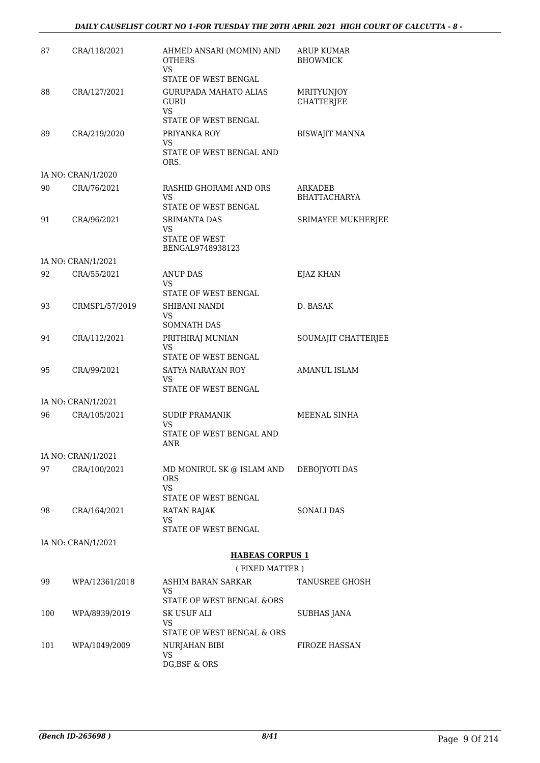#### *DAILY CAUSELIST COURT NO 1-FOR TUESDAY THE 20TH APRIL 2021 HIGH COURT OF CALCUTTA - 8 -*

| 87  | CRA/118/2021       | AHMED ANSARI (MOMIN) AND<br><b>OTHERS</b><br>VS                                            | <b>ARUP KUMAR</b><br><b>BHOWMICK</b> |
|-----|--------------------|--------------------------------------------------------------------------------------------|--------------------------------------|
| 88  | CRA/127/2021       | STATE OF WEST BENGAL<br><b>GURUPADA MAHATO ALIAS</b><br>GURU<br>VS<br>STATE OF WEST BENGAL | MRITYUNJOY<br><b>CHATTERJEE</b>      |
| 89  | CRA/219/2020       | PRIYANKA ROY<br>VS<br>STATE OF WEST BENGAL AND<br>ORS.                                     | <b>BISWAJIT MANNA</b>                |
|     | IA NO: CRAN/1/2020 |                                                                                            |                                      |
| 90  | CRA/76/2021        | RASHID GHORAMI AND ORS<br>VS<br>STATE OF WEST BENGAL                                       | ARKADEB<br><b>BHATTACHARYA</b>       |
| 91  | CRA/96/2021        | <b>SRIMANTA DAS</b><br>VS<br><b>STATE OF WEST</b><br>BENGAL9748938123                      | SRIMAYEE MUKHERJEE                   |
|     | IA NO: CRAN/1/2021 |                                                                                            |                                      |
| 92  | CRA/55/2021        | <b>ANUP DAS</b><br>VS<br>STATE OF WEST BENGAL                                              | EJAZ KHAN                            |
| 93  | CRMSPL/57/2019     | SHIBANI NANDI<br>VS<br>SOMNATH DAS                                                         | D. BASAK                             |
| 94  | CRA/112/2021       | PRITHIRAJ MUNIAN<br>VS<br>STATE OF WEST BENGAL                                             | SOUMAJIT CHATTERJEE                  |
| 95  | CRA/99/2021        | SATYA NARAYAN ROY<br>VS<br>STATE OF WEST BENGAL                                            | <b>AMANUL ISLAM</b>                  |
|     | IA NO: CRAN/1/2021 |                                                                                            |                                      |
| 96  | CRA/105/2021       | <b>SUDIP PRAMANIK</b><br>VS<br>STATE OF WEST BENGAL AND<br>ANR                             | MEENAL SINHA                         |
|     | IA NO: CRAN/1/2021 |                                                                                            |                                      |
| 97  | CRA/100/2021       | MD MONIRUL SK @ ISLAM AND<br>ORS.<br>VS.                                                   | DEBOJYOTI DAS                        |
| 98  | CRA/164/2021       | STATE OF WEST BENGAL<br>RATAN RAJAK<br>VS                                                  | SONALI DAS                           |
|     |                    | STATE OF WEST BENGAL                                                                       |                                      |
|     | IA NO: CRAN/1/2021 |                                                                                            |                                      |
|     |                    | <b>HABEAS CORPUS 1</b><br>(FIXED MATTER)                                                   |                                      |
| 99  | WPA/12361/2018     | ASHIM BARAN SARKAR                                                                         | TANUSREE GHOSH                       |
|     |                    | VS<br>STATE OF WEST BENGAL &ORS                                                            |                                      |
| 100 | WPA/8939/2019      | SK USUF ALI<br>VS<br>STATE OF WEST BENGAL & ORS                                            | <b>SUBHAS JANA</b>                   |
| 101 | WPA/1049/2009      | NURJAHAN BIBI<br>VS.<br>DG, BSF & ORS                                                      | FIROZE HASSAN                        |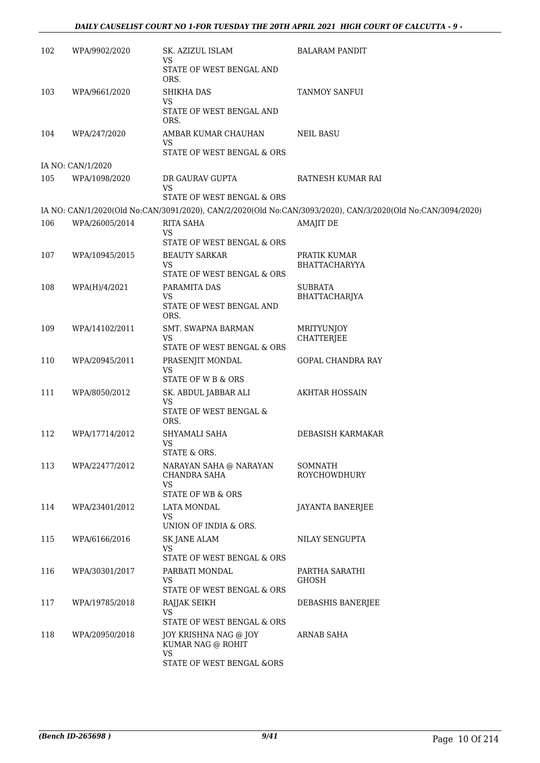#### *DAILY CAUSELIST COURT NO 1-FOR TUESDAY THE 20TH APRIL 2021 HIGH COURT OF CALCUTTA - 9 -*

| 102 | WPA/9902/2020     | SK. AZIZUL ISLAM<br><b>VS</b>                                                  | <b>BALARAM PANDIT</b>                                                                                       |
|-----|-------------------|--------------------------------------------------------------------------------|-------------------------------------------------------------------------------------------------------------|
|     |                   | STATE OF WEST BENGAL AND<br>ORS.                                               |                                                                                                             |
| 103 | WPA/9661/2020     | <b>SHIKHA DAS</b><br><b>VS</b><br>STATE OF WEST BENGAL AND                     | TANMOY SANFUI                                                                                               |
|     |                   | ORS.                                                                           |                                                                                                             |
| 104 | WPA/247/2020      | AMBAR KUMAR CHAUHAN<br>VS<br>STATE OF WEST BENGAL & ORS                        | <b>NEIL BASU</b>                                                                                            |
|     | IA NO: CAN/1/2020 |                                                                                |                                                                                                             |
| 105 | WPA/1098/2020     | DR GAURAV GUPTA<br>VS<br>STATE OF WEST BENGAL & ORS                            | RATNESH KUMAR RAI                                                                                           |
|     |                   |                                                                                | IA NO: CAN/1/2020(Old No:CAN/3091/2020), CAN/2/2020(Old No:CAN/3093/2020), CAN/3/2020(Old No:CAN/3094/2020) |
| 106 | WPA/26005/2014    | <b>RITA SAHA</b><br><b>VS</b>                                                  | <b>AMAJIT DE</b>                                                                                            |
|     |                   | STATE OF WEST BENGAL & ORS                                                     |                                                                                                             |
| 107 | WPA/10945/2015    | <b>BEAUTY SARKAR</b><br>VS<br>STATE OF WEST BENGAL & ORS                       | PRATIK KUMAR<br><b>BHATTACHARYYA</b>                                                                        |
| 108 | WPA(H)/4/2021     | PARAMITA DAS                                                                   | <b>SUBRATA</b>                                                                                              |
|     |                   | <b>VS</b><br>STATE OF WEST BENGAL AND<br>ORS.                                  | BHATTACHARJYA                                                                                               |
| 109 | WPA/14102/2011    | <b>SMT. SWAPNA BARMAN</b><br>VS<br>STATE OF WEST BENGAL & ORS                  | <b>MRITYUNJOY</b><br>CHATTERJEE                                                                             |
| 110 | WPA/20945/2011    | PRASENJIT MONDAL<br><b>VS</b><br>STATE OF W B & ORS                            | GOPAL CHANDRA RAY                                                                                           |
| 111 | WPA/8050/2012     | SK. ABDUL JABBAR ALI<br><b>VS</b><br>STATE OF WEST BENGAL &<br>ORS.            | <b>AKHTAR HOSSAIN</b>                                                                                       |
| 112 | WPA/17714/2012    | SHYAMALI SAHA<br><b>VS</b>                                                     | DEBASISH KARMAKAR                                                                                           |
| 113 | WPA/22477/2012    | STATE & ORS.<br>NARAYAN SAHA @ NARAYAN<br>CHANDRA SAHA<br>VS                   | <b>SOMNATH</b><br><b>ROYCHOWDHURY</b>                                                                       |
| 114 | WPA/23401/2012    | STATE OF WB & ORS<br>LATA MONDAL<br>VS<br>UNION OF INDIA & ORS.                | JAYANTA BANERJEE                                                                                            |
| 115 | WPA/6166/2016     | <b>SK JANE ALAM</b><br>VS<br>STATE OF WEST BENGAL & ORS                        | NILAY SENGUPTA                                                                                              |
| 116 | WPA/30301/2017    | PARBATI MONDAL<br>VS<br>STATE OF WEST BENGAL & ORS                             | PARTHA SARATHI<br>GHOSH                                                                                     |
| 117 | WPA/19785/2018    | RAJJAK SEIKH<br><b>VS</b>                                                      | DEBASHIS BANERJEE                                                                                           |
| 118 | WPA/20950/2018    | STATE OF WEST BENGAL & ORS<br>JOY KRISHNA NAG @ JOY<br>KUMAR NAG @ ROHIT<br>VS | ARNAB SAHA                                                                                                  |
|     |                   | STATE OF WEST BENGAL &ORS                                                      |                                                                                                             |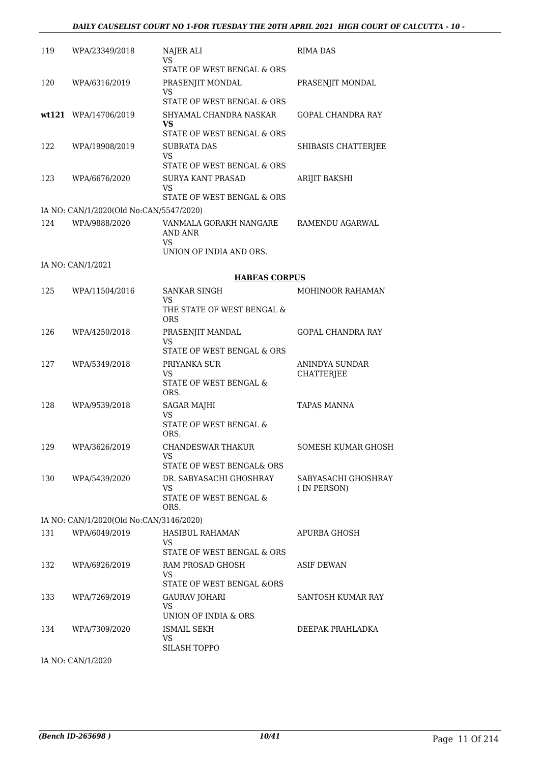| 119 | WPA/23349/2018                          | NAJER ALI<br>VS                                           | <b>RIMA DAS</b>                    |
|-----|-----------------------------------------|-----------------------------------------------------------|------------------------------------|
|     |                                         | STATE OF WEST BENGAL & ORS                                |                                    |
| 120 | WPA/6316/2019                           | PRASENJIT MONDAL<br>VS.                                   | PRASENJIT MONDAL                   |
|     |                                         | STATE OF WEST BENGAL & ORS                                |                                    |
|     | wt121 WPA/14706/2019                    | SHYAMAL CHANDRA NASKAR<br>VS                              | <b>GOPAL CHANDRA RAY</b>           |
|     |                                         | STATE OF WEST BENGAL & ORS                                |                                    |
| 122 | WPA/19908/2019                          | <b>SUBRATA DAS</b><br>VS.                                 | SHIBASIS CHATTERJEE                |
| 123 | WPA/6676/2020                           | STATE OF WEST BENGAL & ORS<br><b>SURYA KANT PRASAD</b>    | ARIJIT BAKSHI                      |
|     |                                         | VS<br>STATE OF WEST BENGAL & ORS                          |                                    |
|     | IA NO: CAN/1/2020(Old No:CAN/5547/2020) |                                                           |                                    |
| 124 | WPA/9888/2020                           | VANMALA GORAKH NANGARE<br>AND ANR<br>VS.                  | RAMENDU AGARWAL                    |
|     |                                         | UNION OF INDIA AND ORS.                                   |                                    |
|     | IA NO: CAN/1/2021                       |                                                           |                                    |
|     |                                         | <b>HABEAS CORPUS</b>                                      |                                    |
| 125 | WPA/11504/2016                          | SANKAR SINGH<br>VS                                        | <b>MOHINOOR RAHAMAN</b>            |
|     |                                         | THE STATE OF WEST BENGAL &<br>ORS                         |                                    |
| 126 | WPA/4250/2018                           | PRASENJIT MANDAL                                          | <b>GOPAL CHANDRA RAY</b>           |
|     |                                         | <b>VS</b><br>STATE OF WEST BENGAL & ORS                   |                                    |
| 127 | WPA/5349/2018                           | PRIYANKA SUR                                              | ANINDYA SUNDAR                     |
|     |                                         | VS.<br>STATE OF WEST BENGAL &<br>ORS.                     | CHATTERJEE                         |
| 128 | WPA/9539/2018                           | <b>SAGAR MAJHI</b>                                        | <b>TAPAS MANNA</b>                 |
|     |                                         | VS                                                        |                                    |
|     |                                         | STATE OF WEST BENGAL &<br>ORS.                            |                                    |
|     | 129 WPA/3626/2019                       | CHANDESWAR THAKUR<br>VS                                   | <b>SOMESH KUMAR GHOSH</b>          |
|     |                                         | STATE OF WEST BENGAL& ORS                                 |                                    |
|     | 130 WPA/5439/2020                       | DR. SABYASACHI GHOSHRAY<br>VS.                            | SABYASACHI GHOSHRAY<br>(IN PERSON) |
|     |                                         | STATE OF WEST BENGAL &<br>ORS.                            |                                    |
|     | IA NO: CAN/1/2020(Old No:CAN/3146/2020) |                                                           |                                    |
| 131 | WPA/6049/2019                           | HASIBUL RAHAMAN<br>VS.                                    | <b>APURBA GHOSH</b>                |
|     |                                         | STATE OF WEST BENGAL & ORS                                |                                    |
| 132 | WPA/6926/2019                           | RAM PROSAD GHOSH<br>VS.                                   | ASIF DEWAN                         |
|     |                                         | STATE OF WEST BENGAL &ORS                                 |                                    |
| 133 | WPA/7269/2019                           | <b>GAURAV JOHARI</b><br><b>VS</b><br>UNION OF INDIA & ORS | SANTOSH KUMAR RAY                  |
| 134 | WPA/7309/2020                           | ISMAIL SEKH                                               | DEEPAK PRAHLADKA                   |
|     |                                         | <b>VS</b><br><b>SILASH TOPPO</b>                          |                                    |
|     | IA NO: CAN/1/2020                       |                                                           |                                    |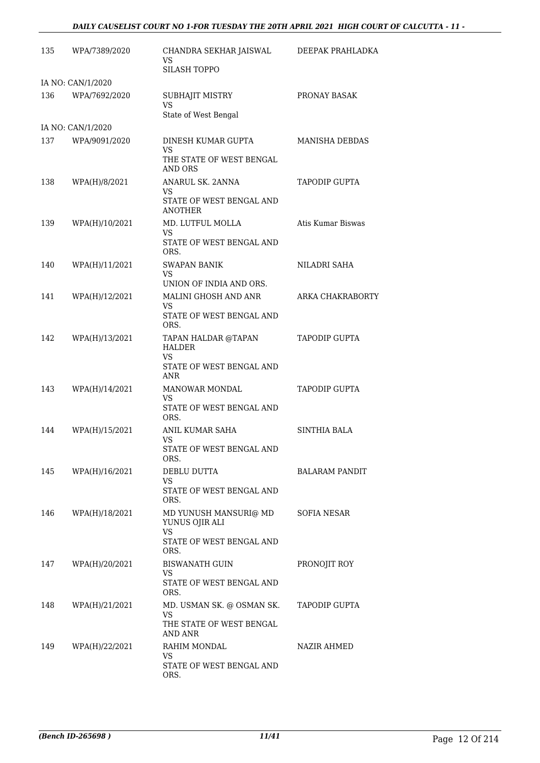| 135 | WPA/7389/2020     | CHANDRA SEKHAR JAISWAL<br>VS.<br><b>SILASH TOPPO</b>                          | DEEPAK PRAHLADKA      |
|-----|-------------------|-------------------------------------------------------------------------------|-----------------------|
|     | IA NO: CAN/1/2020 |                                                                               |                       |
| 136 | WPA/7692/2020     | SUBHAJIT MISTRY<br>VS.<br>State of West Bengal                                | PRONAY BASAK          |
|     | IA NO: CAN/1/2020 |                                                                               |                       |
| 137 | WPA/9091/2020     | DINESH KUMAR GUPTA                                                            | <b>MANISHA DEBDAS</b> |
|     |                   | VS<br>THE STATE OF WEST BENGAL<br><b>AND ORS</b>                              |                       |
| 138 | WPA(H)/8/2021     | ANARUL SK. 2ANNA<br>VS.<br>STATE OF WEST BENGAL AND<br>ANOTHER                | TAPODIP GUPTA         |
| 139 | WPA(H)/10/2021    | MD. LUTFUL MOLLA<br>VS.<br>STATE OF WEST BENGAL AND<br>ORS.                   | Atis Kumar Biswas     |
| 140 | WPA(H)/11/2021    | <b>SWAPAN BANIK</b><br>VS.                                                    | NILADRI SAHA          |
| 141 | WPA(H)/12/2021    | UNION OF INDIA AND ORS.<br>MALINI GHOSH AND ANR                               | ARKA CHAKRABORTY      |
|     |                   | VS.                                                                           |                       |
|     |                   | STATE OF WEST BENGAL AND<br>ORS.                                              |                       |
| 142 | WPA(H)/13/2021    | TAPAN HALDAR @TAPAN<br><b>HALDER</b><br><b>VS</b><br>STATE OF WEST BENGAL AND | TAPODIP GUPTA         |
| 143 | WPA(H)/14/2021    | ANR<br><b>MANOWAR MONDAL</b>                                                  | TAPODIP GUPTA         |
|     |                   | VS.<br>STATE OF WEST BENGAL AND<br>ORS.                                       |                       |
| 144 | WPA(H)/15/2021    | ANIL KUMAR SAHA                                                               | SINTHIA BALA          |
|     |                   | VS<br>STATE OF WEST BENGAL AND<br>ORS.                                        |                       |
| 145 | WPA(H)/16/2021    | DEBLU DUTTA                                                                   | <b>BALARAM PANDIT</b> |
|     |                   | VS<br>STATE OF WEST BENGAL AND<br>ORS.                                        |                       |
| 146 | WPA(H)/18/2021    | MD YUNUSH MANSURI@ MD<br>YUNUS OJIR ALI<br>VS.                                | SOFIA NESAR           |
|     |                   | STATE OF WEST BENGAL AND<br>ORS.                                              |                       |
| 147 | WPA(H)/20/2021    | <b>BISWANATH GUIN</b><br><b>VS</b>                                            | PRONOJIT ROY          |
|     |                   | STATE OF WEST BENGAL AND<br>ORS.                                              |                       |
| 148 | WPA(H)/21/2021    | MD. USMAN SK. @ OSMAN SK.<br>VS                                               | TAPODIP GUPTA         |
|     |                   | THE STATE OF WEST BENGAL<br>AND ANR                                           |                       |
| 149 | WPA(H)/22/2021    | RAHIM MONDAL                                                                  | NAZIR AHMED           |
|     |                   | VS.<br>STATE OF WEST BENGAL AND<br>ORS.                                       |                       |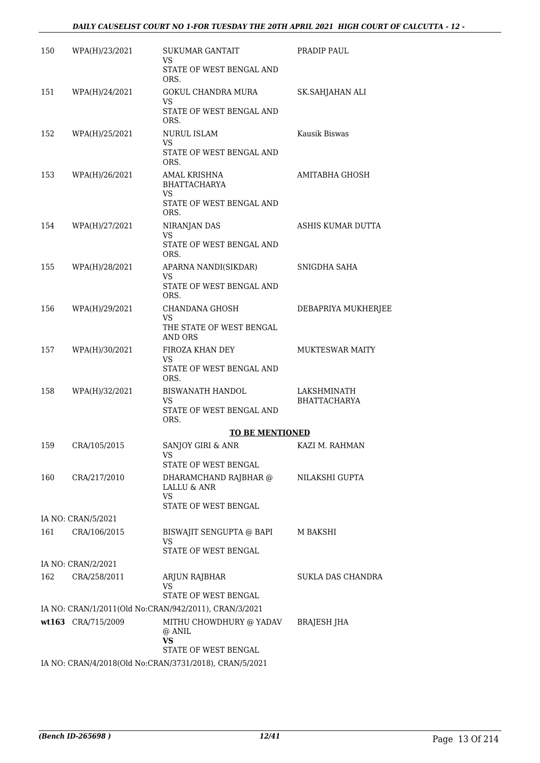| 150 | WPA(H)/23/2021     | SUKUMAR GANTAIT<br>VS.                                           | PRADIP PAUL                        |
|-----|--------------------|------------------------------------------------------------------|------------------------------------|
|     |                    | STATE OF WEST BENGAL AND<br>ORS.                                 |                                    |
| 151 | WPA(H)/24/2021     | <b>GOKUL CHANDRA MURA</b><br>VS.                                 | SK.SAHJAHAN ALI                    |
|     |                    | STATE OF WEST BENGAL AND<br>ORS.                                 |                                    |
| 152 | WPA(H)/25/2021     | <b>NURUL ISLAM</b><br><b>VS</b>                                  | Kausik Biswas                      |
|     |                    | STATE OF WEST BENGAL AND<br>ORS.                                 |                                    |
| 153 | WPA(H)/26/2021     | AMAL KRISHNA<br><b>BHATTACHARYA</b><br>VS                        | AMITABHA GHOSH                     |
|     |                    | STATE OF WEST BENGAL AND<br>ORS.                                 |                                    |
| 154 | WPA(H)/27/2021     | NIRANJAN DAS<br>VS.                                              | ASHIS KUMAR DUTTA                  |
|     |                    | STATE OF WEST BENGAL AND<br>ORS.                                 |                                    |
| 155 | WPA(H)/28/2021     | APARNA NANDI(SIKDAR)<br>VS                                       | SNIGDHA SAHA                       |
|     |                    | STATE OF WEST BENGAL AND<br>ORS.                                 |                                    |
| 156 | WPA(H)/29/2021     | CHANDANA GHOSH<br>VS.                                            | DEBAPRIYA MUKHERJEE                |
|     |                    | THE STATE OF WEST BENGAL<br><b>AND ORS</b>                       |                                    |
| 157 | WPA(H)/30/2021     | FIROZA KHAN DEY<br>VS.<br>STATE OF WEST BENGAL AND<br>ORS.       | <b>MUKTESWAR MAITY</b>             |
| 158 | WPA(H)/32/2021     | <b>BISWANATH HANDOL</b><br>VS.                                   | LAKSHMINATH<br><b>BHATTACHARYA</b> |
|     |                    | STATE OF WEST BENGAL AND<br>ORS.                                 |                                    |
|     |                    | <b>TO BE MENTIONED</b>                                           |                                    |
| 159 | CRA/105/2015       | SANJOY GIRI & ANR<br>VS<br>STATE OF WEST BENGAL                  | KAZI M. RAHMAN                     |
| 160 | CRA/217/2010       | DHARAMCHAND RAJBHAR @ NILAKSHI GUPTA                             |                                    |
|     |                    | LALLU & ANR<br>VS                                                |                                    |
|     |                    | STATE OF WEST BENGAL                                             |                                    |
|     | IA NO: CRAN/5/2021 |                                                                  |                                    |
| 161 | CRA/106/2015       | BISWAJIT SENGUPTA @ BAPI M BAKSHI<br>VS.<br>STATE OF WEST BENGAL |                                    |
|     | IA NO: CRAN/2/2021 |                                                                  |                                    |
| 162 | CRA/258/2011       | ARJUN RAJBHAR<br>VS                                              | <b>SUKLA DAS CHANDRA</b>           |
|     |                    | STATE OF WEST BENGAL                                             |                                    |
|     |                    | IA NO: CRAN/1/2011(Old No:CRAN/942/2011), CRAN/3/2021            |                                    |
|     | wt163 CRA/715/2009 | MITHU CHOWDHURY @ YADAV<br>@ ANIL<br>VS                          | BRAJESH JHA                        |
|     |                    | STATE OF WEST BENGAL                                             |                                    |
|     |                    | IA NO: CRAN/4/2018(Old No:CRAN/3731/2018), CRAN/5/2021           |                                    |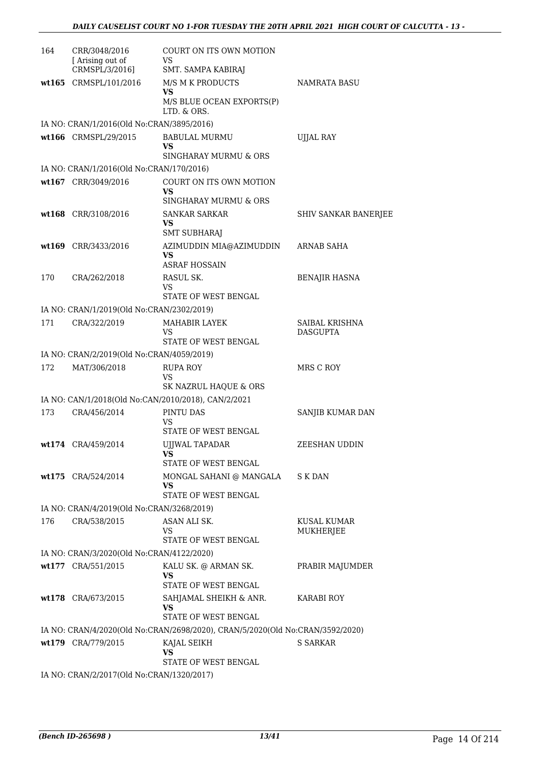| 164 | CRR/3048/2016<br>[Arising out of<br>CRMSPL/3/2016] | COURT ON ITS OWN MOTION<br>VS.<br>SMT. SAMPA KABIRAJ                          |                                   |
|-----|----------------------------------------------------|-------------------------------------------------------------------------------|-----------------------------------|
|     | wt165 CRMSPL/101/2016                              | M/S M K PRODUCTS<br><b>VS</b><br>M/S BLUE OCEAN EXPORTS(P)<br>LTD. & ORS.     | <b>NAMRATA BASU</b>               |
|     | IA NO: CRAN/1/2016(Old No:CRAN/3895/2016)          |                                                                               |                                   |
|     | wt166 CRMSPL/29/2015                               | <b>BABULAL MURMU</b><br>VS.<br>SINGHARAY MURMU & ORS                          | UJJAL RAY                         |
|     | IA NO: CRAN/1/2016(Old No:CRAN/170/2016)           |                                                                               |                                   |
|     | wt167 CRR/3049/2016                                | COURT ON ITS OWN MOTION<br>VS<br>SINGHARAY MURMU & ORS                        |                                   |
|     | wt168 CRR/3108/2016                                | <b>SANKAR SARKAR</b><br>VS<br><b>SMT SUBHARAJ</b>                             | SHIV SANKAR BANERJEE              |
|     | wt169 CRR/3433/2016                                | AZIMUDDIN MIA@AZIMUDDIN<br>VS<br><b>ASRAF HOSSAIN</b>                         | <b>ARNAB SAHA</b>                 |
| 170 | CRA/262/2018                                       | RASUL SK.<br>VS<br>STATE OF WEST BENGAL                                       | <b>BENAJIR HASNA</b>              |
|     | IA NO: CRAN/1/2019(Old No:CRAN/2302/2019)          |                                                                               |                                   |
| 171 | CRA/322/2019                                       | MAHABIR LAYEK<br>VS<br>STATE OF WEST BENGAL                                   | SAIBAL KRISHNA<br><b>DASGUPTA</b> |
|     | IA NO: CRAN/2/2019(Old No:CRAN/4059/2019)          |                                                                               |                                   |
| 172 | MAT/306/2018                                       | <b>RUPA ROY</b>                                                               | MRS C ROY                         |
|     |                                                    | VS<br>SK NAZRUL HAQUE & ORS                                                   |                                   |
|     |                                                    | IA NO: CAN/1/2018(Old No:CAN/2010/2018), CAN/2/2021                           |                                   |
| 173 | CRA/456/2014                                       | PINTU DAS<br>VS<br>STATE OF WEST BENGAL                                       | SANJIB KUMAR DAN                  |
|     | wt174 CRA/459/2014                                 | UJJWAL TAPADAR<br><b>VS</b><br>STATE OF WEST BENGAL                           | ZEESHAN UDDIN                     |
|     | wt175 CRA/524/2014                                 | MONGAL SAHANI @ MANGALA<br>VS<br><b>STATE OF WEST BENGAL</b>                  | S K DAN                           |
|     | IA NO: CRAN/4/2019(Old No:CRAN/3268/2019)          |                                                                               |                                   |
| 176 | CRA/538/2015                                       | ASAN ALI SK.<br>VS<br>STATE OF WEST BENGAL                                    | KUSAL KUMAR<br>MUKHERJEE          |
|     | IA NO: CRAN/3/2020(Old No:CRAN/4122/2020)          |                                                                               |                                   |
|     | wt177 CRA/551/2015                                 | KALU SK. @ ARMAN SK.                                                          | PRABIR MAJUMDER                   |
|     |                                                    | VS<br>STATE OF WEST BENGAL                                                    |                                   |
|     | wt178 CRA/673/2015                                 | SAHJAMAL SHEIKH & ANR.<br>VS<br><b>STATE OF WEST BENGAL</b>                   | KARABI ROY                        |
|     |                                                    | IA NO: CRAN/4/2020(Old No:CRAN/2698/2020), CRAN/5/2020(Old No:CRAN/3592/2020) |                                   |
|     | wt179 CRA/779/2015                                 | KAJAL SEIKH<br>VS                                                             | <b>S SARKAR</b>                   |
|     | IA NO: CRAN/2/2017(Old No:CRAN/1320/2017)          | STATE OF WEST BENGAL                                                          |                                   |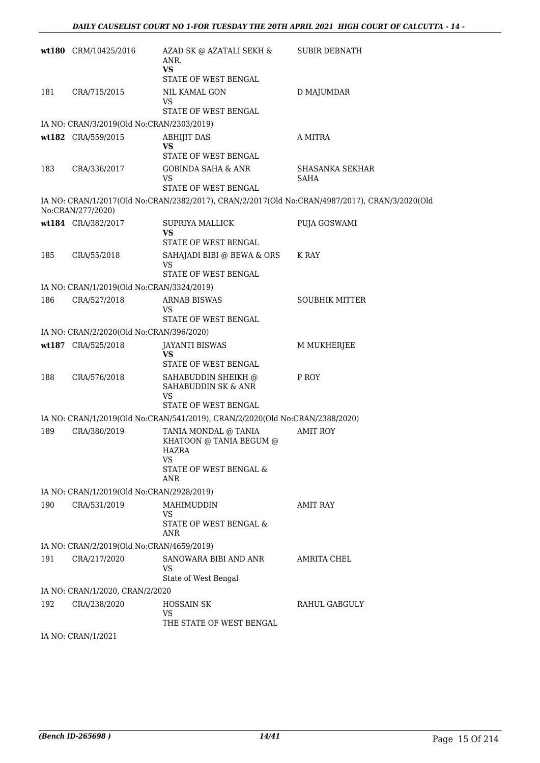|     | wt180 CRM/10425/2016                      | AZAD SK @ AZATALI SEKH &<br>ANR.<br><b>VS</b><br>STATE OF WEST BENGAL                           | <b>SUBIR DEBNATH</b>                                                                           |
|-----|-------------------------------------------|-------------------------------------------------------------------------------------------------|------------------------------------------------------------------------------------------------|
| 181 | CRA/715/2015                              | <b>NIL KAMAL GON</b><br>VS<br><b>STATE OF WEST BENGAL</b>                                       | D MAJUMDAR                                                                                     |
|     | IA NO: CRAN/3/2019(Old No:CRAN/2303/2019) |                                                                                                 |                                                                                                |
|     | wt182 CRA/559/2015                        | <b>ABHIJIT DAS</b><br><b>VS</b><br>STATE OF WEST BENGAL                                         | A MITRA                                                                                        |
| 183 | CRA/336/2017                              | <b>GOBINDA SAHA &amp; ANR</b><br>VS<br>STATE OF WEST BENGAL                                     | <b>SHASANKA SEKHAR</b><br>SAHA                                                                 |
|     | No:CRAN/277/2020)                         |                                                                                                 | IA NO: CRAN/1/2017(Old No:CRAN/2382/2017), CRAN/2/2017(Old No:CRAN/4987/2017), CRAN/3/2020(Old |
|     | wt184 CRA/382/2017                        | <b>SUPRIYA MALLICK</b><br><b>VS</b><br><b>STATE OF WEST BENGAL</b>                              | PUJA GOSWAMI                                                                                   |
| 185 | CRA/55/2018                               | SAHAJADI BIBI @ BEWA & ORS<br>VS<br><b>STATE OF WEST BENGAL</b>                                 | K RAY                                                                                          |
|     | IA NO: CRAN/1/2019(Old No:CRAN/3324/2019) |                                                                                                 |                                                                                                |
| 186 | CRA/527/2018                              | <b>ARNAB BISWAS</b><br>VS<br><b>STATE OF WEST BENGAL</b>                                        | <b>SOUBHIK MITTER</b>                                                                          |
|     | IA NO: CRAN/2/2020(Old No:CRAN/396/2020)  |                                                                                                 |                                                                                                |
|     | wt187 CRA/525/2018                        | <b>JAYANTI BISWAS</b><br>VS<br>STATE OF WEST BENGAL                                             | M MUKHERJEE                                                                                    |
| 188 | CRA/576/2018                              | SAHABUDDIN SHEIKH @<br>SAHABUDDIN SK & ANR<br><b>VS</b><br>STATE OF WEST BENGAL                 | P ROY                                                                                          |
|     |                                           | IA NO: CRAN/1/2019(Old No:CRAN/541/2019), CRAN/2/2020(Old No:CRAN/2388/2020)                    |                                                                                                |
| 189 | CRA/380/2019                              | TANIA MONDAL @ TANIA<br>KHATOON @ TANIA BEGUM @<br>HAZRA<br>VS<br>STATE OF WEST BENGAL &<br>ANR | <b>AMIT ROY</b>                                                                                |
|     | IA NO: CRAN/1/2019(Old No:CRAN/2928/2019) |                                                                                                 |                                                                                                |
| 190 | CRA/531/2019                              | MAHIMUDDIN<br>VS<br>STATE OF WEST BENGAL &<br>ANR                                               | AMIT RAY                                                                                       |
|     | IA NO: CRAN/2/2019(Old No:CRAN/4659/2019) |                                                                                                 |                                                                                                |
| 191 | CRA/217/2020                              | SANOWARA BIBI AND ANR<br>VS<br>State of West Bengal                                             | AMRITA CHEL                                                                                    |
|     | IA NO: CRAN/1/2020, CRAN/2/2020           |                                                                                                 |                                                                                                |
| 192 | CRA/238/2020                              | <b>HOSSAIN SK</b><br>VS<br>THE STATE OF WEST BENGAL                                             | RAHUL GABGULY                                                                                  |
|     | IA NO: CRAN/1/2021                        |                                                                                                 |                                                                                                |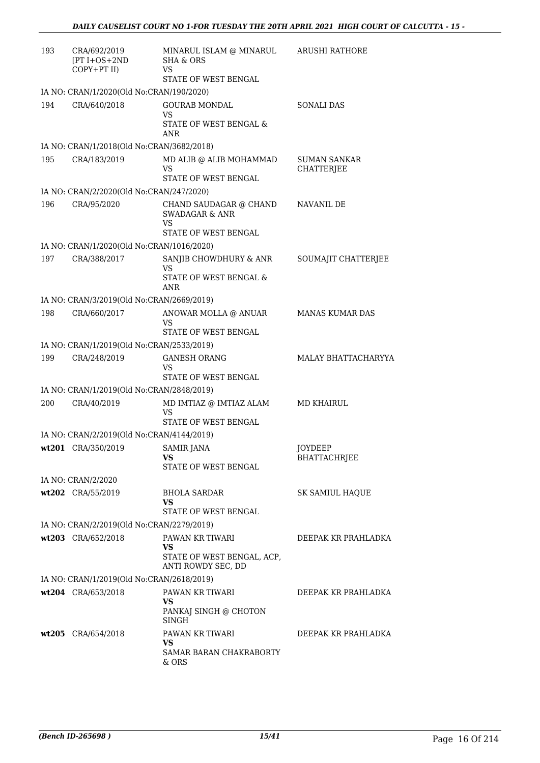| 193 | CRA/692/2019<br>$[PT I+OS+2ND]$<br>COPY+PT II)           | MINARUL ISLAM @ MINARUL<br><b>SHA &amp; ORS</b><br>VS<br>STATE OF WEST BENGAL | <b>ARUSHI RATHORE</b>             |
|-----|----------------------------------------------------------|-------------------------------------------------------------------------------|-----------------------------------|
|     | IA NO: CRAN/1/2020(Old No:CRAN/190/2020)                 |                                                                               |                                   |
| 194 | CRA/640/2018                                             | <b>GOURAB MONDAL</b><br><b>VS</b><br>STATE OF WEST BENGAL &<br>ANR            | <b>SONALI DAS</b>                 |
|     | IA NO: CRAN/1/2018(Old No:CRAN/3682/2018)                |                                                                               |                                   |
| 195 | CRA/183/2019                                             | MD ALIB @ ALIB MOHAMMAD<br>VS<br>STATE OF WEST BENGAL                         | <b>SUMAN SANKAR</b><br>CHATTERJEE |
|     | IA NO: CRAN/2/2020(Old No:CRAN/247/2020)                 |                                                                               |                                   |
| 196 | CRA/95/2020                                              | CHAND SAUDAGAR @ CHAND<br><b>SWADAGAR &amp; ANR</b><br><b>VS</b>              | NAVANIL DE                        |
|     |                                                          | STATE OF WEST BENGAL                                                          |                                   |
|     | IA NO: CRAN/1/2020(Old No:CRAN/1016/2020)                |                                                                               |                                   |
| 197 | CRA/388/2017                                             | SANJIB CHOWDHURY & ANR<br>VS<br>STATE OF WEST BENGAL &<br>ANR                 | SOUMAJIT CHATTERJEE               |
|     | IA NO: CRAN/3/2019(Old No:CRAN/2669/2019)                |                                                                               |                                   |
| 198 | CRA/660/2017                                             | ANOWAR MOLLA @ ANUAR<br>VS<br>STATE OF WEST BENGAL                            | <b>MANAS KUMAR DAS</b>            |
|     | IA NO: CRAN/1/2019(Old No:CRAN/2533/2019)                |                                                                               |                                   |
| 199 | CRA/248/2019                                             | <b>GANESH ORANG</b><br><b>VS</b>                                              | MALAY BHATTACHARYYA               |
|     |                                                          | STATE OF WEST BENGAL                                                          |                                   |
| 200 | IA NO: CRAN/1/2019(Old No:CRAN/2848/2019)<br>CRA/40/2019 | MD IMTIAZ @ IMTIAZ ALAM                                                       | MD KHAIRUL                        |
|     |                                                          | <b>VS</b><br>STATE OF WEST BENGAL                                             |                                   |
|     | IA NO: CRAN/2/2019(Old No:CRAN/4144/2019)                |                                                                               |                                   |
|     | wt201 CRA/350/2019                                       | SAMIR JANA<br>VS<br>STATE OF WEST BENGAL                                      | JOYDEEP<br><b>BHATTACHRJEE</b>    |
|     | IA NO: CRAN/2/2020                                       |                                                                               |                                   |
|     | wt202 CRA/55/2019                                        | <b>BHOLA SARDAR</b><br>VS                                                     | SK SAMIUL HAQUE                   |
|     |                                                          | STATE OF WEST BENGAL                                                          |                                   |
|     | IA NO: CRAN/2/2019(Old No:CRAN/2279/2019)                |                                                                               |                                   |
|     | wt203 CRA/652/2018                                       | PAWAN KR TIWARI<br>VS<br>STATE OF WEST BENGAL, ACP,                           | DEEPAK KR PRAHLADKA               |
|     | IA NO: CRAN/1/2019(Old No:CRAN/2618/2019)                | ANTI ROWDY SEC, DD                                                            |                                   |
|     | wt204 CRA/653/2018                                       | PAWAN KR TIWARI                                                               | DEEPAK KR PRAHLADKA               |
|     |                                                          | VS<br>PANKAJ SINGH @ CHOTON<br>SINGH                                          |                                   |
|     | wt205 CRA/654/2018                                       | PAWAN KR TIWARI<br>VS<br>SAMAR BARAN CHAKRABORTY<br>& ORS                     | DEEPAK KR PRAHLADKA               |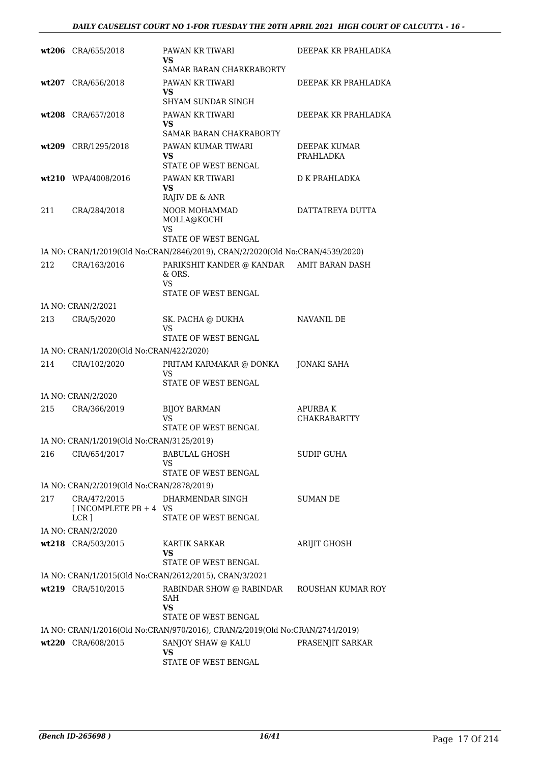|     | wt206 CRA/655/2018                                         | PAWAN KR TIWARI<br>VS                                                                                                      | DEEPAK KR PRAHLADKA |
|-----|------------------------------------------------------------|----------------------------------------------------------------------------------------------------------------------------|---------------------|
|     |                                                            | SAMAR BARAN CHARKRABORTY                                                                                                   |                     |
|     | wt207 CRA/656/2018                                         | PAWAN KR TIWARI<br>VS<br><b>SHYAM SUNDAR SINGH</b>                                                                         | DEEPAK KR PRAHLADKA |
|     | wt208 CRA/657/2018                                         | PAWAN KR TIWARI                                                                                                            | DEEPAK KR PRAHLADKA |
|     |                                                            | <b>VS</b><br>SAMAR BARAN CHAKRABORTY                                                                                       |                     |
|     | wt209 CRR/1295/2018                                        | PAWAN KUMAR TIWARI                                                                                                         | DEEPAK KUMAR        |
|     |                                                            | <b>VS</b><br>STATE OF WEST BENGAL                                                                                          | PRAHLADKA           |
|     | wt210 WPA/4008/2016                                        | PAWAN KR TIWARI<br><b>VS</b><br>RAJIV DE & ANR                                                                             | D K PRAHLADKA       |
| 211 | CRA/284/2018                                               | NOOR MOHAMMAD<br>MOLLA@KOCHI<br>VS<br>STATE OF WEST BENGAL                                                                 | DATTATREYA DUTTA    |
|     |                                                            |                                                                                                                            |                     |
| 212 | CRA/163/2016                                               | IA NO: CRAN/1/2019(Old No:CRAN/2846/2019), CRAN/2/2020(Old No:CRAN/4539/2020)<br>PARIKSHIT KANDER @ KANDAR AMIT BARAN DASH |                     |
|     |                                                            | & ORS.<br><b>VS</b>                                                                                                        |                     |
|     |                                                            | STATE OF WEST BENGAL                                                                                                       |                     |
|     | IA NO: CRAN/2/2021                                         |                                                                                                                            |                     |
| 213 | CRA/5/2020                                                 | SK. PACHA @ DUKHA<br>VS                                                                                                    | NAVANIL DE          |
|     |                                                            | STATE OF WEST BENGAL                                                                                                       |                     |
| 214 | IA NO: CRAN/1/2020(Old No:CRAN/422/2020)<br>CRA/102/2020   |                                                                                                                            |                     |
|     |                                                            | PRITAM KARMAKAR @ DONKA<br>VS<br>STATE OF WEST BENGAL                                                                      | JONAKI SAHA         |
|     | IA NO: CRAN/2/2020                                         |                                                                                                                            |                     |
| 215 | CRA/366/2019                                               | <b>BIJOY BARMAN</b>                                                                                                        | APURBA K            |
|     |                                                            | VS<br>STATE OF WEST BENGAL                                                                                                 | <b>CHAKRABARTTY</b> |
|     | IA NO: CRAN/1/2019(Old No:CRAN/3125/2019)                  |                                                                                                                            |                     |
| 216 | CRA/654/2017                                               | <b>BABULAL GHOSH</b>                                                                                                       | <b>SUDIP GUHA</b>   |
|     |                                                            | VS                                                                                                                         |                     |
|     |                                                            | STATE OF WEST BENGAL                                                                                                       |                     |
|     | IA NO: CRAN/2/2019(Old No:CRAN/2878/2019)                  |                                                                                                                            |                     |
| 217 | CRA/472/2015<br>[INCOMPLETE PB $+4$ VS<br>LCR <sub>1</sub> | DHARMENDAR SINGH<br>STATE OF WEST BENGAL                                                                                   | <b>SUMAN DE</b>     |
|     | IA NO: CRAN/2/2020                                         |                                                                                                                            |                     |
|     | wt218 CRA/503/2015                                         | <b>KARTIK SARKAR</b>                                                                                                       | ARIJIT GHOSH        |
|     |                                                            | VS<br>STATE OF WEST BENGAL                                                                                                 |                     |
|     |                                                            | IA NO: CRAN/1/2015(Old No:CRAN/2612/2015), CRAN/3/2021                                                                     |                     |
|     | wt219 CRA/510/2015                                         | RABINDAR SHOW @ RABINDAR<br>SAH<br><b>VS</b><br>STATE OF WEST BENGAL                                                       | ROUSHAN KUMAR ROY   |
|     |                                                            | IA NO: CRAN/1/2016(Old No:CRAN/970/2016), CRAN/2/2019(Old No:CRAN/2744/2019)                                               |                     |
|     | wt220 CRA/608/2015                                         | SANJOY SHAW @ KALU<br><b>VS</b>                                                                                            | PRASENJIT SARKAR    |
|     |                                                            | STATE OF WEST BENGAL                                                                                                       |                     |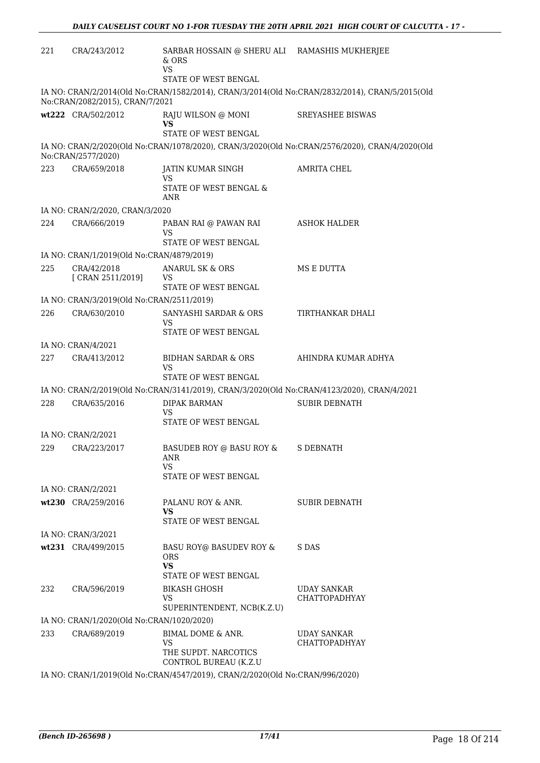| 221 | CRA/243/2012                                                                                                                      | SARBAR HOSSAIN @ SHERU ALI RAMASHIS MUKHERJEE<br>& ORS<br>VS                               |                                                                                                |  |  |
|-----|-----------------------------------------------------------------------------------------------------------------------------------|--------------------------------------------------------------------------------------------|------------------------------------------------------------------------------------------------|--|--|
|     |                                                                                                                                   | STATE OF WEST BENGAL                                                                       |                                                                                                |  |  |
|     | IA NO: CRAN/2/2014(Old No:CRAN/1582/2014), CRAN/3/2014(Old No:CRAN/2832/2014), CRAN/5/2015(Old<br>No:CRAN/2082/2015), CRAN/7/2021 |                                                                                            |                                                                                                |  |  |
|     | wt222 CRA/502/2012                                                                                                                | RAJU WILSON @ MONI<br><b>VS</b><br>STATE OF WEST BENGAL                                    | <b>SREYASHEE BISWAS</b>                                                                        |  |  |
|     | No:CRAN/2577/2020)                                                                                                                |                                                                                            | IA NO: CRAN/2/2020(Old No:CRAN/1078/2020), CRAN/3/2020(Old No:CRAN/2576/2020), CRAN/4/2020(Old |  |  |
| 223 | CRA/659/2018                                                                                                                      | JATIN KUMAR SINGH<br>VS<br>STATE OF WEST BENGAL &<br>ANR                                   | <b>AMRITA CHEL</b>                                                                             |  |  |
|     | IA NO: CRAN/2/2020, CRAN/3/2020                                                                                                   |                                                                                            |                                                                                                |  |  |
| 224 | CRA/666/2019                                                                                                                      | PABAN RAI @ PAWAN RAI<br>VS<br>STATE OF WEST BENGAL                                        | ASHOK HALDER                                                                                   |  |  |
|     | IA NO: CRAN/1/2019(Old No:CRAN/4879/2019)                                                                                         |                                                                                            |                                                                                                |  |  |
| 225 | CRA/42/2018<br>[ CRAN 2511/2019]                                                                                                  | <b>ANARUL SK &amp; ORS</b><br>VS<br>STATE OF WEST BENGAL                                   | MS E DUTTA                                                                                     |  |  |
|     | IA NO: CRAN/3/2019(Old No:CRAN/2511/2019)                                                                                         |                                                                                            |                                                                                                |  |  |
| 226 | CRA/630/2010                                                                                                                      | SANYASHI SARDAR & ORS                                                                      | TIRTHANKAR DHALI                                                                               |  |  |
|     |                                                                                                                                   | VS<br>STATE OF WEST BENGAL                                                                 |                                                                                                |  |  |
|     | IA NO: CRAN/4/2021                                                                                                                |                                                                                            |                                                                                                |  |  |
| 227 | CRA/413/2012                                                                                                                      | <b>BIDHAN SARDAR &amp; ORS</b><br>VS<br><b>STATE OF WEST BENGAL</b>                        | AHINDRA KUMAR ADHYA                                                                            |  |  |
|     |                                                                                                                                   | IA NO: CRAN/2/2019(Old No:CRAN/3141/2019), CRAN/3/2020(Old No:CRAN/4123/2020), CRAN/4/2021 |                                                                                                |  |  |
| 228 | CRA/635/2016                                                                                                                      | DIPAK BARMAN<br><b>VS</b>                                                                  | <b>SUBIR DEBNATH</b>                                                                           |  |  |
|     |                                                                                                                                   | STATE OF WEST BENGAL                                                                       |                                                                                                |  |  |
|     | IA NO: CRAN/2/2021                                                                                                                |                                                                                            |                                                                                                |  |  |
| 229 | CRA/223/2017                                                                                                                      | BASUDEB ROY @ BASU ROY & S DEBNATH<br>ANR<br><b>VS</b><br>STATE OF WEST BENGAL             |                                                                                                |  |  |
|     | IA NO: CRAN/2/2021                                                                                                                |                                                                                            |                                                                                                |  |  |
|     | wt230 CRA/259/2016                                                                                                                | PALANU ROY & ANR.<br>VS<br>STATE OF WEST BENGAL                                            | <b>SUBIR DEBNATH</b>                                                                           |  |  |
|     | IA NO: CRAN/3/2021                                                                                                                |                                                                                            |                                                                                                |  |  |
|     | wt231 CRA/499/2015                                                                                                                | BASU ROY@ BASUDEV ROY &<br>ORS.<br>VS<br>STATE OF WEST BENGAL                              | S DAS                                                                                          |  |  |
| 232 | CRA/596/2019                                                                                                                      | <b>BIKASH GHOSH</b><br><b>VS</b>                                                           | <b>UDAY SANKAR</b><br><b>CHATTOPADHYAY</b>                                                     |  |  |
|     |                                                                                                                                   | SUPERINTENDENT, NCB(K.Z.U)                                                                 |                                                                                                |  |  |
|     | IA NO: CRAN/1/2020(Old No:CRAN/1020/2020)                                                                                         |                                                                                            |                                                                                                |  |  |
| 233 | CRA/689/2019                                                                                                                      | BIMAL DOME & ANR.<br>VS<br>THE SUPDT. NARCOTICS<br>CONTROL BUREAU (K.Z.U                   | <b>UDAY SANKAR</b><br><b>CHATTOPADHYAY</b>                                                     |  |  |
|     |                                                                                                                                   | IA NO. CRANILIZO10(OIA No.CRANI4547/2010), CRANIZIZO20(OIA No.CRANI006/2020)               |                                                                                                |  |  |

IA NO: CRAN/1/2019(Old No:CRAN/4547/2019), CRAN/2/2020(Old No:CRAN/996/2020)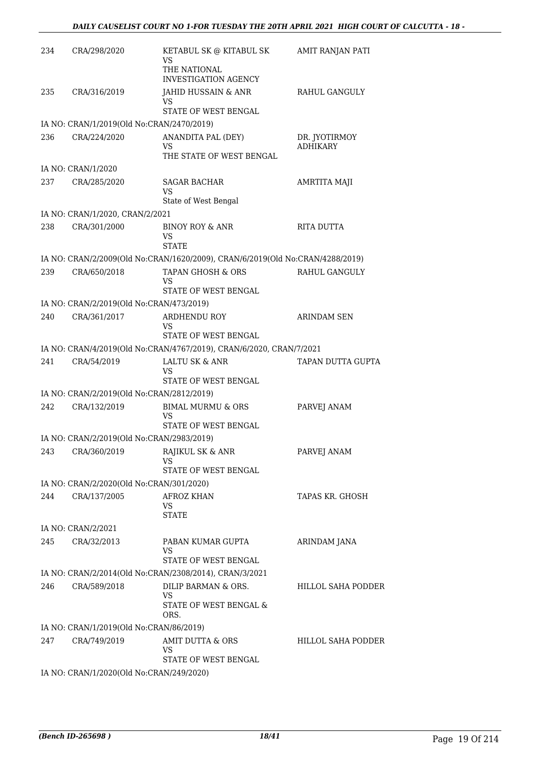| 234 | CRA/298/2020                              | KETABUL SK @ KITABUL SK<br>VS<br>THE NATIONAL                                 | AMIT RANJAN PATI                 |
|-----|-------------------------------------------|-------------------------------------------------------------------------------|----------------------------------|
|     |                                           | <b>INVESTIGATION AGENCY</b>                                                   |                                  |
| 235 | CRA/316/2019                              | JAHID HUSSAIN & ANR<br>VS<br>STATE OF WEST BENGAL                             | RAHUL GANGULY                    |
|     | IA NO: CRAN/1/2019(Old No:CRAN/2470/2019) |                                                                               |                                  |
| 236 | CRA/224/2020                              | ANANDITA PAL (DEY)<br>VS                                                      | DR. JYOTIRMOY<br><b>ADHIKARY</b> |
|     |                                           | THE STATE OF WEST BENGAL                                                      |                                  |
|     | IA NO: CRAN/1/2020                        |                                                                               |                                  |
| 237 | CRA/285/2020                              | <b>SAGAR BACHAR</b><br>VS<br>State of West Bengal                             | AMRTITA MAJI                     |
|     | IA NO: CRAN/1/2020, CRAN/2/2021           |                                                                               |                                  |
| 238 | CRA/301/2000                              | <b>BINOY ROY &amp; ANR</b><br>VS<br><b>STATE</b>                              | RITA DUTTA                       |
|     |                                           | IA NO: CRAN/2/2009(Old No:CRAN/1620/2009), CRAN/6/2019(Old No:CRAN/4288/2019) |                                  |
| 239 | CRA/650/2018                              | TAPAN GHOSH & ORS<br>VS                                                       | RAHUL GANGULY                    |
|     |                                           | STATE OF WEST BENGAL                                                          |                                  |
|     | IA NO: CRAN/2/2019(Old No:CRAN/473/2019)  |                                                                               |                                  |
| 240 | CRA/361/2017                              | ARDHENDU ROY<br>VS<br>STATE OF WEST BENGAL                                    | <b>ARINDAM SEN</b>               |
|     |                                           | IA NO: CRAN/4/2019(Old No:CRAN/4767/2019), CRAN/6/2020, CRAN/7/2021           |                                  |
| 241 | CRA/54/2019                               | LALTU SK & ANR<br>VS                                                          | TAPAN DUTTA GUPTA                |
|     |                                           | STATE OF WEST BENGAL                                                          |                                  |
|     | IA NO: CRAN/2/2019(Old No:CRAN/2812/2019) |                                                                               |                                  |
| 242 | CRA/132/2019                              | <b>BIMAL MURMU &amp; ORS</b><br>VS<br>STATE OF WEST BENGAL                    | PARVEJ ANAM                      |
|     | IA NO: CRAN/2/2019(Old No:CRAN/2983/2019) |                                                                               |                                  |
| 243 | CRA/360/2019                              | RAJIKUL SK & ANR<br>VS<br>STATE OF WEST BENGAL                                | PARVEJ ANAM                      |
|     | IA NO: CRAN/2/2020(Old No:CRAN/301/2020)  |                                                                               |                                  |
| 244 | CRA/137/2005                              | <b>AFROZ KHAN</b>                                                             | TAPAS KR. GHOSH                  |
|     |                                           | VS<br><b>STATE</b>                                                            |                                  |
|     | IA NO: CRAN/2/2021                        |                                                                               |                                  |
| 245 | CRA/32/2013                               | PABAN KUMAR GUPTA<br>VS<br>STATE OF WEST BENGAL                               | ARINDAM JANA                     |
|     |                                           | IA NO: CRAN/2/2014(Old No:CRAN/2308/2014), CRAN/3/2021                        |                                  |
| 246 | CRA/589/2018                              | DILIP BARMAN & ORS.                                                           | <b>HILLOL SAHA PODDER</b>        |
|     |                                           | VS<br>STATE OF WEST BENGAL &<br>ORS.                                          |                                  |
|     | IA NO: CRAN/1/2019(Old No:CRAN/86/2019)   |                                                                               |                                  |
| 247 | CRA/749/2019                              | AMIT DUTTA & ORS<br>VS                                                        | <b>HILLOL SAHA PODDER</b>        |
|     | IA NO: CRAN/1/2020(Old No:CRAN/249/2020)  | STATE OF WEST BENGAL                                                          |                                  |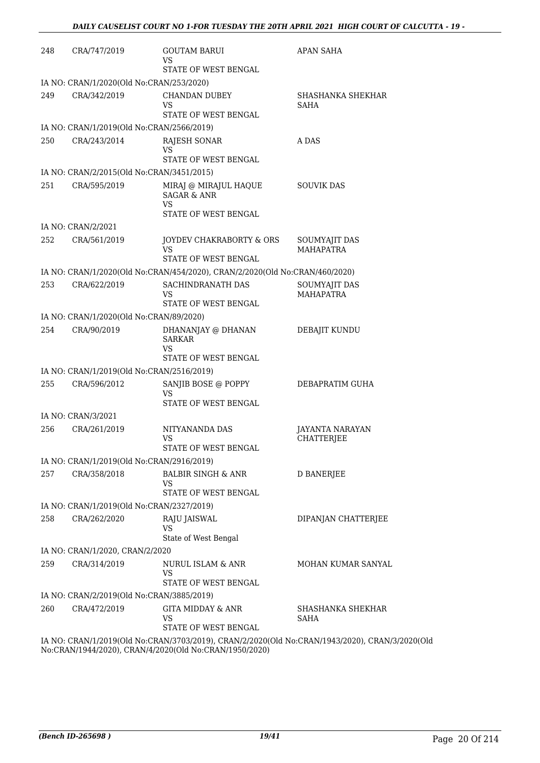| 248 | CRA/747/2019                                              | <b>GOUTAM BARUI</b><br>VS<br>STATE OF WEST BENGAL                                                                                                                                         | <b>APAN SAHA</b>                            |
|-----|-----------------------------------------------------------|-------------------------------------------------------------------------------------------------------------------------------------------------------------------------------------------|---------------------------------------------|
|     | IA NO: CRAN/1/2020(Old No:CRAN/253/2020)                  |                                                                                                                                                                                           |                                             |
| 249 | CRA/342/2019                                              | <b>CHANDAN DUBEY</b><br>VS<br>STATE OF WEST BENGAL                                                                                                                                        | SHASHANKA SHEKHAR<br>SAHA                   |
|     | IA NO: CRAN/1/2019(Old No:CRAN/2566/2019)                 |                                                                                                                                                                                           |                                             |
| 250 | CRA/243/2014                                              | RAJESH SONAR<br>VS                                                                                                                                                                        | A DAS                                       |
|     |                                                           | STATE OF WEST BENGAL                                                                                                                                                                      |                                             |
|     | IA NO: CRAN/2/2015(Old No:CRAN/3451/2015)                 |                                                                                                                                                                                           |                                             |
| 251 | CRA/595/2019                                              | MIRAJ @ MIRAJUL HAQUE<br><b>SAGAR &amp; ANR</b><br>VS                                                                                                                                     | <b>SOUVIK DAS</b>                           |
|     |                                                           | STATE OF WEST BENGAL                                                                                                                                                                      |                                             |
|     | IA NO: CRAN/2/2021                                        |                                                                                                                                                                                           |                                             |
| 252 | CRA/561/2019                                              | JOYDEV CHAKRABORTY & ORS<br>VS<br>STATE OF WEST BENGAL                                                                                                                                    | SOUMYAJIT DAS<br><b>MAHAPATRA</b>           |
|     |                                                           | IA NO: CRAN/1/2020(Old No:CRAN/454/2020), CRAN/2/2020(Old No:CRAN/460/2020)                                                                                                               |                                             |
| 253 | CRA/622/2019                                              | SACHINDRANATH DAS                                                                                                                                                                         | SOUMYAJIT DAS                               |
|     |                                                           | VS<br>STATE OF WEST BENGAL                                                                                                                                                                | <b>MAHAPATRA</b>                            |
|     | IA NO: CRAN/1/2020(Old No:CRAN/89/2020)                   |                                                                                                                                                                                           |                                             |
| 254 | CRA/90/2019                                               | DHANANJAY @ DHANAN<br><b>SARKAR</b><br>VS<br>STATE OF WEST BENGAL                                                                                                                         | DEBAJIT KUNDU                               |
|     | IA NO: CRAN/1/2019(Old No:CRAN/2516/2019)                 |                                                                                                                                                                                           |                                             |
| 255 | CRA/596/2012                                              | SANJIB BOSE @ POPPY<br>VS                                                                                                                                                                 | DEBAPRATIM GUHA                             |
|     |                                                           | STATE OF WEST BENGAL                                                                                                                                                                      |                                             |
|     | IA NO: CRAN/3/2021                                        |                                                                                                                                                                                           |                                             |
| 256 | CRA/261/2019                                              | NITYANANDA DAS<br>VS<br>STATE OF WEST BENGAL                                                                                                                                              | <b>JAYANTA NARAYAN</b><br><b>CHATTERJEE</b> |
|     | IA NO: CRAN/1/2019(Old No:CRAN/2916/2019)                 |                                                                                                                                                                                           |                                             |
| 257 | CRA/358/2018                                              | <b>BALBIR SINGH &amp; ANR</b><br>VS                                                                                                                                                       | <b>D BANERJEE</b>                           |
|     |                                                           | STATE OF WEST BENGAL                                                                                                                                                                      |                                             |
|     | IA NO: CRAN/1/2019(Old No:CRAN/2327/2019)                 |                                                                                                                                                                                           |                                             |
| 258 | CRA/262/2020                                              | RAJU JAISWAL<br>VS<br>State of West Bengal                                                                                                                                                | DIPANJAN CHATTERJEE                         |
|     | IA NO: CRAN/1/2020, CRAN/2/2020                           |                                                                                                                                                                                           |                                             |
| 259 | CRA/314/2019                                              | NURUL ISLAM & ANR<br><b>VS</b>                                                                                                                                                            | MOHAN KUMAR SANYAL                          |
|     |                                                           | STATE OF WEST BENGAL                                                                                                                                                                      |                                             |
| 260 | IA NO: CRAN/2/2019(Old No:CRAN/3885/2019)<br>CRA/472/2019 | <b>GITA MIDDAY &amp; ANR</b><br>VS                                                                                                                                                        | SHASHANKA SHEKHAR<br>SAHA                   |
|     |                                                           | STATE OF WEST BENGAL<br>$\overline{M}$ 11/1/2010/014 $\overline{M}$ and $\overline{M}$ 2020/2010 and $\overline{M}$ 2020/014 $\overline{M}$ and $\overline{M}$ 10/2020 and $\overline{M}$ |                                             |

IA NO: CRAN/1/2019(Old No:CRAN/3703/2019), CRAN/2/2020(Old No:CRAN/1943/2020), CRAN/3/2020(Old No:CRAN/1944/2020), CRAN/4/2020(Old No:CRAN/1950/2020)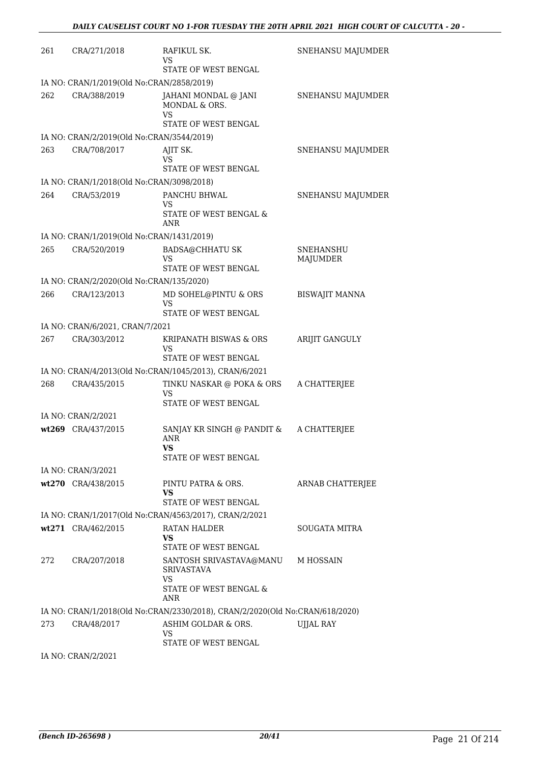| 261 | CRA/271/2018                              | RAFIKUL SK.<br>VS<br>STATE OF WEST BENGAL                                           | SNEHANSU MAJUMDER            |
|-----|-------------------------------------------|-------------------------------------------------------------------------------------|------------------------------|
|     | IA NO: CRAN/1/2019(Old No:CRAN/2858/2019) |                                                                                     |                              |
| 262 | CRA/388/2019                              | JAHANI MONDAL @ JANI<br>MONDAL & ORS.<br>VS<br>STATE OF WEST BENGAL                 | SNEHANSU MAJUMDER            |
|     | IA NO: CRAN/2/2019(Old No:CRAN/3544/2019) |                                                                                     |                              |
| 263 | CRA/708/2017                              | AJIT SK.                                                                            | SNEHANSU MAJUMDER            |
|     |                                           | VS<br>STATE OF WEST BENGAL                                                          |                              |
|     | IA NO: CRAN/1/2018(Old No:CRAN/3098/2018) |                                                                                     |                              |
| 264 | CRA/53/2019                               | PANCHU BHWAL<br>VS<br>STATE OF WEST BENGAL &<br>ANR                                 | SNEHANSU MAJUMDER            |
|     | IA NO: CRAN/1/2019(Old No:CRAN/1431/2019) |                                                                                     |                              |
| 265 | CRA/520/2019                              | <b>BADSA@CHHATU SK</b><br>VS<br>STATE OF WEST BENGAL                                | <b>SNEHANSHU</b><br>MAJUMDER |
|     | IA NO: CRAN/2/2020(Old No:CRAN/135/2020)  |                                                                                     |                              |
| 266 | CRA/123/2013                              | MD SOHEL@PINTU & ORS                                                                | <b>BISWAJIT MANNA</b>        |
|     |                                           | <b>VS</b><br>STATE OF WEST BENGAL                                                   |                              |
|     | IA NO: CRAN/6/2021, CRAN/7/2021           |                                                                                     |                              |
| 267 | CRA/303/2012                              | KRIPANATH BISWAS & ORS<br>VS                                                        | ARIJIT GANGULY               |
|     |                                           | STATE OF WEST BENGAL                                                                |                              |
|     |                                           | IA NO: CRAN/4/2013(Old No:CRAN/1045/2013), CRAN/6/2021                              |                              |
| 268 | CRA/435/2015                              | TINKU NASKAR @ POKA & ORS<br>VS<br>STATE OF WEST BENGAL                             | A CHATTERJEE                 |
|     | IA NO: CRAN/2/2021                        |                                                                                     |                              |
|     | wt269 CRA/437/2015                        | SANJAY KR SINGH @ PANDIT &<br>ANR<br><b>VS</b><br>STATE OF WEST BENGAL              | A CHATTERJEE                 |
|     | IA NO: CRAN/3/2021                        |                                                                                     |                              |
|     | wt270 CRA/438/2015                        | PINTU PATRA & ORS.<br>VS                                                            | ARNAB CHATTERJEE             |
|     |                                           | STATE OF WEST BENGAL                                                                |                              |
|     |                                           | IA NO: CRAN/1/2017(Old No:CRAN/4563/2017), CRAN/2/2021                              |                              |
|     | wt271 CRA/462/2015                        | <b>RATAN HALDER</b><br>VS<br>STATE OF WEST BENGAL                                   | SOUGATA MITRA                |
| 272 | CRA/207/2018                              | SANTOSH SRIVASTAVA@MANU<br><b>SRIVASTAVA</b><br><b>VS</b><br>STATE OF WEST BENGAL & | M HOSSAIN                    |
|     |                                           | ANR                                                                                 |                              |
|     |                                           | IA NO: CRAN/1/2018(Old No:CRAN/2330/2018), CRAN/2/2020(Old No:CRAN/618/2020)        |                              |
| 273 | CRA/48/2017                               | ASHIM GOLDAR & ORS.<br>VS<br>STATE OF WEST BENGAL                                   | UJJAL RAY                    |
|     | IA NO: CRAN/2/2021                        |                                                                                     |                              |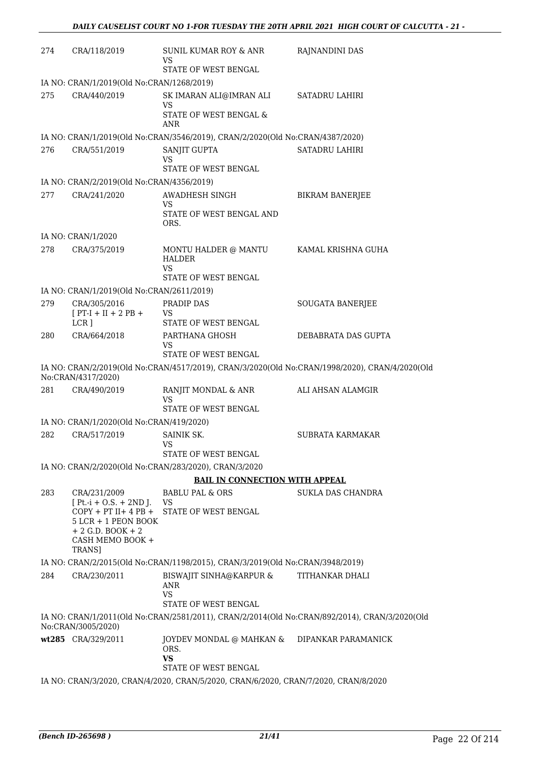| 274 | CRA/118/2019                                                                                                                     | SUNIL KUMAR ROY & ANR<br>VS                                                         | RAJNANDINI DAS                                                                                 |  |  |
|-----|----------------------------------------------------------------------------------------------------------------------------------|-------------------------------------------------------------------------------------|------------------------------------------------------------------------------------------------|--|--|
|     |                                                                                                                                  | STATE OF WEST BENGAL                                                                |                                                                                                |  |  |
|     | IA NO: CRAN/1/2019(Old No:CRAN/1268/2019)                                                                                        |                                                                                     |                                                                                                |  |  |
| 275 | CRA/440/2019                                                                                                                     | SK IMARAN ALI@IMRAN ALI<br>VS<br>STATE OF WEST BENGAL &<br>ANR                      | <b>SATADRU LAHIRI</b>                                                                          |  |  |
|     |                                                                                                                                  | IA NO: CRAN/1/2019(Old No:CRAN/3546/2019), CRAN/2/2020(Old No:CRAN/4387/2020)       |                                                                                                |  |  |
| 276 | CRA/551/2019                                                                                                                     | SANJIT GUPTA<br>VS                                                                  | SATADRU LAHIRI                                                                                 |  |  |
|     | IA NO: CRAN/2/2019(Old No:CRAN/4356/2019)                                                                                        | STATE OF WEST BENGAL                                                                |                                                                                                |  |  |
| 277 | CRA/241/2020                                                                                                                     | AWADHESH SINGH                                                                      | <b>BIKRAM BANERJEE</b>                                                                         |  |  |
|     |                                                                                                                                  | VS<br>STATE OF WEST BENGAL AND<br>ORS.                                              |                                                                                                |  |  |
|     | IA NO: CRAN/1/2020                                                                                                               |                                                                                     |                                                                                                |  |  |
| 278 | CRA/375/2019                                                                                                                     | MONTU HALDER @ MANTU<br><b>HALDER</b><br>VS                                         | KAMAL KRISHNA GUHA                                                                             |  |  |
|     |                                                                                                                                  | STATE OF WEST BENGAL                                                                |                                                                                                |  |  |
|     | IA NO: CRAN/1/2019(Old No:CRAN/2611/2019)                                                                                        |                                                                                     |                                                                                                |  |  |
| 279 | CRA/305/2016<br>$[PT-I + II + 2 PB +$<br>$LCR$ ]                                                                                 | PRADIP DAS<br><b>VS</b><br>STATE OF WEST BENGAL                                     | SOUGATA BANERJEE                                                                               |  |  |
| 280 | CRA/664/2018                                                                                                                     | PARTHANA GHOSH<br>VS<br>STATE OF WEST BENGAL                                        | DEBABRATA DAS GUPTA                                                                            |  |  |
|     | No:CRAN/4317/2020)                                                                                                               |                                                                                     | IA NO: CRAN/2/2019(Old No:CRAN/4517/2019), CRAN/3/2020(Old No:CRAN/1998/2020), CRAN/4/2020(Old |  |  |
| 281 | CRA/490/2019                                                                                                                     | RANJIT MONDAL & ANR<br>VS                                                           | ALI AHSAN ALAMGIR                                                                              |  |  |
|     |                                                                                                                                  | STATE OF WEST BENGAL                                                                |                                                                                                |  |  |
|     | IA NO: CRAN/1/2020(Old No:CRAN/419/2020)                                                                                         |                                                                                     |                                                                                                |  |  |
| 282 | CRA/517/2019                                                                                                                     | SAINIK SK.<br><b>VS</b><br>STATE OF WEST BENGAL                                     | SUBRATA KARMAKAR                                                                               |  |  |
|     |                                                                                                                                  | IA NO: CRAN/2/2020(Old No:CRAN/283/2020), CRAN/3/2020                               |                                                                                                |  |  |
|     |                                                                                                                                  | <b>BAIL IN CONNECTION WITH APPEAL</b>                                               |                                                                                                |  |  |
| 283 | CRA/231/2009                                                                                                                     | BABLU PAL & ORS                                                                     | SUKLA DAS CHANDRA                                                                              |  |  |
|     | $[Pt.-i + O.S. + 2ND].$<br>$COPY + PT II + 4 PB +$<br>5 LCR + 1 PEON BOOK<br>$+ 2$ G.D. BOOK $+ 2$<br>CASH MEMO BOOK +<br>TRANS] | VS<br>STATE OF WEST BENGAL                                                          |                                                                                                |  |  |
|     |                                                                                                                                  | IA NO: CRAN/2/2015(Old No:CRAN/1198/2015), CRAN/3/2019(Old No:CRAN/3948/2019)       |                                                                                                |  |  |
| 284 | CRA/230/2011                                                                                                                     | BISWAJIT SINHA@KARPUR &<br>ANR<br>VS<br>STATE OF WEST BENGAL                        | TITHANKAR DHALI                                                                                |  |  |
|     | No:CRAN/3005/2020)                                                                                                               |                                                                                     | IA NO: CRAN/1/2011(Old No:CRAN/2581/2011), CRAN/2/2014(Old No:CRAN/892/2014), CRAN/3/2020(Old  |  |  |
|     | wt285 CRA/329/2011                                                                                                               | JOYDEV MONDAL @ MAHKAN &<br>ORS.<br><b>VS</b>                                       | DIPANKAR PARAMANICK                                                                            |  |  |
|     |                                                                                                                                  | STATE OF WEST BENGAL                                                                |                                                                                                |  |  |
|     |                                                                                                                                  | IA NO: CRAN/3/2020, CRAN/4/2020, CRAN/5/2020, CRAN/6/2020, CRAN/7/2020, CRAN/8/2020 |                                                                                                |  |  |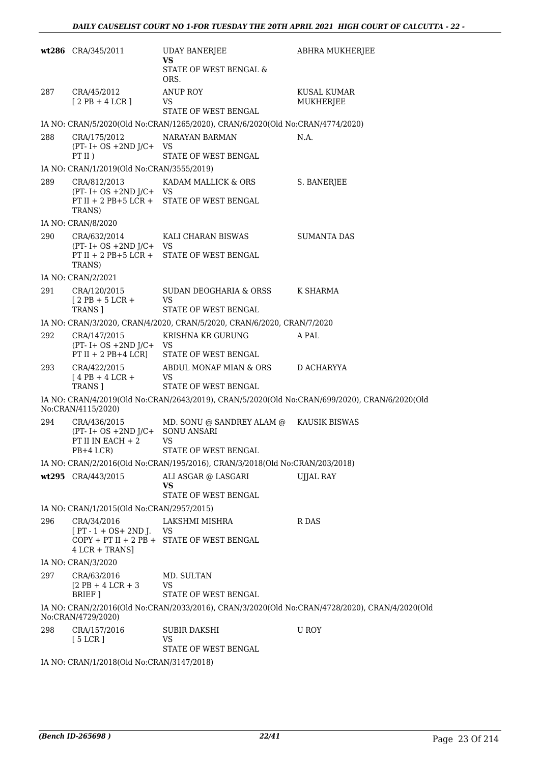|     | wt286 CRA/345/2011                                                              | <b>UDAY BANERJEE</b><br>VS<br>STATE OF WEST BENGAL &<br>ORS.                  | ABHRA MUKHERJEE                                                                                |
|-----|---------------------------------------------------------------------------------|-------------------------------------------------------------------------------|------------------------------------------------------------------------------------------------|
| 287 | CRA/45/2012<br>$[2PB+4LCR]$                                                     | <b>ANUP ROY</b><br>VS.<br>STATE OF WEST BENGAL                                | KUSAL KUMAR<br>MUKHERJEE                                                                       |
|     |                                                                                 | IA NO: CRAN/5/2020(Old No:CRAN/1265/2020), CRAN/6/2020(Old No:CRAN/4774/2020) |                                                                                                |
| 288 | CRA/175/2012<br>$(PT - I + OS + 2ND J/C + VS)$<br>PT II)                        | NARAYAN BARMAN<br>STATE OF WEST BENGAL                                        | N.A.                                                                                           |
|     | IA NO: CRAN/1/2019(Old No:CRAN/3555/2019)                                       |                                                                               |                                                                                                |
| 289 | CRA/812/2013<br>$(PT - I + OS + 2ND J/C + VS)$<br>TRANS)                        | KADAM MALLICK & ORS<br>PT II + 2 PB+5 LCR + STATE OF WEST BENGAL              | S. BANERJEE                                                                                    |
|     | IA NO: CRAN/8/2020                                                              |                                                                               |                                                                                                |
| 290 | CRA/632/2014<br>$(PT - I + OS + 2ND J/C + VS)$<br>TRANS)                        | KALI CHARAN BISWAS<br>PT II + 2 PB+5 LCR + STATE OF WEST BENGAL               | SUMANTA DAS                                                                                    |
|     | IA NO: CRAN/2/2021                                                              |                                                                               |                                                                                                |
| 291 | CRA/120/2015<br>$[2PB+5LCR+$<br>TRANS ]                                         | SUDAN DEOGHARIA & ORSS K SHARMA<br><b>VS</b><br>STATE OF WEST BENGAL          |                                                                                                |
|     |                                                                                 | IA NO: CRAN/3/2020, CRAN/4/2020, CRAN/5/2020, CRAN/6/2020, CRAN/7/2020        |                                                                                                |
| 292 |                                                                                 | KRISHNA KR GURUNG                                                             | A PAL                                                                                          |
|     | CRA/147/2015<br>$(PT - I + OS + 2ND J/C + VS)$                                  | PT II + 2 PB+4 LCR] STATE OF WEST BENGAL                                      |                                                                                                |
| 293 | CRA/422/2015<br>$[4PB+4LCR+$<br>TRANS ]                                         | ABDUL MONAF MIAN & ORS<br>VS<br>STATE OF WEST BENGAL                          | D ACHARYYA                                                                                     |
|     | No:CRAN/4115/2020)                                                              |                                                                               | IA NO: CRAN/4/2019(Old No:CRAN/2643/2019), CRAN/5/2020(Old No:CRAN/699/2020), CRAN/6/2020(Old  |
| 294 | CRA/436/2015<br>$(PT - I + OS + 2ND J/C +$<br>PT II IN EACH $+2$<br>$PB+4$ LCR) | MD. SONU @ SANDREY ALAM @<br><b>SONU ANSARI</b><br>VS<br>STATE OF WEST BENGAL | KAUSIK BISWAS                                                                                  |
|     |                                                                                 | IA NO: CRAN/2/2016(Old No:CRAN/195/2016), CRAN/3/2018(Old No:CRAN/203/2018)   |                                                                                                |
|     | wt295 CRA/443/2015                                                              | ALI ASGAR @ LASGARI<br>VS<br>STATE OF WEST BENGAL                             | UJJAL RAY                                                                                      |
|     | IA NO: CRAN/1/2015(Old No:CRAN/2957/2015)                                       |                                                                               |                                                                                                |
| 296 | CRA/34/2016<br>$[PT - 1 + OS + 2ND J.$ VS<br>$4$ LCR + TRANS]                   | LAKSHMI MISHRA<br>COPY + PT II + 2 PB + STATE OF WEST BENGAL                  | R DAS                                                                                          |
|     | IA NO: CRAN/3/2020                                                              |                                                                               |                                                                                                |
| 297 | CRA/63/2016<br>$[2$ PB + 4 LCR + 3<br>BRIEF ]                                   | MD. SULTAN<br><b>VS</b><br><b>STATE OF WEST BENGAL</b>                        |                                                                                                |
|     | No:CRAN/4729/2020)                                                              |                                                                               | IA NO: CRAN/2/2016(Old No:CRAN/2033/2016), CRAN/3/2020(Old No:CRAN/4728/2020), CRAN/4/2020(Old |
| 298 | CRA/157/2016<br>[5 LCR]                                                         | <b>SUBIR DAKSHI</b><br><b>VS</b><br>STATE OF WEST BENGAL                      | U ROY                                                                                          |
|     | IA NO: CRAN/1/2018(Old No:CRAN/3147/2018)                                       |                                                                               |                                                                                                |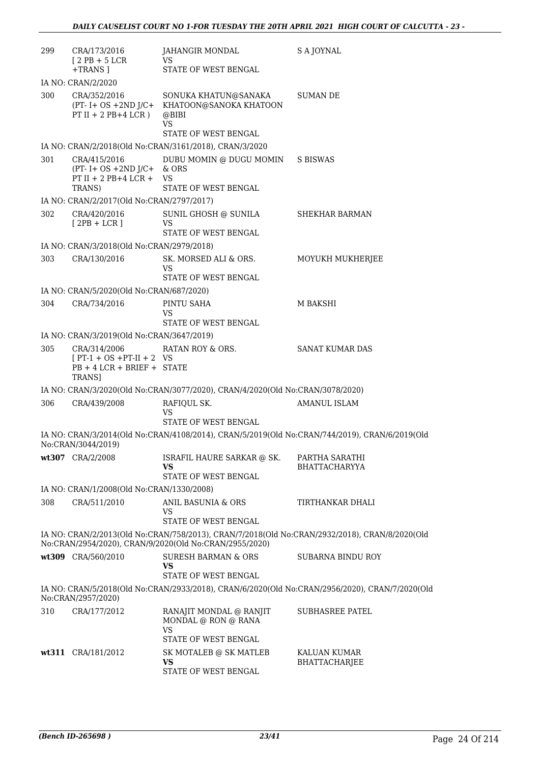| 299 | CRA/173/2016<br>$[2PB+5LCR]$<br>+TRANS ]                                                | JAHANGIR MONDAL<br><b>VS</b><br>STATE OF WEST BENGAL                                                              | S A JOYNAL                                                                                     |
|-----|-----------------------------------------------------------------------------------------|-------------------------------------------------------------------------------------------------------------------|------------------------------------------------------------------------------------------------|
|     | IA NO: CRAN/2/2020                                                                      |                                                                                                                   |                                                                                                |
| 300 | CRA/352/2016<br>PT II + 2 PB+4 LCR)                                                     | SONUKA KHATUN@SANAKA<br>(PT- I+ OS +2ND J/C+ KHATOON@SANOKA KHATOON<br>@BIBI<br><b>VS</b><br>STATE OF WEST BENGAL | <b>SUMAN DE</b>                                                                                |
|     |                                                                                         | IA NO: CRAN/2/2018(Old No:CRAN/3161/2018), CRAN/3/2020                                                            |                                                                                                |
| 301 | CRA/415/2016<br>$(PT - I + OS + 2ND J/C + \& ORS)$<br>PT II + 2 PB+4 LCR + VS<br>TRANS) | DUBU MOMIN @ DUGU MOMIN<br>STATE OF WEST BENGAL                                                                   | S BISWAS                                                                                       |
|     | IA NO: CRAN/2/2017(Old No:CRAN/2797/2017)                                               |                                                                                                                   |                                                                                                |
| 302 | CRA/420/2016<br>$[2PB + LCR]$                                                           | SUNIL GHOSH @ SUNILA<br><b>VS</b><br>STATE OF WEST BENGAL                                                         | SHEKHAR BARMAN                                                                                 |
|     | IA NO: CRAN/3/2018(Old No:CRAN/2979/2018)                                               |                                                                                                                   |                                                                                                |
| 303 | CRA/130/2016                                                                            | SK. MORSED ALI & ORS.<br>VS<br>STATE OF WEST BENGAL                                                               | MOYUKH MUKHERJEE                                                                               |
|     | IA NO: CRAN/5/2020(Old No:CRAN/687/2020)                                                |                                                                                                                   |                                                                                                |
| 304 | CRA/734/2016                                                                            | PINTU SAHA                                                                                                        | M BAKSHI                                                                                       |
|     |                                                                                         | VS<br>STATE OF WEST BENGAL                                                                                        |                                                                                                |
|     | IA NO: CRAN/3/2019(Old No:CRAN/3647/2019)                                               |                                                                                                                   |                                                                                                |
| 305 | CRA/314/2006<br>$[PT-1 + OS + PT-II + 2 VS$<br>$PB + 4 LCR + BRIEF + STATE$<br>TRANS]   | RATAN ROY & ORS.                                                                                                  | <b>SANAT KUMAR DAS</b>                                                                         |
|     |                                                                                         | IA NO: CRAN/3/2020(Old No:CRAN/3077/2020), CRAN/4/2020(Old No:CRAN/3078/2020)                                     |                                                                                                |
| 306 | CRA/439/2008                                                                            | RAFIQUL SK.<br><b>VS</b><br>STATE OF WEST BENGAL                                                                  | <b>AMANUL ISLAM</b>                                                                            |
|     | No:CRAN/3044/2019)                                                                      |                                                                                                                   | IA NO: CRAN/3/2014(Old No:CRAN/4108/2014), CRAN/5/2019(Old No:CRAN/744/2019), CRAN/6/2019(Old  |
|     | wt307 CRA/2/2008                                                                        | ISRAFIL HAURE SARKAR @ SK.<br>VS<br>STATE OF WEST BENGAL                                                          | PARTHA SARATHI<br><b>BHATTACHARYYA</b>                                                         |
|     | IA NO: CRAN/1/2008(Old No:CRAN/1330/2008)                                               |                                                                                                                   |                                                                                                |
| 308 | CRA/511/2010                                                                            | ANIL BASUNIA & ORS<br><b>VS</b><br>STATE OF WEST BENGAL                                                           | TIRTHANKAR DHALI                                                                               |
|     |                                                                                         | No:CRAN/2954/2020), CRAN/9/2020(Old No:CRAN/2955/2020)                                                            | IA NO: CRAN/2/2013(Old No:CRAN/758/2013), CRAN/7/2018(Old No:CRAN/2932/2018), CRAN/8/2020(Old  |
|     | wt309 CRA/560/2010                                                                      | <b>SURESH BARMAN &amp; ORS</b><br><b>VS</b><br>STATE OF WEST BENGAL                                               | <b>SUBARNA BINDU ROY</b>                                                                       |
|     | No:CRAN/2957/2020)                                                                      |                                                                                                                   | IA NO: CRAN/5/2018(Old No:CRAN/2933/2018), CRAN/6/2020(Old No:CRAN/2956/2020), CRAN/7/2020(Old |
| 310 | CRA/177/2012                                                                            | RANAJIT MONDAL @ RANJIT<br>MONDAL @ RON @ RANA<br><b>VS</b><br>STATE OF WEST BENGAL                               | <b>SUBHASREE PATEL</b>                                                                         |
|     | wt311 CRA/181/2012                                                                      | SK MOTALEB @ SK MATLEB<br>VS<br>STATE OF WEST BENGAL                                                              | KALUAN KUMAR<br><b>BHATTACHARJEE</b>                                                           |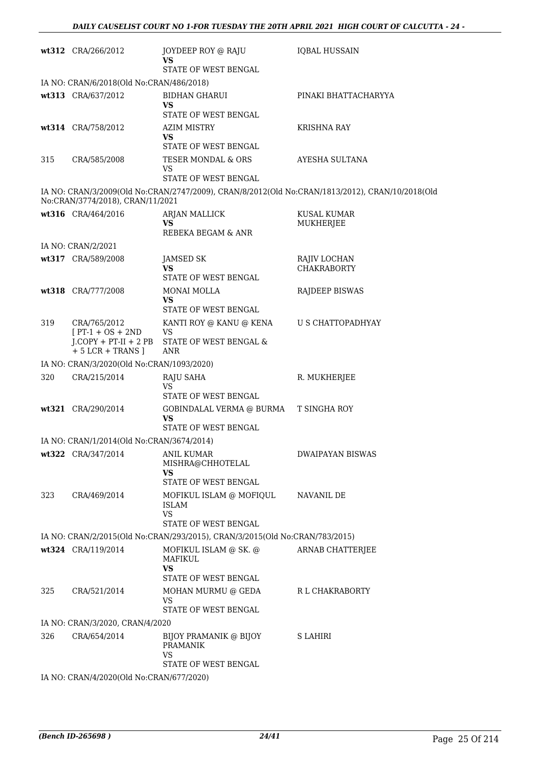|     | wt312 CRA/266/2012                              | JOYDEEP ROY @ RAJU<br><b>VS</b>                                             | <b>IQBAL HUSSAIN</b>                                                                            |
|-----|-------------------------------------------------|-----------------------------------------------------------------------------|-------------------------------------------------------------------------------------------------|
|     |                                                 | STATE OF WEST BENGAL                                                        |                                                                                                 |
|     | IA NO: CRAN/6/2018(Old No:CRAN/486/2018)        |                                                                             |                                                                                                 |
|     | wt313 CRA/637/2012                              | <b>BIDHAN GHARUI</b><br>VS                                                  | PINAKI BHATTACHARYYA                                                                            |
|     |                                                 | STATE OF WEST BENGAL                                                        |                                                                                                 |
|     | wt314 CRA/758/2012                              | <b>AZIM MISTRY</b><br><b>VS</b><br>STATE OF WEST BENGAL                     | <b>KRISHNA RAY</b>                                                                              |
| 315 | CRA/585/2008                                    | TESER MONDAL & ORS<br>VS<br>STATE OF WEST BENGAL                            | AYESHA SULTANA                                                                                  |
|     | No:CRAN/3774/2018), CRAN/11/2021                |                                                                             | IA NO: CRAN/3/2009(Old No:CRAN/2747/2009), CRAN/8/2012(Old No:CRAN/1813/2012), CRAN/10/2018(Old |
|     | wt316 CRA/464/2016                              | ARJAN MALLICK<br>VS.<br>REBEKA BEGAM & ANR                                  | <b>KUSAL KUMAR</b><br>MUKHERJEE                                                                 |
|     | IA NO: CRAN/2/2021                              |                                                                             |                                                                                                 |
|     | wt317 CRA/589/2008                              | <b>JAMSED SK</b><br>VS<br>STATE OF WEST BENGAL                              | RAJIV LOCHAN<br><b>CHAKRABORTY</b>                                                              |
|     | wt318 CRA/777/2008                              | MONAI MOLLA                                                                 | RAJDEEP BISWAS                                                                                  |
|     |                                                 | <b>VS</b><br>STATE OF WEST BENGAL                                           |                                                                                                 |
| 319 | CRA/765/2012<br>$[PT-1 + OS + 2ND]$             | KANTI ROY @ KANU @ KENA<br><b>VS</b>                                        | U S CHATTOPADHYAY                                                                               |
|     | $J$ .COPY + PT-II + 2 PB<br>$+ 5$ LCR + TRANS ] | STATE OF WEST BENGAL &<br>ANR                                               |                                                                                                 |
|     | IA NO: CRAN/3/2020(Old No:CRAN/1093/2020)       |                                                                             |                                                                                                 |
| 320 | CRA/215/2014                                    | RAJU SAHA<br>VS                                                             | R. MUKHERJEE                                                                                    |
|     |                                                 | STATE OF WEST BENGAL                                                        |                                                                                                 |
|     | wt321 CRA/290/2014                              | GOBINDALAL VERMA @ BURMA<br>VS<br>STATE OF WEST BENGAL                      | <b>T SINGHA ROY</b>                                                                             |
|     | IA NO: CRAN/1/2014(Old No:CRAN/3674/2014)       |                                                                             |                                                                                                 |
|     | wt322 CRA/347/2014                              | <b>ANIL KUMAR</b><br>MISHRA@CHHOTELAL<br>VS<br>STATE OF WEST BENGAL         | <b>DWAIPAYAN BISWAS</b>                                                                         |
| 323 | CRA/469/2014                                    | MOFIKUL ISLAM @ MOFIQUL<br>ISLAM<br><b>VS</b><br>STATE OF WEST BENGAL       | NAVANIL DE                                                                                      |
|     |                                                 | IA NO: CRAN/2/2015(Old No:CRAN/293/2015), CRAN/3/2015(Old No:CRAN/783/2015) |                                                                                                 |
|     | wt324 CRA/119/2014                              | MOFIKUL ISLAM @ SK. @<br>MAFIKUL<br><b>VS</b>                               | ARNAB CHATTERJEE                                                                                |
| 325 | CRA/521/2014                                    | STATE OF WEST BENGAL<br>MOHAN MURMU @ GEDA                                  | R L CHAKRABORTY                                                                                 |
|     |                                                 | VS<br>STATE OF WEST BENGAL                                                  |                                                                                                 |
|     | IA NO: CRAN/3/2020, CRAN/4/2020                 |                                                                             |                                                                                                 |
| 326 | CRA/654/2014                                    | BIJOY PRAMANIK @ BIJOY<br><b>PRAMANIK</b><br>VS                             | S LAHIRI                                                                                        |
|     | IA NO: CRAN/4/2020(Old No:CRAN/677/2020)        | STATE OF WEST BENGAL                                                        |                                                                                                 |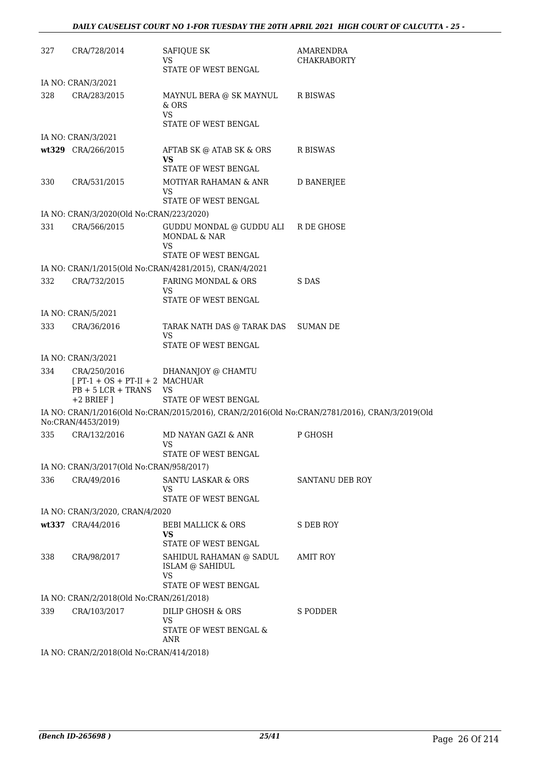| 327 | CRA/728/2014                                                              | SAFIQUE SK<br>VS                                          | AMARENDRA<br><b>CHAKRABORTY</b>                                                                |  |  |
|-----|---------------------------------------------------------------------------|-----------------------------------------------------------|------------------------------------------------------------------------------------------------|--|--|
|     |                                                                           | STATE OF WEST BENGAL                                      |                                                                                                |  |  |
|     | IA NO: CRAN/3/2021                                                        |                                                           |                                                                                                |  |  |
| 328 | CRA/283/2015                                                              | MAYNUL BERA @ SK MAYNUL<br>& ORS<br>VS.                   | R BISWAS                                                                                       |  |  |
|     |                                                                           | STATE OF WEST BENGAL                                      |                                                                                                |  |  |
|     | IA NO: CRAN/3/2021                                                        |                                                           |                                                                                                |  |  |
|     | wt329 CRA/266/2015                                                        | AFTAB SK @ ATAB SK & ORS<br>VS<br>STATE OF WEST BENGAL    | R BISWAS                                                                                       |  |  |
| 330 | CRA/531/2015                                                              | MOTIYAR RAHAMAN & ANR<br><b>VS</b>                        | D BANERJEE                                                                                     |  |  |
|     |                                                                           | STATE OF WEST BENGAL                                      |                                                                                                |  |  |
|     | IA NO: CRAN/3/2020(Old No:CRAN/223/2020)                                  |                                                           |                                                                                                |  |  |
| 331 | CRA/566/2015                                                              | GUDDU MONDAL @ GUDDU ALI R DE GHOSE<br>MONDAL & NAR<br>VS |                                                                                                |  |  |
|     |                                                                           | STATE OF WEST BENGAL                                      |                                                                                                |  |  |
|     |                                                                           | IA NO: CRAN/1/2015(Old No:CRAN/4281/2015), CRAN/4/2021    |                                                                                                |  |  |
| 332 | CRA/732/2015                                                              | FARING MONDAL & ORS<br>VS                                 | S DAS                                                                                          |  |  |
|     |                                                                           | STATE OF WEST BENGAL                                      |                                                                                                |  |  |
|     | IA NO: CRAN/5/2021                                                        |                                                           |                                                                                                |  |  |
| 333 | CRA/36/2016                                                               | TARAK NATH DAS @ TARAK DAS<br>VS                          | SUMAN DE                                                                                       |  |  |
|     |                                                                           | STATE OF WEST BENGAL                                      |                                                                                                |  |  |
|     | IA NO: CRAN/3/2021                                                        |                                                           |                                                                                                |  |  |
| 334 | CRA/250/2016<br>$[PT-1 + OS + PT-II + 2 MACHUAR]$<br>$PB + 5 LCR + TRANS$ | DHANANJOY @ CHAMTU<br><b>VS</b>                           |                                                                                                |  |  |
|     | $+2$ BRIEF ]                                                              | STATE OF WEST BENGAL                                      |                                                                                                |  |  |
|     | No:CRAN/4453/2019)                                                        |                                                           | IA NO: CRAN/1/2016(Old No:CRAN/2015/2016), CRAN/2/2016(Old No:CRAN/2781/2016), CRAN/3/2019(Old |  |  |
| 335 | CRA/132/2016                                                              | MD NAYAN GAZI & ANR<br><b>VS</b>                          | P GHOSH                                                                                        |  |  |
|     |                                                                           | STATE OF WEST BENGAL                                      |                                                                                                |  |  |
|     | IA NO: CRAN/3/2017(Old No:CRAN/958/2017)                                  |                                                           |                                                                                                |  |  |
| 336 | CRA/49/2016                                                               | SANTU LASKAR & ORS<br>VS                                  | SANTANU DEB ROY                                                                                |  |  |
|     |                                                                           | STATE OF WEST BENGAL                                      |                                                                                                |  |  |
|     | IA NO: CRAN/3/2020, CRAN/4/2020                                           |                                                           |                                                                                                |  |  |
|     | wt337 CRA/44/2016                                                         | <b>BEBI MALLICK &amp; ORS</b><br><b>VS</b>                | <b>S DEB ROY</b>                                                                               |  |  |
|     |                                                                           | STATE OF WEST BENGAL                                      |                                                                                                |  |  |
| 338 | CRA/98/2017                                                               | SAHIDUL RAHAMAN @ SADUL<br>ISLAM @ SAHIDUL<br><b>VS</b>   | <b>AMIT ROY</b>                                                                                |  |  |
|     |                                                                           | STATE OF WEST BENGAL                                      |                                                                                                |  |  |
|     | IA NO: CRAN/2/2018(Old No:CRAN/261/2018)                                  |                                                           |                                                                                                |  |  |
| 339 | CRA/103/2017                                                              | DILIP GHOSH & ORS<br>VS                                   | S PODDER                                                                                       |  |  |
|     |                                                                           | STATE OF WEST BENGAL &<br>ANR                             |                                                                                                |  |  |
|     | IA NO: CRAN/2/2018(Old No:CRAN/414/2018)                                  |                                                           |                                                                                                |  |  |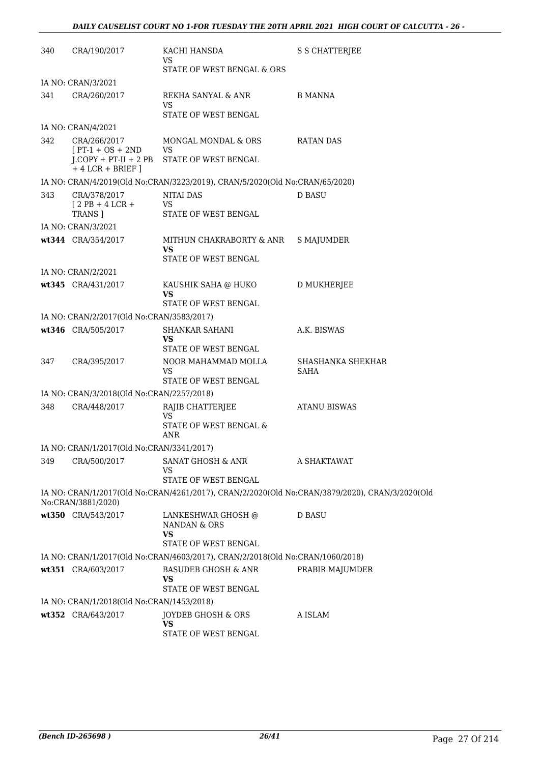| 340 | CRA/190/2017                                                         | KACHI HANSDA<br>VS                                                            | S S CHATTERJEE                                                                                 |
|-----|----------------------------------------------------------------------|-------------------------------------------------------------------------------|------------------------------------------------------------------------------------------------|
|     |                                                                      | STATE OF WEST BENGAL & ORS                                                    |                                                                                                |
|     | IA NO: CRAN/3/2021                                                   |                                                                               |                                                                                                |
| 341 | CRA/260/2017                                                         | REKHA SANYAL & ANR<br>VS<br>STATE OF WEST BENGAL                              | B MANNA                                                                                        |
|     | IA NO: CRAN/4/2021                                                   |                                                                               |                                                                                                |
| 342 | CRA/266/2017                                                         | MONGAL MONDAL & ORS                                                           | RATAN DAS                                                                                      |
|     | $[PT-1 + OS + 2ND$<br>$J$ .COPY + PT-II + 2 PB<br>$+4$ LCR + BRIEF ] | VS<br>STATE OF WEST BENGAL                                                    |                                                                                                |
|     |                                                                      | IA NO: CRAN/4/2019(Old No:CRAN/3223/2019), CRAN/5/2020(Old No:CRAN/65/2020)   |                                                                                                |
| 343 | CRA/378/2017                                                         | NITAI DAS                                                                     | <b>D BASU</b>                                                                                  |
|     | $[2PB+4LCR+$<br>TRANS ]                                              | VS<br>STATE OF WEST BENGAL                                                    |                                                                                                |
|     | IA NO: CRAN/3/2021                                                   |                                                                               |                                                                                                |
|     | wt344 CRA/354/2017                                                   | MITHUN CHAKRABORTY & ANR<br>VS<br>STATE OF WEST BENGAL                        | S MAJUMDER                                                                                     |
|     | IA NO: CRAN/2/2021                                                   |                                                                               |                                                                                                |
|     | wt345 CRA/431/2017                                                   | KAUSHIK SAHA @ HUKO                                                           | <b>D MUKHERJEE</b>                                                                             |
|     |                                                                      | VS<br>STATE OF WEST BENGAL                                                    |                                                                                                |
|     | IA NO: CRAN/2/2017(Old No:CRAN/3583/2017)                            |                                                                               |                                                                                                |
|     | wt346 CRA/505/2017                                                   | <b>SHANKAR SAHANI</b><br><b>VS</b>                                            | A.K. BISWAS                                                                                    |
|     |                                                                      | <b>STATE OF WEST BENGAL</b>                                                   |                                                                                                |
| 347 | CRA/395/2017                                                         | NOOR MAHAMMAD MOLLA<br>VS<br>STATE OF WEST BENGAL                             | SHASHANKA SHEKHAR<br>SAHA                                                                      |
|     | IA NO: CRAN/3/2018(Old No:CRAN/2257/2018)                            |                                                                               |                                                                                                |
| 348 | CRA/448/2017                                                         | RAJIB CHATTERJEE                                                              | <b>ATANU BISWAS</b>                                                                            |
|     |                                                                      | VS<br>STATE OF WEST BENGAL &<br>ANR                                           |                                                                                                |
|     | IA NO: CRAN/1/2017(Old No:CRAN/3341/2017)                            |                                                                               |                                                                                                |
| 349 | CRA/500/2017                                                         | SANAT GHOSH & ANR<br>VS                                                       | A SHAKTAWAT                                                                                    |
|     |                                                                      | STATE OF WEST BENGAL                                                          |                                                                                                |
|     | No:CRAN/3881/2020)                                                   |                                                                               | IA NO: CRAN/1/2017(Old No:CRAN/4261/2017), CRAN/2/2020(Old No:CRAN/3879/2020), CRAN/3/2020(Old |
|     | wt350 CRA/543/2017                                                   | LANKESHWAR GHOSH @<br>NANDAN & ORS<br><b>VS</b><br>STATE OF WEST BENGAL       | <b>D BASU</b>                                                                                  |
|     |                                                                      | IA NO: CRAN/1/2017(Old No:CRAN/4603/2017), CRAN/2/2018(Old No:CRAN/1060/2018) |                                                                                                |
|     | wt351 CRA/603/2017                                                   | BASUDEB GHOSH & ANR<br>VS                                                     | PRABIR MAJUMDER                                                                                |
|     |                                                                      | STATE OF WEST BENGAL                                                          |                                                                                                |
|     | IA NO: CRAN/1/2018(Old No:CRAN/1453/2018)                            |                                                                               |                                                                                                |
|     | wt352 CRA/643/2017                                                   | JOYDEB GHOSH & ORS<br>VS<br>STATE OF WEST BENGAL                              | A ISLAM                                                                                        |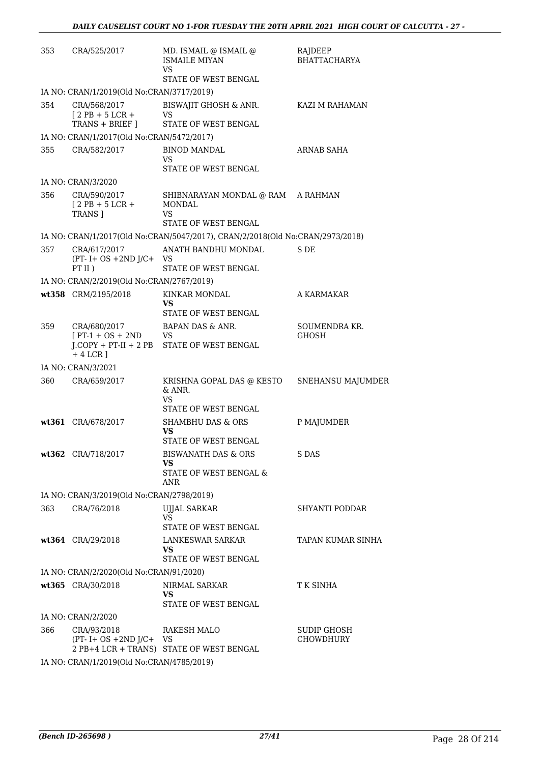| 353 | CRA/525/2017                                            | MD. ISMAIL @ ISMAIL @<br><b>ISMAILE MIYAN</b><br>VS                           | RAJDEEP<br><b>BHATTACHARYA</b> |
|-----|---------------------------------------------------------|-------------------------------------------------------------------------------|--------------------------------|
|     |                                                         | STATE OF WEST BENGAL                                                          |                                |
|     | IA NO: CRAN/1/2019(Old No:CRAN/3717/2019)               |                                                                               |                                |
| 354 | CRA/568/2017<br>$[2PB + 5LCR +$<br>TRANS + BRIEF ]      | BISWAJIT GHOSH & ANR.<br>VS<br>STATE OF WEST BENGAL                           | KAZI M RAHAMAN                 |
|     | IA NO: CRAN/1/2017(Old No:CRAN/5472/2017)               |                                                                               |                                |
| 355 | CRA/582/2017                                            | <b>BINOD MANDAL</b><br>VS                                                     | ARNAB SAHA                     |
|     |                                                         | STATE OF WEST BENGAL                                                          |                                |
|     | IA NO: CRAN/3/2020                                      |                                                                               |                                |
| 356 | CRA/590/2017<br>$[2PB + 5LCR +$<br>TRANS ]              | SHIBNARAYAN MONDAL @ RAM A RAHMAN<br>MONDAL<br>VS.                            |                                |
|     |                                                         | STATE OF WEST BENGAL                                                          |                                |
|     |                                                         | IA NO: CRAN/1/2017(Old No:CRAN/5047/2017), CRAN/2/2018(Old No:CRAN/2973/2018) |                                |
| 357 | CRA/617/2017<br>$(PT - I + OS + 2ND J/C +$<br>$PT II$ ) | ANATH BANDHU MONDAL<br>VS<br>STATE OF WEST BENGAL                             | S DE                           |
|     | IA NO: CRAN/2/2019(Old No:CRAN/2767/2019)               |                                                                               |                                |
|     | wt358 CRM/2195/2018                                     | KINKAR MONDAL<br>VS                                                           | A KARMAKAR                     |
|     |                                                         | STATE OF WEST BENGAL                                                          |                                |
| 359 | CRA/680/2017<br>$[PT-1 + OS + 2ND]$<br>$+4$ LCR ]       | BAPAN DAS & ANR.<br>VS<br>J.COPY + PT-II + 2 PB STATE OF WEST BENGAL          | SOUMENDRA KR.<br>GHOSH         |
|     | IA NO: CRAN/3/2021                                      |                                                                               |                                |
| 360 | CRA/659/2017                                            | KRISHNA GOPAL DAS @ KESTO<br>& ANR.<br>VS<br><b>STATE OF WEST BENGAL</b>      | SNEHANSU MAJUMDER              |
|     | wt361 CRA/678/2017                                      | <b>SHAMBHU DAS &amp; ORS</b><br>VS<br>STATE OF WEST BENGAL                    | P MAJUMDER                     |
|     | wt362 CRA/718/2017                                      | <b>BISWANATH DAS &amp; ORS</b><br>VS<br>STATE OF WEST BENGAL &<br>ANR         | S DAS                          |
|     | IA NO: CRAN/3/2019(Old No:CRAN/2798/2019)               |                                                                               |                                |
| 363 | CRA/76/2018                                             | UJJAL SARKAR<br>VS.                                                           | <b>SHYANTI PODDAR</b>          |
|     | wt364 CRA/29/2018                                       | STATE OF WEST BENGAL<br>LANKESWAR SARKAR<br>VS<br>STATE OF WEST BENGAL        | TAPAN KUMAR SINHA              |
|     |                                                         |                                                                               |                                |
|     | IA NO: CRAN/2/2020(Old No:CRAN/91/2020)                 | NIRMAL SARKAR                                                                 | T K SINHA                      |
|     | wt365 CRA/30/2018                                       | VS<br>STATE OF WEST BENGAL                                                    |                                |
|     | IA NO: CRAN/2/2020                                      |                                                                               |                                |
| 366 | CRA/93/2018<br>$(PT - I + OS + 2ND J/C + VS)$           | RAKESH MALO<br>2 PB+4 LCR + TRANS) STATE OF WEST BENGAL                       | SUDIP GHOSH<br>CHOWDHURY       |
|     | IA NO: CRAN/1/2019(Old No:CRAN/4785/2019)               |                                                                               |                                |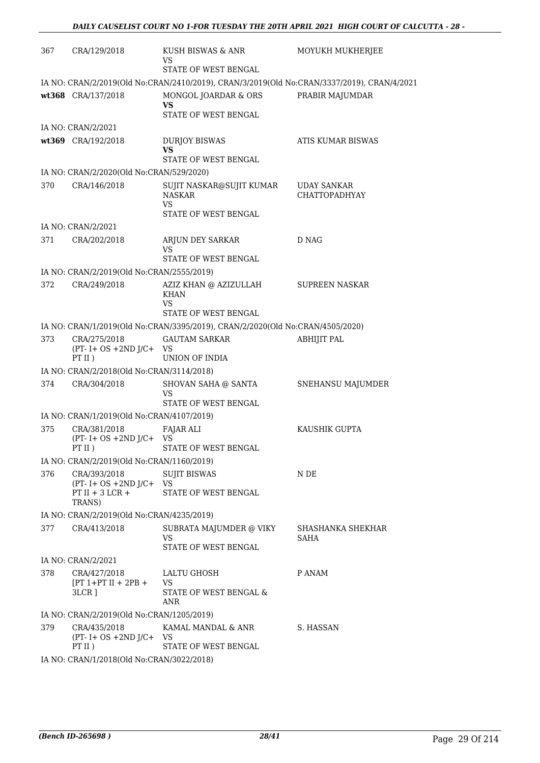| 367 | CRA/129/2018                                                | KUSH BISWAS & ANR<br>VS                                                                    | MOYUKH MUKHERJEE                           |
|-----|-------------------------------------------------------------|--------------------------------------------------------------------------------------------|--------------------------------------------|
|     |                                                             | STATE OF WEST BENGAL                                                                       |                                            |
|     |                                                             | IA NO: CRAN/2/2019(Old No:CRAN/2410/2019), CRAN/3/2019(Old No:CRAN/3337/2019), CRAN/4/2021 |                                            |
|     | wt368 CRA/137/2018                                          | MONGOL JOARDAR & ORS<br>VS                                                                 | PRABIR MAJUMDAR                            |
|     |                                                             | STATE OF WEST BENGAL                                                                       |                                            |
|     | IA NO: CRAN/2/2021                                          |                                                                                            |                                            |
|     | wt369 CRA/192/2018                                          | <b>DURJOY BISWAS</b>                                                                       | ATIS KUMAR BISWAS                          |
|     |                                                             | VS                                                                                         |                                            |
|     |                                                             | STATE OF WEST BENGAL                                                                       |                                            |
|     | IA NO: CRAN/2/2020(Old No:CRAN/529/2020)                    |                                                                                            |                                            |
| 370 | CRA/146/2018                                                | SUJIT NASKAR@SUJIT KUMAR<br><b>NASKAR</b><br><b>VS</b><br>STATE OF WEST BENGAL             | <b>UDAY SANKAR</b><br><b>CHATTOPADHYAY</b> |
|     | IA NO: CRAN/2/2021                                          |                                                                                            |                                            |
| 371 | CRA/202/2018                                                | ARJUN DEY SARKAR                                                                           | D NAG                                      |
|     |                                                             | VS                                                                                         |                                            |
|     |                                                             | STATE OF WEST BENGAL                                                                       |                                            |
|     | IA NO: CRAN/2/2019(Old No:CRAN/2555/2019)                   |                                                                                            |                                            |
| 372 | CRA/249/2018                                                | AZIZ KHAN @ AZIZULLAH<br><b>KHAN</b><br>VS                                                 | <b>SUPREEN NASKAR</b>                      |
|     |                                                             | STATE OF WEST BENGAL                                                                       |                                            |
|     |                                                             | IA NO: CRAN/1/2019(Old No:CRAN/3395/2019), CRAN/2/2020(Old No:CRAN/4505/2020)              |                                            |
| 373 | CRA/275/2018<br>$(PT - I + OS + 2ND J/C + VS)$<br>$PT II$ ) | <b>GAUTAM SARKAR</b><br>UNION OF INDIA                                                     | <b>ABHIJIT PAL</b>                         |
|     | IA NO: CRAN/2/2018(Old No:CRAN/3114/2018)                   |                                                                                            |                                            |
| 374 | CRA/304/2018                                                | SHOVAN SAHA @ SANTA                                                                        | SNEHANSU MAJUMDER                          |
|     |                                                             | VS<br>STATE OF WEST BENGAL                                                                 |                                            |
|     | IA NO: CRAN/1/2019(Old No:CRAN/4107/2019)                   |                                                                                            |                                            |
| 375 | CRA/381/2018                                                | <b>FAJAR ALI</b>                                                                           | KAUSHIK GUPTA                              |
|     | $(PT - I + OS + 2ND J/C +$<br>PTII)                         | VS<br>STATE OF WEST BENGAL                                                                 |                                            |
|     | IA NO: CRAN/2/2019(Old No:CRAN/1160/2019)                   |                                                                                            |                                            |
| 376 | CRA/393/2018                                                | <b>SUJIT BISWAS</b>                                                                        | N DE                                       |
|     | $(PT - I + OS + 2ND J/C + VS)$                              |                                                                                            |                                            |
|     | PT II + $3$ LCR +                                           | STATE OF WEST BENGAL                                                                       |                                            |
|     | TRANS)                                                      |                                                                                            |                                            |
|     | IA NO: CRAN/2/2019(Old No:CRAN/4235/2019)                   |                                                                                            |                                            |
| 377 | CRA/413/2018                                                | SUBRATA MAJUMDER @ VIKY<br>VS<br>STATE OF WEST BENGAL                                      | SHASHANKA SHEKHAR<br>SAHA                  |
|     | IA NO: CRAN/2/2021                                          |                                                                                            |                                            |
| 378 | CRA/427/2018                                                | LALTU GHOSH                                                                                | P ANAM                                     |
|     | $[PT 1+PT II + 2PB +$<br>3LCR 1                             | VS<br>STATE OF WEST BENGAL &<br>ANR                                                        |                                            |
|     | IA NO: CRAN/2/2019(Old No:CRAN/1205/2019)                   |                                                                                            |                                            |
| 379 | CRA/435/2018<br>$(PT - I + OS + 2ND J/C + VS)$              | KAMAL MANDAL & ANR                                                                         | S. HASSAN                                  |
|     | PT II)                                                      | STATE OF WEST BENGAL                                                                       |                                            |
|     | IA NO: CRAN/1/2018(Old No:CRAN/3022/2018)                   |                                                                                            |                                            |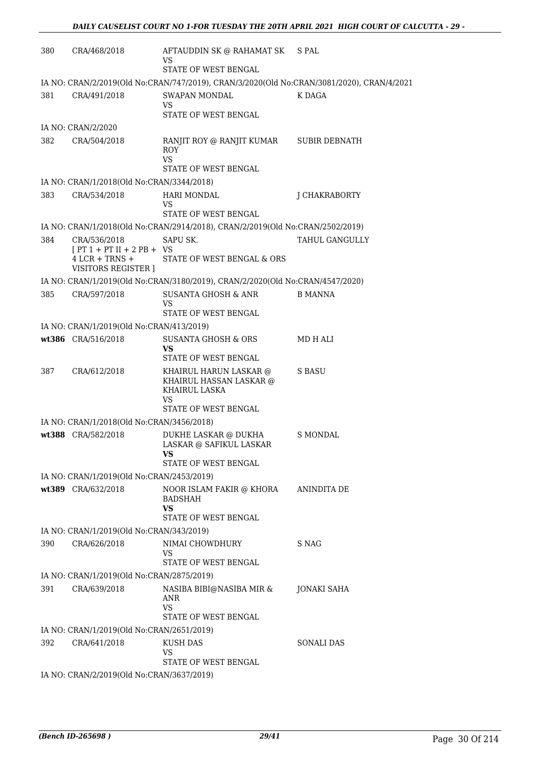| 380 | CRA/468/2018                                                                           | AFTAUDDIN SK @ RAHAMAT SK<br>VS.<br>STATE OF WEST BENGAL                                  | S PAL                |
|-----|----------------------------------------------------------------------------------------|-------------------------------------------------------------------------------------------|----------------------|
|     |                                                                                        | IA NO: CRAN/2/2019(Old No:CRAN/747/2019), CRAN/3/2020(Old No:CRAN/3081/2020), CRAN/4/2021 |                      |
| 381 | CRA/491/2018                                                                           | SWAPAN MONDAL<br>VS<br>STATE OF WEST BENGAL                                               | K DAGA               |
|     | IA NO: CRAN/2/2020                                                                     |                                                                                           |                      |
| 382 | CRA/504/2018                                                                           | RANJIT ROY @ RANJIT KUMAR<br><b>ROY</b><br>VS<br>STATE OF WEST BENGAL                     | <b>SUBIR DEBNATH</b> |
|     | IA NO: CRAN/1/2018(Old No:CRAN/3344/2018)                                              |                                                                                           |                      |
| 383 | CRA/534/2018                                                                           | <b>HARI MONDAL</b><br>VS                                                                  | J CHAKRABORTY        |
|     |                                                                                        | STATE OF WEST BENGAL                                                                      |                      |
|     |                                                                                        | IA NO: CRAN/1/2018(Old No:CRAN/2914/2018), CRAN/2/2019(Old No:CRAN/2502/2019)             |                      |
| 384 | CRA/536/2018<br>$[PT 1 + PT II + 2 PB + VS$<br>$4$ LCR + TRNS +<br>VISITORS REGISTER ] | SAPU SK.<br>STATE OF WEST BENGAL & ORS                                                    | TAHUL GANGULLY       |
|     |                                                                                        | IA NO: CRAN/1/2019(Old No:CRAN/3180/2019), CRAN/2/2020(Old No:CRAN/4547/2020)             |                      |
| 385 | CRA/597/2018                                                                           | <b>SUSANTA GHOSH &amp; ANR</b><br>VS<br>STATE OF WEST BENGAL                              | <b>B MANNA</b>       |
|     | IA NO: CRAN/1/2019(Old No:CRAN/413/2019)                                               |                                                                                           |                      |
|     | wt386 CRA/516/2018                                                                     | <b>SUSANTA GHOSH &amp; ORS</b>                                                            | MD H ALI             |
|     |                                                                                        | VS.<br>STATE OF WEST BENGAL                                                               |                      |
| 387 | CRA/612/2018                                                                           | KHAIRUL HARUN LASKAR @<br>KHAIRUL HASSAN LASKAR @<br>KHAIRUL LASKA<br>VS                  | S BASU               |
|     |                                                                                        | STATE OF WEST BENGAL                                                                      |                      |
|     | IA NO: CRAN/1/2018(Old No:CRAN/3456/2018)                                              |                                                                                           |                      |
|     | wt388 CRA/582/2018                                                                     | DUKHE LASKAR @ DUKHA<br>LASKAR @ SAFIKUL LASKAR<br>VS<br>STATE OF WEST BENGAL             | <b>S MONDAL</b>      |
|     | IA NO: CRAN/1/2019(Old No:CRAN/2453/2019)                                              |                                                                                           |                      |
|     | wt389 CRA/632/2018                                                                     | NOOR ISLAM FAKIR @ KHORA<br><b>BADSHAH</b><br>VS                                          | ANINDITA DE          |
|     |                                                                                        | STATE OF WEST BENGAL                                                                      |                      |
| 390 | IA NO: CRAN/1/2019(Old No:CRAN/343/2019)<br>CRA/626/2018                               | NIMAI CHOWDHURY                                                                           | S NAG                |
|     |                                                                                        | VS<br>STATE OF WEST BENGAL                                                                |                      |
|     | IA NO: CRAN/1/2019(Old No:CRAN/2875/2019)                                              |                                                                                           |                      |
| 391 | CRA/639/2018                                                                           | NASIBA BIBI@NASIBA MIR &<br>ANR<br><b>VS</b><br>STATE OF WEST BENGAL                      | JONAKI SAHA          |
|     | IA NO: CRAN/1/2019(Old No:CRAN/2651/2019)                                              |                                                                                           |                      |
| 392 | CRA/641/2018                                                                           | <b>KUSH DAS</b><br>VS.                                                                    | <b>SONALI DAS</b>    |
|     | IA NO: CRAN/2/2019(Old No:CRAN/3637/2019)                                              | STATE OF WEST BENGAL                                                                      |                      |
|     |                                                                                        |                                                                                           |                      |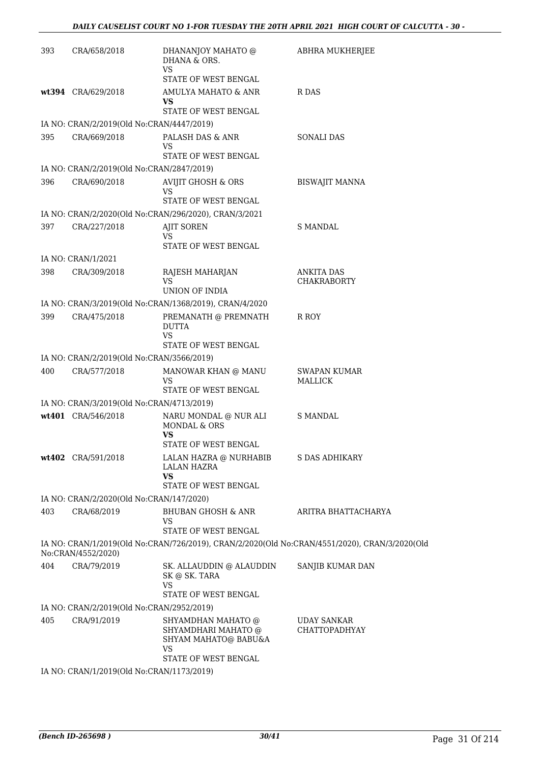| 393                                                                                                                 | CRA/658/2018                                                    | DHANANJOY MAHATO @<br>DHANA & ORS.<br><b>VS</b>                                                        | ABHRA MUKHERJEE                            |  |
|---------------------------------------------------------------------------------------------------------------------|-----------------------------------------------------------------|--------------------------------------------------------------------------------------------------------|--------------------------------------------|--|
|                                                                                                                     |                                                                 | STATE OF WEST BENGAL                                                                                   |                                            |  |
|                                                                                                                     | wt394 CRA/629/2018                                              | AMULYA MAHATO & ANR<br>VS.<br>STATE OF WEST BENGAL                                                     | R DAS                                      |  |
|                                                                                                                     | IA NO: CRAN/2/2019(Old No:CRAN/4447/2019)                       |                                                                                                        |                                            |  |
| 395                                                                                                                 | CRA/669/2018                                                    | PALASH DAS & ANR<br>VS<br>STATE OF WEST BENGAL                                                         | <b>SONALI DAS</b>                          |  |
|                                                                                                                     | IA NO: CRAN/2/2019(Old No:CRAN/2847/2019)                       |                                                                                                        |                                            |  |
| 396                                                                                                                 | CRA/690/2018                                                    | <b>AVIJIT GHOSH &amp; ORS</b><br>VS<br>STATE OF WEST BENGAL                                            | <b>BISWAJIT MANNA</b>                      |  |
|                                                                                                                     |                                                                 | IA NO: CRAN/2/2020(Old No:CRAN/296/2020), CRAN/3/2021                                                  |                                            |  |
| 397                                                                                                                 | CRA/227/2018                                                    | <b>AJIT SOREN</b><br>VS<br>STATE OF WEST BENGAL                                                        | <b>S MANDAL</b>                            |  |
|                                                                                                                     | IA NO: CRAN/1/2021                                              |                                                                                                        |                                            |  |
| 398                                                                                                                 | CRA/309/2018                                                    | RAJESH MAHARJAN<br>VS.<br>UNION OF INDIA                                                               | ANKITA DAS<br><b>CHAKRABORTY</b>           |  |
|                                                                                                                     |                                                                 | IA NO: CRAN/3/2019(Old No:CRAN/1368/2019), CRAN/4/2020                                                 |                                            |  |
| 399                                                                                                                 | CRA/475/2018                                                    | PREMANATH @ PREMNATH<br><b>DUTTA</b><br>VS<br>STATE OF WEST BENGAL                                     | R ROY                                      |  |
|                                                                                                                     | IA NO: CRAN/2/2019(Old No:CRAN/3566/2019)                       |                                                                                                        |                                            |  |
| 400                                                                                                                 | CRA/577/2018                                                    | MANOWAR KHAN @ MANU<br>VS                                                                              | <b>SWAPAN KUMAR</b><br>MALLICK             |  |
|                                                                                                                     |                                                                 | STATE OF WEST BENGAL                                                                                   |                                            |  |
|                                                                                                                     | IA NO: CRAN/3/2019(Old No:CRAN/4713/2019)<br>wt401 CRA/546/2018 | NARU MONDAL @ NUR ALI                                                                                  | <b>S MANDAL</b>                            |  |
|                                                                                                                     |                                                                 | MONDAL & ORS<br>VS                                                                                     |                                            |  |
|                                                                                                                     |                                                                 | STATE OF WEST BENGAL                                                                                   |                                            |  |
|                                                                                                                     | wt402 CRA/591/2018                                              | LALAN HAZRA @ NURHABIB<br><b>LALAN HAZRA</b><br><b>VS</b>                                              | S DAS ADHIKARY                             |  |
|                                                                                                                     |                                                                 | STATE OF WEST BENGAL                                                                                   |                                            |  |
|                                                                                                                     | IA NO: CRAN/2/2020(Old No:CRAN/147/2020)                        |                                                                                                        |                                            |  |
| 403                                                                                                                 | CRA/68/2019                                                     | <b>BHUBAN GHOSH &amp; ANR</b><br><b>VS</b><br>STATE OF WEST BENGAL                                     | ARITRA BHATTACHARYA                        |  |
| IA NO: CRAN/1/2019(Old No:CRAN/726/2019), CRAN/2/2020(Old No:CRAN/4551/2020), CRAN/3/2020(Old<br>No:CRAN/4552/2020) |                                                                 |                                                                                                        |                                            |  |
| 404                                                                                                                 | CRA/79/2019                                                     | SK. ALLAUDDIN @ ALAUDDIN<br>SK @ SK. TARA<br><b>VS</b><br>STATE OF WEST BENGAL                         | SANJIB KUMAR DAN                           |  |
|                                                                                                                     | IA NO: CRAN/2/2019(Old No:CRAN/2952/2019)                       |                                                                                                        |                                            |  |
| 405                                                                                                                 | CRA/91/2019                                                     | SHYAMDHAN MAHATO @<br>SHYAMDHARI MAHATO @<br>SHYAM MAHATO@ BABU&A<br><b>VS</b><br>STATE OF WEST BENGAL | <b>UDAY SANKAR</b><br><b>CHATTOPADHYAY</b> |  |
| <b>TA NTO</b>                                                                                                       | $CDAN1/1/2010/2dN_2CDAN1/172/2010$                              |                                                                                                        |                                            |  |

IA NO: CRAN/1/2019(Old No:CRAN/1173/2019)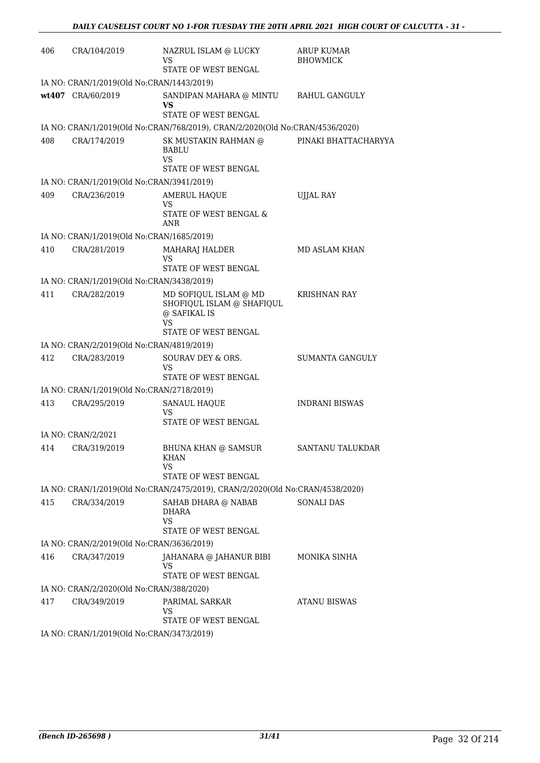| 406 | CRA/104/2019                              | NAZRUL ISLAM @ LUCKY<br>VS<br>STATE OF WEST BENGAL                                                      | <b>ARUP KUMAR</b><br><b>BHOWMICK</b> |
|-----|-------------------------------------------|---------------------------------------------------------------------------------------------------------|--------------------------------------|
|     | IA NO: CRAN/1/2019(Old No:CRAN/1443/2019) |                                                                                                         |                                      |
|     | wt407 CRA/60/2019                         | SANDIPAN MAHARA @ MINTU<br>VS<br>STATE OF WEST BENGAL                                                   | RAHUL GANGULY                        |
|     |                                           | IA NO: CRAN/1/2019(Old No:CRAN/768/2019), CRAN/2/2020(Old No:CRAN/4536/2020)                            |                                      |
| 408 | CRA/174/2019                              | SK MUSTAKIN RAHMAN @<br>BABLU<br>VS<br>STATE OF WEST BENGAL                                             | PINAKI BHATTACHARYYA                 |
|     | IA NO: CRAN/1/2019(Old No:CRAN/3941/2019) |                                                                                                         |                                      |
| 409 | CRA/236/2019                              | AMERUL HAQUE<br>VS                                                                                      | UJJAL RAY                            |
|     |                                           | STATE OF WEST BENGAL &<br>ANR                                                                           |                                      |
|     | IA NO: CRAN/1/2019(Old No:CRAN/1685/2019) |                                                                                                         |                                      |
| 410 | CRA/281/2019                              | MAHARAJ HALDER<br>VS                                                                                    | MD ASLAM KHAN                        |
|     |                                           | STATE OF WEST BENGAL                                                                                    |                                      |
|     | IA NO: CRAN/1/2019(Old No:CRAN/3438/2019) |                                                                                                         |                                      |
| 411 | CRA/282/2019                              | MD SOFIQUL ISLAM @ MD<br>SHOFIQUL ISLAM @ SHAFIQUL<br>@ SAFIKAL IS<br><b>VS</b><br>STATE OF WEST BENGAL | <b>KRISHNAN RAY</b>                  |
|     | IA NO: CRAN/2/2019(Old No:CRAN/4819/2019) |                                                                                                         |                                      |
| 412 | CRA/283/2019                              | SOURAV DEY & ORS.<br>VS                                                                                 | <b>SUMANTA GANGULY</b>               |
|     | IA NO: CRAN/1/2019(Old No:CRAN/2718/2019) | STATE OF WEST BENGAL                                                                                    |                                      |
| 413 | CRA/295/2019                              | <b>SANAUL HAQUE</b>                                                                                     | <b>INDRANI BISWAS</b>                |
|     |                                           | VS<br>STATE OF WEST BENGAL                                                                              |                                      |
|     | IA NO: CRAN/2/2021                        |                                                                                                         |                                      |
|     | 414 CRA/319/2019                          | <b>BHUNA KHAN @ SAMSUR</b><br><b>KHAN</b><br>VS                                                         | SANTANU TALUKDAR                     |
|     |                                           | STATE OF WEST BENGAL                                                                                    |                                      |
|     |                                           | IA NO: CRAN/1/2019(Old No:CRAN/2475/2019), CRAN/2/2020(Old No:CRAN/4538/2020)                           |                                      |
| 415 | CRA/334/2019                              | SAHAB DHARA @ NABAB<br>DHARA<br><b>VS</b><br>STATE OF WEST BENGAL                                       | <b>SONALI DAS</b>                    |
|     | IA NO: CRAN/2/2019(Old No:CRAN/3636/2019) |                                                                                                         |                                      |
| 416 | CRA/347/2019                              | JAHANARA @ JAHANUR BIBI<br>VS<br>STATE OF WEST BENGAL                                                   | MONIKA SINHA                         |
|     | IA NO: CRAN/2/2020(Old No:CRAN/388/2020)  |                                                                                                         |                                      |
| 417 | CRA/349/2019                              | PARIMAL SARKAR<br>VS<br>STATE OF WEST BENGAL                                                            | <b>ATANU BISWAS</b>                  |
|     | IA NO: CRAN/1/2019(Old No:CRAN/3473/2019) |                                                                                                         |                                      |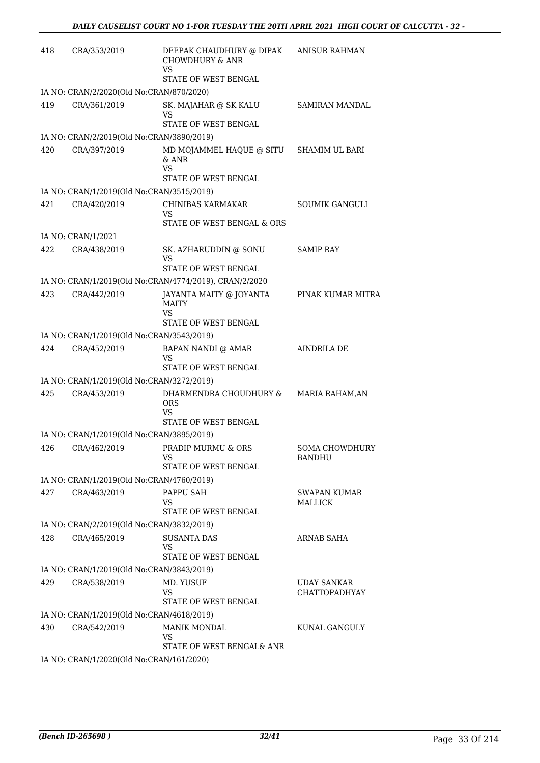| 418 | CRA/353/2019                                              | DEEPAK CHAUDHURY @ DIPAK<br><b>CHOWDHURY &amp; ANR</b><br>VS | <b>ANISUR RAHMAN</b>                   |
|-----|-----------------------------------------------------------|--------------------------------------------------------------|----------------------------------------|
|     |                                                           | STATE OF WEST BENGAL                                         |                                        |
|     | IA NO: CRAN/2/2020(Old No:CRAN/870/2020)                  |                                                              |                                        |
| 419 | CRA/361/2019                                              | SK. MAJAHAR @ SK KALU<br>VS                                  | SAMIRAN MANDAL                         |
|     |                                                           | STATE OF WEST BENGAL                                         |                                        |
|     | IA NO: CRAN/2/2019(Old No:CRAN/3890/2019)                 |                                                              |                                        |
| 420 | CRA/397/2019                                              | MD MOJAMMEL HAQUE @ SITU SHAMIM UL BARI<br>$&$ ANR<br>VS     |                                        |
|     |                                                           | STATE OF WEST BENGAL                                         |                                        |
|     | IA NO: CRAN/1/2019(Old No:CRAN/3515/2019)                 |                                                              |                                        |
| 421 | CRA/420/2019                                              | <b>CHINIBAS KARMAKAR</b><br>VS                               | <b>SOUMIK GANGULI</b>                  |
|     |                                                           | STATE OF WEST BENGAL & ORS                                   |                                        |
|     | IA NO: CRAN/1/2021                                        |                                                              |                                        |
| 422 | CRA/438/2019                                              | SK. AZHARUDDIN @ SONU<br>VS<br>STATE OF WEST BENGAL          | <b>SAMIP RAY</b>                       |
|     |                                                           |                                                              |                                        |
|     |                                                           | IA NO: CRAN/1/2019(Old No:CRAN/4774/2019), CRAN/2/2020       |                                        |
| 423 | CRA/442/2019                                              | JAYANTA MAITY @ JOYANTA<br>MAITY<br>VS                       | PINAK KUMAR MITRA                      |
|     |                                                           | STATE OF WEST BENGAL                                         |                                        |
|     | IA NO: CRAN/1/2019(Old No:CRAN/3543/2019)                 |                                                              |                                        |
| 424 | CRA/452/2019                                              | BAPAN NANDI @ AMAR<br>VS<br>STATE OF WEST BENGAL             | AINDRILA DE                            |
|     |                                                           |                                                              |                                        |
| 425 | IA NO: CRAN/1/2019(Old No:CRAN/3272/2019)<br>CRA/453/2019 | DHARMENDRA CHOUDHURY &                                       | <b>MARIA RAHAM, AN</b>                 |
|     |                                                           | <b>ORS</b><br>VS<br>STATE OF WEST BENGAL                     |                                        |
|     | IA NO: CRAN/1/2019(Old No:CRAN/3895/2019)                 |                                                              |                                        |
| 426 | CRA/462/2019                                              | PRADIP MURMU & ORS<br><b>VS</b>                              | <b>SOMA CHOWDHURY</b><br><b>BANDHU</b> |
|     |                                                           | STATE OF WEST BENGAL                                         |                                        |
|     | IA NO: CRAN/1/2019(Old No:CRAN/4760/2019)                 |                                                              |                                        |
| 427 | CRA/463/2019                                              | PAPPU SAH<br>VS                                              | <b>SWAPAN KUMAR</b><br>MALLICK         |
|     |                                                           | STATE OF WEST BENGAL                                         |                                        |
|     | IA NO: CRAN/2/2019(Old No:CRAN/3832/2019)                 |                                                              |                                        |
| 428 | CRA/465/2019                                              | SUSANTA DAS<br>VS<br>STATE OF WEST BENGAL                    | ARNAB SAHA                             |
|     | IA NO: CRAN/1/2019(Old No:CRAN/3843/2019)                 |                                                              |                                        |
| 429 | CRA/538/2019                                              | MD. YUSUF                                                    | <b>UDAY SANKAR</b>                     |
|     |                                                           | VS<br>STATE OF WEST BENGAL                                   | <b>CHATTOPADHYAY</b>                   |
|     | IA NO: CRAN/1/2019(Old No:CRAN/4618/2019)                 |                                                              |                                        |
| 430 | CRA/542/2019                                              | <b>MANIK MONDAL</b><br>VS                                    | KUNAL GANGULY                          |
|     |                                                           | STATE OF WEST BENGAL& ANR                                    |                                        |
|     | IA NO: CRAN/1/2020(Old No:CRAN/161/2020)                  |                                                              |                                        |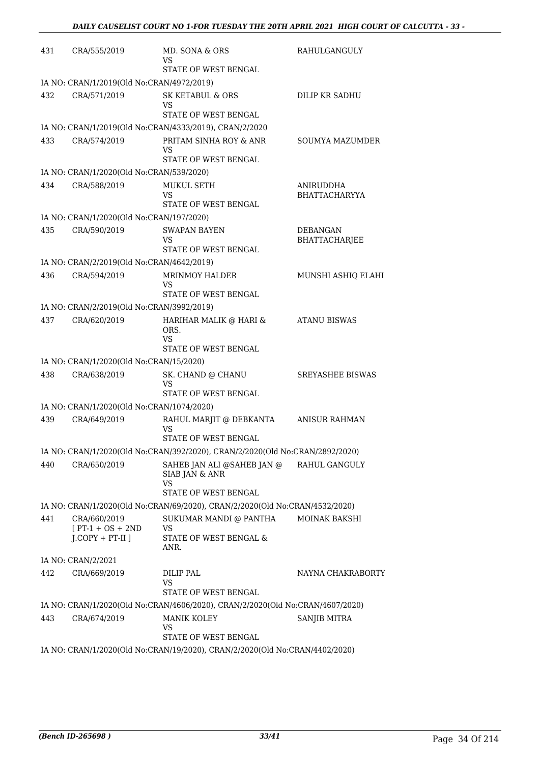| 431 | CRA/555/2019                                 | MD. SONA & ORS<br>VS                                                                                | RAHULGANGULY                     |
|-----|----------------------------------------------|-----------------------------------------------------------------------------------------------------|----------------------------------|
|     |                                              | STATE OF WEST BENGAL                                                                                |                                  |
|     | IA NO: CRAN/1/2019(Old No:CRAN/4972/2019)    |                                                                                                     |                                  |
| 432 | CRA/571/2019                                 | <b>SK KETABUL &amp; ORS</b><br>VS                                                                   | DILIP KR SADHU                   |
|     |                                              | STATE OF WEST BENGAL                                                                                |                                  |
|     |                                              | IA NO: CRAN/1/2019(Old No:CRAN/4333/2019), CRAN/2/2020                                              |                                  |
| 433 | CRA/574/2019                                 | PRITAM SINHA ROY & ANR<br>VS<br>STATE OF WEST BENGAL                                                | <b>SOUMYA MAZUMDER</b>           |
|     | IA NO: CRAN/1/2020(Old No:CRAN/539/2020)     |                                                                                                     |                                  |
| 434 | CRA/588/2019                                 | MUKUL SETH                                                                                          | ANIRUDDHA                        |
|     |                                              | VS<br>STATE OF WEST BENGAL                                                                          | <b>BHATTACHARYYA</b>             |
|     | IA NO: CRAN/1/2020(Old No:CRAN/197/2020)     |                                                                                                     |                                  |
| 435 | CRA/590/2019                                 | <b>SWAPAN BAYEN</b><br>VS                                                                           | <b>DEBANGAN</b><br>BHATTACHARJEE |
|     |                                              | <b>STATE OF WEST BENGAL</b>                                                                         |                                  |
|     | IA NO: CRAN/2/2019(Old No:CRAN/4642/2019)    |                                                                                                     |                                  |
| 436 | CRA/594/2019                                 | MRINMOY HALDER<br>VS                                                                                | MUNSHI ASHIQ ELAHI               |
|     |                                              | STATE OF WEST BENGAL                                                                                |                                  |
|     | IA NO: CRAN/2/2019(Old No:CRAN/3992/2019)    |                                                                                                     |                                  |
| 437 | CRA/620/2019                                 | HARIHAR MALIK @ HARI &<br>ORS.<br>VS                                                                | <b>ATANU BISWAS</b>              |
|     |                                              | STATE OF WEST BENGAL                                                                                |                                  |
|     | IA NO: CRAN/1/2020(Old No:CRAN/15/2020)      |                                                                                                     |                                  |
| 438 | CRA/638/2019                                 | SK. CHAND @ CHANU<br>VS<br>STATE OF WEST BENGAL                                                     | <b>SREYASHEE BISWAS</b>          |
|     | IA NO: CRAN/1/2020(Old No:CRAN/1074/2020)    |                                                                                                     |                                  |
| 439 | CRA/649/2019                                 | RAHUL MARJIT @ DEBKANTA                                                                             | <b>ANISUR RAHMAN</b>             |
|     |                                              | VS<br>STATE OF WEST BENGAL                                                                          |                                  |
|     |                                              | IA NO: CRAN/1/2020(Old No:CRAN/392/2020), CRAN/2/2020(Old No:CRAN/2892/2020)                        |                                  |
| 440 | CRA/650/2019                                 | SAHEB JAN ALI @SAHEB JAN @<br>SIAB JAN & ANR<br>VS<br>STATE OF WEST BENGAL                          | RAHUL GANGULY                    |
|     |                                              | IA NO: CRAN/1/2020(Old No:CRAN/69/2020), CRAN/2/2020(Old No:CRAN/4532/2020)                         |                                  |
| 441 | CRA/660/2019                                 | SUKUMAR MANDI @ PANTHA                                                                              | <b>MOINAK BAKSHI</b>             |
|     | $[PT-1 + OS + 2ND]$<br>$J$ .COPY + PT-II $J$ | VS<br>STATE OF WEST BENGAL &<br>ANR.                                                                |                                  |
|     | IA NO: CRAN/2/2021                           |                                                                                                     |                                  |
| 442 | CRA/669/2019                                 | DILIP PAL<br>VS                                                                                     | NAYNA CHAKRABORTY                |
|     |                                              | STATE OF WEST BENGAL                                                                                |                                  |
| 443 | CRA/674/2019                                 | IA NO: CRAN/1/2020(Old No:CRAN/4606/2020), CRAN/2/2020(Old No:CRAN/4607/2020)<br><b>MANIK KOLEY</b> | SANJIB MITRA                     |
|     |                                              | VS<br>STATE OF WEST BENGAL                                                                          |                                  |
|     |                                              | IA NO: CRAN/1/2020(Old No:CRAN/19/2020), CRAN/2/2020(Old No:CRAN/4402/2020)                         |                                  |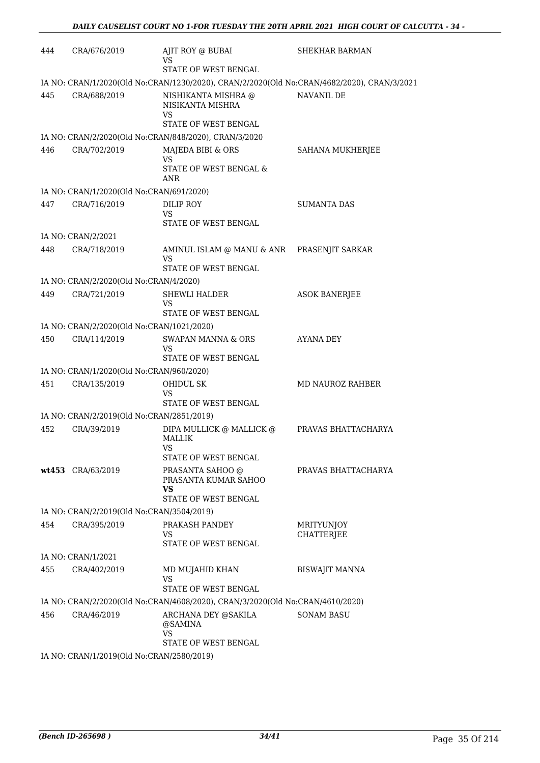| 444 | CRA/676/2019                              | AJIT ROY @ BUBAI<br>VS                                                                     | <b>SHEKHAR BARMAN</b> |
|-----|-------------------------------------------|--------------------------------------------------------------------------------------------|-----------------------|
|     |                                           | STATE OF WEST BENGAL                                                                       |                       |
|     |                                           | IA NO: CRAN/1/2020(Old No:CRAN/1230/2020), CRAN/2/2020(Old No:CRAN/4682/2020), CRAN/3/2021 |                       |
| 445 | CRA/688/2019                              | NISHIKANTA MISHRA @<br>NISIKANTA MISHRA<br>VS                                              | NAVANIL DE            |
|     |                                           | STATE OF WEST BENGAL                                                                       |                       |
|     |                                           | IA NO: CRAN/2/2020(Old No:CRAN/848/2020), CRAN/3/2020                                      |                       |
| 446 | CRA/702/2019                              | MAJEDA BIBI & ORS<br>VS<br>STATE OF WEST BENGAL &                                          | SAHANA MUKHERJEE      |
|     |                                           | ANR                                                                                        |                       |
|     | IA NO: CRAN/1/2020(Old No:CRAN/691/2020)  |                                                                                            |                       |
| 447 | CRA/716/2019                              | DILIP ROY<br>VS                                                                            | <b>SUMANTA DAS</b>    |
|     |                                           | STATE OF WEST BENGAL                                                                       |                       |
|     | IA NO: CRAN/2/2021                        |                                                                                            |                       |
| 448 | CRA/718/2019                              | AMINUL ISLAM @ MANU & ANR    PRASENJIT SARKAR<br>VS                                        |                       |
|     |                                           | STATE OF WEST BENGAL                                                                       |                       |
|     | IA NO: CRAN/2/2020(Old No:CRAN/4/2020)    |                                                                                            |                       |
| 449 | CRA/721/2019                              | <b>SHEWLI HALDER</b><br>VS<br>STATE OF WEST BENGAL                                         | <b>ASOK BANERJEE</b>  |
|     |                                           |                                                                                            |                       |
|     | IA NO: CRAN/2/2020(Old No:CRAN/1021/2020) |                                                                                            |                       |
| 450 | CRA/114/2019                              | <b>SWAPAN MANNA &amp; ORS</b><br>VS<br>STATE OF WEST BENGAL                                | AYANA DEY             |
|     | IA NO: CRAN/1/2020(Old No:CRAN/960/2020)  |                                                                                            |                       |
| 451 | CRA/135/2019                              | <b>OHIDUL SK</b>                                                                           | MD NAUROZ RAHBER      |
|     |                                           | VS<br>STATE OF WEST BENGAL                                                                 |                       |
|     | IA NO: CRAN/2/2019(Old No:CRAN/2851/2019) |                                                                                            |                       |
| 452 | CRA/39/2019                               | DIPA MULLICK @ MALLICK @<br><b>MALLIK</b><br>VS.<br>STATE OF WEST BENGAL                   | PRAVAS BHATTACHARYA   |
|     | wt453 CRA/63/2019                         | PRASANTA SAHOO @<br>PRASANTA KUMAR SAHOO<br>VS<br>STATE OF WEST BENGAL                     | PRAVAS BHATTACHARYA   |
|     | IA NO: CRAN/2/2019(Old No:CRAN/3504/2019) |                                                                                            |                       |
| 454 | CRA/395/2019                              | PRAKASH PANDEY                                                                             | MRITYUNJOY            |
|     |                                           | VS.<br>STATE OF WEST BENGAL                                                                | <b>CHATTERJEE</b>     |
|     | IA NO: CRAN/1/2021                        |                                                                                            |                       |
| 455 | CRA/402/2019                              | MD MUJAHID KHAN                                                                            | <b>BISWAJIT MANNA</b> |
|     |                                           | VS<br>STATE OF WEST BENGAL                                                                 |                       |
|     |                                           | IA NO: CRAN/2/2020(Old No:CRAN/4608/2020), CRAN/3/2020(Old No:CRAN/4610/2020)              |                       |
| 456 | CRA/46/2019                               | ARCHANA DEY @SAKILA<br>@SAMINA<br><b>VS</b>                                                | <b>SONAM BASU</b>     |
|     |                                           | STATE OF WEST BENGAL                                                                       |                       |
|     | IA NO: CRAN/1/2019(Old No:CRAN/2580/2019) |                                                                                            |                       |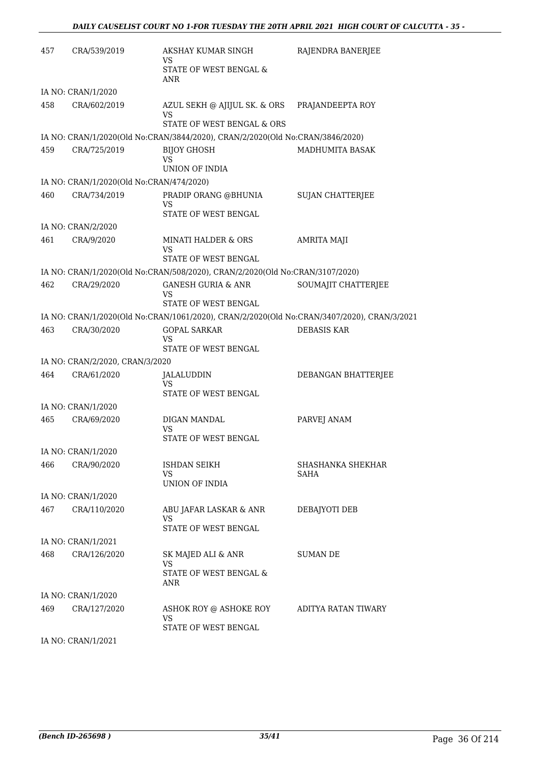| 457 | CRA/539/2019                             | AKSHAY KUMAR SINGH<br>VS                                                                   | RAJENDRA BANERJEE         |
|-----|------------------------------------------|--------------------------------------------------------------------------------------------|---------------------------|
|     |                                          | STATE OF WEST BENGAL &<br>ANR                                                              |                           |
|     | IA NO: CRAN/1/2020                       |                                                                                            |                           |
| 458 | CRA/602/2019                             | AZUL SEKH @ AJIJUL SK. & ORS<br>VS                                                         | PRAJANDEEPTA ROY          |
|     |                                          | STATE OF WEST BENGAL & ORS                                                                 |                           |
|     |                                          | IA NO: CRAN/1/2020(Old No:CRAN/3844/2020), CRAN/2/2020(Old No:CRAN/3846/2020)              |                           |
| 459 | CRA/725/2019                             | <b>BIJOY GHOSH</b><br>VS<br><b>UNION OF INDIA</b>                                          | MADHUMITA BASAK           |
|     | IA NO: CRAN/1/2020(Old No:CRAN/474/2020) |                                                                                            |                           |
| 460 | CRA/734/2019                             | PRADIP ORANG @BHUNIA<br>VS                                                                 | <b>SUJAN CHATTERJEE</b>   |
|     |                                          | STATE OF WEST BENGAL                                                                       |                           |
|     | IA NO: CRAN/2/2020                       |                                                                                            |                           |
| 461 | CRA/9/2020                               | <b>MINATI HALDER &amp; ORS</b><br>VS                                                       | AMRITA MAJI               |
|     |                                          | STATE OF WEST BENGAL                                                                       |                           |
|     |                                          | IA NO: CRAN/1/2020(Old No:CRAN/508/2020), CRAN/2/2020(Old No:CRAN/3107/2020)               |                           |
| 462 | CRA/29/2020                              | <b>GANESH GURIA &amp; ANR</b><br>VS<br>STATE OF WEST BENGAL                                | SOUMAJIT CHATTERJEE       |
|     |                                          | IA NO: CRAN/1/2020(Old No:CRAN/1061/2020), CRAN/2/2020(Old No:CRAN/3407/2020), CRAN/3/2021 |                           |
| 463 | CRA/30/2020                              | <b>GOPAL SARKAR</b><br>VS                                                                  | <b>DEBASIS KAR</b>        |
|     |                                          | STATE OF WEST BENGAL                                                                       |                           |
|     | IA NO: CRAN/2/2020, CRAN/3/2020          |                                                                                            |                           |
| 464 | CRA/61/2020                              | JALALUDDIN<br>VS                                                                           | DEBANGAN BHATTERJEE       |
|     |                                          | STATE OF WEST BENGAL                                                                       |                           |
|     | IA NO: CRAN/1/2020                       |                                                                                            |                           |
| 465 | CRA/69/2020                              | DIGAN MANDAL<br>VS<br>STATE OF WEST BENGAL                                                 | PARVEJ ANAM               |
|     | IA NO: CRAN/1/2020                       |                                                                                            |                           |
| 466 | CRA/90/2020                              | ISHDAN SEIKH<br>VS                                                                         | SHASHANKA SHEKHAR<br>SAHA |
|     |                                          | UNION OF INDIA                                                                             |                           |
|     | IA NO: CRAN/1/2020                       |                                                                                            |                           |
| 467 | CRA/110/2020                             | ABU JAFAR LASKAR & ANR<br>VS                                                               | DEBAJYOTI DEB             |
|     |                                          | STATE OF WEST BENGAL                                                                       |                           |
|     | IA NO: CRAN/1/2021                       |                                                                                            |                           |
| 468 | CRA/126/2020                             | SK MAJED ALI & ANR<br><b>VS</b><br>STATE OF WEST BENGAL &                                  | SUMAN DE                  |
|     |                                          | ANR                                                                                        |                           |
|     | IA NO: CRAN/1/2020                       |                                                                                            |                           |
| 469 | CRA/127/2020                             | ASHOK ROY @ ASHOKE ROY<br><b>VS</b>                                                        | ADITYA RATAN TIWARY       |
|     |                                          | STATE OF WEST BENGAL                                                                       |                           |

IA NO: CRAN/1/2021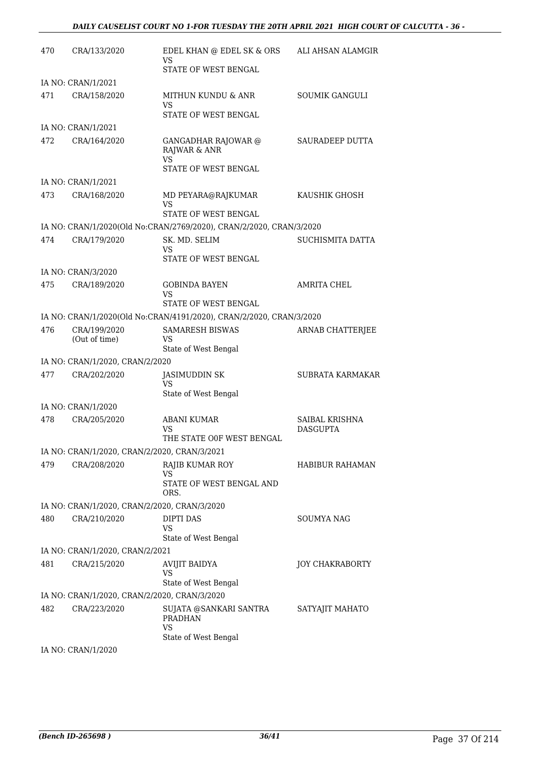| 470 | CRA/133/2020                                 | EDEL KHAN @ EDEL SK & ORS<br>VS                                                 | ALI AHSAN ALAMGIR                 |
|-----|----------------------------------------------|---------------------------------------------------------------------------------|-----------------------------------|
|     |                                              | STATE OF WEST BENGAL                                                            |                                   |
|     | IA NO: CRAN/1/2021                           |                                                                                 |                                   |
| 471 | CRA/158/2020                                 | MITHUN KUNDU & ANR<br>VS                                                        | <b>SOUMIK GANGULI</b>             |
|     |                                              | STATE OF WEST BENGAL                                                            |                                   |
|     | IA NO: CRAN/1/2021                           |                                                                                 |                                   |
| 472 | CRA/164/2020                                 | <b>GANGADHAR RAJOWAR @</b><br>RAJWAR & ANR<br><b>VS</b><br>STATE OF WEST BENGAL | SAURADEEP DUTTA                   |
|     | IA NO: CRAN/1/2021                           |                                                                                 |                                   |
| 473 | CRA/168/2020                                 | MD PEYARA@RAJKUMAR<br>VS                                                        | KAUSHIK GHOSH                     |
|     |                                              | STATE OF WEST BENGAL                                                            |                                   |
|     |                                              | IA NO: CRAN/1/2020(Old No:CRAN/2769/2020), CRAN/2/2020, CRAN/3/2020             |                                   |
| 474 | CRA/179/2020                                 | SK. MD. SELIM<br>VS<br>STATE OF WEST BENGAL                                     | SUCHISMITA DATTA                  |
|     | IA NO: CRAN/3/2020                           |                                                                                 |                                   |
| 475 | CRA/189/2020                                 | GOBINDA BAYEN<br>VS                                                             | <b>AMRITA CHEL</b>                |
|     |                                              | <b>STATE OF WEST BENGAL</b>                                                     |                                   |
|     |                                              | IA NO: CRAN/1/2020(Old No:CRAN/4191/2020), CRAN/2/2020, CRAN/3/2020             |                                   |
| 476 | CRA/199/2020<br>(Out of time)                | <b>SAMARESH BISWAS</b><br>VS                                                    | ARNAB CHATTERJEE                  |
|     | IA NO: CRAN/1/2020, CRAN/2/2020              | State of West Bengal                                                            |                                   |
| 477 | CRA/202/2020                                 | <b>JASIMUDDIN SK</b>                                                            | SUBRATA KARMAKAR                  |
|     |                                              | VS<br>State of West Bengal                                                      |                                   |
|     | IA NO: CRAN/1/2020                           |                                                                                 |                                   |
| 478 | CRA/205/2020                                 | <b>ABANI KUMAR</b><br>VS<br>THE STATE OOF WEST BENGAL                           | SAIBAL KRISHNA<br><b>DASGUPTA</b> |
|     | IA NO: CRAN/1/2020, CRAN/2/2020, CRAN/3/2021 |                                                                                 |                                   |
| 479 | CRA/208/2020                                 | <b>RAJIB KUMAR ROY</b><br><b>VS</b>                                             | <b>HABIBUR RAHAMAN</b>            |
|     |                                              | STATE OF WEST BENGAL AND<br>ORS.                                                |                                   |
|     | IA NO: CRAN/1/2020, CRAN/2/2020, CRAN/3/2020 |                                                                                 |                                   |
| 480 | CRA/210/2020                                 | DIPTI DAS<br>VS                                                                 | <b>SOUMYA NAG</b>                 |
|     |                                              | State of West Bengal                                                            |                                   |
|     | IA NO: CRAN/1/2020, CRAN/2/2021              |                                                                                 |                                   |
| 481 | CRA/215/2020                                 | AVIJIT BAIDYA<br>VS<br>State of West Bengal                                     | JOY CHAKRABORTY                   |
|     | IA NO: CRAN/1/2020, CRAN/2/2020, CRAN/3/2020 |                                                                                 |                                   |
| 482 | CRA/223/2020                                 | SUJATA @SANKARI SANTRA                                                          | SATYAJIT MAHATO                   |
|     |                                              | <b>PRADHAN</b><br>VS                                                            |                                   |
|     |                                              | State of West Bengal                                                            |                                   |
|     | IA NO: CRAN/1/2020                           |                                                                                 |                                   |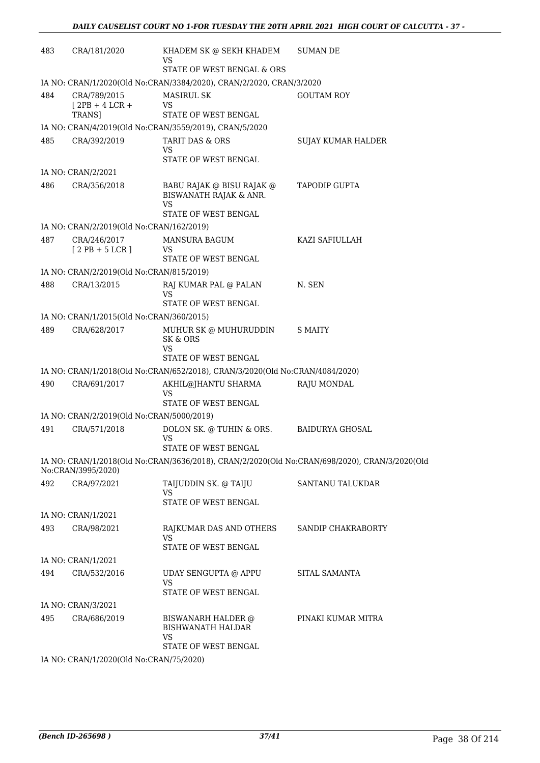| 483 | CRA/181/2020                                      | KHADEM SK @ SEKH KHADEM<br><b>VS</b><br>STATE OF WEST BENGAL & ORS                  | <b>SUMAN DE</b>                                                                               |
|-----|---------------------------------------------------|-------------------------------------------------------------------------------------|-----------------------------------------------------------------------------------------------|
|     |                                                   | IA NO: CRAN/1/2020(Old No:CRAN/3384/2020), CRAN/2/2020, CRAN/3/2020                 |                                                                                               |
| 484 | CRA/789/2015<br>$[2PB + 4 LCR +$<br><b>TRANS1</b> | <b>MASIRUL SK</b><br>VS<br>STATE OF WEST BENGAL                                     | <b>GOUTAM ROY</b>                                                                             |
|     |                                                   | IA NO: CRAN/4/2019(Old No:CRAN/3559/2019), CRAN/5/2020                              |                                                                                               |
| 485 | CRA/392/2019                                      | <b>TARIT DAS &amp; ORS</b><br>VS.<br>STATE OF WEST BENGAL                           | SUJAY KUMAR HALDER                                                                            |
|     | IA NO: CRAN/2/2021                                |                                                                                     |                                                                                               |
| 486 | CRA/356/2018                                      | BABU RAJAK @ BISU RAJAK @<br>BISWANATH RAJAK & ANR.<br>VS<br>STATE OF WEST BENGAL   | <b>TAPODIP GUPTA</b>                                                                          |
|     | IA NO: CRAN/2/2019(Old No:CRAN/162/2019)          |                                                                                     |                                                                                               |
| 487 | CRA/246/2017<br>$[2PB + 5LCR]$                    | <b>MANSURA BAGUM</b><br>VS<br>STATE OF WEST BENGAL                                  | KAZI SAFIULLAH                                                                                |
|     | IA NO: CRAN/2/2019(Old No:CRAN/815/2019)          |                                                                                     |                                                                                               |
| 488 | CRA/13/2015                                       | RAJ KUMAR PAL @ PALAN<br>VS<br>STATE OF WEST BENGAL                                 | N. SEN                                                                                        |
|     | IA NO: CRAN/1/2015(Old No:CRAN/360/2015)          |                                                                                     |                                                                                               |
| 489 | CRA/628/2017                                      | MUHUR SK @ MUHURUDDIN<br>SK & ORS<br>VS<br>STATE OF WEST BENGAL                     | S MAITY                                                                                       |
|     |                                                   | IA NO: CRAN/1/2018(Old No:CRAN/652/2018), CRAN/3/2020(Old No:CRAN/4084/2020)        |                                                                                               |
| 490 | CRA/691/2017                                      | AKHIL@JHANTU SHARMA<br>VS                                                           | RAJU MONDAL                                                                                   |
|     | IA NO: CRAN/2/2019(Old No:CRAN/5000/2019)         | STATE OF WEST BENGAL                                                                |                                                                                               |
| 491 | CRA/571/2018                                      | DOLON SK. @ TUHIN & ORS.<br><b>VS</b><br>STATE OF WEST BENGAL                       | BAIDURYA GHOSAL                                                                               |
|     | No:CRAN/3995/2020)                                |                                                                                     | IA NO: CRAN/1/2018(Old No:CRAN/3636/2018), CRAN/2/2020(Old No:CRAN/698/2020), CRAN/3/2020(Old |
| 492 | CRA/97/2021                                       | TAIJUDDIN SK. @ TAIJU<br><b>VS</b><br>STATE OF WEST BENGAL                          | SANTANU TALUKDAR                                                                              |
|     | IA NO: CRAN/1/2021                                |                                                                                     |                                                                                               |
| 493 | CRA/98/2021                                       | RAJKUMAR DAS AND OTHERS<br><b>VS</b><br>STATE OF WEST BENGAL                        | SANDIP CHAKRABORTY                                                                            |
|     | IA NO: CRAN/1/2021                                |                                                                                     |                                                                                               |
| 494 | CRA/532/2016                                      | UDAY SENGUPTA @ APPU<br><b>VS</b><br>STATE OF WEST BENGAL                           | SITAL SAMANTA                                                                                 |
|     | IA NO: CRAN/3/2021                                |                                                                                     |                                                                                               |
| 495 | CRA/686/2019                                      | BISWANARH HALDER @<br><b>BISHWANATH HALDAR</b><br><b>VS</b><br>STATE OF WEST BENGAL | PINAKI KUMAR MITRA                                                                            |
|     | IA NO: CRAN/1/2020(Old No:CRAN/75/2020)           |                                                                                     |                                                                                               |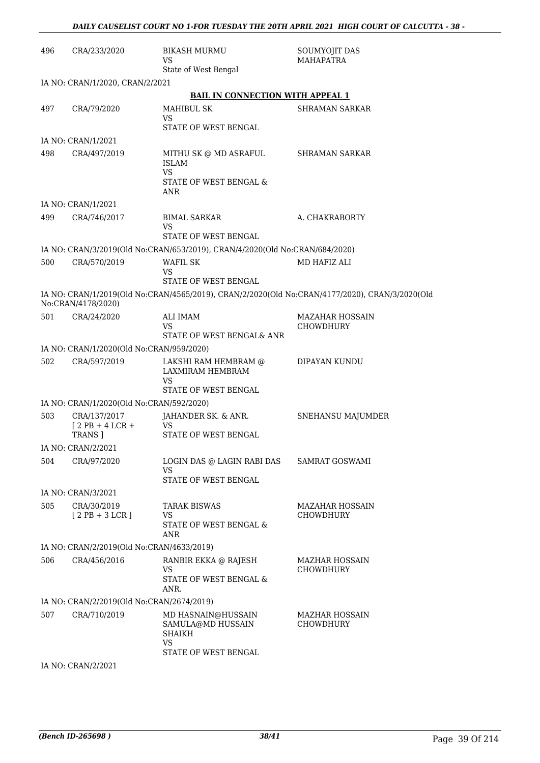| 496 | CRA/233/2020                              | BIKASH MURMU<br>VS<br>State of West Bengal                                  | SOUMYOJIT DAS<br><b>MAHAPATRA</b>                                                              |
|-----|-------------------------------------------|-----------------------------------------------------------------------------|------------------------------------------------------------------------------------------------|
|     | IA NO: CRAN/1/2020, CRAN/2/2021           |                                                                             |                                                                                                |
|     |                                           | <b>BAIL IN CONNECTION WITH APPEAL 1</b>                                     |                                                                                                |
| 497 | CRA/79/2020                               | MAHIBUL SK                                                                  | SHRAMAN SARKAR                                                                                 |
|     |                                           | VS<br>STATE OF WEST BENGAL                                                  |                                                                                                |
|     | IA NO: CRAN/1/2021                        |                                                                             |                                                                                                |
| 498 | CRA/497/2019                              | MITHU SK @ MD ASRAFUL<br><b>ISLAM</b><br>VS                                 | <b>SHRAMAN SARKAR</b>                                                                          |
|     |                                           | STATE OF WEST BENGAL &<br>ANR                                               |                                                                                                |
|     | IA NO: CRAN/1/2021                        |                                                                             |                                                                                                |
| 499 | CRA/746/2017                              | <b>BIMAL SARKAR</b><br>VS<br>STATE OF WEST BENGAL                           | A. CHAKRABORTY                                                                                 |
|     |                                           | IA NO: CRAN/3/2019(Old No:CRAN/653/2019), CRAN/4/2020(Old No:CRAN/684/2020) |                                                                                                |
| 500 | CRA/570/2019                              | WAFIL SK                                                                    | MD HAFIZ ALI                                                                                   |
|     |                                           | <b>VS</b><br><b>STATE OF WEST BENGAL</b>                                    |                                                                                                |
|     | No:CRAN/4178/2020)                        |                                                                             | IA NO: CRAN/1/2019(Old No:CRAN/4565/2019), CRAN/2/2020(Old No:CRAN/4177/2020), CRAN/3/2020(Old |
| 501 | CRA/24/2020                               | <b>ALI IMAM</b><br>VS                                                       | <b>MAZAHAR HOSSAIN</b><br><b>CHOWDHURY</b>                                                     |
|     |                                           | STATE OF WEST BENGAL& ANR                                                   |                                                                                                |
|     | IA NO: CRAN/1/2020(Old No:CRAN/959/2020)  |                                                                             |                                                                                                |
| 502 | CRA/597/2019                              | LAKSHI RAM HEMBRAM @<br>LAXMIRAM HEMBRAM<br>VS                              | DIPAYAN KUNDU                                                                                  |
|     |                                           | STATE OF WEST BENGAL                                                        |                                                                                                |
|     | IA NO: CRAN/1/2020(Old No:CRAN/592/2020)  |                                                                             |                                                                                                |
| 503 | CRA/137/2017<br>$[2PB+4LCR+$<br>TRANS ]   | JAHANDER SK. & ANR.<br>VS<br><b>STATE OF WEST BENGAL</b>                    | SNEHANSU MAJUMDER                                                                              |
|     | IA NO: CRAN/2/2021                        |                                                                             |                                                                                                |
| 504 | CRA/97/2020                               | LOGIN DAS @ LAGIN RABI DAS<br>VS                                            | <b>SAMRAT GOSWAMI</b>                                                                          |
|     |                                           | STATE OF WEST BENGAL                                                        |                                                                                                |
|     | IA NO: CRAN/3/2021                        |                                                                             |                                                                                                |
| 505 | CRA/30/2019<br>$[2PB+3LCR]$               | <b>TARAK BISWAS</b><br>VS<br>STATE OF WEST BENGAL &<br>ANR                  | <b>MAZAHAR HOSSAIN</b><br><b>CHOWDHURY</b>                                                     |
|     | IA NO: CRAN/2/2019(Old No:CRAN/4633/2019) |                                                                             |                                                                                                |
| 506 | CRA/456/2016                              | RANBIR EKKA @ RAJESH                                                        | <b>MAZHAR HOSSAIN</b>                                                                          |
|     |                                           | <b>VS</b><br>STATE OF WEST BENGAL &<br>ANR.                                 | <b>CHOWDHURY</b>                                                                               |
|     | IA NO: CRAN/2/2019(Old No:CRAN/2674/2019) |                                                                             |                                                                                                |
| 507 | CRA/710/2019                              | MD HASNAIN@HUSSAIN<br>SAMULA@MD HUSSAIN<br><b>SHAIKH</b><br><b>VS</b>       | <b>MAZHAR HOSSAIN</b><br><b>CHOWDHURY</b>                                                      |
|     |                                           | STATE OF WEST BENGAL                                                        |                                                                                                |
|     | IA NO: CRAN/2/2021                        |                                                                             |                                                                                                |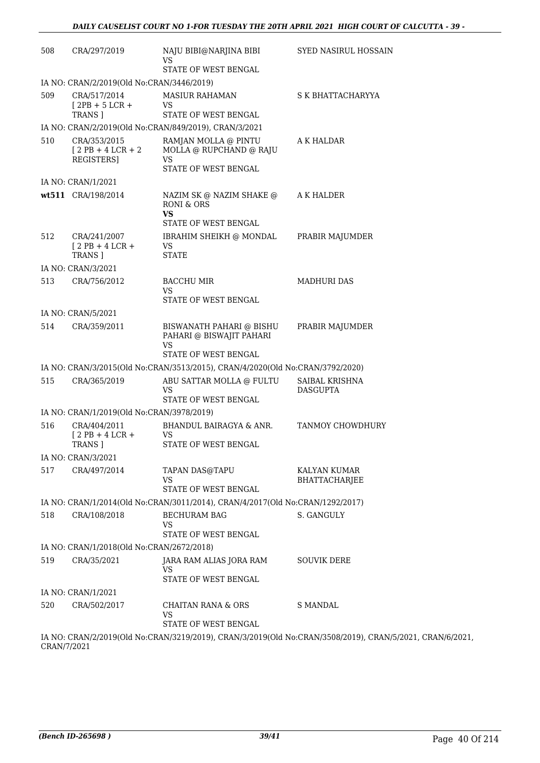| 508         | CRA/297/2019                                     | NAJU BIBI@NARJINA BIBI<br><b>VS</b>                                                  | <b>SYED NASIRUL HOSSAIN</b>                                                                              |
|-------------|--------------------------------------------------|--------------------------------------------------------------------------------------|----------------------------------------------------------------------------------------------------------|
|             |                                                  | STATE OF WEST BENGAL                                                                 |                                                                                                          |
|             | IA NO: CRAN/2/2019(Old No:CRAN/3446/2019)        |                                                                                      |                                                                                                          |
| 509         | CRA/517/2014<br>$[2PB + 5 LCR +$                 | <b>MASIUR RAHAMAN</b><br>VS                                                          | S K BHATTACHARYYA                                                                                        |
|             | TRANS ]                                          | STATE OF WEST BENGAL                                                                 |                                                                                                          |
|             |                                                  | IA NO: CRAN/2/2019(Old No:CRAN/849/2019), CRAN/3/2021                                |                                                                                                          |
| 510         | CRA/353/2015<br>$[2PB + 4LCR + 2]$<br>REGISTERS] | RAMJAN MOLLA @ PINTU<br>MOLLA @ RUPCHAND @ RAJU<br><b>VS</b><br>STATE OF WEST BENGAL | A K HALDAR                                                                                               |
|             | IA NO: CRAN/1/2021                               |                                                                                      |                                                                                                          |
|             | wt511 CRA/198/2014                               | NAZIM SK @ NAZIM SHAKE @<br>RONI & ORS<br><b>VS</b>                                  | A K HALDER                                                                                               |
|             |                                                  | STATE OF WEST BENGAL                                                                 |                                                                                                          |
| 512         | CRA/241/2007<br>$[2$ PB + 4 LCR +<br>TRANS ]     | IBRAHIM SHEIKH @ MONDAL<br>VS<br><b>STATE</b>                                        | PRABIR MAJUMDER                                                                                          |
|             | IA NO: CRAN/3/2021                               |                                                                                      |                                                                                                          |
| 513         | CRA/756/2012                                     | <b>BACCHU MIR</b><br>VS<br>STATE OF WEST BENGAL                                      | <b>MADHURI DAS</b>                                                                                       |
|             | IA NO: CRAN/5/2021                               |                                                                                      |                                                                                                          |
| 514         | CRA/359/2011                                     | BISWANATH PAHARI @ BISHU                                                             | PRABIR MAJUMDER                                                                                          |
|             |                                                  | PAHARI @ BISWAJIT PAHARI<br>VS                                                       |                                                                                                          |
|             |                                                  | STATE OF WEST BENGAL                                                                 |                                                                                                          |
|             |                                                  | IA NO: CRAN/3/2015(Old No:CRAN/3513/2015), CRAN/4/2020(Old No:CRAN/3792/2020)        |                                                                                                          |
| 515         | CRA/365/2019                                     | ABU SATTAR MOLLA @ FULTU<br><b>VS</b><br>STATE OF WEST BENGAL                        | SAIBAL KRISHNA<br><b>DASGUPTA</b>                                                                        |
|             | IA NO: CRAN/1/2019(Old No:CRAN/3978/2019)        |                                                                                      |                                                                                                          |
| 516         | CRA/404/2011<br>$[2PB+4LCR+$<br>TRANS ]          | BHANDUL BAIRAGYA & ANR.<br><b>VS</b><br>STATE OF WEST BENGAL                         | TANMOY CHOWDHURY                                                                                         |
|             | IA NO: CRAN/3/2021                               |                                                                                      |                                                                                                          |
| 517         | CRA/497/2014                                     | TAPAN DAS@TAPU                                                                       | KALYAN KUMAR                                                                                             |
|             |                                                  | VS                                                                                   | BHATTACHARJEE                                                                                            |
|             |                                                  | STATE OF WEST BENGAL                                                                 |                                                                                                          |
|             |                                                  | IA NO: CRAN/1/2014(Old No:CRAN/3011/2014), CRAN/4/2017(Old No:CRAN/1292/2017)        |                                                                                                          |
| 518         | CRA/108/2018                                     | <b>BECHURAM BAG</b><br><b>VS</b><br>STATE OF WEST BENGAL                             | S. GANGULY                                                                                               |
|             | IA NO: CRAN/1/2018(Old No:CRAN/2672/2018)        |                                                                                      |                                                                                                          |
| 519         | CRA/35/2021                                      | JARA RAM ALIAS JORA RAM                                                              | <b>SOUVIK DERE</b>                                                                                       |
|             |                                                  | VS<br>STATE OF WEST BENGAL                                                           |                                                                                                          |
|             | IA NO: CRAN/1/2021                               |                                                                                      |                                                                                                          |
| 520         | CRA/502/2017                                     | <b>CHAITAN RANA &amp; ORS</b><br>VS                                                  | <b>S MANDAL</b>                                                                                          |
|             |                                                  | STATE OF WEST BENGAL                                                                 |                                                                                                          |
| CRAN/7/2021 |                                                  |                                                                                      | IA NO: CRAN/2/2019(Old No:CRAN/3219/2019), CRAN/3/2019(Old No:CRAN/3508/2019), CRAN/5/2021, CRAN/6/2021, |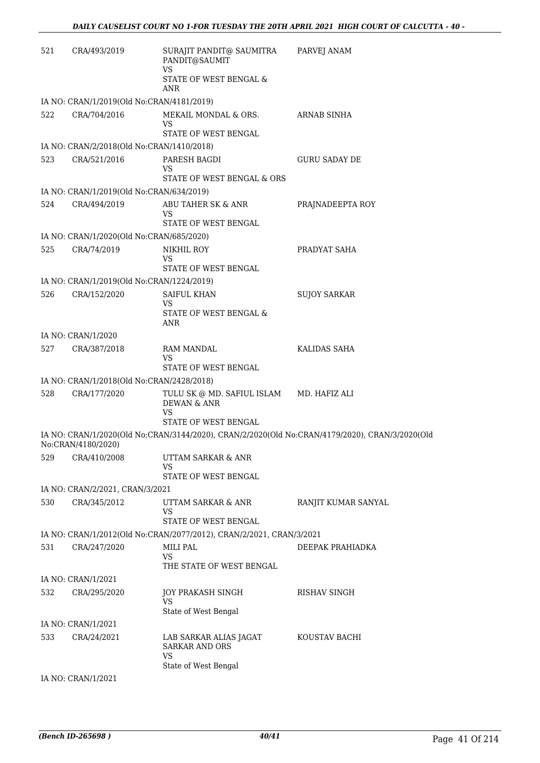| 521 | CRA/493/2019                              | SURAJIT PANDIT@ SAUMITRA<br>PANDIT@SAUMIT<br><b>VS</b>              | PARVEJ ANAM                                                                                    |
|-----|-------------------------------------------|---------------------------------------------------------------------|------------------------------------------------------------------------------------------------|
|     |                                           | STATE OF WEST BENGAL &<br><b>ANR</b>                                |                                                                                                |
|     | IA NO: CRAN/1/2019(Old No:CRAN/4181/2019) |                                                                     |                                                                                                |
| 522 | CRA/704/2016                              | MEKAIL MONDAL & ORS.<br>VS<br>STATE OF WEST BENGAL                  | ARNAB SINHA                                                                                    |
|     | IA NO: CRAN/2/2018(Old No:CRAN/1410/2018) |                                                                     |                                                                                                |
| 523 | CRA/521/2016                              | PARESH BAGDI                                                        | <b>GURU SADAY DE</b>                                                                           |
|     |                                           | VS<br>STATE OF WEST BENGAL & ORS                                    |                                                                                                |
|     | IA NO: CRAN/1/2019(Old No:CRAN/634/2019)  |                                                                     |                                                                                                |
| 524 | CRA/494/2019                              | ABU TAHER SK & ANR<br>VS<br>STATE OF WEST BENGAL                    | PRAJNADEEPTA ROY                                                                               |
|     | IA NO: CRAN/1/2020(Old No:CRAN/685/2020)  |                                                                     |                                                                                                |
| 525 | CRA/74/2019                               | NIKHIL ROY                                                          | PRADYAT SAHA                                                                                   |
|     |                                           | VS<br>STATE OF WEST BENGAL                                          |                                                                                                |
|     | IA NO: CRAN/1/2019(Old No:CRAN/1224/2019) |                                                                     |                                                                                                |
| 526 | CRA/152/2020                              | <b>SAIFUL KHAN</b><br>VS<br>STATE OF WEST BENGAL &                  | <b>SUJOY SARKAR</b>                                                                            |
|     |                                           | ANR                                                                 |                                                                                                |
|     | IA NO: CRAN/1/2020                        |                                                                     |                                                                                                |
| 527 | CRA/387/2018                              | <b>RAM MANDAL</b><br>VS<br>STATE OF WEST BENGAL                     | KALIDAS SAHA                                                                                   |
|     | IA NO: CRAN/1/2018(Old No:CRAN/2428/2018) |                                                                     |                                                                                                |
| 528 | CRA/177/2020                              | TULU SK @ MD. SAFIUL ISLAM<br>DEWAN & ANR<br>VS                     | MD. HAFIZ ALI                                                                                  |
|     |                                           | STATE OF WEST BENGAL                                                |                                                                                                |
|     | No:CRAN/4180/2020)                        |                                                                     | IA NO: CRAN/1/2020(Old No:CRAN/3144/2020), CRAN/2/2020(Old No:CRAN/4179/2020), CRAN/3/2020(Old |
| 529 | CRA/410/2008                              | UTTAM SARKAR & ANR<br>VS<br>STATE OF WEST BENGAL                    |                                                                                                |
|     | IA NO: CRAN/2/2021, CRAN/3/2021           |                                                                     |                                                                                                |
| 530 | CRA/345/2012                              | UTTAM SARKAR & ANR<br>VS                                            | RANJIT KUMAR SANYAL                                                                            |
|     |                                           | <b>STATE OF WEST BENGAL</b>                                         |                                                                                                |
|     |                                           | IA NO: CRAN/1/2012(Old No:CRAN/2077/2012), CRAN/2/2021, CRAN/3/2021 |                                                                                                |
| 531 | CRA/247/2020                              | MILI PAL<br><b>VS</b><br>THE STATE OF WEST BENGAL                   | DEEPAK PRAHIADKA                                                                               |
|     | IA NO: CRAN/1/2021                        |                                                                     |                                                                                                |
| 532 | CRA/295/2020                              | JOY PRAKASH SINGH<br>VS                                             | RISHAV SINGH                                                                                   |
|     |                                           | State of West Bengal                                                |                                                                                                |
|     | IA NO: CRAN/1/2021                        |                                                                     |                                                                                                |
| 533 | CRA/24/2021                               | LAB SARKAR ALIAS JAGAT<br><b>SARKAR AND ORS</b><br>VS               | KOUSTAV BACHI                                                                                  |
|     |                                           | State of West Bengal                                                |                                                                                                |
|     | IA NO: CRAN/1/2021                        |                                                                     |                                                                                                |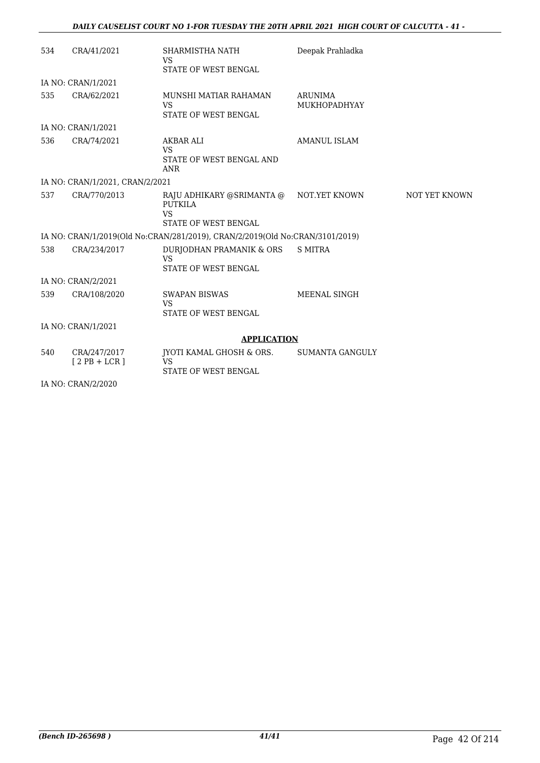| 534 | CRA/41/2021                     | SHARMISTHA NATH<br><b>VS</b><br>STATE OF WEST BENGAL                             | Deepak Prahladka                      |               |
|-----|---------------------------------|----------------------------------------------------------------------------------|---------------------------------------|---------------|
|     | IA NO: CRAN/1/2021              |                                                                                  |                                       |               |
| 535 | CRA/62/2021                     | MUNSHI MATIAR RAHAMAN<br><b>VS</b><br>STATE OF WEST BENGAL                       | <b>ARUNIMA</b><br><b>MUKHOPADHYAY</b> |               |
|     | IA NO: CRAN/1/2021              |                                                                                  |                                       |               |
| 536 | CRA/74/2021                     | AKBAR ALI<br><b>VS</b><br>STATE OF WEST BENGAL AND<br><b>ANR</b>                 | <b>AMANUL ISLAM</b>                   |               |
|     | IA NO: CRAN/1/2021, CRAN/2/2021 |                                                                                  |                                       |               |
| 537 | CRA/770/2013                    | RAJU ADHIKARY @SRIMANTA @<br>PUTKILA<br><b>VS</b><br><b>STATE OF WEST BENGAL</b> | NOT.YET KNOWN                         | NOT YET KNOWN |
|     |                                 | IA NO: CRAN/1/2019(Old No:CRAN/281/2019), CRAN/2/2019(Old No:CRAN/3101/2019)     |                                       |               |
| 538 | CRA/234/2017                    | DURJODHAN PRAMANIK & ORS<br><b>VS</b><br>STATE OF WEST BENGAL                    | <b>S MITRA</b>                        |               |
|     | IA NO: CRAN/2/2021              |                                                                                  |                                       |               |
| 539 | CRA/108/2020                    | <b>SWAPAN BISWAS</b><br><b>VS</b><br><b>STATE OF WEST BENGAL</b>                 | MEENAL SINGH                          |               |
|     | IA NO: CRAN/1/2021              |                                                                                  |                                       |               |
|     |                                 | <b>APPLICATION</b>                                                               |                                       |               |
| 540 | CRA/247/2017<br>$[2PB + LCR]$   | IYOTI KAMAL GHOSH & ORS.<br><b>VS</b><br>STATE OF WEST BENGAL                    | <b>SUMANTA GANGULY</b>                |               |
|     | <b>IA MO ODAMIO 19090</b>       |                                                                                  |                                       |               |

IA NO: CRAN/2/2020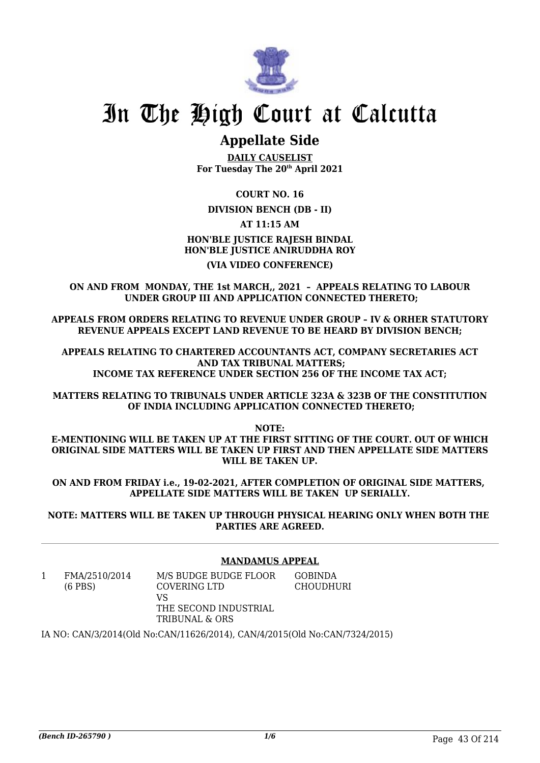

## **Appellate Side**

**DAILY CAUSELIST For Tuesday The 20th April 2021**

**COURT NO. 16**

**DIVISION BENCH (DB - II)**

**AT 11:15 AM**

**HON'BLE JUSTICE RAJESH BINDAL HON'BLE JUSTICE ANIRUDDHA ROY (VIA VIDEO CONFERENCE)**

**ON AND FROM MONDAY, THE 1st MARCH,, 2021 – APPEALS RELATING TO LABOUR UNDER GROUP III AND APPLICATION CONNECTED THERETO;**

**APPEALS FROM ORDERS RELATING TO REVENUE UNDER GROUP – IV & ORHER STATUTORY REVENUE APPEALS EXCEPT LAND REVENUE TO BE HEARD BY DIVISION BENCH;**

**APPEALS RELATING TO CHARTERED ACCOUNTANTS ACT, COMPANY SECRETARIES ACT AND TAX TRIBUNAL MATTERS; INCOME TAX REFERENCE UNDER SECTION 256 OF THE INCOME TAX ACT;**

**MATTERS RELATING TO TRIBUNALS UNDER ARTICLE 323A & 323B OF THE CONSTITUTION OF INDIA INCLUDING APPLICATION CONNECTED THERETO;**

**NOTE:**

**E-MENTIONING WILL BE TAKEN UP AT THE FIRST SITTING OF THE COURT. OUT OF WHICH ORIGINAL SIDE MATTERS WILL BE TAKEN UP FIRST AND THEN APPELLATE SIDE MATTERS WILL BE TAKEN UP.**

**ON AND FROM FRIDAY i.e., 19-02-2021, AFTER COMPLETION OF ORIGINAL SIDE MATTERS, APPELLATE SIDE MATTERS WILL BE TAKEN UP SERIALLY.**

**NOTE: MATTERS WILL BE TAKEN UP THROUGH PHYSICAL HEARING ONLY WHEN BOTH THE PARTIES ARE AGREED.**

### **MANDAMUS APPEAL**

1 FMA/2510/2014 (6 PBS) M/S BUDGE BUDGE FLOOR COVERING LTD VS THE SECOND INDUSTRIAL TRIBUNAL & ORS GOBINDA **CHOUDHURI** 

IA NO: CAN/3/2014(Old No:CAN/11626/2014), CAN/4/2015(Old No:CAN/7324/2015)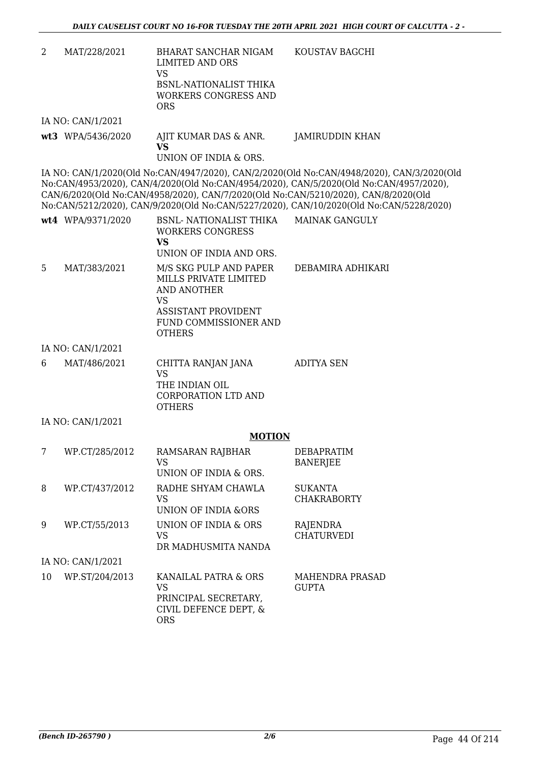- 2 MAT/228/2021 BHARAT SANCHAR NIGAM LIMITED AND ORS VS BSNL-NATIONALIST THIKA WORKERS CONGRESS AND ORS KOUSTAV BAGCHI IA NO: CAN/1/2021
- **wt3** WPA/5436/2020 AJIT KUMAR DAS & ANR. **VS** UNION OF INDIA & ORS. JAMIRUDDIN KHAN

IA NO: CAN/1/2020(Old No:CAN/4947/2020), CAN/2/2020(Old No:CAN/4948/2020), CAN/3/2020(Old No:CAN/4953/2020), CAN/4/2020(Old No:CAN/4954/2020), CAN/5/2020(Old No:CAN/4957/2020), CAN/6/2020(Old No:CAN/4958/2020), CAN/7/2020(Old No:CAN/5210/2020), CAN/8/2020(Old No:CAN/5212/2020), CAN/9/2020(Old No:CAN/5227/2020), CAN/10/2020(Old No:CAN/5228/2020)

|   | wt4 WPA/9371/2020 | BSNL- NATIONALIST THIKA<br><b>WORKERS CONGRESS</b><br>VS<br>UNION OF INDIA AND ORS. | <b>MAINAK GANGULY</b> |
|---|-------------------|-------------------------------------------------------------------------------------|-----------------------|
| 5 | MAT/383/2021      | M/S SKG PULP AND PAPER<br>MILLS PRIVATE LIMITED<br>AND ANOTHER                      | DEBAMIRA ADHIKARI     |

ASSISTANT PROVIDENT

| FUND COMMISSIONER AND |
|-----------------------|
| <b>OTHERS</b>         |

#### IA NO: CAN/1/2021

| 6 | MAT/486/2021 | CHITTA RANJAN JANA  | ADITYA SEN |
|---|--------------|---------------------|------------|
|   |              | VS                  |            |
|   |              | THE INDIAN OIL      |            |
|   |              | CORPORATION LTD AND |            |
|   |              | <b>OTHERS</b>       |            |

### IA NO: CAN/1/2021

### **MOTION**

| 7  | WP.CT/285/2012    | RAMSARAN RAJBHAR<br>VS<br>UNION OF INDIA & ORS.                                           | <b>DEBAPRATIM</b><br><b>BANERJEE</b>   |
|----|-------------------|-------------------------------------------------------------------------------------------|----------------------------------------|
| 8  | WP.CT/437/2012    | RADHE SHYAM CHAWLA<br>VS<br>UNION OF INDIA &ORS                                           | <b>SUKANTA</b><br><b>CHAKRABORTY</b>   |
| 9  | WP.CT/55/2013     | UNION OF INDIA & ORS<br>VS<br>DR MADHUSMITA NANDA                                         | RAJENDRA<br><b>CHATURVEDI</b>          |
|    | IA NO: CAN/1/2021 |                                                                                           |                                        |
| 10 | WP.ST/204/2013    | KANAILAL PATRA & ORS<br>VS<br>PRINCIPAL SECRETARY,<br>CIVIL DEFENCE DEPT, &<br><b>ORS</b> | <b>MAHENDRA PRASAD</b><br><b>GUPTA</b> |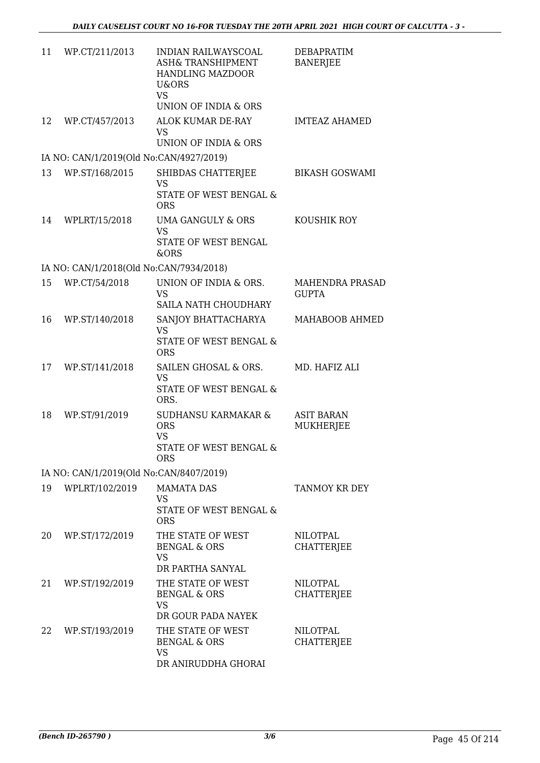| 11 | WP.CT/211/2013                          | INDIAN RAILWAYSCOAL<br>ASH& TRANSHIPMENT<br><b>HANDLING MAZDOOR</b><br>U&ORS<br><b>VS</b>         | <b>DEBAPRATIM</b><br><b>BANERJEE</b>   |
|----|-----------------------------------------|---------------------------------------------------------------------------------------------------|----------------------------------------|
| 12 | WP.CT/457/2013                          | UNION OF INDIA & ORS<br>ALOK KUMAR DE-RAY<br><b>VS</b>                                            | <b>IMTEAZ AHAMED</b>                   |
|    | IA NO: CAN/1/2019(Old No:CAN/4927/2019) | UNION OF INDIA & ORS                                                                              |                                        |
| 13 | WP.ST/168/2015                          | SHIBDAS CHATTERJEE                                                                                | <b>BIKASH GOSWAMI</b>                  |
|    |                                         | <b>VS</b><br>STATE OF WEST BENGAL &<br><b>ORS</b>                                                 |                                        |
| 14 | WPLRT/15/2018                           | UMA GANGULY & ORS<br><b>VS</b><br>STATE OF WEST BENGAL<br>&ORS                                    | KOUSHIK ROY                            |
|    | IA NO: CAN/1/2018(Old No:CAN/7934/2018) |                                                                                                   |                                        |
| 15 | WP.CT/54/2018                           | UNION OF INDIA & ORS.<br><b>VS</b><br>SAILA NATH CHOUDHARY                                        | <b>MAHENDRA PRASAD</b><br><b>GUPTA</b> |
| 16 | WP.ST/140/2018                          | SANJOY BHATTACHARYA<br><b>VS</b><br>STATE OF WEST BENGAL &                                        | MAHABOOB AHMED                         |
| 17 | WP.ST/141/2018                          | <b>ORS</b><br>SAILEN GHOSAL & ORS.<br><b>VS</b><br>STATE OF WEST BENGAL &<br>ORS.                 | MD. HAFIZ ALI                          |
| 18 | WP.ST/91/2019                           | <b>SUDHANSU KARMAKAR &amp;</b><br><b>ORS</b><br><b>VS</b><br>STATE OF WEST BENGAL &<br><b>ORS</b> | <b>ASIT BARAN</b><br><b>MUKHERJEE</b>  |
|    | IA NO: CAN/1/2019(Old No:CAN/8407/2019) |                                                                                                   |                                        |
| 19 | WPLRT/102/2019                          | <b>MAMATA DAS</b><br><b>VS</b><br>STATE OF WEST BENGAL &<br><b>ORS</b>                            | <b>TANMOY KR DEY</b>                   |
| 20 | WP.ST/172/2019                          | THE STATE OF WEST<br><b>BENGAL &amp; ORS</b><br><b>VS</b><br>DR PARTHA SANYAL                     | NILOTPAL<br><b>CHATTERJEE</b>          |
| 21 | WP.ST/192/2019                          | THE STATE OF WEST<br><b>BENGAL &amp; ORS</b><br><b>VS</b><br>DR GOUR PADA NAYEK                   | NILOTPAL<br><b>CHATTERJEE</b>          |
| 22 | WP.ST/193/2019                          | THE STATE OF WEST<br><b>BENGAL &amp; ORS</b><br><b>VS</b><br>DR ANIRUDDHA GHORAI                  | NILOTPAL<br>CHATTERJEE                 |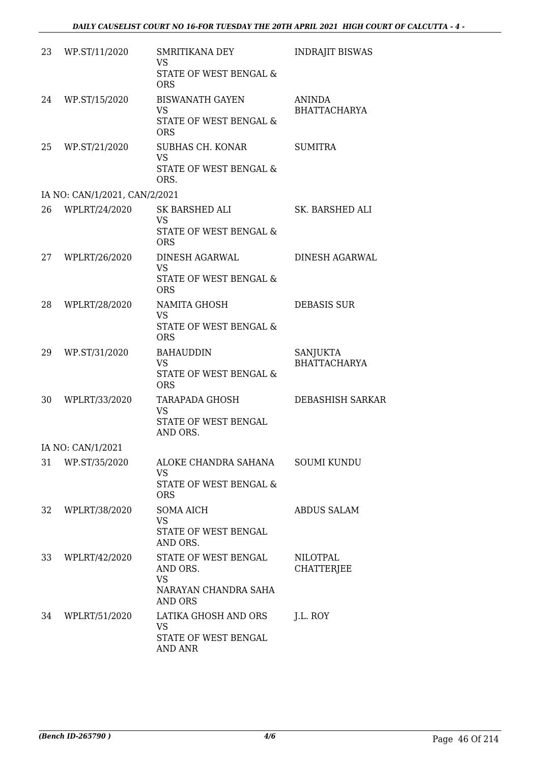| 23 | WP.ST/11/2020                 | SMRITIKANA DEY<br><b>VS</b><br>STATE OF WEST BENGAL &<br><b>ORS</b>              | <b>INDRAJIT BISWAS</b>               |
|----|-------------------------------|----------------------------------------------------------------------------------|--------------------------------------|
| 24 | WP.ST/15/2020                 | <b>BISWANATH GAYEN</b><br><b>VS</b><br>STATE OF WEST BENGAL &<br><b>ORS</b>      | <b>ANINDA</b><br><b>BHATTACHARYA</b> |
| 25 | WP.ST/21/2020                 | SUBHAS CH. KONAR<br><b>VS</b><br>STATE OF WEST BENGAL &<br>ORS.                  | <b>SUMITRA</b>                       |
|    | IA NO: CAN/1/2021, CAN/2/2021 |                                                                                  |                                      |
| 26 | WPLRT/24/2020                 | SK BARSHED ALI<br><b>VS</b><br>STATE OF WEST BENGAL &<br><b>ORS</b>              | SK. BARSHED ALI                      |
| 27 | WPLRT/26/2020                 | DINESH AGARWAL<br><b>VS</b><br>STATE OF WEST BENGAL &<br><b>ORS</b>              | DINESH AGARWAL                       |
| 28 | WPLRT/28/2020                 | NAMITA GHOSH<br><b>VS</b><br>STATE OF WEST BENGAL &<br><b>ORS</b>                | <b>DEBASIS SUR</b>                   |
| 29 | WP.ST/31/2020                 | <b>BAHAUDDIN</b><br><b>VS</b><br>STATE OF WEST BENGAL &<br><b>ORS</b>            | SANJUKTA<br><b>BHATTACHARYA</b>      |
| 30 | WPLRT/33/2020                 | TARAPADA GHOSH<br><b>VS</b><br><b>STATE OF WEST BENGAL</b><br>AND ORS.           | DEBASHISH SARKAR                     |
|    | IA NO: CAN/1/2021             |                                                                                  |                                      |
| 31 | WP.ST/35/2020                 | ALOKE CHANDRA SAHANA<br>VS<br>STATE OF WEST BENGAL &<br><b>ORS</b>               | <b>SOUMI KUNDU</b>                   |
| 32 | WPLRT/38/2020                 | SOMA AICH<br><b>VS</b><br>STATE OF WEST BENGAL<br>AND ORS.                       | <b>ABDUS SALAM</b>                   |
| 33 | WPLRT/42/2020                 | STATE OF WEST BENGAL<br>AND ORS.<br><b>VS</b><br>NARAYAN CHANDRA SAHA<br>AND ORS | <b>NILOTPAL</b><br><b>CHATTERJEE</b> |
| 34 | WPLRT/51/2020                 | LATIKA GHOSH AND ORS<br><b>VS</b><br>STATE OF WEST BENGAL<br>AND ANR             | J.L. ROY                             |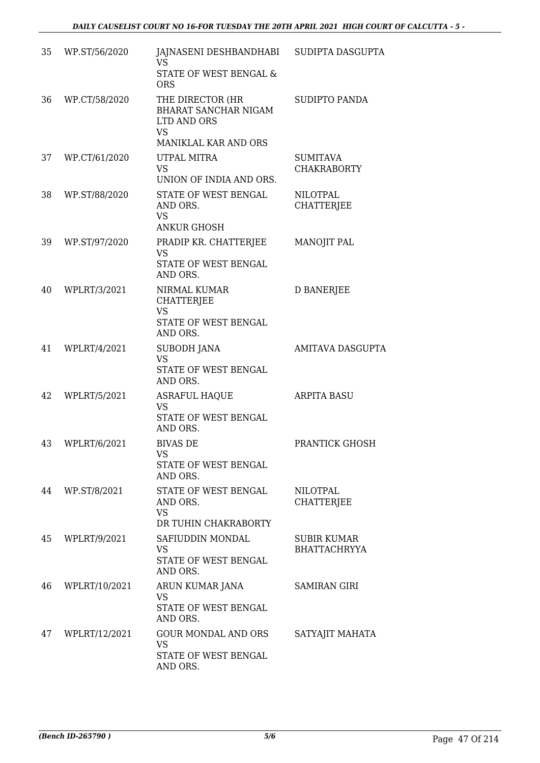| 35 | WP.ST/56/2020 | JAJNASENI DESHBANDHABI       SUDIPTA DASGUPTA<br>VS.<br>STATE OF WEST BENGAL &     |                                           |
|----|---------------|------------------------------------------------------------------------------------|-------------------------------------------|
| 36 | WP.CT/58/2020 | <b>ORS</b><br>THE DIRECTOR (HR                                                     | <b>SUDIPTO PANDA</b>                      |
|    |               | BHARAT SANCHAR NIGAM<br>LTD AND ORS<br><b>VS</b>                                   |                                           |
|    |               | MANIKLAL KAR AND ORS                                                               |                                           |
| 37 | WP.CT/61/2020 | UTPAL MITRA<br><b>VS</b><br>UNION OF INDIA AND ORS.                                | <b>SUMITAVA</b><br><b>CHAKRABORTY</b>     |
| 38 | WP.ST/88/2020 | STATE OF WEST BENGAL<br>AND ORS.<br><b>VS</b><br><b>ANKUR GHOSH</b>                | <b>NILOTPAL</b><br><b>CHATTERJEE</b>      |
| 39 | WP.ST/97/2020 | PRADIP KR. CHATTERJEE<br><b>VS</b><br>STATE OF WEST BENGAL                         | MANOJIT PAL                               |
|    |               | AND ORS.                                                                           |                                           |
| 40 | WPLRT/3/2021  | NIRMAL KUMAR<br><b>CHATTERJEE</b><br><b>VS</b><br>STATE OF WEST BENGAL<br>AND ORS. | <b>D BANERJEE</b>                         |
| 41 | WPLRT/4/2021  | SUBODH JANA<br><b>VS</b><br>STATE OF WEST BENGAL<br>AND ORS.                       | <b>AMITAVA DASGUPTA</b>                   |
| 42 | WPLRT/5/2021  | <b>ASRAFUL HAQUE</b><br>VS                                                         | <b>ARPITA BASU</b>                        |
|    |               | STATE OF WEST BENGAL<br>AND ORS.                                                   |                                           |
| 43 | WPLRT/6/2021  | <b>BIVAS DE</b><br>VS<br>STATE OF WEST BENGAL                                      | PRANTICK GHOSH                            |
|    |               | AND ORS.                                                                           |                                           |
| 44 | WP.ST/8/2021  | STATE OF WEST BENGAL<br>AND ORS.<br><b>VS</b>                                      | <b>NILOTPAL</b><br><b>CHATTERJEE</b>      |
|    |               | DR TUHIN CHAKRABORTY                                                               |                                           |
| 45 | WPLRT/9/2021  | SAFIUDDIN MONDAL<br>VS<br>STATE OF WEST BENGAL<br>AND ORS.                         | <b>SUBIR KUMAR</b><br><b>BHATTACHRYYA</b> |
| 46 | WPLRT/10/2021 | ARUN KUMAR JANA<br><b>VS</b><br>STATE OF WEST BENGAL                               | <b>SAMIRAN GIRI</b>                       |
| 47 | WPLRT/12/2021 | AND ORS.<br><b>GOUR MONDAL AND ORS</b><br><b>VS</b>                                | SATYAJIT MAHATA                           |
|    |               | STATE OF WEST BENGAL<br>AND ORS.                                                   |                                           |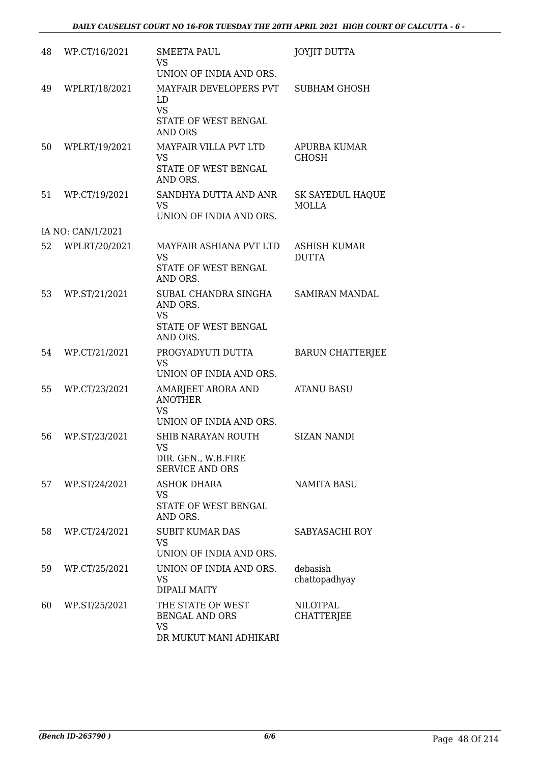| 48 | WP.CT/16/2021     | <b>SMEETA PAUL</b><br><b>VS</b><br>UNION OF INDIA AND ORS.                          | <b>JOYJIT DUTTA</b>                     |
|----|-------------------|-------------------------------------------------------------------------------------|-----------------------------------------|
| 49 | WPLRT/18/2021     | MAYFAIR DEVELOPERS PVT<br>LD<br><b>VS</b><br>STATE OF WEST BENGAL<br><b>AND ORS</b> | <b>SUBHAM GHOSH</b>                     |
| 50 | WPLRT/19/2021     | <b>MAYFAIR VILLA PVT LTD</b><br><b>VS</b><br>STATE OF WEST BENGAL<br>AND ORS.       | <b>APURBA KUMAR</b><br><b>GHOSH</b>     |
| 51 | WP.CT/19/2021     | SANDHYA DUTTA AND ANR<br><b>VS</b><br>UNION OF INDIA AND ORS.                       | <b>SK SAYEDUL HAQUE</b><br><b>MOLLA</b> |
|    | IA NO: CAN/1/2021 |                                                                                     |                                         |
| 52 | WPLRT/20/2021     | MAYFAIR ASHIANA PVT LTD<br><b>VS</b><br>STATE OF WEST BENGAL<br>AND ORS.            | <b>ASHISH KUMAR</b><br><b>DUTTA</b>     |
| 53 | WP.ST/21/2021     | SUBAL CHANDRA SINGHA<br>AND ORS.<br><b>VS</b><br>STATE OF WEST BENGAL<br>AND ORS.   | <b>SAMIRAN MANDAL</b>                   |
| 54 | WP.CT/21/2021     | PROGYADYUTI DUTTA<br><b>VS</b><br>UNION OF INDIA AND ORS.                           | <b>BARUN CHATTERJEE</b>                 |
| 55 | WP.CT/23/2021     | AMARJEET ARORA AND<br><b>ANOTHER</b><br><b>VS</b><br>UNION OF INDIA AND ORS.        | <b>ATANU BASU</b>                       |
| 56 | WP.ST/23/2021     | SHIB NARAYAN ROUTH<br><b>VS</b><br>DIR. GEN., W.B.FIRE<br><b>SERVICE AND ORS</b>    | <b>SIZAN NANDI</b>                      |
| 57 | WP.ST/24/2021     | <b>ASHOK DHARA</b><br><b>VS</b><br>STATE OF WEST BENGAL<br>AND ORS.                 | <b>NAMITA BASU</b>                      |
| 58 | WP.CT/24/2021     | <b>SUBIT KUMAR DAS</b><br><b>VS</b><br>UNION OF INDIA AND ORS.                      | SABYASACHI ROY                          |
| 59 | WP.CT/25/2021     | UNION OF INDIA AND ORS.<br><b>VS</b><br><b>DIPALI MAITY</b>                         | debasish<br>chattopadhyay               |
| 60 | WP.ST/25/2021     | THE STATE OF WEST<br><b>BENGAL AND ORS</b><br><b>VS</b><br>DR MUKUT MANI ADHIKARI   | <b>NILOTPAL</b><br><b>CHATTERJEE</b>    |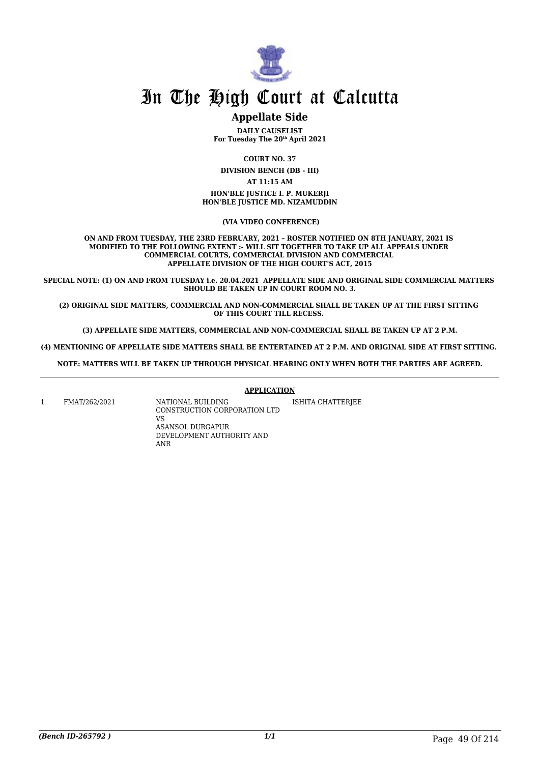

### **Appellate Side**

**DAILY CAUSELIST For Tuesday The 20th April 2021**

**COURT NO. 37**

**DIVISION BENCH (DB - III)**

**AT 11:15 AM**

**HON'BLE JUSTICE I. P. MUKERJI HON'BLE JUSTICE MD. NIZAMUDDIN**

 **(VIA VIDEO CONFERENCE)**

**ON AND FROM TUESDAY, THE 23RD FEBRUARY, 2021 – ROSTER NOTIFIED ON 8TH JANUARY, 2021 IS MODIFIED TO THE FOLLOWING EXTENT :- WILL SIT TOGETHER TO TAKE UP ALL APPEALS UNDER COMMERCIAL COURTS, COMMERCIAL DIVISION AND COMMERCIAL APPELLATE DIVISION OF THE HIGH COURT'S ACT, 2015**

**SPECIAL NOTE: (1) ON AND FROM TUESDAY i.e. 20.04.2021 APPELLATE SIDE AND ORIGINAL SIDE COMMERCIAL MATTERS SHOULD BE TAKEN UP IN COURT ROOM NO. 3.**

**(2) ORIGINAL SIDE MATTERS, COMMERCIAL AND NON-COMMERCIAL SHALL BE TAKEN UP AT THE FIRST SITTING OF THIS COURT TILL RECESS.** 

**(3) APPELLATE SIDE MATTERS, COMMERCIAL AND NON-COMMERCIAL SHALL BE TAKEN UP AT 2 P.M.**

**(4) MENTIONING OF APPELLATE SIDE MATTERS SHALL BE ENTERTAINED AT 2 P.M. AND ORIGINAL SIDE AT FIRST SITTING.** 

**NOTE: MATTERS WILL BE TAKEN UP THROUGH PHYSICAL HEARING ONLY WHEN BOTH THE PARTIES ARE AGREED.**

#### **APPLICATION**

1 FMAT/262/2021 NATIONAL BUILDING CONSTRUCTION CORPORATION LTD VS ASANSOL DURGAPUR DEVELOPMENT AUTHORITY AND ANR ISHITA CHATTERJEE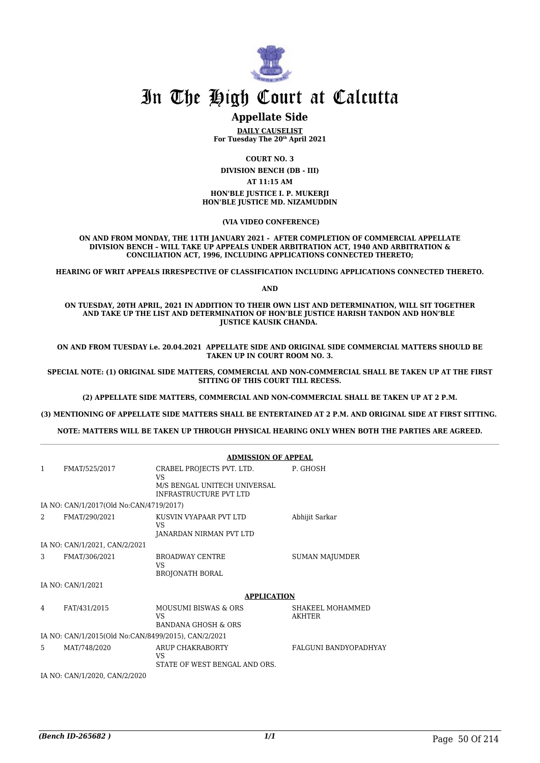

### **Appellate Side**

**DAILY CAUSELIST For Tuesday The 20th April 2021**

**COURT NO. 3**

**DIVISION BENCH (DB - III)**

**AT 11:15 AM**

**HON'BLE JUSTICE I. P. MUKERJI HON'BLE JUSTICE MD. NIZAMUDDIN**

 **(VIA VIDEO CONFERENCE)**

**ON AND FROM MONDAY, THE 11TH JANUARY 2021 - AFTER COMPLETION OF COMMERCIAL APPELLATE DIVISION BENCH – WILL TAKE UP APPEALS UNDER ARBITRATION ACT, 1940 AND ARBITRATION & CONCILIATION ACT, 1996, INCLUDING APPLICATIONS CONNECTED THERETO;**

**HEARING OF WRIT APPEALS IRRESPECTIVE OF CLASSIFICATION INCLUDING APPLICATIONS CONNECTED THERETO.**

**AND**

**ON TUESDAY, 20TH APRIL, 2021 IN ADDITION TO THEIR OWN LIST AND DETERMINATION, WILL SIT TOGETHER AND TAKE UP THE LIST AND DETERMINATION OF HON'BLE JUSTICE HARISH TANDON AND HON'BLE JUSTICE KAUSIK CHANDA.** 

**ON AND FROM TUESDAY i.e. 20.04.2021 APPELLATE SIDE AND ORIGINAL SIDE COMMERCIAL MATTERS SHOULD BE TAKEN UP IN COURT ROOM NO. 3.**

**SPECIAL NOTE: (1) ORIGINAL SIDE MATTERS, COMMERCIAL AND NON-COMMERCIAL SHALL BE TAKEN UP AT THE FIRST SITTING OF THIS COURT TILL RECESS.** 

**(2) APPELLATE SIDE MATTERS, COMMERCIAL AND NON-COMMERCIAL SHALL BE TAKEN UP AT 2 P.M.**

**(3) MENTIONING OF APPELLATE SIDE MATTERS SHALL BE ENTERTAINED AT 2 P.M. AND ORIGINAL SIDE AT FIRST SITTING.** 

**NOTE: MATTERS WILL BE TAKEN UP THROUGH PHYSICAL HEARING ONLY WHEN BOTH THE PARTIES ARE AGREED.**

|              |                                                     | <b>ADMISSION OF APPEAL</b>                                                                |                                   |
|--------------|-----------------------------------------------------|-------------------------------------------------------------------------------------------|-----------------------------------|
| $\mathbf{1}$ | FMAT/525/2017                                       | CRABEL PROJECTS PVT. LTD.<br>VS<br>M/S BENGAL UNITECH UNIVERSAL<br>INFRASTRUCTURE PVT LTD | P. GHOSH                          |
|              | IA NO: CAN/1/2017(Old No:CAN/4719/2017)             |                                                                                           |                                   |
| 2            | FMAT/290/2021                                       | KUSVIN VYAPAAR PVT LTD<br>VS<br>JANARDAN NIRMAN PVT LTD                                   | Abhijit Sarkar                    |
|              | IA NO: CAN/1/2021, CAN/2/2021                       |                                                                                           |                                   |
| 3            | FMAT/306/2021                                       | <b>BROADWAY CENTRE</b><br>VS<br><b>BROJONATH BORAL</b>                                    | <b>SUMAN MAJUMDER</b>             |
|              | IA NO: CAN/1/2021                                   |                                                                                           |                                   |
|              |                                                     | <b>APPLICATION</b>                                                                        |                                   |
| 4            | FAT/431/2015                                        | <b>MOUSUMI BISWAS &amp; ORS</b><br>VS<br><b>BANDANA GHOSH &amp; ORS</b>                   | SHAKEEL MOHAMMED<br><b>AKHTER</b> |
|              | IA NO: CAN/1/2015(Old No:CAN/8499/2015), CAN/2/2021 |                                                                                           |                                   |
| 5            | MAT/748/2020                                        | <b>ARUP CHAKRABORTY</b><br>VS<br>STATE OF WEST BENGAL AND ORS.                            | <b>FALGUNI BANDYOPADHYAY</b>      |
|              | IA NO: CAN/1/2020, CAN/2/2020                       |                                                                                           |                                   |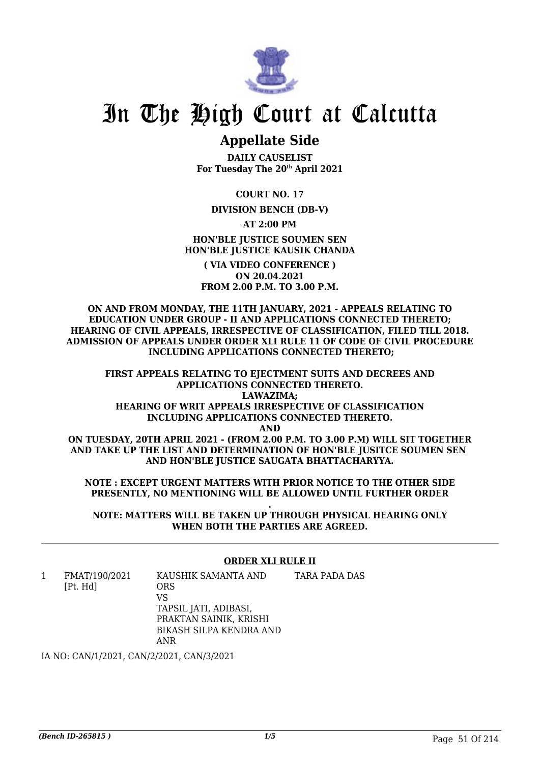

## **Appellate Side**

**DAILY CAUSELIST For Tuesday The 20th April 2021**

**COURT NO. 17**

**DIVISION BENCH (DB-V)**

**AT 2:00 PM**

**HON'BLE JUSTICE SOUMEN SEN HON'BLE JUSTICE KAUSIK CHANDA**

**( VIA VIDEO CONFERENCE ) ON 20.04.2021 FROM 2.00 P.M. TO 3.00 P.M.**

**ON AND FROM MONDAY, THE 11TH JANUARY, 2021 - APPEALS RELATING TO EDUCATION UNDER GROUP - II AND APPLICATIONS CONNECTED THERETO; HEARING OF CIVIL APPEALS, IRRESPECTIVE OF CLASSIFICATION, FILED TILL 2018. ADMISSION OF APPEALS UNDER ORDER XLI RULE 11 OF CODE OF CIVIL PROCEDURE INCLUDING APPLICATIONS CONNECTED THERETO;**

**FIRST APPEALS RELATING TO EIECTMENT SUITS AND DECREES AND APPLICATIONS CONNECTED THERETO. LAWAZIMA; HEARING OF WRIT APPEALS IRRESPECTIVE OF CLASSIFICATION INCLUDING APPLICATIONS CONNECTED THERETO.**

**AND**

**ON TUESDAY, 20TH APRIL 2021 - (FROM 2.00 P.M. TO 3.00 P.M) WILL SIT TOGETHER AND TAKE UP THE LIST AND DETERMINATION OF HON'BLE JUSITCE SOUMEN SEN AND HON'BLE JUSTICE SAUGATA BHATTACHARYYA.**

**NOTE : EXCEPT URGENT MATTERS WITH PRIOR NOTICE TO THE OTHER SIDE PRESENTLY, NO MENTIONING WILL BE ALLOWED UNTIL FURTHER ORDER**

**. NOTE: MATTERS WILL BE TAKEN UP THROUGH PHYSICAL HEARING ONLY WHEN BOTH THE PARTIES ARE AGREED.**

### **ORDER XLI RULE II**

1 FMAT/190/2021 [Pt. Hd] KAUSHIK SAMANTA AND ORS VS TAPSIL JATI, ADIBASI, PRAKTAN SAINIK, KRISHI BIKASH SILPA KENDRA AND ANR TARA PADA DAS

IA NO: CAN/1/2021, CAN/2/2021, CAN/3/2021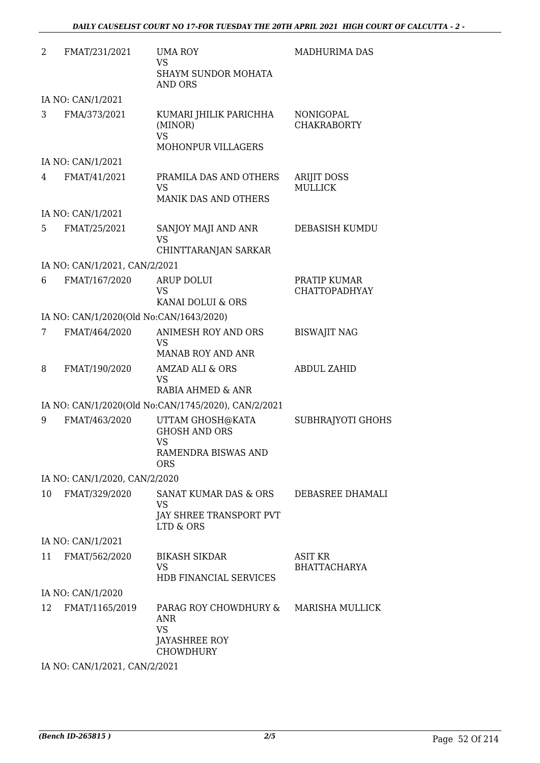| 2  | FMAT/231/2021                           | <b>UMA ROY</b><br><b>VS</b><br><b>SHAYM SUNDOR MOHATA</b><br><b>AND ORS</b>                | <b>MADHURIMA DAS</b>                  |
|----|-----------------------------------------|--------------------------------------------------------------------------------------------|---------------------------------------|
|    | IA NO: CAN/1/2021                       |                                                                                            |                                       |
| 3  | FMA/373/2021                            | KUMARI JHILIK PARICHHA<br>(MINOR)<br><b>VS</b><br>MOHONPUR VILLAGERS                       | NONIGOPAL<br><b>CHAKRABORTY</b>       |
|    | IA NO: CAN/1/2021                       |                                                                                            |                                       |
| 4  | FMAT/41/2021                            | PRAMILA DAS AND OTHERS<br><b>VS</b><br><b>MANIK DAS AND OTHERS</b>                         | <b>ARIJIT DOSS</b><br><b>MULLICK</b>  |
|    | IA NO: CAN/1/2021                       |                                                                                            |                                       |
| 5  | FMAT/25/2021                            | SANJOY MAJI AND ANR<br><b>VS</b><br>CHINTTARANJAN SARKAR                                   | <b>DEBASISH KUMDU</b>                 |
|    | IA NO: CAN/1/2021, CAN/2/2021           |                                                                                            |                                       |
| 6  | FMAT/167/2020                           | <b>ARUP DOLUI</b><br><b>VS</b><br>KANAI DOLUI & ORS                                        | PRATIP KUMAR<br><b>CHATTOPADHYAY</b>  |
|    | IA NO: CAN/1/2020(Old No:CAN/1643/2020) |                                                                                            |                                       |
| 7  | FMAT/464/2020                           | <b>ANIMESH ROY AND ORS</b><br><b>VS</b>                                                    | <b>BISWAJIT NAG</b>                   |
|    |                                         | <b>MANAB ROY AND ANR</b>                                                                   |                                       |
| 8  | FMAT/190/2020                           | <b>AMZAD ALI &amp; ORS</b><br><b>VS</b><br>RABIA AHMED & ANR                               | <b>ABDUL ZAHID</b>                    |
|    |                                         | IA NO: CAN/1/2020(Old No:CAN/1745/2020), CAN/2/2021                                        |                                       |
| 9  | FMAT/463/2020                           | UTTAM GHOSH@KATA<br><b>GHOSH AND ORS</b><br><b>VS</b><br>RAMENDRA BISWAS AND<br><b>ORS</b> | SUBHRAJYOTI GHOHS                     |
|    | IA NO: CAN/1/2020, CAN/2/2020           |                                                                                            |                                       |
| 10 | FMAT/329/2020                           | SANAT KUMAR DAS & ORS<br><b>VS</b><br>JAY SHREE TRANSPORT PVT<br>LTD & ORS                 | DEBASREE DHAMALI                      |
|    | IA NO: CAN/1/2021                       |                                                                                            |                                       |
| 11 | FMAT/562/2020                           | <b>BIKASH SIKDAR</b><br><b>VS</b>                                                          | <b>ASIT KR</b><br><b>BHATTACHARYA</b> |
|    | IA NO: CAN/1/2020                       | <b>HDB FINANCIAL SERVICES</b>                                                              |                                       |
| 12 | FMAT/1165/2019                          | PARAG ROY CHOWDHURY &                                                                      | MARISHA MULLICK                       |
|    |                                         | <b>ANR</b><br><b>VS</b><br><b>JAYASHREE ROY</b><br><b>CHOWDHURY</b>                        |                                       |
|    | IA NO: CAN/1/2021, CAN/2/2021           |                                                                                            |                                       |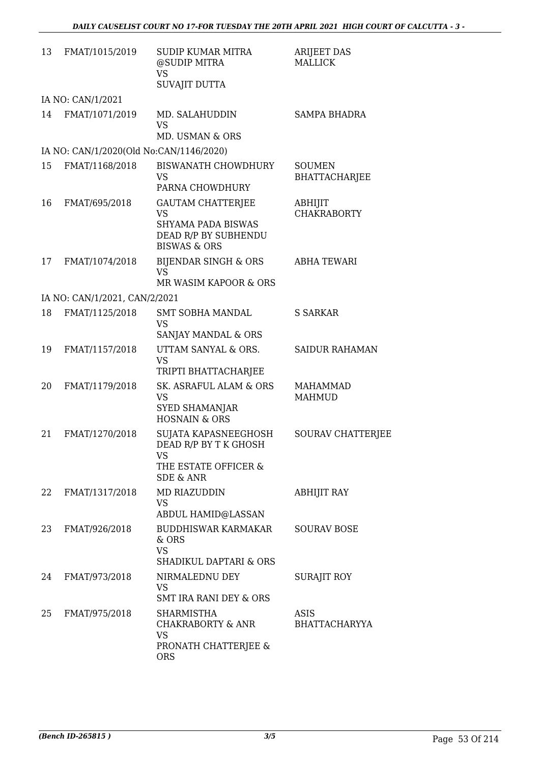| 13 | FMAT/1015/2019                          | <b>SUDIP KUMAR MITRA</b><br>@SUDIP MITRA<br><b>VS</b><br><b>SUVAJIT DUTTA</b>                                  | ARIJEET DAS<br><b>MALLICK</b>         |
|----|-----------------------------------------|----------------------------------------------------------------------------------------------------------------|---------------------------------------|
|    | IA NO: CAN/1/2021                       |                                                                                                                |                                       |
| 14 | FMAT/1071/2019                          | MD. SALAHUDDIN<br><b>VS</b><br>MD. USMAN & ORS                                                                 | <b>SAMPA BHADRA</b>                   |
|    | IA NO: CAN/1/2020(Old No:CAN/1146/2020) |                                                                                                                |                                       |
| 15 | FMAT/1168/2018                          | <b>BISWANATH CHOWDHURY</b><br><b>VS</b><br>PARNA CHOWDHURY                                                     | <b>SOUMEN</b><br><b>BHATTACHARJEE</b> |
| 16 | FMAT/695/2018                           | <b>GAUTAM CHATTERJEE</b><br><b>VS</b><br>SHYAMA PADA BISWAS<br>DEAD R/P BY SUBHENDU<br><b>BISWAS &amp; ORS</b> | ABHIJIT<br><b>CHAKRABORTY</b>         |
| 17 | FMAT/1074/2018                          | BIJENDAR SINGH & ORS<br><b>VS</b><br>MR WASIM KAPOOR & ORS                                                     | <b>ABHA TEWARI</b>                    |
|    | IA NO: CAN/1/2021, CAN/2/2021           |                                                                                                                |                                       |
| 18 | FMAT/1125/2018                          | SMT SOBHA MANDAL<br><b>VS</b><br>SANJAY MANDAL & ORS                                                           | <b>S SARKAR</b>                       |
| 19 | FMAT/1157/2018                          | UTTAM SANYAL & ORS.<br><b>VS</b><br>TRIPTI BHATTACHARJEE                                                       | <b>SAIDUR RAHAMAN</b>                 |
| 20 | FMAT/1179/2018                          | SK. ASRAFUL ALAM & ORS<br><b>VS</b><br><b>SYED SHAMANJAR</b><br><b>HOSNAIN &amp; ORS</b>                       | MAHAMMAD<br><b>MAHMUD</b>             |
| 21 | FMAT/1270/2018                          | SUJATA KAPASNEEGHOSH<br>DEAD R/P BY T K GHOSH<br>VS<br>THE ESTATE OFFICER &<br><b>SDE &amp; ANR</b>            | <b>SOURAV CHATTERJEE</b>              |
| 22 | FMAT/1317/2018                          | MD RIAZUDDIN<br><b>VS</b><br><b>ABDUL HAMID@LASSAN</b>                                                         | <b>ABHIJIT RAY</b>                    |
| 23 | FMAT/926/2018                           | <b>BUDDHISWAR KARMAKAR</b><br>& ORS<br><b>VS</b><br><b>SHADIKUL DAPTARI &amp; ORS</b>                          | <b>SOURAV BOSE</b>                    |
| 24 | FMAT/973/2018                           | NIRMALEDNU DEY<br><b>VS</b><br>SMT IRA RANI DEY & ORS                                                          | SURAJIT ROY                           |
| 25 | FMAT/975/2018                           | SHARMISTHA<br>CHAKRABORTY & ANR<br><b>VS</b><br>PRONATH CHATTERJEE &<br><b>ORS</b>                             | <b>ASIS</b><br><b>BHATTACHARYYA</b>   |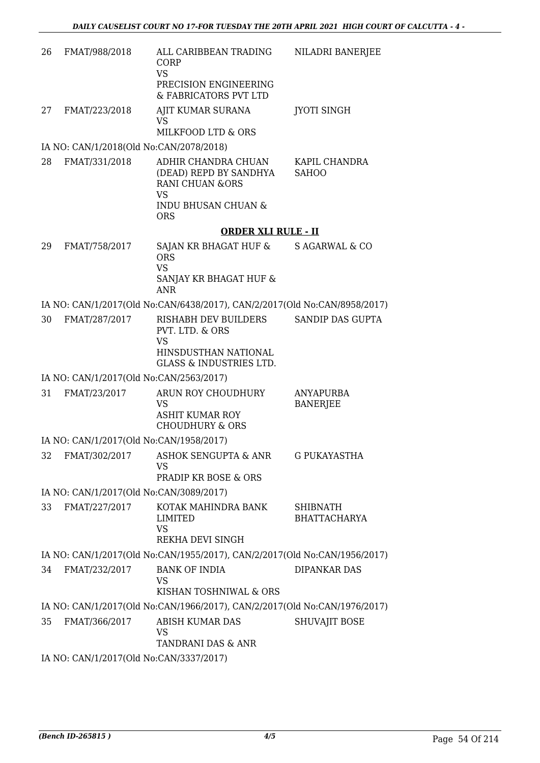| 26 | FMAT/988/2018                           | ALL CARIBBEAN TRADING<br>CORP<br><b>VS</b><br>PRECISION ENGINEERING<br>& FABRICATORS PVT LTD                       | NILADRI BANERJEE                       |
|----|-----------------------------------------|--------------------------------------------------------------------------------------------------------------------|----------------------------------------|
| 27 | FMAT/223/2018                           | AJIT KUMAR SURANA<br><b>VS</b><br>MILKFOOD LTD & ORS                                                               | <b>JYOTI SINGH</b>                     |
|    | IA NO: CAN/1/2018(Old No:CAN/2078/2018) |                                                                                                                    |                                        |
| 28 | FMAT/331/2018                           | ADHIR CHANDRA CHUAN<br>(DEAD) REPD BY SANDHYA<br><b>RANI CHUAN &amp;ORS</b><br><b>VS</b>                           | KAPIL CHANDRA<br><b>SAHOO</b>          |
|    |                                         | <b>INDU BHUSAN CHUAN &amp;</b><br><b>ORS</b>                                                                       |                                        |
|    |                                         | <b>ORDER XLI RULE - II</b>                                                                                         |                                        |
| 29 | FMAT/758/2017                           | SAJAN KR BHAGAT HUF &<br><b>ORS</b><br><b>VS</b><br>SANJAY KR BHAGAT HUF &<br><b>ANR</b>                           | S AGARWAL & CO                         |
|    |                                         | IA NO: CAN/1/2017(Old No:CAN/6438/2017), CAN/2/2017(Old No:CAN/8958/2017)                                          |                                        |
| 30 | FMAT/287/2017                           | RISHABH DEV BUILDERS<br>PVT. LTD. & ORS<br><b>VS</b><br>HINSDUSTHAN NATIONAL<br><b>GLASS &amp; INDUSTRIES LTD.</b> | SANDIP DAS GUPTA                       |
|    | IA NO: CAN/1/2017(Old No:CAN/2563/2017) |                                                                                                                    |                                        |
| 31 | FMAT/23/2017                            | ARUN ROY CHOUDHURY<br><b>VS</b><br><b>ASHIT KUMAR ROY</b><br><b>CHOUDHURY &amp; ORS</b>                            | ANYAPURBA<br><b>BANERJEE</b>           |
|    | IA NO: CAN/1/2017(Old No:CAN/1958/2017) |                                                                                                                    |                                        |
| 32 | FMAT/302/2017                           | ASHOK SENGUPTA & ANR<br><b>VS</b><br>PRADIP KR BOSE & ORS                                                          | <b>G PUKAYASTHA</b>                    |
|    | IA NO: CAN/1/2017(Old No:CAN/3089/2017) |                                                                                                                    |                                        |
| 33 | FMAT/227/2017                           | KOTAK MAHINDRA BANK<br>LIMITED<br><b>VS</b><br>REKHA DEVI SINGH                                                    | <b>SHIBNATH</b><br><b>BHATTACHARYA</b> |
|    |                                         | IA NO: CAN/1/2017(Old No:CAN/1955/2017), CAN/2/2017(Old No:CAN/1956/2017)                                          |                                        |
| 34 | FMAT/232/2017                           | <b>BANK OF INDIA</b><br><b>VS</b><br>KISHAN TOSHNIWAL & ORS                                                        | <b>DIPANKAR DAS</b>                    |
|    |                                         | IA NO: CAN/1/2017(Old No:CAN/1966/2017), CAN/2/2017(Old No:CAN/1976/2017)                                          |                                        |
| 35 | FMAT/366/2017                           | ABISH KUMAR DAS<br><b>VS</b><br>TANDRANI DAS & ANR                                                                 | <b>SHUVAJIT BOSE</b>                   |
|    | IA NO: CAN/1/2017(Old No:CAN/3337/2017) |                                                                                                                    |                                        |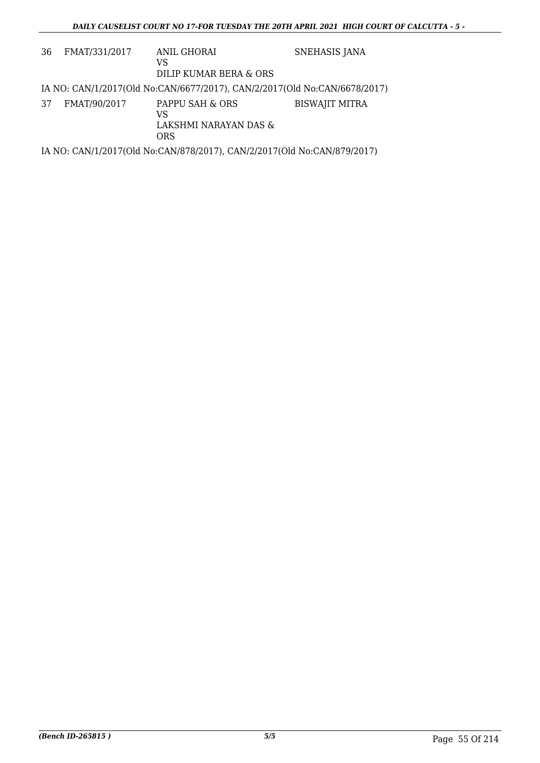| 36 | FMAT/331/2017 | ANIL GHORAI<br>VS                                                         | SNEHASIS JANA         |
|----|---------------|---------------------------------------------------------------------------|-----------------------|
|    |               | DILIP KUMAR BERA & ORS                                                    |                       |
|    |               | IA NO: CAN/1/2017(Old No:CAN/6677/2017), CAN/2/2017(Old No:CAN/6678/2017) |                       |
| 37 | FMAT/90/2017  | PAPPU SAH & ORS<br>VS<br>LAKSHMI NARAYAN DAS &<br><b>ORS</b>              | <b>BISWAJIT MITRA</b> |
|    |               | IA NO: CAN/1/2017(Old No:CAN/878/2017), CAN/2/2017(Old No:CAN/879/2017)   |                       |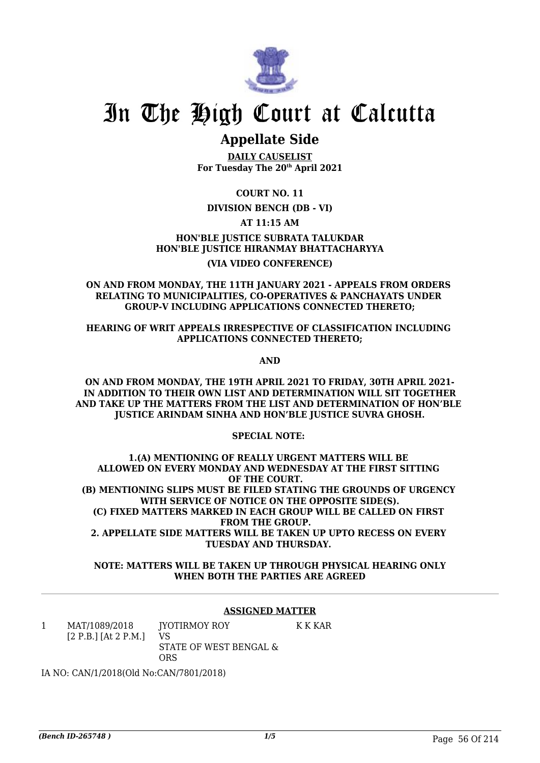

### **Appellate Side**

**DAILY CAUSELIST For Tuesday The 20th April 2021**

**COURT NO. 11**

### **DIVISION BENCH (DB - VI)**

**AT 11:15 AM**

**HON'BLE JUSTICE SUBRATA TALUKDAR HON'BLE JUSTICE HIRANMAY BHATTACHARYYA (VIA VIDEO CONFERENCE)**

#### **ON AND FROM MONDAY, THE 11TH JANUARY 2021 - APPEALS FROM ORDERS RELATING TO MUNICIPALITIES, CO-OPERATIVES & PANCHAYATS UNDER GROUP-V INCLUDING APPLICATIONS CONNECTED THERETO;**

### **HEARING OF WRIT APPEALS IRRESPECTIVE OF CLASSIFICATION INCLUDING APPLICATIONS CONNECTED THERETO;**

**AND**

**ON AND FROM MONDAY, THE 19TH APRIL 2021 TO FRIDAY, 30TH APRIL 2021- IN ADDITION TO THEIR OWN LIST AND DETERMINATION WILL SIT TOGETHER AND TAKE UP THE MATTERS FROM THE LIST AND DETERMINATION OF HON'BLE JUSTICE ARINDAM SINHA AND HON'BLE JUSTICE SUVRA GHOSH.**

**SPECIAL NOTE:** 

**1.(A) MENTIONING OF REALLY URGENT MATTERS WILL BE ALLOWED ON EVERY MONDAY AND WEDNESDAY AT THE FIRST SITTING OF THE COURT. (B) MENTIONING SLIPS MUST BE FILED STATING THE GROUNDS OF URGENCY WITH SERVICE OF NOTICE ON THE OPPOSITE SIDE(S). (C) FIXED MATTERS MARKED IN EACH GROUP WILL BE CALLED ON FIRST FROM THE GROUP. 2. APPELLATE SIDE MATTERS WILL BE TAKEN UP UPTO RECESS ON EVERY TUESDAY AND THURSDAY.** 

### **NOTE: MATTERS WILL BE TAKEN UP THROUGH PHYSICAL HEARING ONLY WHEN BOTH THE PARTIES ARE AGREED**

### **ASSIGNED MATTER**

1 MAT/1089/2018 [2 P.B.] [At 2 P.M.] JYOTIRMOY ROY VS STATE OF WEST BENGAL & ORS K K KAR

IA NO: CAN/1/2018(Old No:CAN/7801/2018)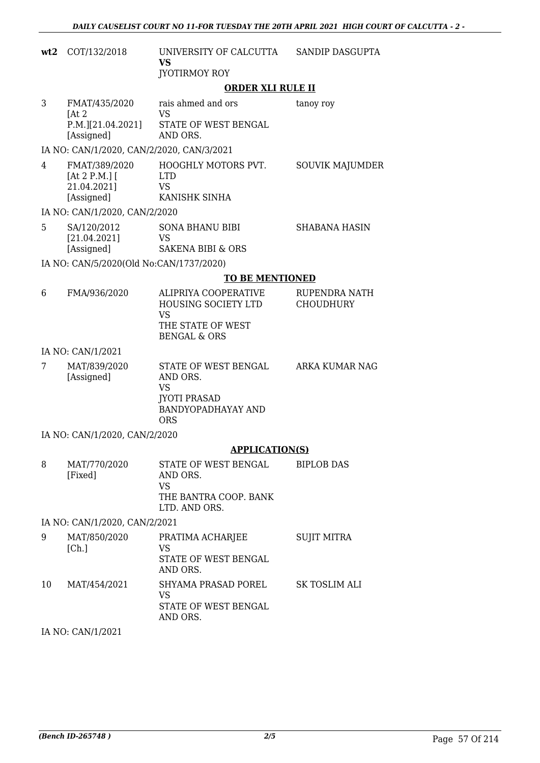| wt2 | COT/132/2018                                    | UNIVERSITY OF CALCUTTA<br><b>VS</b>                                                                      | SANDIP DASGUPTA                   |  |
|-----|-------------------------------------------------|----------------------------------------------------------------------------------------------------------|-----------------------------------|--|
|     |                                                 | <b>JYOTIRMOY ROY</b>                                                                                     |                                   |  |
|     |                                                 | <b>ORDER XLI RULE II</b>                                                                                 |                                   |  |
| 3   | FMAT/435/2020<br>[At 2]<br>P.M.][21.04.2021]    | rais ahmed and ors<br><b>VS</b><br>STATE OF WEST BENGAL                                                  | tanoy roy                         |  |
|     | [Assigned]                                      | AND ORS.                                                                                                 |                                   |  |
|     | IA NO: CAN/1/2020, CAN/2/2020, CAN/3/2021       |                                                                                                          |                                   |  |
| 4   | FMAT/389/2020<br>[At 2 P.M.] $[$<br>21.04.2021] | HOOGHLY MOTORS PVT.<br><b>LTD</b><br><b>VS</b>                                                           | <b>SOUVIK MAJUMDER</b>            |  |
|     | [Assigned]                                      | KANISHK SINHA                                                                                            |                                   |  |
|     | IA NO: CAN/1/2020, CAN/2/2020                   |                                                                                                          |                                   |  |
| 5   | SA/120/2012<br>[21.04.2021]                     | <b>SONA BHANU BIBI</b><br><b>VS</b>                                                                      | <b>SHABANA HASIN</b>              |  |
|     | [Assigned]                                      | <b>SAKENA BIBI &amp; ORS</b>                                                                             |                                   |  |
|     | IA NO: CAN/5/2020(Old No:CAN/1737/2020)         |                                                                                                          |                                   |  |
|     |                                                 | <b>TO BE MENTIONED</b>                                                                                   |                                   |  |
| 6   | FMA/936/2020                                    | ALIPRIYA COOPERATIVE<br>HOUSING SOCIETY LTD<br><b>VS</b><br>THE STATE OF WEST<br><b>BENGAL &amp; ORS</b> | RUPENDRA NATH<br><b>CHOUDHURY</b> |  |
|     | IA NO: CAN/1/2021                               |                                                                                                          |                                   |  |
| 7   | MAT/839/2020<br>[Assigned]                      | STATE OF WEST BENGAL<br>AND ORS.<br><b>VS</b><br><b>JYOTI PRASAD</b><br><b>BANDYOPADHAYAY AND</b>        | ARKA KUMAR NAG                    |  |
|     |                                                 | <b>ORS</b>                                                                                               |                                   |  |
|     | IA NO: CAN/1/2020, CAN/2/2020                   |                                                                                                          |                                   |  |
|     |                                                 | <b>APPLICATION(S)</b>                                                                                    |                                   |  |
| 8   | MAT/770/2020<br>[Fixed]                         | STATE OF WEST BENGAL<br>AND ORS.<br><b>VS</b>                                                            | <b>BIPLOB DAS</b>                 |  |
|     |                                                 | THE BANTRA COOP. BANK<br>LTD. AND ORS.                                                                   |                                   |  |
|     | IA NO: CAN/1/2020, CAN/2/2021                   |                                                                                                          |                                   |  |
| 9   | MAT/850/2020<br>[Ch.]                           | PRATIMA ACHARJEE<br><b>VS</b>                                                                            | <b>SUJIT MITRA</b>                |  |
|     |                                                 | STATE OF WEST BENGAL<br>AND ORS.                                                                         |                                   |  |
| 10  | MAT/454/2021                                    | SHYAMA PRASAD POREL<br>VS<br>STATE OF WEST BENGAL<br>AND ORS.                                            | SK TOSLIM ALI                     |  |
|     | IA NO: CAN/1/2021                               |                                                                                                          |                                   |  |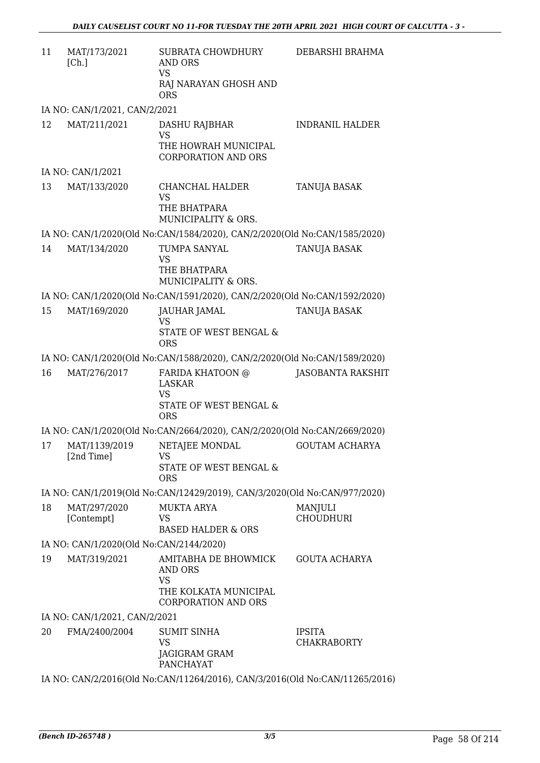| 11 | MAT/173/2021<br>[Ch.]                   | SUBRATA CHOWDHURY<br>AND ORS<br><b>VS</b><br>RAJ NARAYAN GHOSH AND                                         | DEBARSHI BRAHMA                     |
|----|-----------------------------------------|------------------------------------------------------------------------------------------------------------|-------------------------------------|
|    | IA NO: CAN/1/2021, CAN/2/2021           | <b>ORS</b>                                                                                                 |                                     |
| 12 | MAT/211/2021                            | DASHU RAJBHAR                                                                                              | <b>INDRANIL HALDER</b>              |
|    |                                         | VS<br>THE HOWRAH MUNICIPAL<br><b>CORPORATION AND ORS</b>                                                   |                                     |
|    | IA NO: CAN/1/2021                       |                                                                                                            |                                     |
| 13 | MAT/133/2020                            | CHANCHAL HALDER<br><b>VS</b><br>THE BHATPARA<br>MUNICIPALITY & ORS.                                        | TANUJA BASAK                        |
|    |                                         | IA NO: CAN/1/2020(Old No:CAN/1584/2020), CAN/2/2020(Old No:CAN/1585/2020)                                  |                                     |
| 14 | MAT/134/2020                            | TUMPA SANYAL<br><b>VS</b><br>THE BHATPARA<br>MUNICIPALITY & ORS.                                           | <b>TANUJA BASAK</b>                 |
|    |                                         | IA NO: CAN/1/2020(Old No:CAN/1591/2020), CAN/2/2020(Old No:CAN/1592/2020)                                  |                                     |
| 15 | MAT/169/2020                            | JAUHAR JAMAL<br>VS                                                                                         | TANUJA BASAK                        |
|    |                                         | STATE OF WEST BENGAL &<br><b>ORS</b>                                                                       |                                     |
|    |                                         | IA NO: CAN/1/2020(Old No:CAN/1588/2020), CAN/2/2020(Old No:CAN/1589/2020)                                  |                                     |
| 16 | MAT/276/2017                            | FARIDA KHATOON @<br><b>LASKAR</b><br><b>VS</b><br>STATE OF WEST BENGAL &<br><b>ORS</b>                     | <b>JASOBANTA RAKSHIT</b>            |
|    |                                         | IA NO: CAN/1/2020(Old No:CAN/2664/2020), CAN/2/2020(Old No:CAN/2669/2020)                                  |                                     |
| 17 | MAT/1139/2019<br>[2nd Time]             | NETAJEE MONDAL<br>VS                                                                                       | <b>GOUTAM ACHARYA</b>               |
|    |                                         | STATE OF WEST BENGAL &<br><b>ORS</b>                                                                       |                                     |
|    |                                         | IA NO: CAN/1/2019(Old No:CAN/12429/2019), CAN/3/2020(Old No:CAN/977/2020)                                  |                                     |
| 18 | MAT/297/2020<br>[Contempt]              | <b>MUKTA ARYA</b><br>VS<br><b>BASED HALDER &amp; ORS</b>                                                   | MANJULI<br><b>CHOUDHURI</b>         |
|    | IA NO: CAN/1/2020(Old No:CAN/2144/2020) |                                                                                                            |                                     |
| 19 | MAT/319/2021                            | AMITABHA DE BHOWMICK<br><b>AND ORS</b><br><b>VS</b><br>THE KOLKATA MUNICIPAL<br><b>CORPORATION AND ORS</b> | <b>GOUTA ACHARYA</b>                |
|    | IA NO: CAN/1/2021, CAN/2/2021           |                                                                                                            |                                     |
| 20 | FMA/2400/2004                           | <b>SUMIT SINHA</b><br><b>VS</b><br>JAGIGRAM GRAM<br>PANCHAYAT                                              | <b>IPSITA</b><br><b>CHAKRABORTY</b> |
|    |                                         | IA NO: CAN/2/2016(Old No:CAN/11264/2016), CAN/3/2016(Old No:CAN/11265/2016)                                |                                     |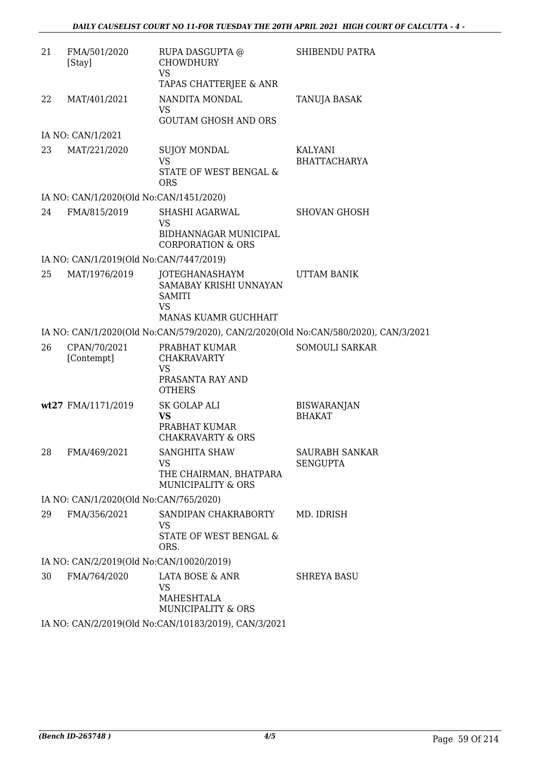| 21 | FMA/501/2020<br>[Stay]                   | RUPA DASGUPTA @<br><b>CHOWDHURY</b><br><b>VS</b><br>TAPAS CHATTERJEE & ANR                     | <b>SHIBENDU PATRA</b>                    |
|----|------------------------------------------|------------------------------------------------------------------------------------------------|------------------------------------------|
| 22 | MAT/401/2021                             | NANDITA MONDAL<br><b>VS</b><br><b>GOUTAM GHOSH AND ORS</b>                                     | TANUJA BASAK                             |
|    | IA NO: CAN/1/2021                        |                                                                                                |                                          |
| 23 | MAT/221/2020                             | <b>SUJOY MONDAL</b><br><b>VS</b><br>STATE OF WEST BENGAL &                                     | KALYANI<br><b>BHATTACHARYA</b>           |
|    |                                          | <b>ORS</b>                                                                                     |                                          |
| 24 | IA NO: CAN/1/2020(Old No:CAN/1451/2020)  |                                                                                                |                                          |
|    | FMA/815/2019                             | SHASHI AGARWAL<br><b>VS</b>                                                                    | <b>SHOVAN GHOSH</b>                      |
|    |                                          | BIDHANNAGAR MUNICIPAL<br><b>CORPORATION &amp; ORS</b>                                          |                                          |
|    | IA NO: CAN/1/2019(Old No:CAN/7447/2019)  |                                                                                                |                                          |
| 25 | MAT/1976/2019                            | JOTEGHANASHAYM<br>SAMABAY KRISHI UNNAYAN<br><b>SAMITI</b><br><b>VS</b><br>MANAS KUAMR GUCHHAIT | UTTAM BANIK                              |
|    |                                          | IA NO: CAN/1/2020(Old No:CAN/579/2020), CAN/2/2020(Old No:CAN/580/2020), CAN/3/2021            |                                          |
| 26 | CPAN/70/2021<br>[Contempt]               | PRABHAT KUMAR<br><b>CHAKRAVARTY</b><br><b>VS</b><br>PRASANTA RAY AND<br><b>OTHERS</b>          | <b>SOMOULI SARKAR</b>                    |
|    | wt27 FMA/1171/2019                       | SK GOLAP ALI<br><b>VS</b><br>PRABHAT KUMAR<br><b>CHAKRAVARTY &amp; ORS</b>                     | <b>BISWARANJAN</b><br><b>BHAKAT</b>      |
| 28 | FMA/469/2021                             | <b>SANGHITA SHAW</b><br><b>VS</b><br>THE CHAIRMAN, BHATPARA<br>MUNICIPALITY & ORS              | <b>SAURABH SANKAR</b><br><b>SENGUPTA</b> |
|    | IA NO: CAN/1/2020(Old No:CAN/765/2020)   |                                                                                                |                                          |
| 29 | FMA/356/2021                             | SANDIPAN CHAKRABORTY<br>VS<br>STATE OF WEST BENGAL &<br>ORS.                                   | MD. IDRISH                               |
|    | IA NO: CAN/2/2019(Old No:CAN/10020/2019) |                                                                                                |                                          |
| 30 | FMA/764/2020                             | LATA BOSE & ANR<br><b>VS</b><br>MAHESHTALA<br>MUNICIPALITY & ORS                               | SHREYA BASU                              |
|    |                                          | IA NO: CAN/2/2019(Old No:CAN/10183/2019), CAN/3/2021                                           |                                          |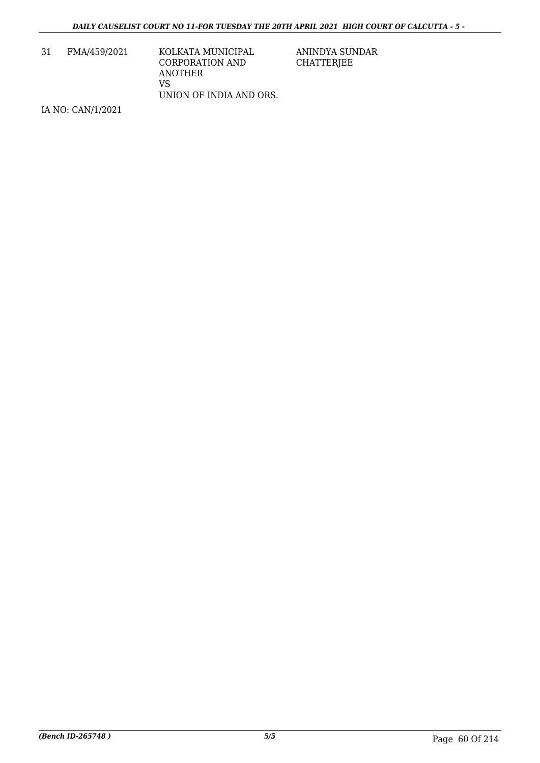31 FMA/459/2021 KOLKATA MUNICIPAL CORPORATION AND ANOTHER VS UNION OF INDIA AND ORS. ANINDYA SUNDAR CHATTERJEE

IA NO: CAN/1/2021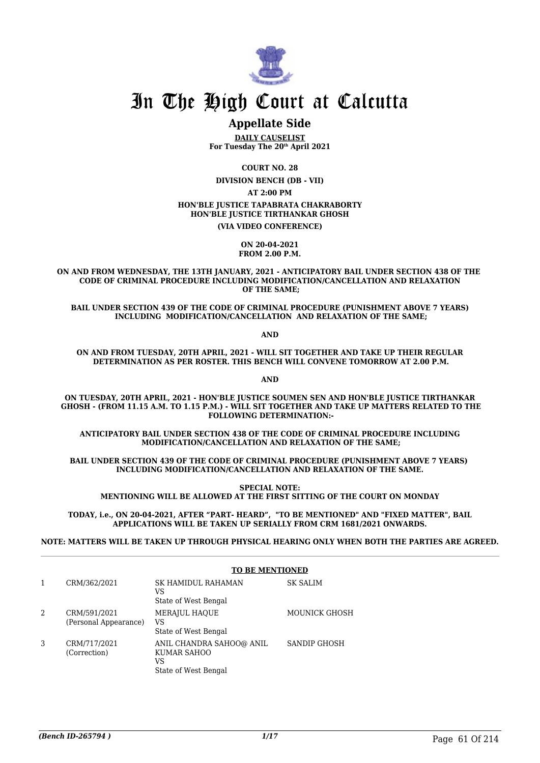

### **Appellate Side**

**DAILY CAUSELIST For Tuesday The 20th April 2021**

**COURT NO. 28**

**DIVISION BENCH (DB - VII)**

**AT 2:00 PM**

### **HON'BLE JUSTICE TAPABRATA CHAKRABORTY**

**HON'BLE JUSTICE TIRTHANKAR GHOSH**

**(VIA VIDEO CONFERENCE)**

**ON 20-04-2021 FROM 2.00 P.M.**

**ON AND FROM WEDNESDAY, THE 13TH JANUARY, 2021 - ANTICIPATORY BAIL UNDER SECTION 438 OF THE CODE OF CRIMINAL PROCEDURE INCLUDING MODIFICATION/CANCELLATION AND RELAXATION OF THE SAME;**

**BAIL UNDER SECTION 439 OF THE CODE OF CRIMINAL PROCEDURE (PUNISHMENT ABOVE 7 YEARS) INCLUDING MODIFICATION/CANCELLATION AND RELAXATION OF THE SAME;**

**AND**

**ON AND FROM TUESDAY, 20TH APRIL, 2021 - WILL SIT TOGETHER AND TAKE UP THEIR REGULAR DETERMINATION AS PER ROSTER. THIS BENCH WILL CONVENE TOMORROW AT 2.00 P.M.**

**AND**

**ON TUESDAY, 20TH APRIL, 2021 - HON'BLE JUSTICE SOUMEN SEN AND HON'BLE JUSTICE TIRTHANKAR GHOSH - (FROM 11.15 A.M. TO 1.15 P.M.) - WILL SIT TOGETHER AND TAKE UP MATTERS RELATED TO THE FOLLOWING DETERMINATION:-**

**ANTICIPATORY BAIL UNDER SECTION 438 OF THE CODE OF CRIMINAL PROCEDURE INCLUDING MODIFICATION/CANCELLATION AND RELAXATION OF THE SAME;**

**BAIL UNDER SECTION 439 OF THE CODE OF CRIMINAL PROCEDURE (PUNISHMENT ABOVE 7 YEARS) INCLUDING MODIFICATION/CANCELLATION AND RELAXATION OF THE SAME.**

**SPECIAL NOTE: MENTIONING WILL BE ALLOWED AT THE FIRST SITTING OF THE COURT ON MONDAY**

**TODAY, i.e., ON 20-04-2021, AFTER "PART- HEARD", "TO BE MENTIONED" AND "FIXED MATTER", BAIL APPLICATIONS WILL BE TAKEN UP SERIALLY FROM CRM 1681/2021 ONWARDS.** 

**NOTE: MATTERS WILL BE TAKEN UP THROUGH PHYSICAL HEARING ONLY WHEN BOTH THE PARTIES ARE AGREED.**

|   |                                       | <b>TO BE MENTIONED</b>                                                |                      |
|---|---------------------------------------|-----------------------------------------------------------------------|----------------------|
|   | CRM/362/2021                          | SK HAMIDUL RAHAMAN<br>VS<br>State of West Bengal                      | <b>SK SALIM</b>      |
| 2 | CRM/591/2021<br>(Personal Appearance) | <b>MERAJUL HAQUE</b><br>VS<br>State of West Bengal                    | <b>MOUNICK GHOSH</b> |
| 3 | CRM/717/2021<br>(Correction)          | ANIL CHANDRA SAHOO@ ANIL<br>KUMAR SAHOO<br>VS<br>State of West Bengal | <b>SANDIP GHOSH</b>  |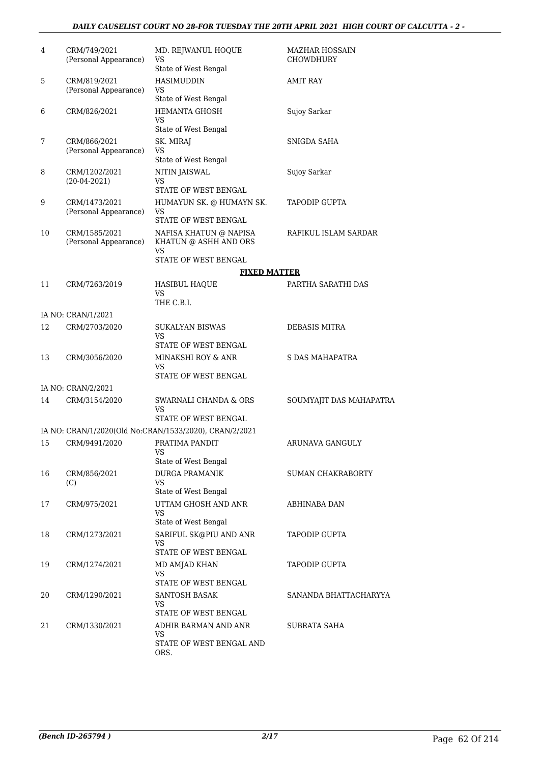### *DAILY CAUSELIST COURT NO 28-FOR TUESDAY THE 20TH APRIL 2021 HIGH COURT OF CALCUTTA - 2 -*

| 4  | CRM/749/2021<br>(Personal Appearance)  | MD. REJWANUL HOQUE<br>VS<br>State of West Bengal       | <b>MAZHAR HOSSAIN</b><br>CHOWDHURY |
|----|----------------------------------------|--------------------------------------------------------|------------------------------------|
| 5  | CRM/819/2021<br>(Personal Appearance)  | HASIMUDDIN<br>VS                                       | AMIT RAY                           |
|    |                                        | State of West Bengal                                   |                                    |
| 6  | CRM/826/2021                           | <b>HEMANTA GHOSH</b><br>VS<br>State of West Bengal     | Sujoy Sarkar                       |
| 7  | CRM/866/2021                           | SK. MIRAJ                                              | SNIGDA SAHA                        |
|    | (Personal Appearance)                  | VS<br>State of West Bengal                             |                                    |
| 8  | CRM/1202/2021                          | NITIN JAISWAL                                          | Sujoy Sarkar                       |
|    | $(20-04-2021)$                         | VS<br>STATE OF WEST BENGAL                             |                                    |
| 9  | CRM/1473/2021<br>(Personal Appearance) | HUMAYUN SK. @ HUMAYN SK.<br>VS<br>STATE OF WEST BENGAL | TAPODIP GUPTA                      |
| 10 | CRM/1585/2021<br>(Personal Appearance) | NAFISA KHATUN @ NAPISA<br>KHATUN @ ASHH AND ORS        | RAFIKUL ISLAM SARDAR               |
|    |                                        | VS                                                     |                                    |
|    |                                        | STATE OF WEST BENGAL                                   |                                    |
|    |                                        | <b>FIXED MATTER</b>                                    |                                    |
| 11 | CRM/7263/2019                          | <b>HASIBUL HAOUE</b><br><b>VS</b><br>THE C.B.I.        | PARTHA SARATHI DAS                 |
|    | IA NO: CRAN/1/2021                     |                                                        |                                    |
| 12 | CRM/2703/2020                          | SUKALYAN BISWAS                                        | DEBASIS MITRA                      |
|    |                                        | VS<br>STATE OF WEST BENGAL                             |                                    |
| 13 | CRM/3056/2020                          | MINAKSHI ROY & ANR<br>VS<br>STATE OF WEST BENGAL       | S DAS MAHAPATRA                    |
|    | IA NO: CRAN/2/2021                     |                                                        |                                    |
| 14 | CRM/3154/2020                          | SWARNALI CHANDA & ORS<br>VS                            | SOUMYAJIT DAS MAHAPATRA            |
|    |                                        | STATE OF WEST BENGAL                                   |                                    |
|    |                                        | IA NO: CRAN/1/2020(Old No:CRAN/1533/2020), CRAN/2/2021 |                                    |
| 15 | CRM/9491/2020                          | PRATIMA PANDIT<br><b>VS</b><br>State of West Bengal    | ARUNAVA GANGULY                    |
| 16 | CRM/856/2021                           | <b>DURGA PRAMANIK</b>                                  | SUMAN CHAKRABORTY                  |
|    | (C)                                    | VS<br>State of West Bengal                             |                                    |
| 17 | CRM/975/2021                           | UTTAM GHOSH AND ANR<br>VS                              | ABHINABA DAN                       |
|    |                                        | State of West Bengal                                   |                                    |
| 18 | CRM/1273/2021                          | SARIFUL SK@PIU AND ANR<br>VS<br>STATE OF WEST BENGAL   | <b>TAPODIP GUPTA</b>               |
| 19 | CRM/1274/2021                          | MD AMJAD KHAN                                          | TAPODIP GUPTA                      |
|    |                                        | VS<br>STATE OF WEST BENGAL                             |                                    |
| 20 | CRM/1290/2021                          | SANTOSH BASAK<br>VS                                    | SANANDA BHATTACHARYYA              |
|    |                                        | STATE OF WEST BENGAL                                   |                                    |
| 21 | CRM/1330/2021                          | ADHIR BARMAN AND ANR<br>VS                             | SUBRATA SAHA                       |
|    |                                        | STATE OF WEST BENGAL AND<br>ORS.                       |                                    |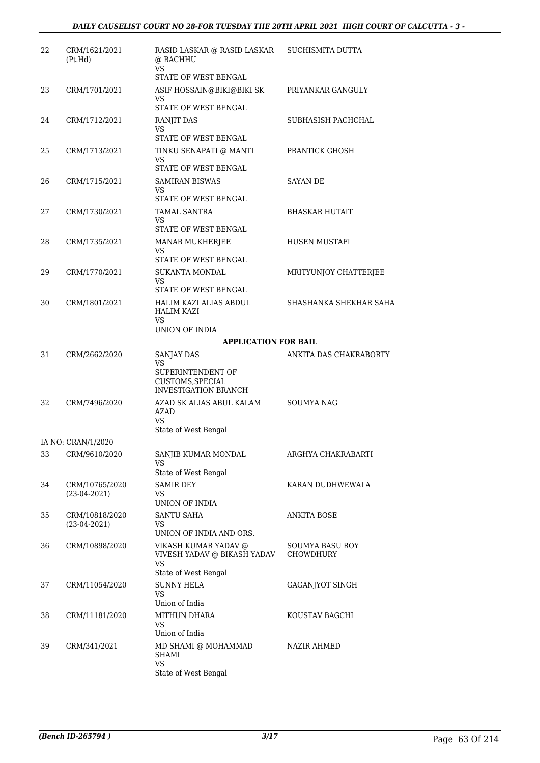| 22 | CRM/1621/2021<br>(Pt.Hd)         | RASID LASKAR @ RASID LASKAR<br>@ BACHHU<br>VS.                             | SUCHISMITA DUTTA       |
|----|----------------------------------|----------------------------------------------------------------------------|------------------------|
|    |                                  | STATE OF WEST BENGAL                                                       |                        |
| 23 | CRM/1701/2021                    | ASIF HOSSAIN@BIKI@BIKI SK<br>VS                                            | PRIYANKAR GANGULY      |
|    |                                  | STATE OF WEST BENGAL                                                       |                        |
| 24 | CRM/1712/2021                    | RANJIT DAS<br>VS.                                                          | SUBHASISH PACHCHAL     |
|    |                                  | STATE OF WEST BENGAL                                                       |                        |
| 25 | CRM/1713/2021                    | TINKU SENAPATI @ MANTI<br>VS                                               | PRANTICK GHOSH         |
|    |                                  | STATE OF WEST BENGAL                                                       |                        |
| 26 | CRM/1715/2021                    | SAMIRAN BISWAS<br>VS<br>STATE OF WEST BENGAL                               | SAYAN DE               |
| 27 | CRM/1730/2021                    | <b>TAMAL SANTRA</b>                                                        | BHASKAR HUTAIT         |
|    |                                  | VS.                                                                        |                        |
| 28 |                                  | STATE OF WEST BENGAL                                                       | <b>HUSEN MUSTAFI</b>   |
|    | CRM/1735/2021                    | MANAB MUKHERJEE<br>VS                                                      |                        |
|    |                                  | STATE OF WEST BENGAL                                                       |                        |
| 29 | CRM/1770/2021                    | <b>SUKANTA MONDAL</b>                                                      | MRITYUNJOY CHATTERJEE  |
|    |                                  | VS.<br>STATE OF WEST BENGAL                                                |                        |
| 30 | CRM/1801/2021                    | HALIM KAZI ALIAS ABDUL<br>HALIM KAZI                                       | SHASHANKA SHEKHAR SAHA |
|    |                                  | VS<br>UNION OF INDIA                                                       |                        |
|    |                                  | <b>APPLICATION FOR BAIL</b>                                                |                        |
| 31 | CRM/2662/2020                    | SANJAY DAS                                                                 | ANKITA DAS CHAKRABORTY |
|    |                                  | VS<br>SUPERINTENDENT OF<br>CUSTOMS, SPECIAL<br><b>INVESTIGATION BRANCH</b> |                        |
| 32 | CRM/7496/2020                    | AZAD SK ALIAS ABUL KALAM<br><b>AZAD</b><br>VS<br>State of West Bengal      | <b>SOUMYA NAG</b>      |
|    | IA NO: CRAN/1/2020               |                                                                            |                        |
| 33 | CRM/9610/2020                    | SANJIB KUMAR MONDAL<br>VS                                                  | ARGHYA CHAKRABARTI     |
|    |                                  | State of West Bengal                                                       |                        |
| 34 | CRM/10765/2020<br>$(23-04-2021)$ | <b>SAMIR DEY</b><br>VS.                                                    | KARAN DUDHWEWALA       |
|    |                                  | UNION OF INDIA                                                             |                        |
| 35 | CRM/10818/2020<br>$(23-04-2021)$ | SANTU SAHA<br>VS.<br>UNION OF INDIA AND ORS.                               | ANKITA BOSE            |
| 36 | CRM/10898/2020                   | VIKASH KUMAR YADAV @                                                       | SOUMYA BASU ROY        |
|    |                                  | VIVESH YADAV @ BIKASH YADAV<br><b>VS</b><br>State of West Bengal           | CHOWDHURY              |
| 37 | CRM/11054/2020                   | <b>SUNNY HELA</b>                                                          | GAGANJYOT SINGH        |
|    |                                  | VS.<br>Union of India                                                      |                        |
| 38 | CRM/11181/2020                   | MITHUN DHARA                                                               | KOUSTAV BAGCHI         |
|    |                                  | VS.                                                                        |                        |
| 39 | CRM/341/2021                     | Union of India<br>MD SHAMI @ MOHAMMAD<br><b>SHAMI</b>                      | NAZIR AHMED            |
|    |                                  | VS<br>State of West Bengal                                                 |                        |
|    |                                  |                                                                            |                        |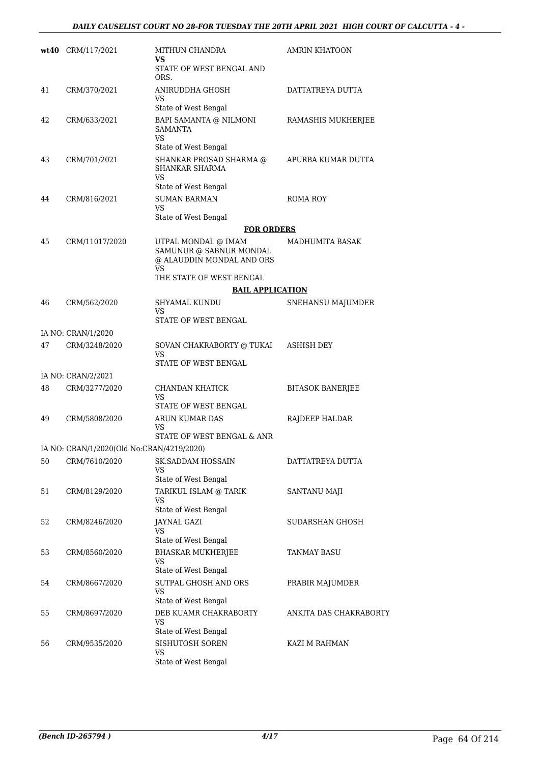|    | wt40 CRM/117/2021                         | MITHUN CHANDRA<br>VS<br>STATE OF WEST BENGAL AND                                  | AMRIN KHATOON           |
|----|-------------------------------------------|-----------------------------------------------------------------------------------|-------------------------|
|    |                                           | ORS.                                                                              |                         |
| 41 | CRM/370/2021                              | ANIRUDDHA GHOSH<br>VS<br>State of West Bengal                                     | DATTATREYA DUTTA        |
| 42 | CRM/633/2021                              | BAPI SAMANTA @ NILMONI<br><b>SAMANTA</b><br>VS<br>State of West Bengal            | RAMASHIS MUKHERJEE      |
| 43 | CRM/701/2021                              | SHANKAR PROSAD SHARMA @<br><b>SHANKAR SHARMA</b><br><b>VS</b>                     | APURBA KUMAR DUTTA      |
| 44 | CRM/816/2021                              | State of West Bengal<br><b>SUMAN BARMAN</b><br><b>VS</b>                          | ROMA ROY                |
|    |                                           | State of West Bengal                                                              |                         |
|    |                                           | <b>FOR ORDERS</b>                                                                 |                         |
| 45 | CRM/11017/2020                            | UTPAL MONDAL @ IMAM<br>SAMUNUR @ SABNUR MONDAL<br>@ ALAUDDIN MONDAL AND ORS<br>VS | MADHUMITA BASAK         |
|    |                                           | THE STATE OF WEST BENGAL                                                          |                         |
|    |                                           | <b>BAIL APPLICATION</b>                                                           |                         |
| 46 | CRM/562/2020                              | <b>SHYAMAL KUNDU</b><br>VS<br>STATE OF WEST BENGAL                                | SNEHANSU MAJUMDER       |
|    | IA NO: CRAN/1/2020                        |                                                                                   |                         |
| 47 | CRM/3248/2020                             | SOVAN CHAKRABORTY @ TUKAI<br>VS                                                   | ASHISH DEY              |
|    |                                           | STATE OF WEST BENGAL                                                              |                         |
|    | IA NO: CRAN/2/2021                        |                                                                                   |                         |
| 48 | CRM/3277/2020                             | CHANDAN KHATICK<br>VS<br>STATE OF WEST BENGAL                                     | <b>BITASOK BANERJEE</b> |
| 49 | CRM/5808/2020                             | ARUN KUMAR DAS<br>VS<br>STATE OF WEST BENGAL & ANR                                | RAJDEEP HALDAR          |
|    | IA NO: CRAN/1/2020(Old No:CRAN/4219/2020) |                                                                                   |                         |
| 50 | CRM/7610/2020                             | <b>SK.SADDAM HOSSAIN</b><br>VS                                                    | DATTATREYA DUTTA        |
| 51 | CRM/8129/2020                             | State of West Bengal<br>TARIKUL ISLAM @ TARIK<br>VS<br>State of West Bengal       | SANTANU MAJI            |
| 52 | CRM/8246/2020                             | <b>JAYNAL GAZI</b><br>VS<br>State of West Bengal                                  | SUDARSHAN GHOSH         |
| 53 | CRM/8560/2020                             | <b>BHASKAR MUKHERJEE</b><br>VS                                                    | TANMAY BASU             |
| 54 | CRM/8667/2020                             | State of West Bengal<br>SUTPAL GHOSH AND ORS<br>VS                                | PRABIR MAJUMDER         |
| 55 | CRM/8697/2020                             | State of West Bengal<br>DEB KUAMR CHAKRABORTY<br><b>VS</b>                        | ANKITA DAS CHAKRABORTY  |
| 56 | CRM/9535/2020                             | State of West Bengal<br>SISHUTOSH SOREN<br><b>VS</b><br>State of West Bengal      | KAZI M RAHMAN           |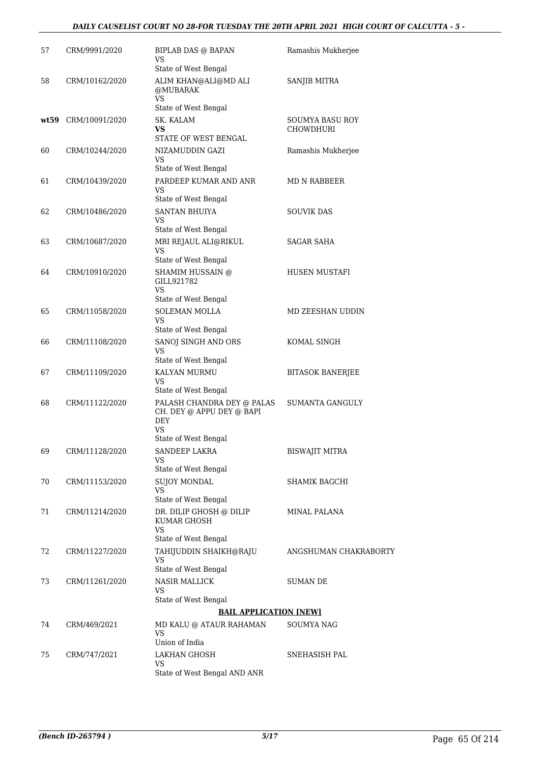### *DAILY CAUSELIST COURT NO 28-FOR TUESDAY THE 20TH APRIL 2021 HIGH COURT OF CALCUTTA - 5 -*

| 57 | CRM/9991/2020       | <b>BIPLAB DAS @ BAPAN</b><br>VS                                      | Ramashis Mukherjee                  |
|----|---------------------|----------------------------------------------------------------------|-------------------------------------|
|    |                     | State of West Bengal                                                 |                                     |
| 58 | CRM/10162/2020      | ALIM KHAN@ALI@MD ALI<br>@MUBARAK<br>VS                               | <b>SANJIB MITRA</b>                 |
|    |                     | State of West Bengal                                                 |                                     |
|    | wt59 CRM/10091/2020 | SK. KALAM<br>VS.<br>STATE OF WEST BENGAL                             | SOUMYA BASU ROY<br><b>CHOWDHURI</b> |
| 60 | CRM/10244/2020      | NIZAMUDDIN GAZI                                                      | Ramashis Mukherjee                  |
|    |                     | VS<br>State of West Bengal                                           |                                     |
| 61 | CRM/10439/2020      | PARDEEP KUMAR AND ANR<br>VS<br>State of West Bengal                  | MD N RABBEER                        |
| 62 | CRM/10486/2020      | <b>SANTAN BHUIYA</b>                                                 | SOUVIK DAS                          |
|    |                     | <b>VS</b><br>State of West Bengal                                    |                                     |
| 63 | CRM/10687/2020      | MRI REJAUL ALI@RIKUL<br>VS                                           | <b>SAGAR SAHA</b>                   |
|    |                     | State of West Bengal                                                 |                                     |
| 64 | CRM/10910/2020      | SHAMIM HUSSAIN @<br>GILL921782<br>VS                                 | <b>HUSEN MUSTAFI</b>                |
|    |                     | State of West Bengal                                                 |                                     |
| 65 | CRM/11058/2020      | SOLEMAN MOLLA<br>VS.                                                 | MD ZEESHAN UDDIN                    |
|    |                     | State of West Bengal                                                 |                                     |
| 66 | CRM/11108/2020      | SANOJ SINGH AND ORS<br><b>VS</b><br>State of West Bengal             | KOMAL SINGH                         |
| 67 | CRM/11109/2020      | KALYAN MURMU                                                         | <b>BITASOK BANERJEE</b>             |
|    |                     | VS<br>State of West Bengal                                           |                                     |
| 68 | CRM/11122/2020      | PALASH CHANDRA DEY @ PALAS<br>CH. DEY @ APPU DEY @ BAPI<br>DEY<br>VS | <b>SUMANTA GANGULY</b>              |
|    |                     | State of West Bengal                                                 |                                     |
| 69 | CRM/11128/2020      | SANDEEP LAKRA<br>VS<br>State of West Bengal                          | <b>BISWAJIT MITRA</b>               |
| 70 | CRM/11153/2020      | <b>SUJOY MONDAL</b>                                                  | SHAMIK BAGCHI                       |
|    |                     | VS<br>State of West Bengal                                           |                                     |
| 71 | CRM/11214/2020      | DR. DILIP GHOSH @ DILIP<br>KUMAR GHOSH<br>VS.                        | <b>MINAL PALANA</b>                 |
|    |                     | State of West Bengal                                                 |                                     |
| 72 | CRM/11227/2020      | TAHIJUDDIN SHAIKH@RAJU<br>VS                                         | ANGSHUMAN CHAKRABORTY               |
|    |                     | State of West Bengal                                                 |                                     |
| 73 | CRM/11261/2020      | NASIR MALLICK<br>VS<br>State of West Bengal                          | SUMAN DE                            |
|    |                     | <b>BAIL APPLICATION [NEW]</b>                                        |                                     |
| 74 | CRM/469/2021        | MD KALU @ ATAUR RAHAMAN<br>VS<br>Union of India                      | SOUMYA NAG                          |
| 75 | CRM/747/2021        | LAKHAN GHOSH                                                         | SNEHASISH PAL                       |
|    |                     | VS<br>State of West Bengal AND ANR                                   |                                     |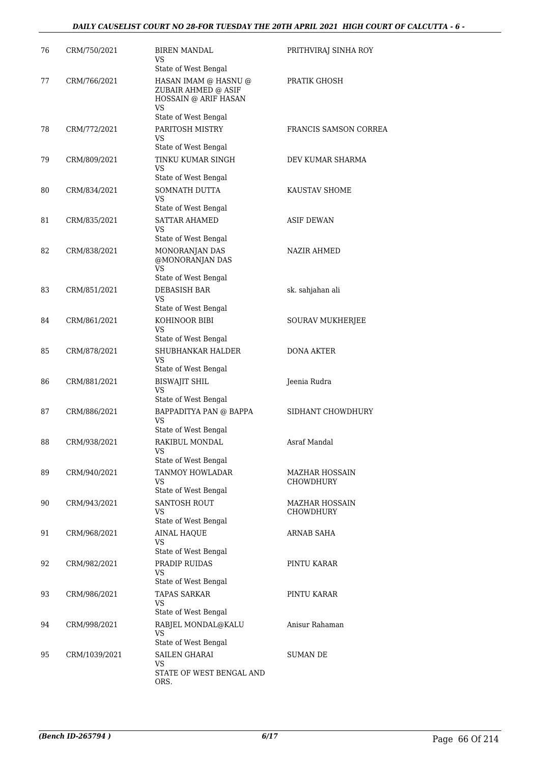### *DAILY CAUSELIST COURT NO 28-FOR TUESDAY THE 20TH APRIL 2021 HIGH COURT OF CALCUTTA - 6 -*

| 76 | CRM/750/2021  | BIREN MANDAL<br>VS.                                                 | PRITHVIRAJ SINHA ROY    |
|----|---------------|---------------------------------------------------------------------|-------------------------|
| 77 | CRM/766/2021  | State of West Bengal<br>HASAN IMAM @ HASNU @<br>ZUBAIR AHMED @ ASIF | PRATIK GHOSH            |
|    |               | HOSSAIN @ ARIF HASAN<br>VS.                                         |                         |
|    |               | State of West Bengal                                                |                         |
| 78 | CRM/772/2021  | PARITOSH MISTRY<br>VS<br>State of West Bengal                       | FRANCIS SAMSON CORREA   |
| 79 | CRM/809/2021  | TINKU KUMAR SINGH<br>VS.                                            | DEV KUMAR SHARMA        |
| 80 | CRM/834/2021  | State of West Bengal<br>SOMNATH DUTTA<br>VS.                        | KAUSTAV SHOME           |
|    |               | State of West Bengal                                                |                         |
| 81 | CRM/835/2021  | <b>SATTAR AHAMED</b><br>VS                                          | ASIF DEWAN              |
|    |               | State of West Bengal                                                |                         |
| 82 | CRM/838/2021  | MONORANJAN DAS<br>@MONORANJAN DAS<br>VS                             | <b>NAZIR AHMED</b>      |
|    |               | State of West Bengal                                                |                         |
| 83 | CRM/851/2021  | <b>DEBASISH BAR</b><br>VS.<br>State of West Bengal                  | sk. sahjahan ali        |
| 84 | CRM/861/2021  | KOHINOOR BIBI<br>VS                                                 | <b>SOURAV MUKHERJEE</b> |
|    |               | State of West Bengal                                                |                         |
| 85 | CRM/878/2021  | SHUBHANKAR HALDER<br>VS<br>State of West Bengal                     | DONA AKTER              |
| 86 | CRM/881/2021  | BISWAJIT SHIL                                                       | Jeenia Rudra            |
|    |               | VS.<br>State of West Bengal                                         |                         |
| 87 | CRM/886/2021  | BAPPADITYA PAN @ BAPPA                                              | SIDHANT CHOWDHURY       |
|    |               | VS.<br>State of West Bengal                                         |                         |
| 88 | CRM/938/2021  | RAKIBUL MONDAL<br><b>VS</b>                                         | Asraf Mandal            |
| 89 | CRM/940/2021  | State of West Bengal<br>TANMOY HOWLADAR                             | MAZHAR HOSSAIN          |
|    |               | VS<br>State of West Bengal                                          | CHOWDHURY               |
| 90 | CRM/943/2021  | <b>SANTOSH ROUT</b>                                                 | MAZHAR HOSSAIN          |
|    |               | VS<br>State of West Bengal                                          | CHOWDHURY               |
| 91 | CRM/968/2021  | <b>AINAL HAQUE</b><br><b>VS</b>                                     | ARNAB SAHA              |
|    |               | State of West Bengal                                                |                         |
| 92 | CRM/982/2021  | PRADIP RUIDAS<br>VS.<br>State of West Bengal                        | PINTU KARAR             |
| 93 | CRM/986/2021  | TAPAS SARKAR<br>VS                                                  | PINTU KARAR             |
|    |               | State of West Bengal                                                |                         |
| 94 | CRM/998/2021  | RABJEL MONDAL@KALU<br>VS.                                           | Anisur Rahaman          |
| 95 | CRM/1039/2021 | State of West Bengal<br><b>SAILEN GHARAI</b>                        | SUMAN DE                |
|    |               | VS<br>STATE OF WEST BENGAL AND<br>ORS.                              |                         |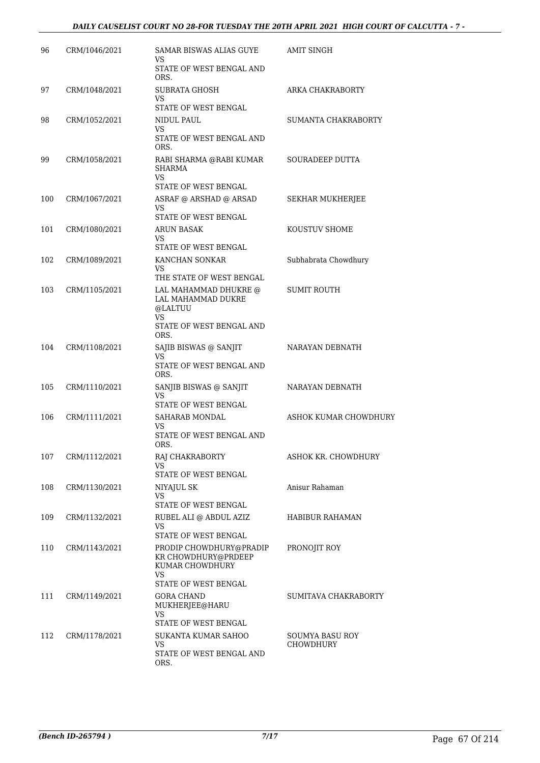| 96  | CRM/1046/2021 | SAMAR BISWAS ALIAS GUYE                                                        | AMIT SINGH             |
|-----|---------------|--------------------------------------------------------------------------------|------------------------|
|     |               | VS                                                                             |                        |
|     |               | STATE OF WEST BENGAL AND<br>ORS.                                               |                        |
| 97  | CRM/1048/2021 | SUBRATA GHOSH<br>VS<br>STATE OF WEST BENGAL                                    | ARKA CHAKRABORTY       |
| 98  | CRM/1052/2021 | NIDUL PAUL                                                                     | SUMANTA CHAKRABORTY    |
|     |               | VS                                                                             |                        |
|     |               | STATE OF WEST BENGAL AND<br>ORS.                                               |                        |
| 99  | CRM/1058/2021 | RABI SHARMA @RABI KUMAR<br><b>SHARMA</b><br>VS.                                | SOURADEEP DUTTA        |
|     |               | STATE OF WEST BENGAL                                                           |                        |
| 100 | CRM/1067/2021 | ASRAF @ ARSHAD @ ARSAD                                                         | SEKHAR MUKHERJEE       |
|     |               | VS                                                                             |                        |
|     |               | STATE OF WEST BENGAL                                                           |                        |
| 101 | CRM/1080/2021 | ARUN BASAK<br>VS                                                               | KOUSTUV SHOME          |
|     |               | STATE OF WEST BENGAL                                                           |                        |
| 102 | CRM/1089/2021 | KANCHAN SONKAR                                                                 | Subhabrata Chowdhury   |
|     |               | VS.<br>THE STATE OF WEST BENGAL                                                |                        |
| 103 | CRM/1105/2021 | LAL MAHAMMAD DHUKRE @<br>LAL MAHAMMAD DUKRE<br>@LALTUU                         | <b>SUMIT ROUTH</b>     |
|     |               | VS.<br>STATE OF WEST BENGAL AND<br>ORS.                                        |                        |
| 104 | CRM/1108/2021 | SAJIB BISWAS @ SANJIT                                                          | NARAYAN DEBNATH        |
|     |               | VS.<br>STATE OF WEST BENGAL AND<br>ORS.                                        |                        |
| 105 | CRM/1110/2021 | SANJIB BISWAS @ SANJIT<br>VS                                                   | NARAYAN DEBNATH        |
|     |               | STATE OF WEST BENGAL                                                           |                        |
| 106 | CRM/1111/2021 | SAHARAB MONDAL<br>VS                                                           | ASHOK KUMAR CHOWDHURY  |
|     |               | STATE OF WEST BENGAL AND<br>ORS.                                               |                        |
| 107 | CRM/1112/2021 | RAJ CHAKRABORTY<br>VS                                                          | ASHOK KR. CHOWDHURY    |
|     |               | STATE OF WEST BENGAL                                                           |                        |
| 108 | CRM/1130/2021 | NIYAJUL SK<br>VS.                                                              | Anisur Rahaman         |
|     |               | STATE OF WEST BENGAL                                                           |                        |
| 109 | CRM/1132/2021 | RUBEL ALI @ ABDUL AZIZ<br>VS.                                                  | <b>HABIBUR RAHAMAN</b> |
|     |               | STATE OF WEST BENGAL                                                           |                        |
| 110 | CRM/1143/2021 | PRODIP CHOWDHURY@PRADIP<br>KR CHOWDHURY@PRDEEP<br>KUMAR CHOWDHURY<br><b>VS</b> | PRONOJIT ROY           |
|     |               | STATE OF WEST BENGAL                                                           |                        |
| 111 | CRM/1149/2021 | GORA CHAND<br>MUKHERJEE@HARU                                                   | SUMITAVA CHAKRABORTY   |
|     |               | VS<br>STATE OF WEST BENGAL                                                     |                        |
| 112 | CRM/1178/2021 | SUKANTA KUMAR SAHOO                                                            | SOUMYA BASU ROY        |
|     |               | VS.                                                                            | CHOWDHURY              |
|     |               | STATE OF WEST BENGAL AND<br>ORS.                                               |                        |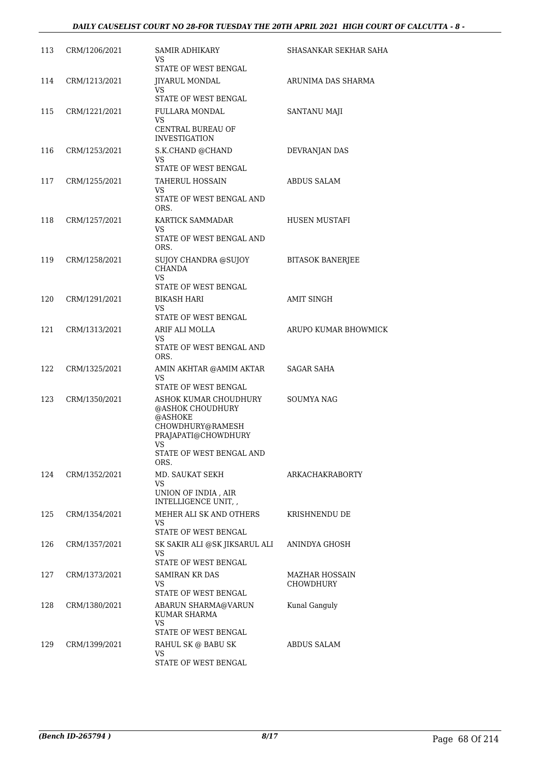| 113 | CRM/1206/2021 | SAMIR ADHIKARY<br>VS.<br>STATE OF WEST BENGAL                                                                                                    | SHASANKAR SEKHAR SAHA       |
|-----|---------------|--------------------------------------------------------------------------------------------------------------------------------------------------|-----------------------------|
| 114 | CRM/1213/2021 | <b>JIYARUL MONDAL</b><br>VS.<br>STATE OF WEST BENGAL                                                                                             | ARUNIMA DAS SHARMA          |
| 115 | CRM/1221/2021 | FULLARA MONDAL<br>VS.                                                                                                                            | <b>SANTANU MAJI</b>         |
|     |               | CENTRAL BUREAU OF<br><b>INVESTIGATION</b>                                                                                                        |                             |
| 116 | CRM/1253/2021 | S.K.CHAND @CHAND<br>VS.<br>STATE OF WEST BENGAL                                                                                                  | DEVRANJAN DAS               |
| 117 | CRM/1255/2021 | <b>TAHERUL HOSSAIN</b><br>VS<br>STATE OF WEST BENGAL AND<br>ORS.                                                                                 | <b>ABDUS SALAM</b>          |
| 118 | CRM/1257/2021 | KARTICK SAMMADAR<br>VS.<br>STATE OF WEST BENGAL AND<br>ORS.                                                                                      | HUSEN MUSTAFI               |
| 119 | CRM/1258/2021 | SUJOY CHANDRA @SUJOY<br><b>CHANDA</b><br>VS.                                                                                                     | <b>BITASOK BANERJEE</b>     |
|     |               | STATE OF WEST BENGAL                                                                                                                             | <b>AMIT SINGH</b>           |
| 120 | CRM/1291/2021 | <b>BIKASH HARI</b><br>VS.<br>STATE OF WEST BENGAL                                                                                                |                             |
| 121 | CRM/1313/2021 | ARIF ALI MOLLA<br>VS.<br>STATE OF WEST BENGAL AND<br>ORS.                                                                                        | ARUPO KUMAR BHOWMICK        |
| 122 | CRM/1325/2021 | AMIN AKHTAR @AMIM AKTAR<br>VS.<br>STATE OF WEST BENGAL                                                                                           | SAGAR SAHA                  |
| 123 | CRM/1350/2021 | ASHOK KUMAR CHOUDHURY<br>@ASHOK CHOUDHURY<br>@ASHOKE<br>CHOWDHURY@RAMESH<br>PRAJAPATI@CHOWDHURY<br><b>VS</b><br>STATE OF WEST BENGAL AND<br>ORS. | <b>SOUMYA NAG</b>           |
| 124 | CRM/1352/2021 | MD. SAUKAT SEKH<br>VS<br>UNION OF INDIA, AIR                                                                                                     | ARKACHAKRABORTY             |
|     |               | INTELLIGENCE UNIT, ,                                                                                                                             |                             |
| 125 | CRM/1354/2021 | MEHER ALI SK AND OTHERS<br>VS.<br>STATE OF WEST BENGAL                                                                                           | KRISHNENDU DE               |
| 126 | CRM/1357/2021 | SK SAKIR ALI @SK JIKSARUL ALI<br>VS.<br>STATE OF WEST BENGAL                                                                                     | ANINDYA GHOSH               |
| 127 | CRM/1373/2021 | SAMIRAN KR DAS<br>VS.<br>STATE OF WEST BENGAL                                                                                                    | MAZHAR HOSSAIN<br>CHOWDHURY |
| 128 | CRM/1380/2021 | ABARUN SHARMA@VARUN<br>KUMAR SHARMA<br>VS.<br>STATE OF WEST BENGAL                                                                               | Kunal Ganguly               |
| 129 | CRM/1399/2021 | RAHUL SK @ BABU SK<br>VS<br>STATE OF WEST BENGAL                                                                                                 | ABDUS SALAM                 |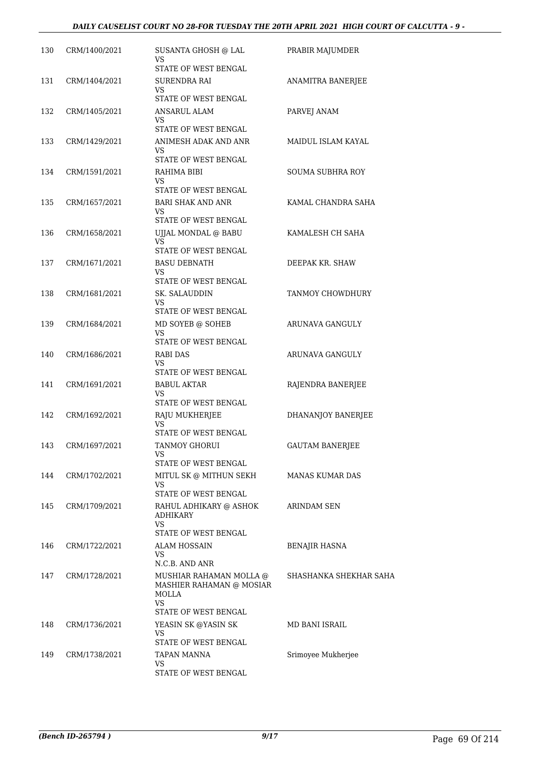| 130 | CRM/1400/2021 | SUSANTA GHOSH @ LAL<br>VS<br>STATE OF WEST BENGAL                                                            | PRABIR MAJUMDER        |
|-----|---------------|--------------------------------------------------------------------------------------------------------------|------------------------|
| 131 | CRM/1404/2021 | SURENDRA RAI<br>VS.<br>STATE OF WEST BENGAL                                                                  | ANAMITRA BANERJEE      |
| 132 | CRM/1405/2021 | ANSARUL ALAM<br>VS                                                                                           | PARVEJ ANAM            |
| 133 | CRM/1429/2021 | STATE OF WEST BENGAL<br>ANIMESH ADAK AND ANR<br>VS.<br>STATE OF WEST BENGAL                                  | MAIDUL ISLAM KAYAL     |
| 134 | CRM/1591/2021 | RAHIMA BIBI<br>VS                                                                                            | SOUMA SUBHRA ROY       |
| 135 | CRM/1657/2021 | STATE OF WEST BENGAL<br><b>BARI SHAK AND ANR</b><br>VS                                                       | KAMAL CHANDRA SAHA     |
| 136 | CRM/1658/2021 | STATE OF WEST BENGAL<br>UIJAL MONDAL @ BABU<br><b>VS</b>                                                     | KAMALESH CH SAHA       |
| 137 | CRM/1671/2021 | STATE OF WEST BENGAL<br><b>BASU DEBNATH</b><br>VS<br>STATE OF WEST BENGAL                                    | DEEPAK KR. SHAW        |
| 138 | CRM/1681/2021 | SK. SALAUDDIN<br>VS.<br>STATE OF WEST BENGAL                                                                 | TANMOY CHOWDHURY       |
| 139 | CRM/1684/2021 | MD SOYEB @ SOHEB<br>VS<br>STATE OF WEST BENGAL                                                               | ARUNAVA GANGULY        |
| 140 | CRM/1686/2021 | RABI DAS<br>VS<br>STATE OF WEST BENGAL                                                                       | ARUNAVA GANGULY        |
| 141 | CRM/1691/2021 | BABUL AKTAR<br>VS<br>STATE OF WEST BENGAL                                                                    | RAJENDRA BANERJEE      |
| 142 | CRM/1692/2021 | RAJU MUKHERJEE<br>VS<br>STATE OF WEST BENGAL                                                                 | DHANANJOY BANERJEE     |
| 143 | CRM/1697/2021 | TANMOY GHORUI<br>VS<br>STATE OF WEST BENGAL                                                                  | <b>GAUTAM BANERJEE</b> |
| 144 | CRM/1702/2021 | MITUL SK @ MITHUN SEKH<br>VS.<br>STATE OF WEST BENGAL                                                        | MANAS KUMAR DAS        |
| 145 | CRM/1709/2021 | RAHUL ADHIKARY @ ASHOK<br><b>ADHIKARY</b><br>VS.                                                             | ARINDAM SEN            |
| 146 | CRM/1722/2021 | STATE OF WEST BENGAL<br>ALAM HOSSAIN<br>VS                                                                   | <b>BENAJIR HASNA</b>   |
| 147 | CRM/1728/2021 | N.C.B. AND ANR<br>MUSHIAR RAHAMAN MOLLA @<br>MASHIER RAHAMAN @ MOSIAR<br>MOLLA<br>VS<br>STATE OF WEST BENGAL | SHASHANKA SHEKHAR SAHA |
| 148 | CRM/1736/2021 | YEASIN SK @YASIN SK<br>VS<br>STATE OF WEST BENGAL                                                            | MD BANI ISRAIL         |
| 149 | CRM/1738/2021 | TAPAN MANNA<br>VS<br>STATE OF WEST BENGAL                                                                    | Srimoyee Mukherjee     |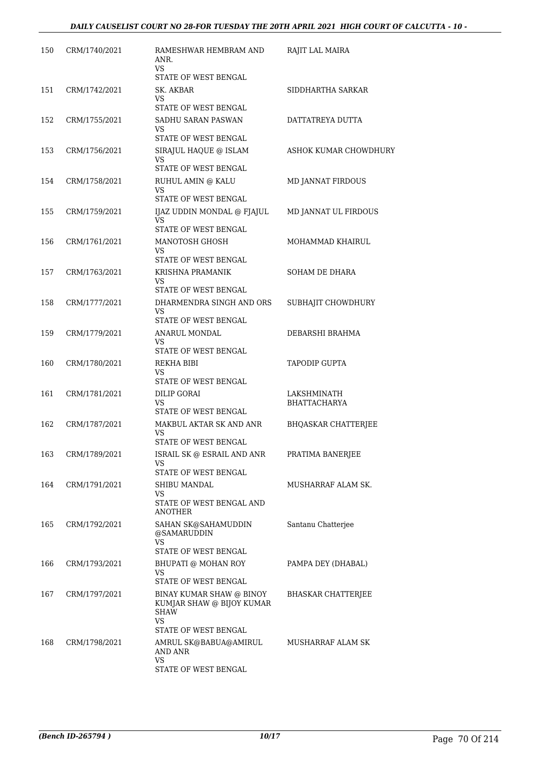| 150 | CRM/1740/2021 | RAMESHWAR HEMBRAM AND<br>ANR.<br>VS.                     | RAJIT LAL MAIRA            |
|-----|---------------|----------------------------------------------------------|----------------------------|
| 151 | CRM/1742/2021 | STATE OF WEST BENGAL<br>SK. AKBAR                        | SIDDHARTHA SARKAR          |
|     |               | VS.<br>STATE OF WEST BENGAL                              |                            |
| 152 | CRM/1755/2021 | SADHU SARAN PASWAN<br>VS.                                | DATTATREYA DUTTA           |
|     |               | STATE OF WEST BENGAL                                     |                            |
| 153 | CRM/1756/2021 | SIRAJUL HAQUE @ ISLAM<br>VS                              | ASHOK KUMAR CHOWDHURY      |
|     |               | STATE OF WEST BENGAL                                     |                            |
| 154 | CRM/1758/2021 | RUHUL AMIN @ KALU<br>VS<br>STATE OF WEST BENGAL          | MD JANNAT FIRDOUS          |
| 155 | CRM/1759/2021 | IJAZ UDDIN MONDAL @ FJAJUL<br>VS.                        | MD JANNAT UL FIRDOUS       |
|     |               | STATE OF WEST BENGAL                                     |                            |
| 156 | CRM/1761/2021 | MANOTOSH GHOSH<br>VS                                     | MOHAMMAD KHAIRUL           |
|     |               | STATE OF WEST BENGAL                                     |                            |
| 157 | CRM/1763/2021 | KRISHNA PRAMANIK<br>VS                                   | SOHAM DE DHARA             |
|     |               | STATE OF WEST BENGAL                                     |                            |
| 158 | CRM/1777/2021 | DHARMENDRA SINGH AND ORS<br>VS.<br>STATE OF WEST BENGAL  | SUBHAJIT CHOWDHURY         |
| 159 | CRM/1779/2021 | ANARUL MONDAL                                            | DEBARSHI BRAHMA            |
|     |               | VS<br>STATE OF WEST BENGAL                               |                            |
| 160 | CRM/1780/2021 | REKHA BIBI                                               | <b>TAPODIP GUPTA</b>       |
|     |               | VS<br>STATE OF WEST BENGAL                               |                            |
| 161 | CRM/1781/2021 | <b>DILIP GORAI</b>                                       | LAKSHMINATH                |
|     |               | VS<br>STATE OF WEST BENGAL                               | <b>BHATTACHARYA</b>        |
| 162 | CRM/1787/2021 | MAKBUL AKTAR SK AND ANR                                  | <b>BHQASKAR CHATTERJEE</b> |
|     |               | VS<br>STATE OF WEST BENGAL                               |                            |
| 163 | CRM/1789/2021 | ISRAIL SK @ ESRAIL AND ANR                               | PRATIMA BANERJEE           |
|     |               | VS                                                       |                            |
|     |               | STATE OF WEST BENGAL                                     |                            |
| 164 | CRM/1791/2021 | SHIBU MANDAL<br>VS                                       | MUSHARRAF ALAM SK.         |
|     |               | STATE OF WEST BENGAL AND<br><b>ANOTHER</b>               |                            |
| 165 | CRM/1792/2021 | SAHAN SK@SAHAMUDDIN<br>@SAMARUDDIN                       | Santanu Chatterjee         |
|     |               | <b>VS</b><br>STATE OF WEST BENGAL                        |                            |
| 166 | CRM/1793/2021 | BHUPATI @ MOHAN ROY                                      | PAMPA DEY (DHABAL)         |
|     |               | VS<br>STATE OF WEST BENGAL                               |                            |
| 167 | CRM/1797/2021 | BINAY KUMAR SHAW @ BINOY                                 | BHASKAR CHATTERJEE         |
|     |               | KUMJAR SHAW @ BIJOY KUMAR<br>SHAW                        |                            |
|     |               | VS                                                       |                            |
| 168 | CRM/1798/2021 | STATE OF WEST BENGAL<br>AMRUL SK@BABUA@AMIRUL<br>AND ANR | MUSHARRAF ALAM SK          |
|     |               | VS.                                                      |                            |
|     |               | STATE OF WEST BENGAL                                     |                            |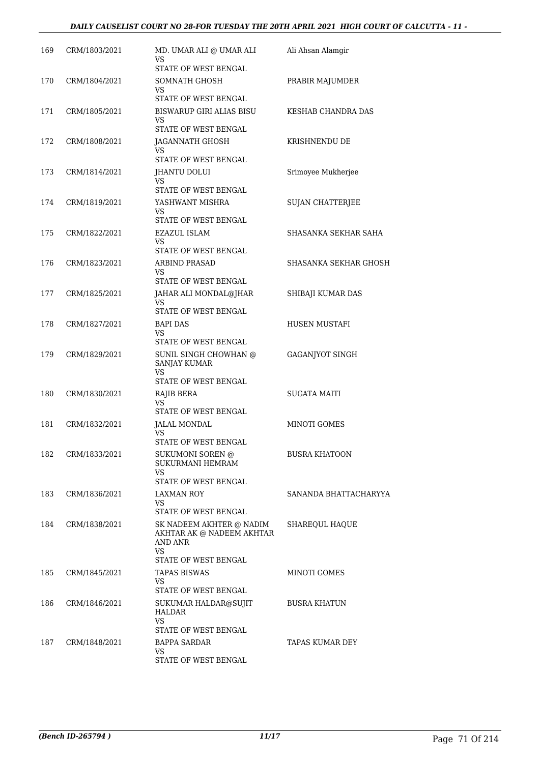| 169 | CRM/1803/2021 | MD. UMAR ALI @ UMAR ALI<br>VS<br>STATE OF WEST BENGAL                                           | Ali Ahsan Alamgir       |
|-----|---------------|-------------------------------------------------------------------------------------------------|-------------------------|
| 170 | CRM/1804/2021 | SOMNATH GHOSH<br>VS<br>STATE OF WEST BENGAL                                                     | PRABIR MAJUMDER         |
| 171 | CRM/1805/2021 | BISWARUP GIRI ALIAS BISU<br>VS                                                                  | KESHAB CHANDRA DAS      |
| 172 | CRM/1808/2021 | STATE OF WEST BENGAL<br>JAGANNATH GHOSH<br>VS.<br>STATE OF WEST BENGAL                          | KRISHNENDU DE           |
| 173 | CRM/1814/2021 | <b>IHANTU DOLUI</b><br>VS<br>STATE OF WEST BENGAL                                               | Srimoyee Mukherjee      |
| 174 | CRM/1819/2021 | YASHWANT MISHRA<br>VS.<br>STATE OF WEST BENGAL                                                  | <b>SUJAN CHATTERJEE</b> |
| 175 | CRM/1822/2021 | EZAZUL ISLAM<br>VS<br>STATE OF WEST BENGAL                                                      | SHASANKA SEKHAR SAHA    |
| 176 | CRM/1823/2021 | <b>ARBIND PRASAD</b><br>VS<br>STATE OF WEST BENGAL                                              | SHASANKA SEKHAR GHOSH   |
| 177 | CRM/1825/2021 | JAHAR ALI MONDAL@JHAR<br>VS.<br>STATE OF WEST BENGAL                                            | SHIBAJI KUMAR DAS       |
| 178 | CRM/1827/2021 | BAPI DAS<br>VS.<br>STATE OF WEST BENGAL                                                         | HUSEN MUSTAFI           |
| 179 | CRM/1829/2021 | SUNIL SINGH CHOWHAN @<br>SANJAY KUMAR<br><b>VS</b><br>STATE OF WEST BENGAL                      | GAGANJYOT SINGH         |
| 180 | CRM/1830/2021 | RAJIB BERA<br>VS.<br>STATE OF WEST BENGAL                                                       | <b>SUGATA MAITI</b>     |
| 181 | CRM/1832/2021 | <b>JALAL MONDAL</b><br>VS<br>STATE OF WEST BENGAL                                               | MINOTI GOMES            |
| 182 | CRM/1833/2021 | SUKUMONI SOREN @<br>SUKURMANI HEMRAM<br>VS.                                                     | <b>BUSRA KHATOON</b>    |
| 183 | CRM/1836/2021 | STATE OF WEST BENGAL<br>LAXMAN ROY<br>VS.<br>STATE OF WEST BENGAL                               | SANANDA BHATTACHARYYA   |
| 184 | CRM/1838/2021 | SK NADEEM AKHTER @ NADIM<br>AKHTAR AK @ NADEEM AKHTAR<br>AND ANR<br>VS.<br>STATE OF WEST BENGAL | SHAREQUL HAQUE          |
| 185 | CRM/1845/2021 | TAPAS BISWAS<br>VS.<br>STATE OF WEST BENGAL                                                     | MINOTI GOMES            |
| 186 | CRM/1846/2021 | SUKUMAR HALDAR@SUJIT<br>HALDAR<br>VS<br>STATE OF WEST BENGAL                                    | <b>BUSRA KHATUN</b>     |
| 187 | CRM/1848/2021 | BAPPA SARDAR<br>VS<br>STATE OF WEST BENGAL                                                      | TAPAS KUMAR DEY         |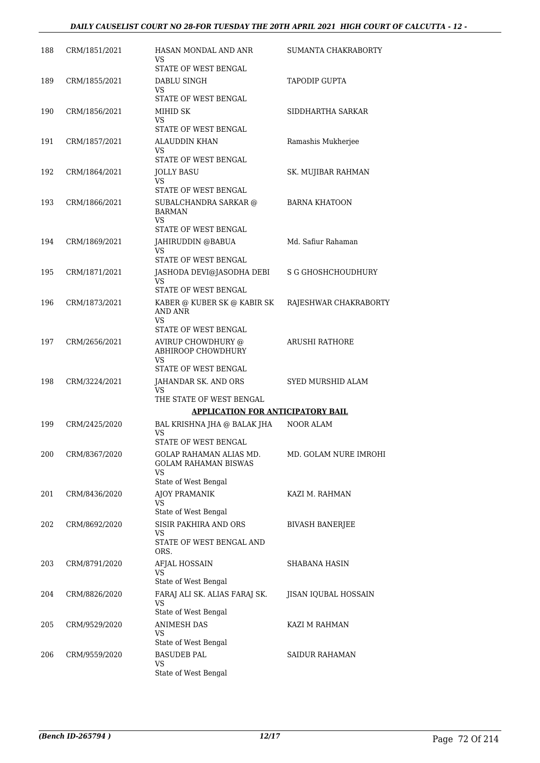| 188 | CRM/1851/2021 | HASAN MONDAL AND ANR<br>VS.<br>STATE OF WEST BENGAL                                     | SUMANTA CHAKRABORTY      |
|-----|---------------|-----------------------------------------------------------------------------------------|--------------------------|
| 189 | CRM/1855/2021 | DABLU SINGH<br>VS.<br>STATE OF WEST BENGAL                                              | TAPODIP GUPTA            |
| 190 | CRM/1856/2021 | MIHID SK<br>VS.<br>STATE OF WEST BENGAL                                                 | SIDDHARTHA SARKAR        |
| 191 | CRM/1857/2021 | ALAUDDIN KHAN<br>VS.<br>STATE OF WEST BENGAL                                            | Ramashis Mukherjee       |
| 192 | CRM/1864/2021 | JOLLY BASU<br>VS.<br>STATE OF WEST BENGAL                                               | SK. MUJIBAR RAHMAN       |
| 193 | CRM/1866/2021 | SUBALCHANDRA SARKAR @<br><b>BARMAN</b><br>VS.<br>STATE OF WEST BENGAL                   | <b>BARNA KHATOON</b>     |
| 194 | CRM/1869/2021 | JAHIRUDDIN @BABUA<br>VS.<br>STATE OF WEST BENGAL                                        | Md. Safiur Rahaman       |
| 195 | CRM/1871/2021 | JASHODA DEVI@JASODHA DEBI<br>VS.<br>STATE OF WEST BENGAL                                | S G GHOSHCHOUDHURY       |
| 196 | CRM/1873/2021 | KABER @ KUBER SK @ KABIR SK<br>AND ANR<br>VS.                                           | RAJESHWAR CHAKRABORTY    |
| 197 | CRM/2656/2021 | STATE OF WEST BENGAL<br>AVIRUP CHOWDHURY @<br>ABHIROOP CHOWDHURY<br><b>VS</b>           | ARUSHI RATHORE           |
| 198 | CRM/3224/2021 | STATE OF WEST BENGAL<br>JAHANDAR SK. AND ORS<br>VS                                      | <b>SYED MURSHID ALAM</b> |
|     |               | THE STATE OF WEST BENGAL<br><b>APPLICATION FOR ANTICIPATORY BAIL</b>                    |                          |
| 199 | CRM/2425/2020 | BAL KRISHNA JHA @ BALAK JHA<br>VS<br><b>STATE OF WEST BENGAL</b>                        | <b>NOOR ALAM</b>         |
| 200 | CRM/8367/2020 | GOLAP RAHAMAN ALIAS MD.<br><b>GOLAM RAHAMAN BISWAS</b><br>VS.<br>State of West Bengal   | MD. GOLAM NURE IMROHI    |
| 201 | CRM/8436/2020 | <b>AJOY PRAMANIK</b><br>VS                                                              | KAZI M. RAHMAN           |
| 202 | CRM/8692/2020 | State of West Bengal<br>SISIR PAKHIRA AND ORS<br>VS<br>STATE OF WEST BENGAL AND<br>ORS. | <b>BIVASH BANERJEE</b>   |
| 203 | CRM/8791/2020 | AFJAL HOSSAIN<br><b>VS</b><br>State of West Bengal                                      | SHABANA HASIN            |
| 204 | CRM/8826/2020 | FARAJ ALI SK. ALIAS FARAJ SK.<br>VS.<br>State of West Bengal                            | JISAN IQUBAL HOSSAIN     |
| 205 | CRM/9529/2020 | ANIMESH DAS<br>VS<br>State of West Bengal                                               | KAZI M RAHMAN            |
| 206 | CRM/9559/2020 | <b>BASUDEB PAL</b><br>VS<br>State of West Bengal                                        | SAIDUR RAHAMAN           |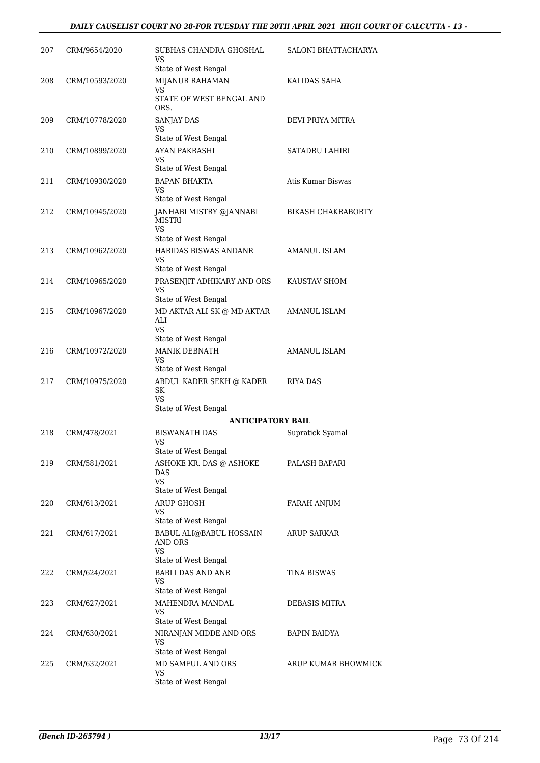| 207 | CRM/9654/2020  | SUBHAS CHANDRA GHOSHAL<br>VS<br>State of West Bengal                        | SALONI BHATTACHARYA       |
|-----|----------------|-----------------------------------------------------------------------------|---------------------------|
| 208 | CRM/10593/2020 | MIJANUR RAHAMAN<br><b>VS</b><br>STATE OF WEST BENGAL AND                    | KALIDAS SAHA              |
| 209 | CRM/10778/2020 | ORS.<br>SANJAY DAS<br>VS                                                    | DEVI PRIYA MITRA          |
| 210 | CRM/10899/2020 | State of West Bengal<br>AYAN PAKRASHI<br>VS                                 | SATADRU LAHIRI            |
| 211 | CRM/10930/2020 | State of West Bengal<br><b>BAPAN BHAKTA</b><br>VS<br>State of West Bengal   | Atis Kumar Biswas         |
| 212 | CRM/10945/2020 | JANHABI MISTRY @JANNABI<br><b>MISTRI</b><br>VS                              | <b>BIKASH CHAKRABORTY</b> |
| 213 | CRM/10962/2020 | State of West Bengal<br>HARIDAS BISWAS ANDANR<br>VS<br>State of West Bengal | <b>AMANUL ISLAM</b>       |
| 214 | CRM/10965/2020 | PRASENJIT ADHIKARY AND ORS<br>VS<br>State of West Bengal                    | KAUSTAV SHOM              |
| 215 | CRM/10967/2020 | MD AKTAR ALI SK @ MD AKTAR<br>ALI<br>VS.<br>State of West Bengal            | AMANUL ISLAM              |
| 216 | CRM/10972/2020 | <b>MANIK DEBNATH</b><br>VS<br>State of West Bengal                          | <b>AMANUL ISLAM</b>       |
| 217 | CRM/10975/2020 | ABDUL KADER SEKH @ KADER<br>SK<br><b>VS</b><br>State of West Bengal         | RIYA DAS                  |
|     |                | <b>ANTICIPATORY BAIL</b>                                                    |                           |
| 218 | CRM/478/2021   | <b>BISWANATH DAS</b><br>VS<br>State of West Bengal                          | Supratick Syamal          |
| 219 | CRM/581/2021   | ASHOKE KR. DAS @ ASHOKE<br>DAS<br>VS                                        | PALASH BAPARI             |
| 220 | CRM/613/2021   | State of West Bengal<br><b>ARUP GHOSH</b><br>VS<br>State of West Bengal     | FARAH ANJUM               |
| 221 | CRM/617/2021   | BABUL ALI@BABUL HOSSAIN<br>AND ORS<br>VS<br>State of West Bengal            | ARUP SARKAR               |
| 222 | CRM/624/2021   | <b>BABLI DAS AND ANR</b><br>VS<br>State of West Bengal                      | TINA BISWAS               |
| 223 | CRM/627/2021   | MAHENDRA MANDAL<br>VS<br>State of West Bengal                               | DEBASIS MITRA             |
| 224 | CRM/630/2021   | NIRANJAN MIDDE AND ORS<br>VS<br>State of West Bengal                        | <b>BAPIN BAIDYA</b>       |
| 225 | CRM/632/2021   | MD SAMFUL AND ORS<br><b>VS</b><br>State of West Bengal                      | ARUP KUMAR BHOWMICK       |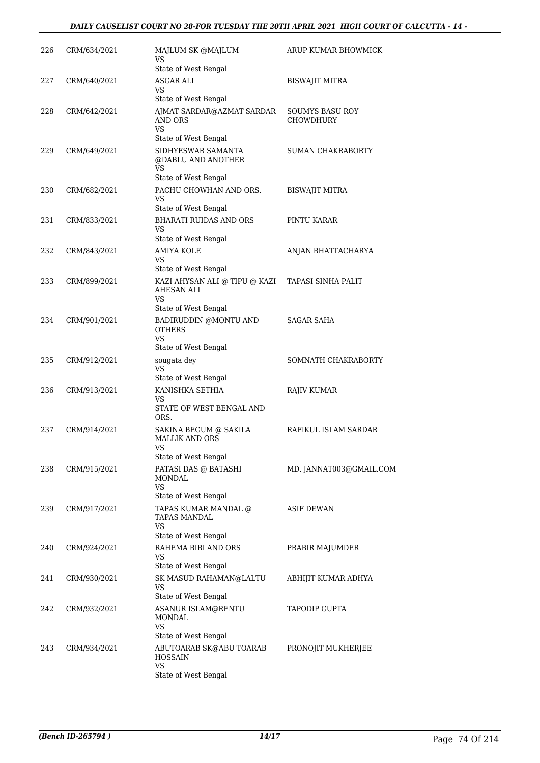## *DAILY CAUSELIST COURT NO 28-FOR TUESDAY THE 20TH APRIL 2021 HIGH COURT OF CALCUTTA - 14 -*

| 226 | CRM/634/2021 | MAJLUM SK @MAJLUM<br>VS<br>State of West Bengal                         | ARUP KUMAR BHOWMICK                 |
|-----|--------------|-------------------------------------------------------------------------|-------------------------------------|
| 227 | CRM/640/2021 | ASGAR ALI<br>VS<br>State of West Bengal                                 | BISWAJIT MITRA                      |
| 228 | CRM/642/2021 | AJMAT SARDAR@AZMAT SARDAR<br>AND ORS<br><b>VS</b>                       | <b>SOUMYS BASU ROY</b><br>CHOWDHURY |
|     |              | State of West Bengal                                                    |                                     |
| 229 | CRM/649/2021 | SIDHYESWAR SAMANTA<br>@DABLU AND ANOTHER<br>VS<br>State of West Bengal  | <b>SUMAN CHAKRABORTY</b>            |
| 230 | CRM/682/2021 | PACHU CHOWHAN AND ORS.<br>VS                                            | BISWAJIT MITRA                      |
|     |              | State of West Bengal                                                    |                                     |
| 231 | CRM/833/2021 | BHARATI RUIDAS AND ORS<br>VS                                            | PINTU KARAR                         |
|     |              | State of West Bengal                                                    |                                     |
| 232 | CRM/843/2021 | <b>AMIYA KOLE</b><br>VS<br>State of West Bengal                         | ANJAN BHATTACHARYA                  |
| 233 | CRM/899/2021 | KAZI AHYSAN ALI @ TIPU @ KAZI<br>AHESAN ALI<br>VS                       | TAPASI SINHA PALIT                  |
| 234 | CRM/901/2021 | State of West Bengal<br>BADIRUDDIN @MONTU AND<br><b>OTHERS</b><br>VS    | SAGAR SAHA                          |
|     |              | State of West Bengal                                                    |                                     |
| 235 | CRM/912/2021 | sougata dey<br>VS                                                       | SOMNATH CHAKRABORTY                 |
| 236 | CRM/913/2021 | State of West Bengal<br>KANISHKA SETHIA                                 | RAJIV KUMAR                         |
|     |              | VS<br>STATE OF WEST BENGAL AND<br>ORS.                                  |                                     |
| 237 | CRM/914/2021 | SAKINA BEGUM @ SAKILA<br><b>MALLIK AND ORS</b><br>VS                    | RAFIKUL ISLAM SARDAR                |
|     |              | State of West Bengal                                                    |                                     |
| 238 | CRM/915/2021 | PATASI DAS @ BATASHI<br>MONDAL<br>VS<br>State of West Bengal            | MD. JANNAT003@GMAIL.COM             |
| 239 | CRM/917/2021 | TAPAS KUMAR MANDAL @<br>TAPAS MANDAL<br>VS                              | <b>ASIF DEWAN</b>                   |
| 240 | CRM/924/2021 | State of West Bengal<br>RAHEMA BIBI AND ORS<br>VS                       | PRABIR MAJUMDER                     |
|     |              | State of West Bengal                                                    |                                     |
| 241 | CRM/930/2021 | SK MASUD RAHAMAN@LALTU<br>VS                                            | ABHIJIT KUMAR ADHYA                 |
|     |              | State of West Bengal                                                    |                                     |
| 242 | CRM/932/2021 | ASANUR ISLAM@RENTU<br>MONDAL<br>VS                                      | <b>TAPODIP GUPTA</b>                |
|     |              | State of West Bengal                                                    |                                     |
| 243 | CRM/934/2021 | ABUTOARAB SK@ABU TOARAB<br><b>HOSSAIN</b><br>VS<br>State of West Bengal | PRONOJIT MUKHERJEE                  |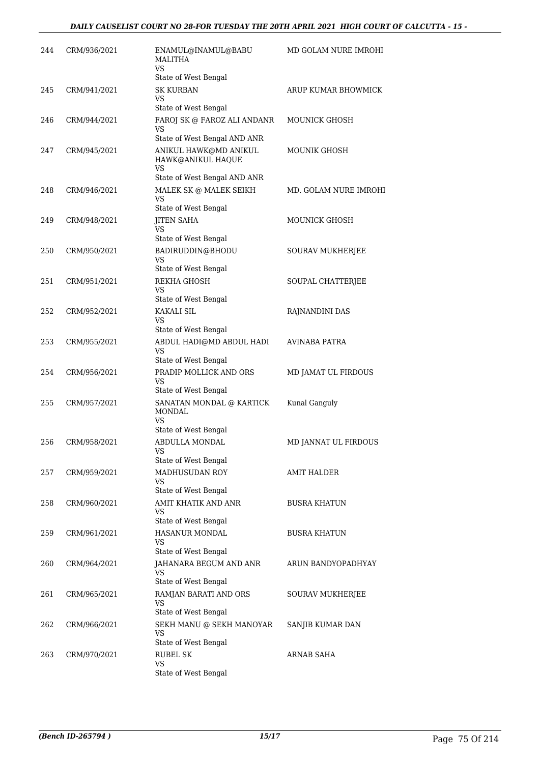| 244 | CRM/936/2021 | ENAMUL@INAMUL@BABU<br>MALITHA<br>VS<br>State of West Bengal                      | MD GOLAM NURE IMROHI    |
|-----|--------------|----------------------------------------------------------------------------------|-------------------------|
| 245 | CRM/941/2021 | <b>SK KURBAN</b><br>VS<br>State of West Bengal                                   | ARUP KUMAR BHOWMICK     |
| 246 | CRM/944/2021 | FAROJ SK @ FAROZ ALI ANDANR<br>VS<br>State of West Bengal AND ANR                | <b>MOUNICK GHOSH</b>    |
| 247 | CRM/945/2021 | ANIKUL HAWK@MD ANIKUL<br>HAWK@ANIKUL HAQUE<br>VS<br>State of West Bengal AND ANR | MOUNIK GHOSH            |
| 248 | CRM/946/2021 | MALEK SK @ MALEK SEIKH<br>VS                                                     | MD. GOLAM NURE IMROHI   |
| 249 | CRM/948/2021 | State of West Bengal<br><b>JITEN SAHA</b><br>VS                                  | <b>MOUNICK GHOSH</b>    |
| 250 | CRM/950/2021 | State of West Bengal<br>BADIRUDDIN@BHODU<br>VS                                   | <b>SOURAV MUKHERJEE</b> |
| 251 | CRM/951/2021 | State of West Bengal<br>REKHA GHOSH<br>VS                                        | SOUPAL CHATTERJEE       |
| 252 | CRM/952/2021 | State of West Bengal<br>KAKALI SIL<br>VS<br>State of West Bengal                 | RAJNANDINI DAS          |
| 253 | CRM/955/2021 | ABDUL HADI@MD ABDUL HADI<br>VS<br>State of West Bengal                           | AVINABA PATRA           |
| 254 | CRM/956/2021 | PRADIP MOLLICK AND ORS<br>VS<br>State of West Bengal                             | MD JAMAT UL FIRDOUS     |
| 255 | CRM/957/2021 | SANATAN MONDAL @ KARTICK<br>MONDAL<br>VS<br>State of West Bengal                 | Kunal Ganguly           |
| 256 | CRM/958/2021 | ABDULLA MONDAL<br>VS<br>State of West Bengal                                     | MD JANNAT UL FIRDOUS    |
| 257 | CRM/959/2021 | MADHUSUDAN ROY<br>VS<br>State of West Bengal                                     | <b>AMIT HALDER</b>      |
| 258 | CRM/960/2021 | AMIT KHATIK AND ANR<br>VS<br>State of West Bengal                                | <b>BUSRA KHATUN</b>     |
| 259 | CRM/961/2021 | <b>HASANUR MONDAL</b><br>VS<br>State of West Bengal                              | <b>BUSRA KHATUN</b>     |
| 260 | CRM/964/2021 | JAHANARA BEGUM AND ANR<br>VS<br>State of West Bengal                             | ARUN BANDYOPADHYAY      |
| 261 | CRM/965/2021 | RAMJAN BARATI AND ORS<br>VS<br>State of West Bengal                              | SOURAV MUKHERJEE        |
| 262 | CRM/966/2021 | SEKH MANU @ SEKH MANOYAR<br>VS<br>State of West Bengal                           | SANJIB KUMAR DAN        |
| 263 | CRM/970/2021 | RUBEL SK<br>VS<br>State of West Bengal                                           | ARNAB SAHA              |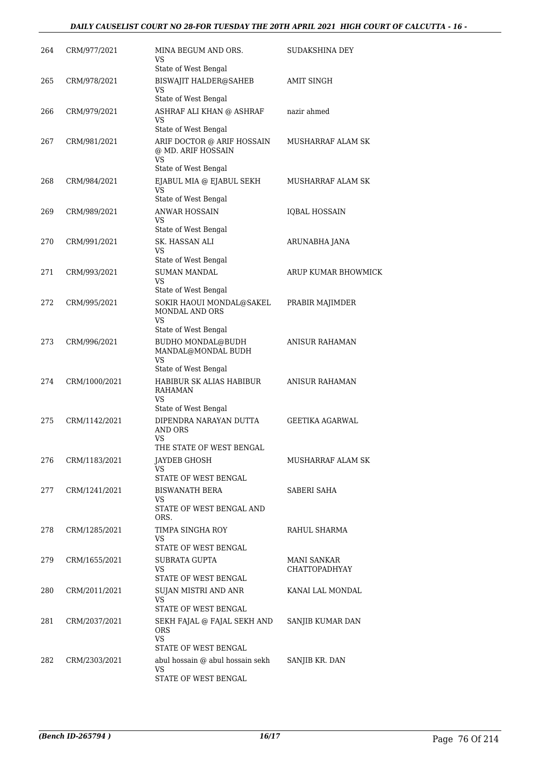| 264 | CRM/977/2021  | MINA BEGUM AND ORS.<br>VS                                                                   | SUDAKSHINA DEY                             |
|-----|---------------|---------------------------------------------------------------------------------------------|--------------------------------------------|
| 265 | CRM/978/2021  | State of West Bengal<br><b>BISWAJIT HALDER@SAHEB</b><br><b>VS</b><br>State of West Bengal   | AMIT SINGH                                 |
| 266 | CRM/979/2021  | ASHRAF ALI KHAN @ ASHRAF<br>VS                                                              | nazir ahmed                                |
| 267 | CRM/981/2021  | State of West Bengal<br>ARIF DOCTOR @ ARIF HOSSAIN<br>@ MD. ARIF HOSSAIN<br>VS              | <b>MUSHARRAF ALAM SK</b>                   |
| 268 | CRM/984/2021  | State of West Bengal<br>EJABUL MIA @ EJABUL SEKH<br>VS                                      | MUSHARRAF ALAM SK                          |
| 269 | CRM/989/2021  | State of West Bengal<br><b>ANWAR HOSSAIN</b><br>VS<br>State of West Bengal                  | <b>IQBAL HOSSAIN</b>                       |
| 270 | CRM/991/2021  | SK. HASSAN ALI<br>VS                                                                        | ARUNABHA JANA                              |
| 271 | CRM/993/2021  | State of West Bengal<br><b>SUMAN MANDAL</b><br>VS                                           | ARUP KUMAR BHOWMICK                        |
| 272 | CRM/995/2021  | State of West Bengal<br>SOKIR HAOUI MONDAL@SAKEL<br>MONDAL AND ORS<br><b>VS</b>             | PRABIR MAJIMDER                            |
| 273 | CRM/996/2021  | State of West Bengal<br>BUDHO MONDAL@BUDH<br>MANDAL@MONDAL BUDH<br><b>VS</b>                | <b>ANISUR RAHAMAN</b>                      |
| 274 | CRM/1000/2021 | State of West Bengal<br>HABIBUR SK ALIAS HABIBUR<br>RAHAMAN<br>VS                           | ANISUR RAHAMAN                             |
| 275 | CRM/1142/2021 | State of West Bengal<br>DIPENDRA NARAYAN DUTTA<br>AND ORS<br>VS<br>THE STATE OF WEST BENGAL | GEETIKA AGARWAL                            |
| 276 | CRM/1183/2021 | JAYDEB GHOSH<br>VS                                                                          | MUSHARRAF ALAM SK                          |
| 277 | CRM/1241/2021 | STATE OF WEST BENGAL<br><b>BISWANATH BERA</b><br>VS<br>STATE OF WEST BENGAL AND             | SABERI SAHA                                |
| 278 | CRM/1285/2021 | ORS.<br>TIMPA SINGHA ROY<br>VS<br>STATE OF WEST BENGAL                                      | RAHUL SHARMA                               |
| 279 | CRM/1655/2021 | <b>SUBRATA GUPTA</b><br>VS<br>STATE OF WEST BENGAL                                          | <b>MANI SANKAR</b><br><b>CHATTOPADHYAY</b> |
| 280 | CRM/2011/2021 | SUJAN MISTRI AND ANR<br>VS<br>STATE OF WEST BENGAL                                          | KANAI LAL MONDAL                           |
| 281 | CRM/2037/2021 | SEKH FAJAL @ FAJAL SEKH AND<br><b>ORS</b><br>VS.                                            | SANJIB KUMAR DAN                           |
| 282 | CRM/2303/2021 | STATE OF WEST BENGAL<br>abul hossain @ abul hossain sekh<br>VS<br>STATE OF WEST BENGAL      | SANJIB KR. DAN                             |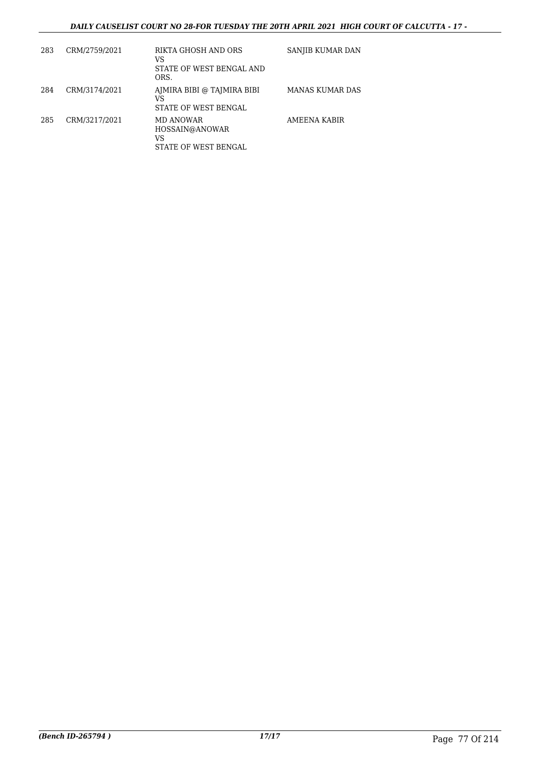## *DAILY CAUSELIST COURT NO 28-FOR TUESDAY THE 20TH APRIL 2021 HIGH COURT OF CALCUTTA - 17 -*

| 283 | CRM/2759/2021 | RIKTA GHOSH AND ORS<br>VS<br>STATE OF WEST BENGAL AND<br>ORS. | SANJIB KUMAR DAN |
|-----|---------------|---------------------------------------------------------------|------------------|
| 284 | CRM/3174/2021 | AJMIRA BIBI @ TAJMIRA BIBI<br>VS<br>STATE OF WEST BENGAL      | MANAS KUMAR DAS  |
| 285 | CRM/3217/2021 | MD ANOWAR<br>HOSSAIN@ANOWAR<br>VS<br>STATE OF WEST BENGAL     | AMEENA KABIR     |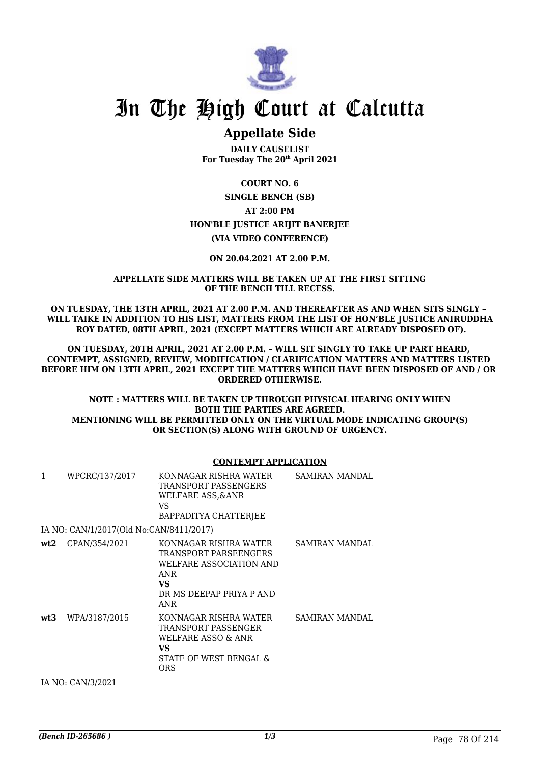

# In The High Court at Calcutta

# **Appellate Side**

**DAILY CAUSELIST For Tuesday The 20th April 2021**

**COURT NO. 6 SINGLE BENCH (SB) AT 2:00 PM HON'BLE JUSTICE ARIJIT BANERJEE (VIA VIDEO CONFERENCE)**

## **ON 20.04.2021 AT 2.00 P.M.**

## **APPELLATE SIDE MATTERS WILL BE TAKEN UP AT THE FIRST SITTING OF THE BENCH TILL RECESS.**

**ON TUESDAY, THE 13TH APRIL, 2021 AT 2.00 P.M. AND THEREAFTER AS AND WHEN SITS SINGLY – WILL TAIKE IN ADDITION TO HIS LIST, MATTERS FROM THE LIST OF HON'BLE JUSTICE ANIRUDDHA ROY DATED, 08TH APRIL, 2021 (EXCEPT MATTERS WHICH ARE ALREADY DISPOSED OF).**

**ON TUESDAY, 20TH APRIL, 2021 AT 2.00 P.M. – WILL SIT SINGLY TO TAKE UP PART HEARD, CONTEMPT, ASSIGNED, REVIEW, MODIFICATION / CLARIFICATION MATTERS AND MATTERS LISTED BEFORE HIM ON 13TH APRIL, 2021 EXCEPT THE MATTERS WHICH HAVE BEEN DISPOSED OF AND / OR ORDERED OTHERWISE.**

**NOTE : MATTERS WILL BE TAKEN UP THROUGH PHYSICAL HEARING ONLY WHEN BOTH THE PARTIES ARE AGREED. MENTIONING WILL BE PERMITTED ONLY ON THE VIRTUAL MODE INDICATING GROUP(S) OR SECTION(S) ALONG WITH GROUND OF URGENCY.**

## **CONTEMPT APPLICATION**

| $\mathbf{1}$ | WPCRC/137/2017                          | KONNAGAR RISHRA WATER<br>TRANSPORT PASSENGERS<br><b>WELFARE ASS, &amp; ANR</b><br>VS.<br>BAPPADITYA CHATTERJEE             | SAMIRAN MANDAL        |
|--------------|-----------------------------------------|----------------------------------------------------------------------------------------------------------------------------|-----------------------|
|              | IA NO: CAN/1/2017(Old No:CAN/8411/2017) |                                                                                                                            |                       |
| wt2          | CPAN/354/2021                           | KONNAGAR RISHRA WATER<br>TRANSPORT PARSEENGERS<br>WELFARE ASSOCIATION AND<br>ANR<br>VS.<br>DR MS DEEPAP PRIYA P AND<br>ANR | SAMIRAN MANDAL        |
| wt3          | WPA/3187/2015                           | KONNAGAR RISHRA WATER<br>TRANSPORT PASSENGER<br>WELFARE ASSO & ANR<br>VS<br>STATE OF WEST BENGAL &<br><b>ORS</b>           | <b>SAMIRAN MANDAL</b> |

IA NO: CAN/3/2021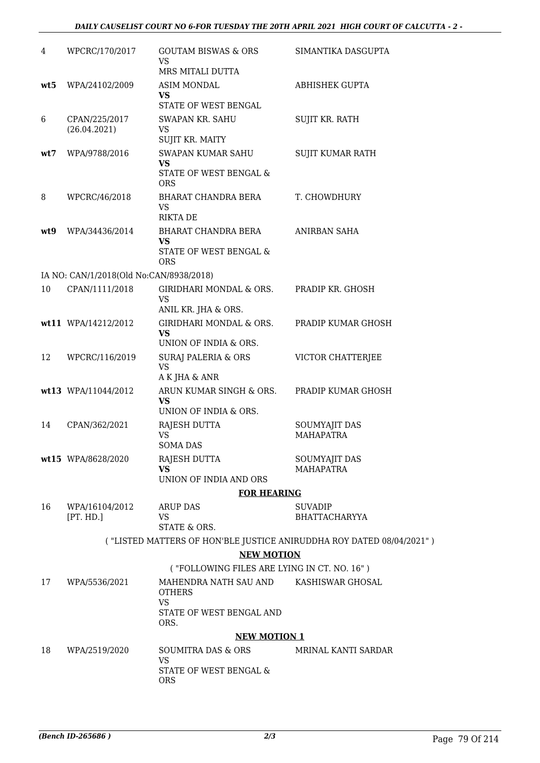## *DAILY CAUSELIST COURT NO 6-FOR TUESDAY THE 20TH APRIL 2021 HIGH COURT OF CALCUTTA - 2 -*

| 4   | WPCRC/170/2017                          | <b>GOUTAM BISWAS &amp; ORS</b><br>VS<br>MRS MITALI DUTTA          | SIMANTIKA DASGUPTA                                                   |
|-----|-----------------------------------------|-------------------------------------------------------------------|----------------------------------------------------------------------|
| wt5 | WPA/24102/2009                          | <b>ASIM MONDAL</b><br>VS<br>STATE OF WEST BENGAL                  | ABHISHEK GUPTA                                                       |
| 6   | CPAN/225/2017<br>(26.04.2021)           | SWAPAN KR. SAHU<br>VS.<br>SUJIT KR. MAITY                         | SUJIT KR. RATH                                                       |
| wt7 | WPA/9788/2016                           | SWAPAN KUMAR SAHU<br>VS<br>STATE OF WEST BENGAL &<br><b>ORS</b>   | SUJIT KUMAR RATH                                                     |
| 8   | WPCRC/46/2018                           | BHARAT CHANDRA BERA<br>VS.<br><b>RIKTA DE</b>                     | T. CHOWDHURY                                                         |
| wt9 | WPA/34436/2014                          | BHARAT CHANDRA BERA<br>VS<br>STATE OF WEST BENGAL &<br><b>ORS</b> | ANIRBAN SAHA                                                         |
|     | IA NO: CAN/1/2018(Old No:CAN/8938/2018) |                                                                   |                                                                      |
| 10  | CPAN/1111/2018                          | GIRIDHARI MONDAL & ORS.<br>VS<br>ANIL KR. JHA & ORS.              | PRADIP KR. GHOSH                                                     |
|     | wt11 WPA/14212/2012                     | GIRIDHARI MONDAL & ORS.<br><b>VS</b><br>UNION OF INDIA & ORS.     | PRADIP KUMAR GHOSH                                                   |
| 12  | WPCRC/116/2019                          | SURAJ PALERIA & ORS<br><b>VS</b><br>A K JHA & ANR                 | VICTOR CHATTERJEE                                                    |
|     | wt13 WPA/11044/2012                     | ARUN KUMAR SINGH & ORS.<br>VS<br>UNION OF INDIA & ORS.            | PRADIP KUMAR GHOSH                                                   |
| 14  | CPAN/362/2021                           | RAJESH DUTTA<br><b>VS</b><br>SOMA DAS                             | SOUMYAJIT DAS<br><b>MAHAPATRA</b>                                    |
|     | wt15 WPA/8628/2020                      | RAJESH DUTTA<br><b>VS</b><br>UNION OF INDIA AND ORS               | SOUMYAJIT DAS<br>MAHAPATRA                                           |
|     |                                         | <b>FOR HEARING</b>                                                |                                                                      |
| 16  | WPA/16104/2012<br>[PT. HD.]             | ARUP DAS<br>VS                                                    | <b>SUVADIP</b><br><b>BHATTACHARYYA</b>                               |
|     |                                         | STATE & ORS.                                                      |                                                                      |
|     |                                         |                                                                   | ("LISTED MATTERS OF HON'BLE JUSTICE ANIRUDDHA ROY DATED 08/04/2021") |
|     |                                         | <b>NEW MOTION</b>                                                 |                                                                      |
|     |                                         | ("FOLLOWING FILES ARE LYING IN CT. NO. 16")                       |                                                                      |
| 17  | WPA/5536/2021                           | MAHENDRA NATH SAU AND<br><b>OTHERS</b><br><b>VS</b>               | KASHISWAR GHOSAL                                                     |
|     |                                         | STATE OF WEST BENGAL AND<br>ORS.                                  |                                                                      |
|     |                                         | <b>NEW MOTION 1</b>                                               |                                                                      |
| 18  | WPA/2519/2020                           | SOUMITRA DAS & ORS<br><b>VS</b>                                   | MRINAL KANTI SARDAR                                                  |
|     |                                         | STATE OF WEST BENGAL &<br><b>ORS</b>                              |                                                                      |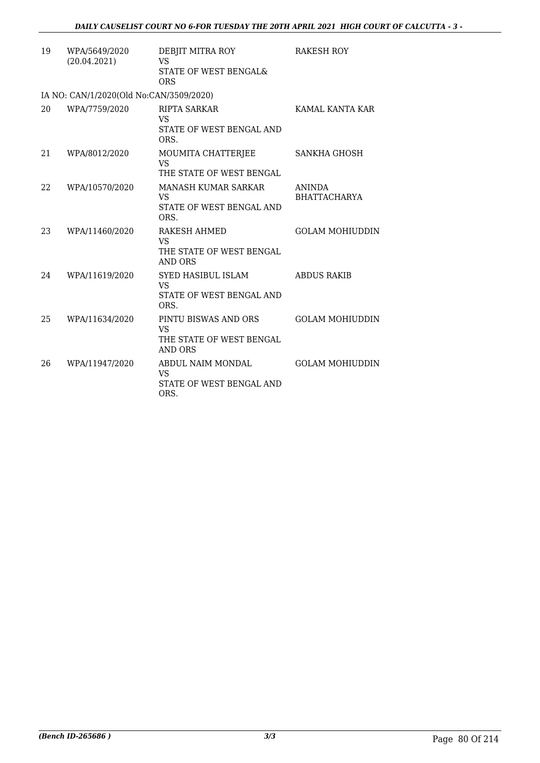| 19 | WPA/5649/2020<br>(20.04.2021)           | DEBJIT MITRA ROY<br>VS<br>STATE OF WEST BENGAL&<br><b>ORS</b>                   | RAKESH ROY                           |
|----|-----------------------------------------|---------------------------------------------------------------------------------|--------------------------------------|
|    | IA NO: CAN/1/2020(Old No:CAN/3509/2020) |                                                                                 |                                      |
| 20 | WPA/7759/2020                           | <b>RIPTA SARKAR</b><br>VS<br>STATE OF WEST BENGAL AND<br>ORS.                   | KAMAL KANTA KAR                      |
| 21 | WPA/8012/2020                           | MOUMITA CHATTERJEE<br>VS<br>THE STATE OF WEST BENGAL                            | SANKHA GHOSH                         |
| 22 | WPA/10570/2020                          | <b>MANASH KUMAR SARKAR</b><br>VS<br>STATE OF WEST BENGAL AND<br>ORS.            | <b>ANINDA</b><br><b>BHATTACHARYA</b> |
| 23 | WPA/11460/2020                          | RAKESH AHMED<br>VS.<br>THE STATE OF WEST BENGAL<br><b>AND ORS</b>               | <b>GOLAM MOHIUDDIN</b>               |
| 24 | WPA/11619/2020                          | SYED HASIBUL ISLAM<br><b>VS</b><br>STATE OF WEST BENGAL AND<br>ORS.             | <b>ABDUS RAKIB</b>                   |
| 25 | WPA/11634/2020                          | PINTU BISWAS AND ORS<br><b>VS</b><br>THE STATE OF WEST BENGAL<br><b>AND ORS</b> | <b>GOLAM MOHIUDDIN</b>               |
| 26 | WPA/11947/2020                          | ABDUL NAIM MONDAL<br>VS<br>STATE OF WEST BENGAL AND<br>ORS.                     | <b>GOLAM MOHIUDDIN</b>               |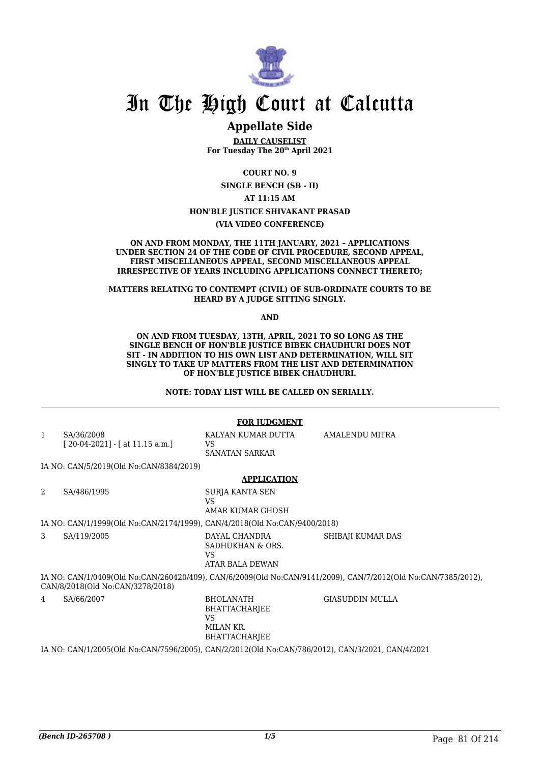

# In The High Court at Calcutta

## **Appellate Side**

**DAILY CAUSELIST For Tuesday The 20th April 2021**

**COURT NO. 9**

**SINGLE BENCH (SB - II)**

**AT 11:15 AM**

### **HON'BLE JUSTICE SHIVAKANT PRASAD**

**(VIA VIDEO CONFERENCE)**

#### **ON AND FROM MONDAY, THE 11TH JANUARY, 2021 – APPLICATIONS UNDER SECTION 24 OF THE CODE OF CIVIL PROCEDURE, SECOND APPEAL, FIRST MISCELLANEOUS APPEAL, SECOND MISCELLANEOUS APPEAL IRRESPECTIVE OF YEARS INCLUDING APPLICATIONS CONNECT THERETO;**

### **MATTERS RELATING TO CONTEMPT (CIVIL) OF SUB-ORDINATE COURTS TO BE HEARD BY A JUDGE SITTING SINGLY.**

**AND**

#### **ON AND FROM TUESDAY, 13TH, APRIL, 2021 TO SO LONG AS THE SINGLE BENCH OF HON'BLE JUSTICE BIBEK CHAUDHURI DOES NOT SIT - IN ADDITION TO HIS OWN LIST AND DETERMINATION, WILL SIT SINGLY TO TAKE UP MATTERS FROM THE LIST AND DETERMINATION OF HON'BLE JUSTICE BIBEK CHAUDHURI.**

**NOTE: TODAY LIST WILL BE CALLED ON SERIALLY.**

#### **FOR JUDGMENT** 1 SA/36/2008 [ 20-04-2021] - [ at 11.15 a.m.] KALYAN KUMAR DUTTA  $V<sup>Q</sup>$ SANATAN SARKAR AMALENDU MITRA IA NO: CAN/5/2019(Old No:CAN/8384/2019) **APPLICATION** 2 SA/486/1995 SURJA KANTA SEN VS AMAR KUMAR GHOSH IA NO: CAN/1/1999(Old No:CAN/2174/1999), CAN/4/2018(Old No:CAN/9400/2018) 3 SA/119/2005 DAYAL CHANDRA SADHUKHAN & ORS. VS ATAR BALA DEWAN SHIBAJI KUMAR DAS IA NO: CAN/1/0409(Old No:CAN/260420/409), CAN/6/2009(Old No:CAN/9141/2009), CAN/7/2012(Old No:CAN/7385/2012), CAN/8/2018(Old No:CAN/3278/2018) 4 SA/66/2007 BHOLANATH BHATTACHARJEE VS MILAN KR. BHATTACHARJEE GIASUDDIN MULLA IA NO: CAN/1/2005(Old No:CAN/7596/2005), CAN/2/2012(Old No:CAN/786/2012), CAN/3/2021, CAN/4/2021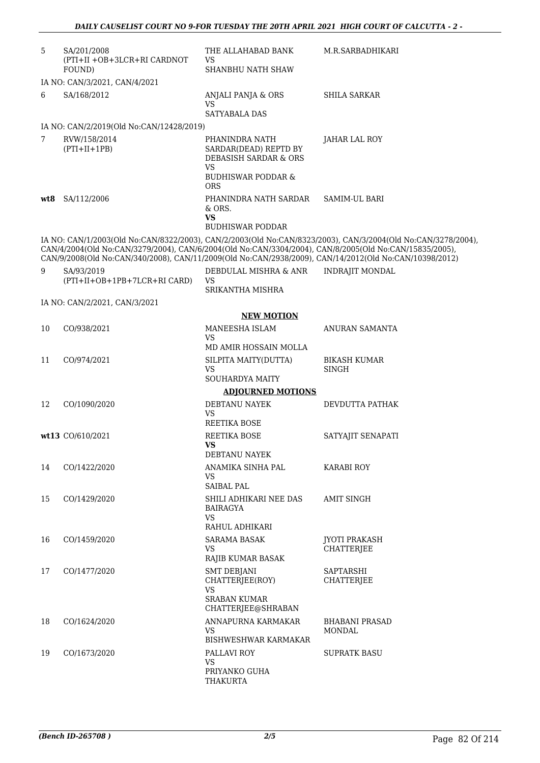| 5   | SA/201/2008<br>(PTI+II +OB+3LCR+RI CARDNOT                                                                                                                                                                       | THE ALLAHABAD BANK<br>VS                                                                 | M.R.SARBADHIKARI                                                                                             |
|-----|------------------------------------------------------------------------------------------------------------------------------------------------------------------------------------------------------------------|------------------------------------------------------------------------------------------|--------------------------------------------------------------------------------------------------------------|
|     | FOUND)                                                                                                                                                                                                           | SHANBHU NATH SHAW                                                                        |                                                                                                              |
|     | IA NO: CAN/3/2021, CAN/4/2021                                                                                                                                                                                    |                                                                                          |                                                                                                              |
| 6   | SA/168/2012                                                                                                                                                                                                      | ANJALI PANJA & ORS<br><b>VS</b><br><b>SATYABALA DAS</b>                                  | <b>SHILA SARKAR</b>                                                                                          |
|     | IA NO: CAN/2/2019(Old No:CAN/12428/2019)                                                                                                                                                                         |                                                                                          |                                                                                                              |
| 7   | RVW/158/2014<br>$(PTI+II+1PB)$                                                                                                                                                                                   | PHANINDRA NATH<br>SARDAR(DEAD) REPTD BY<br><b>DEBASISH SARDAR &amp; ORS</b><br><b>VS</b> | <b>JAHAR LAL ROY</b>                                                                                         |
|     |                                                                                                                                                                                                                  | <b>BUDHISWAR PODDAR &amp;</b><br><b>ORS</b>                                              |                                                                                                              |
| wt8 | SA/112/2006                                                                                                                                                                                                      | PHANINDRA NATH SARDAR<br>& ORS.<br><b>VS</b>                                             | SAMIM-UL BARI                                                                                                |
|     |                                                                                                                                                                                                                  | <b>BUDHISWAR PODDAR</b>                                                                  |                                                                                                              |
|     | CAN/4/2004(Old No:CAN/3279/2004), CAN/6/2004(Old No:CAN/3304/2004), CAN/8/2005(Old No:CAN/15835/2005),<br>CAN/9/2008(Old No:CAN/340/2008), CAN/11/2009(Old No:CAN/2938/2009), CAN/14/2012(Old No:CAN/10398/2012) |                                                                                          | IA NO: CAN/1/2003(Old No:CAN/8322/2003), CAN/2/2003(Old No:CAN/8323/2003), CAN/3/2004(Old No:CAN/3278/2004), |
| 9   | SA/93/2019<br>(PTI+II+OB+1PB+7LCR+RI CARD)                                                                                                                                                                       | DEBDULAL MISHRA & ANR<br>VS.<br>SRIKANTHA MISHRA                                         | <b>INDRAJIT MONDAL</b>                                                                                       |
|     | IA NO: CAN/2/2021, CAN/3/2021                                                                                                                                                                                    |                                                                                          |                                                                                                              |
|     |                                                                                                                                                                                                                  | <b>NEW MOTION</b>                                                                        |                                                                                                              |
| 10  | CO/938/2021                                                                                                                                                                                                      | MANEESHA ISLAM                                                                           | ANURAN SAMANTA                                                                                               |
|     |                                                                                                                                                                                                                  | VS.<br>MD AMIR HOSSAIN MOLLA                                                             |                                                                                                              |
| 11  | CO/974/2021                                                                                                                                                                                                      | SILPITA MAITY(DUTTA)                                                                     | <b>BIKASH KUMAR</b>                                                                                          |
|     |                                                                                                                                                                                                                  | <b>VS</b><br>SOUHARDYA MAITY                                                             | <b>SINGH</b>                                                                                                 |
|     |                                                                                                                                                                                                                  | <b>ADJOURNED MOTIONS</b>                                                                 |                                                                                                              |
| 12  | CO/1090/2020                                                                                                                                                                                                     | DEBTANU NAYEK                                                                            | DEVDUTTA PATHAK                                                                                              |
|     |                                                                                                                                                                                                                  | VS<br><b>REETIKA BOSE</b>                                                                |                                                                                                              |
|     | wt13 CO/610/2021                                                                                                                                                                                                 | REETIKA BOSE<br><b>VS</b>                                                                | SATYAJIT SENAPATI                                                                                            |
|     |                                                                                                                                                                                                                  | DEBTANU NAYEK                                                                            |                                                                                                              |
| 14  | CO/1422/2020                                                                                                                                                                                                     | ANAMIKA SINHA PAL<br><b>VS</b><br><b>SAIBAL PAL</b>                                      | KARABI ROY                                                                                                   |
| 15  | CO/1429/2020                                                                                                                                                                                                     | SHILI ADHIKARI NEE DAS<br>BAIRAGYA<br><b>VS</b><br>RAHUL ADHIKARI                        | AMIT SINGH                                                                                                   |
| 16  | CO/1459/2020                                                                                                                                                                                                     | SARAMA BASAK                                                                             | <b>JYOTI PRAKASH</b>                                                                                         |
|     |                                                                                                                                                                                                                  | <b>VS</b><br>RAJIB KUMAR BASAK                                                           | <b>CHATTERJEE</b>                                                                                            |
| 17  | CO/1477/2020                                                                                                                                                                                                     | <b>SMT DEBJANI</b><br>CHATTERJEE(ROY)<br><b>VS</b>                                       | SAPTARSHI<br><b>CHATTERJEE</b>                                                                               |
|     |                                                                                                                                                                                                                  | <b>SRABAN KUMAR</b><br>CHATTERJEE@SHRABAN                                                |                                                                                                              |
| 18  | CO/1624/2020                                                                                                                                                                                                     | ANNAPURNA KARMAKAR<br><b>VS</b><br>BISHWESHWAR KARMAKAR                                  | <b>BHABANI PRASAD</b><br>MONDAL                                                                              |
| 19  | CO/1673/2020                                                                                                                                                                                                     | PALLAVI ROY                                                                              | <b>SUPRATK BASU</b>                                                                                          |
|     |                                                                                                                                                                                                                  | VS.<br>PRIYANKO GUHA<br>THAKURTA                                                         |                                                                                                              |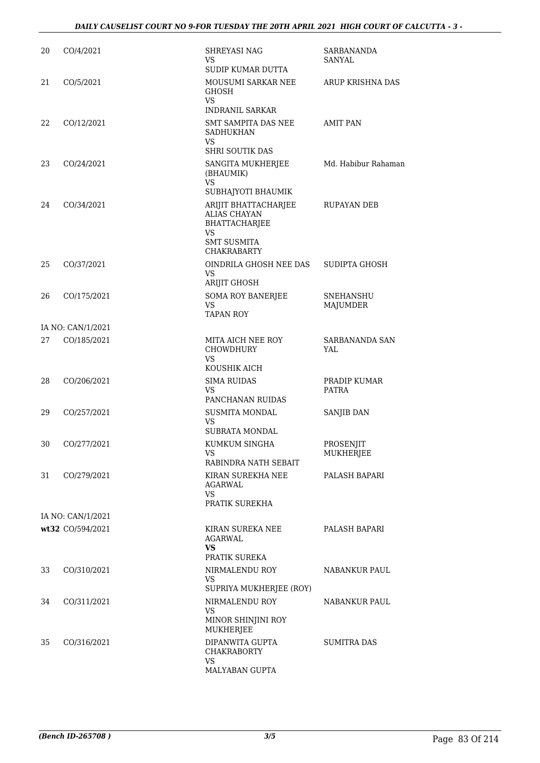| 20 | CO/4/2021         | <b>SHREYASI NAG</b><br>VS.<br>SUDIP KUMAR DUTTA                                                                                             | SARBANANDA<br><b>SANYAL</b>   |
|----|-------------------|---------------------------------------------------------------------------------------------------------------------------------------------|-------------------------------|
| 21 | CO/5/2021         | MOUSUMI SARKAR NEE<br><b>GHOSH</b><br>VS.<br><b>INDRANIL SARKAR</b>                                                                         | ARUP KRISHNA DAS              |
| 22 | CO/12/2021        | SMT SAMPITA DAS NEE<br>SADHUKHAN<br><b>VS</b><br><b>SHRI SOUTIK DAS</b>                                                                     | <b>AMIT PAN</b>               |
| 23 | CO/24/2021        | SANGITA MUKHERJEE<br>(BHAUMIK)<br><b>VS</b>                                                                                                 | Md. Habibur Rahaman           |
| 24 | CO/34/2021        | SUBHAJYOTI BHAUMIK<br>ARIJIT BHATTACHARJEE<br><b>ALIAS CHAYAN</b><br>BHATTACHARJEE<br><b>VS</b><br><b>SMT SUSMITA</b><br><b>CHAKRABARTY</b> | RUPAYAN DEB                   |
| 25 | CO/37/2021        | OINDRILA GHOSH NEE DAS<br><b>VS</b><br><b>ARIJIT GHOSH</b>                                                                                  | <b>SUDIPTA GHOSH</b>          |
| 26 | CO/175/2021       | <b>SOMA ROY BANERJEE</b><br><b>VS</b><br><b>TAPAN ROY</b>                                                                                   | <b>SNEHANSHU</b><br>MAJUMDER  |
|    | IA NO: CAN/1/2021 |                                                                                                                                             |                               |
| 27 | CO/185/2021       | MITA AICH NEE ROY<br><b>CHOWDHURY</b><br>VS.                                                                                                | SARBANANDA SAN<br>YAL         |
|    |                   | KOUSHIK AICH                                                                                                                                |                               |
| 28 | CO/206/2021       | <b>SIMA RUIDAS</b><br><b>VS</b><br>PANCHANAN RUIDAS                                                                                         | PRADIP KUMAR<br>PATRA         |
| 29 | CO/257/2021       | <b>SUSMITA MONDAL</b><br><b>VS</b><br>SUBRATA MONDAL                                                                                        | SANJIB DAN                    |
| 30 | CO/277/2021       | KUMKUM SINGHA<br><b>VS</b><br>RABINDRA NATH SEBAIT                                                                                          | PROSENJIT<br><b>MUKHERJEE</b> |
| 31 | CO/279/2021       | KIRAN SUREKHA NEE<br>AGARWAL<br><b>VS</b><br>PRATIK SUREKHA                                                                                 | PALASH BAPARI                 |
|    | IA NO: CAN/1/2021 |                                                                                                                                             |                               |
|    | wt32 CO/594/2021  | KIRAN SUREKA NEE<br>AGARWAL<br>VS.<br>PRATIK SUREKA                                                                                         | PALASH BAPARI                 |
| 33 | CO/310/2021       | NIRMALENDU ROY<br>VS.<br>SUPRIYA MUKHERJEE (ROY)                                                                                            | NABANKUR PAUL                 |
| 34 | CO/311/2021       | NIRMALENDU ROY<br>VS.<br>MINOR SHINJINI ROY                                                                                                 | NABANKUR PAUL                 |
| 35 | CO/316/2021       | <b>MUKHERJEE</b><br>DIPANWITA GUPTA<br><b>CHAKRABORTY</b><br><b>VS</b><br>MALYABAN GUPTA                                                    | <b>SUMITRA DAS</b>            |
|    |                   |                                                                                                                                             |                               |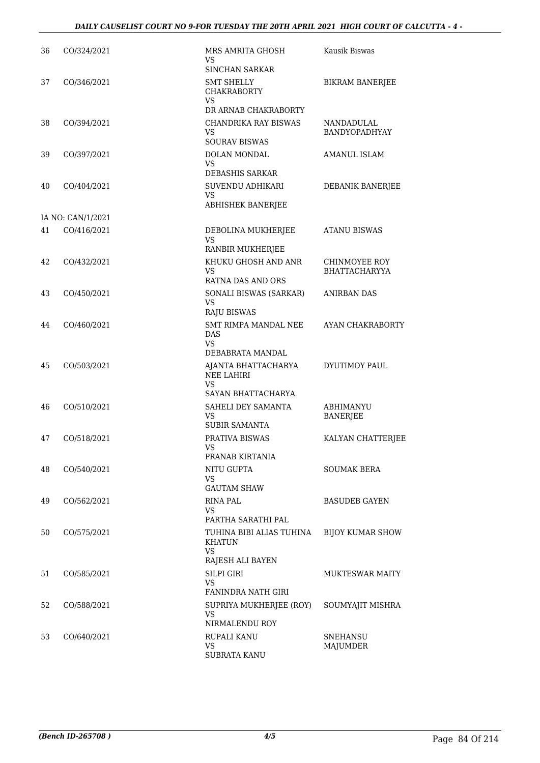| 36 | CO/324/2021       | MRS AMRITA GHOSH<br>VS<br><b>SINCHAN SARKAR</b>        | Kausik Biswas                         |
|----|-------------------|--------------------------------------------------------|---------------------------------------|
| 37 | CO/346/2021       | <b>SMT SHELLY</b><br><b>CHAKRABORTY</b><br>VS.         | <b>BIKRAM BANERJEE</b>                |
|    |                   | DR ARNAB CHAKRABORTY                                   |                                       |
| 38 | CO/394/2021       | CHANDRIKA RAY BISWAS<br>VS                             | NANDADULAL<br>BANDYOPADHYAY           |
|    |                   | <b>SOURAV BISWAS</b>                                   |                                       |
| 39 | CO/397/2021       | DOLAN MONDAL<br>VS<br><b>DEBASHIS SARKAR</b>           | <b>AMANUL ISLAM</b>                   |
| 40 | CO/404/2021       | SUVENDU ADHIKARI                                       | DEBANIK BANERJEE                      |
|    |                   | VS<br>ABHISHEK BANERJEE                                |                                       |
|    | IA NO: CAN/1/2021 |                                                        |                                       |
| 41 | CO/416/2021       | DEBOLINA MUKHERJEE<br>VS                               | <b>ATANU BISWAS</b>                   |
|    |                   | RANBIR MUKHERJEE                                       |                                       |
| 42 | CO/432/2021       | KHUKU GHOSH AND ANR<br><b>VS</b>                       | CHINMOYEE ROY<br><b>BHATTACHARYYA</b> |
|    |                   | <b>RATNA DAS AND ORS</b>                               |                                       |
| 43 | CO/450/2021       | SONALI BISWAS (SARKAR)<br><b>VS</b><br>RAJU BISWAS     | <b>ANIRBAN DAS</b>                    |
| 44 | CO/460/2021       | SMT RIMPA MANDAL NEE<br>DAS                            | AYAN CHAKRABORTY                      |
|    |                   | VS<br>DEBABRATA MANDAL                                 |                                       |
| 45 | CO/503/2021       | AJANTA BHATTACHARYA<br><b>NEE LAHIRI</b><br>VS         | DYUTIMOY PAUL                         |
|    |                   | SAYAN BHATTACHARYA                                     |                                       |
| 46 | CO/510/2021       | SAHELI DEY SAMANTA<br>VS                               | ABHIMANYU<br><b>BANERJEE</b>          |
|    |                   | <b>SUBIR SAMANTA</b>                                   |                                       |
| 47 | CO/518/2021       | PRATIVA BISWAS<br>VS.<br>PRANAB KIRTANIA               | KALYAN CHATTERJEE                     |
| 48 | CO/540/2021       | NITU GUPTA                                             | <b>SOUMAK BERA</b>                    |
|    |                   | VS<br><b>GAUTAM SHAW</b>                               |                                       |
| 49 | CO/562/2021       | RINA PAL                                               | <b>BASUDEB GAYEN</b>                  |
|    |                   | VS<br>PARTHA SARATHI PAL                               |                                       |
| 50 | CO/575/2021       | TUHINA BIBI ALIAS TUHINA<br><b>KHATUN</b><br><b>VS</b> | <b>BIJOY KUMAR SHOW</b>               |
|    |                   | RAJESH ALI BAYEN                                       |                                       |
| 51 | CO/585/2021       | <b>SILPI GIRI</b><br><b>VS</b>                         | MUKTESWAR MAITY                       |
|    |                   | FANINDRA NATH GIRI                                     |                                       |
| 52 | CO/588/2021       | SUPRIYA MUKHERJEE (ROY)<br>VS<br>NIRMALENDU ROY        | SOUMYAJIT MISHRA                      |
| 53 | CO/640/2021       | <b>RUPALI KANU</b>                                     | <b>SNEHANSU</b>                       |
|    |                   | <b>VS</b><br>SUBRATA KANU                              | MAJUMDER                              |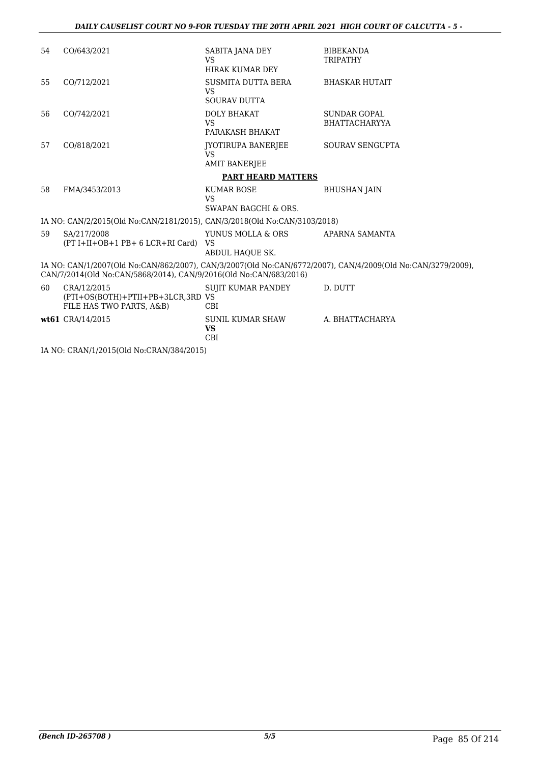| 54 | CO/643/2021                                                                                | SABITA JANA DEY<br><b>VS</b><br><b>HIRAK KUMAR DEY</b>  | <b>BIBEKANDA</b><br><b>TRIPATHY</b>                                                                         |
|----|--------------------------------------------------------------------------------------------|---------------------------------------------------------|-------------------------------------------------------------------------------------------------------------|
| 55 | CO/712/2021                                                                                | SUSMITA DUTTA BERA<br>VS.<br><b>SOURAV DUTTA</b>        | <b>BHASKAR HUTAIT</b>                                                                                       |
| 56 | CO/742/2021                                                                                | <b>DOLY BHAKAT</b><br><b>VS</b><br>PARAKASH BHAKAT      | <b>SUNDAR GOPAL</b><br><b>BHATTACHARYYA</b>                                                                 |
| 57 | CO/818/2021                                                                                | JYOTIRUPA BANERJEE<br><b>VS</b><br><b>AMIT BANERJEE</b> | SOURAV SENGUPTA                                                                                             |
|    |                                                                                            | <b>PART HEARD MATTERS</b>                               |                                                                                                             |
| 58 | FMA/3453/2013                                                                              | KUMAR BOSE<br><b>VS</b><br>SWAPAN BAGCHI & ORS.         | <b>BHUSHAN JAIN</b>                                                                                         |
|    | IA NO: CAN/2/2015(Old No:CAN/2181/2015), CAN/3/2018(Old No:CAN/3103/2018)                  |                                                         |                                                                                                             |
| 59 | SA/217/2008<br>$(PT I+II+OB+1 PB+ 6 LCR+RI Card)$                                          | YUNUS MOLLA & ORS<br>VS<br>ABDUL HAQUE SK.              | APARNA SAMANTA                                                                                              |
|    | CAN/7/2014(Old No:CAN/5868/2014), CAN/9/2016(Old No:CAN/683/2016)                          |                                                         | IA NO: CAN/1/2007(Old No:CAN/862/2007), CAN/3/2007(Old No:CAN/6772/2007), CAN/4/2009(Old No:CAN/3279/2009), |
| 60 | CRA/12/2015<br>(PTI+OS(BOTH)+PTII+PB+3LCR,3RD VS<br>FILE HAS TWO PARTS, A&B)               | SUJIT KUMAR PANDEY<br>CBI                               | D. DUTT                                                                                                     |
|    | wt61 CRA/14/2015                                                                           | SUNIL KUMAR SHAW<br><b>VS</b><br><b>CBI</b>             | A. BHATTACHARYA                                                                                             |
|    | $H$ MO $CD$ $AD$ $M$ $H$ $D$ $A$ $E$ $CD$ $I$ $M$ $CD$ $M$ $D$ $D$ $A$ $D$ $D$ $A$ $E$ $Y$ |                                                         |                                                                                                             |

IA NO: CRAN/1/2015(Old No:CRAN/384/2015)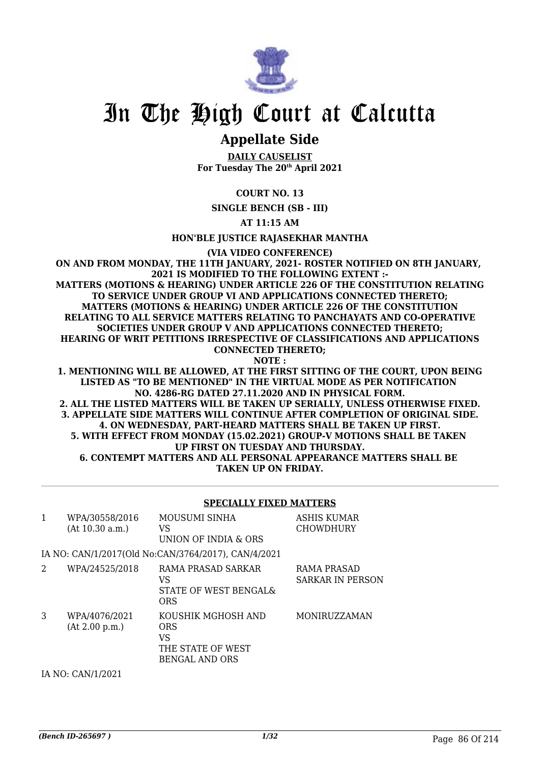

# In The High Court at Calcutta

# **Appellate Side**

**DAILY CAUSELIST For Tuesday The 20th April 2021**

**COURT NO. 13**

**SINGLE BENCH (SB - III)**

**AT 11:15 AM**

**HON'BLE JUSTICE RAJASEKHAR MANTHA**

**(VIA VIDEO CONFERENCE)**

**ON AND FROM MONDAY, THE 11TH JANUARY, 2021- ROSTER NOTIFIED ON 8TH JANUARY, 2021 IS MODIFIED TO THE FOLLOWING EXTENT :- MATTERS (MOTIONS & HEARING) UNDER ARTICLE 226 OF THE CONSTITUTION RELATING TO SERVICE UNDER GROUP VI AND APPLICATIONS CONNECTED THERETO; MATTERS (MOTIONS & HEARING) UNDER ARTICLE 226 OF THE CONSTITUTION RELATING TO ALL SERVICE MATTERS RELATING TO PANCHAYATS AND CO-OPERATIVE SOCIETIES UNDER GROUP V AND APPLICATIONS CONNECTED THERETO; HEARING OF WRIT PETITIONS IRRESPECTIVE OF CLASSIFICATIONS AND APPLICATIONS CONNECTED THERETO; NOTE :**

**1. MENTIONING WILL BE ALLOWED, AT THE FIRST SITTING OF THE COURT, UPON BEING LISTED AS "TO BE MENTIONED" IN THE VIRTUAL MODE AS PER NOTIFICATION NO. 4286-RG DATED 27.11.2020 AND IN PHYSICAL FORM. 2. ALL THE LISTED MATTERS WILL BE TAKEN UP SERIALLY, UNLESS OTHERWISE FIXED. 3. APPELLATE SIDE MATTERS WILL CONTINUE AFTER COMPLETION OF ORIGINAL SIDE. 4. ON WEDNESDAY, PART-HEARD MATTERS SHALL BE TAKEN UP FIRST. 5. WITH EFFECT FROM MONDAY (15.02.2021) GROUP-V MOTIONS SHALL BE TAKEN UP FIRST ON TUESDAY AND THURSDAY. 6. CONTEMPT MATTERS AND ALL PERSONAL APPEARANCE MATTERS SHALL BE TAKEN UP ON FRIDAY.**

## **SPECIALLY FIXED MATTERS**

| 1 | WPA/30558/2016<br>(At 10.30 a.m.) | MOUSUMI SINHA<br>VS<br>UNION OF INDIA & ORS                                   | ASHIS KUMAR<br><b>CHOWDHURY</b>        |
|---|-----------------------------------|-------------------------------------------------------------------------------|----------------------------------------|
|   |                                   | IA NO: CAN/1/2017(Old No:CAN/3764/2017), CAN/4/2021                           |                                        |
| 2 | WPA/24525/2018                    | RAMA PRASAD SARKAR<br>VS<br>STATE OF WEST BENGALS<br><b>ORS</b>               | RAMA PRASAD<br><b>SARKAR IN PERSON</b> |
| 3 | WPA/4076/2021<br>(At 2.00 p.m.)   | KOUSHIK MGHOSH AND<br>ORS<br>VS<br>THE STATE OF WEST<br><b>BENGAL AND ORS</b> | MONIRUZZAMAN                           |
|   | IA NO: CAN/1/2021                 |                                                                               |                                        |

*(Bench ID-265697 ) 1/32* Page 86 Of 214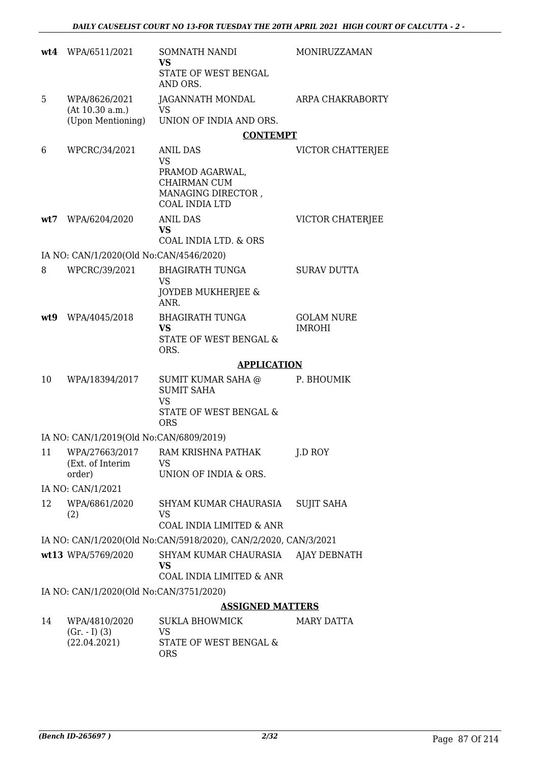|      | wt4 WPA/6511/2021                                     | SOMNATH NANDI<br><b>VS</b><br>STATE OF WEST BENGAL<br>AND ORS.                                          | <b>MONIRUZZAMAN</b>                |  |  |
|------|-------------------------------------------------------|---------------------------------------------------------------------------------------------------------|------------------------------------|--|--|
| 5    | WPA/8626/2021<br>(At 10.30 a.m.)<br>(Upon Mentioning) | JAGANNATH MONDAL<br><b>VS</b><br>UNION OF INDIA AND ORS.                                                | ARPA CHAKRABORTY                   |  |  |
|      |                                                       | <b>CONTEMPT</b>                                                                                         |                                    |  |  |
| 6    | WPCRC/34/2021                                         | ANIL DAS<br><b>VS</b><br>PRAMOD AGARWAL,<br>CHAIRMAN CUM<br>MANAGING DIRECTOR,<br><b>COAL INDIA LTD</b> | <b>VICTOR CHATTERJEE</b>           |  |  |
| wt7  | WPA/6204/2020                                         | <b>ANIL DAS</b><br><b>VS</b><br>COAL INDIA LTD. & ORS                                                   | VICTOR CHATERJEE                   |  |  |
|      | IA NO: CAN/1/2020(Old No:CAN/4546/2020)               |                                                                                                         |                                    |  |  |
| 8    | WPCRC/39/2021                                         | <b>BHAGIRATH TUNGA</b>                                                                                  | <b>SURAV DUTTA</b>                 |  |  |
|      |                                                       | <b>VS</b><br>JOYDEB MUKHERJEE &<br>ANR.                                                                 |                                    |  |  |
| wt.9 | WPA/4045/2018                                         | <b>BHAGIRATH TUNGA</b><br><b>VS</b><br>STATE OF WEST BENGAL &<br>ORS.                                   | <b>GOLAM NURE</b><br><b>IMROHI</b> |  |  |
|      |                                                       | <b>APPLICATION</b>                                                                                      |                                    |  |  |
| 10   | WPA/18394/2017                                        | SUMIT KUMAR SAHA @<br><b>SUMIT SAHA</b><br><b>VS</b><br>STATE OF WEST BENGAL &<br><b>ORS</b>            | P. BHOUMIK                         |  |  |
|      | IA NO: CAN/1/2019(Old No:CAN/6809/2019)               |                                                                                                         |                                    |  |  |
| 11   | WPA/27663/2017<br>(Ext. of Interim<br>order)          | RAM KRISHNA PATHAK<br><b>VS</b><br>UNION OF INDIA & ORS.                                                | J.D ROY                            |  |  |
|      | IA NO: CAN/1/2021                                     |                                                                                                         |                                    |  |  |
| 12   | WPA/6861/2020<br>(2)                                  | SHYAM KUMAR CHAURASIA<br>VS<br>COAL INDIA LIMITED & ANR                                                 | <b>SUJIT SAHA</b>                  |  |  |
|      |                                                       | IA NO: CAN/1/2020(Old No:CAN/5918/2020), CAN/2/2020, CAN/3/2021                                         |                                    |  |  |
|      | wt13 WPA/5769/2020                                    | SHYAM KUMAR CHAURASIA<br><b>VS</b><br>COAL INDIA LIMITED & ANR                                          | AJAY DEBNATH                       |  |  |
|      | IA NO: CAN/1/2020(Old No:CAN/3751/2020)               |                                                                                                         |                                    |  |  |
|      |                                                       | <b>ASSIGNED MATTERS</b>                                                                                 |                                    |  |  |
| 14   | WPA/4810/2020<br>$(Gr. - I) (3)$<br>(22.04.2021)      | <b>SUKLA BHOWMICK</b><br>VS<br>STATE OF WEST BENGAL &                                                   | MARY DATTA                         |  |  |

ORS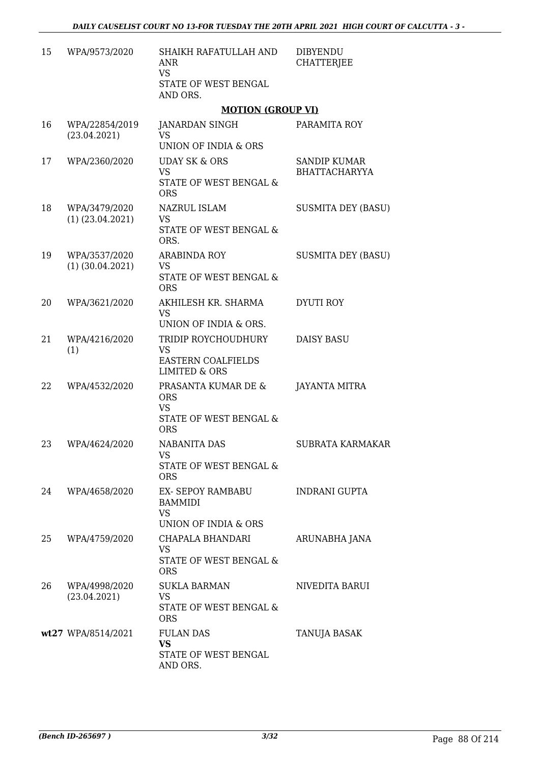| 15 | WPA/9573/2020                         | SHAIKH RAFATULLAH AND<br>ANR<br><b>VS</b><br>STATE OF WEST BENGAL<br>AND ORS.             | <b>DIBYENDU</b><br><b>CHATTERJEE</b>        |
|----|---------------------------------------|-------------------------------------------------------------------------------------------|---------------------------------------------|
|    |                                       | <b>MOTION (GROUP VI)</b>                                                                  |                                             |
| 16 | WPA/22854/2019<br>(23.04.2021)        | <b>JANARDAN SINGH</b><br><b>VS</b><br>UNION OF INDIA & ORS                                | PARAMITA ROY                                |
| 17 | WPA/2360/2020                         | <b>UDAY SK &amp; ORS</b><br><b>VS</b><br>STATE OF WEST BENGAL &<br><b>ORS</b>             | <b>SANDIP KUMAR</b><br><b>BHATTACHARYYA</b> |
| 18 | WPA/3479/2020<br>$(1)$ $(23.04.2021)$ | NAZRUL ISLAM<br>VS<br>STATE OF WEST BENGAL &<br>ORS.                                      | <b>SUSMITA DEY (BASU)</b>                   |
| 19 | WPA/3537/2020<br>$(1)$ $(30.04.2021)$ | <b>ARABINDA ROY</b><br><b>VS</b><br>STATE OF WEST BENGAL &<br><b>ORS</b>                  | <b>SUSMITA DEY (BASU)</b>                   |
| 20 | WPA/3621/2020                         | AKHILESH KR. SHARMA<br><b>VS</b><br>UNION OF INDIA & ORS.                                 | DYUTI ROY                                   |
| 21 | WPA/4216/2020<br>(1)                  | TRIDIP ROYCHOUDHURY<br><b>VS</b><br><b>EASTERN COALFIELDS</b><br><b>LIMITED &amp; ORS</b> | <b>DAISY BASU</b>                           |
| 22 | WPA/4532/2020                         | PRASANTA KUMAR DE &<br><b>ORS</b><br><b>VS</b><br>STATE OF WEST BENGAL &<br><b>ORS</b>    | JAYANTA MITRA                               |
| 23 | WPA/4624/2020                         | <b>NABANITA DAS</b><br>VS<br>STATE OF WEST BENGAL &<br><b>ORS</b>                         | SUBRATA KARMAKAR                            |
| 24 | WPA/4658/2020                         | EX- SEPOY RAMBABU<br><b>BAMMIDI</b><br><b>VS</b><br>UNION OF INDIA & ORS                  | INDRANI GUPTA                               |
| 25 | WPA/4759/2020                         | CHAPALA BHANDARI<br>VS<br>STATE OF WEST BENGAL &<br><b>ORS</b>                            | ARUNABHA JANA                               |
| 26 | WPA/4998/2020<br>(23.04.2021)         | <b>SUKLA BARMAN</b><br>VS<br>STATE OF WEST BENGAL &<br><b>ORS</b>                         | NIVEDITA BARUI                              |
|    | wt27 WPA/8514/2021                    | <b>FULAN DAS</b><br><b>VS</b><br>STATE OF WEST BENGAL<br>AND ORS.                         | <b>TANUJA BASAK</b>                         |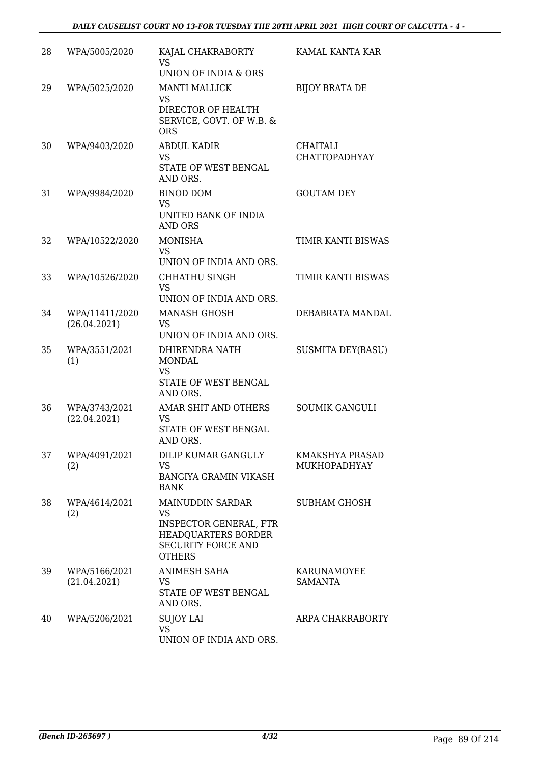| 28 | WPA/5005/2020                  | KAJAL CHAKRABORTY<br><b>VS</b><br>UNION OF INDIA & ORS                                                                              | KAMAL KANTA KAR                         |
|----|--------------------------------|-------------------------------------------------------------------------------------------------------------------------------------|-----------------------------------------|
| 29 | WPA/5025/2020                  | <b>MANTI MALLICK</b><br><b>VS</b><br>DIRECTOR OF HEALTH<br>SERVICE, GOVT. OF W.B. &<br><b>ORS</b>                                   | <b>BIJOY BRATA DE</b>                   |
| 30 | WPA/9403/2020                  | <b>ABDUL KADIR</b><br><b>VS</b><br>STATE OF WEST BENGAL<br>AND ORS.                                                                 | <b>CHAITALI</b><br><b>CHATTOPADHYAY</b> |
| 31 | WPA/9984/2020                  | <b>BINOD DOM</b><br><b>VS</b><br>UNITED BANK OF INDIA<br><b>AND ORS</b>                                                             | <b>GOUTAM DEY</b>                       |
| 32 | WPA/10522/2020                 | <b>MONISHA</b><br><b>VS</b><br>UNION OF INDIA AND ORS.                                                                              | TIMIR KANTI BISWAS                      |
| 33 | WPA/10526/2020                 | CHHATHU SINGH<br><b>VS</b><br>UNION OF INDIA AND ORS.                                                                               | TIMIR KANTI BISWAS                      |
| 34 | WPA/11411/2020<br>(26.04.2021) | <b>MANASH GHOSH</b><br><b>VS</b><br>UNION OF INDIA AND ORS.                                                                         | DEBABRATA MANDAL                        |
| 35 | WPA/3551/2021<br>(1)           | DHIRENDRA NATH<br><b>MONDAL</b><br><b>VS</b><br>STATE OF WEST BENGAL<br>AND ORS.                                                    | <b>SUSMITA DEY(BASU)</b>                |
| 36 | WPA/3743/2021<br>(22.04.2021)  | AMAR SHIT AND OTHERS<br><b>VS</b><br>STATE OF WEST BENGAL<br>AND ORS.                                                               | <b>SOUMIK GANGULI</b>                   |
| 37 | WPA/4091/2021<br>(2)           | DILIP KUMAR GANGULY<br><b>VS</b><br><b>BANGIYA GRAMIN VIKASH</b><br><b>BANK</b>                                                     | KMAKSHYA PRASAD<br>MUKHOPADHYAY         |
| 38 | WPA/4614/2021<br>(2)           | MAINUDDIN SARDAR<br><b>VS</b><br><b>INSPECTOR GENERAL, FTR</b><br>HEADQUARTERS BORDER<br><b>SECURITY FORCE AND</b><br><b>OTHERS</b> | SUBHAM GHOSH                            |
| 39 | WPA/5166/2021<br>(21.04.2021)  | <b>ANIMESH SAHA</b><br><b>VS</b><br>STATE OF WEST BENGAL<br>AND ORS.                                                                | KARUNAMOYEE<br><b>SAMANTA</b>           |
| 40 | WPA/5206/2021                  | <b>SUJOY LAI</b><br><b>VS</b><br>UNION OF INDIA AND ORS.                                                                            | ARPA CHAKRABORTY                        |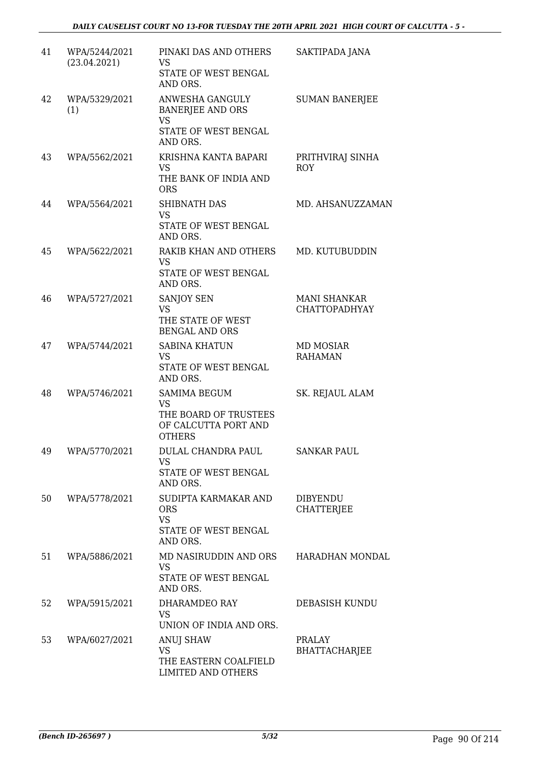| 41 | WPA/5244/2021<br>(23.04.2021) | PINAKI DAS AND OTHERS<br><b>VS</b><br>STATE OF WEST BENGAL<br>AND ORS.                             | SAKTIPADA JANA                              |
|----|-------------------------------|----------------------------------------------------------------------------------------------------|---------------------------------------------|
| 42 | WPA/5329/2021<br>(1)          | ANWESHA GANGULY<br><b>BANERJEE AND ORS</b><br><b>VS</b><br>STATE OF WEST BENGAL<br>AND ORS.        | <b>SUMAN BANERJEE</b>                       |
| 43 | WPA/5562/2021                 | KRISHNA KANTA BAPARI<br><b>VS</b><br>THE BANK OF INDIA AND<br><b>ORS</b>                           | PRITHVIRAJ SINHA<br><b>ROY</b>              |
| 44 | WPA/5564/2021                 | <b>SHIBNATH DAS</b><br><b>VS</b><br>STATE OF WEST BENGAL<br>AND ORS.                               | MD. AHSANUZZAMAN                            |
| 45 | WPA/5622/2021                 | RAKIB KHAN AND OTHERS<br><b>VS</b><br>STATE OF WEST BENGAL<br>AND ORS.                             | MD. KUTUBUDDIN                              |
| 46 | WPA/5727/2021                 | SANJOY SEN<br><b>VS</b><br>THE STATE OF WEST<br><b>BENGAL AND ORS</b>                              | <b>MANI SHANKAR</b><br><b>CHATTOPADHYAY</b> |
| 47 | WPA/5744/2021                 | <b>SABINA KHATUN</b><br><b>VS</b><br>STATE OF WEST BENGAL<br>AND ORS.                              | MD MOSIAR<br><b>RAHAMAN</b>                 |
| 48 | WPA/5746/2021                 | <b>SAMIMA BEGUM</b><br><b>VS</b><br>THE BOARD OF TRUSTEES<br>OF CALCUTTA PORT AND<br><b>OTHERS</b> | SK. REJAUL ALAM                             |
| 49 | WPA/5770/2021                 | DULAL CHANDRA PAUL<br><b>VS</b><br>STATE OF WEST BENGAL<br>AND ORS.                                | <b>SANKAR PAUL</b>                          |
| 50 | WPA/5778/2021                 | SUDIPTA KARMAKAR AND<br><b>ORS</b><br><b>VS</b><br>STATE OF WEST BENGAL<br>AND ORS.                | <b>DIBYENDU</b><br><b>CHATTERJEE</b>        |
| 51 | WPA/5886/2021                 | MD NASIRUDDIN AND ORS<br><b>VS</b><br>STATE OF WEST BENGAL<br>AND ORS.                             | HARADHAN MONDAL                             |
| 52 | WPA/5915/2021                 | DHARAMDEO RAY<br><b>VS</b><br>UNION OF INDIA AND ORS.                                              | DEBASISH KUNDU                              |
| 53 | WPA/6027/2021                 | <b>ANUJ SHAW</b><br><b>VS</b><br>THE EASTERN COALFIELD<br>LIMITED AND OTHERS                       | PRALAY<br>BHATTACHARJEE                     |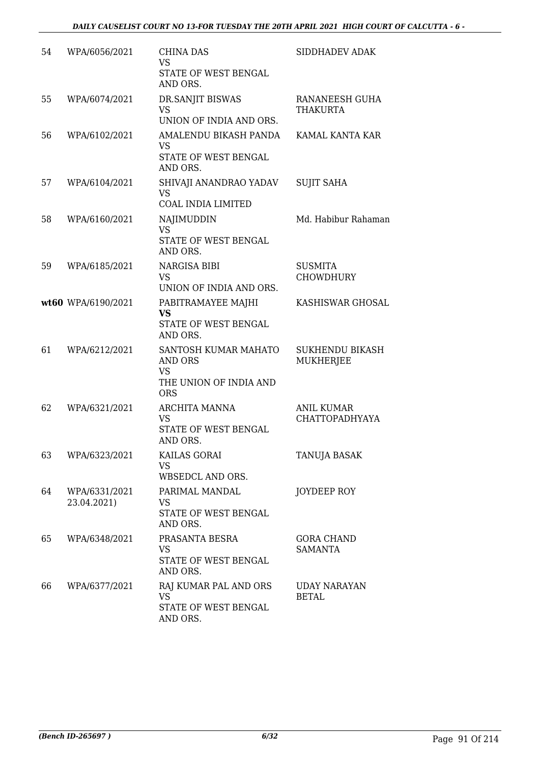| 54 | WPA/6056/2021                | <b>CHINA DAS</b><br><b>VS</b>                                                               | SIDDHADEV ADAK                             |
|----|------------------------------|---------------------------------------------------------------------------------------------|--------------------------------------------|
|    |                              | STATE OF WEST BENGAL<br>AND ORS.                                                            |                                            |
| 55 | WPA/6074/2021                | DR.SANJIT BISWAS<br><b>VS</b><br>UNION OF INDIA AND ORS.                                    | RANANEESH GUHA<br><b>THAKURTA</b>          |
| 56 | WPA/6102/2021                | AMALENDU BIKASH PANDA<br><b>VS</b><br>STATE OF WEST BENGAL<br>AND ORS.                      | KAMAL KANTA KAR                            |
| 57 | WPA/6104/2021                | SHIVAJI ANANDRAO YADAV<br><b>VS</b><br><b>COAL INDIA LIMITED</b>                            | <b>SUJIT SAHA</b>                          |
| 58 | WPA/6160/2021                | <b>NAJIMUDDIN</b><br><b>VS</b><br>STATE OF WEST BENGAL<br>AND ORS.                          | Md. Habibur Rahaman                        |
| 59 | WPA/6185/2021                | NARGISA BIBI<br><b>VS</b><br>UNION OF INDIA AND ORS.                                        | <b>SUSMITA</b><br><b>CHOWDHURY</b>         |
|    | wt60 WPA/6190/2021           | PABITRAMAYEE MAJHI<br><b>VS</b><br>STATE OF WEST BENGAL<br>AND ORS.                         | KASHISWAR GHOSAL                           |
| 61 | WPA/6212/2021                | SANTOSH KUMAR MAHATO<br><b>AND ORS</b><br><b>VS</b><br>THE UNION OF INDIA AND<br><b>ORS</b> | <b>SUKHENDU BIKASH</b><br><b>MUKHERJEE</b> |
| 62 | WPA/6321/2021                | ARCHITA MANNA<br>VS<br>STATE OF WEST BENGAL<br>AND ORS.                                     | ANIL KUMAR<br><b>CHATTOPADHYAYA</b>        |
| 63 | WPA/6323/2021                | KAILAS GORAI<br><b>VS</b><br>WBSEDCL AND ORS.                                               | TANUJA BASAK                               |
| 64 | WPA/6331/2021<br>23.04.2021) | PARIMAL MANDAL<br><b>VS</b><br>STATE OF WEST BENGAL<br>AND ORS.                             | JOYDEEP ROY                                |
| 65 | WPA/6348/2021                | PRASANTA BESRA<br>VS.<br>STATE OF WEST BENGAL<br>AND ORS.                                   | <b>GORA CHAND</b><br><b>SAMANTA</b>        |
| 66 | WPA/6377/2021                | RAJ KUMAR PAL AND ORS<br><b>VS</b><br>STATE OF WEST BENGAL<br>AND ORS.                      | UDAY NARAYAN<br><b>BETAL</b>               |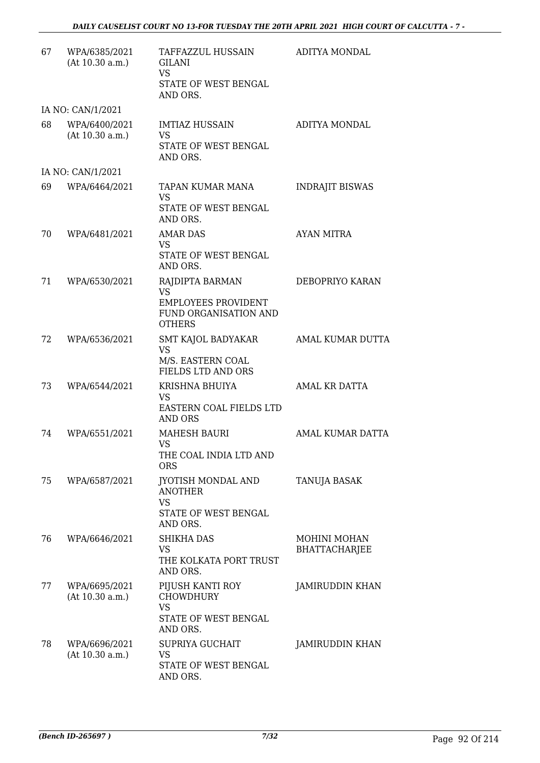| 67 | WPA/6385/2021<br>(At 10.30 a.m.) | TAFFAZZUL HUSSAIN<br>GILANI<br><b>VS</b><br>STATE OF WEST BENGAL<br>AND ORS.                         | ADITYA MONDAL                               |
|----|----------------------------------|------------------------------------------------------------------------------------------------------|---------------------------------------------|
|    | IA NO: CAN/1/2021                |                                                                                                      |                                             |
| 68 | WPA/6400/2021<br>(At 10.30 a.m.) | <b>IMTIAZ HUSSAIN</b><br><b>VS</b><br>STATE OF WEST BENGAL<br>AND ORS.                               | ADITYA MONDAL                               |
|    | IA NO: CAN/1/2021                |                                                                                                      |                                             |
| 69 | WPA/6464/2021                    | TAPAN KUMAR MANA<br>VS<br>STATE OF WEST BENGAL<br>AND ORS.                                           | <b>INDRAJIT BISWAS</b>                      |
| 70 | WPA/6481/2021                    | <b>AMAR DAS</b><br><b>VS</b><br>STATE OF WEST BENGAL<br>AND ORS.                                     | <b>AYAN MITRA</b>                           |
| 71 | WPA/6530/2021                    | RAJDIPTA BARMAN<br><b>VS</b><br><b>EMPLOYEES PROVIDENT</b><br>FUND ORGANISATION AND<br><b>OTHERS</b> | DEBOPRIYO KARAN                             |
| 72 | WPA/6536/2021                    | SMT KAJOL BADYAKAR<br><b>VS</b><br>M/S. EASTERN COAL<br><b>FIELDS LTD AND ORS</b>                    | <b>AMAL KUMAR DUTTA</b>                     |
| 73 | WPA/6544/2021                    | KRISHNA BHUIYA<br>VS<br>EASTERN COAL FIELDS LTD<br><b>AND ORS</b>                                    | AMAL KR DATTA                               |
| 74 | WPA/6551/2021                    | <b>MAHESH BAURI</b><br><b>VS</b><br>THE COAL INDIA LTD AND<br><b>ORS</b>                             | AMAL KUMAR DATTA                            |
| 75 | WPA/6587/2021                    | <b>JYOTISH MONDAL AND</b><br><b>ANOTHER</b><br><b>VS</b><br>STATE OF WEST BENGAL<br>AND ORS.         | <b>TANUJA BASAK</b>                         |
| 76 | WPA/6646/2021                    | <b>SHIKHA DAS</b><br>VS<br>THE KOLKATA PORT TRUST<br>AND ORS.                                        | <b>MOHINI MOHAN</b><br><b>BHATTACHARJEE</b> |
| 77 | WPA/6695/2021<br>(At 10.30 a.m.) | PIJUSH KANTI ROY<br><b>CHOWDHURY</b><br><b>VS</b><br>STATE OF WEST BENGAL<br>AND ORS.                | JAMIRUDDIN KHAN                             |
| 78 | WPA/6696/2021<br>(At 10.30 a.m.) | <b>SUPRIYA GUCHAIT</b><br><b>VS</b><br>STATE OF WEST BENGAL<br>AND ORS.                              | JAMIRUDDIN KHAN                             |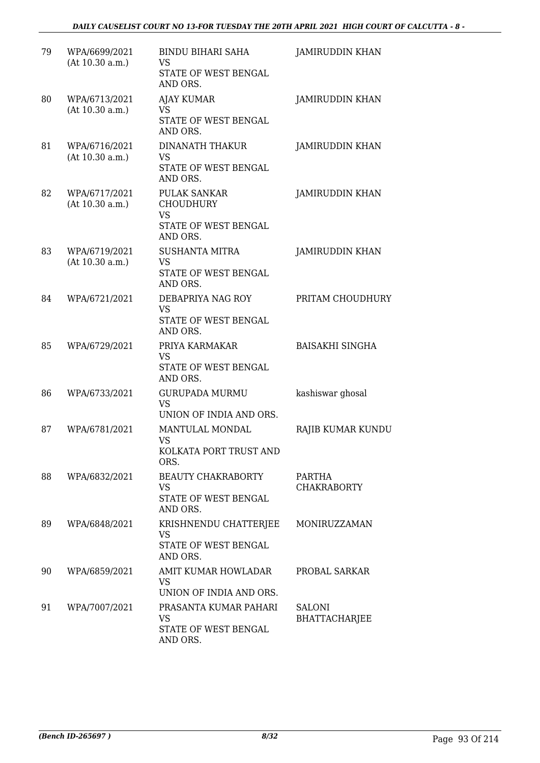| 79 | WPA/6699/2021<br>(At 10.30 a.m.) | <b>BINDU BIHARI SAHA</b><br>VS<br>STATE OF WEST BENGAL<br>AND ORS.                | <b>JAMIRUDDIN KHAN</b>                |
|----|----------------------------------|-----------------------------------------------------------------------------------|---------------------------------------|
| 80 | WPA/6713/2021<br>(At 10.30 a.m.) | <b>AJAY KUMAR</b><br><b>VS</b><br>STATE OF WEST BENGAL<br>AND ORS.                | <b>JAMIRUDDIN KHAN</b>                |
| 81 | WPA/6716/2021<br>(At 10.30 a.m.) | DINANATH THAKUR<br>VS<br>STATE OF WEST BENGAL<br>AND ORS.                         | JAMIRUDDIN KHAN                       |
| 82 | WPA/6717/2021<br>(At 10.30 a.m.) | PULAK SANKAR<br><b>CHOUDHURY</b><br><b>VS</b><br>STATE OF WEST BENGAL<br>AND ORS. | JAMIRUDDIN KHAN                       |
| 83 | WPA/6719/2021<br>(At 10.30 a.m.) | <b>SUSHANTA MITRA</b><br><b>VS</b><br>STATE OF WEST BENGAL<br>AND ORS.            | <b>JAMIRUDDIN KHAN</b>                |
| 84 | WPA/6721/2021                    | DEBAPRIYA NAG ROY<br><b>VS</b><br>STATE OF WEST BENGAL<br>AND ORS.                | PRITAM CHOUDHURY                      |
| 85 | WPA/6729/2021                    | PRIYA KARMAKAR<br><b>VS</b><br>STATE OF WEST BENGAL<br>AND ORS.                   | <b>BAISAKHI SINGHA</b>                |
| 86 | WPA/6733/2021                    | <b>GURUPADA MURMU</b><br><b>VS</b><br>UNION OF INDIA AND ORS.                     | kashiswar ghosal                      |
| 87 | WPA/6781/2021                    | MANTULAL MONDAL<br>VS<br>KOLKATA PORT TRUST AND<br>ORS.                           | RAJIB KUMAR KUNDU                     |
| 88 | WPA/6832/2021                    | <b>BEAUTY CHAKRABORTY</b><br><b>VS</b><br>STATE OF WEST BENGAL<br>AND ORS.        | <b>PARTHA</b><br><b>CHAKRABORTY</b>   |
| 89 | WPA/6848/2021                    | KRISHNENDU CHATTERJEE<br><b>VS</b><br>STATE OF WEST BENGAL<br>AND ORS.            | MONIRUZZAMAN                          |
| 90 | WPA/6859/2021                    | AMIT KUMAR HOWLADAR<br>VS<br>UNION OF INDIA AND ORS.                              | PROBAL SARKAR                         |
| 91 | WPA/7007/2021                    | PRASANTA KUMAR PAHARI<br><b>VS</b><br>STATE OF WEST BENGAL<br>AND ORS.            | <b>SALONI</b><br><b>BHATTACHARJEE</b> |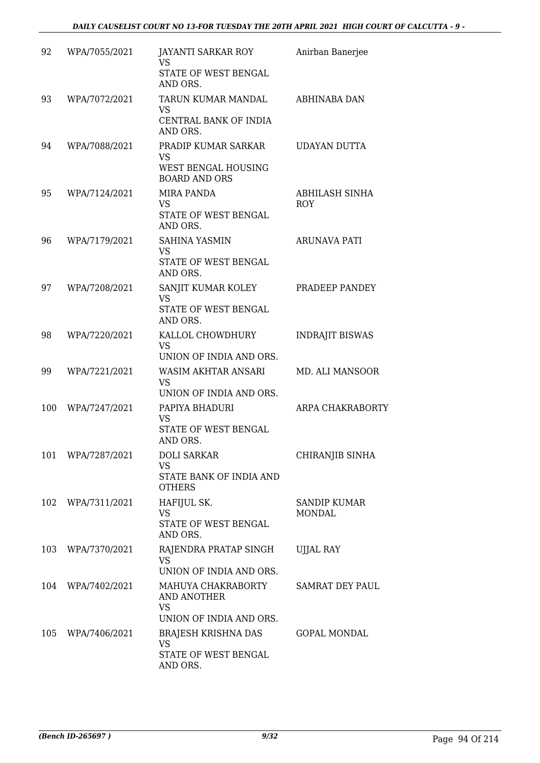| 92  | WPA/7055/2021     | JAYANTI SARKAR ROY<br><b>VS</b><br>STATE OF WEST BENGAL<br>AND ORS.             | Anirban Banerjee              |
|-----|-------------------|---------------------------------------------------------------------------------|-------------------------------|
| 93  | WPA/7072/2021     | TARUN KUMAR MANDAL<br>VS<br>CENTRAL BANK OF INDIA<br>AND ORS.                   | <b>ABHINABA DAN</b>           |
| 94  | WPA/7088/2021     | PRADIP KUMAR SARKAR<br><b>VS</b><br>WEST BENGAL HOUSING<br><b>BOARD AND ORS</b> | UDAYAN DUTTA                  |
| 95  | WPA/7124/2021     | <b>MIRA PANDA</b><br><b>VS</b><br>STATE OF WEST BENGAL<br>AND ORS.              | ABHILASH SINHA<br><b>ROY</b>  |
| 96  | WPA/7179/2021     | <b>SAHINA YASMIN</b><br><b>VS</b><br>STATE OF WEST BENGAL<br>AND ORS.           | <b>ARUNAVA PATI</b>           |
| 97  | WPA/7208/2021     | SANJIT KUMAR KOLEY<br>VS<br>STATE OF WEST BENGAL<br>AND ORS.                    | PRADEEP PANDEY                |
| 98  | WPA/7220/2021     | KALLOL CHOWDHURY<br><b>VS</b><br>UNION OF INDIA AND ORS.                        | <b>INDRAJIT BISWAS</b>        |
| 99  | WPA/7221/2021     | <b>WASIM AKHTAR ANSARI</b><br><b>VS</b><br>UNION OF INDIA AND ORS.              | MD. ALI MANSOOR               |
| 100 | WPA/7247/2021     | PAPIYA BHADURI<br><b>VS</b><br>STATE OF WEST BENGAL<br>AND ORS.                 | ARPA CHAKRABORTY              |
| 101 | WPA/7287/2021     | <b>DOLI SARKAR</b><br><b>VS</b><br>STATE BANK OF INDIA AND<br><b>OTHERS</b>     | CHIRANJIB SINHA               |
|     | 102 WPA/7311/2021 | HAFIJUL SK.<br><b>VS</b><br>STATE OF WEST BENGAL<br>AND ORS.                    | <b>SANDIP KUMAR</b><br>MONDAL |
| 103 | WPA/7370/2021     | RAJENDRA PRATAP SINGH<br><b>VS</b><br>UNION OF INDIA AND ORS.                   | UJJAL RAY                     |
|     | 104 WPA/7402/2021 | MAHUYA CHAKRABORTY<br>AND ANOTHER<br><b>VS</b><br>UNION OF INDIA AND ORS.       | SAMRAT DEY PAUL               |
|     | 105 WPA/7406/2021 | BRAJESH KRISHNA DAS<br>VS<br>STATE OF WEST BENGAL<br>AND ORS.                   | <b>GOPAL MONDAL</b>           |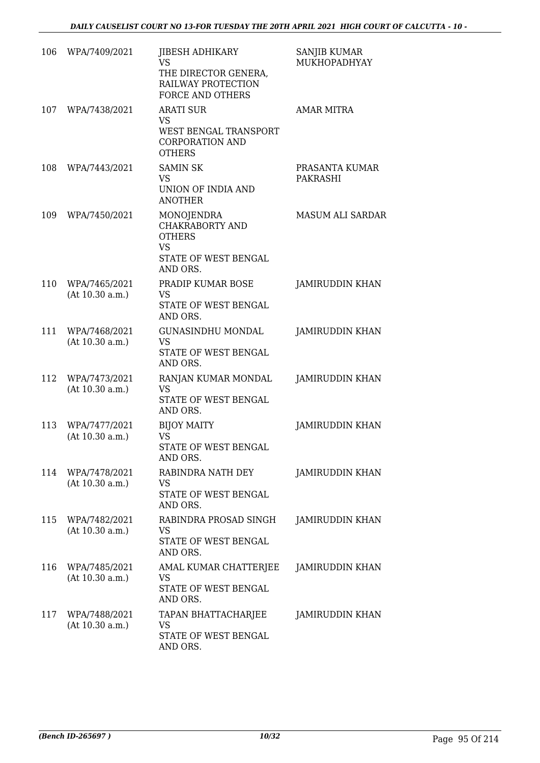| 106 | WPA/7409/2021                    | JIBESH ADHIKARY<br><b>VS</b><br>THE DIRECTOR GENERA,<br>RAILWAY PROTECTION<br><b>FORCE AND OTHERS</b> | <b>SANJIB KUMAR</b><br>MUKHOPADHYAY |
|-----|----------------------------------|-------------------------------------------------------------------------------------------------------|-------------------------------------|
| 107 | WPA/7438/2021                    | <b>ARATI SUR</b><br><b>VS</b><br>WEST BENGAL TRANSPORT<br><b>CORPORATION AND</b><br><b>OTHERS</b>     | <b>AMAR MITRA</b>                   |
| 108 | WPA/7443/2021                    | <b>SAMIN SK</b><br>VS<br>UNION OF INDIA AND<br><b>ANOTHER</b>                                         | PRASANTA KUMAR<br>PAKRASHI          |
| 109 | WPA/7450/2021                    | MONOJENDRA<br>CHAKRABORTY AND<br><b>OTHERS</b><br><b>VS</b><br>STATE OF WEST BENGAL<br>AND ORS.       | <b>MASUM ALI SARDAR</b>             |
| 110 | WPA/7465/2021<br>(At 10.30 a.m.) | PRADIP KUMAR BOSE<br><b>VS</b><br>STATE OF WEST BENGAL<br>AND ORS.                                    | JAMIRUDDIN KHAN                     |
| 111 | WPA/7468/2021<br>(At 10.30 a.m.) | <b>GUNASINDHU MONDAL</b><br>VS<br>STATE OF WEST BENGAL<br>AND ORS.                                    | JAMIRUDDIN KHAN                     |
| 112 | WPA/7473/2021<br>(At 10.30 a.m.) | RANJAN KUMAR MONDAL<br><b>VS</b><br>STATE OF WEST BENGAL<br>AND ORS.                                  | <b>JAMIRUDDIN KHAN</b>              |
| 113 | WPA/7477/2021<br>(At 10.30 a.m.) | <b>BIJOY MAITY</b><br><b>VS</b><br>STATE OF WEST BENGAL<br>AND ORS.                                   | JAMIRUDDIN KHAN                     |
| 114 | WPA/7478/2021<br>(At 10.30 a.m.) | RABINDRA NATH DEY<br>VS<br>STATE OF WEST BENGAL<br>AND ORS.                                           | <b>JAMIRUDDIN KHAN</b>              |
| 115 | WPA/7482/2021<br>(At 10.30 a.m.) | RABINDRA PROSAD SINGH<br><b>VS</b><br>STATE OF WEST BENGAL<br>AND ORS.                                | JAMIRUDDIN KHAN                     |
| 116 | WPA/7485/2021<br>(At 10.30 a.m.) | AMAL KUMAR CHATTERJEE<br>VS<br>STATE OF WEST BENGAL<br>AND ORS.                                       | JAMIRUDDIN KHAN                     |
| 117 | WPA/7488/2021<br>(At 10.30 a.m.) | TAPAN BHATTACHARJEE<br>VS<br>STATE OF WEST BENGAL<br>AND ORS.                                         | JAMIRUDDIN KHAN                     |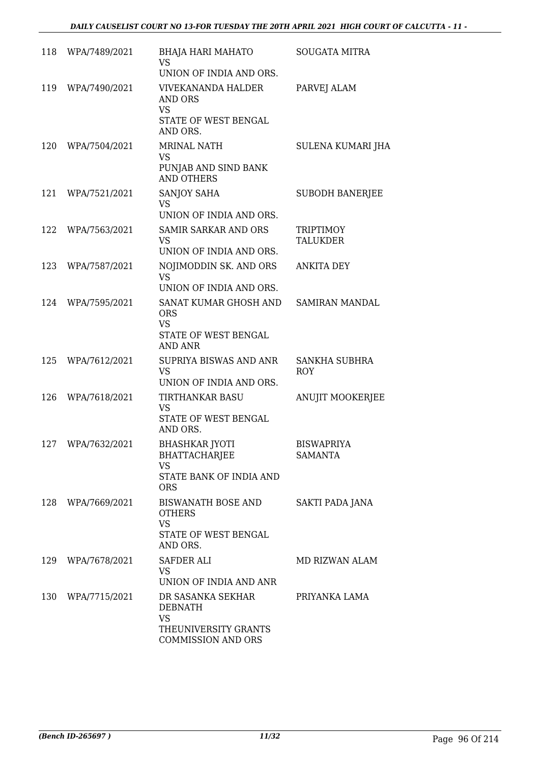| 118 | WPA/7489/2021     | BHAJA HARI MAHATO<br><b>VS</b><br>UNION OF INDIA AND ORS.                                             | <b>SOUGATA MITRA</b>                |
|-----|-------------------|-------------------------------------------------------------------------------------------------------|-------------------------------------|
| 119 | WPA/7490/2021     | <b>VIVEKANANDA HALDER</b><br>AND ORS<br><b>VS</b><br>STATE OF WEST BENGAL<br>AND ORS.                 | PARVEJ ALAM                         |
| 120 | WPA/7504/2021     | <b>MRINAL NATH</b><br><b>VS</b><br>PUNJAB AND SIND BANK<br><b>AND OTHERS</b>                          | SULENA KUMARI JHA                   |
| 121 | WPA/7521/2021     | SANJOY SAHA<br><b>VS</b><br>UNION OF INDIA AND ORS.                                                   | <b>SUBODH BANERJEE</b>              |
| 122 | WPA/7563/2021     | SAMIR SARKAR AND ORS<br><b>VS</b><br>UNION OF INDIA AND ORS.                                          | <b>TRIPTIMOY</b><br><b>TALUKDER</b> |
| 123 | WPA/7587/2021     | NOJIMODDIN SK. AND ORS<br>VS.<br>UNION OF INDIA AND ORS.                                              | <b>ANKITA DEY</b>                   |
| 124 | WPA/7595/2021     | SANAT KUMAR GHOSH AND<br><b>ORS</b><br><b>VS</b><br>STATE OF WEST BENGAL<br><b>AND ANR</b>            | SAMIRAN MANDAL                      |
| 125 | WPA/7612/2021     | SUPRIYA BISWAS AND ANR<br><b>VS</b><br>UNION OF INDIA AND ORS.                                        | <b>SANKHA SUBHRA</b><br><b>ROY</b>  |
| 126 | WPA/7618/2021     | <b>TIRTHANKAR BASU</b><br>VS<br>STATE OF WEST BENGAL<br>AND ORS.                                      | ANUJIT MOOKERJEE                    |
| 127 | WPA/7632/2021     | <b>BHASHKAR JYOTI</b><br>BHATTACHARJEE<br><b>VS</b><br>STATE BANK OF INDIA AND<br><b>ORS</b>          | <b>BISWAPRIYA</b><br><b>SAMANTA</b> |
|     | 128 WPA/7669/2021 | <b>BISWANATH BOSE AND</b><br><b>OTHERS</b><br><b>VS</b><br>STATE OF WEST BENGAL<br>AND ORS.           | <b>SAKTI PADA JANA</b>              |
| 129 | WPA/7678/2021     | <b>SAFDER ALI</b><br><b>VS</b><br>UNION OF INDIA AND ANR                                              | MD RIZWAN ALAM                      |
| 130 | WPA/7715/2021     | DR SASANKA SEKHAR<br><b>DEBNATH</b><br><b>VS</b><br>THEUNIVERSITY GRANTS<br><b>COMMISSION AND ORS</b> | PRIYANKA LAMA                       |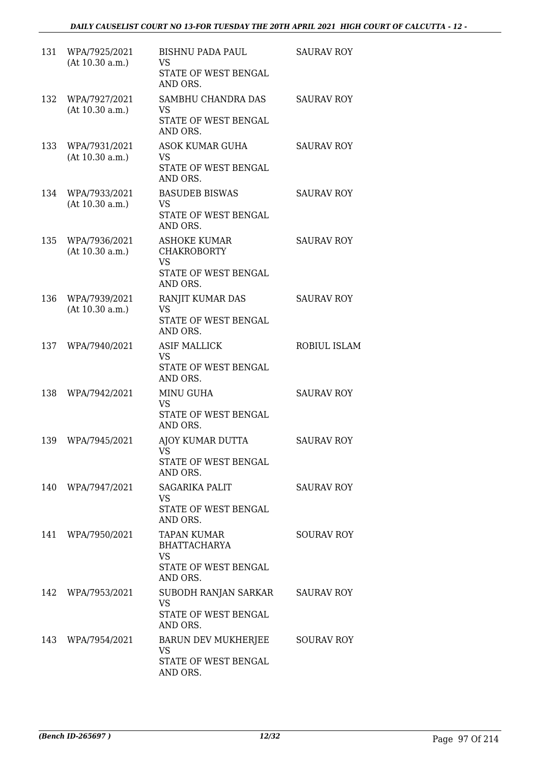| 131 | WPA/7925/2021<br>(At 10.30 a.m.) | <b>BISHNU PADA PAUL</b><br>VS<br>STATE OF WEST BENGAL<br>AND ORS.                          | <b>SAURAV ROY</b> |
|-----|----------------------------------|--------------------------------------------------------------------------------------------|-------------------|
| 132 | WPA/7927/2021<br>(At 10.30 a.m.) | SAMBHU CHANDRA DAS<br>VS.<br>STATE OF WEST BENGAL<br>AND ORS.                              | <b>SAURAV ROY</b> |
| 133 | WPA/7931/2021<br>(At 10.30 a.m.) | ASOK KUMAR GUHA<br>VS<br>STATE OF WEST BENGAL<br>AND ORS.                                  | <b>SAURAV ROY</b> |
| 134 | WPA/7933/2021<br>(At 10.30 a.m.) | <b>BASUDEB BISWAS</b><br>VS<br>STATE OF WEST BENGAL<br>AND ORS.                            | <b>SAURAV ROY</b> |
| 135 | WPA/7936/2021<br>(At 10.30 a.m.) | <b>ASHOKE KUMAR</b><br><b>CHAKROBORTY</b><br><b>VS</b><br>STATE OF WEST BENGAL<br>AND ORS. | <b>SAURAV ROY</b> |
| 136 | WPA/7939/2021<br>(At 10.30 a.m.) | RANJIT KUMAR DAS<br>VS<br>STATE OF WEST BENGAL<br>AND ORS.                                 | <b>SAURAV ROY</b> |
| 137 | WPA/7940/2021                    | <b>ASIF MALLICK</b><br><b>VS</b><br>STATE OF WEST BENGAL<br>AND ORS.                       | ROBIUL ISLAM      |
| 138 | WPA/7942/2021                    | <b>MINU GUHA</b><br>VS.<br>STATE OF WEST BENGAL<br>AND ORS.                                | <b>SAURAV ROY</b> |
| 139 | WPA/7945/2021                    | AJOY KUMAR DUTTA<br>VS<br>STATE OF WEST BENGAL<br>AND ORS.                                 | <b>SAURAV ROY</b> |
| 140 | WPA/7947/2021                    | <b>SAGARIKA PALIT</b><br><b>VS</b><br>STATE OF WEST BENGAL<br>AND ORS.                     | <b>SAURAV ROY</b> |
|     | 141 WPA/7950/2021                | <b>TAPAN KUMAR</b><br><b>BHATTACHARYA</b><br><b>VS</b><br>STATE OF WEST BENGAL<br>AND ORS. | <b>SOURAV ROY</b> |
| 142 | WPA/7953/2021                    | SUBODH RANJAN SARKAR<br><b>VS</b><br>STATE OF WEST BENGAL<br>AND ORS.                      | <b>SAURAV ROY</b> |
| 143 | WPA/7954/2021                    | BARUN DEV MUKHERJEE<br>VS<br>STATE OF WEST BENGAL<br>AND ORS.                              | <b>SOURAV ROY</b> |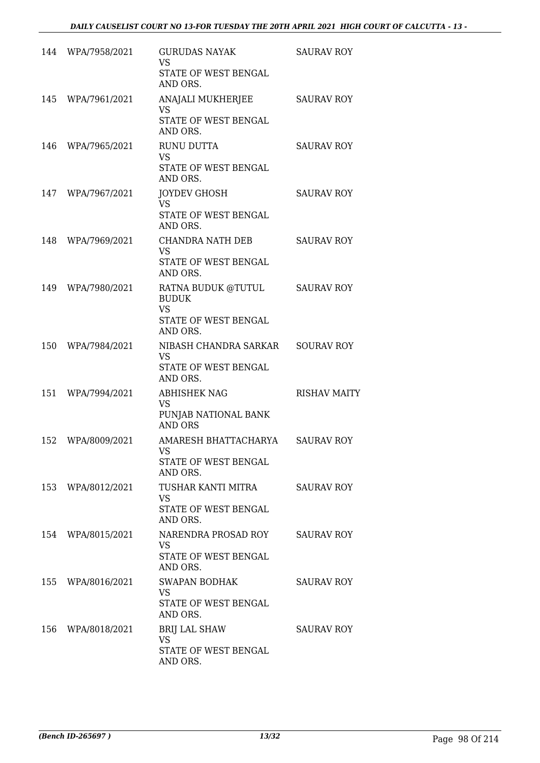|     | 144 WPA/7958/2021 | <b>GURUDAS NAYAK</b><br><b>VS</b><br>STATE OF WEST BENGAL<br>AND ORS.               | <b>SAURAV ROY</b>   |
|-----|-------------------|-------------------------------------------------------------------------------------|---------------------|
| 145 | WPA/7961/2021     | ANAJALI MUKHERJEE<br><b>VS</b><br>STATE OF WEST BENGAL<br>AND ORS.                  | <b>SAURAV ROY</b>   |
| 146 | WPA/7965/2021     | RUNU DUTTA<br><b>VS</b><br>STATE OF WEST BENGAL<br>AND ORS.                         | <b>SAURAV ROY</b>   |
| 147 | WPA/7967/2021     | <b>JOYDEV GHOSH</b><br><b>VS</b><br>STATE OF WEST BENGAL<br>AND ORS.                | <b>SAURAV ROY</b>   |
| 148 | WPA/7969/2021     | CHANDRA NATH DEB<br><b>VS</b><br>STATE OF WEST BENGAL<br>AND ORS.                   | <b>SAURAV ROY</b>   |
| 149 | WPA/7980/2021     | RATNA BUDUK @TUTUL<br><b>BUDUK</b><br><b>VS</b><br>STATE OF WEST BENGAL<br>AND ORS. | <b>SAURAV ROY</b>   |
| 150 | WPA/7984/2021     | NIBASH CHANDRA SARKAR<br><b>VS</b><br>STATE OF WEST BENGAL<br>AND ORS.              | <b>SOURAV ROY</b>   |
| 151 | WPA/7994/2021     | <b>ABHISHEK NAG</b><br><b>VS</b><br>PUNJAB NATIONAL BANK<br><b>AND ORS</b>          | <b>RISHAV MAITY</b> |
| 152 | WPA/8009/2021     | AMARESH BHATTACHARYA<br>VS<br>STATE OF WEST BENGAL<br>AND ORS.                      | <b>SAURAV ROY</b>   |
|     | 153 WPA/8012/2021 | TUSHAR KANTI MITRA<br><b>VS</b><br>STATE OF WEST BENGAL<br>AND ORS.                 | <b>SAURAV ROY</b>   |
|     | 154 WPA/8015/2021 | NARENDRA PROSAD ROY<br>VS.<br>STATE OF WEST BENGAL<br>AND ORS.                      | <b>SAURAV ROY</b>   |
| 155 | WPA/8016/2021     | <b>SWAPAN BODHAK</b><br>VS<br>STATE OF WEST BENGAL<br>AND ORS.                      | <b>SAURAV ROY</b>   |
| 156 | WPA/8018/2021     | <b>BRIJ LAL SHAW</b><br><b>VS</b><br>STATE OF WEST BENGAL<br>AND ORS.               | <b>SAURAV ROY</b>   |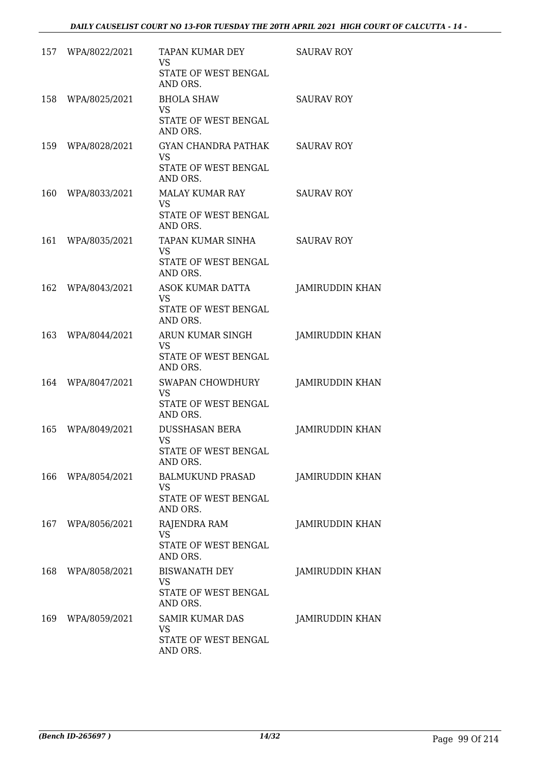|     | 157 WPA/8022/2021 | TAPAN KUMAR DEY<br><b>VS</b><br>STATE OF WEST BENGAL<br>AND ORS.            | <b>SAURAV ROY</b>      |
|-----|-------------------|-----------------------------------------------------------------------------|------------------------|
|     | 158 WPA/8025/2021 | <b>BHOLA SHAW</b><br>VS<br>STATE OF WEST BENGAL<br>AND ORS.                 | <b>SAURAV ROY</b>      |
|     | 159 WPA/8028/2021 | <b>GYAN CHANDRA PATHAK</b><br><b>VS</b><br>STATE OF WEST BENGAL<br>AND ORS. | SAURAV ROY             |
|     | 160 WPA/8033/2021 | MALAY KUMAR RAY<br><b>VS</b><br>STATE OF WEST BENGAL<br>AND ORS.            | <b>SAURAV ROY</b>      |
|     | 161 WPA/8035/2021 | TAPAN KUMAR SINHA<br><b>VS</b><br>STATE OF WEST BENGAL<br>AND ORS.          | <b>SAURAV ROY</b>      |
|     | 162 WPA/8043/2021 | ASOK KUMAR DATTA<br><b>VS</b><br>STATE OF WEST BENGAL<br>AND ORS.           | JAMIRUDDIN KHAN        |
|     | 163 WPA/8044/2021 | ARUN KUMAR SINGH<br>VS<br>STATE OF WEST BENGAL<br>AND ORS.                  | JAMIRUDDIN KHAN        |
|     | 164 WPA/8047/2021 | SWAPAN CHOWDHURY<br><b>VS</b><br>STATE OF WEST BENGAL<br>AND ORS.           | <b>JAMIRUDDIN KHAN</b> |
| 165 | WPA/8049/2021     | DUSSHASAN BERA<br><b>VS</b><br>STATE OF WEST BENGAL<br>AND ORS.             | JAMIRUDDIN KHAN        |
|     | 166 WPA/8054/2021 | <b>BALMUKUND PRASAD</b><br><b>VS</b><br>STATE OF WEST BENGAL<br>AND ORS.    | JAMIRUDDIN KHAN        |
|     | 167 WPA/8056/2021 | RAJENDRA RAM<br><b>VS</b><br>STATE OF WEST BENGAL<br>AND ORS.               | <b>JAMIRUDDIN KHAN</b> |
|     | 168 WPA/8058/2021 | <b>BISWANATH DEY</b><br><b>VS</b><br>STATE OF WEST BENGAL<br>AND ORS.       | <b>JAMIRUDDIN KHAN</b> |
|     | 169 WPA/8059/2021 | SAMIR KUMAR DAS<br><b>VS</b><br>STATE OF WEST BENGAL<br>AND ORS.            | JAMIRUDDIN KHAN        |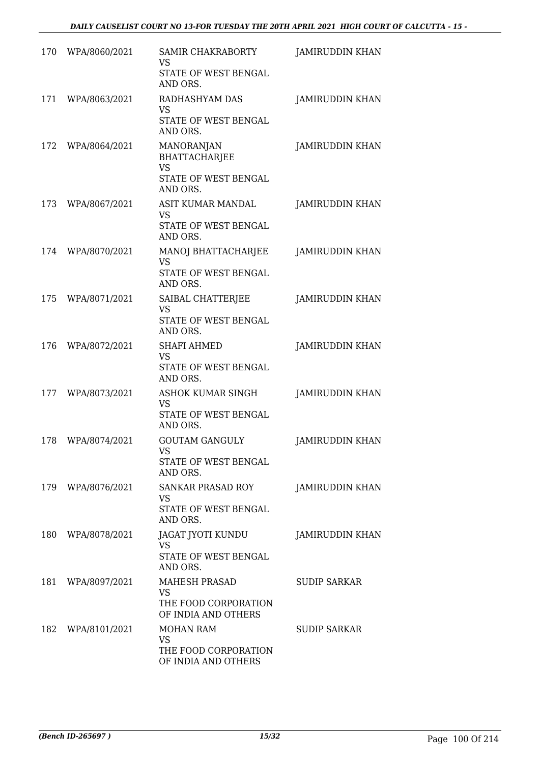| 170 | WPA/8060/2021 | <b>SAMIR CHAKRABORTY</b><br><b>VS</b><br>STATE OF WEST BENGAL<br>AND ORS.                  | <b>JAMIRUDDIN KHAN</b> |
|-----|---------------|--------------------------------------------------------------------------------------------|------------------------|
| 171 | WPA/8063/2021 | RADHASHYAM DAS<br><b>VS</b><br>STATE OF WEST BENGAL<br>AND ORS.                            | <b>JAMIRUDDIN KHAN</b> |
| 172 | WPA/8064/2021 | <b>MANORANJAN</b><br><b>BHATTACHARJEE</b><br><b>VS</b><br>STATE OF WEST BENGAL<br>AND ORS. | JAMIRUDDIN KHAN        |
| 173 | WPA/8067/2021 | ASIT KUMAR MANDAL<br>VS<br>STATE OF WEST BENGAL<br>AND ORS.                                | JAMIRUDDIN KHAN        |
| 174 | WPA/8070/2021 | MANOJ BHATTACHARJEE<br><b>VS</b><br>STATE OF WEST BENGAL<br>AND ORS.                       | JAMIRUDDIN KHAN        |
| 175 | WPA/8071/2021 | SAIBAL CHATTERJEE<br><b>VS</b><br>STATE OF WEST BENGAL<br>AND ORS.                         | JAMIRUDDIN KHAN        |
| 176 | WPA/8072/2021 | <b>SHAFI AHMED</b><br><b>VS</b><br>STATE OF WEST BENGAL<br>AND ORS.                        | <b>JAMIRUDDIN KHAN</b> |
| 177 | WPA/8073/2021 | ASHOK KUMAR SINGH<br>VS<br>STATE OF WEST BENGAL<br>AND ORS.                                | JAMIRUDDIN KHAN        |
| 178 | WPA/8074/2021 | <b>GOUTAM GANGULY</b><br>VS<br>STATE OF WEST BENGAL<br>AND ORS.                            | JAMIRUDDIN KHAN        |
| 179 | WPA/8076/2021 | SANKAR PRASAD ROY<br>VS<br>STATE OF WEST BENGAL<br>AND ORS.                                | JAMIRUDDIN KHAN        |
| 180 | WPA/8078/2021 | JAGAT JYOTI KUNDU<br>VS<br>STATE OF WEST BENGAL<br>AND ORS.                                | <b>JAMIRUDDIN KHAN</b> |
| 181 | WPA/8097/2021 | <b>MAHESH PRASAD</b><br><b>VS</b><br>THE FOOD CORPORATION<br>OF INDIA AND OTHERS           | <b>SUDIP SARKAR</b>    |
| 182 | WPA/8101/2021 | <b>MOHAN RAM</b><br>VS<br>THE FOOD CORPORATION<br>OF INDIA AND OTHERS                      | <b>SUDIP SARKAR</b>    |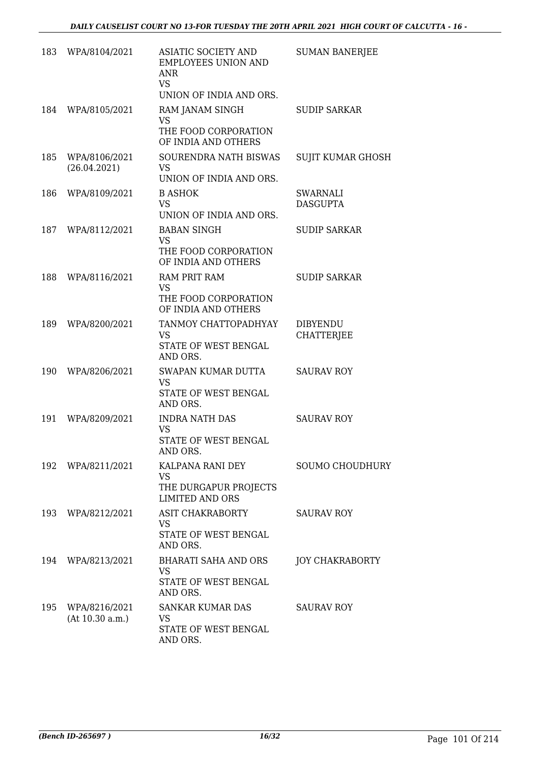| 183 | WPA/8104/2021                    | ASIATIC SOCIETY AND<br><b>EMPLOYEES UNION AND</b><br>ANR<br><b>VS</b><br>UNION OF INDIA AND ORS. | <b>SUMAN BANERJEE</b>                |
|-----|----------------------------------|--------------------------------------------------------------------------------------------------|--------------------------------------|
| 184 | WPA/8105/2021                    | RAM JANAM SINGH<br><b>VS</b><br>THE FOOD CORPORATION<br>OF INDIA AND OTHERS                      | <b>SUDIP SARKAR</b>                  |
| 185 | WPA/8106/2021<br>(26.04.2021)    | SOURENDRA NATH BISWAS<br><b>VS</b><br>UNION OF INDIA AND ORS.                                    | SUJIT KUMAR GHOSH                    |
| 186 | WPA/8109/2021                    | <b>B ASHOK</b><br><b>VS</b><br>UNION OF INDIA AND ORS.                                           | SWARNALI<br><b>DASGUPTA</b>          |
| 187 | WPA/8112/2021                    | <b>BABAN SINGH</b><br><b>VS</b><br>THE FOOD CORPORATION<br>OF INDIA AND OTHERS                   | <b>SUDIP SARKAR</b>                  |
| 188 | WPA/8116/2021                    | <b>RAM PRIT RAM</b><br><b>VS</b><br>THE FOOD CORPORATION<br>OF INDIA AND OTHERS                  | <b>SUDIP SARKAR</b>                  |
| 189 | WPA/8200/2021                    | TANMOY CHATTOPADHYAY<br><b>VS</b><br>STATE OF WEST BENGAL<br>AND ORS.                            | <b>DIBYENDU</b><br><b>CHATTERJEE</b> |
| 190 | WPA/8206/2021                    | SWAPAN KUMAR DUTTA<br><b>VS</b><br>STATE OF WEST BENGAL<br>AND ORS.                              | <b>SAURAV ROY</b>                    |
| 191 | WPA/8209/2021                    | <b>INDRA NATH DAS</b><br>VS<br>STATE OF WEST BENGAL<br>AND ORS.                                  | <b>SAURAV ROY</b>                    |
| 192 | WPA/8211/2021                    | KALPANA RANI DEY<br><b>VS</b><br>THE DURGAPUR PROJECTS<br><b>LIMITED AND ORS</b>                 | SOUMO CHOUDHURY                      |
| 193 | WPA/8212/2021                    | <b>ASIT CHAKRABORTY</b><br><b>VS</b><br>STATE OF WEST BENGAL<br>AND ORS.                         | <b>SAURAV ROY</b>                    |
| 194 | WPA/8213/2021                    | <b>BHARATI SAHA AND ORS</b><br>VS<br>STATE OF WEST BENGAL<br>AND ORS.                            | <b>JOY CHAKRABORTY</b>               |
| 195 | WPA/8216/2021<br>(At 10.30 a.m.) | SANKAR KUMAR DAS<br>VS<br>STATE OF WEST BENGAL<br>AND ORS.                                       | <b>SAURAV ROY</b>                    |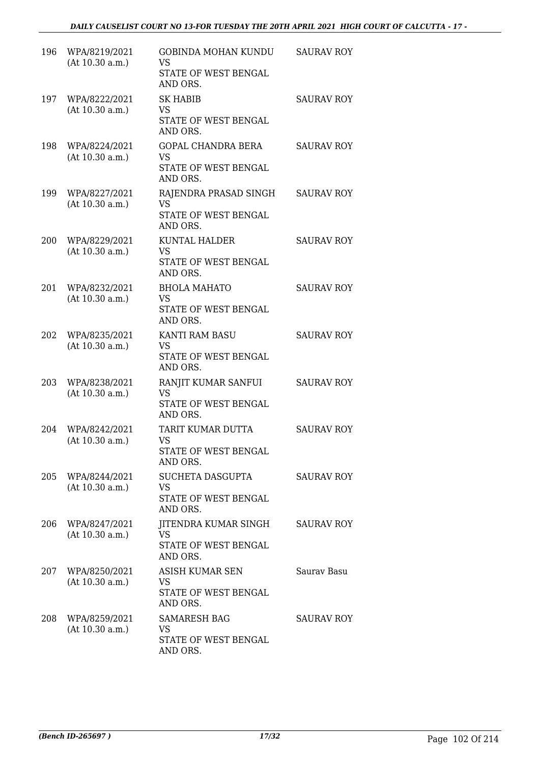| 196 | WPA/8219/2021<br>(At 10.30 a.m.) | <b>GOBINDA MOHAN KUNDU</b><br><b>VS</b><br>STATE OF WEST BENGAL<br>AND ORS. | <b>SAURAV ROY</b> |
|-----|----------------------------------|-----------------------------------------------------------------------------|-------------------|
| 197 | WPA/8222/2021<br>(At 10.30 a.m.) | <b>SK HABIB</b><br><b>VS</b><br>STATE OF WEST BENGAL<br>AND ORS.            | <b>SAURAV ROY</b> |
| 198 | WPA/8224/2021<br>(At 10.30 a.m.) | <b>GOPAL CHANDRA BERA</b><br><b>VS</b><br>STATE OF WEST BENGAL<br>AND ORS.  | <b>SAURAV ROY</b> |
| 199 | WPA/8227/2021<br>(At 10.30 a.m.) | RAJENDRA PRASAD SINGH<br><b>VS</b><br>STATE OF WEST BENGAL<br>AND ORS.      | <b>SAURAV ROY</b> |
| 200 | WPA/8229/2021<br>(At 10.30 a.m.) | <b>KUNTAL HALDER</b><br><b>VS</b><br>STATE OF WEST BENGAL<br>AND ORS.       | <b>SAURAV ROY</b> |
| 201 | WPA/8232/2021<br>(At 10.30 a.m.) | <b>BHOLA MAHATO</b><br>VS<br>STATE OF WEST BENGAL<br>AND ORS.               | <b>SAURAV ROY</b> |
| 202 | WPA/8235/2021<br>(At 10.30 a.m.) | KANTI RAM BASU<br><b>VS</b><br>STATE OF WEST BENGAL<br>AND ORS.             | <b>SAURAV ROY</b> |
| 203 | WPA/8238/2021<br>(At 10.30 a.m.) | RANJIT KUMAR SANFUI<br><b>VS</b><br>STATE OF WEST BENGAL<br>AND ORS.        | <b>SAURAV ROY</b> |
| 204 | WPA/8242/2021<br>(At 10.30 a.m.) | TARIT KUMAR DUTTA<br>VS<br>STATE OF WEST BENGAL<br>AND ORS.                 | <b>SAURAV ROY</b> |
| 205 | WPA/8244/2021<br>(At 10.30 a.m.) | SUCHETA DASGUPTA<br><b>VS</b><br>STATE OF WEST BENGAL<br>AND ORS.           | <b>SAURAV ROY</b> |
| 206 | WPA/8247/2021<br>(At 10.30 a.m.) | JITENDRA KUMAR SINGH<br>VS<br>STATE OF WEST BENGAL<br>AND ORS.              | <b>SAURAV ROY</b> |
| 207 | WPA/8250/2021<br>(At 10.30 a.m.) | <b>ASISH KUMAR SEN</b><br><b>VS</b><br>STATE OF WEST BENGAL<br>AND ORS.     | Sauray Basu       |
| 208 | WPA/8259/2021<br>(At 10.30 a.m.) | <b>SAMARESH BAG</b><br>VS<br>STATE OF WEST BENGAL<br>AND ORS.               | <b>SAURAV ROY</b> |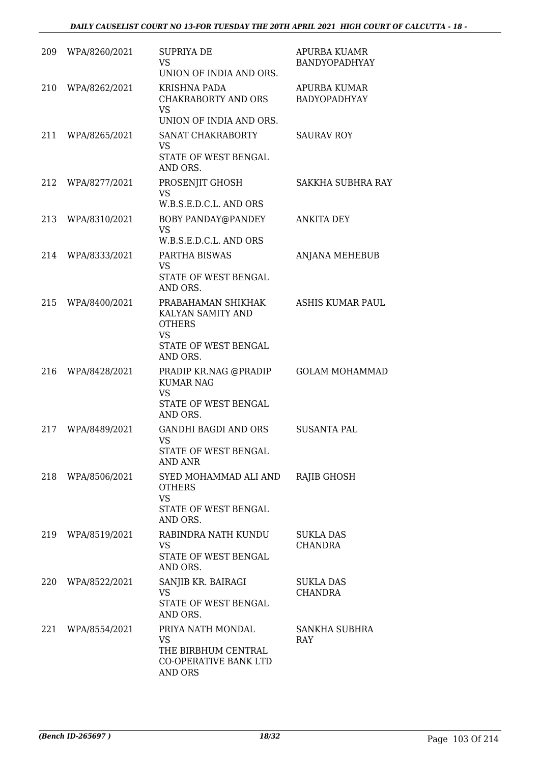| 209 | WPA/8260/2021 | <b>SUPRIYA DE</b><br><b>VS</b><br>UNION OF INDIA AND ORS.                                                 | APURBA KUAMR<br>BANDYOPADHYAY       |
|-----|---------------|-----------------------------------------------------------------------------------------------------------|-------------------------------------|
| 210 | WPA/8262/2021 | KRISHNA PADA<br><b>CHAKRABORTY AND ORS</b><br><b>VS</b><br>UNION OF INDIA AND ORS.                        | APURBA KUMAR<br><b>BADYOPADHYAY</b> |
| 211 | WPA/8265/2021 | SANAT CHAKRABORTY<br><b>VS</b><br>STATE OF WEST BENGAL<br>AND ORS.                                        | <b>SAURAV ROY</b>                   |
| 212 | WPA/8277/2021 | PROSENJIT GHOSH<br><b>VS</b><br>W.B.S.E.D.C.L. AND ORS                                                    | <b>SAKKHA SUBHRA RAY</b>            |
| 213 | WPA/8310/2021 | BOBY PANDAY@PANDEY<br><b>VS</b><br>W.B.S.E.D.C.L. AND ORS                                                 | <b>ANKITA DEY</b>                   |
| 214 | WPA/8333/2021 | PARTHA BISWAS<br><b>VS</b><br><b>STATE OF WEST BENGAL</b><br>AND ORS.                                     | ANJANA MEHEBUB                      |
| 215 | WPA/8400/2021 | PRABAHAMAN SHIKHAK<br>KALYAN SAMITY AND<br><b>OTHERS</b><br><b>VS</b><br>STATE OF WEST BENGAL<br>AND ORS. | <b>ASHIS KUMAR PAUL</b>             |
| 216 | WPA/8428/2021 | PRADIP KR.NAG @PRADIP<br><b>KUMAR NAG</b><br><b>VS</b><br>STATE OF WEST BENGAL<br>AND ORS.                | <b>GOLAM MOHAMMAD</b>               |
| 217 | WPA/8489/2021 | <b>GANDHI BAGDI AND ORS</b><br><b>VS</b><br>STATE OF WEST BENGAL<br><b>AND ANR</b>                        | <b>SUSANTA PAL</b>                  |
| 218 | WPA/8506/2021 | SYED MOHAMMAD ALI AND<br><b>OTHERS</b><br><b>VS</b><br>STATE OF WEST BENGAL<br>AND ORS.                   | <b>RAJIB GHOSH</b>                  |
| 219 | WPA/8519/2021 | RABINDRA NATH KUNDU<br><b>VS</b><br>STATE OF WEST BENGAL<br>AND ORS.                                      | <b>SUKLA DAS</b><br><b>CHANDRA</b>  |
| 220 | WPA/8522/2021 | SANJIB KR. BAIRAGI<br><b>VS</b><br>STATE OF WEST BENGAL<br>AND ORS.                                       | <b>SUKLA DAS</b><br><b>CHANDRA</b>  |
| 221 | WPA/8554/2021 | PRIYA NATH MONDAL<br><b>VS</b><br>THE BIRBHUM CENTRAL<br>CO-OPERATIVE BANK LTD<br>AND ORS                 | SANKHA SUBHRA<br><b>RAY</b>         |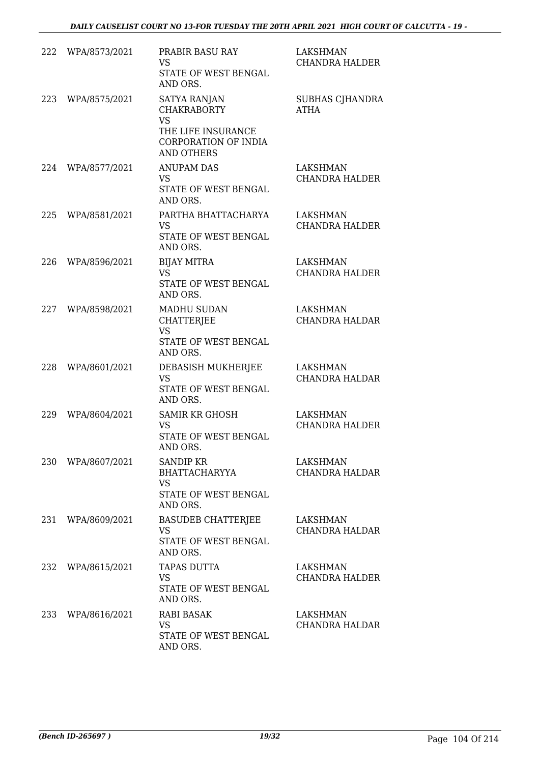| 222 | WPA/8573/2021     | PRABIR BASU RAY<br><b>VS</b><br>STATE OF WEST BENGAL<br>AND ORS.                                                          | <b>LAKSHMAN</b><br><b>CHANDRA HALDER</b> |
|-----|-------------------|---------------------------------------------------------------------------------------------------------------------------|------------------------------------------|
| 223 | WPA/8575/2021     | <b>SATYA RANJAN</b><br><b>CHAKRABORTY</b><br><b>VS</b><br>THE LIFE INSURANCE<br>CORPORATION OF INDIA<br><b>AND OTHERS</b> | SUBHAS CJHANDRA<br><b>ATHA</b>           |
| 224 | WPA/8577/2021     | <b>ANUPAM DAS</b><br>VS<br>STATE OF WEST BENGAL<br>AND ORS.                                                               | LAKSHMAN<br><b>CHANDRA HALDER</b>        |
| 225 | WPA/8581/2021     | PARTHA BHATTACHARYA<br><b>VS</b><br>STATE OF WEST BENGAL<br>AND ORS.                                                      | LAKSHMAN<br><b>CHANDRA HALDER</b>        |
| 226 | WPA/8596/2021     | <b>BIJAY MITRA</b><br><b>VS</b><br>STATE OF WEST BENGAL<br>AND ORS.                                                       | <b>LAKSHMAN</b><br><b>CHANDRA HALDER</b> |
| 227 | WPA/8598/2021     | MADHU SUDAN<br>CHATTERJEE<br><b>VS</b><br>STATE OF WEST BENGAL<br>AND ORS.                                                | LAKSHMAN<br><b>CHANDRA HALDAR</b>        |
| 228 | WPA/8601/2021     | DEBASISH MUKHERJEE<br><b>VS</b><br>STATE OF WEST BENGAL<br>AND ORS.                                                       | LAKSHMAN<br>CHANDRA HALDAR               |
| 229 | WPA/8604/2021     | <b>SAMIR KR GHOSH</b><br><b>VS</b><br><b>STATE OF WEST BENGAL</b><br>AND ORS.                                             | <b>LAKSHMAN</b><br><b>CHANDRA HALDER</b> |
|     | 230 WPA/8607/2021 | SANDIP KR<br>BHATTACHARYYA<br><b>VS</b><br>STATE OF WEST BENGAL<br>AND ORS.                                               | LAKSHMAN<br><b>CHANDRA HALDAR</b>        |
| 231 | WPA/8609/2021     | <b>BASUDEB CHATTERJEE</b><br><b>VS</b><br>STATE OF WEST BENGAL<br>AND ORS.                                                | LAKSHMAN<br>CHANDRA HALDAR               |
| 232 | WPA/8615/2021     | TAPAS DUTTA<br><b>VS</b><br>STATE OF WEST BENGAL<br>AND ORS.                                                              | LAKSHMAN<br><b>CHANDRA HALDER</b>        |
| 233 | WPA/8616/2021     | <b>RABI BASAK</b><br><b>VS</b><br>STATE OF WEST BENGAL<br>AND ORS.                                                        | LAKSHMAN<br>CHANDRA HALDAR               |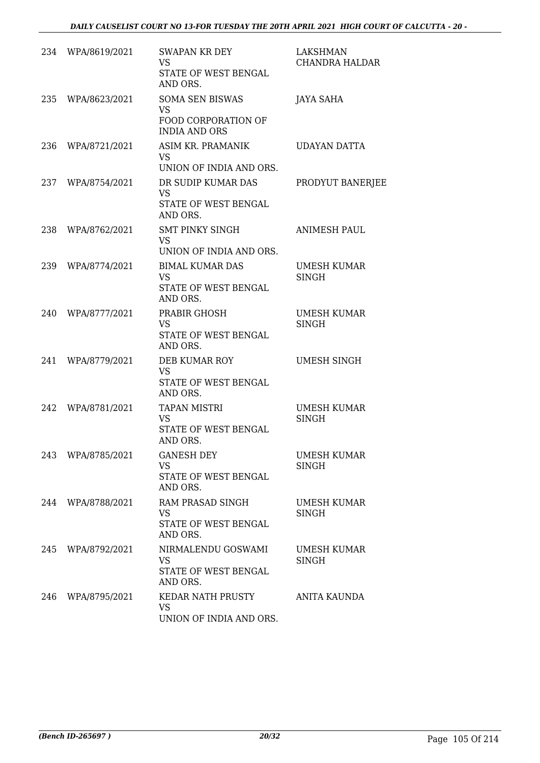| 234 | WPA/8619/2021 | SWAPAN KR DEY<br><b>VS</b><br>STATE OF WEST BENGAL<br>AND ORS.                            | LAKSHMAN<br><b>CHANDRA HALDAR</b>  |
|-----|---------------|-------------------------------------------------------------------------------------------|------------------------------------|
| 235 | WPA/8623/2021 | <b>SOMA SEN BISWAS</b><br><b>VS</b><br><b>FOOD CORPORATION OF</b><br><b>INDIA AND ORS</b> | JAYA SAHA                          |
| 236 | WPA/8721/2021 | ASIM KR. PRAMANIK<br>VS<br>UNION OF INDIA AND ORS.                                        | UDAYAN DATTA                       |
| 237 | WPA/8754/2021 | DR SUDIP KUMAR DAS<br><b>VS</b><br>STATE OF WEST BENGAL<br>AND ORS.                       | PRODYUT BANERJEE                   |
| 238 | WPA/8762/2021 | <b>SMT PINKY SINGH</b><br><b>VS</b><br>UNION OF INDIA AND ORS.                            | <b>ANIMESH PAUL</b>                |
| 239 | WPA/8774/2021 | <b>BIMAL KUMAR DAS</b><br>VS<br>STATE OF WEST BENGAL<br>AND ORS.                          | UMESH KUMAR<br>SINGH               |
| 240 | WPA/8777/2021 | PRABIR GHOSH<br><b>VS</b><br>STATE OF WEST BENGAL<br>AND ORS.                             | UMESH KUMAR<br>SINGH               |
| 241 | WPA/8779/2021 | DEB KUMAR ROY<br><b>VS</b><br>STATE OF WEST BENGAL<br>AND ORS.                            | <b>UMESH SINGH</b>                 |
| 242 | WPA/8781/2021 | <b>TAPAN MISTRI</b><br><b>VS</b><br>STATE OF WEST BENGAL<br>AND ORS.                      | UMESH KUMAR<br><b>SINGH</b>        |
| 243 | WPA/8785/2021 | <b>GANESH DEY</b><br><b>VS</b><br>STATE OF WEST BENGAL<br>AND ORS.                        | <b>UMESH KUMAR</b><br><b>SINGH</b> |
| 244 | WPA/8788/2021 | RAM PRASAD SINGH<br><b>VS</b><br>STATE OF WEST BENGAL<br>AND ORS.                         | <b>UMESH KUMAR</b><br>SINGH        |
| 245 | WPA/8792/2021 | NIRMALENDU GOSWAMI<br><b>VS</b><br>STATE OF WEST BENGAL<br>AND ORS.                       | UMESH KUMAR<br><b>SINGH</b>        |
| 246 | WPA/8795/2021 | KEDAR NATH PRUSTY<br><b>VS</b><br>UNION OF INDIA AND ORS.                                 | ANITA KAUNDA                       |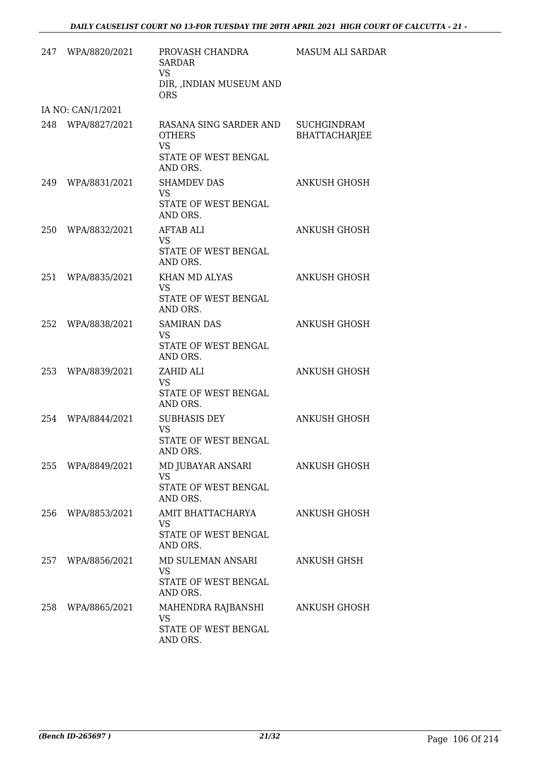|     | 247 WPA/8820/2021 | PROVASH CHANDRA<br><b>SARDAR</b><br>VS.<br>DIR, , INDIAN MUSEUM AND<br><b>ORS</b>        | <b>MASUM ALI SARDAR</b>                    |
|-----|-------------------|------------------------------------------------------------------------------------------|--------------------------------------------|
|     | IA NO: CAN/1/2021 |                                                                                          |                                            |
|     | 248 WPA/8827/2021 | RASANA SING SARDER AND<br><b>OTHERS</b><br><b>VS</b><br>STATE OF WEST BENGAL<br>AND ORS. | <b>SUCHGINDRAM</b><br><b>BHATTACHARJEE</b> |
|     | 249 WPA/8831/2021 | <b>SHAMDEV DAS</b><br><b>VS</b><br>STATE OF WEST BENGAL<br>AND ORS.                      | ANKUSH GHOSH                               |
| 250 | WPA/8832/2021     | <b>AFTAB ALI</b><br><b>VS</b><br>STATE OF WEST BENGAL<br>AND ORS.                        | <b>ANKUSH GHOSH</b>                        |
| 251 | WPA/8835/2021     | KHAN MD ALYAS<br><b>VS</b><br>STATE OF WEST BENGAL<br>AND ORS.                           | ANKUSH GHOSH                               |
| 252 | WPA/8838/2021     | <b>SAMIRAN DAS</b><br><b>VS</b><br>STATE OF WEST BENGAL<br>AND ORS.                      | ANKUSH GHOSH                               |
| 253 | WPA/8839/2021     | ZAHID ALI<br><b>VS</b><br>STATE OF WEST BENGAL<br>AND ORS.                               | <b>ANKUSH GHOSH</b>                        |
|     | 254 WPA/8844/2021 | <b>SUBHASIS DEY</b><br><b>VS</b><br>STATE OF WEST BENGAL<br>AND ORS.                     | ANKUSH GHOSH                               |
| 255 | WPA/8849/2021     | MD JUBAYAR ANSARI<br><b>VS</b><br>STATE OF WEST BENGAL<br>AND ORS.                       | <b>ANKUSH GHOSH</b>                        |
|     | 256 WPA/8853/2021 | AMIT BHATTACHARYA<br>VS<br>STATE OF WEST BENGAL<br>AND ORS.                              | ANKUSH GHOSH                               |
|     | 257 WPA/8856/2021 | MD SULEMAN ANSARI<br><b>VS</b><br>STATE OF WEST BENGAL<br>AND ORS.                       | <b>ANKUSH GHSH</b>                         |
| 258 | WPA/8865/2021     | MAHENDRA RAJBANSHI<br><b>VS</b><br>STATE OF WEST BENGAL<br>AND ORS.                      | <b>ANKUSH GHOSH</b>                        |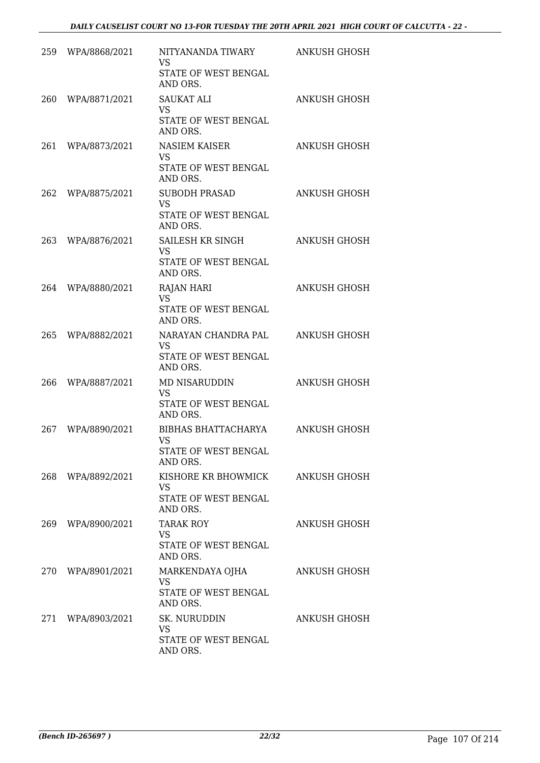| 259 | WPA/8868/2021     | NITYANANDA TIWARY                 | ANKUSH GHOSH        |
|-----|-------------------|-----------------------------------|---------------------|
|     |                   | VS                                |                     |
|     |                   | STATE OF WEST BENGAL<br>AND ORS.  |                     |
| 260 | WPA/8871/2021     | <b>SAUKAT ALI</b><br>VS           | <b>ANKUSH GHOSH</b> |
|     |                   | STATE OF WEST BENGAL<br>AND ORS.  |                     |
| 261 | WPA/8873/2021     | <b>NASIEM KAISER</b><br><b>VS</b> | <b>ANKUSH GHOSH</b> |
|     |                   | STATE OF WEST BENGAL<br>AND ORS.  |                     |
| 262 | WPA/8875/2021     | <b>SUBODH PRASAD</b><br><b>VS</b> | ANKUSH GHOSH        |
|     |                   | STATE OF WEST BENGAL<br>AND ORS.  |                     |
| 263 | WPA/8876/2021     | SAILESH KR SINGH<br>VS            | ANKUSH GHOSH        |
|     |                   | STATE OF WEST BENGAL<br>AND ORS.  |                     |
| 264 | WPA/8880/2021     | <b>RAJAN HARI</b><br><b>VS</b>    | ANKUSH GHOSH        |
|     |                   | STATE OF WEST BENGAL<br>AND ORS.  |                     |
| 265 | WPA/8882/2021     | NARAYAN CHANDRA PAL<br><b>VS</b>  | <b>ANKUSH GHOSH</b> |
|     |                   | STATE OF WEST BENGAL<br>AND ORS.  |                     |
| 266 | WPA/8887/2021     | MD NISARUDDIN<br><b>VS</b>        | ANKUSH GHOSH        |
|     |                   | STATE OF WEST BENGAL<br>AND ORS.  |                     |
| 267 | WPA/8890/2021     | BIBHAS BHATTACHARYA<br>VS         | ANKUSH GHOSH        |
|     |                   | STATE OF WEST BENGAL<br>AND ORS.  |                     |
|     | 268 WPA/8892/2021 | KISHORE KR BHOWMICK<br>VS         | ANKUSH GHOSH        |
|     |                   | STATE OF WEST BENGAL<br>AND ORS.  |                     |
|     | 269 WPA/8900/2021 | <b>TARAK ROY</b><br>VS.           | <b>ANKUSH GHOSH</b> |
|     |                   | STATE OF WEST BENGAL<br>AND ORS.  |                     |
| 270 | WPA/8901/2021     | MARKENDAYA OJHA<br><b>VS</b>      | <b>ANKUSH GHOSH</b> |
|     |                   | STATE OF WEST BENGAL<br>AND ORS.  |                     |
|     | 271 WPA/8903/2021 | SK. NURUDDIN<br>VS.               | <b>ANKUSH GHOSH</b> |
|     |                   | STATE OF WEST BENGAL<br>AND ORS.  |                     |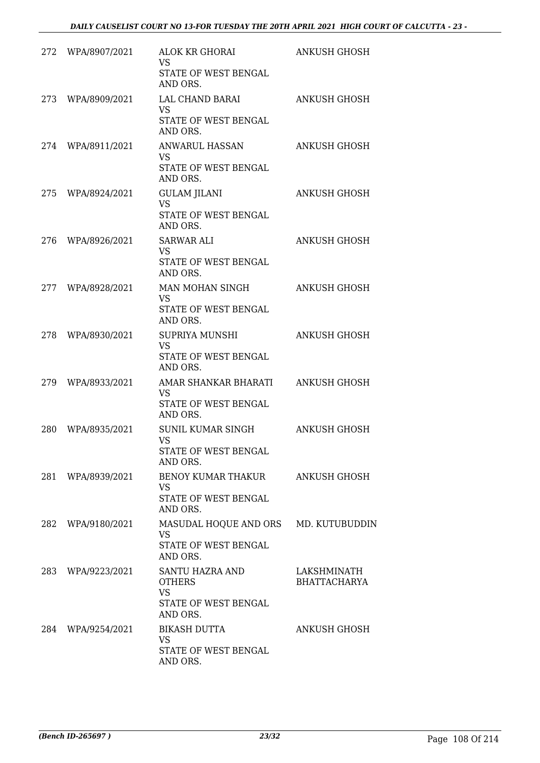| 272 | WPA/8907/2021     | ALOK KR GHORAI<br>VS<br>STATE OF WEST BENGAL<br>AND ORS.                          | ANKUSH GHOSH                       |
|-----|-------------------|-----------------------------------------------------------------------------------|------------------------------------|
| 273 | WPA/8909/2021     | LAL CHAND BARAI<br><b>VS</b><br>STATE OF WEST BENGAL<br>AND ORS.                  | <b>ANKUSH GHOSH</b>                |
|     | 274 WPA/8911/2021 | <b>ANWARUL HASSAN</b><br><b>VS</b><br>STATE OF WEST BENGAL<br>AND ORS.            | <b>ANKUSH GHOSH</b>                |
| 275 | WPA/8924/2021     | <b>GULAM JILANI</b><br><b>VS</b><br>STATE OF WEST BENGAL<br>AND ORS.              | ANKUSH GHOSH                       |
| 276 | WPA/8926/2021     | SARWAR ALI<br><b>VS</b><br>STATE OF WEST BENGAL<br>AND ORS.                       | ANKUSH GHOSH                       |
| 277 | WPA/8928/2021     | MAN MOHAN SINGH<br><b>VS</b><br>STATE OF WEST BENGAL<br>AND ORS.                  | <b>ANKUSH GHOSH</b>                |
| 278 | WPA/8930/2021     | <b>SUPRIYA MUNSHI</b><br><b>VS</b><br>STATE OF WEST BENGAL<br>AND ORS.            | <b>ANKUSH GHOSH</b>                |
| 279 | WPA/8933/2021     | AMAR SHANKAR BHARATI<br><b>VS</b><br>STATE OF WEST BENGAL<br>AND ORS.             | ANKUSH GHOSH                       |
| 280 | WPA/8935/2021     | SUNIL KUMAR SINGH<br>VS<br>STATE OF WEST BENGAL<br>AND ORS.                       | ANKUSH GHOSH                       |
|     | 281 WPA/8939/2021 | BENOY KUMAR THAKUR<br><b>VS</b><br>STATE OF WEST BENGAL<br>AND ORS.               | ANKUSH GHOSH                       |
| 282 | WPA/9180/2021     | MASUDAL HOQUE AND ORS MD. KUTUBUDDIN<br>VS.<br>STATE OF WEST BENGAL<br>AND ORS.   |                                    |
| 283 | WPA/9223/2021     | SANTU HAZRA AND<br><b>OTHERS</b><br><b>VS</b><br>STATE OF WEST BENGAL<br>AND ORS. | LAKSHMINATH<br><b>BHATTACHARYA</b> |
|     | 284 WPA/9254/2021 | <b>BIKASH DUTTA</b><br>VS<br>STATE OF WEST BENGAL<br>AND ORS.                     | <b>ANKUSH GHOSH</b>                |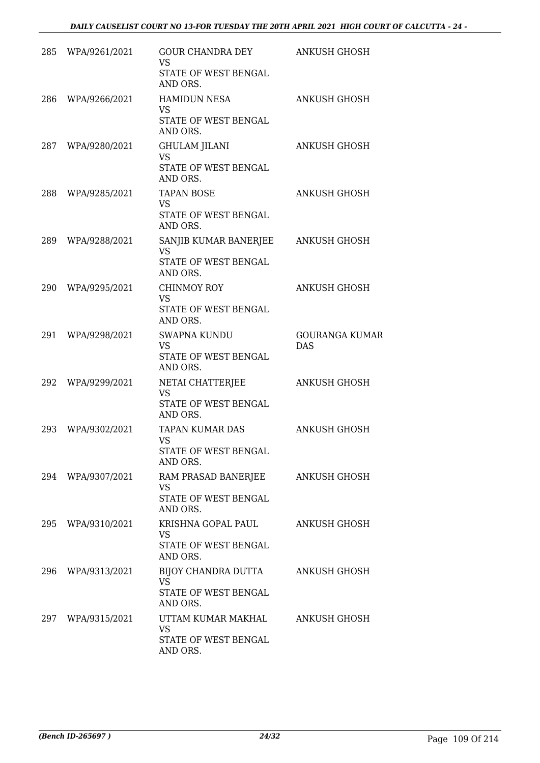|     | 285 WPA/9261/2021 | GOUR CHANDRA DEY<br><b>VS</b><br>STATE OF WEST BENGAL<br>AND ORS.      | <b>ANKUSH GHOSH</b>                 |
|-----|-------------------|------------------------------------------------------------------------|-------------------------------------|
| 286 | WPA/9266/2021     | <b>HAMIDUN NESA</b><br><b>VS</b><br>STATE OF WEST BENGAL<br>AND ORS.   | <b>ANKUSH GHOSH</b>                 |
|     | 287 WPA/9280/2021 | <b>GHULAM JILANI</b><br><b>VS</b><br>STATE OF WEST BENGAL<br>AND ORS.  | <b>ANKUSH GHOSH</b>                 |
| 288 | WPA/9285/2021     | <b>TAPAN BOSE</b><br>VS<br>STATE OF WEST BENGAL<br>AND ORS.            | <b>ANKUSH GHOSH</b>                 |
| 289 | WPA/9288/2021     | SANJIB KUMAR BANERJEE<br><b>VS</b><br>STATE OF WEST BENGAL<br>AND ORS. | <b>ANKUSH GHOSH</b>                 |
| 290 | WPA/9295/2021     | CHINMOY ROY<br><b>VS</b><br>STATE OF WEST BENGAL<br>AND ORS.           | <b>ANKUSH GHOSH</b>                 |
| 291 | WPA/9298/2021     | <b>SWAPNA KUNDU</b><br><b>VS</b><br>STATE OF WEST BENGAL<br>AND ORS.   | <b>GOURANGA KUMAR</b><br><b>DAS</b> |
| 292 | WPA/9299/2021     | NETAI CHATTERJEE<br><b>VS</b><br>STATE OF WEST BENGAL<br>AND ORS.      | <b>ANKUSH GHOSH</b>                 |
| 293 | WPA/9302/2021     | TAPAN KUMAR DAS<br><b>VS</b><br>STATE OF WEST BENGAL<br>AND ORS.       | <b>ANKUSH GHOSH</b>                 |
| 294 | WPA/9307/2021     | RAM PRASAD BANERJEE<br><b>VS</b><br>STATE OF WEST BENGAL<br>AND ORS.   | ANKUSH GHOSH                        |
| 295 | WPA/9310/2021     | KRISHNA GOPAL PAUL<br><b>VS</b><br>STATE OF WEST BENGAL<br>AND ORS.    | <b>ANKUSH GHOSH</b>                 |
| 296 | WPA/9313/2021     | BIJOY CHANDRA DUTTA<br>VS<br>STATE OF WEST BENGAL<br>AND ORS.          | ANKUSH GHOSH                        |
|     | 297 WPA/9315/2021 | UTTAM KUMAR MAKHAL<br><b>VS</b><br>STATE OF WEST BENGAL<br>AND ORS.    | <b>ANKUSH GHOSH</b>                 |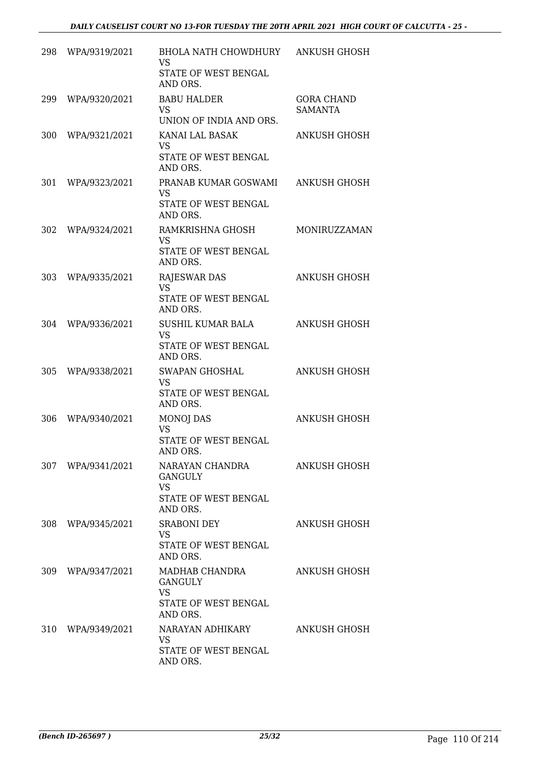| 298 | WPA/9319/2021     | BHOLA NATH CHOWDHURY<br>VS<br>STATE OF WEST BENGAL<br>AND ORS.                     | <b>ANKUSH GHOSH</b>                 |
|-----|-------------------|------------------------------------------------------------------------------------|-------------------------------------|
| 299 | WPA/9320/2021     | <b>BABU HALDER</b><br>VS.<br>UNION OF INDIA AND ORS.                               | <b>GORA CHAND</b><br><b>SAMANTA</b> |
| 300 | WPA/9321/2021     | KANAI LAL BASAK<br><b>VS</b><br>STATE OF WEST BENGAL<br>AND ORS.                   | <b>ANKUSH GHOSH</b>                 |
| 301 | WPA/9323/2021     | PRANAB KUMAR GOSWAMI<br><b>VS</b><br>STATE OF WEST BENGAL<br>AND ORS.              | <b>ANKUSH GHOSH</b>                 |
| 302 | WPA/9324/2021     | RAMKRISHNA GHOSH<br>VS<br>STATE OF WEST BENGAL<br>AND ORS.                         | MONIRUZZAMAN                        |
| 303 | WPA/9335/2021     | <b>RAJESWAR DAS</b><br><b>VS</b><br>STATE OF WEST BENGAL<br>AND ORS.               | <b>ANKUSH GHOSH</b>                 |
| 304 | WPA/9336/2021     | SUSHIL KUMAR BALA<br><b>VS</b><br>STATE OF WEST BENGAL<br>AND ORS.                 | <b>ANKUSH GHOSH</b>                 |
| 305 | WPA/9338/2021     | <b>SWAPAN GHOSHAL</b><br><b>VS</b><br>STATE OF WEST BENGAL<br>AND ORS.             | <b>ANKUSH GHOSH</b>                 |
| 306 | WPA/9340/2021     | <b>MONOJ DAS</b><br>VS<br><b>STATE OF WEST BENGAL</b><br>AND ORS.                  | <b>ANKUSH GHOSH</b>                 |
|     | 307 WPA/9341/2021 | NARAYAN CHANDRA<br><b>GANGULY</b><br><b>VS</b><br>STATE OF WEST BENGAL<br>AND ORS. | ANKUSH GHOSH                        |
| 308 | WPA/9345/2021     | <b>SRABONI DEY</b><br><b>VS</b><br>STATE OF WEST BENGAL<br>AND ORS.                | <b>ANKUSH GHOSH</b>                 |
| 309 | WPA/9347/2021     | MADHAB CHANDRA<br><b>GANGULY</b><br><b>VS</b><br>STATE OF WEST BENGAL<br>AND ORS.  | ANKUSH GHOSH                        |
| 310 | WPA/9349/2021     | NARAYAN ADHIKARY<br><b>VS</b><br>STATE OF WEST BENGAL<br>AND ORS.                  | ANKUSH GHOSH                        |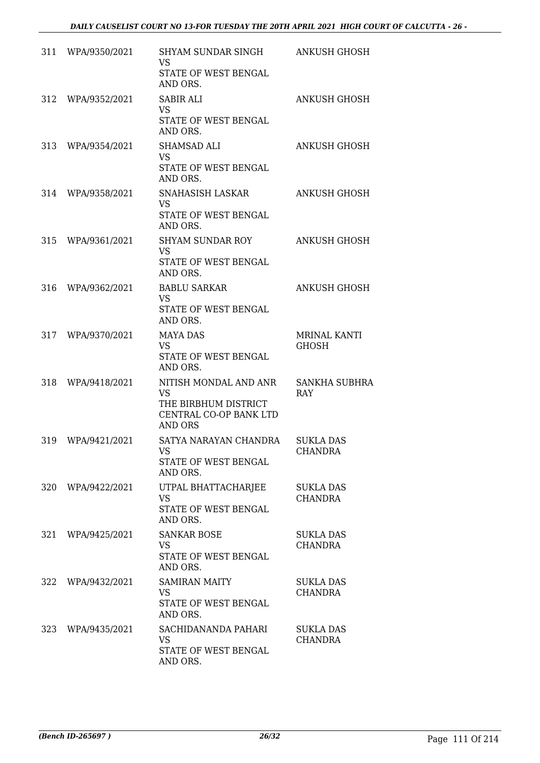| 311 | WPA/9350/2021 | SHYAM SUNDAR SINGH<br>VS                                         | ANKUSH GHOSH                        |
|-----|---------------|------------------------------------------------------------------|-------------------------------------|
|     |               | STATE OF WEST BENGAL<br>AND ORS.                                 |                                     |
| 312 | WPA/9352/2021 | SABIR ALI<br><b>VS</b><br>STATE OF WEST BENGAL                   | <b>ANKUSH GHOSH</b>                 |
|     |               | AND ORS.                                                         |                                     |
| 313 | WPA/9354/2021 | <b>SHAMSAD ALI</b><br><b>VS</b>                                  | <b>ANKUSH GHOSH</b>                 |
|     |               | STATE OF WEST BENGAL<br>AND ORS.                                 |                                     |
| 314 | WPA/9358/2021 | SNAHASISH LASKAR<br><b>VS</b>                                    | ANKUSH GHOSH                        |
|     |               | STATE OF WEST BENGAL<br>AND ORS.                                 |                                     |
| 315 | WPA/9361/2021 | <b>SHYAM SUNDAR ROY</b><br><b>VS</b>                             | ANKUSH GHOSH                        |
|     |               | STATE OF WEST BENGAL<br>AND ORS.                                 |                                     |
| 316 | WPA/9362/2021 | <b>BABLU SARKAR</b><br><b>VS</b>                                 | ANKUSH GHOSH                        |
|     |               | STATE OF WEST BENGAL<br>AND ORS.                                 |                                     |
| 317 | WPA/9370/2021 | <b>MAYA DAS</b><br><b>VS</b>                                     | <b>MRINAL KANTI</b><br><b>GHOSH</b> |
|     |               | STATE OF WEST BENGAL<br>AND ORS.                                 |                                     |
| 318 | WPA/9418/2021 | NITISH MONDAL AND ANR<br><b>VS</b>                               | <b>SANKHA SUBHRA</b><br>RAY         |
|     |               | THE BIRBHUM DISTRICT<br>CENTRAL CO-OP BANK LTD<br><b>AND ORS</b> |                                     |
| 319 | WPA/9421/2021 | SATYA NARAYAN CHANDRA<br>VS                                      | <b>SUKLA DAS</b><br>CHANDRA         |
|     |               | STATE OF WEST BENGAL<br>AND ORS.                                 |                                     |
| 320 | WPA/9422/2021 | UTPAL BHATTACHARJEE<br><b>VS</b>                                 | <b>SUKLA DAS</b><br><b>CHANDRA</b>  |
|     |               | STATE OF WEST BENGAL<br>AND ORS.                                 |                                     |
| 321 | WPA/9425/2021 | <b>SANKAR BOSE</b><br><b>VS</b>                                  | <b>SUKLA DAS</b><br><b>CHANDRA</b>  |
|     |               | STATE OF WEST BENGAL<br>AND ORS.                                 |                                     |
| 322 | WPA/9432/2021 | <b>SAMIRAN MAITY</b><br><b>VS</b>                                | <b>SUKLA DAS</b><br><b>CHANDRA</b>  |
|     |               | STATE OF WEST BENGAL<br>AND ORS.                                 |                                     |
| 323 | WPA/9435/2021 | SACHIDANANDA PAHARI<br><b>VS</b>                                 | <b>SUKLA DAS</b><br><b>CHANDRA</b>  |
|     |               | STATE OF WEST BENGAL<br>AND ORS.                                 |                                     |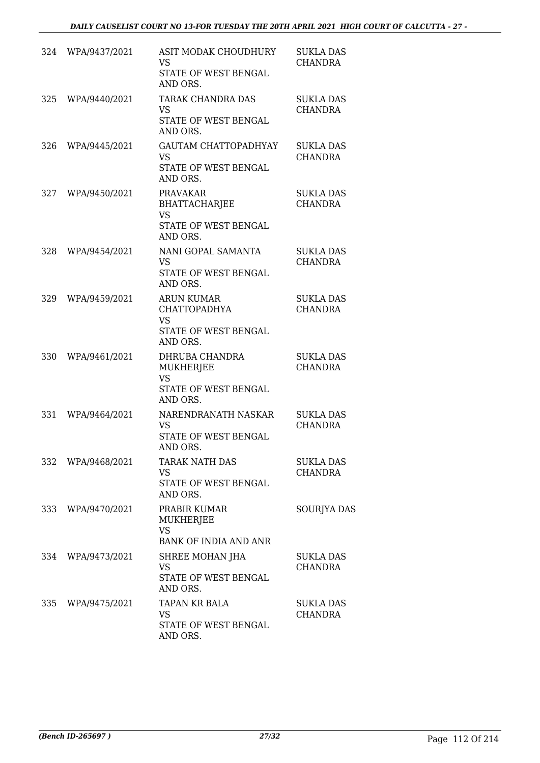| 324 | WPA/9437/2021 | <b>ASIT MODAK CHOUDHURY</b><br><b>VS</b><br>STATE OF WEST BENGAL<br>AND ORS.              | <b>SUKLA DAS</b><br><b>CHANDRA</b> |
|-----|---------------|-------------------------------------------------------------------------------------------|------------------------------------|
| 325 | WPA/9440/2021 | <b>TARAK CHANDRA DAS</b><br><b>VS</b><br>STATE OF WEST BENGAL<br>AND ORS.                 | <b>SUKLA DAS</b><br><b>CHANDRA</b> |
| 326 | WPA/9445/2021 | <b>GAUTAM CHATTOPADHYAY</b><br><b>VS</b><br>STATE OF WEST BENGAL<br>AND ORS.              | <b>SUKLA DAS</b><br><b>CHANDRA</b> |
| 327 | WPA/9450/2021 | <b>PRAVAKAR</b><br><b>BHATTACHARJEE</b><br><b>VS</b><br>STATE OF WEST BENGAL<br>AND ORS.  | <b>SUKLA DAS</b><br><b>CHANDRA</b> |
| 328 | WPA/9454/2021 | NANI GOPAL SAMANTA<br><b>VS</b><br>STATE OF WEST BENGAL<br>AND ORS.                       | <b>SUKLA DAS</b><br><b>CHANDRA</b> |
| 329 | WPA/9459/2021 | <b>ARUN KUMAR</b><br><b>CHATTOPADHYA</b><br><b>VS</b><br>STATE OF WEST BENGAL<br>AND ORS. | <b>SUKLA DAS</b><br><b>CHANDRA</b> |
| 330 | WPA/9461/2021 | DHRUBA CHANDRA<br><b>MUKHERJEE</b><br><b>VS</b><br>STATE OF WEST BENGAL<br>AND ORS.       | <b>SUKLA DAS</b><br><b>CHANDRA</b> |
| 331 | WPA/9464/2021 | NARENDRANATH NASKAR<br><b>VS</b><br>STATE OF WEST BENGAL<br>AND ORS.                      | <b>SUKLA DAS</b><br><b>CHANDRA</b> |
| 332 | WPA/9468/2021 | <b>TARAK NATH DAS</b><br><b>VS</b><br>STATE OF WEST BENGAL<br>AND ORS.                    | <b>SUKLA DAS</b><br><b>CHANDRA</b> |
| 333 | WPA/9470/2021 | PRABIR KUMAR<br>MUKHERJEE<br><b>VS</b><br><b>BANK OF INDIA AND ANR</b>                    | SOURJYA DAS                        |
| 334 | WPA/9473/2021 | SHREE MOHAN JHA<br><b>VS</b><br>STATE OF WEST BENGAL<br>AND ORS.                          | SUKLA DAS<br>CHANDRA               |
| 335 | WPA/9475/2021 | TAPAN KR BALA<br><b>VS</b><br>STATE OF WEST BENGAL<br>AND ORS.                            | <b>SUKLA DAS</b><br><b>CHANDRA</b> |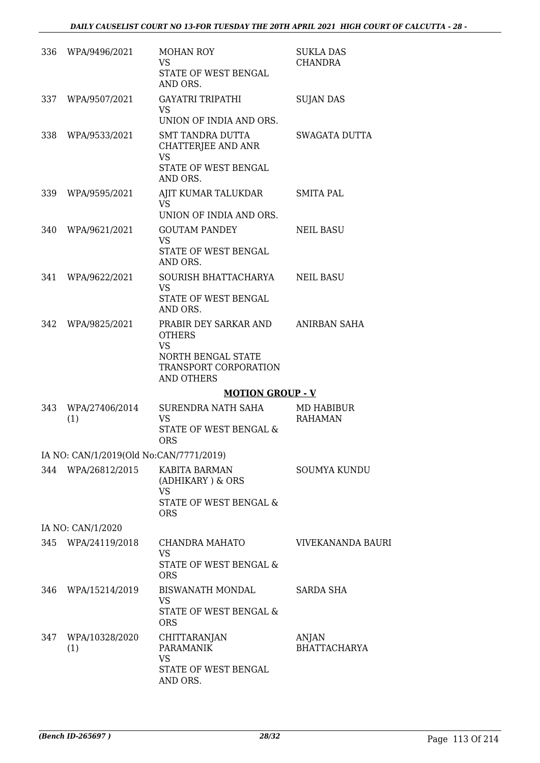|     | 336 WPA/9496/2021                       | <b>MOHAN ROY</b><br><b>VS</b><br>STATE OF WEST BENGAL<br>AND ORS.                                                       | <b>SUKLA DAS</b><br><b>CHANDRA</b>  |
|-----|-----------------------------------------|-------------------------------------------------------------------------------------------------------------------------|-------------------------------------|
| 337 | WPA/9507/2021                           | <b>GAYATRI TRIPATHI</b><br><b>VS</b><br>UNION OF INDIA AND ORS.                                                         | <b>SUJAN DAS</b>                    |
| 338 | WPA/9533/2021                           | SMT TANDRA DUTTA<br>CHATTERJEE AND ANR<br><b>VS</b><br>STATE OF WEST BENGAL<br>AND ORS.                                 | SWAGATA DUTTA                       |
|     | 339 WPA/9595/2021                       | AJIT KUMAR TALUKDAR<br>VS.<br>UNION OF INDIA AND ORS.                                                                   | <b>SMITA PAL</b>                    |
| 340 | WPA/9621/2021                           | <b>GOUTAM PANDEY</b><br><b>VS</b><br>STATE OF WEST BENGAL<br>AND ORS.                                                   | <b>NEIL BASU</b>                    |
| 341 | WPA/9622/2021                           | SOURISH BHATTACHARYA<br><b>VS</b><br>STATE OF WEST BENGAL<br>AND ORS.                                                   | NEIL BASU                           |
| 342 | WPA/9825/2021                           | PRABIR DEY SARKAR AND<br><b>OTHERS</b><br><b>VS</b><br>NORTH BENGAL STATE<br>TRANSPORT CORPORATION<br><b>AND OTHERS</b> | ANIRBAN SAHA                        |
|     |                                         | <b>MOTION GROUP - V</b>                                                                                                 |                                     |
| 343 | WPA/27406/2014<br>(1)                   | SURENDRA NATH SAHA<br><b>VS</b><br><b>STATE OF WEST BENGAL &amp;</b><br><b>ORS</b>                                      | <b>MD HABIBUR</b><br><b>RAHAMAN</b> |
|     | IA NO: CAN/1/2019(Old No:CAN/7771/2019) |                                                                                                                         |                                     |
|     | 344 WPA/26812/2015                      | KABITA BARMAN<br>(ADHIKARY) & ORS<br><b>VS</b><br>STATE OF WEST BENGAL &<br><b>ORS</b>                                  | <b>SOUMYA KUNDU</b>                 |
|     | IA NO: CAN/1/2020                       |                                                                                                                         |                                     |
|     | 345 WPA/24119/2018                      | CHANDRA MAHATO<br><b>VS</b><br>STATE OF WEST BENGAL &<br><b>ORS</b>                                                     | VIVEKANANDA BAURI                   |
|     | 346 WPA/15214/2019                      | BISWANATH MONDAL<br><b>VS</b><br>STATE OF WEST BENGAL &<br><b>ORS</b>                                                   | <b>SARDA SHA</b>                    |
| 347 | WPA/10328/2020<br>(1)                   | <b>CHITTARANJAN</b><br><b>PARAMANIK</b><br><b>VS</b><br>STATE OF WEST BENGAL<br>AND ORS.                                | ANJAN<br><b>BHATTACHARYA</b>        |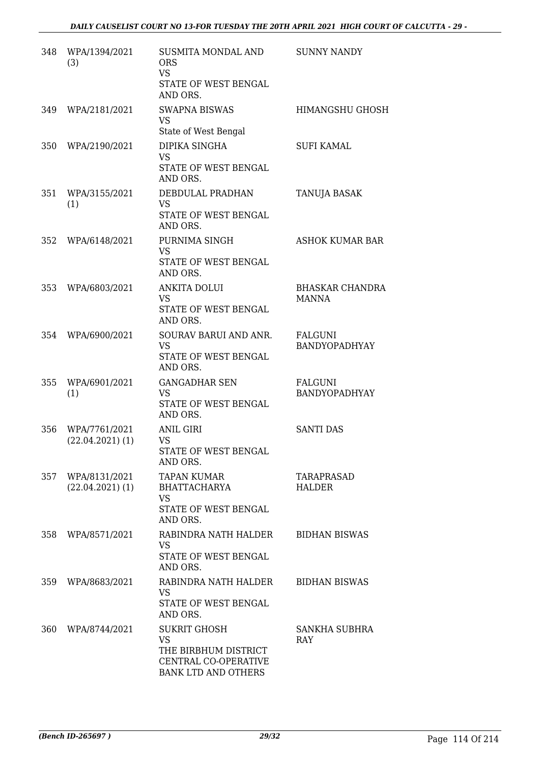| 348   | WPA/1394/2021<br>(3)                | <b>SUSMITA MONDAL AND</b><br><b>ORS</b><br><b>VS</b><br>STATE OF WEST BENGAL<br>AND ORS.                       | <b>SUNNY NANDY</b>                     |
|-------|-------------------------------------|----------------------------------------------------------------------------------------------------------------|----------------------------------------|
| 349   | WPA/2181/2021                       | <b>SWAPNA BISWAS</b><br><b>VS</b><br>State of West Bengal                                                      | <b>HIMANGSHU GHOSH</b>                 |
| 350   | WPA/2190/2021                       | DIPIKA SINGHA<br><b>VS</b><br>STATE OF WEST BENGAL<br>AND ORS.                                                 | <b>SUFI KAMAL</b>                      |
| 351   | WPA/3155/2021<br>(1)                | DEBDULAL PRADHAN<br><b>VS</b><br>STATE OF WEST BENGAL<br>AND ORS.                                              | TANUJA BASAK                           |
| 352   | WPA/6148/2021                       | PURNIMA SINGH<br><b>VS</b><br>STATE OF WEST BENGAL<br>AND ORS.                                                 | <b>ASHOK KUMAR BAR</b>                 |
| 353   | WPA/6803/2021                       | <b>ANKITA DOLUI</b><br><b>VS</b><br>STATE OF WEST BENGAL<br>AND ORS.                                           | <b>BHASKAR CHANDRA</b><br><b>MANNA</b> |
| 354   | WPA/6900/2021                       | SOURAV BARUI AND ANR.<br><b>VS</b><br>STATE OF WEST BENGAL<br>AND ORS.                                         | <b>FALGUNI</b><br>BANDYOPADHYAY        |
| 355   | WPA/6901/2021<br>(1)                | <b>GANGADHAR SEN</b><br><b>VS</b><br>STATE OF WEST BENGAL<br>AND ORS.                                          | <b>FALGUNI</b><br>BANDYOPADHYAY        |
| 356   | WPA/7761/2021<br>$(22.04.2021)$ (1) | <b>ANIL GIRI</b><br><b>VS</b><br>STATE OF WEST BENGAL<br>AND ORS.                                              | <b>SANTI DAS</b>                       |
| 357   | WPA/8131/2021<br>$(22.04.2021)$ (1) | <b>TAPAN KUMAR</b><br><b>BHATTACHARYA</b><br>VS<br>STATE OF WEST BENGAL<br>AND ORS.                            | TARAPRASAD<br><b>HALDER</b>            |
| 358 - | WPA/8571/2021                       | RABINDRA NATH HALDER<br><b>VS</b><br>STATE OF WEST BENGAL<br>AND ORS.                                          | <b>BIDHAN BISWAS</b>                   |
| 359   | WPA/8683/2021                       | RABINDRA NATH HALDER<br>VS.<br>STATE OF WEST BENGAL<br>AND ORS.                                                | <b>BIDHAN BISWAS</b>                   |
| 360   | WPA/8744/2021                       | <b>SUKRIT GHOSH</b><br><b>VS</b><br>THE BIRBHUM DISTRICT<br>CENTRAL CO-OPERATIVE<br><b>BANK LTD AND OTHERS</b> | SANKHA SUBHRA<br><b>RAY</b>            |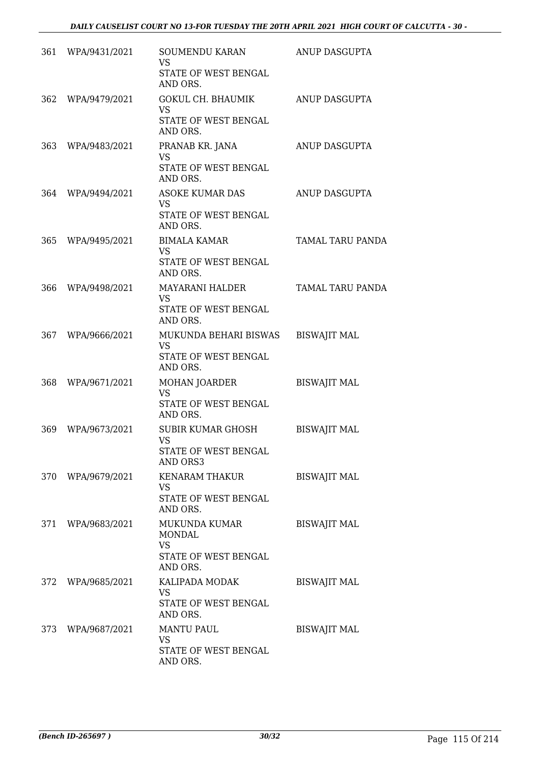|     | 361 WPA/9431/2021 | <b>SOUMENDU KARAN</b><br><b>VS</b><br>STATE OF WEST BENGAL<br>AND ORS.    | ANUP DASGUPTA           |
|-----|-------------------|---------------------------------------------------------------------------|-------------------------|
| 362 | WPA/9479/2021     | <b>GOKUL CH. BHAUMIK</b><br><b>VS</b><br>STATE OF WEST BENGAL<br>AND ORS. | <b>ANUP DASGUPTA</b>    |
| 363 | WPA/9483/2021     | PRANAB KR. JANA<br>VS<br>STATE OF WEST BENGAL<br>AND ORS.                 | ANUP DASGUPTA           |
| 364 | WPA/9494/2021     | <b>ASOKE KUMAR DAS</b><br><b>VS</b><br>STATE OF WEST BENGAL<br>AND ORS.   | ANUP DASGUPTA           |
| 365 | WPA/9495/2021     | <b>BIMALA KAMAR</b><br><b>VS</b><br>STATE OF WEST BENGAL<br>AND ORS.      | <b>TAMAL TARU PANDA</b> |
| 366 | WPA/9498/2021     | MAYARANI HALDER<br><b>VS</b><br>STATE OF WEST BENGAL<br>AND ORS.          | <b>TAMAL TARU PANDA</b> |
| 367 | WPA/9666/2021     | MUKUNDA BEHARI BISWAS<br>VS<br>STATE OF WEST BENGAL<br>AND ORS.           | <b>BISWAJIT MAL</b>     |
| 368 | WPA/9671/2021     | <b>MOHAN JOARDER</b><br><b>VS</b><br>STATE OF WEST BENGAL<br>AND ORS.     | <b>BISWAJIT MAL</b>     |
| 369 | WPA/9673/2021     | <b>SUBIR KUMAR GHOSH</b><br><b>VS</b><br>STATE OF WEST BENGAL<br>AND ORS3 | <b>BISWAJIT MAL</b>     |
|     | 370 WPA/9679/2021 | <b>KENARAM THAKUR</b><br><b>VS</b><br>STATE OF WEST BENGAL<br>AND ORS.    | <b>BISWAJIT MAL</b>     |
|     | 371 WPA/9683/2021 | MUKUNDA KUMAR<br>MONDAL<br><b>VS</b><br>STATE OF WEST BENGAL<br>AND ORS.  | <b>BISWAJIT MAL</b>     |
|     | 372 WPA/9685/2021 | KALIPADA MODAK<br><b>VS</b><br>STATE OF WEST BENGAL<br>AND ORS.           | <b>BISWAJIT MAL</b>     |
|     | 373 WPA/9687/2021 | <b>MANTU PAUL</b><br><b>VS</b><br>STATE OF WEST BENGAL<br>AND ORS.        | <b>BISWAJIT MAL</b>     |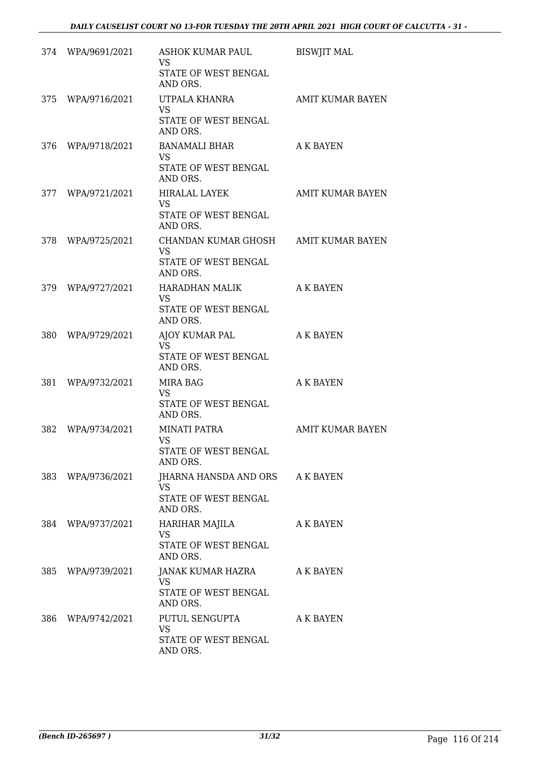|     | 374 WPA/9691/2021 | ASHOK KUMAR PAUL<br><b>VS</b><br>STATE OF WEST BENGAL<br>AND ORS.                     | <b>BISWJIT MAL</b>      |
|-----|-------------------|---------------------------------------------------------------------------------------|-------------------------|
| 375 | WPA/9716/2021     | UTPALA KHANRA<br><b>VS</b><br>STATE OF WEST BENGAL<br>AND ORS.                        | <b>AMIT KUMAR BAYEN</b> |
| 376 | WPA/9718/2021     | BANAMALI BHAR<br><b>VS</b><br>STATE OF WEST BENGAL<br>AND ORS.                        | A K BAYEN               |
|     | 377 WPA/9721/2021 | <b>HIRALAL LAYEK</b><br>VS<br>STATE OF WEST BENGAL<br>AND ORS.                        | AMIT KUMAR BAYEN        |
| 378 | WPA/9725/2021     | CHANDAN KUMAR GHOSH AMIT KUMAR BAYEN<br><b>VS</b><br>STATE OF WEST BENGAL<br>AND ORS. |                         |
| 379 | WPA/9727/2021     | HARADHAN MALIK<br><b>VS</b><br>STATE OF WEST BENGAL<br>AND ORS.                       | A K BAYEN               |
| 380 | WPA/9729/2021     | AJOY KUMAR PAL<br>VS<br>STATE OF WEST BENGAL<br>AND ORS.                              | <b>A K BAYEN</b>        |
| 381 | WPA/9732/2021     | MIRA BAG<br>VS.<br>STATE OF WEST BENGAL<br>AND ORS.                                   | <b>A K BAYEN</b>        |
| 382 | WPA/9734/2021     | <b>MINATI PATRA</b><br>VS<br>STATE OF WEST BENGAL<br>AND ORS.                         | <b>AMIT KUMAR BAYEN</b> |
| 383 | WPA/9736/2021     | JHARNA HANSDA AND ORS A K BAYEN<br><b>VS</b><br>STATE OF WEST BENGAL<br>AND ORS.      |                         |
| 384 | WPA/9737/2021     | HARIHAR MAJILA<br><b>VS</b><br>STATE OF WEST BENGAL<br>AND ORS.                       | <b>A K BAYEN</b>        |
| 385 | WPA/9739/2021     | JANAK KUMAR HAZRA<br>VS.<br>STATE OF WEST BENGAL<br>AND ORS.                          | A K BAYEN               |
| 386 | WPA/9742/2021     | PUTUL SENGUPTA<br><b>VS</b><br>STATE OF WEST BENGAL<br>AND ORS.                       | A K BAYEN               |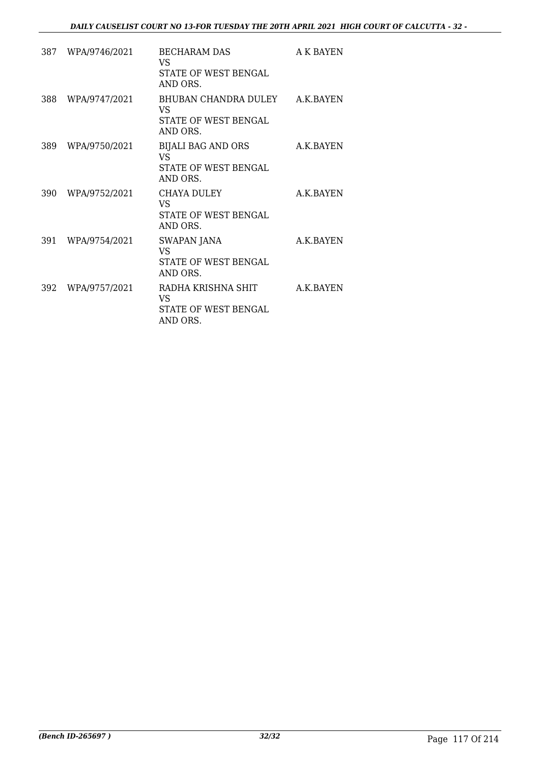| 387 | WPA/9746/2021 | <b>BECHARAM DAS</b><br>VS<br>STATE OF WEST BENGAL<br>AND ORS.         | A K BAYEN  |
|-----|---------------|-----------------------------------------------------------------------|------------|
| 388 | WPA/9747/2021 | BHUBAN CHANDRA DULEY<br><b>VS</b><br>STATE OF WEST BENGAL<br>AND ORS. | A.K.BAYEN  |
| 389 | WPA/9750/2021 | <b>BIJALI BAG AND ORS</b><br>VS<br>STATE OF WEST BENGAL<br>AND ORS.   | A.K.BAYEN  |
| 390 | WPA/9752/2021 | CHAYA DULEY<br>VS<br><b>STATE OF WEST BENGAL</b><br>AND ORS.          | A.K.BAYEN  |
| 391 | WPA/9754/2021 | SWAPAN JANA<br>VS<br>STATE OF WEST BENGAL<br>AND ORS.                 | A.K.BAYEN  |
| 392 | WPA/9757/2021 | RADHA KRISHNA SHIT<br>VS<br>STATE OF WEST BENGAL<br>AND ORS.          | A.K. BAYEN |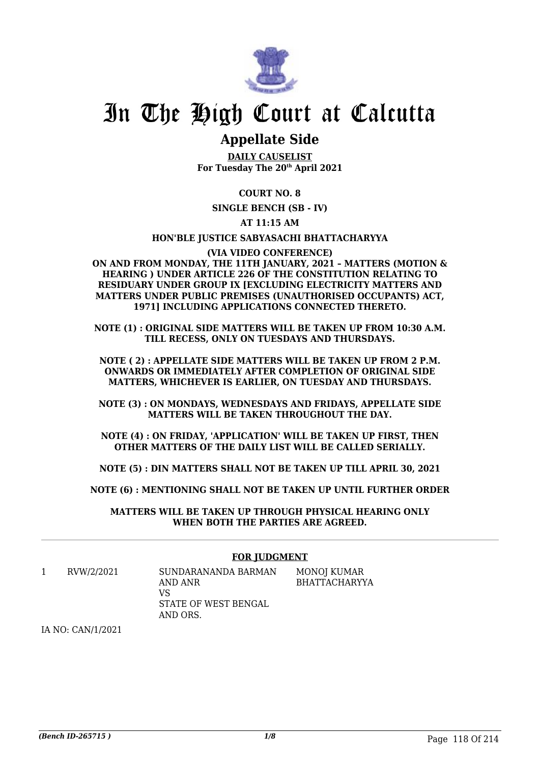

# In The High Court at Calcutta

## **Appellate Side**

**DAILY CAUSELIST For Tuesday The 20th April 2021**

## **COURT NO. 8**

**SINGLE BENCH (SB - IV)**

## **AT 11:15 AM**

### **HON'BLE JUSTICE SABYASACHI BHATTACHARYYA**

**(VIA VIDEO CONFERENCE) ON AND FROM MONDAY, THE 11TH JANUARY, 2021 – MATTERS (MOTION & HEARING ) UNDER ARTICLE 226 OF THE CONSTITUTION RELATING TO RESIDUARY UNDER GROUP IX [EXCLUDING ELECTRICITY MATTERS AND MATTERS UNDER PUBLIC PREMISES (UNAUTHORISED OCCUPANTS) ACT, 1971] INCLUDING APPLICATIONS CONNECTED THERETO.**

**NOTE (1) : ORIGINAL SIDE MATTERS WILL BE TAKEN UP FROM 10:30 A.M. TILL RECESS, ONLY ON TUESDAYS AND THURSDAYS.**

**NOTE ( 2) : APPELLATE SIDE MATTERS WILL BE TAKEN UP FROM 2 P.M. ONWARDS OR IMMEDIATELY AFTER COMPLETION OF ORIGINAL SIDE MATTERS, WHICHEVER IS EARLIER, ON TUESDAY AND THURSDAYS.**

**NOTE (3) : ON MONDAYS, WEDNESDAYS AND FRIDAYS, APPELLATE SIDE MATTERS WILL BE TAKEN THROUGHOUT THE DAY.**

**NOTE (4) : ON FRIDAY, 'APPLICATION' WILL BE TAKEN UP FIRST, THEN OTHER MATTERS OF THE DAILY LIST WILL BE CALLED SERIALLY.**

**NOTE (5) : DIN MATTERS SHALL NOT BE TAKEN UP TILL APRIL 30, 2021**

**NOTE (6) : MENTIONING SHALL NOT BE TAKEN UP UNTIL FURTHER ORDER**

**MATTERS WILL BE TAKEN UP THROUGH PHYSICAL HEARING ONLY WHEN BOTH THE PARTIES ARE AGREED.**

### **FOR JUDGMENT**

1 RVW/2/2021 SUNDARANANDA BARMAN AND ANR VS STATE OF WEST BENGAL AND ORS. MONOJ KUMAR BHATTACHARYYA

IA NO: CAN/1/2021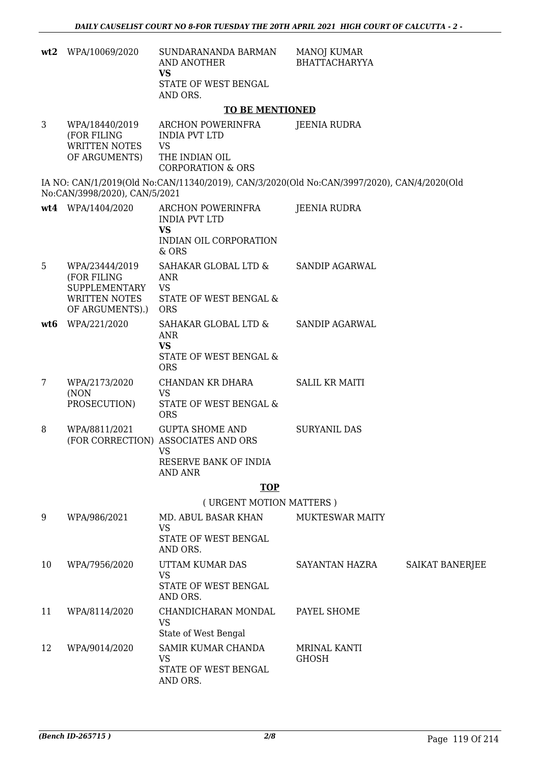|     | wt2 WPA/10069/2020                                                                               | SUNDARANANDA BARMAN<br><b>AND ANOTHER</b><br><b>VS</b><br>STATE OF WEST BENGAL<br>AND ORS.                            | <b>MANOJ KUMAR</b><br><b>BHATTACHARYYA</b>                                                 |  |
|-----|--------------------------------------------------------------------------------------------------|-----------------------------------------------------------------------------------------------------------------------|--------------------------------------------------------------------------------------------|--|
|     |                                                                                                  | <b>TO BE MENTIONED</b>                                                                                                |                                                                                            |  |
| 3   | WPA/18440/2019<br>(FOR FILING<br><b>WRITTEN NOTES</b><br>OF ARGUMENTS)                           | ARCHON POWERINFRA<br><b>INDIA PVT LTD</b><br><b>VS</b><br>THE INDIAN OIL<br><b>CORPORATION &amp; ORS</b>              | JEENIA RUDRA                                                                               |  |
|     | No:CAN/3998/2020), CAN/5/2021                                                                    |                                                                                                                       | IA NO: CAN/1/2019(Old No:CAN/11340/2019), CAN/3/2020(Old No:CAN/3997/2020), CAN/4/2020(Old |  |
|     | wt4 WPA/1404/2020                                                                                | ARCHON POWERINFRA<br><b>INDIA PVT LTD</b><br><b>VS</b>                                                                | <b>JEENIA RUDRA</b>                                                                        |  |
|     |                                                                                                  | INDIAN OIL CORPORATION<br>& ORS                                                                                       |                                                                                            |  |
| 5   | WPA/23444/2019<br>(FOR FILING<br><b>SUPPLEMENTARY</b><br><b>WRITTEN NOTES</b><br>OF ARGUMENTS).) | SAHAKAR GLOBAL LTD &<br><b>ANR</b><br><b>VS</b><br><b>STATE OF WEST BENGAL &amp;</b><br><b>ORS</b>                    | SANDIP AGARWAL                                                                             |  |
| wt6 | WPA/221/2020                                                                                     | SAHAKAR GLOBAL LTD &<br><b>ANR</b><br><b>VS</b><br>STATE OF WEST BENGAL &<br><b>ORS</b>                               | <b>SANDIP AGARWAL</b>                                                                      |  |
| 7   | WPA/2173/2020<br>(NON<br>PROSECUTION)                                                            | CHANDAN KR DHARA<br><b>VS</b><br>STATE OF WEST BENGAL &<br><b>ORS</b>                                                 | <b>SALIL KR MAITI</b>                                                                      |  |
| 8   | WPA/8811/2021                                                                                    | <b>GUPTA SHOME AND</b><br>(FOR CORRECTION) ASSOCIATES AND ORS<br><b>VS</b><br>RESERVE BANK OF INDIA<br><b>AND ANR</b> | <b>SURYANIL DAS</b>                                                                        |  |
|     |                                                                                                  | <b>TOP</b>                                                                                                            |                                                                                            |  |
|     |                                                                                                  | (URGENT MOTION MATTERS)                                                                                               |                                                                                            |  |
| 9   | WPA/986/2021                                                                                     | MD. ABUL BASAR KHAN<br><b>VS</b><br>STATE OF WEST BENGAL<br>AND ORS.                                                  | MUKTESWAR MAITY                                                                            |  |
| 10  | WPA/7956/2020                                                                                    | UTTAM KUMAR DAS<br><b>VS</b><br>STATE OF WEST BENGAL<br>AND ORS.                                                      | <b>SAIKAT BANERJEE</b><br>SAYANTAN HAZRA                                                   |  |
| 11  | WPA/8114/2020                                                                                    | CHANDICHARAN MONDAL<br><b>VS</b><br>State of West Bengal                                                              | PAYEL SHOME                                                                                |  |
| 12  | WPA/9014/2020                                                                                    | SAMIR KUMAR CHANDA<br><b>VS</b><br>STATE OF WEST BENGAL<br>AND ORS.                                                   | MRINAL KANTI<br><b>GHOSH</b>                                                               |  |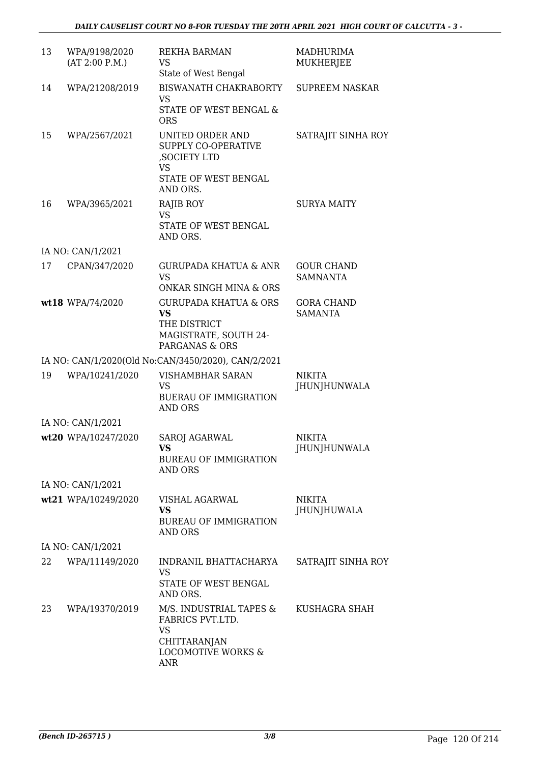| 13 | WPA/9198/2020<br>(AT 2:00 P.M.) | <b>REKHA BARMAN</b><br>VS<br>State of West Bengal                                                                       | MADHURIMA<br><b>MUKHERJEE</b>        |
|----|---------------------------------|-------------------------------------------------------------------------------------------------------------------------|--------------------------------------|
| 14 | WPA/21208/2019                  | BISWANATH CHAKRABORTY<br><b>VS</b><br>STATE OF WEST BENGAL &<br><b>ORS</b>                                              | <b>SUPREEM NASKAR</b>                |
| 15 | WPA/2567/2021                   | UNITED ORDER AND<br><b>SUPPLY CO-OPERATIVE</b><br>, SOCIETY LTD<br><b>VS</b><br>STATE OF WEST BENGAL                    | SATRAJIT SINHA ROY                   |
|    |                                 | AND ORS.                                                                                                                |                                      |
| 16 | WPA/3965/2021                   | RAJIB ROY<br><b>VS</b><br>STATE OF WEST BENGAL<br>AND ORS.                                                              | <b>SURYA MAITY</b>                   |
|    | IA NO: CAN/1/2021               |                                                                                                                         |                                      |
| 17 | CPAN/347/2020                   | <b>GURUPADA KHATUA &amp; ANR</b><br><b>VS</b>                                                                           | <b>GOUR CHAND</b><br><b>SAMNANTA</b> |
|    |                                 | <b>ONKAR SINGH MINA &amp; ORS</b>                                                                                       |                                      |
|    | wt18 WPA/74/2020                | <b>GURUPADA KHATUA &amp; ORS</b><br><b>VS</b><br>THE DISTRICT<br>MAGISTRATE, SOUTH 24-<br>PARGANAS & ORS                | <b>GORA CHAND</b><br><b>SAMANTA</b>  |
|    |                                 | IA NO: CAN/1/2020(Old No:CAN/3450/2020), CAN/2/2021                                                                     |                                      |
| 19 | WPA/10241/2020                  | <b>VISHAMBHAR SARAN</b><br><b>VS</b><br><b>BUERAU OF IMMIGRATION</b><br><b>AND ORS</b>                                  | <b>NIKITA</b><br><b>JHUNJHUNWALA</b> |
|    | IA NO: CAN/1/2021               |                                                                                                                         |                                      |
|    | wt20 WPA/10247/2020             | <b>SAROJ AGARWAL</b><br>VS —<br><b>BUREAU OF IMMIGRATION</b><br><b>AND ORS</b>                                          | <b>NIKITA</b><br><b>JHUNJHUNWALA</b> |
|    | IA NO: CAN/1/2021               |                                                                                                                         |                                      |
|    | wt21 WPA/10249/2020             | VISHAL AGARWAL<br><b>VS</b><br><b>BUREAU OF IMMIGRATION</b><br><b>AND ORS</b>                                           | <b>NIKITA</b><br>JHUNJHUWALA         |
|    | IA NO: CAN/1/2021               |                                                                                                                         |                                      |
| 22 | WPA/11149/2020                  | INDRANIL BHATTACHARYA<br>VS.<br>STATE OF WEST BENGAL<br>AND ORS.                                                        | SATRAJIT SINHA ROY                   |
| 23 | WPA/19370/2019                  | M/S. INDUSTRIAL TAPES &<br>FABRICS PVT.LTD.<br><b>VS</b><br>CHITTARANJAN<br><b>LOCOMOTIVE WORKS &amp;</b><br><b>ANR</b> | KUSHAGRA SHAH                        |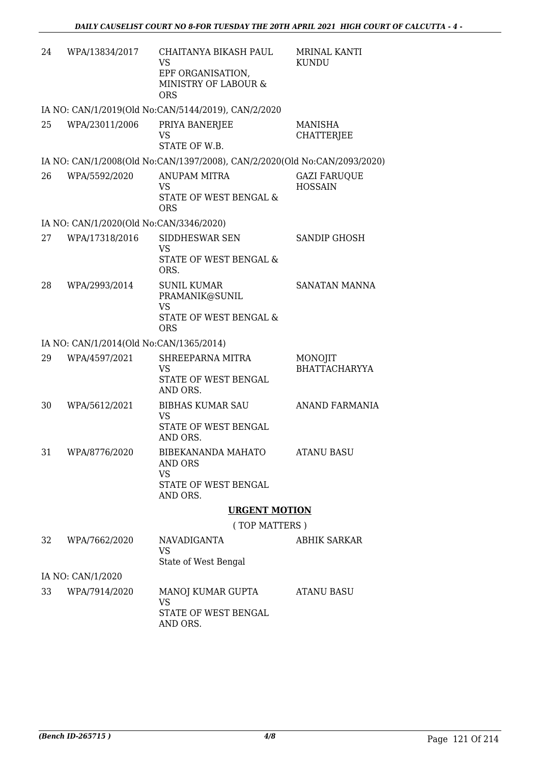| 24 | WPA/13834/2017                          | CHAITANYA BIKASH PAUL<br><b>VS</b><br>EPF ORGANISATION,<br>MINISTRY OF LABOUR &<br><b>ORS</b> | <b>MRINAL KANTI</b><br>KUNDU          |
|----|-----------------------------------------|-----------------------------------------------------------------------------------------------|---------------------------------------|
|    |                                         | IA NO: CAN/1/2019(Old No:CAN/5144/2019), CAN/2/2020                                           |                                       |
| 25 | WPA/23011/2006                          | PRIYA BANERJEE<br>VS<br>STATE OF W.B.                                                         | MANISHA<br><b>CHATTERJEE</b>          |
|    |                                         | IA NO: CAN/1/2008(Old No:CAN/1397/2008), CAN/2/2020(Old No:CAN/2093/2020)                     |                                       |
| 26 | WPA/5592/2020                           | <b>ANUPAM MITRA</b><br>VS<br>STATE OF WEST BENGAL &<br><b>ORS</b>                             | <b>GAZI FARUQUE</b><br><b>HOSSAIN</b> |
|    | IA NO: CAN/1/2020(Old No:CAN/3346/2020) |                                                                                               |                                       |
| 27 | WPA/17318/2016                          | SIDDHESWAR SEN<br><b>VS</b><br><b>STATE OF WEST BENGAL &amp;</b><br>ORS.                      | <b>SANDIP GHOSH</b>                   |
| 28 | WPA/2993/2014                           | <b>SUNIL KUMAR</b><br>PRAMANIK@SUNIL<br><b>VS</b><br>STATE OF WEST BENGAL &<br><b>ORS</b>     | <b>SANATAN MANNA</b>                  |
|    | IA NO: CAN/1/2014(Old No:CAN/1365/2014) |                                                                                               |                                       |
| 29 | WPA/4597/2021                           | SHREEPARNA MITRA<br>VS<br>STATE OF WEST BENGAL<br>AND ORS.                                    | MONOJIT<br><b>BHATTACHARYYA</b>       |
| 30 | WPA/5612/2021                           | <b>BIBHAS KUMAR SAU</b><br><b>VS</b><br><b>STATE OF WEST BENGAL</b><br>AND ORS.               | ANAND FARMANIA                        |
| 31 | WPA/8776/2020                           | BIBEKANANDA MAHATO<br>AND ORS<br><b>VS</b><br>STATE OF WEST BENGAL<br>AND ORS.                | <b>ATANU BASU</b>                     |
|    |                                         | <b>URGENT MOTION</b>                                                                          |                                       |
|    |                                         | (TOP MATTERS)                                                                                 |                                       |
| 32 | WPA/7662/2020                           | <b>NAVADIGANTA</b><br>VS<br>State of West Bengal                                              | ABHIK SARKAR                          |
|    | IA NO: CAN/1/2020                       |                                                                                               |                                       |
| 33 | WPA/7914/2020                           | MANOJ KUMAR GUPTA<br><b>VS</b><br>STATE OF WEST BENGAL<br>AND ORS.                            | <b>ATANU BASU</b>                     |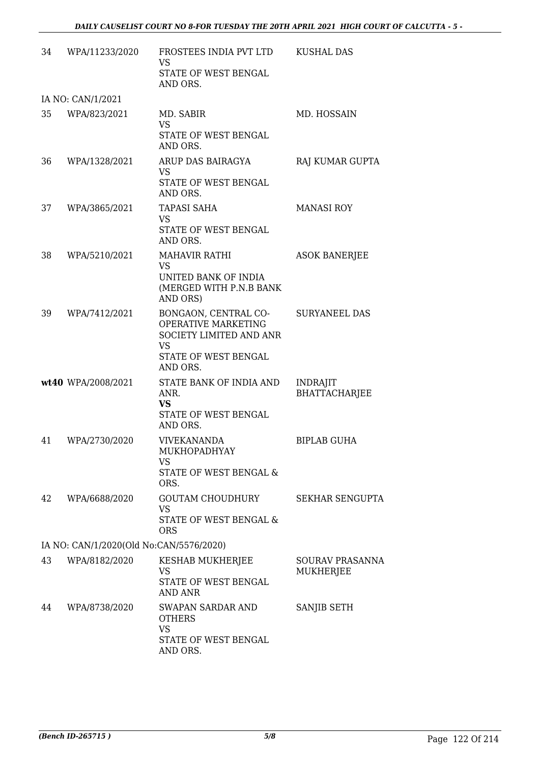| 34 | WPA/11233/2020                          | FROSTEES INDIA PVT LTD<br><b>VS</b><br>STATE OF WEST BENGAL<br>AND ORS.                                                 | <b>KUSHAL DAS</b>                       |
|----|-----------------------------------------|-------------------------------------------------------------------------------------------------------------------------|-----------------------------------------|
|    | IA NO: CAN/1/2021                       |                                                                                                                         |                                         |
| 35 | WPA/823/2021                            | MD. SABIR<br><b>VS</b><br>STATE OF WEST BENGAL<br>AND ORS.                                                              | MD. HOSSAIN                             |
| 36 | WPA/1328/2021                           | ARUP DAS BAIRAGYA<br><b>VS</b><br>STATE OF WEST BENGAL<br>AND ORS.                                                      | RAJ KUMAR GUPTA                         |
| 37 | WPA/3865/2021                           | <b>TAPASI SAHA</b><br>VS<br>STATE OF WEST BENGAL<br>AND ORS.                                                            | <b>MANASI ROY</b>                       |
| 38 | WPA/5210/2021                           | <b>MAHAVIR RATHI</b><br><b>VS</b><br>UNITED BANK OF INDIA<br>(MERGED WITH P.N.B BANK<br>AND ORS)                        | <b>ASOK BANERJEE</b>                    |
| 39 | WPA/7412/2021                           | BONGAON, CENTRAL CO-<br>OPERATIVE MARKETING<br>SOCIETY LIMITED AND ANR<br><b>VS</b><br>STATE OF WEST BENGAL<br>AND ORS. | <b>SURYANEEL DAS</b>                    |
|    | wt40 WPA/2008/2021                      | STATE BANK OF INDIA AND<br>ANR.<br><b>VS</b><br>STATE OF WEST BENGAL<br>AND ORS.                                        | <b>INDRAJIT</b><br><b>BHATTACHARJEE</b> |
| 41 | WPA/2730/2020                           | <b>VIVEKANANDA</b><br>MUKHOPADHYAY<br><b>VS</b><br>STATE OF WEST BENGAL &<br>ORS.                                       | <b>BIPLAB GUHA</b>                      |
| 42 | WPA/6688/2020                           | <b>GOUTAM CHOUDHURY</b><br><b>VS</b><br>STATE OF WEST BENGAL &<br><b>ORS</b>                                            | <b>SEKHAR SENGUPTA</b>                  |
|    | IA NO: CAN/1/2020(Old No:CAN/5576/2020) |                                                                                                                         |                                         |
| 43 | WPA/8182/2020                           | KESHAB MUKHERJEE<br>VS<br>STATE OF WEST BENGAL<br><b>AND ANR</b>                                                        | <b>SOURAV PRASANNA</b><br>MUKHERJEE     |
| 44 | WPA/8738/2020                           | SWAPAN SARDAR AND<br><b>OTHERS</b><br><b>VS</b><br>STATE OF WEST BENGAL<br>AND ORS.                                     | SANJIB SETH                             |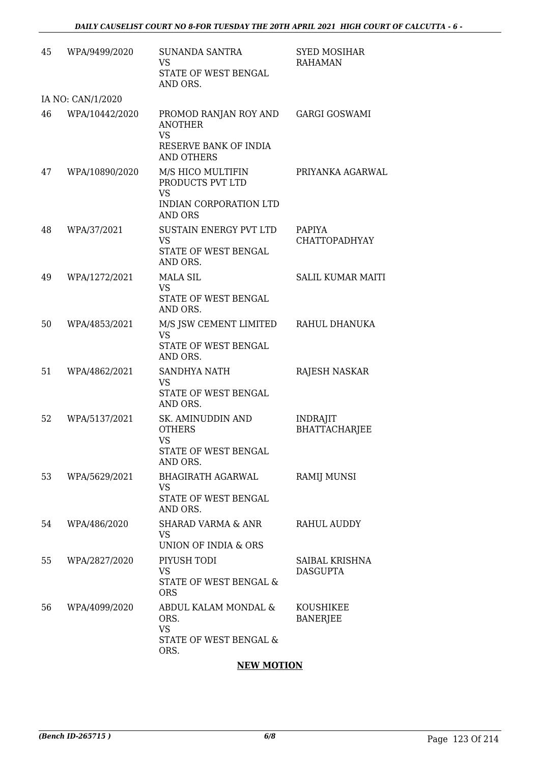| 45 | WPA/9499/2020     | SUNANDA SANTRA<br><b>VS</b><br>STATE OF WEST BENGAL<br>AND ORS.                                    | <b>SYED MOSIHAR</b><br><b>RAHAMAN</b>   |
|----|-------------------|----------------------------------------------------------------------------------------------------|-----------------------------------------|
|    | IA NO: CAN/1/2020 |                                                                                                    |                                         |
| 46 | WPA/10442/2020    | PROMOD RANJAN ROY AND<br><b>ANOTHER</b><br><b>VS</b><br>RESERVE BANK OF INDIA<br><b>AND OTHERS</b> | <b>GARGI GOSWAMI</b>                    |
| 47 | WPA/10890/2020    | M/S HICO MULTIFIN<br>PRODUCTS PVT LTD<br><b>VS</b><br>INDIAN CORPORATION LTD<br><b>AND ORS</b>     | PRIYANKA AGARWAL                        |
| 48 | WPA/37/2021       | <b>SUSTAIN ENERGY PVT LTD</b><br><b>VS</b><br>STATE OF WEST BENGAL<br>AND ORS.                     | <b>PAPIYA</b><br><b>CHATTOPADHYAY</b>   |
| 49 | WPA/1272/2021     | <b>MALA SIL</b><br><b>VS</b><br>STATE OF WEST BENGAL<br>AND ORS.                                   | <b>SALIL KUMAR MAITI</b>                |
| 50 | WPA/4853/2021     | M/S JSW CEMENT LIMITED<br><b>VS</b><br>STATE OF WEST BENGAL<br>AND ORS.                            | RAHUL DHANUKA                           |
| 51 | WPA/4862/2021     | <b>SANDHYA NATH</b><br><b>VS</b><br>STATE OF WEST BENGAL<br>AND ORS.                               | RAJESH NASKAR                           |
| 52 | WPA/5137/2021     | SK. AMINUDDIN AND<br><b>OTHERS</b><br><b>VS</b><br>STATE OF WEST BENGAL<br>AND ORS.                | <b>INDRAJIT</b><br><b>BHATTACHARJEE</b> |
| 53 | WPA/5629/2021     | <b>BHAGIRATH AGARWAL</b><br><b>VS</b><br>STATE OF WEST BENGAL<br>AND ORS.                          | <b>RAMIJ MUNSI</b>                      |
| 54 | WPA/486/2020      | <b>SHARAD VARMA &amp; ANR</b><br><b>VS</b><br>UNION OF INDIA & ORS                                 | <b>RAHUL AUDDY</b>                      |
| 55 | WPA/2827/2020     | PIYUSH TODI<br><b>VS</b><br>STATE OF WEST BENGAL &<br><b>ORS</b>                                   | SAIBAL KRISHNA<br><b>DASGUPTA</b>       |
| 56 | WPA/4099/2020     | ABDUL KALAM MONDAL &<br>ORS.<br><b>VS</b><br>STATE OF WEST BENGAL &<br>ORS.                        | KOUSHIKEE<br><b>BANERJEE</b>            |

## **NEW MOTION**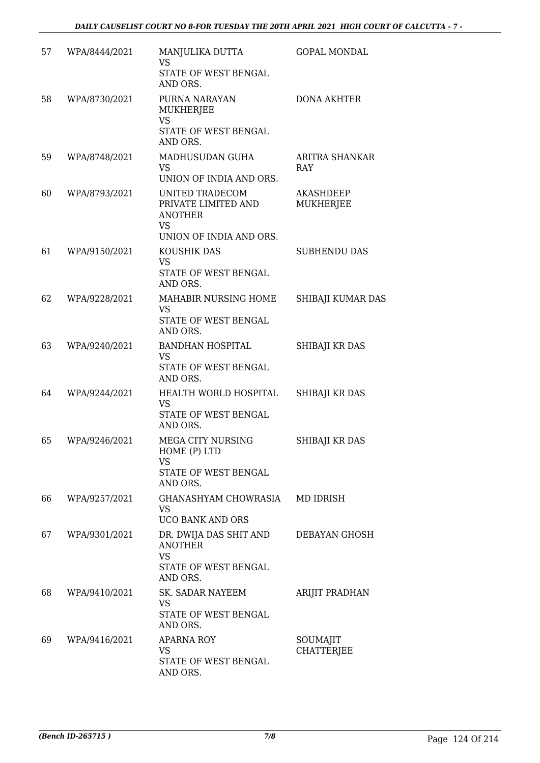| 57 | WPA/8444/2021 | MANJULIKA DUTTA<br><b>VS</b><br>STATE OF WEST BENGAL<br>AND ORS.                                 | <b>GOPAL MONDAL</b>                  |
|----|---------------|--------------------------------------------------------------------------------------------------|--------------------------------------|
| 58 | WPA/8730/2021 | PURNA NARAYAN<br>MUKHERJEE<br><b>VS</b><br>STATE OF WEST BENGAL<br>AND ORS.                      | <b>DONA AKHTER</b>                   |
| 59 | WPA/8748/2021 | MADHUSUDAN GUHA<br><b>VS</b><br>UNION OF INDIA AND ORS.                                          | ARITRA SHANKAR<br>RAY                |
| 60 | WPA/8793/2021 | UNITED TRADECOM<br>PRIVATE LIMITED AND<br><b>ANOTHER</b><br><b>VS</b><br>UNION OF INDIA AND ORS. | <b>AKASHDEEP</b><br><b>MUKHERJEE</b> |
| 61 | WPA/9150/2021 | KOUSHIK DAS<br><b>VS</b><br>STATE OF WEST BENGAL<br>AND ORS.                                     | <b>SUBHENDU DAS</b>                  |
| 62 | WPA/9228/2021 | MAHABIR NURSING HOME<br><b>VS</b><br>STATE OF WEST BENGAL<br>AND ORS.                            | SHIBAJI KUMAR DAS                    |
| 63 | WPA/9240/2021 | <b>BANDHAN HOSPITAL</b><br><b>VS</b><br>STATE OF WEST BENGAL<br>AND ORS.                         | SHIBAJI KR DAS                       |
| 64 | WPA/9244/2021 | HEALTH WORLD HOSPITAL<br><b>VS</b><br>STATE OF WEST BENGAL<br>AND ORS.                           | SHIBAJI KR DAS                       |
| 65 | WPA/9246/2021 | MEGA CITY NURSING<br>HOME (P) LTD<br>VS<br>STATE OF WEST BENGAL<br>AND ORS.                      | SHIBAJI KR DAS                       |
| 66 | WPA/9257/2021 | GHANASHYAM CHOWRASIA<br><b>VS</b><br><b>UCO BANK AND ORS</b>                                     | MD IDRISH                            |
| 67 | WPA/9301/2021 | DR. DWIJA DAS SHIT AND<br><b>ANOTHER</b><br><b>VS</b><br>STATE OF WEST BENGAL<br>AND ORS.        | <b>DEBAYAN GHOSH</b>                 |
| 68 | WPA/9410/2021 | SK. SADAR NAYEEM<br><b>VS</b><br>STATE OF WEST BENGAL<br>AND ORS.                                | ARIJIT PRADHAN                       |
| 69 | WPA/9416/2021 | APARNA ROY<br>VS<br>STATE OF WEST BENGAL<br>AND ORS.                                             | SOUMAJIT<br><b>CHATTERJEE</b>        |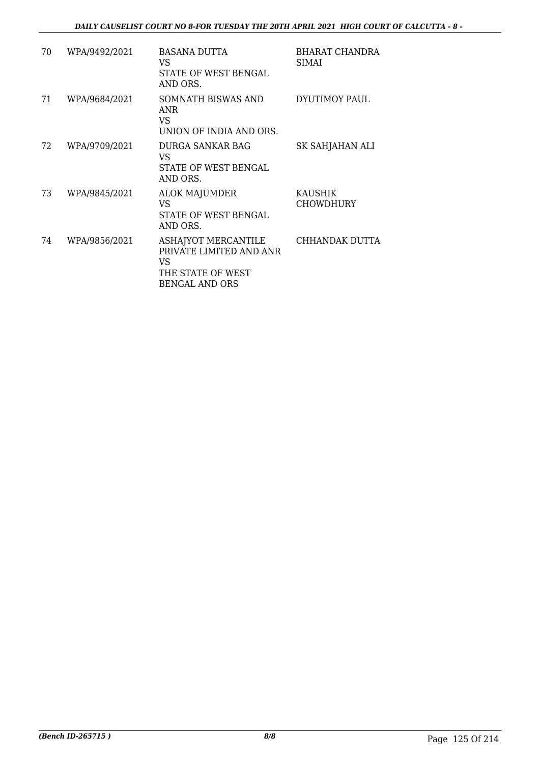| 70 | WPA/9492/2021 | <b>BASANA DUTTA</b><br>VS.<br>STATE OF WEST BENGAL<br>AND ORS.                                      | BHARAT CHANDRA<br><b>SIMAI</b> |
|----|---------------|-----------------------------------------------------------------------------------------------------|--------------------------------|
| 71 | WPA/9684/2021 | SOMNATH BISWAS AND<br>ANR<br>VS.<br>UNION OF INDIA AND ORS.                                         | DYUTIMOY PAUL                  |
| 72 | WPA/9709/2021 | DURGA SANKAR BAG<br>VS.<br><b>STATE OF WEST BENGAL</b><br>AND ORS.                                  | SK SAHJAHAN ALI                |
| 73 | WPA/9845/2021 | <b>ALOK MAJUMDER</b><br><b>VS</b><br><b>STATE OF WEST BENGAL</b><br>AND ORS.                        | KAUSHIK<br><b>CHOWDHURY</b>    |
| 74 | WPA/9856/2021 | ASHAJYOT MERCANTILE<br>PRIVATE LIMITED AND ANR<br>VS.<br>THE STATE OF WEST<br><b>BENGAL AND ORS</b> | CHHANDAK DUTTA                 |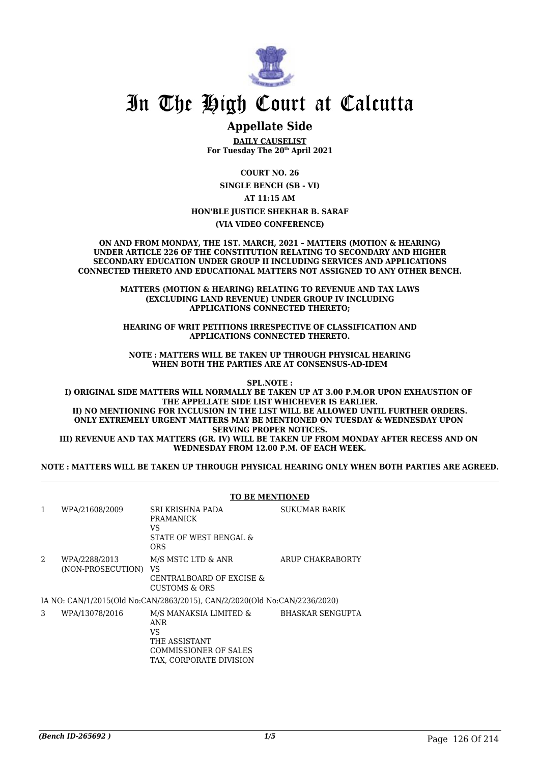

# In The High Court at Calcutta

## **Appellate Side**

**DAILY CAUSELIST For Tuesday The 20th April 2021**

**COURT NO. 26**

**SINGLE BENCH (SB - VI)**

**AT 11:15 AM**

**HON'BLE JUSTICE SHEKHAR B. SARAF**

**(VIA VIDEO CONFERENCE)**

**ON AND FROM MONDAY, THE 1ST. MARCH, 2021 – MATTERS (MOTION & HEARING) UNDER ARTICLE 226 OF THE CONSTITUTION RELATING TO SECONDARY AND HIGHER SECONDARY EDUCATION UNDER GROUP II INCLUDING SERVICES AND APPLICATIONS CONNECTED THERETO AND EDUCATIONAL MATTERS NOT ASSIGNED TO ANY OTHER BENCH.**

> **MATTERS (MOTION & HEARING) RELATING TO REVENUE AND TAX LAWS (EXCLUDING LAND REVENUE) UNDER GROUP IV INCLUDING APPLICATIONS CONNECTED THERETO;**

> **HEARING OF WRIT PETITIONS IRRESPECTIVE OF CLASSIFICATION AND APPLICATIONS CONNECTED THERETO.**

**NOTE : MATTERS WILL BE TAKEN UP THROUGH PHYSICAL HEARING WHEN BOTH THE PARTIES ARE AT CONSENSUS-AD-IDEM**

**SPL.NOTE :**

**I) ORIGINAL SIDE MATTERS WILL NORMALLY BE TAKEN UP AT 3.00 P.M.OR UPON EXHAUSTION OF THE APPELLATE SIDE LIST WHICHEVER IS EARLIER. II) NO MENTIONING FOR INCLUSION IN THE LIST WILL BE ALLOWED UNTIL FURTHER ORDERS. ONLY EXTREMELY URGENT MATTERS MAY BE MENTIONED ON TUESDAY & WEDNESDAY UPON SERVING PROPER NOTICES. III) REVENUE AND TAX MATTERS (GR. IV) WILL BE TAKEN UP FROM MONDAY AFTER RECESS AND ON WEDNESDAY FROM 12.00 P.M. OF EACH WEEK.**

**NOTE : MATTERS WILL BE TAKEN UP THROUGH PHYSICAL HEARING ONLY WHEN BOTH PARTIES ARE AGREED.**

|              |                                    | <b>TO BE MENTIONED</b>                                                                                          |                         |
|--------------|------------------------------------|-----------------------------------------------------------------------------------------------------------------|-------------------------|
| $\mathbf{1}$ | WPA/21608/2009                     | SRI KRISHNA PADA<br>PRAMANICK<br>VS<br>STATE OF WEST BENGAL &<br><b>ORS</b>                                     | <b>SUKUMAR BARIK</b>    |
| 2            | WPA/2288/2013<br>(NON-PROSECUTION) | M/S MSTC LTD & ANR<br>VS<br>CENTRALBOARD OF EXCISE &<br>CUSTOMS & ORS                                           | ARUP CHAKRABORTY        |
|              |                                    | IA NO: CAN/1/2015(Old No:CAN/2863/2015), CAN/2/2020(Old No:CAN/2236/2020)                                       |                         |
| 3            | WPA/13078/2016                     | M/S MANAKSIA LIMITED &<br>ANR<br><b>VS</b><br>THE ASSISTANT<br>COMMISSIONER OF SALES<br>TAX, CORPORATE DIVISION | <b>BHASKAR SENGUPTA</b> |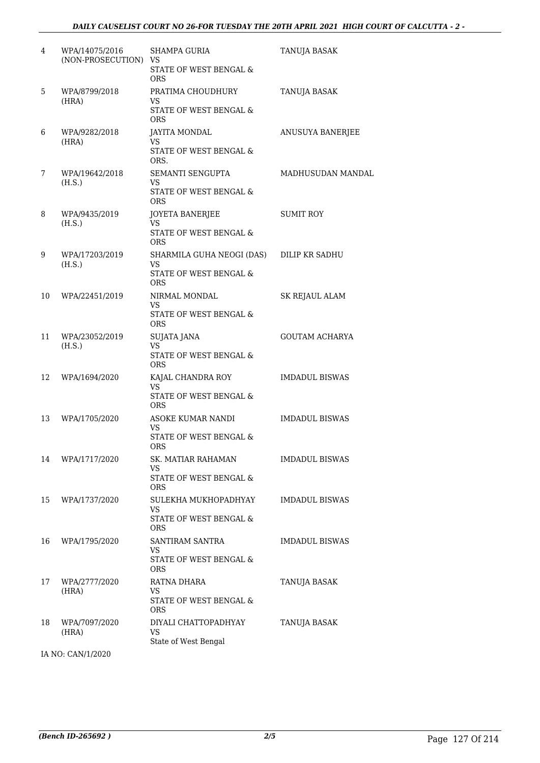| 4  | WPA/14075/2016<br>(NON-PROSECUTION) VS | <b>SHAMPA GURIA</b><br>STATE OF WEST BENGAL &<br><b>ORS</b>                        | TANUJA BASAK          |
|----|----------------------------------------|------------------------------------------------------------------------------------|-----------------------|
| 5  | WPA/8799/2018<br>(HRA)                 | PRATIMA CHOUDHURY<br>VS<br>STATE OF WEST BENGAL &<br><b>ORS</b>                    | TANUJA BASAK          |
| 6  | WPA/9282/2018<br>(HRA)                 | <b>JAYITA MONDAL</b><br>VS<br>STATE OF WEST BENGAL &<br>ORS.                       | ANUSUYA BANERJEE      |
| 7  | WPA/19642/2018<br>(H.S.)               | SEMANTI SENGUPTA<br>VS<br>STATE OF WEST BENGAL &<br><b>ORS</b>                     | MADHUSUDAN MANDAL     |
| 8  | WPA/9435/2019<br>(H.S.)                | JOYETA BANERJEE<br>VS<br>STATE OF WEST BENGAL &<br><b>ORS</b>                      | <b>SUMIT ROY</b>      |
| 9  | WPA/17203/2019<br>(H.S.)               | SHARMILA GUHA NEOGI (DAS)<br>VS<br><b>STATE OF WEST BENGAL &amp;</b><br><b>ORS</b> | DILIP KR SADHU        |
| 10 | WPA/22451/2019                         | NIRMAL MONDAL<br>VS.<br>STATE OF WEST BENGAL &<br><b>ORS</b>                       | <b>SK REJAUL ALAM</b> |
| 11 | WPA/23052/2019<br>(H.S.)               | SUJATA JANA<br>VS<br>STATE OF WEST BENGAL &<br><b>ORS</b>                          | <b>GOUTAM ACHARYA</b> |
| 12 | WPA/1694/2020                          | KAJAL CHANDRA ROY<br>VS<br>STATE OF WEST BENGAL &<br><b>ORS</b>                    | <b>IMDADUL BISWAS</b> |
| 13 | WPA/1705/2020                          | ASOKE KUMAR NANDI<br>VS.<br>STATE OF WEST BENGAL &<br>ORS                          | <b>IMDADUL BISWAS</b> |
| 14 | WPA/1717/2020                          | SK. MATIAR RAHAMAN<br>VS<br>STATE OF WEST BENGAL &<br><b>ORS</b>                   | <b>IMDADUL BISWAS</b> |
| 15 | WPA/1737/2020                          | SULEKHA MUKHOPADHYAY<br><b>VS</b><br>STATE OF WEST BENGAL &<br><b>ORS</b>          | <b>IMDADUL BISWAS</b> |
| 16 | WPA/1795/2020                          | SANTIRAM SANTRA<br>VS<br>STATE OF WEST BENGAL &<br><b>ORS</b>                      | <b>IMDADUL BISWAS</b> |
| 17 | WPA/2777/2020<br>(HRA)                 | RATNA DHARA<br>VS<br>STATE OF WEST BENGAL &<br>ORS.                                | TANUJA BASAK          |
| 18 | WPA/7097/2020<br>(HRA)                 | DIYALI CHATTOPADHYAY<br><b>VS</b><br>State of West Bengal                          | TANUJA BASAK          |

IA NO: CAN/1/2020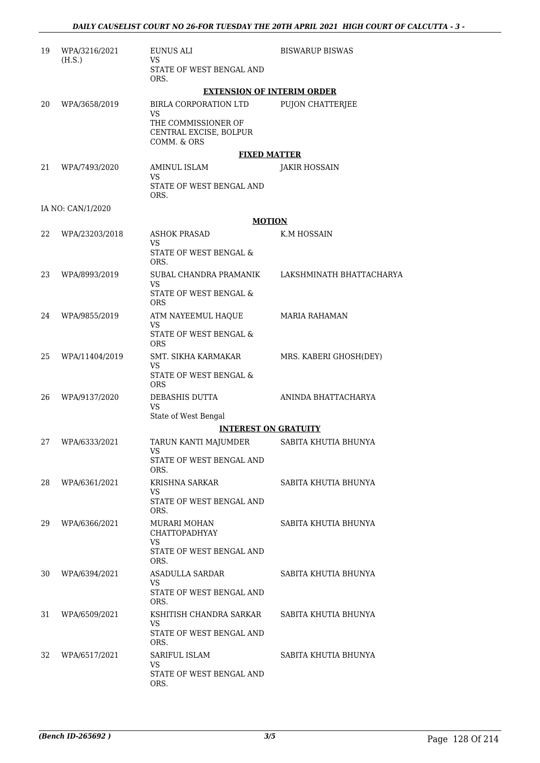| 19 | WPA/3216/2021<br>(H.S.) | EUNUS ALI<br>VS                                              | <b>BISWARUP BISWAS</b>   |
|----|-------------------------|--------------------------------------------------------------|--------------------------|
|    |                         | STATE OF WEST BENGAL AND<br>ORS.                             |                          |
|    |                         | <b>EXTENSION OF INTERIM ORDER</b>                            |                          |
| 20 | WPA/3658/2019           | BIRLA CORPORATION LTD<br>VS                                  | PUJON CHATTERJEE         |
|    |                         | THE COMMISSIONER OF<br>CENTRAL EXCISE, BOLPUR<br>COMM. & ORS |                          |
|    |                         | <b>FIXED MATTER</b>                                          |                          |
| 21 | WPA/7493/2020           | AMINUL ISLAM                                                 | <b>JAKIR HOSSAIN</b>     |
|    |                         | VS<br>STATE OF WEST BENGAL AND<br>ORS.                       |                          |
|    | IA NO: CAN/1/2020       |                                                              |                          |
|    |                         | <b>MOTION</b>                                                |                          |
| 22 | WPA/23203/2018          | <b>ASHOK PRASAD</b><br>VS                                    | K.M HOSSAIN              |
|    |                         | <b>STATE OF WEST BENGAL &amp;</b><br>ORS.                    |                          |
| 23 | WPA/8993/2019           | SUBAL CHANDRA PRAMANIK                                       | LAKSHMINATH BHATTACHARYA |
|    |                         | VS<br>STATE OF WEST BENGAL &<br><b>ORS</b>                   |                          |
| 24 | WPA/9855/2019           | ATM NAYEEMUL HAQUE<br>VS                                     | <b>MARIA RAHAMAN</b>     |
|    |                         | STATE OF WEST BENGAL &<br><b>ORS</b>                         |                          |
| 25 | WPA/11404/2019          | SMT. SIKHA KARMAKAR                                          | MRS. KABERI GHOSH(DEY)   |
|    |                         | VS<br>STATE OF WEST BENGAL &<br><b>ORS</b>                   |                          |
| 26 | WPA/9137/2020           | DEBASHIS DUTTA<br>VS                                         | ANINDA BHATTACHARYA      |
|    |                         | State of West Bengal                                         |                          |
|    |                         | <b>INTEREST ON GRATUITY</b>                                  |                          |
| 27 | WPA/6333/2021           | TARUN KANTI MAJUMDER                                         | SABITA KHUTIA BHUNYA     |
|    |                         | STATE OF WEST BENGAL AND<br>ORS.                             |                          |
| 28 | WPA/6361/2021           | KRISHNA SARKAR<br>VS                                         | SABITA KHUTIA BHUNYA     |
|    |                         | STATE OF WEST BENGAL AND<br>ORS.                             |                          |
| 29 | WPA/6366/2021           | MURARI MOHAN<br>CHATTOPADHYAY                                | SABITA KHUTIA BHUNYA     |
|    |                         | VS.<br>STATE OF WEST BENGAL AND<br>ORS.                      |                          |
| 30 | WPA/6394/2021           | ASADULLA SARDAR                                              | SABITA KHUTIA BHUNYA     |
|    |                         | VS<br>STATE OF WEST BENGAL AND<br>ORS.                       |                          |
| 31 | WPA/6509/2021           | KSHITISH CHANDRA SARKAR                                      | SABITA KHUTIA BHUNYA     |
|    |                         | VS<br>STATE OF WEST BENGAL AND<br>ORS.                       |                          |
| 32 | WPA/6517/2021           | SARIFUL ISLAM                                                | SABITA KHUTIA BHUNYA     |
|    |                         | VS<br>STATE OF WEST BENGAL AND<br>ORS.                       |                          |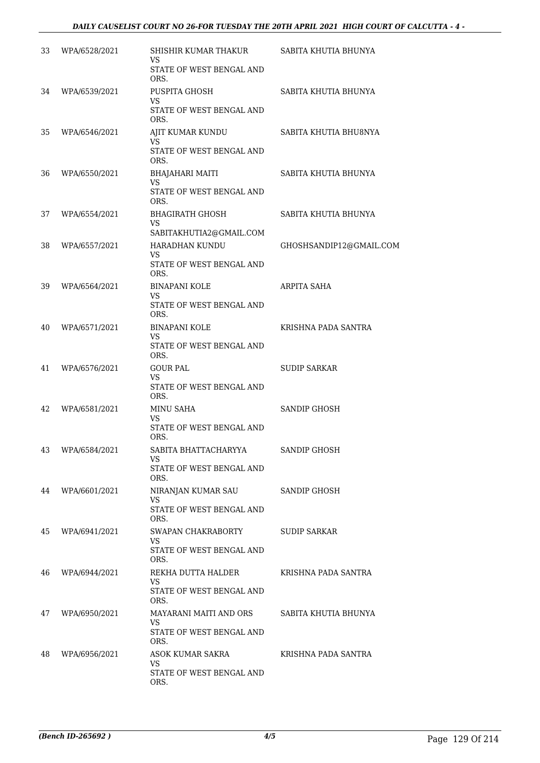| 33 | WPA/6528/2021 | SHISHIR KUMAR THAKUR<br>VS<br>STATE OF WEST BENGAL AND            | SABITA KHUTIA BHUNYA    |
|----|---------------|-------------------------------------------------------------------|-------------------------|
|    |               | ORS.                                                              |                         |
| 34 | WPA/6539/2021 | PUSPITA GHOSH<br><b>VS</b><br>STATE OF WEST BENGAL AND            | SABITA KHUTIA BHUNYA    |
|    |               | ORS.                                                              |                         |
| 35 | WPA/6546/2021 | AJIT KUMAR KUNDU<br>VS.<br>STATE OF WEST BENGAL AND               | SABITA KHUTIA BHU8NYA   |
|    |               | ORS.                                                              |                         |
| 36 | WPA/6550/2021 | <b>BHAJAHARI MAITI</b><br>VS.<br>STATE OF WEST BENGAL AND<br>ORS. | SABITA KHUTIA BHUNYA    |
| 37 | WPA/6554/2021 | <b>BHAGIRATH GHOSH</b><br><b>VS</b>                               | SABITA KHUTIA BHUNYA    |
|    |               | SABITAKHUTIA2@GMAIL.COM                                           |                         |
| 38 | WPA/6557/2021 | HARADHAN KUNDU<br>VS                                              | GHOSHSANDIP12@GMAIL.COM |
|    |               | STATE OF WEST BENGAL AND<br>ORS.                                  |                         |
| 39 | WPA/6564/2021 | <b>BINAPANI KOLE</b><br>VS.                                       | ARPITA SAHA             |
|    |               | STATE OF WEST BENGAL AND<br>ORS.                                  |                         |
| 40 | WPA/6571/2021 | <b>BINAPANI KOLE</b><br>VS                                        | KRISHNA PADA SANTRA     |
|    |               | STATE OF WEST BENGAL AND<br>ORS.                                  |                         |
| 41 | WPA/6576/2021 | <b>GOUR PAL</b>                                                   | <b>SUDIP SARKAR</b>     |
|    |               | VS.<br>STATE OF WEST BENGAL AND<br>ORS.                           |                         |
| 42 | WPA/6581/2021 | <b>MINU SAHA</b>                                                  | SANDIP GHOSH            |
|    |               | VS<br>STATE OF WEST BENGAL AND<br>ORS.                            |                         |
| 43 | WPA/6584/2021 | SABITA BHATTACHARYYA                                              | SANDIP GHOSH            |
|    |               | VS<br>STATE OF WEST BENGAL AND<br>ORS.                            |                         |
| 44 | WPA/6601/2021 | NIRANJAN KUMAR SAU                                                | SANDIP GHOSH            |
|    |               | <b>VS</b><br>STATE OF WEST BENGAL AND<br>ORS.                     |                         |
| 45 | WPA/6941/2021 | SWAPAN CHAKRABORTY                                                | <b>SUDIP SARKAR</b>     |
|    |               | VS<br>STATE OF WEST BENGAL AND<br>ORS.                            |                         |
| 46 | WPA/6944/2021 | REKHA DUTTA HALDER                                                | KRISHNA PADA SANTRA     |
|    |               | VS<br>STATE OF WEST BENGAL AND<br>ORS.                            |                         |
| 47 | WPA/6950/2021 | MAYARANI MAITI AND ORS                                            | SABITA KHUTIA BHUNYA    |
|    |               | VS.<br>STATE OF WEST BENGAL AND<br>ORS.                           |                         |
| 48 | WPA/6956/2021 | ASOK KUMAR SAKRA                                                  | KRISHNA PADA SANTRA     |
|    |               | VS.<br>STATE OF WEST BENGAL AND<br>ORS.                           |                         |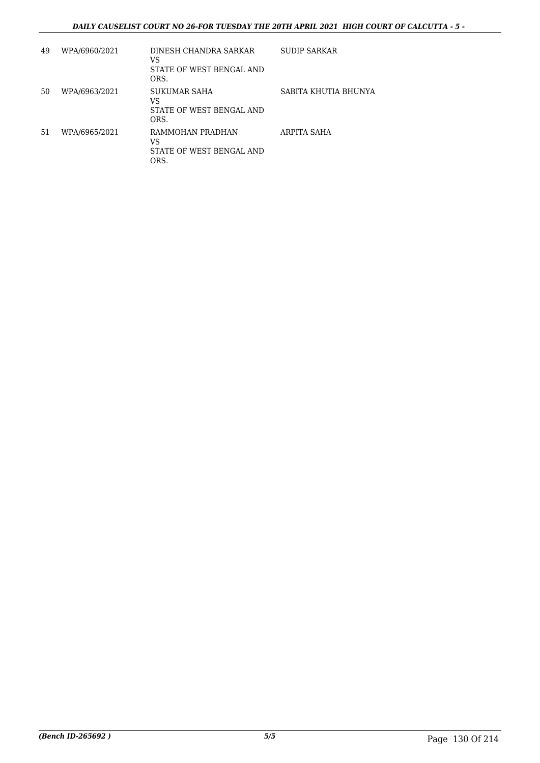## *DAILY CAUSELIST COURT NO 26-FOR TUESDAY THE 20TH APRIL 2021 HIGH COURT OF CALCUTTA - 5 -*

| 49 | WPA/6960/2021 | DINESH CHANDRA SARKAR<br>VS<br>STATE OF WEST BENGAL AND<br>ORS. | <b>SUDIP SARKAR</b>  |
|----|---------------|-----------------------------------------------------------------|----------------------|
| 50 | WPA/6963/2021 | SUKUMAR SAHA<br>VS<br>STATE OF WEST BENGAL AND<br>ORS.          | SABITA KHUTIA BHUNYA |
| 51 | WPA/6965/2021 | RAMMOHAN PRADHAN<br>VS<br>STATE OF WEST BENGAL AND<br>ORS.      | ARPITA SAHA          |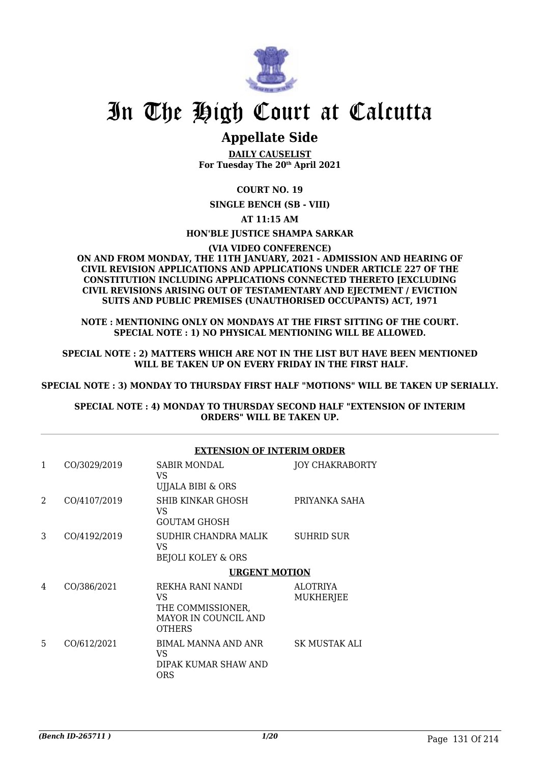

# In The High Court at Calcutta

## **Appellate Side**

**DAILY CAUSELIST For Tuesday The 20th April 2021**

## **COURT NO. 19**

**SINGLE BENCH (SB - VIII)**

**AT 11:15 AM**

## **HON'BLE JUSTICE SHAMPA SARKAR**

**(VIA VIDEO CONFERENCE)**

#### **ON AND FROM MONDAY, THE 11TH JANUARY, 2021 - ADMISSION AND HEARING OF CIVIL REVISION APPLICATIONS AND APPLICATIONS UNDER ARTICLE 227 OF THE CONSTITUTION INCLUDING APPLICATIONS CONNECTED THERETO [EXCLUDING CIVIL REVISIONS ARISING OUT OF TESTAMENTARY AND EJECTMENT / EVICTION SUITS AND PUBLIC PREMISES (UNAUTHORISED OCCUPANTS) ACT, 1971**

**NOTE : MENTIONING ONLY ON MONDAYS AT THE FIRST SITTING OF THE COURT. SPECIAL NOTE : 1) NO PHYSICAL MENTIONING WILL BE ALLOWED.**

**SPECIAL NOTE : 2) MATTERS WHICH ARE NOT IN THE LIST BUT HAVE BEEN MENTIONED WILL BE TAKEN UP ON EVERY FRIDAY IN THE FIRST HALF.**

**SPECIAL NOTE : 3) MONDAY TO THURSDAY FIRST HALF "MOTIONS" WILL BE TAKEN UP SERIALLY.**

**SPECIAL NOTE : 4) MONDAY TO THURSDAY SECOND HALF "EXTENSION OF INTERIM ORDERS" WILL BE TAKEN UP.**

### **EXTENSION OF INTERIM ORDER**

| 1 | CO/3029/2019 | <b>SABIR MONDAL</b><br>VS.<br>UJJALA BIBI & ORS                                       | <b>JOY CHAKRABORTY</b> |
|---|--------------|---------------------------------------------------------------------------------------|------------------------|
| 2 | CO/4107/2019 | SHIB KINKAR GHOSH<br>VS.<br>GOUTAM GHOSH                                              | PRIYANKA SAHA          |
| 3 | CO/4192/2019 | SUDHIR CHANDRA MALIK<br>VS.<br><b>BEJOLI KOLEY &amp; ORS</b>                          | <b>SUHRID SUR</b>      |
|   |              | <b>URGENT MOTION</b>                                                                  |                        |
| 4 | CO/386/2021  | REKHA RANI NANDI<br>VS.<br>THE COMMISSIONER,<br>MAYOR IN COUNCIL AND<br><b>OTHERS</b> | ALOTRIYA<br>MUKHERJEE  |
| 5 | CO/612/2021  | BIMAL MANNA AND ANR<br>VS.<br>DIPAK KUMAR SHAW AND<br><b>ORS</b>                      | SK MUSTAK ALI          |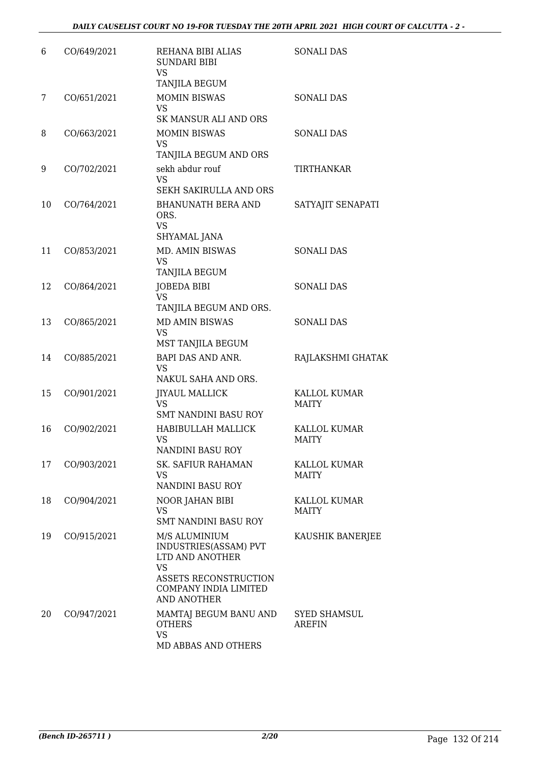| 6  | CO/649/2021 | REHANA BIBI ALIAS<br><b>SUNDARI BIBI</b><br><b>VS</b><br>TANJILA BEGUM                                                                         | <b>SONALI DAS</b>            |
|----|-------------|------------------------------------------------------------------------------------------------------------------------------------------------|------------------------------|
| 7  | CO/651/2021 | <b>MOMIN BISWAS</b><br><b>VS</b><br>SK MANSUR ALI AND ORS                                                                                      | <b>SONALI DAS</b>            |
| 8  | CO/663/2021 | <b>MOMIN BISWAS</b><br><b>VS</b><br>TANJILA BEGUM AND ORS                                                                                      | <b>SONALI DAS</b>            |
| 9  | CO/702/2021 | sekh abdur rouf<br><b>VS</b><br>SEKH SAKIRULLA AND ORS                                                                                         | TIRTHANKAR                   |
| 10 | CO/764/2021 | <b>BHANUNATH BERA AND</b><br>ORS.<br><b>VS</b><br>SHYAMAL JANA                                                                                 | SATYAJIT SENAPATI            |
| 11 | CO/853/2021 | MD. AMIN BISWAS<br>VS<br>TANJILA BEGUM                                                                                                         | <b>SONALI DAS</b>            |
| 12 | CO/864/2021 | <b>JOBEDA BIBI</b><br><b>VS</b><br>TANJILA BEGUM AND ORS.                                                                                      | <b>SONALI DAS</b>            |
| 13 | CO/865/2021 | <b>MD AMIN BISWAS</b><br><b>VS</b><br>MST TANJILA BEGUM                                                                                        | <b>SONALI DAS</b>            |
| 14 | CO/885/2021 | BAPI DAS AND ANR.<br><b>VS</b><br>NAKUL SAHA AND ORS.                                                                                          | RAJLAKSHMI GHATAK            |
| 15 | CO/901/2021 | <b>JIYAUL MALLICK</b><br><b>VS</b><br>SMT NANDINI BASU ROY                                                                                     | KALLOL KUMAR<br><b>MAITY</b> |
| 16 | CO/902/2021 | HABIBULLAH MALLICK<br>VS<br><b>NANDINI BASU ROY</b>                                                                                            | KALLOL KUMAR<br><b>MAITY</b> |
| 17 | CO/903/2021 | <b>SK. SAFIUR RAHAMAN</b><br>VS.<br>NANDINI BASU ROY                                                                                           | KALLOL KUMAR<br><b>MAITY</b> |
| 18 | CO/904/2021 | NOOR JAHAN BIBI<br><b>VS</b><br><b>SMT NANDINI BASU ROY</b>                                                                                    | KALLOL KUMAR<br>MAITY        |
| 19 | CO/915/2021 | M/S ALUMINIUM<br>INDUSTRIES(ASSAM) PVT<br>LTD AND ANOTHER<br><b>VS</b><br>ASSETS RECONSTRUCTION<br>COMPANY INDIA LIMITED<br><b>AND ANOTHER</b> | KAUSHIK BANERJEE             |
| 20 | CO/947/2021 | MAMTAJ BEGUM BANU AND<br><b>OTHERS</b><br><b>VS</b><br>MD ABBAS AND OTHERS                                                                     | SYED SHAMSUL<br>AREFIN       |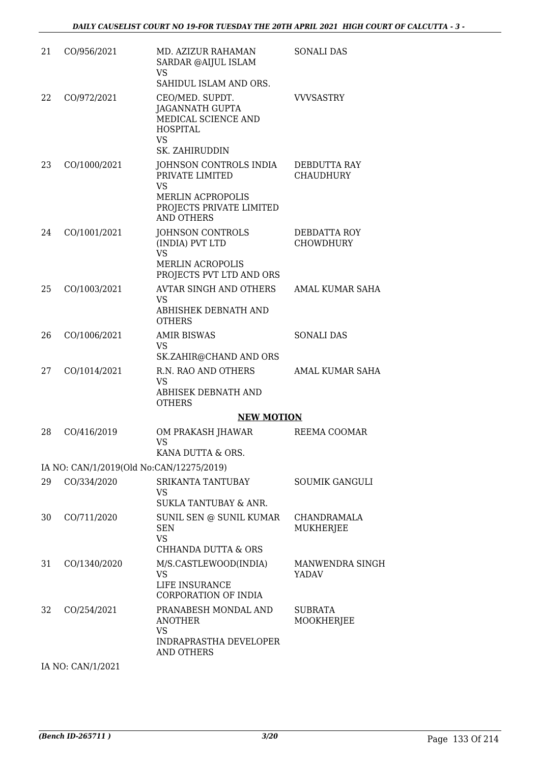| 21 | CO/956/2021                              | MD. AZIZUR RAHAMAN<br>SARDAR @AIJUL ISLAM<br>VS<br>SAHIDUL ISLAM AND ORS.                                                    | <b>SONALI DAS</b>                |
|----|------------------------------------------|------------------------------------------------------------------------------------------------------------------------------|----------------------------------|
| 22 | CO/972/2021                              | CEO/MED. SUPDT.<br><b>JAGANNATH GUPTA</b><br>MEDICAL SCIENCE AND<br><b>HOSPITAL</b><br><b>VS</b><br><b>SK. ZAHIRUDDIN</b>    | <b>VVVSASTRY</b>                 |
| 23 | CO/1000/2021                             | JOHNSON CONTROLS INDIA<br>PRIVATE LIMITED<br><b>VS</b><br>MERLIN ACPROPOLIS<br>PROJECTS PRIVATE LIMITED<br><b>AND OTHERS</b> | DEBDUTTA RAY<br><b>CHAUDHURY</b> |
| 24 | CO/1001/2021                             | JOHNSON CONTROLS<br>(INDIA) PVT LTD<br><b>VS</b><br>MERLIN ACROPOLIS<br>PROJECTS PVT LTD AND ORS                             | DEBDATTA ROY<br><b>CHOWDHURY</b> |
| 25 | CO/1003/2021                             | <b>AVTAR SINGH AND OTHERS</b><br>VS<br>ABHISHEK DEBNATH AND<br><b>OTHERS</b>                                                 | <b>AMAL KUMAR SAHA</b>           |
| 26 | CO/1006/2021                             | <b>AMIR BISWAS</b><br>VS<br>SK.ZAHIR@CHAND AND ORS                                                                           | <b>SONALI DAS</b>                |
| 27 | CO/1014/2021                             | R.N. RAO AND OTHERS<br><b>VS</b><br>ABHISEK DEBNATH AND<br><b>OTHERS</b><br><b>NEW MOTION</b>                                | <b>AMAL KUMAR SAHA</b>           |
| 28 | CO/416/2019                              | OM PRAKASH JHAWAR<br><b>VS</b><br>KANA DUTTA & ORS.                                                                          | REEMA COOMAR                     |
|    | IA NO: CAN/1/2019(Old No:CAN/12275/2019) |                                                                                                                              |                                  |
| 29 | CO/334/2020                              | SRIKANTA TANTUBAY<br>VS<br>SUKLA TANTUBAY & ANR.                                                                             | <b>SOUMIK GANGULI</b>            |
| 30 | CO/711/2020                              | SUNIL SEN @ SUNIL KUMAR<br><b>SEN</b><br><b>VS</b><br><b>CHHANDA DUTTA &amp; ORS</b>                                         | CHANDRAMALA<br>MUKHERJEE         |
| 31 | CO/1340/2020                             | M/S.CASTLEWOOD(INDIA)<br><b>VS</b><br>LIFE INSURANCE<br>CORPORATION OF INDIA                                                 | MANWENDRA SINGH<br>YADAV         |
| 32 | CO/254/2021                              | PRANABESH MONDAL AND<br>ANOTHER<br><b>VS</b><br>INDRAPRASTHA DEVELOPER<br><b>AND OTHERS</b>                                  | <b>SUBRATA</b><br>MOOKHERJEE     |
|    | IA NO: CAN/1/2021                        |                                                                                                                              |                                  |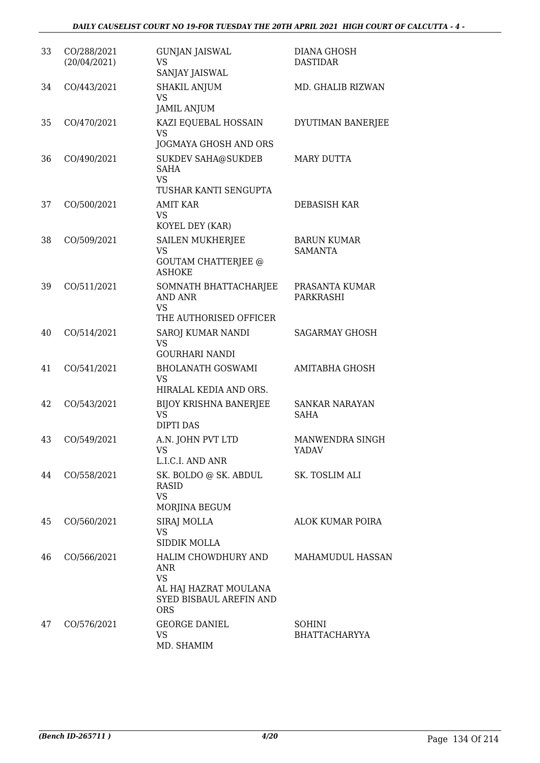| 33 | CO/288/2021<br>(20/04/2021) | <b>GUNJAN JAISWAL</b><br>VS<br>SANJAY JAISWAL                                                             | <b>DIANA GHOSH</b><br><b>DASTIDAR</b> |
|----|-----------------------------|-----------------------------------------------------------------------------------------------------------|---------------------------------------|
| 34 | CO/443/2021                 | <b>SHAKIL ANJUM</b><br><b>VS</b><br><b>JAMIL ANJUM</b>                                                    | MD. GHALIB RIZWAN                     |
| 35 | CO/470/2021                 | KAZI EQUEBAL HOSSAIN<br><b>VS</b><br>JOGMAYA GHOSH AND ORS                                                | DYUTIMAN BANERJEE                     |
| 36 | CO/490/2021                 | <b>SUKDEV SAHA@SUKDEB</b><br>SAHA<br><b>VS</b><br>TUSHAR KANTI SENGUPTA                                   | <b>MARY DUTTA</b>                     |
| 37 | CO/500/2021                 | AMIT KAR<br>VS<br>KOYEL DEY (KAR)                                                                         | DEBASISH KAR                          |
| 38 | CO/509/2021                 | SAILEN MUKHERJEE<br>VS<br><b>GOUTAM CHATTERJEE @</b><br><b>ASHOKE</b>                                     | <b>BARUN KUMAR</b><br><b>SAMANTA</b>  |
| 39 | CO/511/2021                 | SOMNATH BHATTACHARJEE<br>AND ANR<br><b>VS</b><br>THE AUTHORISED OFFICER                                   | PRASANTA KUMAR<br>PARKRASHI           |
| 40 | CO/514/2021                 | SAROJ KUMAR NANDI<br><b>VS</b><br><b>GOURHARI NANDI</b>                                                   | <b>SAGARMAY GHOSH</b>                 |
| 41 | CO/541/2021                 | <b>BHOLANATH GOSWAMI</b><br>VS<br>HIRALAL KEDIA AND ORS.                                                  | AMITABHA GHOSH                        |
| 42 | CO/543/2021                 | <b>BIJOY KRISHNA BANERJEE</b><br><b>VS</b><br><b>DIPTI DAS</b>                                            | <b>SANKAR NARAYAN</b><br><b>SAHA</b>  |
| 43 | CO/549/2021                 | A.N. JOHN PVT LTD<br><b>VS</b><br>L.I.C.I. AND ANR                                                        | MANWENDRA SINGH<br>YADAV              |
| 44 | CO/558/2021                 | SK. BOLDO @ SK. ABDUL<br>RASID<br><b>VS</b><br>MORJINA BEGUM                                              | SK. TOSLIM ALI                        |
| 45 | CO/560/2021                 | SIRAJ MOLLA<br>VS<br>SIDDIK MOLLA                                                                         | ALOK KUMAR POIRA                      |
| 46 | CO/566/2021                 | HALIM CHOWDHURY AND<br>ANR<br><b>VS</b><br>AL HAJ HAZRAT MOULANA<br>SYED BISBAUL AREFIN AND<br><b>ORS</b> | MAHAMUDUL HASSAN                      |
| 47 | CO/576/2021                 | <b>GEORGE DANIEL</b><br>VS<br>MD. SHAMIM                                                                  | SOHINI<br><b>BHATTACHARYYA</b>        |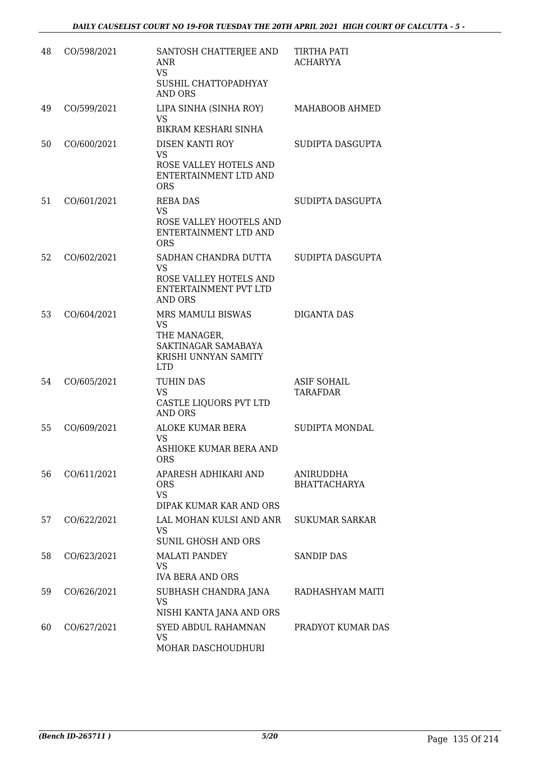| 48 | CO/598/2021 | SANTOSH CHATTERJEE AND<br><b>ANR</b><br><b>VS</b><br>SUSHIL CHATTOPADHYAY<br><b>AND ORS</b>                   | <b>TIRTHA PATI</b><br><b>ACHARYYA</b>   |
|----|-------------|---------------------------------------------------------------------------------------------------------------|-----------------------------------------|
| 49 | CO/599/2021 | LIPA SINHA (SINHA ROY)<br>VS.<br>BIKRAM KESHARI SINHA                                                         | MAHABOOB AHMED                          |
| 50 | CO/600/2021 | DISEN KANTI ROY<br><b>VS</b><br>ROSE VALLEY HOTELS AND<br>ENTERTAINMENT LTD AND<br><b>ORS</b>                 | SUDIPTA DASGUPTA                        |
| 51 | CO/601/2021 | <b>REBA DAS</b><br><b>VS</b><br>ROSE VALLEY HOOTELS AND<br>ENTERTAINMENT LTD AND<br><b>ORS</b>                | SUDIPTA DASGUPTA                        |
| 52 | CO/602/2021 | SADHAN CHANDRA DUTTA<br><b>VS</b><br>ROSE VALLEY HOTELS AND<br><b>ENTERTAINMENT PVT LTD</b><br><b>AND ORS</b> | SUDIPTA DASGUPTA                        |
| 53 | CO/604/2021 | MRS MAMULI BISWAS<br><b>VS</b><br>THE MANAGER,<br>SAKTINAGAR SAMABAYA<br>KRISHI UNNYAN SAMITY<br><b>LTD</b>   | DIGANTA DAS                             |
| 54 | CO/605/2021 | TUHIN DAS<br><b>VS</b><br>CASTLE LIQUORS PVT LTD<br><b>AND ORS</b>                                            | <b>ASIF SOHAIL</b><br>TARAFDAR          |
| 55 | CO/609/2021 | ALOKE KUMAR BERA<br><b>VS</b><br>ASHIOKE KUMAR BERA AND<br><b>ORS</b>                                         | <b>SUDIPTA MONDAL</b>                   |
| 56 | CO/611/2021 | APARESH ADHIKARI AND<br><b>ORS</b><br><b>VS</b><br>DIPAK KUMAR KAR AND ORS                                    | <b>ANIRUDDHA</b><br><b>BHATTACHARYA</b> |
| 57 | CO/622/2021 | LAL MOHAN KULSI AND ANR<br><b>VS</b><br><b>SUNIL GHOSH AND ORS</b>                                            | <b>SUKUMAR SARKAR</b>                   |
| 58 | CO/623/2021 | <b>MALATI PANDEY</b><br>VS<br><b>IVA BERA AND ORS</b>                                                         | <b>SANDIP DAS</b>                       |
| 59 | CO/626/2021 | SUBHASH CHANDRA JANA<br>VS<br>NISHI KANTA JANA AND ORS                                                        | RADHASHYAM MAITI                        |
| 60 | CO/627/2021 | SYED ABDUL RAHAMNAN<br>VS<br>MOHAR DASCHOUDHURI                                                               | PRADYOT KUMAR DAS                       |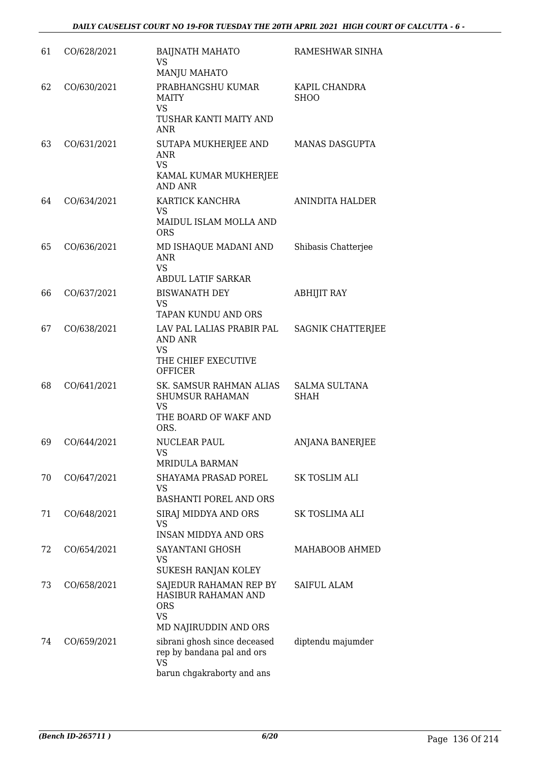| 61 | CO/628/2021 | <b>BAIJNATH MAHATO</b><br><b>VS</b><br>MANJU MAHATO                                                   | RAMESHWAR SINHA                     |
|----|-------------|-------------------------------------------------------------------------------------------------------|-------------------------------------|
| 62 | CO/630/2021 | PRABHANGSHU KUMAR<br><b>MAITY</b><br><b>VS</b>                                                        | KAPIL CHANDRA<br><b>SHOO</b>        |
|    |             | TUSHAR KANTI MAITY AND<br><b>ANR</b>                                                                  |                                     |
| 63 | CO/631/2021 | SUTAPA MUKHERJEE AND<br><b>ANR</b><br><b>VS</b><br>KAMAL KUMAR MUKHERJEE<br><b>AND ANR</b>            | <b>MANAS DASGUPTA</b>               |
| 64 | CO/634/2021 | KARTICK KANCHRA<br>VS<br>MAIDUL ISLAM MOLLA AND                                                       | ANINDITA HALDER                     |
| 65 | CO/636/2021 | <b>ORS</b><br>MD ISHAQUE MADANI AND<br><b>ANR</b><br><b>VS</b>                                        | Shibasis Chatterjee                 |
|    |             | <b>ABDUL LATIF SARKAR</b>                                                                             |                                     |
| 66 | CO/637/2021 | <b>BISWANATH DEY</b><br><b>VS</b><br>TAPAN KUNDU AND ORS                                              | <b>ABHIJIT RAY</b>                  |
| 67 | CO/638/2021 | LAV PAL LALIAS PRABIR PAL<br>AND ANR<br><b>VS</b><br>THE CHIEF EXECUTIVE<br><b>OFFICER</b>            | <b>SAGNIK CHATTERJEE</b>            |
| 68 | CO/641/2021 | SK. SAMSUR RAHMAN ALIAS<br><b>SHUMSUR RAHAMAN</b><br><b>VS</b><br>THE BOARD OF WAKF AND<br>ORS.       | <b>SALMA SULTANA</b><br><b>SHAH</b> |
| 69 | CO/644/2021 | <b>NUCLEAR PAUL</b><br>VS<br><b>MRIDULA BARMAN</b>                                                    | <b>ANJANA BANERJEE</b>              |
| 70 | CO/647/2021 | SHAYAMA PRASAD POREL<br><b>VS</b><br>BASHANTI POREL AND ORS                                           | SK TOSLIM ALI                       |
| 71 | CO/648/2021 | SIRAJ MIDDYA AND ORS<br>VS<br><b>INSAN MIDDYA AND ORS</b>                                             | SK TOSLIMA ALI                      |
| 72 | CO/654/2021 | SAYANTANI GHOSH<br>VS<br>SUKESH RANJAN KOLEY                                                          | MAHABOOB AHMED                      |
| 73 | CO/658/2021 | SAJEDUR RAHAMAN REP BY<br>HASIBUR RAHAMAN AND<br><b>ORS</b><br><b>VS</b><br>MD NAJIRUDDIN AND ORS     | <b>SAIFUL ALAM</b>                  |
| 74 | CO/659/2021 | sibrani ghosh since deceased<br>rep by bandana pal and ors<br><b>VS</b><br>barun chgakraborty and ans | diptendu majumder                   |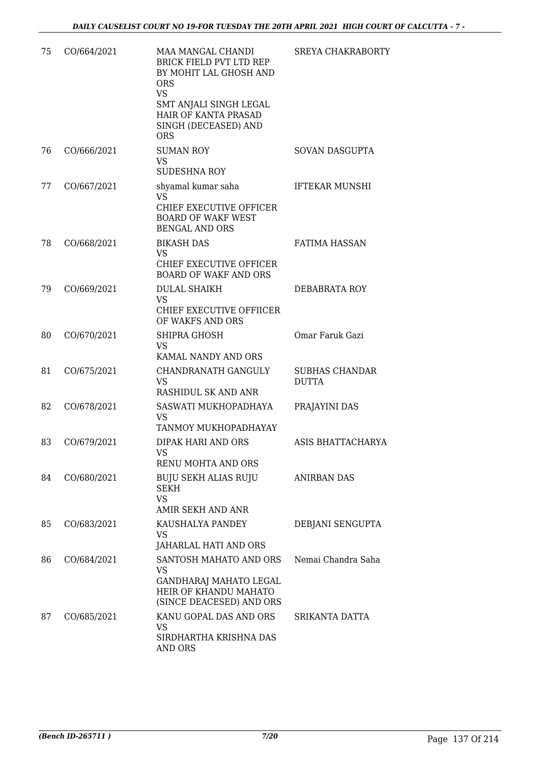| 75 | CO/664/2021 | MAA MANGAL CHANDI<br><b>BRICK FIELD PVT LTD REP</b><br>BY MOHIT LAL GHOSH AND<br><b>ORS</b><br><b>VS</b><br>SMT ANJALI SINGH LEGAL<br>HAIR OF KANTA PRASAD<br>SINGH (DECEASED) AND<br><b>ORS</b> | <b>SREYA CHAKRABORTY</b>              |
|----|-------------|--------------------------------------------------------------------------------------------------------------------------------------------------------------------------------------------------|---------------------------------------|
| 76 | CO/666/2021 | <b>SUMAN ROY</b><br><b>VS</b><br><b>SUDESHNA ROY</b>                                                                                                                                             | SOVAN DASGUPTA                        |
| 77 | CO/667/2021 | shyamal kumar saha<br>VS.<br>CHIEF EXECUTIVE OFFICER<br><b>BOARD OF WAKF WEST</b><br><b>BENGAL AND ORS</b>                                                                                       | <b>IFTEKAR MUNSHI</b>                 |
| 78 | CO/668/2021 | <b>BIKASH DAS</b><br><b>VS</b><br>CHIEF EXECUTIVE OFFICER<br><b>BOARD OF WAKF AND ORS</b>                                                                                                        | <b>FATIMA HASSAN</b>                  |
| 79 | CO/669/2021 | <b>DULAL SHAIKH</b><br><b>VS</b><br>CHIEF EXECUTIVE OFFIICER<br>OF WAKFS AND ORS                                                                                                                 | DEBABRATA ROY                         |
| 80 | CO/670/2021 | SHIPRA GHOSH<br><b>VS</b><br>KAMAL NANDY AND ORS                                                                                                                                                 | Omar Faruk Gazi                       |
| 81 | CO/675/2021 | CHANDRANATH GANGULY<br><b>VS</b><br>RASHIDUL SK AND ANR                                                                                                                                          | <b>SUBHAS CHANDAR</b><br><b>DUTTA</b> |
| 82 | CO/678/2021 | SASWATI MUKHOPADHAYA<br>VS<br>TANMOY MUKHOPADHAYAY                                                                                                                                               | PRAJAYINI DAS                         |
| 83 | CO/679/2021 | DIPAK HARI AND ORS<br>VS<br>RENU MOHTA AND ORS                                                                                                                                                   | ASIS BHATTACHARYA                     |
| 84 | CO/680/2021 | BUJU SEKH ALIAS RUJU<br>SEKH<br><b>VS</b><br>AMIR SEKH AND ANR                                                                                                                                   | ANIRBAN DAS                           |
| 85 | CO/683/2021 | KAUSHALYA PANDEY<br>VS<br>JAHARLAL HATI AND ORS                                                                                                                                                  | DEBJANI SENGUPTA                      |
| 86 | CO/684/2021 | SANTOSH MAHATO AND ORS<br>VS<br>GANDHARAJ MAHATO LEGAL<br>HEIR OF KHANDU MAHATO<br>(SINCE DEACESED) AND ORS                                                                                      | Nemai Chandra Saha                    |
| 87 | CO/685/2021 | KANU GOPAL DAS AND ORS<br>VS<br>SIRDHARTHA KRISHNA DAS<br>AND ORS                                                                                                                                | SRIKANTA DATTA                        |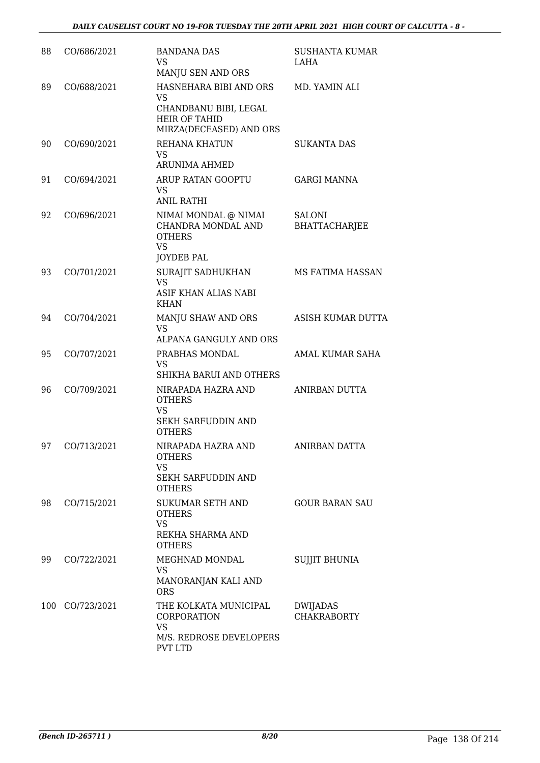| 88 | CO/686/2021     | <b>BANDANA DAS</b><br><b>VS</b><br>MANJU SEN AND ORS                                                     | <b>SUSHANTA KUMAR</b><br>LAHA         |
|----|-----------------|----------------------------------------------------------------------------------------------------------|---------------------------------------|
| 89 | CO/688/2021     | HASNEHARA BIBI AND ORS<br>VS<br>CHANDBANU BIBI, LEGAL<br><b>HEIR OF TAHID</b><br>MIRZA(DECEASED) AND ORS | MD. YAMIN ALI                         |
| 90 | CO/690/2021     | REHANA KHATUN<br>VS.<br><b>ARUNIMA AHMED</b>                                                             | <b>SUKANTA DAS</b>                    |
| 91 | CO/694/2021     | ARUP RATAN GOOPTU<br>VS<br><b>ANIL RATHI</b>                                                             | <b>GARGI MANNA</b>                    |
| 92 | CO/696/2021     | NIMAI MONDAL @ NIMAI<br>CHANDRA MONDAL AND<br><b>OTHERS</b><br><b>VS</b><br><b>JOYDEB PAL</b>            | <b>SALONI</b><br><b>BHATTACHARJEE</b> |
| 93 | CO/701/2021     | SURAJIT SADHUKHAN<br><b>VS</b><br>ASIF KHAN ALIAS NABI<br><b>KHAN</b>                                    | MS FATIMA HASSAN                      |
| 94 | CO/704/2021     | MANJU SHAW AND ORS<br><b>VS</b><br>ALPANA GANGULY AND ORS                                                | ASISH KUMAR DUTTA                     |
| 95 | CO/707/2021     | PRABHAS MONDAL<br>VS<br>SHIKHA BARUI AND OTHERS                                                          | AMAL KUMAR SAHA                       |
| 96 | CO/709/2021     | NIRAPADA HAZRA AND<br><b>OTHERS</b><br><b>VS</b><br>SEKH SARFUDDIN AND<br><b>OTHERS</b>                  | ANIRBAN DUTTA                         |
| 97 | CO/713/2021     | NIRAPADA HAZRA AND<br><b>OTHERS</b><br><b>VS</b><br>SEKH SARFUDDIN AND<br><b>OTHERS</b>                  | ANIRBAN DATTA                         |
| 98 | CO/715/2021     | <b>SUKUMAR SETH AND</b><br><b>OTHERS</b><br><b>VS</b><br>REKHA SHARMA AND<br><b>OTHERS</b>               | <b>GOUR BARAN SAU</b>                 |
| 99 | CO/722/2021     | MEGHNAD MONDAL<br>VS<br>MANORANJAN KALI AND<br><b>ORS</b>                                                | <b>SUJJIT BHUNIA</b>                  |
|    | 100 CO/723/2021 | THE KOLKATA MUNICIPAL<br>CORPORATION<br><b>VS</b><br>M/S. REDROSE DEVELOPERS<br>PVT LTD                  | DWIJADAS<br><b>CHAKRABORTY</b>        |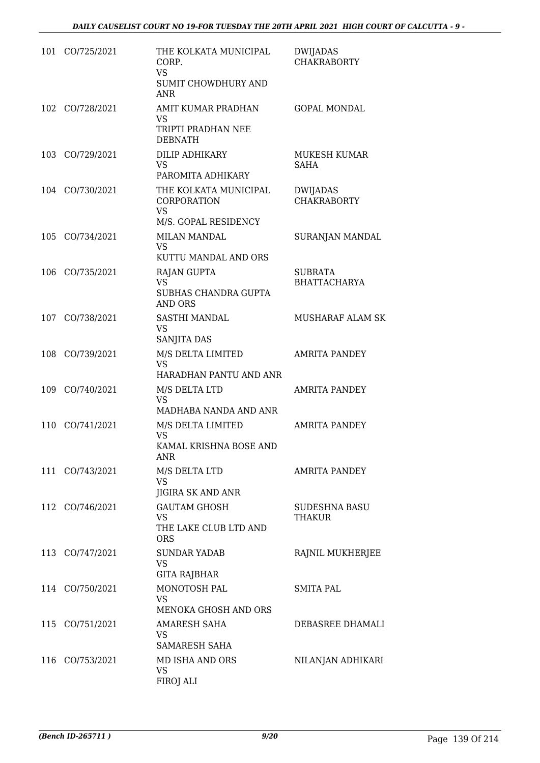| 101 | CO/725/2021     | THE KOLKATA MUNICIPAL<br>CORP.<br><b>VS</b><br>SUMIT CHOWDHURY AND<br><b>ANR</b> | <b>DWIJADAS</b><br><b>CHAKRABORTY</b> |
|-----|-----------------|----------------------------------------------------------------------------------|---------------------------------------|
|     | 102 CO/728/2021 | AMIT KUMAR PRADHAN<br>VS.<br>TRIPTI PRADHAN NEE<br><b>DEBNATH</b>                | <b>GOPAL MONDAL</b>                   |
| 103 | CO/729/2021     | DILIP ADHIKARY<br><b>VS</b><br>PAROMITA ADHIKARY                                 | <b>MUKESH KUMAR</b><br><b>SAHA</b>    |
|     | 104 CO/730/2021 | THE KOLKATA MUNICIPAL<br>CORPORATION<br><b>VS</b><br>M/S. GOPAL RESIDENCY        | DWIJADAS<br><b>CHAKRABORTY</b>        |
|     | 105 CO/734/2021 | <b>MILAN MANDAL</b><br>VS<br>KUTTU MANDAL AND ORS                                | SURANJAN MANDAL                       |
| 106 | CO/735/2021     | <b>RAJAN GUPTA</b><br><b>VS</b><br>SUBHAS CHANDRA GUPTA<br>AND ORS               | <b>SUBRATA</b><br><b>BHATTACHARYA</b> |
| 107 | CO/738/2021     | <b>SASTHI MANDAL</b><br><b>VS</b><br>SANJITA DAS                                 | MUSHARAF ALAM SK                      |
|     | 108 CO/739/2021 | M/S DELTA LIMITED<br><b>VS</b><br>HARADHAN PANTU AND ANR                         | <b>AMRITA PANDEY</b>                  |
| 109 | CO/740/2021     | M/S DELTA LTD<br>VS<br>MADHABA NANDA AND ANR                                     | <b>AMRITA PANDEY</b>                  |
| 110 | CO/741/2021     | M/S DELTA LIMITED<br>VS<br>KAMAL KRISHNA BOSE AND<br><b>ANR</b>                  | <b>AMRITA PANDEY</b>                  |
|     | 111 CO/743/2021 | M/S DELTA LTD<br>VS.<br>JIGIRA SK AND ANR                                        | AMRITA PANDEY                         |
|     | 112 CO/746/2021 | <b>GAUTAM GHOSH</b><br>VS<br>THE LAKE CLUB LTD AND<br><b>ORS</b>                 | <b>SUDESHNA BASU</b><br>THAKUR        |
|     | 113 CO/747/2021 | <b>SUNDAR YADAB</b><br>VS<br><b>GITA RAJBHAR</b>                                 | RAJNIL MUKHERJEE                      |
|     | 114 CO/750/2021 | MONOTOSH PAL<br><b>VS</b><br><b>MENOKA GHOSH AND ORS</b>                         | <b>SMITA PAL</b>                      |
|     | 115 CO/751/2021 | <b>AMARESH SAHA</b><br>VS.<br>SAMARESH SAHA                                      | DEBASREE DHAMALI                      |
| 116 | CO/753/2021     | MD ISHA AND ORS<br><b>VS</b><br>FIROJ ALI                                        | NILANJAN ADHIKARI                     |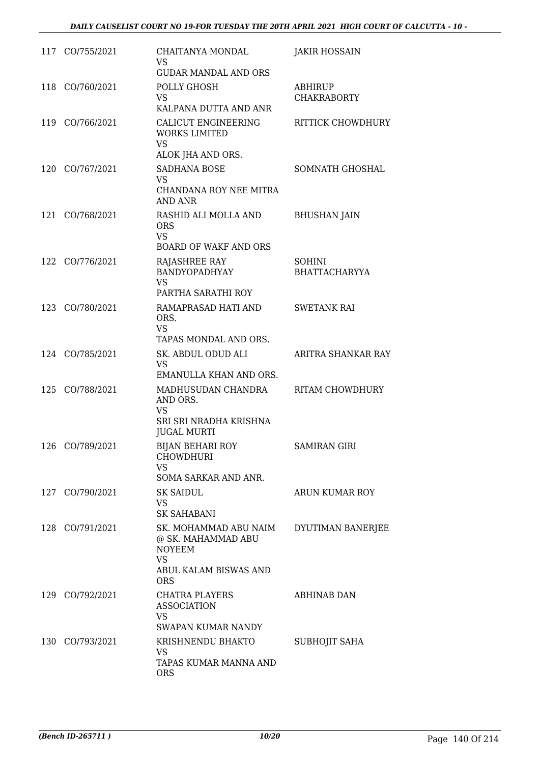|     | 117 CO/755/2021 | CHAITANYA MONDAL<br>VS<br><b>GUDAR MANDAL AND ORS</b>                                                     | <b>JAKIR HOSSAIN</b>                  |
|-----|-----------------|-----------------------------------------------------------------------------------------------------------|---------------------------------------|
|     | 118 CO/760/2021 | POLLY GHOSH<br>VS.<br>KALPANA DUTTA AND ANR                                                               | ABHIRUP<br><b>CHAKRABORTY</b>         |
|     | 119 CO/766/2021 | CALICUT ENGINEERING<br><b>WORKS LIMITED</b><br><b>VS</b><br>ALOK JHA AND ORS.                             | RITTICK CHOWDHURY                     |
|     | 120 CO/767/2021 | <b>SADHANA BOSE</b><br>VS<br>CHANDANA ROY NEE MITRA<br>AND ANR                                            | SOMNATH GHOSHAL                       |
| 121 | CO/768/2021     | RASHID ALI MOLLA AND<br><b>ORS</b><br><b>VS</b><br><b>BOARD OF WAKF AND ORS</b>                           | <b>BHUSHAN JAIN</b>                   |
| 122 | CO/776/2021     | RAJASHREE RAY<br>BANDYOPADHYAY<br>VS<br>PARTHA SARATHI ROY                                                | <b>SOHINI</b><br><b>BHATTACHARYYA</b> |
|     | 123 CO/780/2021 | RAMAPRASAD HATI AND<br>ORS.<br><b>VS</b><br>TAPAS MONDAL AND ORS.                                         | <b>SWETANK RAI</b>                    |
|     | 124 CO/785/2021 | SK. ABDUL ODUD ALI<br>VS<br>EMANULLA KHAN AND ORS.                                                        | ARITRA SHANKAR RAY                    |
|     | 125 CO/788/2021 | MADHUSUDAN CHANDRA<br>AND ORS.<br><b>VS</b><br>SRI SRI NRADHA KRISHNA<br><b>JUGAL MURTI</b>               | RITAM CHOWDHURY                       |
|     | 126 CO/789/2021 | <b>BIJAN BEHARI ROY</b><br><b>CHOWDHURI</b><br>VS<br>SOMA SARKAR AND ANR.                                 | <b>SAMIRAN GIRI</b>                   |
|     | 127 CO/790/2021 | <b>SK SAIDUL</b><br>VS.<br><b>SK SAHABANI</b>                                                             | ARUN KUMAR ROY                        |
|     | 128 CO/791/2021 | SK. MOHAMMAD ABU NAIM<br>@ SK. MAHAMMAD ABU<br><b>NOYEEM</b><br>VS<br>ABUL KALAM BISWAS AND<br><b>ORS</b> | DYUTIMAN BANERJEE                     |
|     | 129 CO/792/2021 | <b>CHATRA PLAYERS</b><br><b>ASSOCIATION</b><br>VS<br>SWAPAN KUMAR NANDY                                   | <b>ABHINAB DAN</b>                    |
|     | 130 CO/793/2021 | KRISHNENDU BHAKTO<br>VS<br>TAPAS KUMAR MANNA AND<br>ORS                                                   | SUBHOJIT SAHA                         |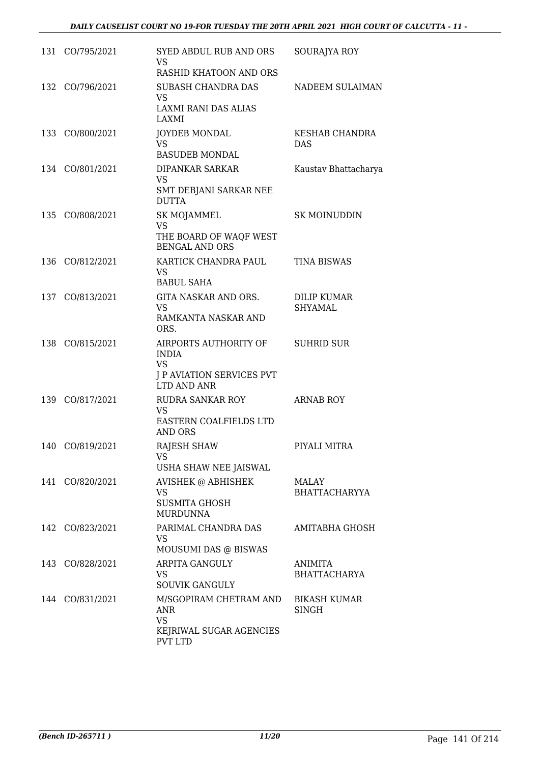|     | 131 CO/795/2021 | <b>SYED ABDUL RUB AND ORS</b><br><b>VS</b>                   | SOURAJYA ROY                        |
|-----|-----------------|--------------------------------------------------------------|-------------------------------------|
|     |                 | RASHID KHATOON AND ORS<br><b>SUBASH CHANDRA DAS</b>          |                                     |
|     | 132 CO/796/2021 | <b>VS</b><br><b>LAXMI RANI DAS ALIAS</b>                     | NADEEM SULAIMAN                     |
|     |                 | LAXMI                                                        |                                     |
|     | 133 CO/800/2021 | <b>JOYDEB MONDAL</b><br><b>VS</b><br><b>BASUDEB MONDAL</b>   | KESHAB CHANDRA<br><b>DAS</b>        |
|     | 134 CO/801/2021 | <b>DIPANKAR SARKAR</b>                                       | Kaustav Bhattacharya                |
|     |                 | VS<br>SMT DEBJANI SARKAR NEE<br><b>DUTTA</b>                 |                                     |
| 135 | CO/808/2021     | SK MOJAMMEL                                                  | <b>SK MOINUDDIN</b>                 |
|     |                 | <b>VS</b><br>THE BOARD OF WAQF WEST<br><b>BENGAL AND ORS</b> |                                     |
| 136 | CO/812/2021     | KARTICK CHANDRA PAUL<br><b>VS</b><br><b>BABUL SAHA</b>       | <b>TINA BISWAS</b>                  |
|     | 137 CO/813/2021 | GITA NASKAR AND ORS.                                         | <b>DILIP KUMAR</b>                  |
|     |                 | VS                                                           | <b>SHYAMAL</b>                      |
|     |                 | RAMKANTA NASKAR AND<br>ORS.                                  |                                     |
|     | 138 CO/815/2021 | AIRPORTS AUTHORITY OF<br><b>INDIA</b><br><b>VS</b>           | <b>SUHRID SUR</b>                   |
|     |                 | J P AVIATION SERVICES PVT<br>LTD AND ANR                     |                                     |
| 139 | CO/817/2021     | RUDRA SANKAR ROY<br><b>VS</b>                                | <b>ARNAB ROY</b>                    |
|     |                 | EASTERN COALFIELDS LTD<br><b>AND ORS</b>                     |                                     |
|     | 140 CO/819/2021 | RAJESH SHAW<br>VS                                            | PIYALI MITRA                        |
|     |                 | USHA SHAW NEE JAISWAL                                        |                                     |
|     | 141 CO/820/2021 | <b>AVISHEK @ ABHISHEK</b><br><b>VS</b>                       | MALAY<br><b>BHATTACHARYYA</b>       |
|     |                 | <b>SUSMITA GHOSH</b><br><b>MURDUNNA</b>                      |                                     |
|     | 142 CO/823/2021 | PARIMAL CHANDRA DAS<br><b>VS</b><br>MOUSUMI DAS @ BISWAS     | AMITABHA GHOSH                      |
|     | 143 CO/828/2021 | ARPITA GANGULY                                               | ANIMITA                             |
|     |                 | VS<br><b>SOUVIK GANGULY</b>                                  | <b>BHATTACHARYA</b>                 |
|     | 144 CO/831/2021 | M/SGOPIRAM CHETRAM AND<br>ANR                                | <b>BIKASH KUMAR</b><br><b>SINGH</b> |
|     |                 | <b>VS</b>                                                    |                                     |
|     |                 | KEJRIWAL SUGAR AGENCIES<br><b>PVT LTD</b>                    |                                     |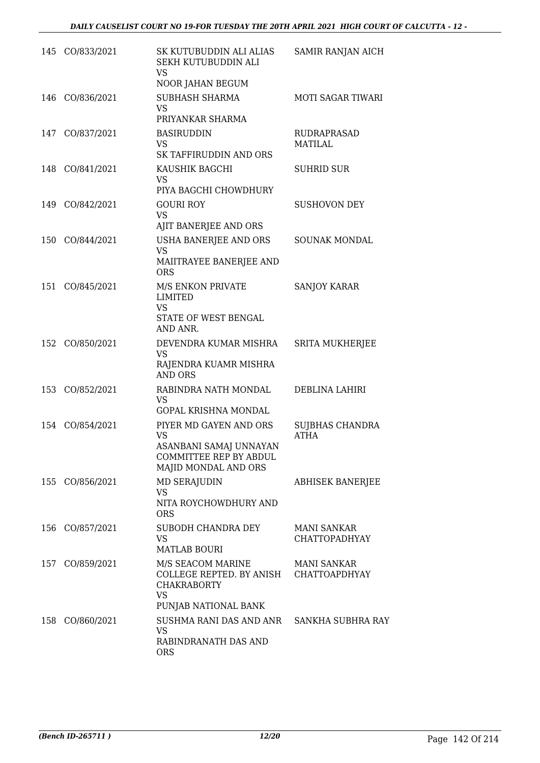|     | 145 CO/833/2021 | SK KUTUBUDDIN ALI ALIAS<br>SEKH KUTUBUDDIN ALI<br>VS<br>NOOR JAHAN BEGUM                                               | SAMIR RANJAN AICH                          |
|-----|-----------------|------------------------------------------------------------------------------------------------------------------------|--------------------------------------------|
| 146 | CO/836/2021     | SUBHASH SHARMA<br><b>VS</b><br>PRIYANKAR SHARMA                                                                        | <b>MOTI SAGAR TIWARI</b>                   |
| 147 | CO/837/2021     | <b>BASIRUDDIN</b><br>VS.<br>SK TAFFIRUDDIN AND ORS                                                                     | <b>RUDRAPRASAD</b><br>MATILAL              |
|     | 148 CO/841/2021 | KAUSHIK BAGCHI<br><b>VS</b><br>PIYA BAGCHI CHOWDHURY                                                                   | <b>SUHRID SUR</b>                          |
|     | 149 CO/842/2021 | <b>GOURI ROY</b><br><b>VS</b><br>AJIT BANERJEE AND ORS                                                                 | <b>SUSHOVON DEY</b>                        |
| 150 | CO/844/2021     | USHA BANERJEE AND ORS<br><b>VS</b><br>MAIITRAYEE BANERJEE AND<br><b>ORS</b>                                            | <b>SOUNAK MONDAL</b>                       |
| 151 | CO/845/2021     | M/S ENKON PRIVATE<br><b>LIMITED</b><br><b>VS</b><br>STATE OF WEST BENGAL<br>AND ANR.                                   | <b>SANJOY KARAR</b>                        |
|     | 152 CO/850/2021 | DEVENDRA KUMAR MISHRA<br><b>VS</b><br>RAJENDRA KUAMR MISHRA<br><b>AND ORS</b>                                          | <b>SRITA MUKHERJEE</b>                     |
|     | 153 CO/852/2021 | RABINDRA NATH MONDAL<br>VS.<br>GOPAL KRISHNA MONDAL                                                                    | DEBLINA LAHIRI                             |
| 154 | CO/854/2021     | PIYER MD GAYEN AND ORS<br><b>VS</b><br>ASANBANI SAMAJ UNNAYAN<br>COMMITTEE REP BY ABDUL<br>MAJID MONDAL AND ORS        | <b>SUJBHAS CHANDRA</b><br><b>ATHA</b>      |
|     | 155 CO/856/2021 | <b>MD SERAJUDIN</b><br>VS<br>NITA ROYCHOWDHURY AND<br><b>ORS</b>                                                       | <b>ABHISEK BANERJEE</b>                    |
|     | 156 CO/857/2021 | SUBODH CHANDRA DEY<br><b>VS</b><br><b>MATLAB BOURI</b>                                                                 | <b>MANI SANKAR</b><br><b>CHATTOPADHYAY</b> |
|     | 157 CO/859/2021 | M/S SEACOM MARINE<br>COLLEGE REPTED. BY ANISH CHATTOAPDHYAY<br><b>CHAKRABORTY</b><br><b>VS</b><br>PUNJAB NATIONAL BANK | MANI SANKAR                                |
|     | 158 CO/860/2021 | SUSHMA RANI DAS AND ANR SANKHA SUBHRA RAY<br>VS.<br>RABINDRANATH DAS AND<br>ORS                                        |                                            |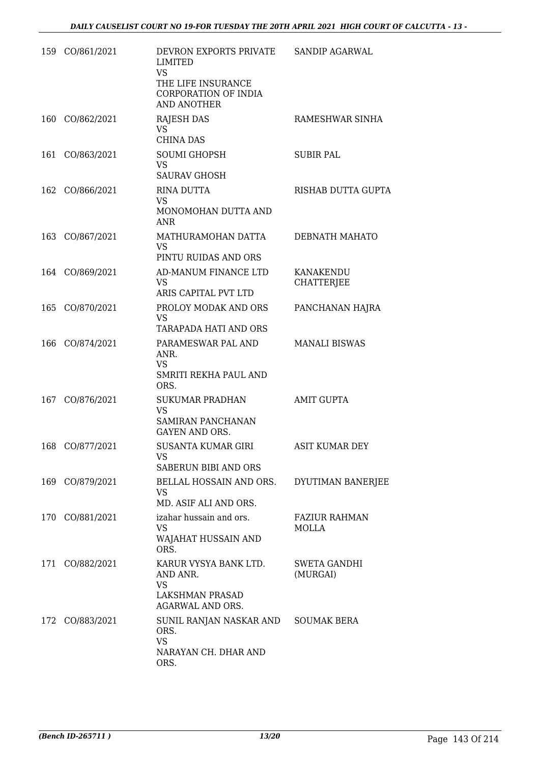|     | 159 CO/861/2021 | DEVRON EXPORTS PRIVATE<br><b>LIMITED</b><br><b>VS</b><br>THE LIFE INSURANCE<br>CORPORATION OF INDIA<br><b>AND ANOTHER</b> | <b>SANDIP AGARWAL</b>           |
|-----|-----------------|---------------------------------------------------------------------------------------------------------------------------|---------------------------------|
|     | 160 CO/862/2021 | <b>RAJESH DAS</b><br>VS.<br><b>CHINA DAS</b>                                                                              | RAMESHWAR SINHA                 |
| 161 | CO/863/2021     | <b>SOUMI GHOPSH</b><br><b>VS</b><br><b>SAURAV GHOSH</b>                                                                   | <b>SUBIR PAL</b>                |
|     | 162 CO/866/2021 | RINA DUTTA<br><b>VS</b><br>MONOMOHAN DUTTA AND<br><b>ANR</b>                                                              | RISHAB DUTTA GUPTA              |
|     | 163 CO/867/2021 | MATHURAMOHAN DATTA<br><b>VS</b><br>PINTU RUIDAS AND ORS                                                                   | DEBNATH MAHATO                  |
|     | 164 CO/869/2021 | AD-MANUM FINANCE LTD<br><b>VS</b><br>ARIS CAPITAL PVT LTD                                                                 | KANAKENDU<br><b>CHATTERJEE</b>  |
| 165 | CO/870/2021     | PROLOY MODAK AND ORS<br><b>VS</b><br>TARAPADA HATI AND ORS                                                                | PANCHANAN HAJRA                 |
| 166 | CO/874/2021     | PARAMESWAR PAL AND<br>ANR.<br>VS<br>SMRITI REKHA PAUL AND<br>ORS.                                                         | <b>MANALI BISWAS</b>            |
| 167 | CO/876/2021     | <b>SUKUMAR PRADHAN</b><br><b>VS</b><br>SAMIRAN PANCHANAN<br><b>GAYEN AND ORS.</b>                                         | <b>AMIT GUPTA</b>               |
| 168 | CO/877/2021     | SUSANTA KUMAR GIRI<br>VS<br>SABERUN BIBI AND ORS                                                                          | ASIT KUMAR DEY                  |
|     | 169 CO/879/2021 | BELLAL HOSSAIN AND ORS.<br>VS<br>MD. ASIF ALI AND ORS.                                                                    | DYUTIMAN BANERJEE               |
| 170 | CO/881/2021     | izahar hussain and ors.<br>VS<br>WAJAHAT HUSSAIN AND<br>ORS.                                                              | <b>FAZIUR RAHMAN</b><br>MOLLA   |
| 171 | CO/882/2021     | KARUR VYSYA BANK LTD.<br>AND ANR.<br><b>VS</b><br>LAKSHMAN PRASAD<br><b>AGARWAL AND ORS.</b>                              | <b>SWETA GANDHI</b><br>(MURGAI) |
| 172 | CO/883/2021     | SUNIL RANJAN NASKAR AND<br>ORS.<br><b>VS</b><br>NARAYAN CH. DHAR AND<br>ORS.                                              | <b>SOUMAK BERA</b>              |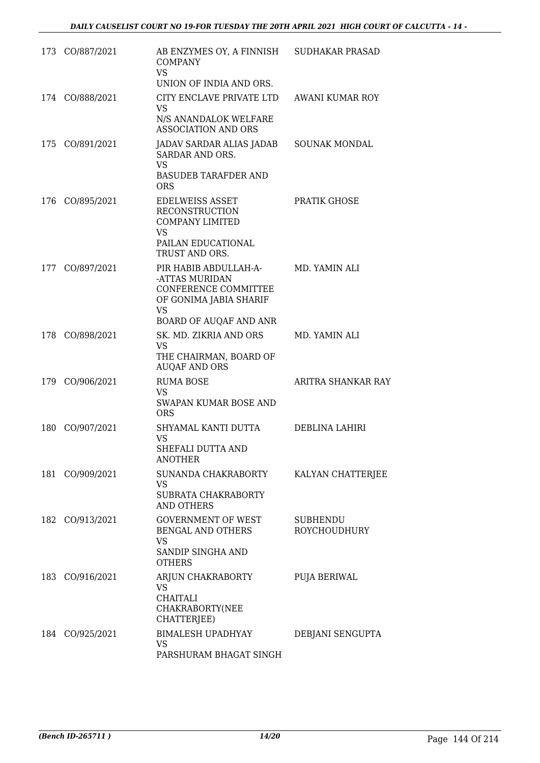|     | 173 CO/887/2021 | AB ENZYMES OY, A FINNISH SUDHAKAR PRASAD<br><b>COMPANY</b><br><b>VS</b><br>UNION OF INDIA AND ORS.                             |                                 |
|-----|-----------------|--------------------------------------------------------------------------------------------------------------------------------|---------------------------------|
|     | 174 CO/888/2021 | CITY ENCLAVE PRIVATE LTD<br><b>VS</b><br>N/S ANANDALOK WELFARE<br><b>ASSOCIATION AND ORS</b>                                   | AWANI KUMAR ROY                 |
|     | 175 CO/891/2021 | JADAV SARDAR ALIAS JADAB<br>SARDAR AND ORS.<br><b>VS</b><br><b>BASUDEB TARAFDER AND</b><br><b>ORS</b>                          | SOUNAK MONDAL                   |
|     | 176 CO/895/2021 | <b>EDELWEISS ASSET</b><br><b>RECONSTRUCTION</b><br><b>COMPANY LIMITED</b><br><b>VS</b><br>PAILAN EDUCATIONAL<br>TRUST AND ORS. | PRATIK GHOSE                    |
| 177 | CO/897/2021     | PIR HABIB ABDULLAH-A-<br>-ATTAS MURIDAN<br>CONFERENCE COMMITTEE<br>OF GONIMA JABIA SHARIF<br>VS<br>BOARD OF AUQAF AND ANR      | MD. YAMIN ALI                   |
|     | 178 CO/898/2021 | SK. MD. ZIKRIA AND ORS<br>VS<br>THE CHAIRMAN, BOARD OF<br><b>AUQAF AND ORS</b>                                                 | MD. YAMIN ALI                   |
|     | 179 CO/906/2021 | <b>RUMA BOSE</b><br><b>VS</b><br>SWAPAN KUMAR BOSE AND<br><b>ORS</b>                                                           | ARITRA SHANKAR RAY              |
|     | 180 CO/907/2021 | SHYAMAL KANTI DUTTA<br>VS<br>SHEFALI DUTTA AND<br><b>ANOTHER</b>                                                               | DEBLINA LAHIRI                  |
|     | 181 CO/909/2021 | SUNANDA CHAKRABORTY<br>VS<br>SUBRATA CHAKRABORTY<br><b>AND OTHERS</b>                                                          | KALYAN CHATTERJEE               |
|     | 182 CO/913/2021 | <b>GOVERNMENT OF WEST</b><br>BENGAL AND OTHERS<br><b>VS</b><br>SANDIP SINGHA AND<br><b>OTHERS</b>                              | SUBHENDU<br><b>ROYCHOUDHURY</b> |
|     | 183 CO/916/2021 | ARJUN CHAKRABORTY<br>VS.<br><b>CHAITALI</b><br>CHAKRABORTY(NEE<br>CHATTERJEE)                                                  | PUJA BERIWAL                    |
|     | 184 CO/925/2021 | <b>BIMALESH UPADHYAY</b><br>VS<br>PARSHURAM BHAGAT SINGH                                                                       | DEBJANI SENGUPTA                |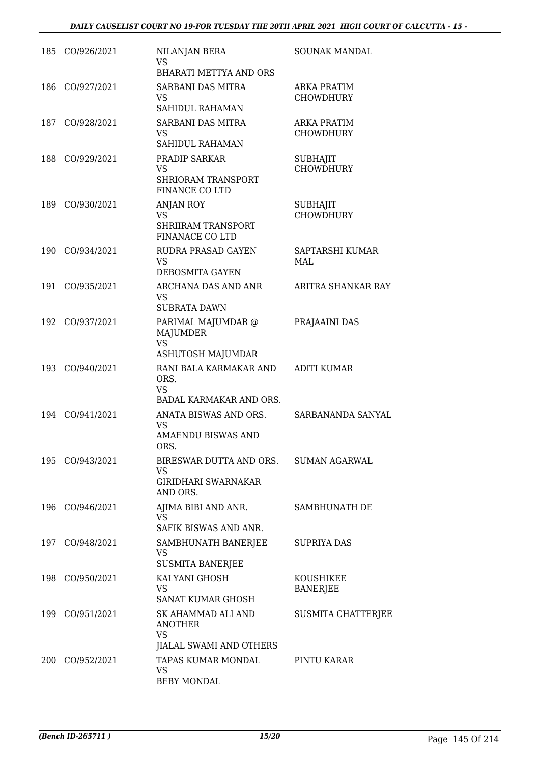|     | 185 CO/926/2021 | NILANJAN BERA<br><b>VS</b><br><b>BHARATI METTYA AND ORS</b>                            | SOUNAK MANDAL                          |
|-----|-----------------|----------------------------------------------------------------------------------------|----------------------------------------|
|     | 186 CO/927/2021 | SARBANI DAS MITRA<br>VS<br>SAHIDUL RAHAMAN                                             | ARKA PRATIM<br><b>CHOWDHURY</b>        |
| 187 | CO/928/2021     | SARBANI DAS MITRA<br>VS.<br>SAHIDUL RAHAMAN                                            | <b>ARKA PRATIM</b><br><b>CHOWDHURY</b> |
|     | 188 CO/929/2021 | PRADIP SARKAR<br>VS<br>SHRIORAM TRANSPORT<br>FINANCE CO LTD                            | <b>SUBHAJIT</b><br><b>CHOWDHURY</b>    |
|     | 189 CO/930/2021 | ANJAN ROY<br><b>VS</b><br><b>SHRIIRAM TRANSPORT</b><br><b>FINANACE CO LTD</b>          | <b>SUBHAJIT</b><br><b>CHOWDHURY</b>    |
| 190 | CO/934/2021     | RUDRA PRASAD GAYEN<br>VS.<br>DEBOSMITA GAYEN                                           | SAPTARSHI KUMAR<br>MAL                 |
| 191 | CO/935/2021     | ARCHANA DAS AND ANR<br><b>VS</b><br><b>SUBRATA DAWN</b>                                | ARITRA SHANKAR RAY                     |
|     | 192 CO/937/2021 | PARIMAL MAJUMDAR @<br><b>MAJUMDER</b><br><b>VS</b><br>ASHUTOSH MAJUMDAR                | PRAJAAINI DAS                          |
|     | 193 CO/940/2021 | RANI BALA KARMAKAR AND<br>ORS.<br><b>VS</b><br>BADAL KARMAKAR AND ORS.                 | <b>ADITI KUMAR</b>                     |
| 194 | CO/941/2021     | ANATA BISWAS AND ORS.<br>VS.<br>AMAENDU BISWAS AND<br>ORS.                             | SARBANANDA SANYAL                      |
|     | 195 CO/943/2021 | BIRESWAR DUTTA AND ORS. SUMAN AGARWAL<br>VS.<br><b>GIRIDHARI SWARNAKAR</b><br>AND ORS. |                                        |
|     | 196 CO/946/2021 | AJIMA BIBI AND ANR.<br>VS<br>SAFIK BISWAS AND ANR.                                     | SAMBHUNATH DE                          |
|     | 197 CO/948/2021 | SAMBHUNATH BANERJEE<br><b>VS</b><br><b>SUSMITA BANERJEE</b>                            | <b>SUPRIYA DAS</b>                     |
|     | 198 CO/950/2021 | KALYANI GHOSH<br><b>VS</b><br>SANAT KUMAR GHOSH                                        | KOUSHIKEE<br><b>BANERJEE</b>           |
|     | 199 CO/951/2021 | SK AHAMMAD ALI AND<br>ANOTHER<br>VS<br>JIALAL SWAMI AND OTHERS                         | SUSMITA CHATTERJEE                     |
|     | 200 CO/952/2021 | TAPAS KUMAR MONDAL<br><b>VS</b><br><b>BEBY MONDAL</b>                                  | PINTU KARAR                            |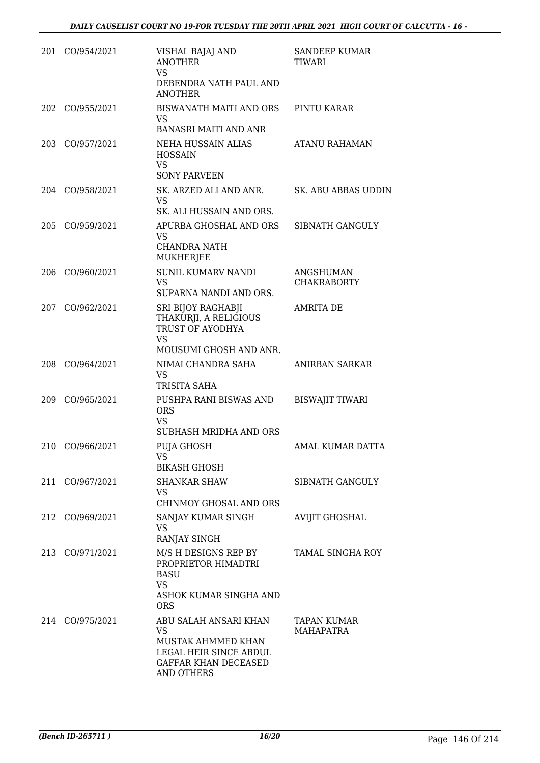| 201 | CO/954/2021     | VISHAL BAJAJ AND<br><b>ANOTHER</b><br><b>VS</b><br>DEBENDRA NATH PAUL AND<br><b>ANOTHER</b>                                     | SANDEEP KUMAR<br>TIWARI         |
|-----|-----------------|---------------------------------------------------------------------------------------------------------------------------------|---------------------------------|
|     | 202 CO/955/2021 | BISWANATH MAITI AND ORS<br>VS.<br><b>BANASRI MAITI AND ANR</b>                                                                  | PINTU KARAR                     |
|     | 203 CO/957/2021 | NEHA HUSSAIN ALIAS<br><b>HOSSAIN</b><br><b>VS</b><br><b>SONY PARVEEN</b>                                                        | ATANU RAHAMAN                   |
|     | 204 CO/958/2021 | SK. ARZED ALI AND ANR.<br><b>VS</b><br>SK. ALI HUSSAIN AND ORS.                                                                 | SK. ABU ABBAS UDDIN             |
| 205 | CO/959/2021     | APURBA GHOSHAL AND ORS<br>VS<br><b>CHANDRA NATH</b><br>MUKHERJEE                                                                | SIBNATH GANGULY                 |
| 206 | CO/960/2021     | <b>SUNIL KUMARV NANDI</b><br><b>VS</b><br>SUPARNA NANDI AND ORS.                                                                | ANGSHUMAN<br><b>CHAKRABORTY</b> |
| 207 | CO/962/2021     | SRI BIJOY RAGHABJI<br>THAKURJI, A RELIGIOUS<br>TRUST OF AYODHYA<br><b>VS</b><br>MOUSUMI GHOSH AND ANR.                          | <b>AMRITA DE</b>                |
|     | 208 CO/964/2021 | NIMAI CHANDRA SAHA<br>VS<br>TRISITA SAHA                                                                                        | ANIRBAN SARKAR                  |
|     | 209 CO/965/2021 | PUSHPA RANI BISWAS AND<br><b>ORS</b><br><b>VS</b><br>SUBHASH MRIDHA AND ORS                                                     | <b>BISWAJIT TIWARI</b>          |
| 210 | CO/966/2021     | PUJA GHOSH<br>VS<br><b>BIKASH GHOSH</b>                                                                                         | AMAL KUMAR DATTA                |
|     | 211 CO/967/2021 | <b>SHANKAR SHAW</b><br>VS<br>CHINMOY GHOSAL AND ORS                                                                             | SIBNATH GANGULY                 |
|     | 212 CO/969/2021 | SANJAY KUMAR SINGH<br>VS<br>RANJAY SINGH                                                                                        | <b>AVIJIT GHOSHAL</b>           |
|     | 213 CO/971/2021 | M/S H DESIGNS REP BY<br>PROPRIETOR HIMADTRI<br><b>BASU</b><br><b>VS</b><br>ASHOK KUMAR SINGHA AND<br><b>ORS</b>                 | <b>TAMAL SINGHA ROY</b>         |
|     | 214 CO/975/2021 | ABU SALAH ANSARI KHAN<br><b>VS</b><br>MUSTAK AHMMED KHAN<br>LEGAL HEIR SINCE ABDUL<br>GAFFAR KHAN DECEASED<br><b>AND OTHERS</b> | <b>TAPAN KUMAR</b><br>MAHAPATRA |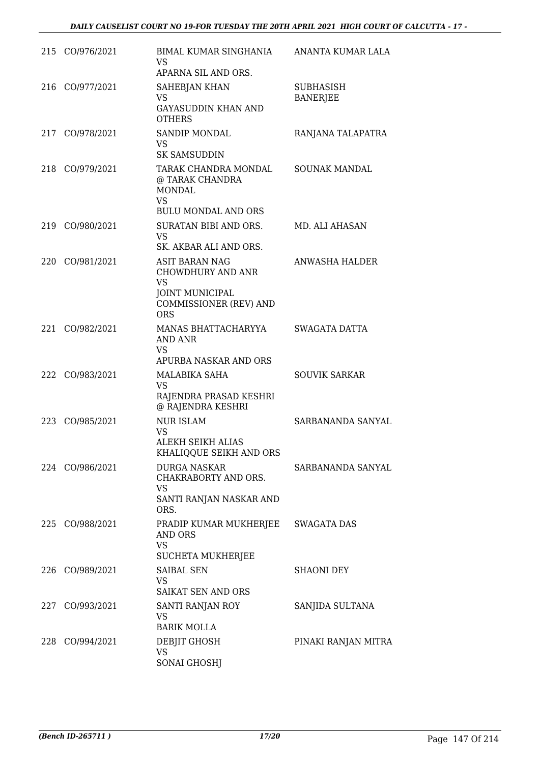|     | 215 CO/976/2021 | BIMAL KUMAR SINGHANIA<br>VS<br>APARNA SIL AND ORS.                                                                                      | ANANTA KUMAR LALA                   |
|-----|-----------------|-----------------------------------------------------------------------------------------------------------------------------------------|-------------------------------------|
| 216 | CO/977/2021     | <b>SAHEBJAN KHAN</b><br><b>VS</b><br><b>GAYASUDDIN KHAN AND</b><br><b>OTHERS</b>                                                        | <b>SUBHASISH</b><br><b>BANERJEE</b> |
| 217 | CO/978/2021     | <b>SANDIP MONDAL</b><br>VS<br><b>SK SAMSUDDIN</b>                                                                                       | RANJANA TALAPATRA                   |
| 218 | CO/979/2021     | TARAK CHANDRA MONDAL<br>@ TARAK CHANDRA<br><b>MONDAL</b><br><b>VS</b><br><b>BULU MONDAL AND ORS</b>                                     | <b>SOUNAK MANDAL</b>                |
| 219 | CO/980/2021     | SURATAN BIBI AND ORS.<br>VS<br>SK. AKBAR ALI AND ORS.                                                                                   | MD. ALI AHASAN                      |
| 220 | CO/981/2021     | <b>ASIT BARAN NAG</b><br><b>CHOWDHURY AND ANR</b><br><b>VS</b><br><b>JOINT MUNICIPAL</b><br><b>COMMISSIONER (REV) AND</b><br><b>ORS</b> | <b>ANWASHA HALDER</b>               |
| 221 | CO/982/2021     | MANAS BHATTACHARYYA<br>AND ANR<br>VS<br>APURBA NASKAR AND ORS                                                                           | SWAGATA DATTA                       |
|     | 222 CO/983/2021 | MALABIKA SAHA<br><b>VS</b><br>RAJENDRA PRASAD KESHRI<br>@ RAJENDRA KESHRI                                                               | <b>SOUVIK SARKAR</b>                |
| 223 | CO/985/2021     | <b>NUR ISLAM</b><br>VS<br>ALEKH SEIKH ALIAS<br>KHALIQQUE SEIKH AND ORS                                                                  | SARBANANDA SANYAL                   |
|     | 224 CO/986/2021 | <b>DURGA NASKAR</b><br>CHAKRABORTY AND ORS.<br>VS<br>SANTI RANJAN NASKAR AND<br>ORS.                                                    | SARBANANDA SANYAL                   |
|     | 225 CO/988/2021 | PRADIP KUMAR MUKHERJEE<br>AND ORS<br><b>VS</b><br><b>SUCHETA MUKHERJEE</b>                                                              | SWAGATA DAS                         |
|     | 226 CO/989/2021 | <b>SAIBAL SEN</b><br>VS.<br>SAIKAT SEN AND ORS                                                                                          | <b>SHAONI DEY</b>                   |
|     | 227 CO/993/2021 | SANTI RANJAN ROY<br><b>VS</b><br><b>BARIK MOLLA</b>                                                                                     | SANJIDA SULTANA                     |
|     | 228 CO/994/2021 | DEBJIT GHOSH<br><b>VS</b><br><b>SONAI GHOSHJ</b>                                                                                        | PINAKI RANJAN MITRA                 |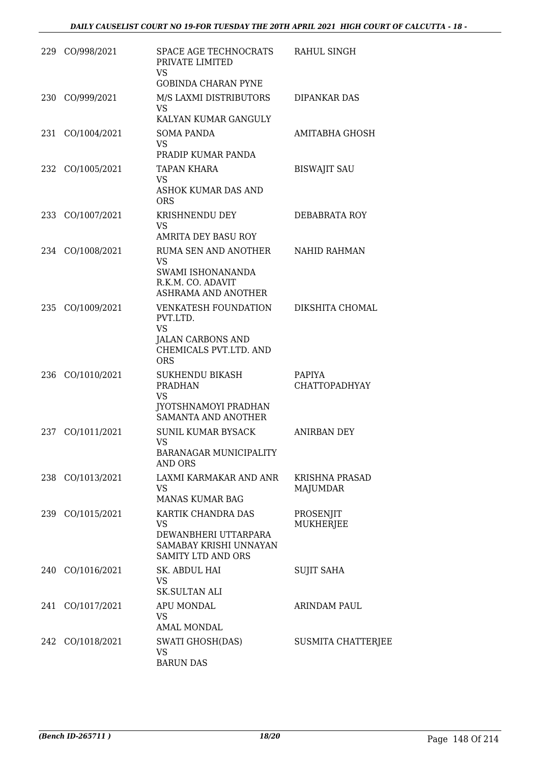|     | 229 CO/998/2021  | SPACE AGE TECHNOCRATS<br>PRIVATE LIMITED<br><b>VS</b><br><b>GOBINDA CHARAN PYNE</b>                                      | RAHUL SINGH                           |
|-----|------------------|--------------------------------------------------------------------------------------------------------------------------|---------------------------------------|
| 230 | CO/999/2021      | M/S LAXMI DISTRIBUTORS<br>VS.<br>KALYAN KUMAR GANGULY                                                                    | DIPANKAR DAS                          |
| 231 | CO/1004/2021     | <b>SOMA PANDA</b><br><b>VS</b><br>PRADIP KUMAR PANDA                                                                     | AMITABHA GHOSH                        |
| 232 | CO/1005/2021     | <b>TAPAN KHARA</b><br>VS<br>ASHOK KUMAR DAS AND<br><b>ORS</b>                                                            | <b>BISWAJIT SAU</b>                   |
| 233 | CO/1007/2021     | KRISHNENDU DEY<br><b>VS</b><br><b>AMRITA DEY BASU ROY</b>                                                                | DEBABRATA ROY                         |
| 234 | CO/1008/2021     | RUMA SEN AND ANOTHER<br><b>VS</b><br>SWAMI ISHONANANDA<br>R.K.M. CO. ADAVIT<br>ASHRAMA AND ANOTHER                       | NAHID RAHMAN                          |
| 235 | CO/1009/2021     | <b>VENKATESH FOUNDATION</b><br>PVT.LTD.<br><b>VS</b><br><b>JALAN CARBONS AND</b><br>CHEMICALS PVT.LTD. AND<br><b>ORS</b> | DIKSHITA CHOMAL                       |
| 236 | CO/1010/2021     | <b>SUKHENDU BIKASH</b><br><b>PRADHAN</b><br><b>VS</b><br>JYOTSHNAMOYI PRADHAN<br>SAMANTA AND ANOTHER                     | <b>PAPIYA</b><br><b>CHATTOPADHYAY</b> |
| 237 | CO/1011/2021     | <b>SUNIL KUMAR BYSACK</b><br>VS<br><b>BARANAGAR MUNICIPALITY</b><br>AND ORS                                              | <b>ANIRBAN DEY</b>                    |
|     | 238 CO/1013/2021 | LAXMI KARMAKAR AND ANR<br><b>VS</b><br><b>MANAS KUMAR BAG</b>                                                            | <b>KRISHNA PRASAD</b><br>MAJUMDAR     |
|     | 239 CO/1015/2021 | KARTIK CHANDRA DAS<br><b>VS</b><br>DEWANBHERI UTTARPARA<br>SAMABAY KRISHI UNNAYAN<br><b>SAMITY LTD AND ORS</b>           | PROSENJIT<br><b>MUKHERJEE</b>         |
|     | 240 CO/1016/2021 | SK. ABDUL HAI<br>VS<br><b>SK.SULTAN ALI</b>                                                                              | <b>SUJIT SAHA</b>                     |
| 241 | CO/1017/2021     | APU MONDAL<br><b>VS</b><br><b>AMAL MONDAL</b>                                                                            | <b>ARINDAM PAUL</b>                   |
|     | 242 CO/1018/2021 | SWATI GHOSH(DAS)<br><b>VS</b><br><b>BARUN DAS</b>                                                                        | <b>SUSMITA CHATTERJEE</b>             |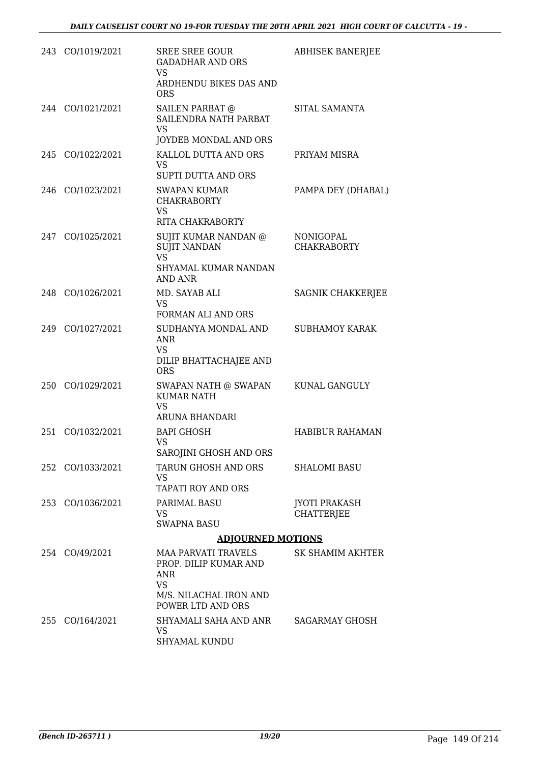|     | 243 CO/1019/2021 | <b>SREE SREE GOUR</b><br><b>GADADHAR AND ORS</b><br>VS.<br>ARDHENDU BIKES DAS AND<br><b>ORS</b>                               | <b>ABHISEK BANERJEE</b>                   |
|-----|------------------|-------------------------------------------------------------------------------------------------------------------------------|-------------------------------------------|
|     | 244 CO/1021/2021 | <b>SAILEN PARBAT @</b><br>SAILENDRA NATH PARBAT<br><b>VS</b><br>JOYDEB MONDAL AND ORS                                         | SITAL SAMANTA                             |
|     | 245 CO/1022/2021 | KALLOL DUTTA AND ORS<br><b>VS</b><br>SUPTI DUTTA AND ORS                                                                      | PRIYAM MISRA                              |
|     | 246 CO/1023/2021 | SWAPAN KUMAR<br><b>CHAKRABORTY</b><br><b>VS</b><br>RITA CHAKRABORTY                                                           | PAMPA DEY (DHABAL)                        |
|     | 247 CO/1025/2021 | SUJIT KUMAR NANDAN @<br><b>SUJIT NANDAN</b><br><b>VS</b><br>SHYAMAL KUMAR NANDAN<br><b>AND ANR</b>                            | NONIGOPAL<br><b>CHAKRABORTY</b>           |
|     | 248 CO/1026/2021 | MD. SAYAB ALI<br><b>VS</b><br>FORMAN ALI AND ORS                                                                              | SAGNIK CHAKKERJEE                         |
|     | 249 CO/1027/2021 | SUDHANYA MONDAL AND<br><b>ANR</b><br><b>VS</b><br>DILIP BHATTACHAJEE AND<br><b>ORS</b>                                        | <b>SUBHAMOY KARAK</b>                     |
|     | 250 CO/1029/2021 | SWAPAN NATH @ SWAPAN<br><b>KUMAR NATH</b><br><b>VS</b><br>ARUNA BHANDARI                                                      | KUNAL GANGULY                             |
| 251 | CO/1032/2021     | <b>BAPI GHOSH</b><br>VS<br>SAROJINI GHOSH AND ORS                                                                             | <b>HABIBUR RAHAMAN</b>                    |
|     | 252 CO/1033/2021 | TARUN GHOSH AND ORS<br>VS<br>TAPATI ROY AND ORS                                                                               | <b>SHALOMI BASU</b>                       |
|     | 253 CO/1036/2021 | <b>PARIMAL BASU</b><br>VS<br><b>SWAPNA BASU</b>                                                                               | <b>JYOTI PRAKASH</b><br><b>CHATTERJEE</b> |
|     |                  | <b>ADJOURNED MOTIONS</b>                                                                                                      |                                           |
|     | 254 CO/49/2021   | <b>MAA PARVATI TRAVELS</b><br>PROP. DILIP KUMAR AND<br><b>ANR</b><br><b>VS</b><br>M/S. NILACHAL IRON AND<br>POWER LTD AND ORS | SK SHAMIM AKHTER                          |
|     | 255 CO/164/2021  | SHYAMALI SAHA AND ANR<br>VS.<br>SHYAMAL KUNDU                                                                                 | SAGARMAY GHOSH                            |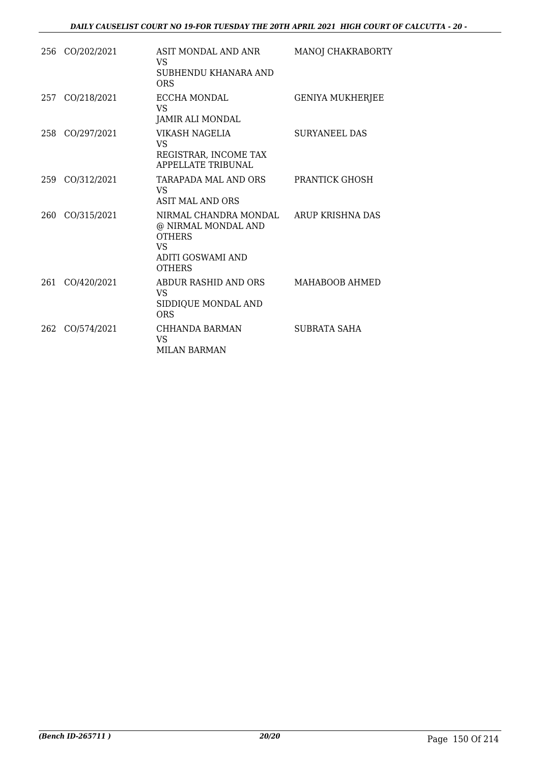|     | 256 CO/202/2021 | ASIT MONDAL AND ANR<br>VS<br>SUBHENDU KHANARA AND<br><b>ORS</b>                                                  | MANOJ CHAKRABORTY       |
|-----|-----------------|------------------------------------------------------------------------------------------------------------------|-------------------------|
|     | 257 CO/218/2021 | ECCHA MONDAL<br><b>VS</b><br><b>JAMIR ALI MONDAL</b>                                                             | <b>GENIYA MUKHERJEE</b> |
|     | 258 CO/297/2021 | VIKASH NAGELIA<br><b>VS</b><br>REGISTRAR, INCOME TAX<br><b>APPELLATE TRIBUNAL</b>                                | <b>SURYANEEL DAS</b>    |
| 259 | CO/312/2021     | TARAPADA MAL AND ORS<br>VS.<br>ASIT MAL AND ORS                                                                  | PRANTICK GHOSH          |
| 260 | CO/315/2021     | NIRMAL CHANDRA MONDAL<br>@ NIRMAL MONDAL AND<br><b>OTHERS</b><br>VS<br><b>ADITI GOSWAMI AND</b><br><b>OTHERS</b> | ARUP KRISHNA DAS        |
| 261 | CO/420/2021     | ABDUR RASHID AND ORS<br>VS<br>SIDDIQUE MONDAL AND<br><b>ORS</b>                                                  | MAHABOOB AHMED          |
| 262 | CO/574/2021     | CHHANDA BARMAN<br>VS.<br><b>MILAN BARMAN</b>                                                                     | SUBRATA SAHA            |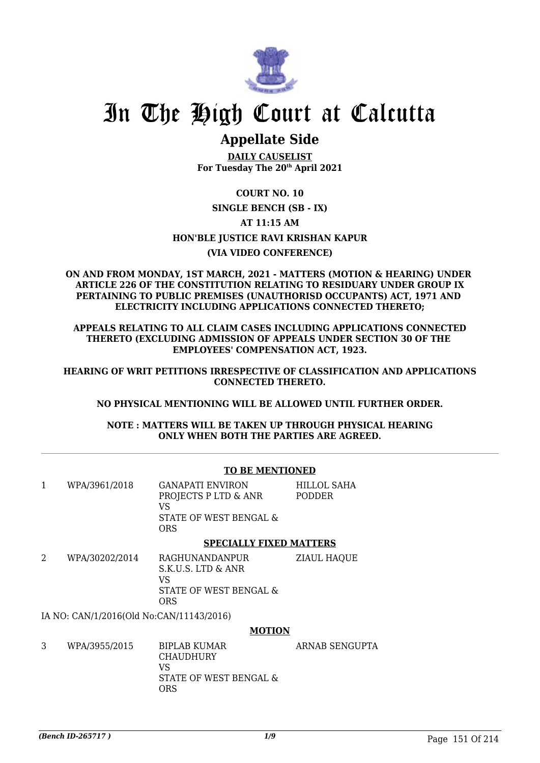

## **Appellate Side**

**DAILY CAUSELIST For Tuesday The 20th April 2021**

## **COURT NO. 10 SINGLE BENCH (SB - IX) AT 11:15 AM HON'BLE JUSTICE RAVI KRISHAN KAPUR (VIA VIDEO CONFERENCE)**

#### **ON AND FROM MONDAY, 1ST MARCH, 2021 - MATTERS (MOTION & HEARING) UNDER ARTICLE 226 OF THE CONSTITUTION RELATING TO RESIDUARY UNDER GROUP IX PERTAINING TO PUBLIC PREMISES (UNAUTHORISD OCCUPANTS) ACT, 1971 AND ELECTRICITY INCLUDING APPLICATIONS CONNECTED THERETO;**

**APPEALS RELATING TO ALL CLAIM CASES INCLUDING APPLICATIONS CONNECTED THERETO (EXCLUDING ADMISSION OF APPEALS UNDER SECTION 30 OF THE EMPLOYEES' COMPENSATION ACT, 1923.**

**HEARING OF WRIT PETITIONS IRRESPECTIVE OF CLASSIFICATION AND APPLICATIONS CONNECTED THERETO.**

**NO PHYSICAL MENTIONING WILL BE ALLOWED UNTIL FURTHER ORDER.**

**NOTE : MATTERS WILL BE TAKEN UP THROUGH PHYSICAL HEARING ONLY WHEN BOTH THE PARTIES ARE AGREED.**

### **TO BE MENTIONED**

| WPA/3961/2018  | <b>GANAPATI ENVIRON</b><br>PROJECTS P LTD & ANR<br>VS<br>STATE OF WEST BENGAL &<br><b>ORS</b> | HILLOL SAHA<br>PODDER |
|----------------|-----------------------------------------------------------------------------------------------|-----------------------|
|                | <b>SPECIALLY FIXED MATTERS</b>                                                                |                       |
| WPA/30202/2014 | RAGHUNANDANPUR<br>S.K.U.S. LTD & ANR<br>T T                                                   | <b>ZIAUL HAQUE</b>    |

VS STATE OF WEST BENGAL & ORS

IA NO: CAN/1/2016(Old No:CAN/11143/2016)

### **MOTION**

| 3 | WPA/3955/2015 | BIPLAB KUMAR<br><b>CHAUDHURY</b><br>VS | ARNAB SENGUPTA |
|---|---------------|----------------------------------------|----------------|
|   |               | STATE OF WEST BENGAL &<br>ORS          |                |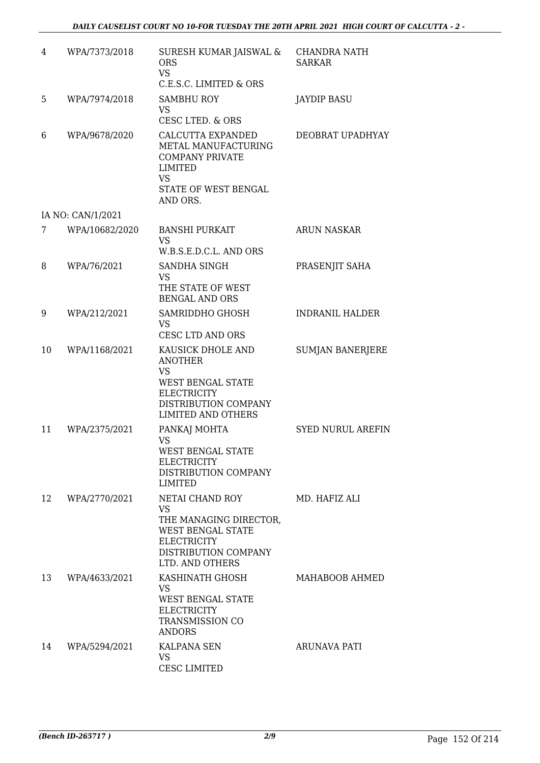| 4  | WPA/7373/2018     | SURESH KUMAR JAISWAL &<br><b>ORS</b><br><b>VS</b><br>C.E.S.C. LIMITED & ORS                                                                             | <b>CHANDRA NATH</b><br><b>SARKAR</b> |
|----|-------------------|---------------------------------------------------------------------------------------------------------------------------------------------------------|--------------------------------------|
| 5  | WPA/7974/2018     | <b>SAMBHU ROY</b><br><b>VS</b><br><b>CESC LTED. &amp; ORS</b>                                                                                           | <b>JAYDIP BASU</b>                   |
| 6  | WPA/9678/2020     | CALCUTTA EXPANDED<br>METAL MANUFACTURING<br><b>COMPANY PRIVATE</b><br><b>LIMITED</b><br><b>VS</b><br>STATE OF WEST BENGAL<br>AND ORS.                   | DEOBRAT UPADHYAY                     |
|    | IA NO: CAN/1/2021 |                                                                                                                                                         |                                      |
| 7  | WPA/10682/2020    | <b>BANSHI PURKAIT</b><br><b>VS</b><br>W.B.S.E.D.C.L. AND ORS                                                                                            | <b>ARUN NASKAR</b>                   |
| 8  | WPA/76/2021       | SANDHA SINGH<br><b>VS</b><br>THE STATE OF WEST                                                                                                          | PRASENJIT SAHA                       |
|    |                   | <b>BENGAL AND ORS</b>                                                                                                                                   |                                      |
| 9  | WPA/212/2021      | SAMRIDDHO GHOSH<br><b>VS</b><br><b>CESC LTD AND ORS</b>                                                                                                 | <b>INDRANIL HALDER</b>               |
| 10 | WPA/1168/2021     | KAUSICK DHOLE AND<br><b>ANOTHER</b><br><b>VS</b><br><b>WEST BENGAL STATE</b><br><b>ELECTRICITY</b><br>DISTRIBUTION COMPANY<br><b>LIMITED AND OTHERS</b> | <b>SUMJAN BANERJERE</b>              |
| 11 | WPA/2375/2021     | PANKAJ MOHTA<br><b>VS</b><br><b>WEST BENGAL STATE</b><br><b>ELECTRICITY</b><br>DISTRIBUTION COMPANY<br><b>LIMITED</b>                                   | <b>SYED NURUL AREFIN</b>             |
| 12 | WPA/2770/2021     | NETAI CHAND ROY<br><b>VS</b><br>THE MANAGING DIRECTOR,<br><b>WEST BENGAL STATE</b><br><b>ELECTRICITY</b><br>DISTRIBUTION COMPANY<br>LTD. AND OTHERS     | MD. HAFIZ ALL                        |
| 13 | WPA/4633/2021     | KASHINATH GHOSH<br>VS<br>WEST BENGAL STATE<br><b>ELECTRICITY</b><br>TRANSMISSION CO<br><b>ANDORS</b>                                                    | MAHABOOB AHMED                       |
| 14 | WPA/5294/2021     | KALPANA SEN<br><b>VS</b><br><b>CESC LIMITED</b>                                                                                                         | <b>ARUNAVA PATI</b>                  |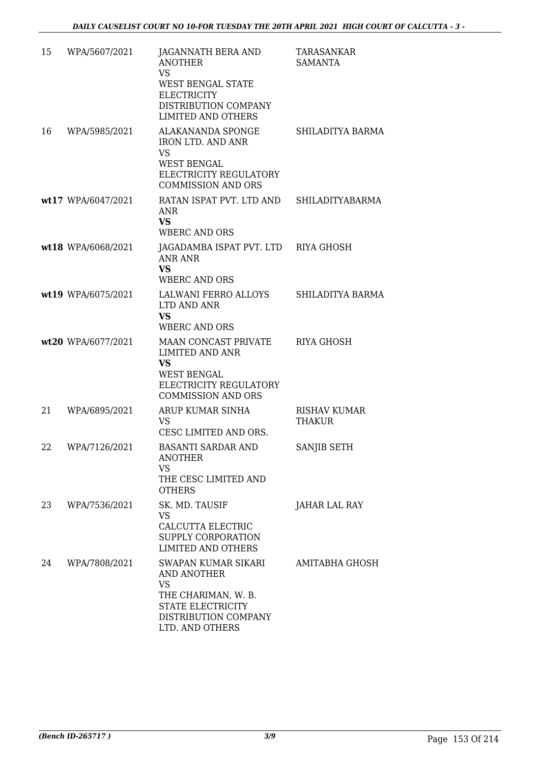| 15 | WPA/5607/2021      | JAGANNATH BERA AND<br><b>ANOTHER</b><br><b>VS</b><br><b>WEST BENGAL STATE</b><br><b>ELECTRICITY</b><br>DISTRIBUTION COMPANY<br><b>LIMITED AND OTHERS</b> | <b>TARASANKAR</b><br><b>SAMANTA</b> |
|----|--------------------|----------------------------------------------------------------------------------------------------------------------------------------------------------|-------------------------------------|
| 16 | WPA/5985/2021      | ALAKANANDA SPONGE<br><b>IRON LTD. AND ANR</b><br>VS<br><b>WEST BENGAL</b><br>ELECTRICITY REGULATORY<br><b>COMMISSION AND ORS</b>                         | SHILADITYA BARMA                    |
|    | wt17 WPA/6047/2021 | RATAN ISPAT PVT. LTD AND<br><b>ANR</b><br><b>VS</b><br><b>WBERC AND ORS</b>                                                                              | SHILADITYABARMA                     |
|    | wt18 WPA/6068/2021 | JAGADAMBA ISPAT PVT. LTD RIYA GHOSH<br>ANR ANR<br><b>VS</b><br><b>WBERC AND ORS</b>                                                                      |                                     |
|    | wt19 WPA/6075/2021 | LALWANI FERRO ALLOYS SHILADITYA BARMA<br>LTD AND ANR<br>VS<br><b>WBERC AND ORS</b>                                                                       |                                     |
|    | wt20 WPA/6077/2021 | MAAN CONCAST PRIVATE<br><b>LIMITED AND ANR</b><br><b>VS</b><br><b>WEST BENGAL</b><br>ELECTRICITY REGULATORY<br><b>COMMISSION AND ORS</b>                 | RIYA GHOSH                          |
| 21 | WPA/6895/2021      | ARUP KUMAR SINHA<br><b>VS</b><br>CESC LIMITED AND ORS.                                                                                                   | <b>RISHAV KUMAR</b><br>THAKUR       |
| 22 | WPA/7126/2021      | BASANTI SARDAR AND<br><b>ANOTHER</b><br><b>VS</b><br>THE CESC LIMITED AND<br><b>OTHERS</b>                                                               | SANJIB SETH                         |
| 23 | WPA/7536/2021      | SK. MD. TAUSIF<br><b>VS</b><br>CALCUTTA ELECTRIC<br>SUPPLY CORPORATION<br><b>LIMITED AND OTHERS</b>                                                      | JAHAR LAL RAY                       |
| 24 | WPA/7808/2021      | SWAPAN KUMAR SIKARI<br><b>AND ANOTHER</b><br><b>VS</b><br>THE CHARIMAN, W. B.<br>STATE ELECTRICITY<br>DISTRIBUTION COMPANY<br>LTD. AND OTHERS            | AMITABHA GHOSH                      |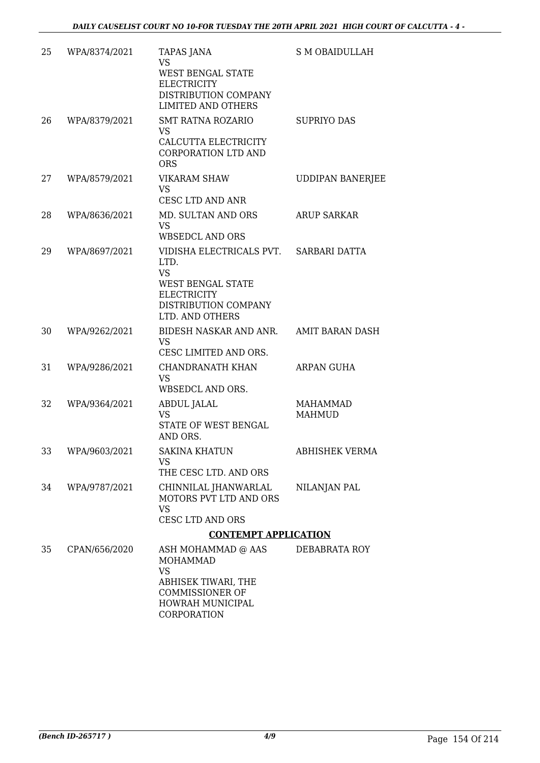| 25 | WPA/8374/2021 | <b>TAPAS JANA</b><br><b>VS</b><br><b>WEST BENGAL STATE</b><br><b>ELECTRICITY</b><br>DISTRIBUTION COMPANY<br><b>LIMITED AND OTHERS</b>                    | S M OBAIDULLAH            |
|----|---------------|----------------------------------------------------------------------------------------------------------------------------------------------------------|---------------------------|
| 26 | WPA/8379/2021 | <b>SMT RATNA ROZARIO</b><br>VS<br>CALCUTTA ELECTRICITY<br>CORPORATION LTD AND<br><b>ORS</b>                                                              | <b>SUPRIYO DAS</b>        |
| 27 | WPA/8579/2021 | <b>VIKARAM SHAW</b><br><b>VS</b><br>CESC LTD AND ANR                                                                                                     | <b>UDDIPAN BANERJEE</b>   |
| 28 | WPA/8636/2021 | MD. SULTAN AND ORS<br><b>VS</b><br><b>WBSEDCL AND ORS</b>                                                                                                | <b>ARUP SARKAR</b>        |
| 29 | WPA/8697/2021 | VIDISHA ELECTRICALS PVT. SARBARI DATTA<br>LTD.<br><b>VS</b><br><b>WEST BENGAL STATE</b><br><b>ELECTRICITY</b><br>DISTRIBUTION COMPANY<br>LTD. AND OTHERS |                           |
| 30 | WPA/9262/2021 | BIDESH NASKAR AND ANR.<br><b>VS</b><br>CESC LIMITED AND ORS.                                                                                             | <b>AMIT BARAN DASH</b>    |
| 31 | WPA/9286/2021 | CHANDRANATH KHAN<br>VS<br>WBSEDCL AND ORS.                                                                                                               | ARPAN GUHA                |
| 32 | WPA/9364/2021 | ABDUL JALAL<br><b>VS</b><br>STATE OF WEST BENGAL<br>AND ORS.                                                                                             | <b>MAHAMMAD</b><br>MAHMUD |
| 33 | WPA/9603/2021 | <b>SAKINA KHATUN</b><br><b>VS</b><br>THE CESC LTD. AND ORS                                                                                               | <b>ABHISHEK VERMA</b>     |
| 34 | WPA/9787/2021 | CHINNILAL JHANWARLAL<br>MOTORS PVT LTD AND ORS<br><b>VS</b><br>CESC LTD AND ORS                                                                          | NILANJAN PAL              |
|    |               | <b>CONTEMPT APPLICATION</b>                                                                                                                              |                           |
| 35 | CPAN/656/2020 | ASH MOHAMMAD @ AAS<br><b>MOHAMMAD</b><br><b>VS</b><br>ABHISEK TIWARI, THE<br><b>COMMISSIONER OF</b><br>HOWRAH MUNICIPAL<br>CORPORATION                   | DEBABRATA ROY             |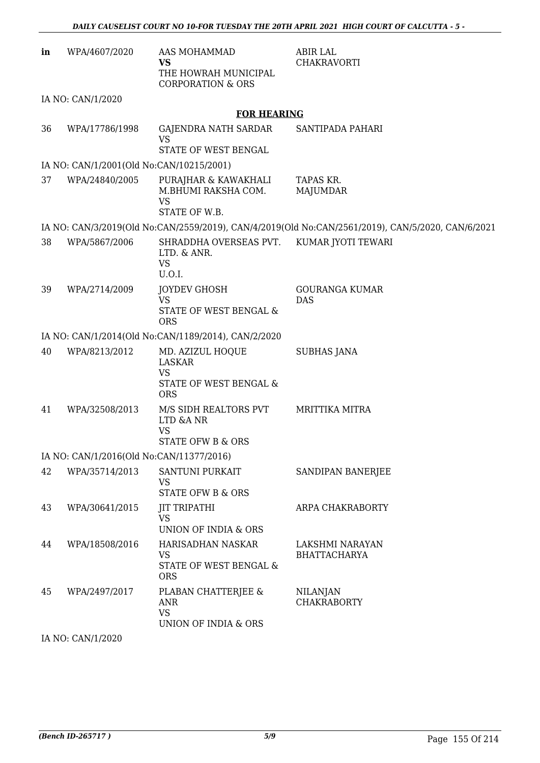| in | WPA/4607/2020                            | AAS MOHAMMAD<br><b>VS</b><br>THE HOWRAH MUNICIPAL<br><b>CORPORATION &amp; ORS</b>      | <b>ABIR LAL</b><br><b>CHAKRAVORTI</b>                                                             |
|----|------------------------------------------|----------------------------------------------------------------------------------------|---------------------------------------------------------------------------------------------------|
|    | IA NO: CAN/1/2020                        |                                                                                        |                                                                                                   |
|    |                                          | <b>FOR HEARING</b>                                                                     |                                                                                                   |
| 36 | WPA/17786/1998                           | GAJENDRA NATH SARDAR<br><b>VS</b><br>STATE OF WEST BENGAL                              | SANTIPADA PAHARI                                                                                  |
|    | IA NO: CAN/1/2001(Old No:CAN/10215/2001) |                                                                                        |                                                                                                   |
| 37 | WPA/24840/2005                           | PURAJHAR & KAWAKHALI<br>M.BHUMI RAKSHA COM.<br><b>VS</b><br>STATE OF W.B.              | TAPAS KR.<br><b>MAJUMDAR</b>                                                                      |
|    |                                          |                                                                                        | IA NO: CAN/3/2019(Old No:CAN/2559/2019), CAN/4/2019(Old No:CAN/2561/2019), CAN/5/2020, CAN/6/2021 |
| 38 | WPA/5867/2006                            | SHRADDHA OVERSEAS PVT.<br>LTD. & ANR.<br><b>VS</b><br>U.O.I.                           | KUMAR JYOTI TEWARI                                                                                |
| 39 | WPA/2714/2009                            | <b>JOYDEV GHOSH</b><br><b>VS</b><br>STATE OF WEST BENGAL &<br><b>ORS</b>               | <b>GOURANGA KUMAR</b><br><b>DAS</b>                                                               |
|    |                                          | IA NO: CAN/1/2014(Old No:CAN/1189/2014), CAN/2/2020                                    |                                                                                                   |
| 40 | WPA/8213/2012                            | MD. AZIZUL HOQUE<br><b>LASKAR</b><br><b>VS</b><br>STATE OF WEST BENGAL &<br><b>ORS</b> | <b>SUBHAS JANA</b>                                                                                |
| 41 | WPA/32508/2013                           | M/S SIDH REALTORS PVT<br>LTD &A NR<br><b>VS</b><br>STATE OFW B & ORS                   | <b>MRITTIKA MITRA</b>                                                                             |
|    | IA NO: CAN/1/2016(Old No:CAN/11377/2016) |                                                                                        |                                                                                                   |
| 42 | WPA/35714/2013                           | SANTUNI PURKAIT<br><b>VS</b><br><b>STATE OFW B &amp; ORS</b>                           | SANDIPAN BANERJEE                                                                                 |
| 43 | WPA/30641/2015                           | <b>JIT TRIPATHI</b><br><b>VS</b><br>UNION OF INDIA & ORS                               | ARPA CHAKRABORTY                                                                                  |
| 44 | WPA/18508/2016                           | HARISADHAN NASKAR<br>VS<br>STATE OF WEST BENGAL &<br><b>ORS</b>                        | LAKSHMI NARAYAN<br><b>BHATTACHARYA</b>                                                            |
| 45 | WPA/2497/2017                            | PLABAN CHATTERJEE &<br><b>ANR</b><br><b>VS</b><br>UNION OF INDIA & ORS                 | <b>NILANJAN</b><br><b>CHAKRABORTY</b>                                                             |
|    | $IA$ $NO$ . $CAN/1/2020$                 |                                                                                        |                                                                                                   |

IA NO: CAN/1/2020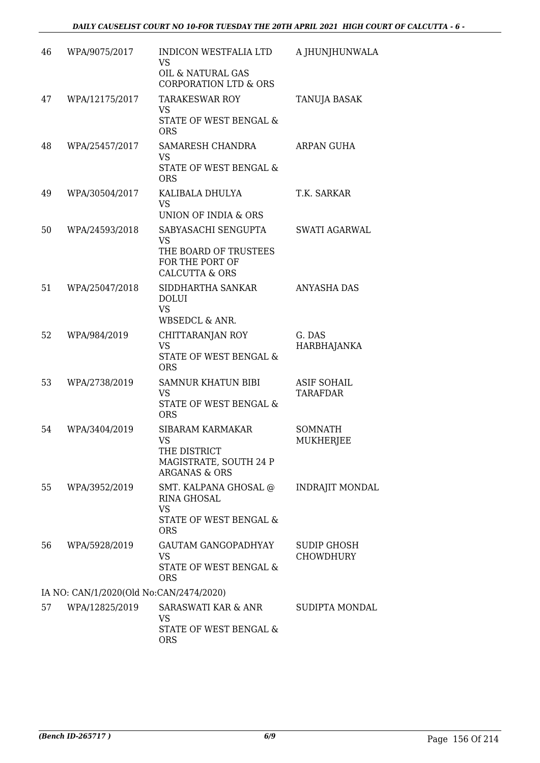| 46 | WPA/9075/2017                           | <b>INDICON WESTFALIA LTD</b><br><b>VS</b>                                                           | A JHUNJHUNWALA                         |
|----|-----------------------------------------|-----------------------------------------------------------------------------------------------------|----------------------------------------|
|    |                                         | OIL & NATURAL GAS<br><b>CORPORATION LTD &amp; ORS</b>                                               |                                        |
| 47 | WPA/12175/2017                          | <b>TARAKESWAR ROY</b><br><b>VS</b>                                                                  | <b>TANUJA BASAK</b>                    |
|    |                                         | STATE OF WEST BENGAL &<br><b>ORS</b>                                                                |                                        |
| 48 | WPA/25457/2017                          | SAMARESH CHANDRA<br><b>VS</b><br>STATE OF WEST BENGAL &<br><b>ORS</b>                               | ARPAN GUHA                             |
| 49 | WPA/30504/2017                          | KALIBALA DHULYA<br><b>VS</b><br>UNION OF INDIA & ORS                                                | T.K. SARKAR                            |
| 50 | WPA/24593/2018                          | SABYASACHI SENGUPTA<br><b>VS</b>                                                                    | <b>SWATI AGARWAL</b>                   |
|    |                                         | THE BOARD OF TRUSTEES<br>FOR THE PORT OF<br><b>CALCUTTA &amp; ORS</b>                               |                                        |
| 51 | WPA/25047/2018                          | SIDDHARTHA SANKAR<br><b>DOLUI</b><br><b>VS</b><br><b>WBSEDCL &amp; ANR.</b>                         | ANYASHA DAS                            |
| 52 | WPA/984/2019                            | CHITTARANJAN ROY<br><b>VS</b><br>STATE OF WEST BENGAL &<br><b>ORS</b>                               | G. DAS<br>HARBHAJANKA                  |
| 53 | WPA/2738/2019                           | <b>SAMNUR KHATUN BIBI</b><br><b>VS</b><br>STATE OF WEST BENGAL &<br><b>ORS</b>                      | <b>ASIF SOHAIL</b><br><b>TARAFDAR</b>  |
| 54 | WPA/3404/2019                           | SIBARAM KARMAKAR<br><b>VS</b><br>THE DISTRICT<br>MAGISTRATE, SOUTH 24 P<br><b>ARGANAS &amp; ORS</b> | <b>SOMNATH</b><br><b>MUKHERJEE</b>     |
| 55 | WPA/3952/2019                           | SMT. KALPANA GHOSAL @<br>RINA GHOSAL<br><b>VS</b><br>STATE OF WEST BENGAL &<br><b>ORS</b>           | <b>INDRAJIT MONDAL</b>                 |
| 56 | WPA/5928/2019                           | <b>GAUTAM GANGOPADHYAY</b><br>VS<br>STATE OF WEST BENGAL &<br><b>ORS</b>                            | <b>SUDIP GHOSH</b><br><b>CHOWDHURY</b> |
|    | IA NO: CAN/1/2020(Old No:CAN/2474/2020) |                                                                                                     |                                        |
| 57 | WPA/12825/2019                          | SARASWATI KAR & ANR<br>VS.<br>STATE OF WEST BENGAL &<br><b>ORS</b>                                  | SUDIPTA MONDAL                         |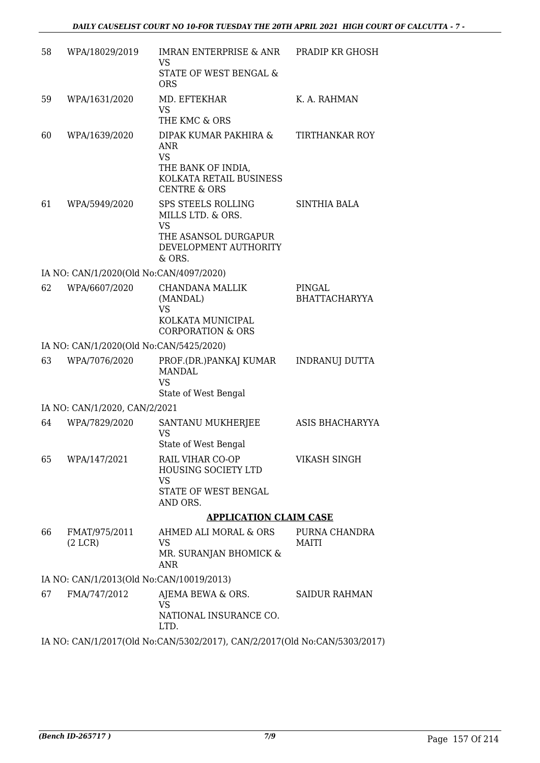| 58 | WPA/18029/2019                           | IMRAN ENTERPRISE & ANR<br>VS<br>STATE OF WEST BENGAL &<br><b>ORS</b>                                                         | PRADIP KR GHOSH                |
|----|------------------------------------------|------------------------------------------------------------------------------------------------------------------------------|--------------------------------|
| 59 | WPA/1631/2020                            | MD. EFTEKHAR<br><b>VS</b><br>THE KMC & ORS                                                                                   | K. A. RAHMAN                   |
| 60 | WPA/1639/2020                            | DIPAK KUMAR PAKHIRA &<br><b>ANR</b><br><b>VS</b><br>THE BANK OF INDIA,<br>KOLKATA RETAIL BUSINESS<br><b>CENTRE &amp; ORS</b> | <b>TIRTHANKAR ROY</b>          |
| 61 | WPA/5949/2020                            | <b>SPS STEELS ROLLING</b><br>MILLS LTD. & ORS.<br><b>VS</b><br>THE ASANSOL DURGAPUR<br>DEVELOPMENT AUTHORITY<br>& ORS.       | SINTHIA BALA                   |
|    | IA NO: CAN/1/2020(Old No:CAN/4097/2020)  |                                                                                                                              |                                |
| 62 | WPA/6607/2020                            | CHANDANA MALLIK<br>(MANDAL)<br><b>VS</b><br>KOLKATA MUNICIPAL<br><b>CORPORATION &amp; ORS</b>                                | PINGAL<br><b>BHATTACHARYYA</b> |
|    | IA NO: CAN/1/2020(Old No:CAN/5425/2020)  |                                                                                                                              |                                |
| 63 | WPA/7076/2020                            | PROF.(DR.)PANKAJ KUMAR<br><b>MANDAL</b><br><b>VS</b><br>State of West Bengal                                                 | <b>INDRANUJ DUTTA</b>          |
|    | IA NO: CAN/1/2020, CAN/2/2021            |                                                                                                                              |                                |
| 64 | WPA/7829/2020                            | SANTANU MUKHERJEE<br><b>VS</b><br>State of West Bengal                                                                       | ASIS BHACHARYYA                |
| 65 | WPA/147/2021                             | RAIL VIHAR CO-OP<br>HOUSING SOCIETY LTD<br><b>VS</b><br>STATE OF WEST BENGAL<br>AND ORS.                                     | VIKASH SINGH                   |
|    |                                          | <b>APPLICATION CLAIM CASE</b>                                                                                                |                                |
| 66 | FMAT/975/2011                            | AHMED ALI MORAL & ORS                                                                                                        | PURNA CHANDRA                  |
|    | (2 LCR)                                  | <b>VS</b><br>MR. SURANJAN BHOMICK &<br><b>ANR</b>                                                                            | <b>MAITI</b>                   |
|    | IA NO: CAN/1/2013(Old No:CAN/10019/2013) |                                                                                                                              |                                |
| 67 | FMA/747/2012                             | AJEMA BEWA & ORS.<br><b>VS</b><br>NATIONAL INSURANCE CO.<br>LTD.                                                             | <b>SAIDUR RAHMAN</b>           |
|    |                                          | IA NO: CAN/1/2017(Old No:CAN/5302/2017), CAN/2/2017(Old No:CAN/5303/2017)                                                    |                                |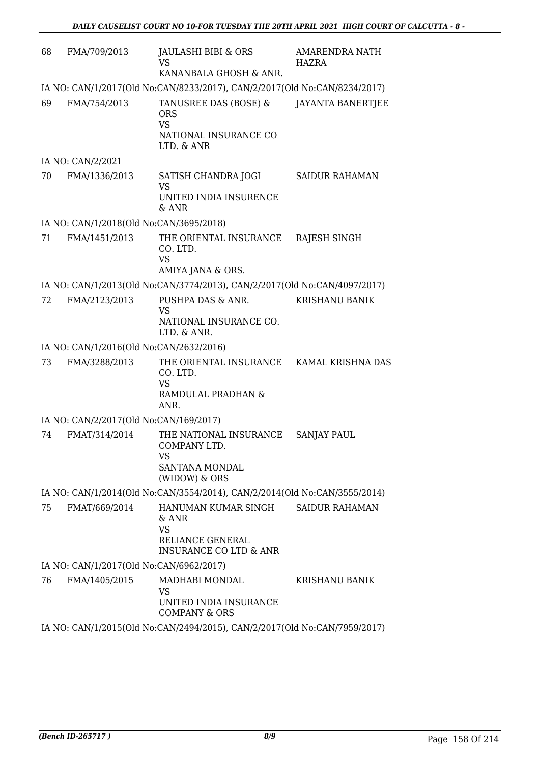| 68                                                                        | FMA/709/2013                                                              | JAULASHI BIBI & ORS<br>VS<br>KANANBALA GHOSH & ANR.                                                | <b>AMARENDRA NATH</b><br>HAZRA |
|---------------------------------------------------------------------------|---------------------------------------------------------------------------|----------------------------------------------------------------------------------------------------|--------------------------------|
|                                                                           | IA NO: CAN/1/2017(Old No:CAN/8233/2017), CAN/2/2017(Old No:CAN/8234/2017) |                                                                                                    |                                |
| 69                                                                        | FMA/754/2013                                                              | TANUSREE DAS (BOSE) &<br><b>ORS</b><br><b>VS</b><br>NATIONAL INSURANCE CO<br>LTD. & ANR            | <b>JAYANTA BANERTJEE</b>       |
|                                                                           | IA NO: CAN/2/2021                                                         |                                                                                                    |                                |
| 70                                                                        | FMA/1336/2013                                                             | SATISH CHANDRA JOGI<br><b>VS</b><br>UNITED INDIA INSURENCE<br>& ANR                                | <b>SAIDUR RAHAMAN</b>          |
|                                                                           | IA NO: CAN/1/2018(Old No:CAN/3695/2018)                                   |                                                                                                    |                                |
| 71                                                                        | FMA/1451/2013                                                             | THE ORIENTAL INSURANCE<br>CO. LTD.<br><b>VS</b><br>AMIYA JANA & ORS.                               | RAJESH SINGH                   |
|                                                                           |                                                                           | IA NO: CAN/1/2013(Old No:CAN/3774/2013), CAN/2/2017(Old No:CAN/4097/2017)                          |                                |
| 72                                                                        | FMA/2123/2013                                                             | PUSHPA DAS & ANR.<br><b>VS</b><br>NATIONAL INSURANCE CO.<br>LTD. & ANR.                            | <b>KRISHANU BANIK</b>          |
|                                                                           | IA NO: CAN/1/2016(Old No:CAN/2632/2016)                                   |                                                                                                    |                                |
| 73                                                                        | FMA/3288/2013                                                             | THE ORIENTAL INSURANCE<br>CO. LTD.<br><b>VS</b><br>RAMDULAL PRADHAN &<br>ANR.                      | KAMAL KRISHNA DAS              |
|                                                                           | IA NO: CAN/2/2017(Old No:CAN/169/2017)                                    |                                                                                                    |                                |
| 74                                                                        | FMAT/314/2014                                                             | THE NATIONAL INSURANCE<br><b>COMPANY LTD</b><br>VS<br>SANTANA MONDAL<br>(WIDOW) & ORS              | <b>SANJAY PAUL</b>             |
|                                                                           |                                                                           | IA NO: CAN/1/2014(Old No:CAN/3554/2014), CAN/2/2014(Old No:CAN/3555/2014)                          |                                |
| 75                                                                        | FMAT/669/2014                                                             | HANUMAN KUMAR SINGH<br>& ANR<br><b>VS</b><br>RELIANCE GENERAL<br><b>INSURANCE CO LTD &amp; ANR</b> | <b>SAIDUR RAHAMAN</b>          |
|                                                                           | IA NO: CAN/1/2017(Old No:CAN/6962/2017)                                   |                                                                                                    |                                |
| 76                                                                        | FMA/1405/2015                                                             | MADHABI MONDAL<br>VS<br>UNITED INDIA INSURANCE<br><b>COMPANY &amp; ORS</b>                         | <b>KRISHANU BANIK</b>          |
| IA NO: CAN/1/2015(Old No:CAN/2494/2015), CAN/2/2017(Old No:CAN/7959/2017) |                                                                           |                                                                                                    |                                |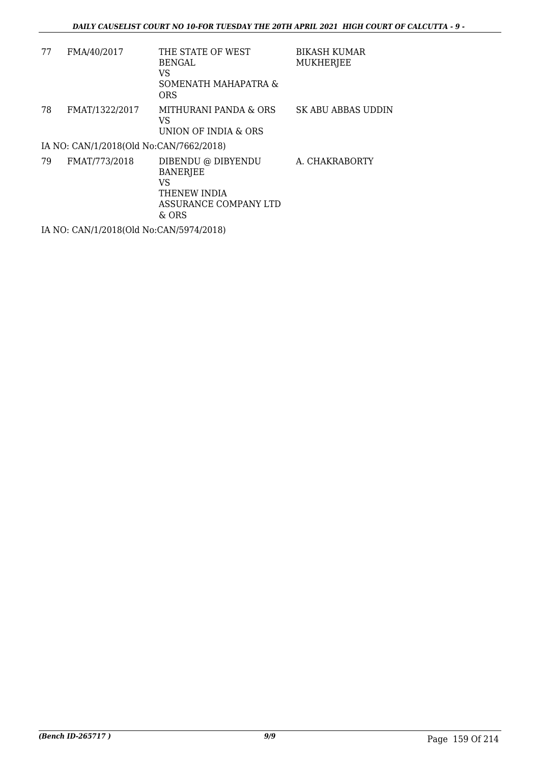| 77 | FMA/40/2017                             | THE STATE OF WEST<br><b>BENGAL</b><br>VS<br>SOMENATH MAHAPATRA &<br><b>ORS</b>                | BIKASH KUMAR<br><b>MUKHERJEE</b> |
|----|-----------------------------------------|-----------------------------------------------------------------------------------------------|----------------------------------|
| 78 | FMAT/1322/2017                          | MITHURANI PANDA & ORS<br>VS<br>UNION OF INDIA & ORS                                           | <b>SK ABU ABBAS UDDIN</b>        |
|    | IA NO: CAN/1/2018(Old No:CAN/7662/2018) |                                                                                               |                                  |
| 79 | FMAT/773/2018                           | DIBENDU @ DIBYENDU<br><b>BANERJEE</b><br>VS<br>THENEW INDIA<br>ASSURANCE COMPANY LTD<br>& ORS | A. CHAKRABORTY                   |

IA NO: CAN/1/2018(Old No:CAN/5974/2018)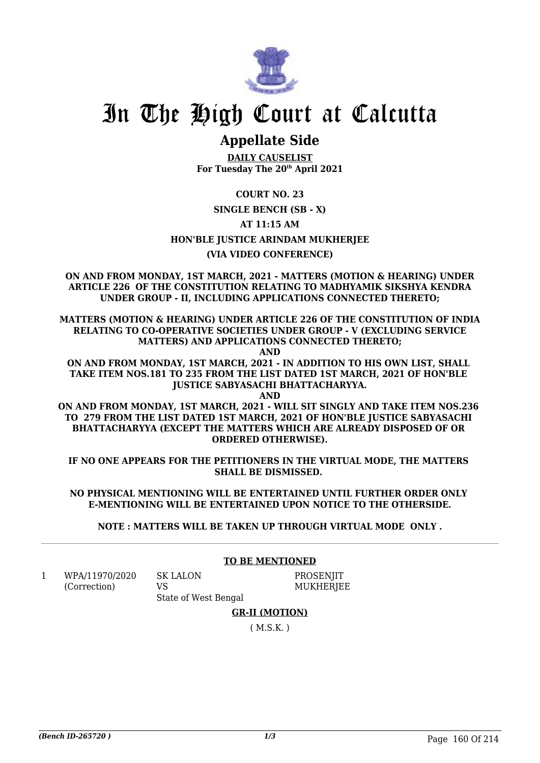

## **Appellate Side**

**DAILY CAUSELIST For Tuesday The 20th April 2021**

**COURT NO. 23**

### **SINGLE BENCH (SB - X)**

**AT 11:15 AM**

**HON'BLE JUSTICE ARINDAM MUKHERJEE**

### **(VIA VIDEO CONFERENCE)**

**ON AND FROM MONDAY, 1ST MARCH, 2021 - MATTERS (MOTION & HEARING) UNDER ARTICLE 226 OF THE CONSTITUTION RELATING TO MADHYAMIK SIKSHYA KENDRA UNDER GROUP - II, INCLUDING APPLICATIONS CONNECTED THERETO;**

**MATTERS (MOTION & HEARING) UNDER ARTICLE 226 OF THE CONSTITUTION OF INDIA RELATING TO CO-OPERATIVE SOCIETIES UNDER GROUP - V (EXCLUDING SERVICE MATTERS) AND APPLICATIONS CONNECTED THERETO;**

**AND**

**ON AND FROM MONDAY, 1ST MARCH, 2021 - IN ADDITION TO HIS OWN LIST, SHALL TAKE ITEM NOS.181 TO 235 FROM THE LIST DATED 1ST MARCH, 2021 OF HON'BLE JUSTICE SABYASACHI BHATTACHARYYA.**

**AND ON AND FROM MONDAY, 1ST MARCH, 2021 - WILL SIT SINGLY AND TAKE ITEM NOS.236 TO 279 FROM THE LIST DATED 1ST MARCH, 2021 OF HON'BLE JUSTICE SABYASACHI BHATTACHARYYA (EXCEPT THE MATTERS WHICH ARE ALREADY DISPOSED OF OR ORDERED OTHERWISE).**

**IF NO ONE APPEARS FOR THE PETITIONERS IN THE VIRTUAL MODE, THE MATTERS SHALL BE DISMISSED.** 

**NO PHYSICAL MENTIONING WILL BE ENTERTAINED UNTIL FURTHER ORDER ONLY E-MENTIONING WILL BE ENTERTAINED UPON NOTICE TO THE OTHERSIDE.**

**NOTE : MATTERS WILL BE TAKEN UP THROUGH VIRTUAL MODE ONLY .**

1 WPA/11970/2020 (Correction)

SK LALON

VS

**TO BE MENTIONED**

State of West Bengal **PROSENIIT MUKHERIEE** 

**GR-II (MOTION)**

( M.S.K. )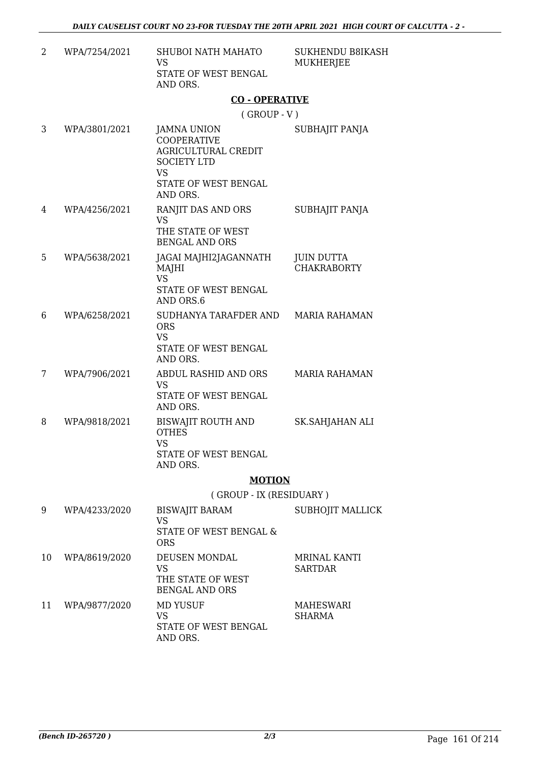| WPA/7254/2021 | SHUBOI NATH MAHATO<br>VS         |
|---------------|----------------------------------|
|               | STATE OF WEST BENGAL<br>AND ORS. |

SUKHENDU B8IKASH MUKHERJEE

### **CO - OPERATIVE**

( GROUP - V )

| 3  | WPA/3801/2021 | <b>JAMNA UNION</b><br><b>COOPERATIVE</b><br><b>AGRICULTURAL CREDIT</b><br><b>SOCIETY LTD</b><br><b>VS</b><br><b>STATE OF WEST BENGAL</b><br>AND ORS. | SUBHAJIT PANJA                          |
|----|---------------|------------------------------------------------------------------------------------------------------------------------------------------------------|-----------------------------------------|
| 4  | WPA/4256/2021 | RANJIT DAS AND ORS<br><b>VS</b><br>THE STATE OF WEST<br><b>BENGAL AND ORS</b>                                                                        | SUBHAJIT PANJA                          |
| 5  | WPA/5638/2021 | JAGAI MAJHI2JAGANNATH<br>MAJHI<br><b>VS</b><br>STATE OF WEST BENGAL<br>AND ORS.6                                                                     | <b>JUIN DUTTA</b><br><b>CHAKRABORTY</b> |
| 6  | WPA/6258/2021 | SUDHANYA TARAFDER AND<br><b>ORS</b><br><b>VS</b><br>STATE OF WEST BENGAL<br>AND ORS.                                                                 | <b>MARIA RAHAMAN</b>                    |
| 7  | WPA/7906/2021 | ABDUL RASHID AND ORS<br><b>VS</b><br>STATE OF WEST BENGAL<br>AND ORS.                                                                                | <b>MARIA RAHAMAN</b>                    |
| 8  | WPA/9818/2021 | BISWAJIT ROUTH AND<br><b>OTHES</b><br><b>VS</b><br>STATE OF WEST BENGAL<br>AND ORS.                                                                  | SK.SAHJAHAN ALI                         |
|    |               | <b>MOTION</b>                                                                                                                                        |                                         |
|    |               | (GROUP - IX (RESIDUARY)                                                                                                                              |                                         |
| 9  | WPA/4233/2020 | <b>BISWAJIT BARAM</b><br><b>VS</b><br>STATE OF WEST BENGAL &<br><b>ORS</b>                                                                           | SUBHOJIT MALLICK                        |
| 10 | WPA/8619/2020 | DEUSEN MONDAL<br><b>VS</b><br>THE STATE OF WEST<br><b>BENGAL AND ORS</b>                                                                             | <b>MRINAL KANTI</b><br><b>SARTDAR</b>   |
| 11 | WPA/9877/2020 | <b>MD YUSUF</b><br><b>VS</b><br>STATE OF WEST BENGAL<br>AND ORS.                                                                                     | <b>MAHESWARI</b><br><b>SHARMA</b>       |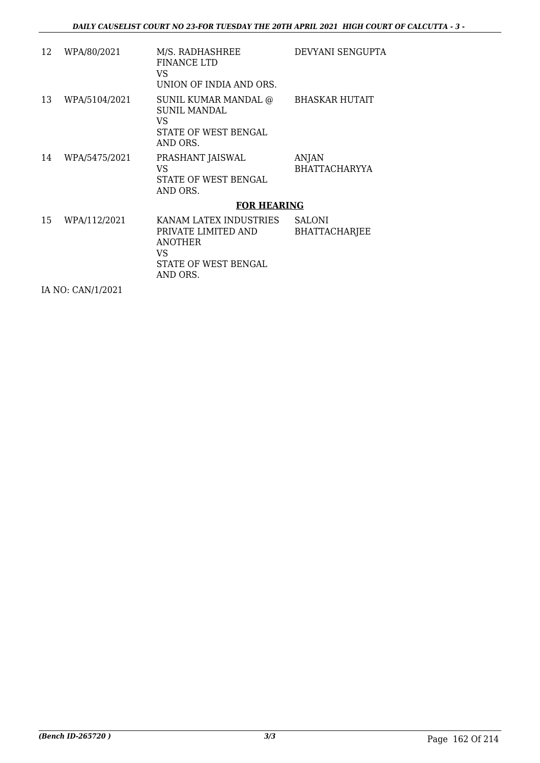| WPA/80/2021   | M/S. RADHASHREE<br><b>FINANCE LTD</b><br>VS<br>UNION OF INDIA AND ORS.                 | DEVYANI SENGUPTA                             |
|---------------|----------------------------------------------------------------------------------------|----------------------------------------------|
| WPA/5104/2021 | SUNIL KUMAR MANDAL @<br><b>SUNIL MANDAL</b><br>VS<br>STATE OF WEST BENGAL<br>AND ORS.  | <b>BHASKAR HUTAIT</b>                        |
| WPA/5475/2021 | PRASHANT JAISWAL<br>VS<br>STATE OF WEST BENGAL<br>AND ORS.                             | <b>ANJAN</b><br><b>BHATTACHARYYA</b>         |
|               |                                                                                        |                                              |
| WPA/112/2021  | PRIVATE LIMITED AND<br><b>ANOTHER</b><br>VS<br><b>STATE OF WEST BENGAL</b><br>AND ORS. | <b>SALONI</b><br><b>BHATTACHARJEE</b>        |
|               |                                                                                        | <b>FOR HEARING</b><br>KANAM LATEX INDUSTRIES |

IA NO: CAN/1/2021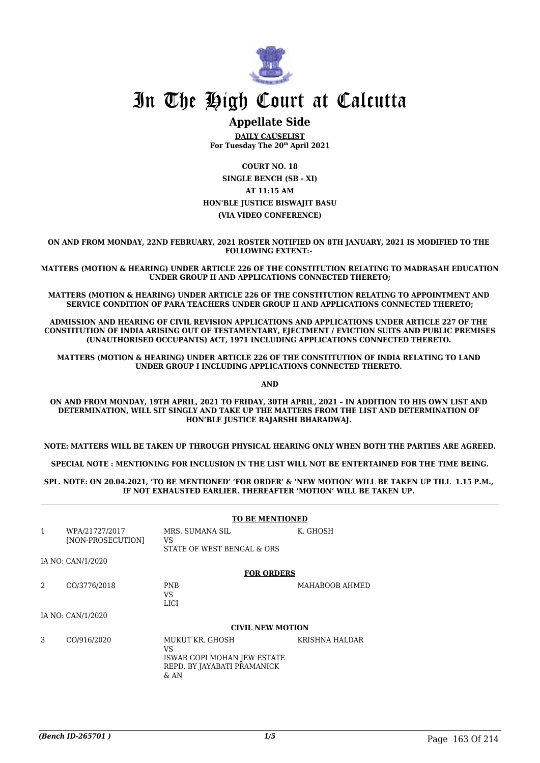

## **Appellate Side**

**DAILY CAUSELIST For Tuesday The 20th April 2021**

**COURT NO. 18 SINGLE BENCH (SB - XI) AT 11:15 AM HON'BLE JUSTICE BISWAJIT BASU (VIA VIDEO CONFERENCE)**

**ON AND FROM MONDAY, 22ND FEBRUARY, 2021 ROSTER NOTIFIED ON 8TH JANUARY, 2021 IS MODIFIED TO THE FOLLOWING EXTENT:-** 

**MATTERS (MOTION & HEARING) UNDER ARTICLE 226 OF THE CONSTITUTION RELATING TO MADRASAH EDUCATION UNDER GROUP II AND APPLICATIONS CONNECTED THERETO;**

**MATTERS (MOTION & HEARING) UNDER ARTICLE 226 OF THE CONSTITUTION RELATING TO APPOINTMENT AND SERVICE CONDITION OF PARA TEACHERS UNDER GROUP II AND APPLICATIONS CONNECTED THERETO;**

**ADMISSION AND HEARING OF CIVIL REVISION APPLICATIONS AND APPLICATIONS UNDER ARTICLE 227 OF THE CONSTITUTION OF INDIA ARISING OUT OF TESTAMENTARY, EJECTMENT / EVICTION SUITS AND PUBLIC PREMISES (UNAUTHORISED OCCUPANTS) ACT, 1971 INCLUDING APPLICATIONS CONNECTED THERETO.** 

**MATTERS (MOTION & HEARING) UNDER ARTICLE 226 OF THE CONSTITUTION OF INDIA RELATING TO LAND UNDER GROUP I INCLUDING APPLICATIONS CONNECTED THERETO.** 

**AND**

**ON AND FROM MONDAY, 19TH APRIL, 2021 TO FRIDAY, 30TH APRIL, 2021 – IN ADDITION TO HIS OWN LIST AND DETERMINATION, WILL SIT SINGLY AND TAKE UP THE MATTERS FROM THE LIST AND DETERMINATION OF HON'BLE JUSTICE RAJARSHI BHARADWAJ.** 

**NOTE: MATTERS WILL BE TAKEN UP THROUGH PHYSICAL HEARING ONLY WHEN BOTH THE PARTIES ARE AGREED.**

**SPECIAL NOTE : MENTIONING FOR INCLUSION IN THE LIST WILL NOT BE ENTERTAINED FOR THE TIME BEING.**

**SPL. NOTE: ON 20.04.2021, 'TO BE MENTIONED' 'FOR ORDER' & 'NEW MOTION' WILL BE TAKEN UP TILL 1.15 P.M., IF NOT EXHAUSTED EARLIER. THEREAFTER 'MOTION' WILL BE TAKEN UP.** 

|              |                                     | <b>TO BE MENTIONED</b>                                                                        |                |
|--------------|-------------------------------------|-----------------------------------------------------------------------------------------------|----------------|
| $\mathbf{1}$ | WPA/21727/2017<br>[NON-PROSECUTION] | MRS. SUMANA SIL<br>VS<br>STATE OF WEST BENGAL & ORS                                           | K. GHOSH       |
|              | IA NO: CAN/1/2020                   |                                                                                               |                |
|              |                                     | <b>FOR ORDERS</b>                                                                             |                |
| 2            | CO/3776/2018                        | <b>PNB</b><br>VS<br><b>LICI</b>                                                               | MAHABOOB AHMED |
|              | IA NO: CAN/1/2020                   |                                                                                               |                |
|              |                                     | <b>CIVIL NEW MOTION</b>                                                                       |                |
| 3            | CO/916/2020                         | MUKUT KR. GHOSH<br>VS<br>ISWAR GOPI MOHAN JEW ESTATE<br>REPD. BY JAYABATI PRAMANICK<br>$&$ AN | KRISHNA HALDAR |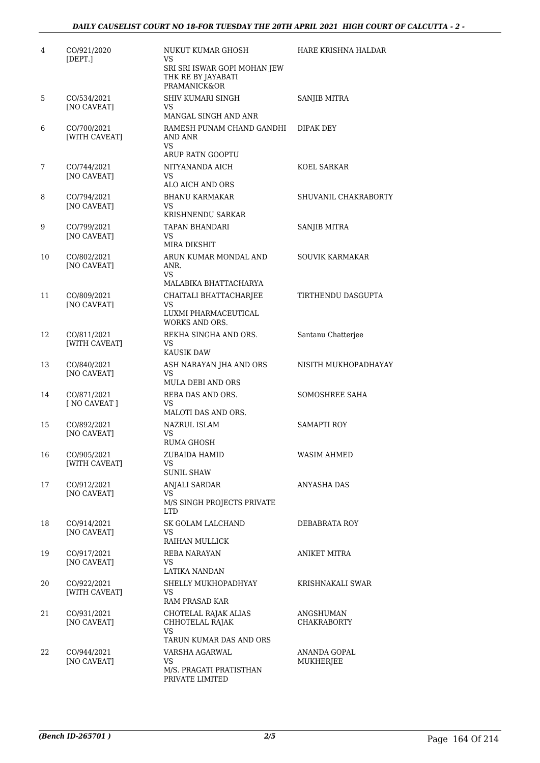| 4  | CO/921/2020<br>[DEPT.]       | NUKUT KUMAR GHOSH<br>VS<br>SRI SRI ISWAR GOPI MOHAN JEW<br>THK RE BY JAYABATI<br><b>PRAMANICK&amp;OR</b> | HARE KRISHNA HALDAR       |
|----|------------------------------|----------------------------------------------------------------------------------------------------------|---------------------------|
| 5  | CO/534/2021<br>[NO CAVEAT]   | SHIV KUMARI SINGH<br>VS.                                                                                 | SANJIB MITRA              |
| 6  | CO/700/2021<br>[WITH CAVEAT] | MANGAL SINGH AND ANR<br>RAMESH PUNAM CHAND GANDHI<br>AND ANR<br>VS.                                      | DIPAK DEY                 |
| 7  | CO/744/2021                  | ARUP RATN GOOPTU<br>NITYANANDA AICH                                                                      | KOEL SARKAR               |
|    | [NO CAVEAT]                  | VS.<br>ALO AICH AND ORS                                                                                  |                           |
| 8  | CO/794/2021<br>[NO CAVEAT]   | <b>BHANU KARMAKAR</b><br>VS.<br>KRISHNENDU SARKAR                                                        | SHUVANIL CHAKRABORTY      |
| 9  | CO/799/2021<br>[NO CAVEAT]   | TAPAN BHANDARI<br>VS<br>MIRA DIKSHIT                                                                     | <b>SANJIB MITRA</b>       |
| 10 | CO/802/2021<br>[NO CAVEAT]   | ARUN KUMAR MONDAL AND<br>ANR.<br>VS.<br>MALABIKA BHATTACHARYA                                            | SOUVIK KARMAKAR           |
| 11 | CO/809/2021<br>[NO CAVEAT]   | CHAITALI BHATTACHARJEE<br>VS.<br>LUXMI PHARMACEUTICAL<br><b>WORKS AND ORS.</b>                           | TIRTHENDU DASGUPTA        |
| 12 | CO/811/2021<br>[WITH CAVEAT] | REKHA SINGHA AND ORS.<br>VS<br><b>KAUSIK DAW</b>                                                         | Santanu Chatterjee        |
| 13 | CO/840/2021<br>[NO CAVEAT]   | ASH NARAYAN JHA AND ORS<br>VS<br><b>MULA DEBI AND ORS</b>                                                | NISITH MUKHOPADHAYAY      |
| 14 | CO/871/2021<br>[ NO CAVEAT ] | REBA DAS AND ORS.<br>VS<br>MALOTI DAS AND ORS.                                                           | SOMOSHREE SAHA            |
| 15 | CO/892/2021<br>[NO CAVEAT]   | NAZRUL ISLAM<br>VS<br><b>RUMA GHOSH</b>                                                                  | <b>SAMAPTI ROY</b>        |
| 16 | CO/905/2021<br>[WITH CAVEAT] | ZUBAIDA HAMID<br>VS<br><b>SUNIL SHAW</b>                                                                 | <b>WASIM AHMED</b>        |
| 17 | CO/912/2021<br>[NO CAVEAT]   | <b>ANJALI SARDAR</b><br>VS<br>M/S SINGH PROJECTS PRIVATE<br>LTD.                                         | ANYASHA DAS               |
| 18 | CO/914/2021<br>[NO CAVEAT]   | SK GOLAM LALCHAND<br>VS<br>RAIHAN MULLICK                                                                | DEBABRATA ROY             |
| 19 | CO/917/2021<br>[NO CAVEAT]   | REBA NARAYAN<br>VS<br>LATIKA NANDAN                                                                      | ANIKET MITRA              |
| 20 | CO/922/2021<br>[WITH CAVEAT] | SHELLY MUKHOPADHYAY<br>VS<br>RAM PRASAD KAR                                                              | KRISHNAKALI SWAR          |
| 21 | CO/931/2021<br>[NO CAVEAT]   | CHOTELAL RAJAK ALIAS<br>CHHOTELAL RAJAK<br>VS                                                            | ANGSHUMAN<br>CHAKRABORTY  |
| 22 | CO/944/2021<br>[NO CAVEAT]   | TARUN KUMAR DAS AND ORS<br>VARSHA AGARWAL<br>VS.<br>M/S. PRAGATI PRATISTHAN<br>PRIVATE LIMITED           | ANANDA GOPAL<br>MUKHERJEE |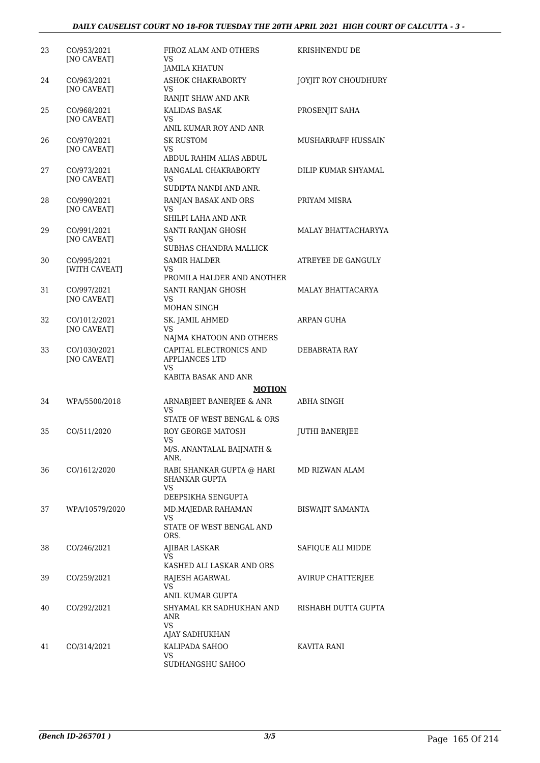| 23 | CO/953/2021<br>[NO CAVEAT]        | FIROZ ALAM AND OTHERS<br>VS<br><b>JAMILA KHATUN</b>                    | KRISHNENDU DE           |
|----|-----------------------------------|------------------------------------------------------------------------|-------------------------|
| 24 | CO/963/2021<br>[NO CAVEAT]        | <b>ASHOK CHAKRABORTY</b><br>VS<br>RANJIT SHAW AND ANR                  | JOYJIT ROY CHOUDHURY    |
| 25 | CO/968/2021<br><b>[NO CAVEAT]</b> | KALIDAS BASAK<br>VS<br>ANIL KUMAR ROY AND ANR                          | PROSENJIT SAHA          |
| 26 | CO/970/2021<br>[NO CAVEAT]        | SK RUSTOM<br>VS<br>ABDUL RAHIM ALIAS ABDUL                             | MUSHARRAFF HUSSAIN      |
| 27 | CO/973/2021<br>[NO CAVEAT]        | RANGALAL CHAKRABORTY<br>VS<br>SUDIPTA NANDI AND ANR.                   | DILIP KUMAR SHYAMAL     |
| 28 | CO/990/2021<br>[NO CAVEAT]        | RANJAN BASAK AND ORS<br>VS<br>SHILPI LAHA AND ANR                      | PRIYAM MISRA            |
| 29 | CO/991/2021<br>[NO CAVEAT]        | SANTI RANJAN GHOSH<br>VS<br>SUBHAS CHANDRA MALLICK                     | MALAY BHATTACHARYYA     |
| 30 | CO/995/2021<br>[WITH CAVEAT]      | <b>SAMIR HALDER</b><br>VS<br>PROMILA HALDER AND ANOTHER                | ATREYEE DE GANGULY      |
| 31 | CO/997/2021<br>[NO CAVEAT]        | SANTI RANJAN GHOSH<br>VS<br>MOHAN SINGH                                | MALAY BHATTACARYA       |
| 32 | CO/1012/2021<br>[NO CAVEAT]       | SK. JAMIL AHMED<br>VS<br>NAJMA KHATOON AND OTHERS                      | ARPAN GUHA              |
| 33 | CO/1030/2021<br>[NO CAVEAT]       | CAPITAL ELECTRONICS AND<br><b>APPLIANCES LTD</b><br>VS                 | DEBABRATA RAY           |
|    |                                   | KABITA BASAK AND ANR                                                   |                         |
| 34 | WPA/5500/2018                     | <b>MOTION</b><br>ARNABJEET BANERJEE & ANR                              | ABHA SINGH              |
|    |                                   | VS<br>STATE OF WEST BENGAL & ORS                                       |                         |
| 35 | CO/511/2020                       | <b>ROY GEORGE MATOSH</b><br>VS<br>M/S. ANANTALAL BAIJNATH $\&$<br>ANR. | <b>JUTHI BANERJEE</b>   |
| 36 | CO/1612/2020                      | RABI SHANKAR GUPTA @ HARI<br>SHANKAR GUPTA<br>VS.                      | MD RIZWAN ALAM          |
|    |                                   | DEEPSIKHA SENGUPTA                                                     |                         |
| 37 | WPA/10579/2020                    | MD.MAJEDAR RAHAMAN<br>VS<br>STATE OF WEST BENGAL AND<br>ORS.           | <b>BISWAJIT SAMANTA</b> |
| 38 | CO/246/2021                       | <b>AJIBAR LASKAR</b><br>VS<br>KASHED ALI LASKAR AND ORS                | SAFIOUE ALI MIDDE       |
| 39 | CO/259/2021                       | RAJESH AGARWAL<br>VS<br>ANIL KUMAR GUPTA                               | AVIRUP CHATTERJEE       |
| 40 | CO/292/2021                       | SHYAMAL KR SADHUKHAN AND<br>ANR<br>VS                                  | RISHABH DUTTA GUPTA     |
| 41 | CO/314/2021                       | AJAY SADHUKHAN<br>KALIPADA SAHOO<br>VS<br>SUDHANGSHU SAHOO             | KAVITA RANI             |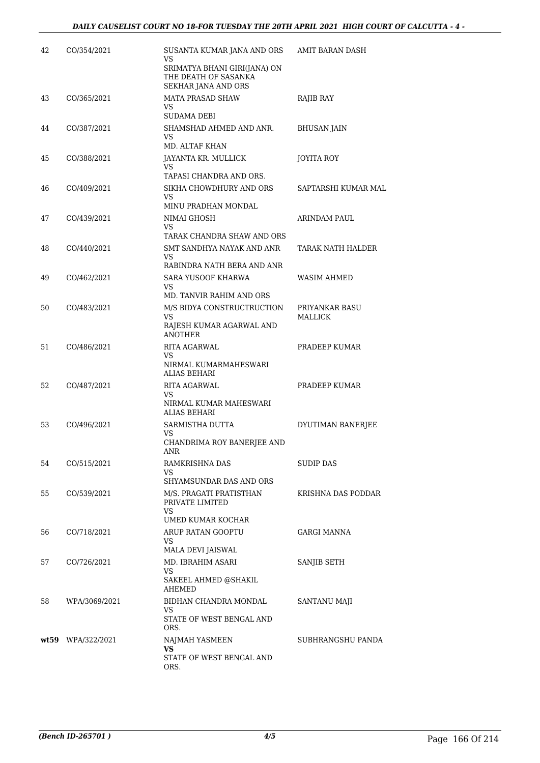| 42 | CO/354/2021       | SUSANTA KUMAR JANA AND ORS<br>VS<br>SRIMATYA BHANI GIRI(JANA) ON<br>THE DEATH OF SASANKA             | AMIT BARAN DASH           |
|----|-------------------|------------------------------------------------------------------------------------------------------|---------------------------|
| 43 | CO/365/2021       | SEKHAR JANA AND ORS<br>MATA PRASAD SHAW<br>VS                                                        | RAJIB RAY                 |
| 44 | CO/387/2021       | <b>SUDAMA DEBI</b><br>SHAMSHAD AHMED AND ANR.<br>VS<br>MD. ALTAF KHAN                                | <b>BHUSAN JAIN</b>        |
| 45 | CO/388/2021       | JAYANTA KR. MULLICK<br>VS.<br>TAPASI CHANDRA AND ORS.                                                | <b>JOYITA ROY</b>         |
| 46 | CO/409/2021       | SIKHA CHOWDHURY AND ORS<br>VS                                                                        | SAPTARSHI KUMAR MAL       |
| 47 | CO/439/2021       | MINU PRADHAN MONDAL<br>NIMAI GHOSH<br>VS                                                             | ARINDAM PAUL              |
| 48 | CO/440/2021       | TARAK CHANDRA SHAW AND ORS<br>SMT SANDHYA NAYAK AND ANR<br>VS                                        | TARAK NATH HALDER         |
| 49 | CO/462/2021       | RABINDRA NATH BERA AND ANR<br>SARA YUSOOF KHARWA<br>VS                                               | WASIM AHMED               |
| 50 | CO/483/2021       | MD. TANVIR RAHIM AND ORS<br>M/S BIDYA CONSTRUCTRUCTION<br>VS.<br>RAJESH KUMAR AGARWAL AND            | PRIYANKAR BASU<br>MALLICK |
| 51 | CO/486/2021       | <b>ANOTHER</b><br>RITA AGARWAL<br>VS<br>NIRMAL KUMARMAHESWARI                                        | PRADEEP KUMAR             |
| 52 | CO/487/2021       | <b>ALIAS BEHARI</b><br>RITA AGARWAL<br>VS                                                            | PRADEEP KUMAR             |
| 53 | CO/496/2021       | NIRMAL KUMAR MAHESWARI<br><b>ALIAS BEHARI</b><br>SARMISTHA DUTTA<br>VS<br>CHANDRIMA ROY BANERJEE AND | DYUTIMAN BANERJEE         |
| 54 | CO/515/2021       | ANR<br>RAMKRISHNA DAS<br>VS                                                                          | SUDIP DAS                 |
| 55 | CO/539/2021       | SHYAMSUNDAR DAS AND ORS<br>M/S. PRAGATI PRATISTHAN<br>PRIVATE LIMITED<br>VS                          | KRISHNA DAS PODDAR        |
| 56 | CO/718/2021       | UMED KUMAR KOCHAR<br>ARUP RATAN GOOPTU<br>VS                                                         | GARGI MANNA               |
| 57 | CO/726/2021       | MALA DEVI JAISWAL<br>MD. IBRAHIM ASARI<br>VS<br>SAKEEL AHMED @SHAKIL<br>AHEMED                       | SANJIB SETH               |
| 58 | WPA/3069/2021     | BIDHAN CHANDRA MONDAL<br>VS<br>STATE OF WEST BENGAL AND<br>ORS.                                      | SANTANU MAJI              |
|    | wt59 WPA/322/2021 | NAJMAH YASMEEN<br>VS.<br>STATE OF WEST BENGAL AND<br>ORS.                                            | SUBHRANGSHU PANDA         |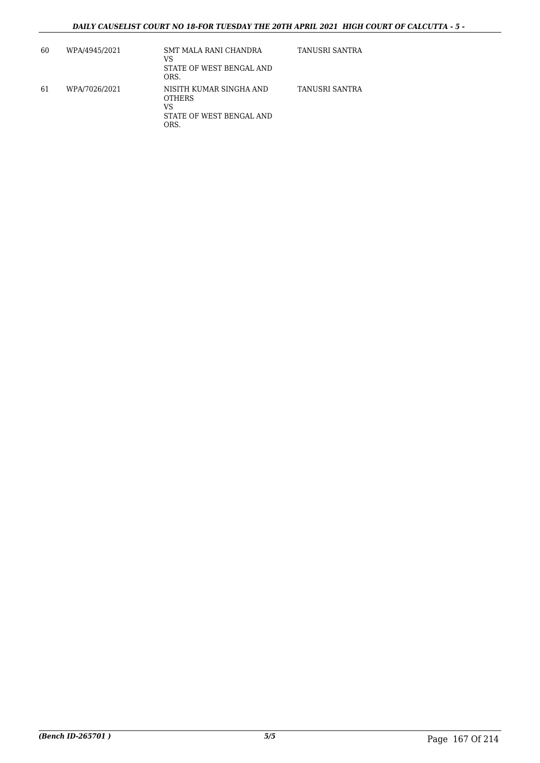| 60 | WPA/4945/2021 | SMT MALA RANI CHANDRA<br>VS<br>STATE OF WEST BENGAL AND<br>ORS.                    | TANUSRI SANTRA |
|----|---------------|------------------------------------------------------------------------------------|----------------|
| 61 | WPA/7026/2021 | NISITH KUMAR SINGHA AND<br><b>OTHERS</b><br>VS<br>STATE OF WEST BENGAL AND<br>ORS. | TANUSRI SANTRA |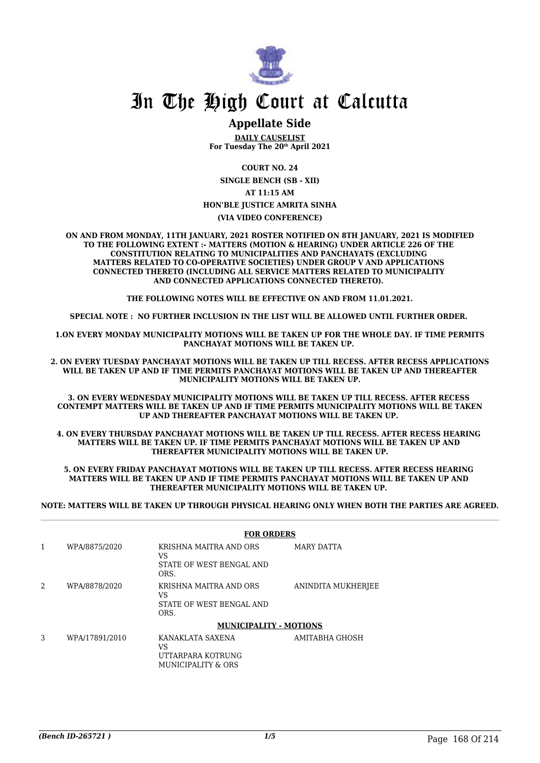

## **Appellate Side**

**DAILY CAUSELIST For Tuesday The 20th April 2021**

**COURT NO. 24**

**SINGLE BENCH (SB - XII) AT 11:15 AM HON'BLE JUSTICE AMRITA SINHA**

**(VIA VIDEO CONFERENCE)**

**ON AND FROM MONDAY, 11TH JANUARY, 2021 ROSTER NOTIFIED ON 8TH JANUARY, 2021 IS MODIFIED TO THE FOLLOWING EXTENT :- MATTERS (MOTION & HEARING) UNDER ARTICLE 226 OF THE CONSTITUTION RELATING TO MUNICIPALITIES AND PANCHAYATS (EXCLUDING MATTERS RELATED TO CO-OPERATIVE SOCIETIES) UNDER GROUP V AND APPLICATIONS CONNECTED THERETO (INCLUDING ALL SERVICE MATTERS RELATED TO MUNICIPALITY AND CONNECTED APPLICATIONS CONNECTED THERETO).** 

**THE FOLLOWING NOTES WILL BE EFFECTIVE ON AND FROM 11.01.2021.**

**SPECIAL NOTE : NO FURTHER INCLUSION IN THE LIST WILL BE ALLOWED UNTIL FURTHER ORDER.** 

**1.ON EVERY MONDAY MUNICIPALITY MOTIONS WILL BE TAKEN UP FOR THE WHOLE DAY. IF TIME PERMITS PANCHAYAT MOTIONS WILL BE TAKEN UP.** 

**2. ON EVERY TUESDAY PANCHAYAT MOTIONS WILL BE TAKEN UP TILL RECESS. AFTER RECESS APPLICATIONS WILL BE TAKEN UP AND IF TIME PERMITS PANCHAYAT MOTIONS WILL BE TAKEN UP AND THEREAFTER MUNICIPALITY MOTIONS WILL BE TAKEN UP.**

**3. ON EVERY WEDNESDAY MUNICIPALITY MOTIONS WILL BE TAKEN UP TILL RECESS. AFTER RECESS CONTEMPT MATTERS WILL BE TAKEN UP AND IF TIME PERMITS MUNICIPALITY MOTIONS WILL BE TAKEN UP AND THEREAFTER PANCHAYAT MOTIONS WILL BE TAKEN UP.** 

**4. ON EVERY THURSDAY PANCHAYAT MOTIONS WILL BE TAKEN UP TILL RECESS. AFTER RECESS HEARING MATTERS WILL BE TAKEN UP. IF TIME PERMITS PANCHAYAT MOTIONS WILL BE TAKEN UP AND THEREAFTER MUNICIPALITY MOTIONS WILL BE TAKEN UP.**

**5. ON EVERY FRIDAY PANCHAYAT MOTIONS WILL BE TAKEN UP TILL RECESS. AFTER RECESS HEARING MATTERS WILL BE TAKEN UP AND IF TIME PERMITS PANCHAYAT MOTIONS WILL BE TAKEN UP AND THEREAFTER MUNICIPALITY MOTIONS WILL BE TAKEN UP.** 

**NOTE: MATTERS WILL BE TAKEN UP THROUGH PHYSICAL HEARING ONLY WHEN BOTH THE PARTIES ARE AGREED.**

|                |                | <b>FOR ORDERS</b>                                                |                    |
|----------------|----------------|------------------------------------------------------------------|--------------------|
| 1              | WPA/8875/2020  | KRISHNA MAITRA AND ORS<br>VS<br>STATE OF WEST BENGAL AND<br>ORS. | MARY DATTA         |
| $\mathfrak{D}$ | WPA/8878/2020  | KRISHNA MAITRA AND ORS<br>VS<br>STATE OF WEST BENGAL AND<br>ORS. | ANINDITA MUKHERJEE |
|                |                | <b>MUNICIPALITY - MOTIONS</b>                                    |                    |
| 3              | WPA/17891/2010 | KANAKLATA SAXENA<br>VS<br>UTTARPARA KOTRUNG                      | AMITABHA GHOSH     |

MUNICIPALITY & ORS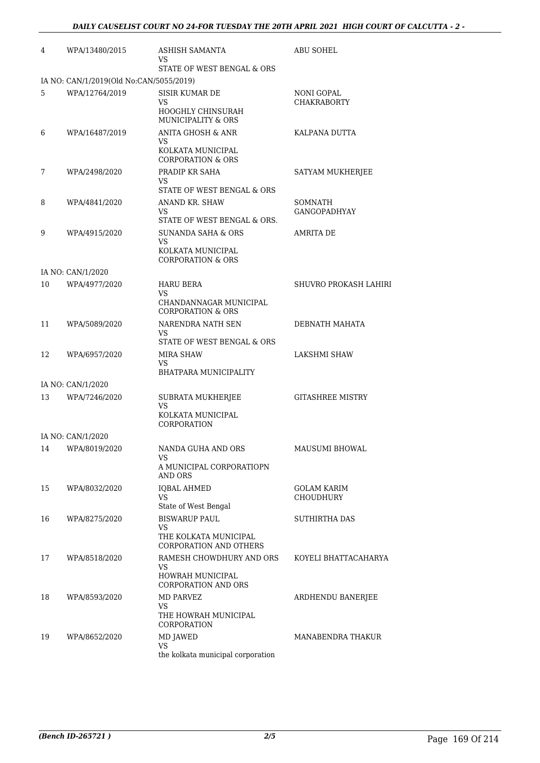| 4  | WPA/13480/2015                          | ASHISH SAMANTA<br>VS<br>STATE OF WEST BENGAL & ORS                                       | <b>ABU SOHEL</b>                 |
|----|-----------------------------------------|------------------------------------------------------------------------------------------|----------------------------------|
|    | IA NO: CAN/1/2019(Old No:CAN/5055/2019) |                                                                                          |                                  |
| 5  | WPA/12764/2019                          | <b>SISIR KUMAR DE</b><br>VS<br>HOOGHLY CHINSURAH<br>MUNICIPALITY & ORS                   | NONI GOPAL<br><b>CHAKRABORTY</b> |
| 6  | WPA/16487/2019                          | ANITA GHOSH & ANR<br>VS                                                                  | KALPANA DUTTA                    |
|    |                                         | KOLKATA MUNICIPAL<br><b>CORPORATION &amp; ORS</b>                                        |                                  |
| 7  | WPA/2498/2020                           | PRADIP KR SAHA<br>VS                                                                     | SATYAM MUKHERJEE                 |
|    |                                         | STATE OF WEST BENGAL & ORS                                                               |                                  |
| 8  | WPA/4841/2020                           | ANAND KR. SHAW<br>VS<br>STATE OF WEST BENGAL & ORS.                                      | SOMNATH<br><b>GANGOPADHYAY</b>   |
| 9  | WPA/4915/2020                           | <b>SUNANDA SAHA &amp; ORS</b><br>VS<br>KOLKATA MUNICIPAL<br><b>CORPORATION &amp; ORS</b> | AMRITA DE                        |
|    | IA NO: CAN/1/2020                       |                                                                                          |                                  |
| 10 | WPA/4977/2020                           | <b>HARU BERA</b><br>VS                                                                   | SHUVRO PROKASH LAHIRI            |
|    |                                         | CHANDANNAGAR MUNICIPAL<br><b>CORPORATION &amp; ORS</b>                                   |                                  |
| 11 | WPA/5089/2020                           | NARENDRA NATH SEN<br>VS<br>STATE OF WEST BENGAL & ORS                                    | DEBNATH MAHATA                   |
| 12 | WPA/6957/2020                           | MIRA SHAW<br>VS                                                                          | <b>LAKSHMI SHAW</b>              |
|    |                                         | BHATPARA MUNICIPALITY                                                                    |                                  |
|    | IA NO: CAN/1/2020                       |                                                                                          |                                  |
| 13 | WPA/7246/2020                           | SUBRATA MUKHERJEE<br>VS<br>KOLKATA MUNICIPAL<br>CORPORATION                              | <b>GITASHREE MISTRY</b>          |
|    | IA NO: CAN/1/2020                       |                                                                                          |                                  |
|    | 14 WPA/8019/2020                        | NANDA GUHA AND ORS<br>VS.<br>A MUNICIPAL CORPORATIOPN                                    | MAUSUMI BHOWAL                   |
|    |                                         | <b>AND ORS</b>                                                                           |                                  |
| 15 | WPA/8032/2020                           | <b>IQBAL AHMED</b><br><b>VS</b><br>State of West Bengal                                  | GOLAM KARIM<br><b>CHOUDHURY</b>  |
| 16 | WPA/8275/2020                           | <b>BISWARUP PAUL</b><br>VS<br>THE KOLKATA MUNICIPAL                                      | <b>SUTHIRTHA DAS</b>             |
|    |                                         | <b>CORPORATION AND OTHERS</b>                                                            |                                  |
| 17 | WPA/8518/2020                           | RAMESH CHOWDHURY AND ORS<br>VS.<br>HOWRAH MUNICIPAL<br><b>CORPORATION AND ORS</b>        | KOYELI BHATTACAHARYA             |
| 18 | WPA/8593/2020                           | <b>MD PARVEZ</b><br>VS.<br>THE HOWRAH MUNICIPAL<br>CORPORATION                           | ARDHENDU BANERJEE                |
| 19 | WPA/8652/2020                           | MD JAWED<br>VS.<br>the kolkata municipal corporation                                     | MANABENDRA THAKUR                |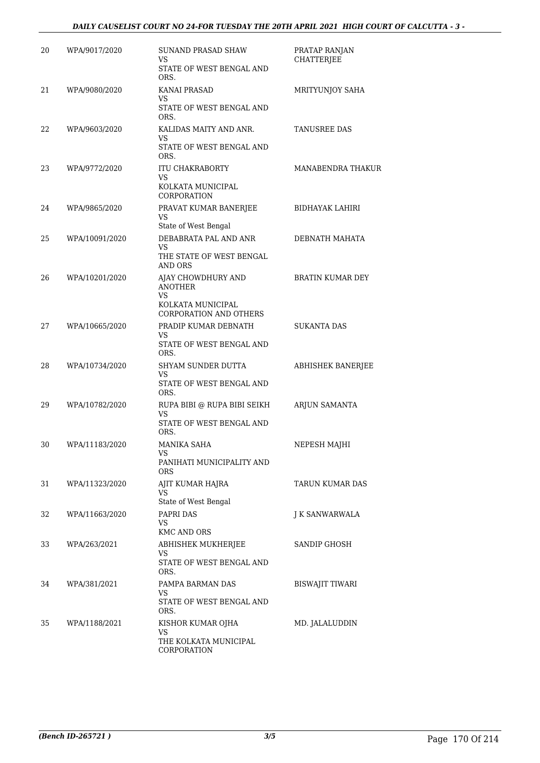### *DAILY CAUSELIST COURT NO 24-FOR TUESDAY THE 20TH APRIL 2021 HIGH COURT OF CALCUTTA - 3 -*

| 20 | WPA/9017/2020  | <b>SUNAND PRASAD SHAW</b><br>VS<br>STATE OF WEST BENGAL AND                  | PRATAP RANJAN<br><b>CHATTERJEE</b> |
|----|----------------|------------------------------------------------------------------------------|------------------------------------|
| 21 | WPA/9080/2020  | ORS.<br><b>KANAI PRASAD</b><br>VS<br>STATE OF WEST BENGAL AND                | MRITYUNJOY SAHA                    |
|    |                | ORS.                                                                         |                                    |
| 22 | WPA/9603/2020  | KALIDAS MAITY AND ANR.<br>VS<br>STATE OF WEST BENGAL AND<br>ORS.             | TANUSREE DAS                       |
| 23 | WPA/9772/2020  | <b>ITU CHAKRABORTY</b><br>VS<br>KOLKATA MUNICIPAL                            | MANABENDRA THAKUR                  |
|    |                | <b>CORPORATION</b>                                                           |                                    |
| 24 | WPA/9865/2020  | PRAVAT KUMAR BANERJEE<br>VS                                                  | BIDHAYAK LAHIRI                    |
| 25 | WPA/10091/2020 | State of West Bengal<br>DEBABRATA PAL AND ANR<br>VS                          | DEBNATH MAHATA                     |
|    |                | THE STATE OF WEST BENGAL<br>AND ORS                                          |                                    |
| 26 | WPA/10201/2020 | AJAY CHOWDHURY AND<br><b>ANOTHER</b>                                         | <b>BRATIN KUMAR DEY</b>            |
|    |                | VS.<br>KOLKATA MUNICIPAL<br><b>CORPORATION AND OTHERS</b>                    |                                    |
| 27 | WPA/10665/2020 | PRADIP KUMAR DEBNATH<br>VS                                                   | <b>SUKANTA DAS</b>                 |
|    |                | STATE OF WEST BENGAL AND<br>ORS.                                             |                                    |
| 28 | WPA/10734/2020 | SHYAM SUNDER DUTTA<br>VS                                                     | ABHISHEK BANERJEE                  |
|    |                | STATE OF WEST BENGAL AND<br>ORS.                                             |                                    |
| 29 | WPA/10782/2020 | RUPA BIBI @ RUPA BIBI SEIKH<br><b>VS</b><br>STATE OF WEST BENGAL AND<br>ORS. | ARJUN SAMANTA                      |
| 30 | WPA/11183/2020 | <b>MANIKA SAHA</b>                                                           | NEPESH MAJHI                       |
|    |                | VS<br>PANIHATI MUNICIPALITY AND<br><b>ORS</b>                                |                                    |
| 31 | WPA/11323/2020 | AJIT KUMAR HAJRA<br>VS                                                       | TARUN KUMAR DAS                    |
| 32 | WPA/11663/2020 | State of West Bengal<br>PAPRI DAS                                            | J K SANWARWALA                     |
|    |                | VS.<br><b>KMC AND ORS</b>                                                    |                                    |
| 33 | WPA/263/2021   | ABHISHEK MUKHERJEE                                                           | SANDIP GHOSH                       |
|    |                | VS.<br>STATE OF WEST BENGAL AND<br>ORS.                                      |                                    |
| 34 | WPA/381/2021   | PAMPA BARMAN DAS<br>VS.                                                      | BISWAJIT TIWARI                    |
|    |                | STATE OF WEST BENGAL AND<br>ORS.                                             |                                    |
| 35 | WPA/1188/2021  | KISHOR KUMAR OJHA<br>VS                                                      | MD. JALALUDDIN                     |
|    |                | THE KOLKATA MUNICIPAL<br>CORPORATION                                         |                                    |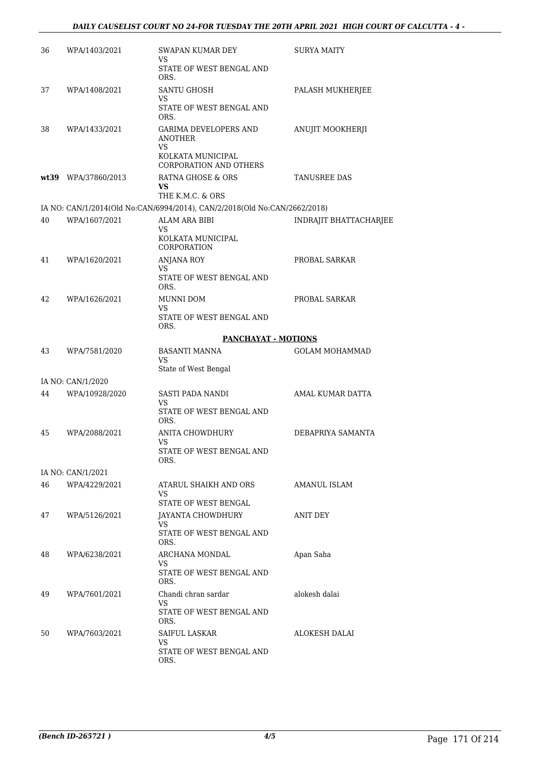| 36 | WPA/1403/2021       | SWAPAN KUMAR DEY<br>VS                                                       | <b>SURYA MAITY</b>     |
|----|---------------------|------------------------------------------------------------------------------|------------------------|
|    |                     | STATE OF WEST BENGAL AND<br>ORS.                                             |                        |
| 37 | WPA/1408/2021       | <b>SANTU GHOSH</b><br>VS                                                     | PALASH MUKHERJEE       |
|    |                     | STATE OF WEST BENGAL AND<br>ORS.                                             |                        |
| 38 | WPA/1433/2021       | <b>GARIMA DEVELOPERS AND</b><br>ANOTHER<br><b>VS</b><br>KOLKATA MUNICIPAL    | ANUJIT MOOKHERJI       |
|    |                     | <b>CORPORATION AND OTHERS</b>                                                |                        |
|    | wt39 WPA/37860/2013 | RATNA GHOSE & ORS<br>VS.<br>THE K.M.C. & ORS                                 | TANUSREE DAS           |
|    |                     | IA NO: CAN/1/2014(Old No:CAN/6994/2014), CAN/2/2018(Old No:CAN/2662/2018)    |                        |
| 40 | WPA/1607/2021       | <b>ALAM ARA BIBI</b><br><b>VS</b><br>KOLKATA MUNICIPAL<br><b>CORPORATION</b> | INDRAJIT BHATTACHARJEE |
| 41 | WPA/1620/2021       | <b>ANJANA ROY</b><br>VS.                                                     | PROBAL SARKAR          |
|    |                     | STATE OF WEST BENGAL AND<br>ORS.                                             |                        |
| 42 | WPA/1626/2021       | MUNNI DOM<br>VS                                                              | PROBAL SARKAR          |
|    |                     | STATE OF WEST BENGAL AND<br>ORS.                                             |                        |
|    |                     | <b>PANCHAYAT - MOTIONS</b>                                                   |                        |
| 43 | WPA/7581/2020       | <b>BASANTI MANNA</b><br><b>VS</b>                                            | <b>GOLAM MOHAMMAD</b>  |
|    | IA NO: CAN/1/2020   | State of West Bengal                                                         |                        |
| 44 | WPA/10928/2020      | SASTI PADA NANDI<br><b>VS</b>                                                | AMAL KUMAR DATTA       |
|    |                     | STATE OF WEST BENGAL AND<br>ORS.                                             |                        |
| 45 | WPA/2088/2021       | ANITA CHOWDHURY<br>VS                                                        | DEBAPRIYA SAMANTA      |
|    |                     | STATE OF WEST BENGAL AND<br>ORS.                                             |                        |
|    | IA NO: CAN/1/2021   |                                                                              |                        |
| 46 | WPA/4229/2021       | ATARUL SHAIKH AND ORS<br>VS.                                                 | AMANUL ISLAM           |
|    |                     | STATE OF WEST BENGAL                                                         |                        |
| 47 | WPA/5126/2021       | JAYANTA CHOWDHURY<br>VS.<br>STATE OF WEST BENGAL AND<br>ORS.                 | <b>ANIT DEY</b>        |
| 48 | WPA/6238/2021       | ARCHANA MONDAL                                                               | Apan Saha              |
|    |                     | VS.<br>STATE OF WEST BENGAL AND<br>ORS.                                      |                        |
| 49 | WPA/7601/2021       | Chandi chran sardar<br>VS.                                                   | alokesh dalai          |
|    |                     | STATE OF WEST BENGAL AND<br>ORS.                                             |                        |
| 50 | WPA/7603/2021       | SAIFUL LASKAR<br>VS                                                          | ALOKESH DALAI          |
|    |                     | STATE OF WEST BENGAL AND<br>ORS.                                             |                        |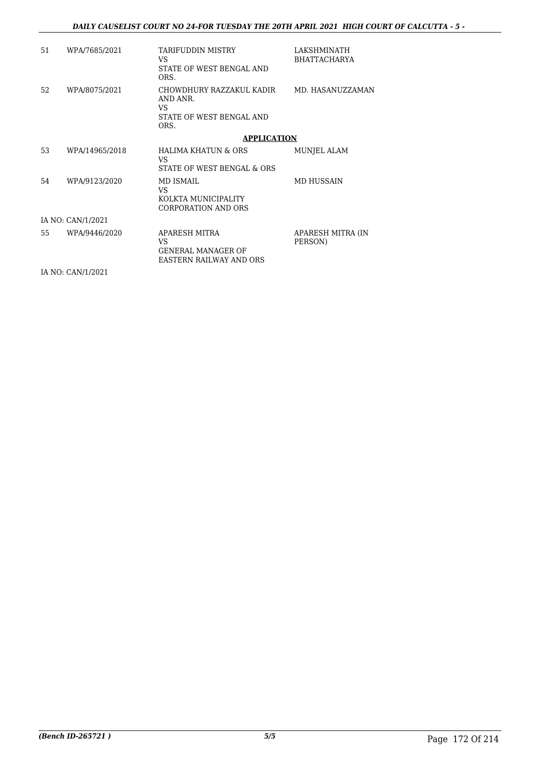| 51 | WPA/7685/2021     | <b>TARIFUDDIN MISTRY</b><br>VS.<br>STATE OF WEST BENGAL AND<br>ORS.             | LAKSHMINATH<br><b>BHATTACHARYA</b> |
|----|-------------------|---------------------------------------------------------------------------------|------------------------------------|
| 52 | WPA/8075/2021     | CHOWDHURY RAZZAKUL KADIR<br>AND ANR.<br>VS.<br>STATE OF WEST BENGAL AND<br>ORS. | MD. HASANUZZAMAN                   |
|    |                   | <b>APPLICATION</b>                                                              |                                    |
| 53 | WPA/14965/2018    | <b>HALIMA KHATUN &amp; ORS</b><br>VS.<br>STATE OF WEST BENGAL & ORS             | MUNJEL ALAM                        |
| 54 | WPA/9123/2020     | MD ISMAIL<br>VS.<br>KOLKTA MUNICIPALITY<br><b>CORPORATION AND ORS</b>           | <b>MD HUSSAIN</b>                  |
|    | IA NO: CAN/1/2021 |                                                                                 |                                    |
| 55 | WPA/9446/2020     | APARESH MITRA<br>VS.<br>GENERAL MANAGER OF<br>EASTERN RAILWAY AND ORS           | APARESH MITRA (IN<br>PERSON)       |

IA NO: CAN/1/2021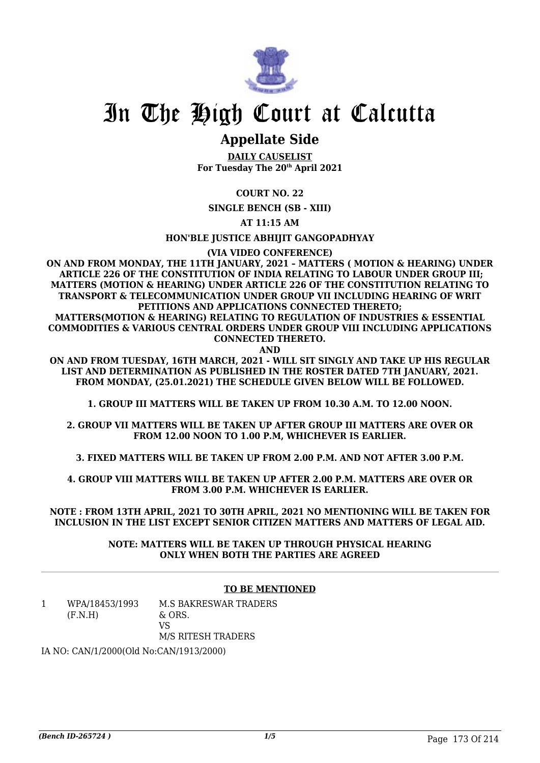

## **Appellate Side**

**DAILY CAUSELIST For Tuesday The 20th April 2021**

## **COURT NO. 22**

**SINGLE BENCH (SB - XIII)**

**AT 11:15 AM**

**HON'BLE JUSTICE ABHIJIT GANGOPADHYAY**

**(VIA VIDEO CONFERENCE)**

**ON AND FROM MONDAY, THE 11TH JANUARY, 2021 – MATTERS ( MOTION & HEARING) UNDER ARTICLE 226 OF THE CONSTITUTION OF INDIA RELATING TO LABOUR UNDER GROUP III; MATTERS (MOTION & HEARING) UNDER ARTICLE 226 OF THE CONSTITUTION RELATING TO TRANSPORT & TELECOMMUNICATION UNDER GROUP VII INCLUDING HEARING OF WRIT PETITIONS AND APPLICATIONS CONNECTED THERETO;**

**MATTERS(MOTION & HEARING) RELATING TO REGULATION OF INDUSTRIES & ESSENTIAL COMMODITIES & VARIOUS CENTRAL ORDERS UNDER GROUP VIII INCLUDING APPLICATIONS CONNECTED THERETO.**

**AND**

**ON AND FROM TUESDAY, 16TH MARCH, 2021 - WILL SIT SINGLY AND TAKE UP HIS REGULAR LIST AND DETERMINATION AS PUBLISHED IN THE ROSTER DATED 7TH JANUARY, 2021. FROM MONDAY, (25.01.2021) THE SCHEDULE GIVEN BELOW WILL BE FOLLOWED.**

**1. GROUP III MATTERS WILL BE TAKEN UP FROM 10.30 A.M. TO 12.00 NOON.**

**2. GROUP VII MATTERS WILL BE TAKEN UP AFTER GROUP III MATTERS ARE OVER OR FROM 12.00 NOON TO 1.00 P.M, WHICHEVER IS EARLIER.**

**3. FIXED MATTERS WILL BE TAKEN UP FROM 2.00 P.M. AND NOT AFTER 3.00 P.M.**

**4. GROUP VIII MATTERS WILL BE TAKEN UP AFTER 2.00 P.M. MATTERS ARE OVER OR FROM 3.00 P.M. WHICHEVER IS EARLIER.**

**NOTE : FROM 13TH APRIL, 2021 TO 30TH APRIL, 2021 NO MENTIONING WILL BE TAKEN FOR INCLUSION IN THE LIST EXCEPT SENIOR CITIZEN MATTERS AND MATTERS OF LEGAL AID.**

> **NOTE: MATTERS WILL BE TAKEN UP THROUGH PHYSICAL HEARING ONLY WHEN BOTH THE PARTIES ARE AGREED**

### **TO BE MENTIONED**

1 WPA/18453/1993  $(F.N.H)$ M.S BAKRESWAR TRADERS & ORS. VS M/S RITESH TRADERS

IA NO: CAN/1/2000(Old No:CAN/1913/2000)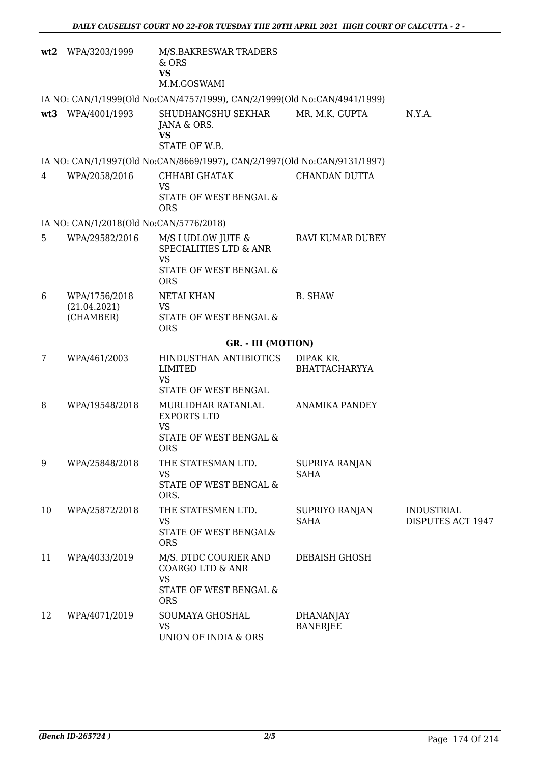|                 | wt2 WPA/3203/1999                          | M/S.BAKRESWAR TRADERS<br>$&$ ORS<br><b>VS</b><br>M.M.GOSWAMI                                              |                                     |                                        |
|-----------------|--------------------------------------------|-----------------------------------------------------------------------------------------------------------|-------------------------------------|----------------------------------------|
|                 |                                            | IA NO: CAN/1/1999(Old No:CAN/4757/1999), CAN/2/1999(Old No:CAN/4941/1999)                                 |                                     |                                        |
|                 | wt3 WPA/4001/1993                          | SHUDHANGSHU SEKHAR<br>JANA & ORS.<br><b>VS</b><br>STATE OF W.B.                                           | MR. M.K. GUPTA                      | N.Y.A.                                 |
|                 |                                            | IA NO: CAN/1/1997(Old No:CAN/8669/1997), CAN/2/1997(Old No:CAN/9131/1997)                                 |                                     |                                        |
| 4               | WPA/2058/2016                              | CHHABI GHATAK<br><b>VS</b><br>STATE OF WEST BENGAL &<br><b>ORS</b>                                        | CHANDAN DUTTA                       |                                        |
|                 | IA NO: CAN/1/2018(Old No:CAN/5776/2018)    |                                                                                                           |                                     |                                        |
| 5               | WPA/29582/2016                             | M/S LUDLOW JUTE &<br>SPECIALITIES LTD & ANR<br><b>VS</b><br>STATE OF WEST BENGAL &<br><b>ORS</b>          | RAVI KUMAR DUBEY                    |                                        |
| 6               | WPA/1756/2018<br>(21.04.2021)<br>(CHAMBER) | NETAI KHAN<br>VS<br>STATE OF WEST BENGAL &<br><b>ORS</b>                                                  | <b>B. SHAW</b>                      |                                        |
|                 |                                            | <b>GR. - III (MOTION)</b>                                                                                 |                                     |                                        |
| $7\phantom{.0}$ | WPA/461/2003                               | HINDUSTHAN ANTIBIOTICS<br><b>LIMITED</b><br><b>VS</b>                                                     | DIPAK KR.<br><b>BHATTACHARYYA</b>   |                                        |
|                 |                                            | STATE OF WEST BENGAL                                                                                      |                                     |                                        |
| 8               | WPA/19548/2018                             | MURLIDHAR RATANLAL<br><b>EXPORTS LTD</b><br><b>VS</b><br>STATE OF WEST BENGAL &<br>ORS.                   | <b>ANAMIKA PANDEY</b>               |                                        |
| 9               | WPA/25848/2018                             | THE STATESMAN LTD.<br><b>VS</b><br>STATE OF WEST BENGAL &<br>ORS.                                         | SUPRIYA RANJAN<br><b>SAHA</b>       |                                        |
| 10              | WPA/25872/2018                             | THE STATESMEN LTD.<br><b>VS</b><br>STATE OF WEST BENGAL&<br><b>ORS</b>                                    | SUPRIYO RANJAN<br><b>SAHA</b>       | <b>INDUSTRIAL</b><br>DISPUTES ACT 1947 |
| 11              | WPA/4033/2019                              | M/S. DTDC COURIER AND<br><b>COARGO LTD &amp; ANR</b><br><b>VS</b><br>STATE OF WEST BENGAL &<br><b>ORS</b> | DEBAISH GHOSH                       |                                        |
| 12              | WPA/4071/2019                              | SOUMAYA GHOSHAL<br><b>VS</b><br>UNION OF INDIA & ORS                                                      | <b>DHANANJAY</b><br><b>BANERJEE</b> |                                        |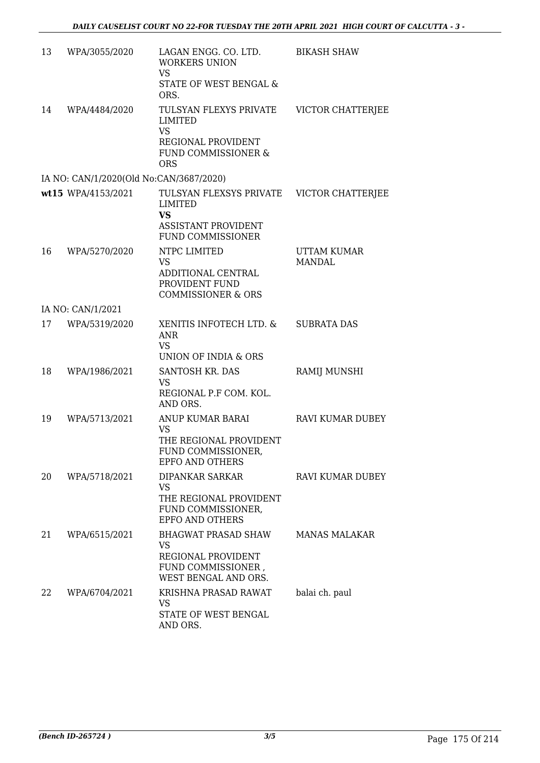| 13 | WPA/3055/2020                           | LAGAN ENGG. CO. LTD.<br><b>WORKERS UNION</b><br><b>VS</b><br>STATE OF WEST BENGAL &<br>ORS.                 | <b>BIKASH SHAW</b>                  |
|----|-----------------------------------------|-------------------------------------------------------------------------------------------------------------|-------------------------------------|
| 14 | WPA/4484/2020                           | TULSYAN FLEXYS PRIVATE<br>LIMITED<br><b>VS</b><br>REGIONAL PROVIDENT<br>FUND COMMISSIONER &<br><b>ORS</b>   | VICTOR CHATTERJEE                   |
|    | IA NO: CAN/1/2020(Old No:CAN/3687/2020) |                                                                                                             |                                     |
|    | wt15 WPA/4153/2021                      | TULSYAN FLEXSYS PRIVATE<br>LIMITED<br><b>VS</b><br><b>ASSISTANT PROVIDENT</b><br><b>FUND COMMISSIONER</b>   | VICTOR CHATTERJEE                   |
| 16 | WPA/5270/2020                           | NTPC LIMITED<br><b>VS</b><br>ADDITIONAL CENTRAL<br>PROVIDENT FUND<br><b>COMMISSIONER &amp; ORS</b>          | <b>UTTAM KUMAR</b><br><b>MANDAL</b> |
|    | IA NO: CAN/1/2021                       |                                                                                                             |                                     |
| 17 | WPA/5319/2020                           | XENITIS INFOTECH LTD. &<br>ANR<br><b>VS</b><br>UNION OF INDIA & ORS                                         | <b>SUBRATA DAS</b>                  |
| 18 | WPA/1986/2021                           | SANTOSH KR. DAS<br><b>VS</b><br>REGIONAL P.F COM. KOL.<br>AND ORS.                                          | RAMIJ MUNSHI                        |
| 19 | WPA/5713/2021                           | ANUP KUMAR BARAI<br><b>VS</b><br>THE REGIONAL PROVIDENT<br>FUND COMMISSIONER,<br><b>EPFO AND OTHERS</b>     | <b>RAVI KUMAR DUBEY</b>             |
| 20 | WPA/5718/2021                           | DIPANKAR SARKAR<br><b>VS</b><br>THE REGIONAL PROVIDENT<br>FUND COMMISSIONER,<br><b>EPFO AND OTHERS</b>      | RAVI KUMAR DUBEY                    |
| 21 | WPA/6515/2021                           | <b>BHAGWAT PRASAD SHAW</b><br><b>VS</b><br>REGIONAL PROVIDENT<br>FUND COMMISSIONER,<br>WEST BENGAL AND ORS. | <b>MANAS MALAKAR</b>                |
| 22 | WPA/6704/2021                           | KRISHNA PRASAD RAWAT<br><b>VS</b><br>STATE OF WEST BENGAL<br>AND ORS.                                       | balai ch. paul                      |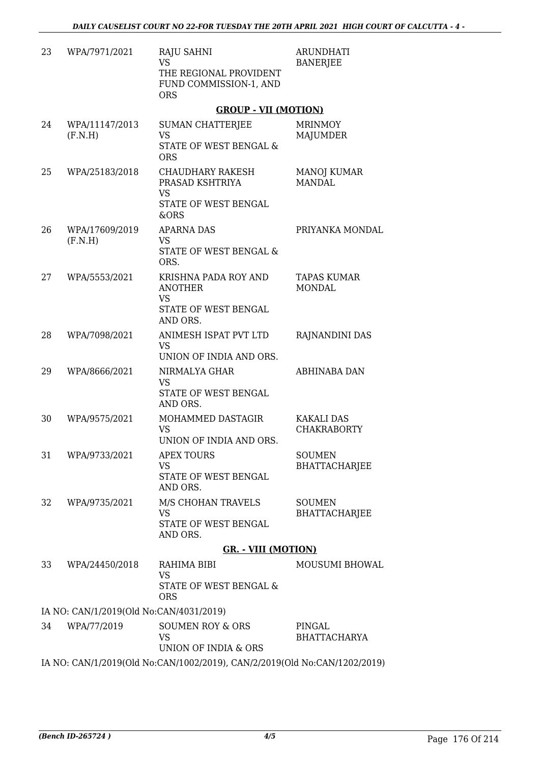| 23 | WPA/7971/2021                           | <b>RAJU SAHNI</b><br><b>VS</b><br>THE REGIONAL PROVIDENT<br>FUND COMMISSION-1, AND<br><b>ORS</b> | <b>ARUNDHATI</b><br><b>BANERJEE</b>     |
|----|-----------------------------------------|--------------------------------------------------------------------------------------------------|-----------------------------------------|
|    |                                         | <b>GROUP - VII (MOTION)</b>                                                                      |                                         |
| 24 | WPA/11147/2013<br>(F.N.H)               | SUMAN CHATTERIEE<br><b>VS</b><br>STATE OF WEST BENGAL &<br><b>ORS</b>                            | <b>MRINMOY</b><br>MAJUMDER              |
| 25 | WPA/25183/2018                          | <b>CHAUDHARY RAKESH</b><br>PRASAD KSHTRIYA<br><b>VS</b><br>STATE OF WEST BENGAL<br>&ORS          | <b>MANOJ KUMAR</b><br><b>MANDAL</b>     |
| 26 | WPA/17609/2019<br>(F.N.H)               | <b>APARNA DAS</b><br>VS<br><b>STATE OF WEST BENGAL &amp;</b><br>ORS.                             | PRIYANKA MONDAL                         |
| 27 | WPA/5553/2021                           | KRISHNA PADA ROY AND<br><b>ANOTHER</b><br><b>VS</b><br>STATE OF WEST BENGAL<br>AND ORS.          | <b>TAPAS KUMAR</b><br><b>MONDAL</b>     |
| 28 | WPA/7098/2021                           | ANIMESH ISPAT PVT LTD<br><b>VS</b><br>UNION OF INDIA AND ORS.                                    | RAJNANDINI DAS                          |
| 29 | WPA/8666/2021                           | NIRMALYA GHAR<br>VS<br>STATE OF WEST BENGAL<br>AND ORS.                                          | <b>ABHINABA DAN</b>                     |
| 30 | WPA/9575/2021                           | MOHAMMED DASTAGIR<br><b>VS</b><br>UNION OF INDIA AND ORS.                                        | <b>KAKALI DAS</b><br><b>CHAKRABORTY</b> |
| 31 | WPA/9733/2021                           | <b>APEX TOURS</b><br><b>VS</b><br>STATE OF WEST BENGAL<br>AND ORS.                               | <b>SOUMEN</b><br>BHATTACHARJEE          |
| 32 | WPA/9735/2021                           | M/S CHOHAN TRAVELS<br><b>VS</b><br>STATE OF WEST BENGAL<br>AND ORS.                              | <b>SOUMEN</b><br><b>BHATTACHARJEE</b>   |
|    |                                         | <b>GR. - VIII (MOTION)</b>                                                                       |                                         |
| 33 | WPA/24450/2018                          | RAHIMA BIBI<br><b>VS</b><br>STATE OF WEST BENGAL &<br><b>ORS</b>                                 | MOUSUMI BHOWAL                          |
|    | IA NO: CAN/1/2019(Old No:CAN/4031/2019) |                                                                                                  |                                         |
| 34 | WPA/77/2019                             | <b>SOUMEN ROY &amp; ORS</b><br><b>VS</b><br>UNION OF INDIA & ORS                                 | PINGAL<br><b>BHATTACHARYA</b>           |
|    |                                         | IA NO: CAN/1/2019(Old No:CAN/1002/2019), CAN/2/2019(Old No:CAN/1202/2019)                        |                                         |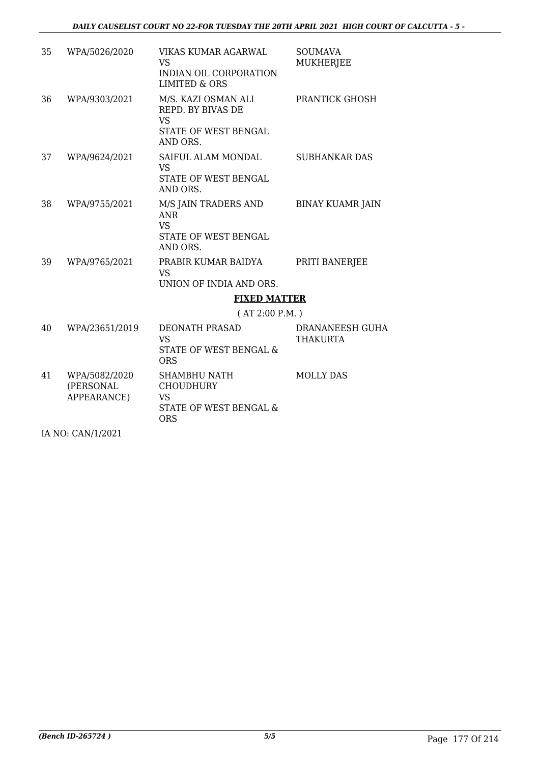| 35 | WPA/5026/2020                             | VIKAS KUMAR AGARWAL<br><b>VS</b><br>INDIAN OIL CORPORATION                                | <b>SOUMAVA</b><br><b>MUKHERJEE</b> |
|----|-------------------------------------------|-------------------------------------------------------------------------------------------|------------------------------------|
|    |                                           | <b>LIMITED &amp; ORS</b>                                                                  |                                    |
| 36 | WPA/9303/2021                             | M/S. KAZI OSMAN ALI<br>REPD. BY BIVAS DE<br><b>VS</b><br>STATE OF WEST BENGAL<br>AND ORS. | PRANTICK GHOSH                     |
| 37 | WPA/9624/2021                             | SAIFUL ALAM MONDAL<br>VS<br>STATE OF WEST BENGAL<br>AND ORS.                              | <b>SUBHANKAR DAS</b>               |
| 38 | WPA/9755/2021                             | M/S JAIN TRADERS AND<br><b>ANR</b><br><b>VS</b><br>STATE OF WEST BENGAL<br>AND ORS.       | <b>BINAY KUAMR JAIN</b>            |
| 39 | WPA/9765/2021                             | PRABIR KUMAR BAIDYA<br><b>VS</b><br>UNION OF INDIA AND ORS.                               | PRITI BANERJEE                     |
|    |                                           | <b>FIXED MATTER</b>                                                                       |                                    |
|    |                                           | (AT 2:00 P.M.)                                                                            |                                    |
| 40 | WPA/23651/2019                            | <b>DEONATH PRASAD</b><br><b>VS</b><br><b>STATE OF WEST BENGAL &amp;</b><br><b>ORS</b>     | DRANANEESH GUHA<br><b>THAKURTA</b> |
| 41 | WPA/5082/2020<br>(PERSONAL<br>APPEARANCE) | SHAMBHU NATH<br><b>CHOUDHURY</b><br><b>VS</b><br>STATE OF WEST BENGAL &<br><b>ORS</b>     | <b>MOLLY DAS</b>                   |
|    | IA NO: CAN/1/2021                         |                                                                                           |                                    |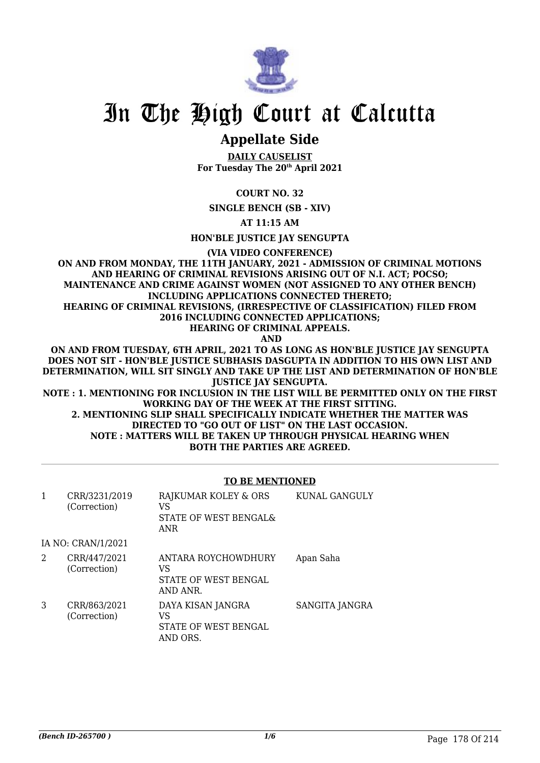

## **Appellate Side**

**DAILY CAUSELIST For Tuesday The 20th April 2021**

**COURT NO. 32**

**SINGLE BENCH (SB - XIV)**

**AT 11:15 AM**

**HON'BLE JUSTICE JAY SENGUPTA**

**(VIA VIDEO CONFERENCE)**

**ON AND FROM MONDAY, THE 11TH JANUARY, 2021 - ADMISSION OF CRIMINAL MOTIONS AND HEARING OF CRIMINAL REVISIONS ARISING OUT OF N.I. ACT; POCSO; MAINTENANCE AND CRIME AGAINST WOMEN (NOT ASSIGNED TO ANY OTHER BENCH) INCLUDING APPLICATIONS CONNECTED THERETO; HEARING OF CRIMINAL REVISIONS, (IRRESPECTIVE OF CLASSIFICATION) FILED FROM 2016 INCLUDING CONNECTED APPLICATIONS;**

**HEARING OF CRIMINAL APPEALS.**

 **AND**

**ON AND FROM TUESDAY, 6TH APRIL, 2021 TO AS LONG AS HON'BLE JUSTICE JAY SENGUPTA DOES NOT SIT - HON'BLE JUSTICE SUBHASIS DASGUPTA IN ADDITION TO HIS OWN LIST AND DETERMINATION, WILL SIT SINGLY AND TAKE UP THE LIST AND DETERMINATION OF HON'BLE JUSTICE JAY SENGUPTA.**

**NOTE : 1. MENTIONING FOR INCLUSION IN THE LIST WILL BE PERMITTED ONLY ON THE FIRST WORKING DAY OF THE WEEK AT THE FIRST SITTING. 2. MENTIONING SLIP SHALL SPECIFICALLY INDICATE WHETHER THE MATTER WAS**

**DIRECTED TO "GO OUT OF LIST" ON THE LAST OCCASION. NOTE : MATTERS WILL BE TAKEN UP THROUGH PHYSICAL HEARING WHEN BOTH THE PARTIES ARE AGREED.**

### **TO BE MENTIONED**

| 1 | CRR/3231/2019<br>(Correction) | RAJKUMAR KOLEY & ORS<br>VS<br>STATE OF WEST BENGAL&<br>ANR    | KUNAL GANGULY  |
|---|-------------------------------|---------------------------------------------------------------|----------------|
|   | IA NO: CRAN/1/2021            |                                                               |                |
| 2 | CRR/447/2021<br>(Correction)  | ANTARA ROYCHOWDHURY<br>VS<br>STATE OF WEST BENGAL<br>AND ANR. | Apan Saha      |
| 3 | CRR/863/2021<br>(Correction)  | DAYA KISAN JANGRA<br>VS<br>STATE OF WEST BENGAL<br>AND ORS.   | SANGITA JANGRA |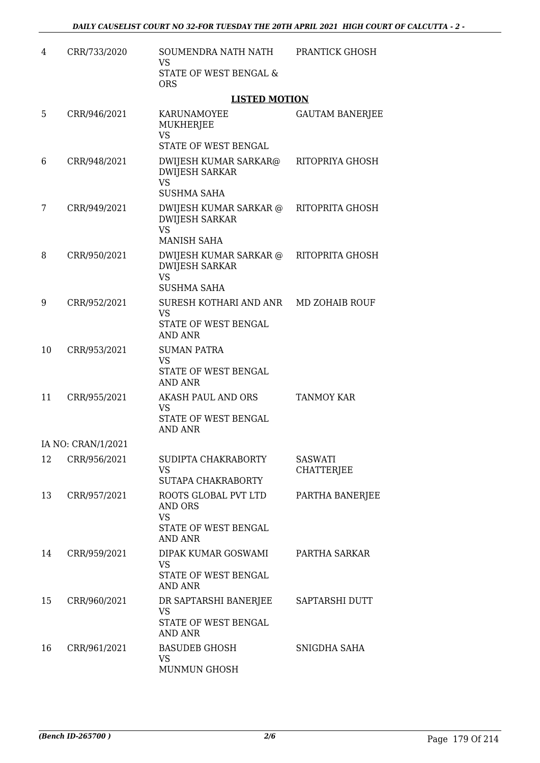| 4  | CRR/733/2020       | SOUMENDRA NATH NATH<br>VS                                                              | PRANTICK GHOSH                      |
|----|--------------------|----------------------------------------------------------------------------------------|-------------------------------------|
|    |                    | STATE OF WEST BENGAL &<br><b>ORS</b>                                                   |                                     |
|    |                    | <b>LISTED MOTION</b>                                                                   |                                     |
| 5  | CRR/946/2021       | KARUNAMOYEE<br>MUKHERJEE<br>VS                                                         | <b>GAUTAM BANERJEE</b>              |
|    |                    | STATE OF WEST BENGAL                                                                   |                                     |
| 6  | CRR/948/2021       | DWIJESH KUMAR SARKAR@<br><b>DWIJESH SARKAR</b><br><b>VS</b><br><b>SUSHMA SAHA</b>      | RITOPRIYA GHOSH                     |
| 7  | CRR/949/2021       | DWIJESH KUMAR SARKAR @<br><b>DWIJESH SARKAR</b><br><b>VS</b><br><b>MANISH SAHA</b>     | RITOPRITA GHOSH                     |
| 8  | CRR/950/2021       | DWIJESH KUMAR SARKAR @<br><b>DWIJESH SARKAR</b><br><b>VS</b><br><b>SUSHMA SAHA</b>     | RITOPRITA GHOSH                     |
| 9  | CRR/952/2021       | SURESH KOTHARI AND ANR<br><b>VS</b><br>STATE OF WEST BENGAL<br><b>AND ANR</b>          | MD ZOHAIB ROUF                      |
| 10 | CRR/953/2021       | <b>SUMAN PATRA</b><br><b>VS</b><br>STATE OF WEST BENGAL<br><b>AND ANR</b>              |                                     |
| 11 | CRR/955/2021       | AKASH PAUL AND ORS<br><b>VS</b><br>STATE OF WEST BENGAL<br><b>AND ANR</b>              | TANMOY KAR                          |
|    | IA NO: CRAN/1/2021 |                                                                                        |                                     |
| 12 | CRR/956/2021       | SUDIPTA CHAKRABORTY<br>VS<br><b>SUTAPA CHAKRABORTY</b>                                 | <b>SASWATI</b><br><b>CHATTERJEE</b> |
| 13 | CRR/957/2021       | ROOTS GLOBAL PVT LTD<br>AND ORS<br><b>VS</b><br>STATE OF WEST BENGAL<br><b>AND ANR</b> | PARTHA BANERJEE                     |
| 14 | CRR/959/2021       | DIPAK KUMAR GOSWAMI<br><b>VS</b><br>STATE OF WEST BENGAL<br><b>AND ANR</b>             | PARTHA SARKAR                       |
| 15 | CRR/960/2021       | DR SAPTARSHI BANERJEE<br><b>VS</b><br>STATE OF WEST BENGAL<br><b>AND ANR</b>           | SAPTARSHI DUTT                      |
| 16 | CRR/961/2021       | <b>BASUDEB GHOSH</b><br><b>VS</b><br>MUNMUN GHOSH                                      | SNIGDHA SAHA                        |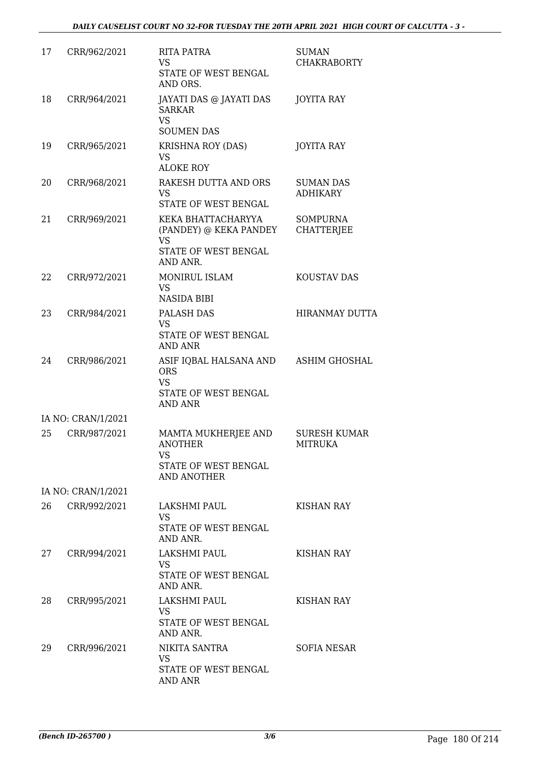| 17 | CRR/962/2021       | <b>RITA PATRA</b><br>VS<br>STATE OF WEST BENGAL<br>AND ORS.                                   | <b>SUMAN</b><br><b>CHAKRABORTY</b>    |
|----|--------------------|-----------------------------------------------------------------------------------------------|---------------------------------------|
| 18 | CRR/964/2021       | JAYATI DAS @ JAYATI DAS<br><b>SARKAR</b><br><b>VS</b><br><b>SOUMEN DAS</b>                    | <b>JOYITA RAY</b>                     |
| 19 | CRR/965/2021       | <b>KRISHNA ROY (DAS)</b><br>VS<br><b>ALOKE ROY</b>                                            | <b>JOYITA RAY</b>                     |
| 20 | CRR/968/2021       | RAKESH DUTTA AND ORS<br>VS.<br>STATE OF WEST BENGAL                                           | <b>SUMAN DAS</b><br><b>ADHIKARY</b>   |
| 21 | CRR/969/2021       | KEKA BHATTACHARYYA<br>(PANDEY) @ KEKA PANDEY<br><b>VS</b><br>STATE OF WEST BENGAL<br>AND ANR. | <b>SOMPURNA</b><br><b>CHATTERJEE</b>  |
| 22 | CRR/972/2021       | <b>MONIRUL ISLAM</b><br>VS<br><b>NASIDA BIBI</b>                                              | KOUSTAV DAS                           |
| 23 | CRR/984/2021       | PALASH DAS<br><b>VS</b><br>STATE OF WEST BENGAL<br><b>AND ANR</b>                             | <b>HIRANMAY DUTTA</b>                 |
| 24 | CRR/986/2021       | ASIF IQBAL HALSANA AND<br><b>ORS</b><br><b>VS</b><br>STATE OF WEST BENGAL<br><b>AND ANR</b>   | <b>ASHIM GHOSHAL</b>                  |
|    | IA NO: CRAN/1/2021 |                                                                                               |                                       |
| 25 | CRR/987/2021       | MAMTA MUKHERJEE AND<br><b>ANOTHER</b><br>VS<br>STATE OF WEST BENGAL<br>AND ANOTHER            | <b>SURESH KUMAR</b><br><b>MITRUKA</b> |
|    | IA NO: CRAN/1/2021 |                                                                                               |                                       |
| 26 | CRR/992/2021       | LAKSHMI PAUL<br>VS.<br>STATE OF WEST BENGAL<br>AND ANR.                                       | KISHAN RAY                            |
| 27 | CRR/994/2021       | LAKSHMI PAUL<br>VS.<br>STATE OF WEST BENGAL<br>AND ANR.                                       | <b>KISHAN RAY</b>                     |
| 28 | CRR/995/2021       | LAKSHMI PAUL<br>VS<br>STATE OF WEST BENGAL<br>AND ANR.                                        | KISHAN RAY                            |
| 29 | CRR/996/2021       | NIKITA SANTRA<br>VS.<br>STATE OF WEST BENGAL<br>AND ANR                                       | <b>SOFIA NESAR</b>                    |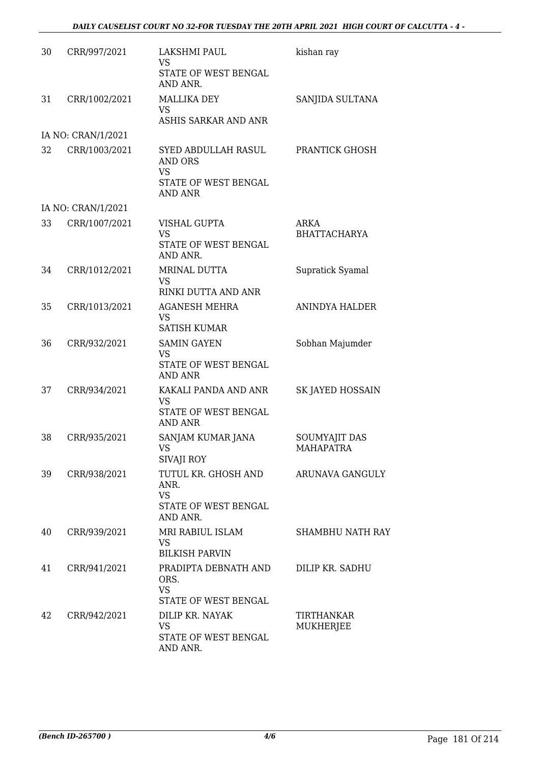| 30 | CRR/997/2021       | LAKSHMI PAUL<br><b>VS</b><br>STATE OF WEST BENGAL<br>AND ANR.                                | kishan ray                               |
|----|--------------------|----------------------------------------------------------------------------------------------|------------------------------------------|
| 31 | CRR/1002/2021      | <b>MALLIKA DEY</b><br><b>VS</b><br>ASHIS SARKAR AND ANR                                      | SANJIDA SULTANA                          |
|    | IA NO: CRAN/1/2021 |                                                                                              |                                          |
| 32 | CRR/1003/2021      | SYED ABDULLAH RASUL<br><b>AND ORS</b><br><b>VS</b><br>STATE OF WEST BENGAL<br><b>AND ANR</b> | PRANTICK GHOSH                           |
|    | IA NO: CRAN/1/2021 |                                                                                              |                                          |
| 33 | CRR/1007/2021      | VISHAL GUPTA<br><b>VS</b><br>STATE OF WEST BENGAL<br>AND ANR.                                | ARKA<br><b>BHATTACHARYA</b>              |
| 34 | CRR/1012/2021      | MRINAL DUTTA<br><b>VS</b><br>RINKI DUTTA AND ANR                                             | Supratick Syamal                         |
| 35 | CRR/1013/2021      | <b>AGANESH MEHRA</b><br><b>VS</b><br><b>SATISH KUMAR</b>                                     | <b>ANINDYA HALDER</b>                    |
| 36 | CRR/932/2021       | <b>SAMIN GAYEN</b><br>VS<br>STATE OF WEST BENGAL<br><b>AND ANR</b>                           | Sobhan Majumder                          |
| 37 | CRR/934/2021       | KAKALI PANDA AND ANR<br>VS<br>STATE OF WEST BENGAL<br><b>AND ANR</b>                         | SK JAYED HOSSAIN                         |
| 38 | CRR/935/2021       | SANJAM KUMAR JANA<br>VS.<br>SIVAJI ROY                                                       | <b>SOUMYAJIT DAS</b><br><b>MAHAPATRA</b> |
| 39 | CRR/938/2021       | TUTUL KR. GHOSH AND<br>ANR.<br><b>VS</b><br>STATE OF WEST BENGAL<br>AND ANR.                 | ARUNAVA GANGULY                          |
| 40 | CRR/939/2021       | MRI RABIUL ISLAM<br>VS<br><b>BILKISH PARVIN</b>                                              | <b>SHAMBHU NATH RAY</b>                  |
| 41 | CRR/941/2021       | PRADIPTA DEBNATH AND<br>ORS.<br><b>VS</b><br>STATE OF WEST BENGAL                            | DILIP KR. SADHU                          |
| 42 | CRR/942/2021       | DILIP KR. NAYAK<br><b>VS</b><br>STATE OF WEST BENGAL<br>AND ANR.                             | TIRTHANKAR<br>MUKHERJEE                  |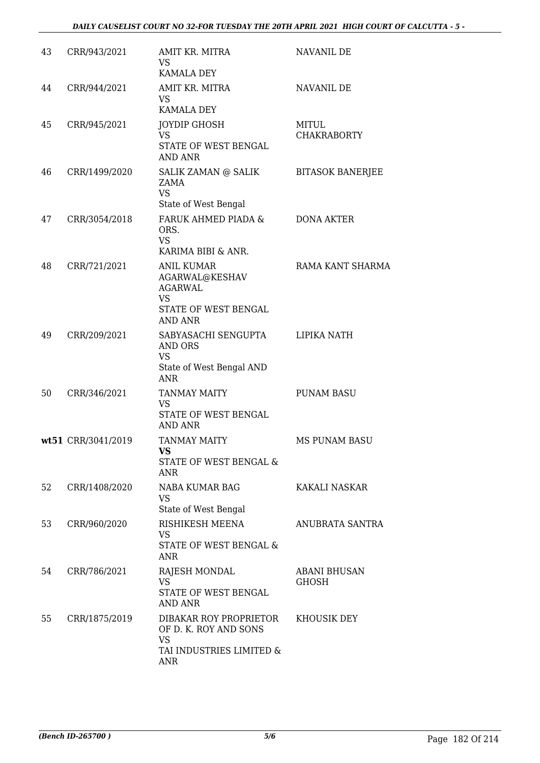#### *DAILY CAUSELIST COURT NO 32-FOR TUESDAY THE 20TH APRIL 2021 HIGH COURT OF CALCUTTA - 5 -*

| 43 | CRR/943/2021       | AMIT KR. MITRA<br>VS.<br><b>KAMALA DEY</b>                                                             | <b>NAVANIL DE</b>            |
|----|--------------------|--------------------------------------------------------------------------------------------------------|------------------------------|
| 44 | CRR/944/2021       | AMIT KR. MITRA<br>VS<br><b>KAMALA DEY</b>                                                              | NAVANIL DE                   |
| 45 | CRR/945/2021       | JOYDIP GHOSH<br>VS<br>STATE OF WEST BENGAL<br><b>AND ANR</b>                                           | MITUL<br><b>CHAKRABORTY</b>  |
| 46 | CRR/1499/2020      | SALIK ZAMAN @ SALIK<br><b>ZAMA</b><br><b>VS</b>                                                        | <b>BITASOK BANERJEE</b>      |
| 47 | CRR/3054/2018      | State of West Bengal<br>FARUK AHMED PIADA &<br>ORS.<br><b>VS</b>                                       | <b>DONA AKTER</b>            |
| 48 | CRR/721/2021       | KARIMA BIBI & ANR.<br>ANIL KUMAR<br>AGARWAL@KESHAV<br><b>AGARWAL</b><br><b>VS</b>                      | RAMA KANT SHARMA             |
|    |                    | STATE OF WEST BENGAL<br><b>AND ANR</b>                                                                 |                              |
| 49 | CRR/209/2021       | SABYASACHI SENGUPTA<br>AND ORS<br><b>VS</b><br>State of West Bengal AND<br><b>ANR</b>                  | LIPIKA NATH                  |
| 50 | CRR/346/2021       | <b>TANMAY MAITY</b><br><b>VS</b><br>STATE OF WEST BENGAL<br>AND ANR                                    | <b>PUNAM BASU</b>            |
|    | wt51 CRR/3041/2019 | <b>TANMAY MAITY</b><br>VS<br>STATE OF WEST BENGAL &<br>ANR                                             | MS PUNAM BASU                |
| 52 | CRR/1408/2020      | NABA KUMAR BAG<br><b>VS</b><br>State of West Bengal                                                    | KAKALI NASKAR                |
| 53 | CRR/960/2020       | RISHIKESH MEENA<br><b>VS</b><br><b>STATE OF WEST BENGAL &amp;</b><br><b>ANR</b>                        | ANUBRATA SANTRA              |
| 54 | CRR/786/2021       | RAJESH MONDAL<br>VS.<br>STATE OF WEST BENGAL<br><b>AND ANR</b>                                         | <b>ABANI BHUSAN</b><br>GHOSH |
| 55 | CRR/1875/2019      | DIBAKAR ROY PROPRIETOR<br>OF D. K. ROY AND SONS<br><b>VS</b><br>TAI INDUSTRIES LIMITED &<br><b>ANR</b> | KHOUSIK DEY                  |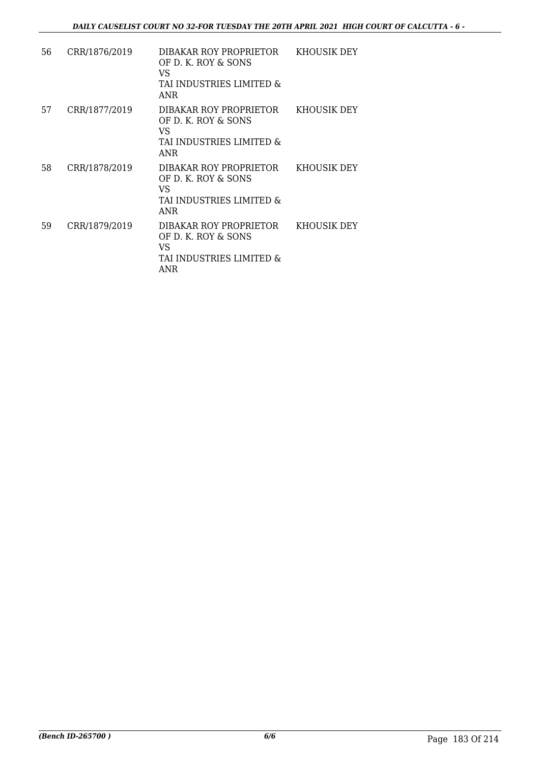| 56 | CRR/1876/2019 | DIBAKAR ROY PROPRIETOR<br>OF D. K. ROY & SONS<br>VS<br>TAI INDUSTRIES LIMITED &<br><b>ANR</b> | KHOUSIK DEY |
|----|---------------|-----------------------------------------------------------------------------------------------|-------------|
| 57 | CRR/1877/2019 | DIBAKAR ROY PROPRIETOR<br>OF D. K. ROY & SONS<br>VS.<br>TAI INDUSTRIES LIMITED &<br>ANR       | KHOUSIK DEY |
| 58 | CRR/1878/2019 | DIBAKAR ROY PROPRIETOR<br>OF D. K. ROY & SONS<br>VS<br>TAI INDUSTRIES LIMITED &<br><b>ANR</b> | KHOUSIK DEY |
| 59 | CRR/1879/2019 | DIBAKAR ROY PROPRIETOR<br>OF D. K. ROY & SONS<br>VS<br>TAI INDUSTRIES LIMITED &<br>ANR        | KHOUSIK DEY |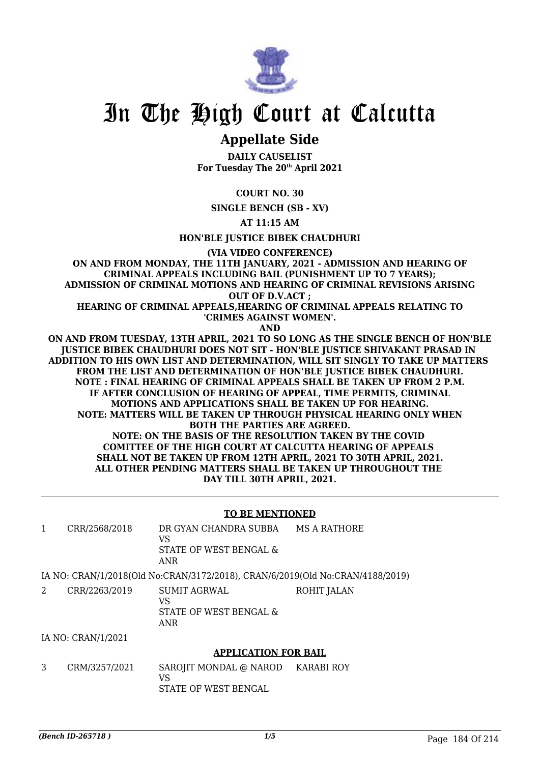

## **Appellate Side**

**DAILY CAUSELIST For Tuesday The 20th April 2021**

**COURT NO. 30**

**SINGLE BENCH (SB - XV)**

**AT 11:15 AM**

**HON'BLE JUSTICE BIBEK CHAUDHURI**

**(VIA VIDEO CONFERENCE)**

**ON AND FROM MONDAY, THE 11TH JANUARY, 2021 - ADMISSION AND HEARING OF CRIMINAL APPEALS INCLUDING BAIL (PUNISHMENT UP TO 7 YEARS); ADMISSION OF CRIMINAL MOTIONS AND HEARING OF CRIMINAL REVISIONS ARISING OUT OF D.V.ACT ;**

**HEARING OF CRIMINAL APPEALS,HEARING OF CRIMINAL APPEALS RELATING TO 'CRIMES AGAINST WOMEN'.**

**AND**

**ON AND FROM TUESDAY, 13TH APRIL, 2021 TO SO LONG AS THE SINGLE BENCH OF HON'BLE JUSTICE BIBEK CHAUDHURI DOES NOT SIT - HON'BLE JUSTICE SHIVAKANT PRASAD IN ADDITION TO HIS OWN LIST AND DETERMINATION, WILL SIT SINGLY TO TAKE UP MATTERS FROM THE LIST AND DETERMINATION OF HON'BLE JUSTICE BIBEK CHAUDHURI. NOTE : FINAL HEARING OF CRIMINAL APPEALS SHALL BE TAKEN UP FROM 2 P.M. IF AFTER CONCLUSION OF HEARING OF APPEAL, TIME PERMITS, CRIMINAL MOTIONS AND APPLICATIONS SHALL BE TAKEN UP FOR HEARING. NOTE: MATTERS WILL BE TAKEN UP THROUGH PHYSICAL HEARING ONLY WHEN BOTH THE PARTIES ARE AGREED. NOTE: ON THE BASIS OF THE RESOLUTION TAKEN BY THE COVID COMITTEE OF THE HIGH COURT AT CALCUTTA HEARING OF APPEALS SHALL NOT BE TAKEN UP FROM 12TH APRIL, 2021 TO 30TH APRIL, 2021. ALL OTHER PENDING MATTERS SHALL BE TAKEN UP THROUGHOUT THE DAY TILL 30TH APRIL, 2021.**

#### **TO BE MENTIONED**

| CRR/2568/2018 | DR GYAN CHANDRA SUBBA<br>VS                                                   | MS A RATHORE |
|---------------|-------------------------------------------------------------------------------|--------------|
|               | STATE OF WEST BENGAL &<br>ANR                                                 |              |
|               | IA NO: CRAN/1/2018(Old No:CRAN/3172/2018), CRAN/6/2019(Old No:CRAN/4188/2019) |              |

| CRR/2263/2019 | SUMIT AGRWAL<br>VS<br>STATE OF WEST BENGAL &<br>ANR | ROHIT JALAN |
|---------------|-----------------------------------------------------|-------------|
|               |                                                     |             |

IA NO: CRAN/1/2021

#### **APPLICATION FOR BAIL**

3 CRM/3257/2021 SAROJIT MONDAL @ NAROD VS STATE OF WEST BENGAL KARABI ROY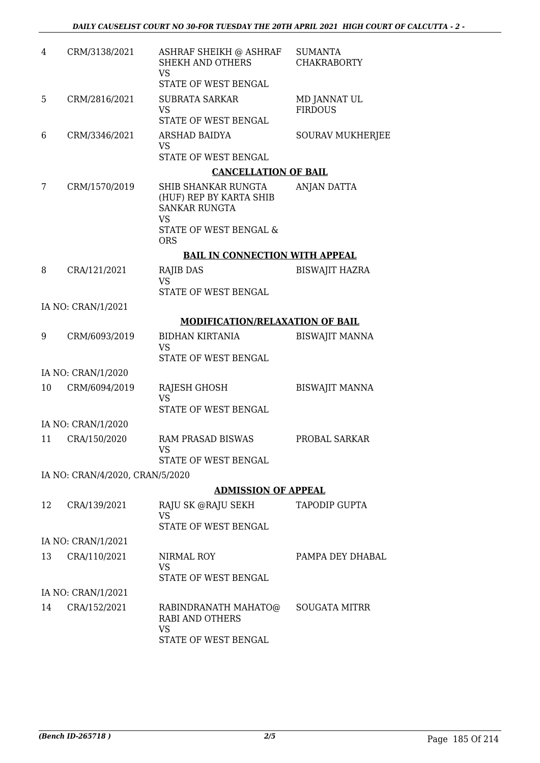| 4  | CRM/3138/2021                   | ASHRAF SHEIKH @ ASHRAF<br><b>SHEKH AND OTHERS</b><br><b>VS</b><br>STATE OF WEST BENGAL | <b>SUMANTA</b><br><b>CHAKRABORTY</b> |
|----|---------------------------------|----------------------------------------------------------------------------------------|--------------------------------------|
| 5  | CRM/2816/2021                   | <b>SUBRATA SARKAR</b>                                                                  | MD JANNAT UL                         |
|    |                                 | <b>VS</b>                                                                              | <b>FIRDOUS</b>                       |
|    |                                 | STATE OF WEST BENGAL                                                                   |                                      |
| 6  | CRM/3346/2021                   | ARSHAD BAIDYA<br><b>VS</b>                                                             | <b>SOURAV MUKHERJEE</b>              |
|    |                                 | STATE OF WEST BENGAL                                                                   |                                      |
|    |                                 | <b>CANCELLATION OF BAIL</b>                                                            |                                      |
| 7  | CRM/1570/2019                   | SHIB SHANKAR RUNGTA<br>(HUF) REP BY KARTA SHIB<br><b>SANKAR RUNGTA</b>                 | ANJAN DATTA                          |
|    |                                 | <b>VS</b><br>STATE OF WEST BENGAL &<br><b>ORS</b>                                      |                                      |
|    |                                 | <b>BAIL IN CONNECTION WITH APPEAL</b>                                                  |                                      |
| 8  | CRA/121/2021                    | RAJIB DAS                                                                              | <b>BISWAJIT HAZRA</b>                |
|    |                                 | <b>VS</b><br>STATE OF WEST BENGAL                                                      |                                      |
|    | IA NO: CRAN/1/2021              |                                                                                        |                                      |
|    |                                 | <b>MODIFICATION/RELAXATION OF BAIL</b>                                                 |                                      |
| 9  | CRM/6093/2019                   | <b>BIDHAN KIRTANIA</b><br><b>VS</b>                                                    | <b>BISWAJIT MANNA</b>                |
|    |                                 | STATE OF WEST BENGAL                                                                   |                                      |
|    | IA NO: CRAN/1/2020              |                                                                                        |                                      |
| 10 | CRM/6094/2019                   | RAJESH GHOSH<br><b>VS</b><br>STATE OF WEST BENGAL                                      | <b>BISWAJIT MANNA</b>                |
|    |                                 |                                                                                        |                                      |
|    | IA NO: CRAN/1/2020              |                                                                                        |                                      |
| 11 | CRA/150/2020                    | <b>RAM PRASAD BISWAS</b><br>VS                                                         | PROBAL SARKAR                        |
|    |                                 | STATE OF WEST BENGAL                                                                   |                                      |
|    | IA NO: CRAN/4/2020, CRAN/5/2020 |                                                                                        |                                      |
|    |                                 | <b>ADMISSION OF APPEAL</b>                                                             |                                      |
| 12 | CRA/139/2021                    | RAJU SK @RAJU SEKH<br><b>VS</b>                                                        | <b>TAPODIP GUPTA</b>                 |
|    |                                 | STATE OF WEST BENGAL                                                                   |                                      |
|    | IA NO: CRAN/1/2021              |                                                                                        |                                      |
| 13 | CRA/110/2021                    | NIRMAL ROY<br><b>VS</b>                                                                | PAMPA DEY DHABAL                     |
|    |                                 | STATE OF WEST BENGAL                                                                   |                                      |
|    | IA NO: CRAN/1/2021              |                                                                                        |                                      |
| 14 | CRA/152/2021                    | RABINDRANATH MAHATO@<br><b>RABI AND OTHERS</b><br>VS<br>STATE OF WEST BENGAL           | <b>SOUGATA MITRR</b>                 |
|    |                                 |                                                                                        |                                      |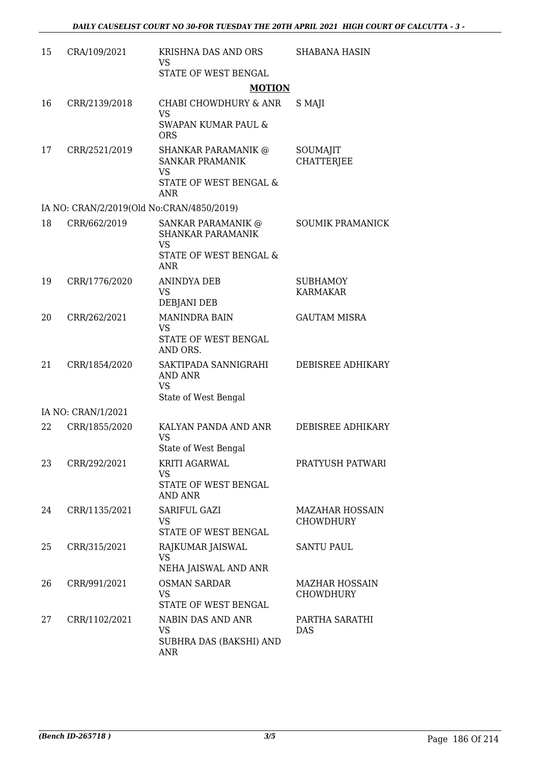| 15 | CRA/109/2021                              | KRISHNA DAS AND ORS<br><b>VS</b>                                                            | <b>SHABANA HASIN</b>                      |
|----|-------------------------------------------|---------------------------------------------------------------------------------------------|-------------------------------------------|
|    |                                           | STATE OF WEST BENGAL                                                                        |                                           |
|    |                                           | <b>MOTION</b>                                                                               |                                           |
| 16 | CRR/2139/2018                             | CHABI CHOWDHURY & ANR<br><b>VS</b><br><b>SWAPAN KUMAR PAUL &amp;</b>                        | S MAJI                                    |
|    |                                           | <b>ORS</b>                                                                                  |                                           |
| 17 | CRR/2521/2019                             | <b>SHANKAR PARAMANIK @</b><br><b>SANKAR PRAMANIK</b><br><b>VS</b><br>STATE OF WEST BENGAL & | SOUMAJIT<br><b>CHATTERIEE</b>             |
|    |                                           | <b>ANR</b>                                                                                  |                                           |
|    | IA NO: CRAN/2/2019(Old No:CRAN/4850/2019) |                                                                                             |                                           |
| 18 | CRR/662/2019                              | SANKAR PARAMANIK @<br><b>SHANKAR PARAMANIK</b><br><b>VS</b>                                 | <b>SOUMIK PRAMANICK</b>                   |
|    |                                           | STATE OF WEST BENGAL &<br><b>ANR</b>                                                        |                                           |
| 19 | CRR/1776/2020                             | <b>ANINDYA DEB</b>                                                                          | <b>SUBHAMOY</b>                           |
|    |                                           | <b>VS</b><br><b>DEBJANI DEB</b>                                                             | <b>KARMAKAR</b>                           |
| 20 | CRR/262/2021                              | <b>MANINDRA BAIN</b><br>VS<br>STATE OF WEST BENGAL                                          | <b>GAUTAM MISRA</b>                       |
|    |                                           | AND ORS.                                                                                    |                                           |
| 21 | CRR/1854/2020                             | SAKTIPADA SANNIGRAHI<br><b>AND ANR</b><br><b>VS</b>                                         | DEBISREE ADHIKARY                         |
|    |                                           | State of West Bengal                                                                        |                                           |
|    | IA NO: CRAN/1/2021                        |                                                                                             |                                           |
| 22 | CRR/1855/2020                             | KALYAN PANDA AND ANR<br><b>VS</b>                                                           | DEBISREE ADHIKARY                         |
|    |                                           | State of West Bengal                                                                        |                                           |
| 23 | CRR/292/2021                              | KRITI AGARWAL<br>VS                                                                         | PRATYUSH PATWARI                          |
|    |                                           | STATE OF WEST BENGAL<br><b>AND ANR</b>                                                      |                                           |
| 24 | CRR/1135/2021                             | SARIFUL GAZI<br><b>VS</b>                                                                   | <b>MAZAHAR HOSSAIN</b><br>CHOWDHURY       |
|    |                                           | STATE OF WEST BENGAL                                                                        |                                           |
| 25 | CRR/315/2021                              | RAJKUMAR JAISWAL<br><b>VS</b>                                                               | <b>SANTU PAUL</b>                         |
|    |                                           | NEHA JAISWAL AND ANR                                                                        |                                           |
| 26 | CRR/991/2021                              | <b>OSMAN SARDAR</b><br><b>VS</b>                                                            | <b>MAZHAR HOSSAIN</b><br><b>CHOWDHURY</b> |
|    |                                           | STATE OF WEST BENGAL                                                                        |                                           |
| 27 | CRR/1102/2021                             | NABIN DAS AND ANR<br><b>VS</b><br>SUBHRA DAS (BAKSHI) AND<br><b>ANR</b>                     | PARTHA SARATHI<br><b>DAS</b>              |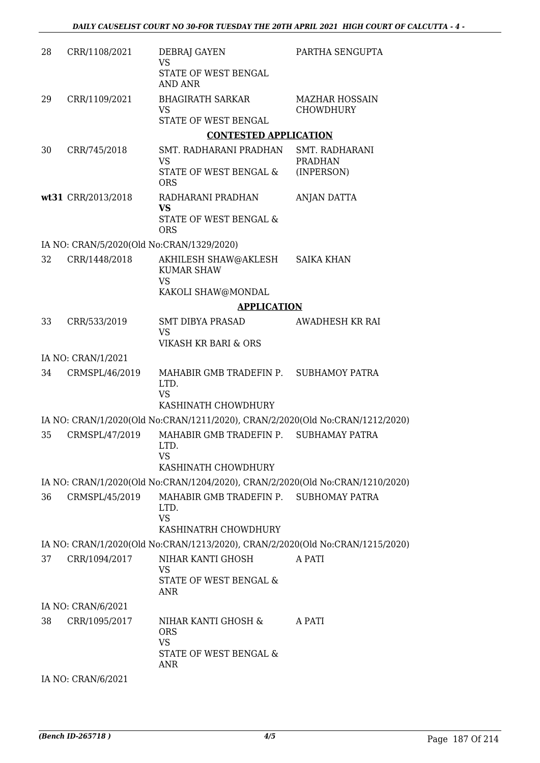| 28 | CRR/1108/2021                             | DEBRAJ GAYEN<br><b>VS</b>                                                                                               | PARTHA SENGUPTA                           |
|----|-------------------------------------------|-------------------------------------------------------------------------------------------------------------------------|-------------------------------------------|
|    |                                           | STATE OF WEST BENGAL<br><b>AND ANR</b>                                                                                  |                                           |
| 29 | CRR/1109/2021                             | <b>BHAGIRATH SARKAR</b><br><b>VS</b>                                                                                    | <b>MAZHAR HOSSAIN</b><br><b>CHOWDHURY</b> |
|    |                                           | STATE OF WEST BENGAL                                                                                                    |                                           |
|    |                                           | <b>CONTESTED APPLICATION</b>                                                                                            |                                           |
| 30 | CRR/745/2018                              | SMT. RADHARANI PRADHAN<br>VS                                                                                            | <b>SMT. RADHARANI</b><br><b>PRADHAN</b>   |
|    |                                           | STATE OF WEST BENGAL &<br><b>ORS</b>                                                                                    | (INPERSON)                                |
|    | wt31 CRR/2013/2018                        | RADHARANI PRADHAN<br><b>VS</b>                                                                                          | ANJAN DATTA                               |
|    |                                           | STATE OF WEST BENGAL &<br><b>ORS</b>                                                                                    |                                           |
|    | IA NO: CRAN/5/2020(Old No:CRAN/1329/2020) |                                                                                                                         |                                           |
| 32 | CRR/1448/2018                             | AKHILESH SHAW@AKLESH<br><b>KUMAR SHAW</b>                                                                               | <b>SAIKA KHAN</b>                         |
|    |                                           | <b>VS</b><br>KAKOLI SHAW@MONDAL                                                                                         |                                           |
|    |                                           | <b>APPLICATION</b>                                                                                                      |                                           |
| 33 | CRR/533/2019                              | SMT DIBYA PRASAD                                                                                                        | AWADHESH KR RAI                           |
|    |                                           | <b>VS</b><br>VIKASH KR BARI & ORS                                                                                       |                                           |
|    | IA NO: CRAN/1/2021                        |                                                                                                                         |                                           |
| 34 | CRMSPL/46/2019                            | MAHABIR GMB TRADEFIN P. SUBHAMOY PATRA<br>LTD.<br><b>VS</b>                                                             |                                           |
|    |                                           | KASHINATH CHOWDHURY                                                                                                     |                                           |
|    |                                           | IA NO: CRAN/1/2020(Old No:CRAN/1211/2020), CRAN/2/2020(Old No:CRAN/1212/2020)                                           |                                           |
| 35 | CRMSPL/47/2019                            | MAHABIR GMB TRADEFIN P. SUBHAMAY PATRA<br>LTD.<br>VS                                                                    |                                           |
|    |                                           | KASHINATH CHOWDHURY                                                                                                     |                                           |
| 36 | CRMSPL/45/2019                            | IA NO: CRAN/1/2020(Old No:CRAN/1204/2020), CRAN/2/2020(Old No:CRAN/1210/2020)<br>MAHABIR GMB TRADEFIN P. SUBHOMAY PATRA |                                           |
|    |                                           | LTD.<br><b>VS</b><br>KASHINATRH CHOWDHURY                                                                               |                                           |
|    |                                           | IA NO: CRAN/1/2020(Old No:CRAN/1213/2020), CRAN/2/2020(Old No:CRAN/1215/2020)                                           |                                           |
| 37 | CRR/1094/2017                             | NIHAR KANTI GHOSH                                                                                                       | A PATI                                    |
|    |                                           | <b>VS</b><br>STATE OF WEST BENGAL &<br>ANR                                                                              |                                           |
|    | IA NO: CRAN/6/2021                        |                                                                                                                         |                                           |
| 38 | CRR/1095/2017                             | NIHAR KANTI GHOSH &<br><b>ORS</b><br><b>VS</b><br>STATE OF WEST BENGAL &                                                | A PATI                                    |
|    |                                           | ANR                                                                                                                     |                                           |

IA NO: CRAN/6/2021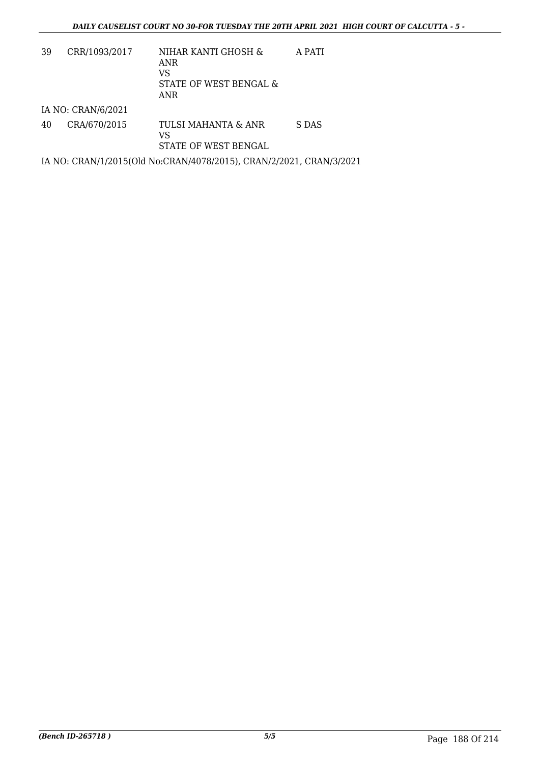| 39 | CRR/1093/2017      | NIHAR KANTI GHOSH &<br>ANR<br>VS<br>STATE OF WEST BENGAL &<br>ANR   | A PATI |
|----|--------------------|---------------------------------------------------------------------|--------|
|    | IA NO: CRAN/6/2021 |                                                                     |        |
| 40 | CRA/670/2015       | TULSI MAHANTA & ANR<br>VS<br>STATE OF WEST BENGAL                   | S DAS  |
|    |                    |                                                                     |        |
|    |                    | IA NO: CRAN/1/2015(Old No:CRAN/4078/2015), CRAN/2/2021, CRAN/3/2021 |        |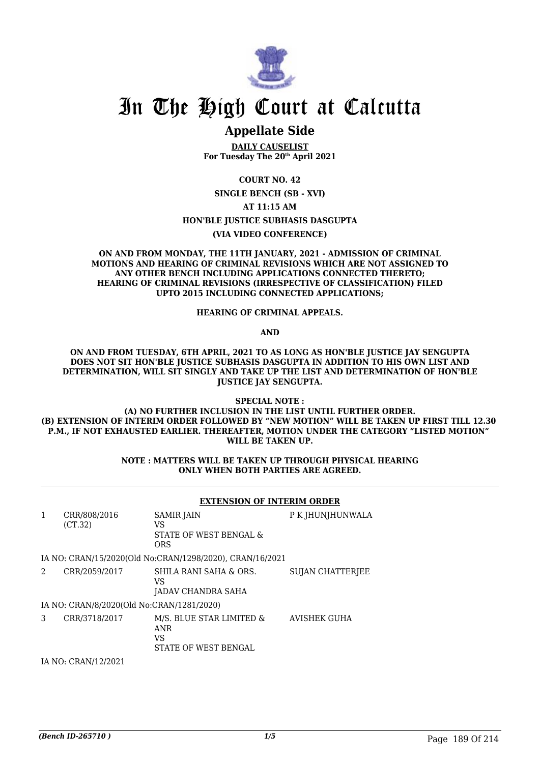

### **Appellate Side**

**DAILY CAUSELIST For Tuesday The 20th April 2021**

**COURT NO. 42 SINGLE BENCH (SB - XVI) AT 11:15 AM HON'BLE JUSTICE SUBHASIS DASGUPTA (VIA VIDEO CONFERENCE)**

#### **ON AND FROM MONDAY, THE 11TH JANUARY, 2021 - ADMISSION OF CRIMINAL MOTIONS AND HEARING OF CRIMINAL REVISIONS WHICH ARE NOT ASSIGNED TO ANY OTHER BENCH INCLUDING APPLICATIONS CONNECTED THERETO; HEARING OF CRIMINAL REVISIONS (IRRESPECTIVE OF CLASSIFICATION) FILED UPTO 2015 INCLUDING CONNECTED APPLICATIONS;**

#### **HEARING OF CRIMINAL APPEALS.**

**AND**

**ON AND FROM TUESDAY, 6TH APRIL, 2021 TO AS LONG AS HON'BLE JUSTICE JAY SENGUPTA DOES NOT SIT HON'BLE JUSTICE SUBHASIS DASGUPTA IN ADDITION TO HIS OWN LIST AND DETERMINATION, WILL SIT SINGLY AND TAKE UP THE LIST AND DETERMINATION OF HON'BLE JUSTICE JAY SENGUPTA.**

**SPECIAL NOTE :**

**(A) NO FURTHER INCLUSION IN THE LIST UNTIL FURTHER ORDER. (B) EXTENSION OF INTERIM ORDER FOLLOWED BY "NEW MOTION" WILL BE TAKEN UP FIRST TILL 12.30 P.M., IF NOT EXHAUSTED EARLIER. THEREAFTER, MOTION UNDER THE CATEGORY "LISTED MOTION" WILL BE TAKEN UP.**

#### **NOTE : MATTERS WILL BE TAKEN UP THROUGH PHYSICAL HEARING ONLY WHEN BOTH PARTIES ARE AGREED.**

|   |                                           | <b>EXTENSION OF INTERIM ORDER</b>                                           |                         |  |
|---|-------------------------------------------|-----------------------------------------------------------------------------|-------------------------|--|
| 1 | CRR/808/2016<br>(CT.32)                   | <b>SAMIR JAIN</b><br>VS<br>STATE OF WEST BENGAL &<br><b>ORS</b>             | P K JHUNJHUNWALA        |  |
|   |                                           | IA NO: CRAN/15/2020(Old No:CRAN/1298/2020), CRAN/16/2021                    |                         |  |
| 2 | CRR/2059/2017                             | SHILA RANI SAHA & ORS.<br>VS<br>JADAV CHANDRA SAHA                          | <b>SUJAN CHATTERIEE</b> |  |
|   | IA NO: CRAN/8/2020(Old No:CRAN/1281/2020) |                                                                             |                         |  |
| 3 | CRR/3718/2017                             | M/S. BLUE STAR LIMITED &<br><b>ANR</b><br>VS<br><b>STATE OF WEST BENGAL</b> | <b>AVISHEK GUHA</b>     |  |
|   | $\mathbf{A}$                              |                                                                             |                         |  |

IA NO: CRAN/12/2021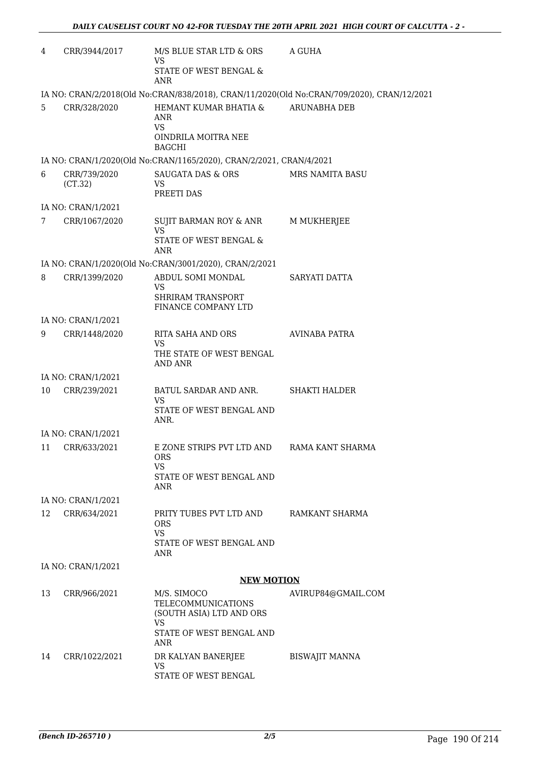| $\overline{4}$ | CRR/3944/2017           | M/S BLUE STAR LTD & ORS<br>VS                                                     | A GUHA                                                                                     |
|----------------|-------------------------|-----------------------------------------------------------------------------------|--------------------------------------------------------------------------------------------|
|                |                         | STATE OF WEST BENGAL &<br><b>ANR</b>                                              |                                                                                            |
|                |                         |                                                                                   | IA NO: CRAN/2/2018(Old No:CRAN/838/2018), CRAN/11/2020(Old No:CRAN/709/2020), CRAN/12/2021 |
| 5              | CRR/328/2020            | HEMANT KUMAR BHATIA &<br>ANR<br>VS.                                               | <b>ARUNABHA DEB</b>                                                                        |
|                |                         | OINDRILA MOITRA NEE<br><b>BAGCHI</b>                                              |                                                                                            |
|                |                         | IA NO: CRAN/1/2020(Old No:CRAN/1165/2020), CRAN/2/2021, CRAN/4/2021               |                                                                                            |
| 6              | CRR/739/2020<br>(CT.32) | <b>SAUGATA DAS &amp; ORS</b><br><b>VS</b><br>PREETI DAS                           | <b>MRS NAMITA BASU</b>                                                                     |
|                | IA NO: CRAN/1/2021      |                                                                                   |                                                                                            |
| 7              | CRR/1067/2020           | SUJIT BARMAN ROY & ANR<br><b>VS</b>                                               | <b>M MUKHERJEE</b>                                                                         |
|                |                         | <b>STATE OF WEST BENGAL &amp;</b><br><b>ANR</b>                                   |                                                                                            |
|                |                         | IA NO: CRAN/1/2020(Old No:CRAN/3001/2020), CRAN/2/2021                            |                                                                                            |
| 8              | CRR/1399/2020           | ABDUL SOMI MONDAL<br>VS                                                           | SARYATI DATTA                                                                              |
|                |                         | <b>SHRIRAM TRANSPORT</b><br>FINANCE COMPANY LTD                                   |                                                                                            |
|                | IA NO: CRAN/1/2021      |                                                                                   |                                                                                            |
| 9              | CRR/1448/2020           | RITA SAHA AND ORS<br><b>VS</b>                                                    | AVINABA PATRA                                                                              |
|                |                         | THE STATE OF WEST BENGAL<br><b>AND ANR</b>                                        |                                                                                            |
|                | IA NO: CRAN/1/2021      |                                                                                   |                                                                                            |
| 10             | CRR/239/2021            | BATUL SARDAR AND ANR.<br>VS                                                       | <b>SHAKTI HALDER</b>                                                                       |
|                |                         | STATE OF WEST BENGAL AND<br>ANR.                                                  |                                                                                            |
|                | IA NO: CRAN/1/2021      |                                                                                   |                                                                                            |
| 11             | CRR/633/2021            | E ZONE STRIPS PVT LTD AND<br><b>ORS</b><br>VS.                                    | RAMA KANT SHARMA                                                                           |
|                |                         | STATE OF WEST BENGAL AND<br>ANR                                                   |                                                                                            |
|                | IA NO: CRAN/1/2021      |                                                                                   |                                                                                            |
| 12             | CRR/634/2021            | PRITY TUBES PVT LTD AND<br><b>ORS</b><br><b>VS</b><br>STATE OF WEST BENGAL AND    | RAMKANT SHARMA                                                                             |
|                |                         | ANR                                                                               |                                                                                            |
|                | IA NO: CRAN/1/2021      |                                                                                   |                                                                                            |
|                |                         | <b>NEW MOTION</b>                                                                 |                                                                                            |
| 13             | CRR/966/2021            | M/S. SIMOCO<br><b>TELECOMMUNICATIONS</b><br>(SOUTH ASIA) LTD AND ORS<br><b>VS</b> | AVIRUP84@GMAIL.COM                                                                         |
|                |                         | STATE OF WEST BENGAL AND<br><b>ANR</b>                                            |                                                                                            |
| 14             | CRR/1022/2021           | DR KALYAN BANERJEE<br><b>VS</b>                                                   | <b>BISWAJIT MANNA</b>                                                                      |
|                |                         | STATE OF WEST BENGAL                                                              |                                                                                            |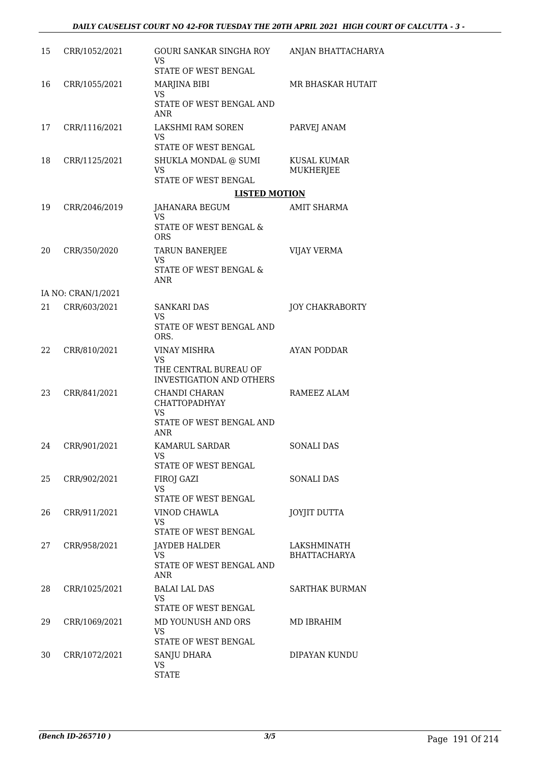| 15 | CRR/1052/2021      | <b>GOURI SANKAR SINGHA ROY</b><br><b>VS</b><br>STATE OF WEST BENGAL               | ANJAN BHATTACHARYA                 |
|----|--------------------|-----------------------------------------------------------------------------------|------------------------------------|
| 16 | CRR/1055/2021      | MARJINA BIBI                                                                      | MR BHASKAR HUTAIT                  |
|    |                    | <b>VS</b><br>STATE OF WEST BENGAL AND<br><b>ANR</b>                               |                                    |
| 17 | CRR/1116/2021      | LAKSHMI RAM SOREN<br>VS                                                           | PARVEJ ANAM                        |
| 18 | CRR/1125/2021      | STATE OF WEST BENGAL<br>SHUKLA MONDAL @ SUMI<br><b>VS</b><br>STATE OF WEST BENGAL | <b>KUSAL KUMAR</b><br>MUKHERJEE    |
|    |                    | <b>LISTED MOTION</b>                                                              |                                    |
| 19 | CRR/2046/2019      | JAHANARA BEGUM<br>VS                                                              | AMIT SHARMA                        |
|    |                    | STATE OF WEST BENGAL &<br><b>ORS</b>                                              |                                    |
| 20 | CRR/350/2020       | <b>TARUN BANERJEE</b><br><b>VS</b>                                                | <b>VIJAY VERMA</b>                 |
|    |                    | STATE OF WEST BENGAL &<br>ANR                                                     |                                    |
|    | IA NO: CRAN/1/2021 |                                                                                   |                                    |
| 21 | CRR/603/2021       | <b>SANKARI DAS</b><br>VS<br>STATE OF WEST BENGAL AND                              | <b>JOY CHAKRABORTY</b>             |
| 22 | CRR/810/2021       | ORS.<br><b>VINAY MISHRA</b>                                                       | <b>AYAN PODDAR</b>                 |
|    |                    | <b>VS</b><br>THE CENTRAL BUREAU OF<br><b>INVESTIGATION AND OTHERS</b>             |                                    |
| 23 | CRR/841/2021       | CHANDI CHARAN<br><b>CHATTOPADHYAY</b><br><b>VS</b>                                | RAMEEZ ALAM                        |
|    |                    | STATE OF WEST BENGAL AND<br><b>ANR</b>                                            |                                    |
| 24 | CRR/901/2021       | KAMARUL SARDAR<br><b>VS</b><br><b>STATE OF WEST BENGAL</b>                        | <b>SONALI DAS</b>                  |
| 25 | CRR/902/2021       | FIROJ GAZI<br>VS<br>STATE OF WEST BENGAL                                          | SONALI DAS                         |
| 26 | CRR/911/2021       | VINOD CHAWLA<br><b>VS</b><br>STATE OF WEST BENGAL                                 | <b>JOYJIT DUTTA</b>                |
| 27 | CRR/958/2021       | JAYDEB HALDER<br><b>VS</b><br>STATE OF WEST BENGAL AND<br><b>ANR</b>              | LAKSHMINATH<br><b>BHATTACHARYA</b> |
| 28 | CRR/1025/2021      | <b>BALAI LAL DAS</b><br><b>VS</b>                                                 | <b>SARTHAK BURMAN</b>              |
| 29 | CRR/1069/2021      | STATE OF WEST BENGAL<br>MD YOUNUSH AND ORS<br><b>VS</b><br>STATE OF WEST BENGAL   | MD IBRAHIM                         |
| 30 | CRR/1072/2021      | SANJU DHARA<br><b>VS</b><br><b>STATE</b>                                          | DIPAYAN KUNDU                      |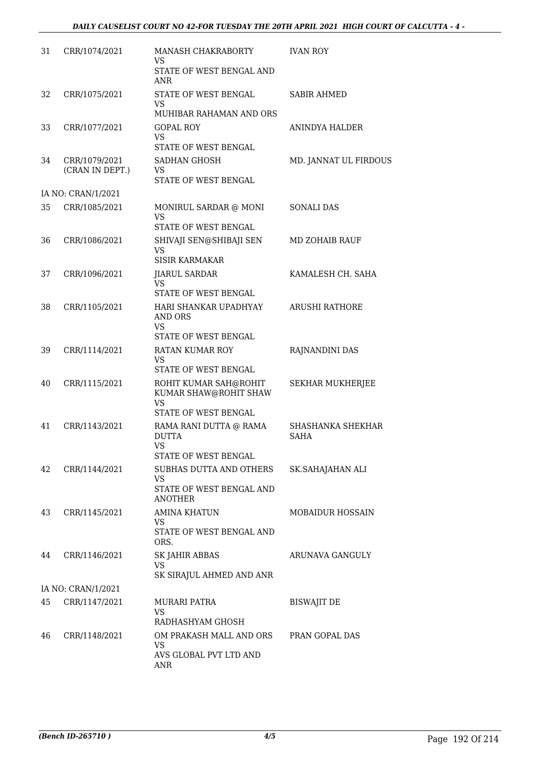| 31 | CRR/1074/2021                    | <b>MANASH CHAKRABORTY</b><br>VS                                                                            | <b>IVAN ROY</b>                         |
|----|----------------------------------|------------------------------------------------------------------------------------------------------------|-----------------------------------------|
|    |                                  | STATE OF WEST BENGAL AND<br><b>ANR</b>                                                                     |                                         |
| 32 | CRR/1075/2021                    | STATE OF WEST BENGAL<br>VS<br>MUHIBAR RAHAMAN AND ORS                                                      | <b>SABIR AHMED</b>                      |
| 33 | CRR/1077/2021                    | <b>GOPAL ROY</b><br>VS<br>STATE OF WEST BENGAL                                                             | ANINDYA HALDER                          |
| 34 | CRR/1079/2021<br>(CRAN IN DEPT.) | SADHAN GHOSH<br>VS<br>STATE OF WEST BENGAL                                                                 | MD. JANNAT UL FIRDOUS                   |
|    | IA NO: CRAN/1/2021               |                                                                                                            |                                         |
| 35 | CRR/1085/2021                    | MONIRUL SARDAR @ MONI<br>VS<br><b>STATE OF WEST BENGAL</b>                                                 | <b>SONALI DAS</b>                       |
| 36 | CRR/1086/2021                    | SHIVAJI SEN@SHIBAJI SEN<br><b>VS</b><br><b>SISIR KARMAKAR</b>                                              | <b>MD ZOHAIB RAUF</b>                   |
| 37 | CRR/1096/2021                    | <b>JIARUL SARDAR</b><br>VS<br><b>STATE OF WEST BENGAL</b>                                                  | KAMALESH CH. SAHA                       |
| 38 | CRR/1105/2021                    | HARI SHANKAR UPADHYAY<br><b>AND ORS</b><br><b>VS</b>                                                       | <b>ARUSHI RATHORE</b>                   |
| 39 | CRR/1114/2021                    | <b>STATE OF WEST BENGAL</b><br><b>RATAN KUMAR ROY</b><br>VS<br><b>STATE OF WEST BENGAL</b>                 | RAJNANDINI DAS                          |
| 40 | CRR/1115/2021                    | ROHIT KUMAR SAH@ROHIT<br>KUMAR SHAW@ROHIT SHAW<br><b>VS</b><br><b>STATE OF WEST BENGAL</b>                 | <b>SEKHAR MUKHERJEE</b>                 |
| 41 | CRR/1143/2021                    | RAMA RANI DUTTA @ RAMA<br><b>DUTTA</b><br><b>VS</b>                                                        | <b>SHASHANKA SHEKHAR</b><br><b>SAHA</b> |
| 42 | CRR/1144/2021                    | <b>STATE OF WEST BENGAL</b><br>SUBHAS DUTTA AND OTHERS<br>VS<br>STATE OF WEST BENGAL AND<br><b>ANOTHER</b> | SK.SAHAJAHAN ALI                        |
| 43 | CRR/1145/2021                    | <b>AMINA KHATUN</b><br>VS<br>STATE OF WEST BENGAL AND<br>ORS.                                              | <b>MOBAIDUR HOSSAIN</b>                 |
| 44 | CRR/1146/2021                    | SK JAHIR ABBAS<br><b>VS</b><br>SK SIRAJUL AHMED AND ANR                                                    | ARUNAVA GANGULY                         |
|    | IA NO: CRAN/1/2021               |                                                                                                            |                                         |
| 45 | CRR/1147/2021                    | MURARI PATRA<br><b>VS</b>                                                                                  | <b>BISWAJIT DE</b>                      |
| 46 | CRR/1148/2021                    | RADHASHYAM GHOSH<br>OM PRAKASH MALL AND ORS<br><b>VS</b><br>AVS GLOBAL PVT LTD AND<br>ANR                  | PRAN GOPAL DAS                          |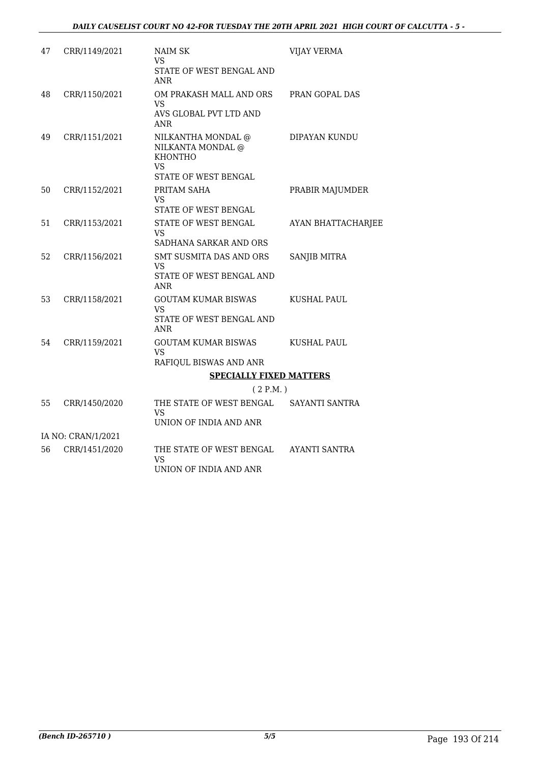| 47 | CRR/1149/2021      | NAIM SK<br><b>VS</b><br>STATE OF WEST BENGAL AND                                                      | <b>VIJAY VERMA</b>   |
|----|--------------------|-------------------------------------------------------------------------------------------------------|----------------------|
|    |                    | <b>ANR</b>                                                                                            |                      |
| 48 | CRR/1150/2021      | OM PRAKASH MALL AND ORS<br><b>VS</b><br>AVS GLOBAL PVT LTD AND<br><b>ANR</b>                          | PRAN GOPAL DAS       |
| 49 | CRR/1151/2021      | NILKANTHA MONDAL @<br>NILKANTA MONDAL @<br><b>KHONTHO</b><br><b>VS</b><br><b>STATE OF WEST BENGAL</b> | DIPAYAN KUNDU        |
| 50 | CRR/1152/2021      | PRITAM SAHA<br><b>VS</b><br>STATE OF WEST BENGAL                                                      | PRABIR MAJUMDER      |
| 51 | CRR/1153/2021      | STATE OF WEST BENGAL<br>VS.<br>SADHANA SARKAR AND ORS                                                 | AYAN BHATTACHARJEE   |
| 52 | CRR/1156/2021      | <b>SMT SUSMITA DAS AND ORS</b><br><b>VS</b><br>STATE OF WEST BENGAL AND<br><b>ANR</b>                 | <b>SANJIB MITRA</b>  |
| 53 | CRR/1158/2021      | <b>GOUTAM KUMAR BISWAS</b><br><b>VS</b><br>STATE OF WEST BENGAL AND<br><b>ANR</b>                     | <b>KUSHAL PAUL</b>   |
| 54 | CRR/1159/2021      | <b>GOUTAM KUMAR BISWAS</b><br><b>VS</b><br>RAFIQUL BISWAS AND ANR                                     | <b>KUSHAL PAUL</b>   |
|    |                    | <b>SPECIALLY FIXED MATTERS</b>                                                                        |                      |
|    |                    | (2 P.M.)                                                                                              |                      |
| 55 | CRR/1450/2020      | THE STATE OF WEST BENGAL<br><b>VS</b><br>UNION OF INDIA AND ANR                                       | SAYANTI SANTRA       |
|    | IA NO: CRAN/1/2021 |                                                                                                       |                      |
| 56 | CRR/1451/2020      | THE STATE OF WEST BENGAL                                                                              | <b>AYANTI SANTRA</b> |
|    |                    |                                                                                                       |                      |

UNION OF INDIA AND ANR

VS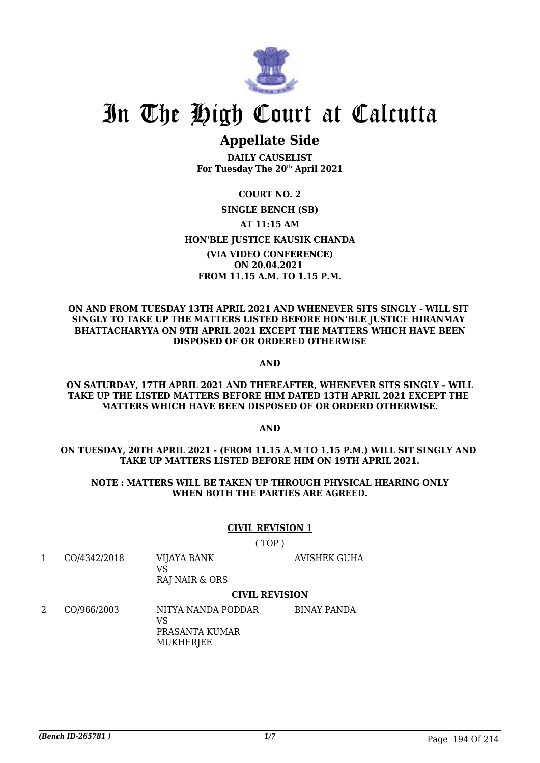

## **Appellate Side**

**DAILY CAUSELIST For Tuesday The 20th April 2021**

**COURT NO. 2 SINGLE BENCH (SB) AT 11:15 AM HON'BLE JUSTICE KAUSIK CHANDA (VIA VIDEO CONFERENCE) ON 20.04.2021 FROM 11.15 A.M. TO 1.15 P.M.**

#### **ON AND FROM TUESDAY 13TH APRIL 2021 AND WHENEVER SITS SINGLY - WILL SIT SINGLY TO TAKE UP THE MATTERS LISTED BEFORE HON'BLE JUSTICE HIRANMAY BHATTACHARYYA ON 9TH APRIL 2021 EXCEPT THE MATTERS WHICH HAVE BEEN DISPOSED OF OR ORDERED OTHERWISE**

**AND**

#### **ON SATURDAY, 17TH APRIL 2021 AND THEREAFTER, WHENEVER SITS SINGLY – WILL TAKE UP THE LISTED MATTERS BEFORE HIM DATED 13TH APRIL 2021 EXCEPT THE MATTERS WHICH HAVE BEEN DISPOSED OF OR ORDERD OTHERWISE.**

**AND**

#### **ON TUESDAY, 20TH APRIL 2021 - (FROM 11.15 A.M TO 1.15 P.M.) WILL SIT SINGLY AND TAKE UP MATTERS LISTED BEFORE HIM ON 19TH APRIL 2021.**

#### **NOTE : MATTERS WILL BE TAKEN UP THROUGH PHYSICAL HEARING ONLY WHEN BOTH THE PARTIES ARE AGREED.**

#### **CIVIL REVISION 1**

( TOP )

- 1 CO/4342/2018 VIJAYA BANK VS RAJ NAIR & ORS AVISHEK GUHA **CIVIL REVISION**
- 2 CO/966/2003 NITYA NANDA PODDAR  $V<sup>Q</sup>$ PRASANTA KUMAR MUKHERJEE BINAY PANDA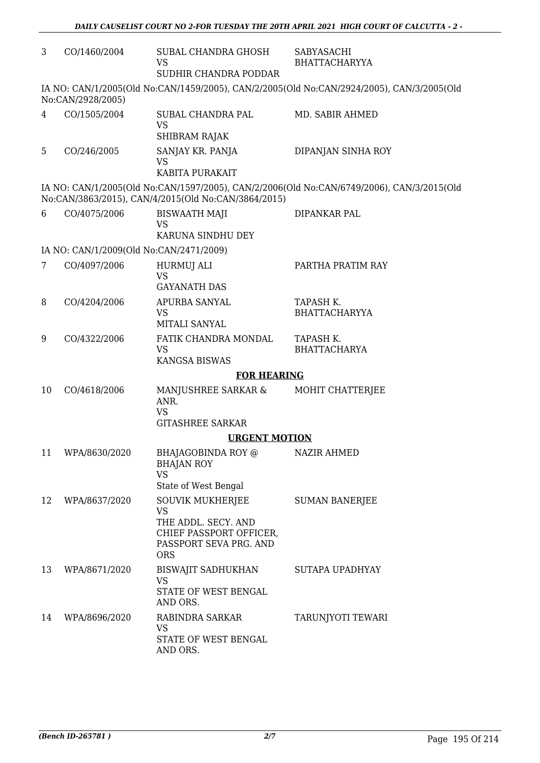| 3  | CO/1460/2004                            | SUBAL CHANDRA GHOSH<br><b>VS</b><br>SUDHIR CHANDRA PODDAR                           | SABYASACHI<br><b>BHATTACHARYYA</b>                                                        |  |
|----|-----------------------------------------|-------------------------------------------------------------------------------------|-------------------------------------------------------------------------------------------|--|
|    | No:CAN/2928/2005)                       |                                                                                     | IA NO: CAN/1/2005(Old No:CAN/1459/2005), CAN/2/2005(Old No:CAN/2924/2005), CAN/3/2005(Old |  |
| 4  | CO/1505/2004                            | SUBAL CHANDRA PAL<br><b>VS</b><br>SHIBRAM RAJAK                                     | MD. SABIR AHMED                                                                           |  |
| 5  | CO/246/2005                             | SANJAY KR. PANJA<br>VS<br>KABITA PURAKAIT                                           | DIPANJAN SINHA ROY                                                                        |  |
|    |                                         | No:CAN/3863/2015), CAN/4/2015(Old No:CAN/3864/2015)                                 | IA NO: CAN/1/2005(Old No:CAN/1597/2005), CAN/2/2006(Old No:CAN/6749/2006), CAN/3/2015(Old |  |
| 6  | CO/4075/2006                            | <b>BISWAATH MAJI</b><br><b>VS</b><br>KARUNA SINDHU DEY                              | DIPANKAR PAL                                                                              |  |
|    | IA NO: CAN/1/2009(Old No:CAN/2471/2009) |                                                                                     |                                                                                           |  |
| 7  | CO/4097/2006                            | HURMUJ ALI<br>VS<br><b>GAYANATH DAS</b>                                             | PARTHA PRATIM RAY                                                                         |  |
| 8  | CO/4204/2006                            | APURBA SANYAL<br><b>VS</b><br>MITALI SANYAL                                         | TAPASH K.<br><b>BHATTACHARYYA</b>                                                         |  |
| 9  | CO/4322/2006                            | FATIK CHANDRA MONDAL<br><b>VS</b><br><b>KANGSA BISWAS</b>                           | TAPASH K.<br><b>BHATTACHARYA</b>                                                          |  |
|    | <b>FOR HEARING</b>                      |                                                                                     |                                                                                           |  |
| 10 | CO/4618/2006                            | MANJUSHREE SARKAR &<br>ANR.<br><b>VS</b>                                            | MOHIT CHATTERJEE                                                                          |  |
|    |                                         | <b>GITASHREE SARKAR</b>                                                             |                                                                                           |  |
|    |                                         | <b>URGENT MOTION</b>                                                                |                                                                                           |  |
| 11 | WPA/8630/2020                           | BHAJAGOBINDA ROY @<br><b>BHAJAN ROY</b><br><b>VS</b>                                | NAZIR AHMED                                                                               |  |
| 12 | WPA/8637/2020                           | State of West Bengal<br><b>SOUVIK MUKHERJEE</b><br><b>VS</b><br>THE ADDL. SECY. AND | <b>SUMAN BANERJEE</b>                                                                     |  |
|    |                                         | CHIEF PASSPORT OFFICER,<br>PASSPORT SEVA PRG. AND<br><b>ORS</b>                     |                                                                                           |  |
| 13 | WPA/8671/2020                           | <b>BISWAJIT SADHUKHAN</b><br>VS<br>STATE OF WEST BENGAL<br>AND ORS.                 | SUTAPA UPADHYAY                                                                           |  |
| 14 | WPA/8696/2020                           | RABINDRA SARKAR<br>VS<br>STATE OF WEST BENGAL<br>AND ORS.                           | TARUNJYOTI TEWARI                                                                         |  |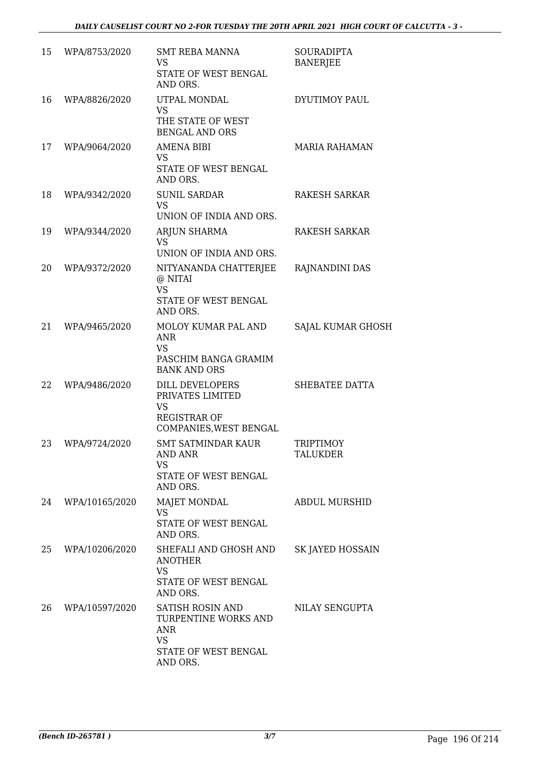| 15 | WPA/8753/2020  | SMT REBA MANNA<br><b>VS</b><br>STATE OF WEST BENGAL<br>AND ORS.                                          | <b>SOURADIPTA</b><br><b>BANERJEE</b> |
|----|----------------|----------------------------------------------------------------------------------------------------------|--------------------------------------|
| 16 | WPA/8826/2020  | UTPAL MONDAL<br><b>VS</b><br>THE STATE OF WEST<br><b>BENGAL AND ORS</b>                                  | <b>DYUTIMOY PAUL</b>                 |
| 17 | WPA/9064/2020  | AMENA BIBI<br>VS.<br>STATE OF WEST BENGAL<br>AND ORS.                                                    | <b>MARIA RAHAMAN</b>                 |
| 18 | WPA/9342/2020  | <b>SUNIL SARDAR</b><br><b>VS</b><br>UNION OF INDIA AND ORS.                                              | <b>RAKESH SARKAR</b>                 |
| 19 | WPA/9344/2020  | ARJUN SHARMA<br><b>VS</b><br>UNION OF INDIA AND ORS.                                                     | <b>RAKESH SARKAR</b>                 |
| 20 | WPA/9372/2020  | NITYANANDA CHATTERJEE<br>@ NITAI<br><b>VS</b><br>STATE OF WEST BENGAL<br>AND ORS.                        | RAJNANDINI DAS                       |
| 21 | WPA/9465/2020  | MOLOY KUMAR PAL AND<br><b>ANR</b><br><b>VS</b><br>PASCHIM BANGA GRAMIM<br><b>BANK AND ORS</b>            | SAJAL KUMAR GHOSH                    |
| 22 | WPA/9486/2020  | <b>DILL DEVELOPERS</b><br>PRIVATES LIMITED<br><b>VS</b><br><b>REGISTRAR OF</b><br>COMPANIES, WEST BENGAL | SHEBATEE DATTA                       |
| 23 | WPA/9724/2020  | <b>SMT SATMINDAR KAUR</b><br><b>AND ANR</b><br><b>VS</b><br>STATE OF WEST BENGAL<br>AND ORS.             | TRIPTIMOY<br><b>TALUKDER</b>         |
| 24 | WPA/10165/2020 | <b>MAJET MONDAL</b><br><b>VS</b><br>STATE OF WEST BENGAL<br>AND ORS.                                     | <b>ABDUL MURSHID</b>                 |
| 25 | WPA/10206/2020 | SHEFALI AND GHOSH AND<br><b>ANOTHER</b><br><b>VS</b><br>STATE OF WEST BENGAL<br>AND ORS.                 | SK JAYED HOSSAIN                     |
| 26 | WPA/10597/2020 | SATISH ROSIN AND<br>TURPENTINE WORKS AND<br><b>ANR</b><br><b>VS</b><br>STATE OF WEST BENGAL<br>AND ORS.  | NILAY SENGUPTA                       |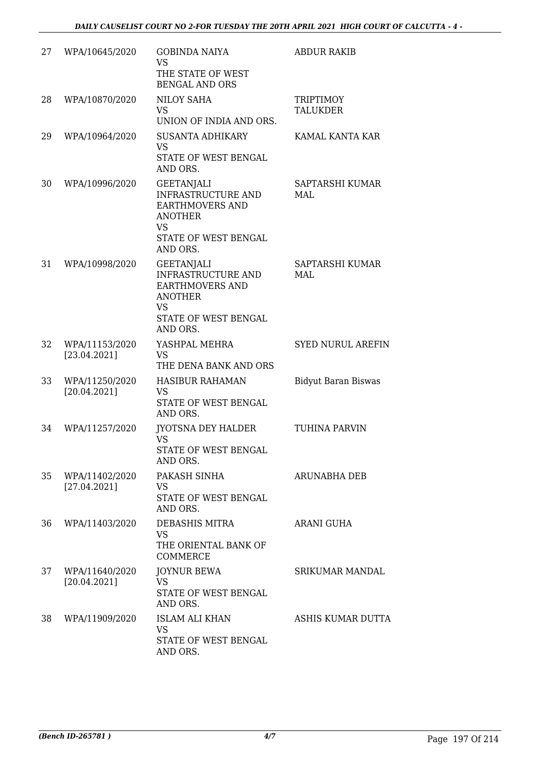| 27 | WPA/10645/2020                 | <b>GOBINDA NAIYA</b><br><b>VS</b><br>THE STATE OF WEST<br><b>BENGAL AND ORS</b>                                                                    | <b>ABDUR RAKIB</b>           |
|----|--------------------------------|----------------------------------------------------------------------------------------------------------------------------------------------------|------------------------------|
| 28 | WPA/10870/2020                 | <b>NILOY SAHA</b><br><b>VS</b><br>UNION OF INDIA AND ORS.                                                                                          | TRIPTIMOY<br><b>TALUKDER</b> |
| 29 | WPA/10964/2020                 | <b>SUSANTA ADHIKARY</b><br><b>VS</b><br>STATE OF WEST BENGAL<br>AND ORS.                                                                           | KAMAL KANTA KAR              |
| 30 | WPA/10996/2020                 | <b>GEETANJALI</b><br><b>INFRASTRUCTURE AND</b><br><b>EARTHMOVERS AND</b><br><b>ANOTHER</b><br><b>VS</b><br><b>STATE OF WEST BENGAL</b><br>AND ORS. | SAPTARSHI KUMAR<br>MAL       |
| 31 | WPA/10998/2020                 | <b>GEETANJALI</b><br><b>INFRASTRUCTURE AND</b><br><b>EARTHMOVERS AND</b><br><b>ANOTHER</b><br><b>VS</b><br>STATE OF WEST BENGAL<br>AND ORS.        | SAPTARSHI KUMAR<br>MAL       |
| 32 | WPA/11153/2020<br>[23.04.2021] | YASHPAL MEHRA<br><b>VS</b><br>THE DENA BANK AND ORS                                                                                                | <b>SYED NURUL AREFIN</b>     |
| 33 | WPA/11250/2020<br>[20.04.2021] | <b>HASIBUR RAHAMAN</b><br><b>VS</b><br>STATE OF WEST BENGAL<br>AND ORS.                                                                            | <b>Bidyut Baran Biswas</b>   |
| 34 | WPA/11257/2020                 | JYOTSNA DEY HALDER<br>VS<br>STATE OF WEST BENGAL<br>AND ORS.                                                                                       | TUHINA PARVIN                |
| 35 | WPA/11402/2020<br>[27.04.2021] | PAKASH SINHA<br><b>VS</b><br><b>STATE OF WEST BENGAL</b><br>AND ORS.                                                                               | <b>ARUNABHA DEB</b>          |
| 36 | WPA/11403/2020                 | DEBASHIS MITRA<br><b>VS</b><br>THE ORIENTAL BANK OF<br><b>COMMERCE</b>                                                                             | ARANI GUHA                   |
| 37 | WPA/11640/2020<br>[20.04.2021] | <b>JOYNUR BEWA</b><br><b>VS</b><br>STATE OF WEST BENGAL<br>AND ORS.                                                                                | <b>SRIKUMAR MANDAL</b>       |
| 38 | WPA/11909/2020                 | <b>ISLAM ALI KHAN</b><br><b>VS</b><br>STATE OF WEST BENGAL<br>AND ORS.                                                                             | ASHIS KUMAR DUTTA            |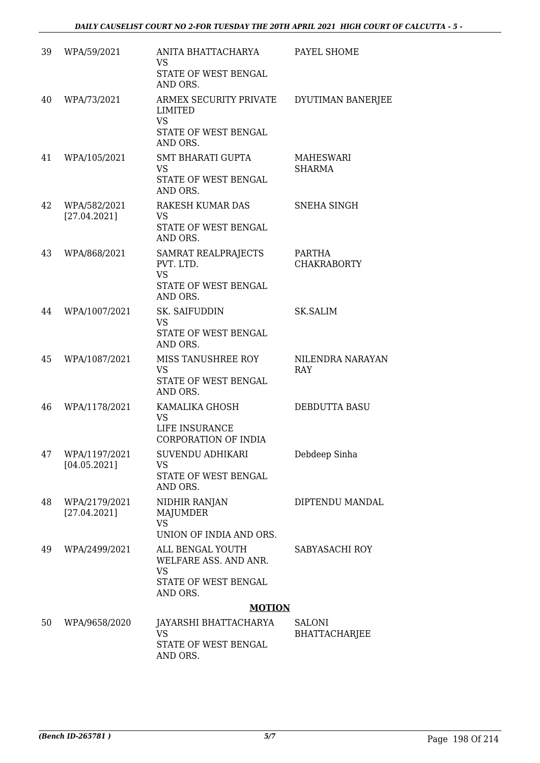| 39 | WPA/59/2021                   | ANITA BHATTACHARYA<br><b>VS</b><br>STATE OF WEST BENGAL<br>AND ORS.                        | PAYEL SHOME                           |
|----|-------------------------------|--------------------------------------------------------------------------------------------|---------------------------------------|
| 40 | WPA/73/2021                   | ARMEX SECURITY PRIVATE<br><b>LIMITED</b><br><b>VS</b><br>STATE OF WEST BENGAL<br>AND ORS.  | DYUTIMAN BANERJEE                     |
| 41 | WPA/105/2021                  | <b>SMT BHARATI GUPTA</b><br><b>VS</b><br>STATE OF WEST BENGAL<br>AND ORS.                  | <b>MAHESWARI</b><br><b>SHARMA</b>     |
| 42 | WPA/582/2021<br>[27.04.2021]  | RAKESH KUMAR DAS<br><b>VS</b><br>STATE OF WEST BENGAL<br>AND ORS.                          | SNEHA SINGH                           |
| 43 | WPA/868/2021                  | SAMRAT REALPRAJECTS<br>PVT. LTD.<br><b>VS</b><br><b>STATE OF WEST BENGAL</b><br>AND ORS.   | <b>PARTHA</b><br><b>CHAKRABORTY</b>   |
| 44 | WPA/1007/2021                 | SK. SAIFUDDIN<br><b>VS</b><br>STATE OF WEST BENGAL<br>AND ORS.                             | <b>SK.SALIM</b>                       |
| 45 | WPA/1087/2021                 | MISS TANUSHREE ROY<br><b>VS</b><br>STATE OF WEST BENGAL<br>AND ORS.                        | NILENDRA NARAYAN<br>RAY               |
| 46 | WPA/1178/2021                 | KAMALIKA GHOSH<br><b>VS</b><br>LIFE INSURANCE<br><b>CORPORATION OF INDIA</b>               | DEBDUTTA BASU                         |
| 47 | WPA/1197/2021<br>[04.05.2021] | SUVENDU ADHIKARI<br><b>VS</b><br>STATE OF WEST BENGAL<br>AND ORS.                          | Debdeep Sinha                         |
| 48 | WPA/2179/2021<br>[27.04.2021] | NIDHIR RANJAN<br>MAJUMDER<br><b>VS</b><br>UNION OF INDIA AND ORS.                          | DIPTENDU MANDAL                       |
| 49 | WPA/2499/2021                 | ALL BENGAL YOUTH<br>WELFARE ASS. AND ANR.<br><b>VS</b><br>STATE OF WEST BENGAL<br>AND ORS. | SABYASACHI ROY                        |
|    |                               | <b>MOTION</b>                                                                              |                                       |
| 50 | WPA/9658/2020                 | JAYARSHI BHATTACHARYA<br><b>VS</b><br>STATE OF WEST BENGAL<br>AND ORS.                     | <b>SALONI</b><br><b>BHATTACHARJEE</b> |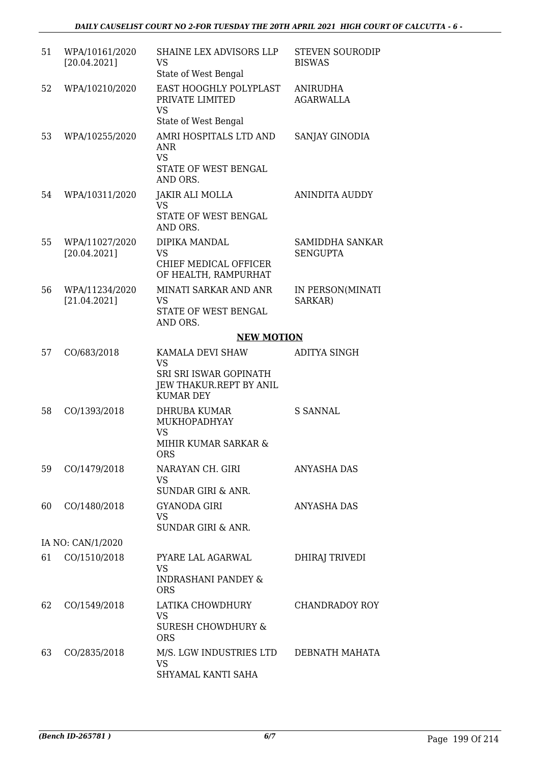| 51 | WPA/10161/2020<br>[20.04.2021] | SHAINE LEX ADVISORS LLP<br><b>VS</b><br>State of West Bengal                                           | <b>STEVEN SOURODIP</b><br><b>BISWAS</b>   |
|----|--------------------------------|--------------------------------------------------------------------------------------------------------|-------------------------------------------|
| 52 | WPA/10210/2020                 | EAST HOOGHLY POLYPLAST<br>PRIVATE LIMITED<br><b>VS</b><br>State of West Bengal                         | <b>ANIRUDHA</b><br><b>AGARWALLA</b>       |
| 53 | WPA/10255/2020                 | AMRI HOSPITALS LTD AND<br><b>ANR</b><br><b>VS</b><br>STATE OF WEST BENGAL                              | SANJAY GINODIA                            |
|    |                                | AND ORS.                                                                                               |                                           |
| 54 | WPA/10311/2020                 | JAKIR ALI MOLLA<br>VS<br>STATE OF WEST BENGAL<br>AND ORS.                                              | <b>ANINDITA AUDDY</b>                     |
| 55 | WPA/11027/2020<br>[20.04.2021] | DIPIKA MANDAL<br><b>VS</b>                                                                             | <b>SAMIDDHA SANKAR</b><br><b>SENGUPTA</b> |
|    |                                | CHIEF MEDICAL OFFICER<br>OF HEALTH, RAMPURHAT                                                          |                                           |
| 56 | WPA/11234/2020<br>[21.04.2021] | MINATI SARKAR AND ANR<br><b>VS</b><br>STATE OF WEST BENGAL<br>AND ORS.                                 | IN PERSON(MINATI<br>SARKAR)               |
|    |                                | <b>NEW MOTION</b>                                                                                      |                                           |
| 57 | CO/683/2018                    | KAMALA DEVI SHAW<br><b>VS</b><br>SRI SRI ISWAR GOPINATH<br>JEW THAKUR.REPT BY ANIL<br><b>KUMAR DEY</b> | ADITYA SINGH                              |
| 58 | CO/1393/2018                   | DHRUBA KUMAR<br>MUKHOPADHYAY<br><b>VS</b><br>MIHIR KUMAR SARKAR &<br><b>ORS</b>                        | S SANNAL                                  |
| 59 | CO/1479/2018                   | NARAYAN CH. GIRI<br><b>VS</b><br>SUNDAR GIRI & ANR.                                                    | <b>ANYASHA DAS</b>                        |
| 60 | CO/1480/2018                   | <b>GYANODA GIRI</b><br>VS<br><b>SUNDAR GIRI &amp; ANR.</b>                                             | ANYASHA DAS                               |
|    | IA NO: CAN/1/2020              |                                                                                                        |                                           |
| 61 | CO/1510/2018                   | PYARE LAL AGARWAL<br>VS<br>INDRASHANI PANDEY &<br><b>ORS</b>                                           | <b>DHIRAJ TRIVEDI</b>                     |
| 62 | CO/1549/2018                   | LATIKA CHOWDHURY<br><b>VS</b><br>SURESH CHOWDHURY &<br><b>ORS</b>                                      | <b>CHANDRADOY ROY</b>                     |
| 63 | CO/2835/2018                   | M/S. LGW INDUSTRIES LTD<br>VS<br>SHYAMAL KANTI SAHA                                                    | DEBNATH MAHATA                            |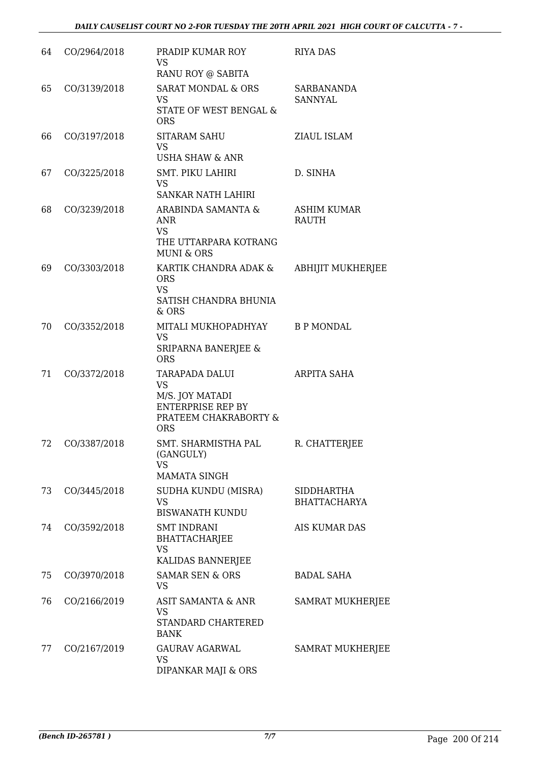| 64 | CO/2964/2018 | PRADIP KUMAR ROY<br><b>VS</b><br>RANU ROY @ SABITA                                                                | <b>RIYA DAS</b>                          |
|----|--------------|-------------------------------------------------------------------------------------------------------------------|------------------------------------------|
| 65 | CO/3139/2018 | <b>SARAT MONDAL &amp; ORS</b><br><b>VS</b><br><b>STATE OF WEST BENGAL &amp;</b><br><b>ORS</b>                     | SARBANANDA<br><b>SANNYAL</b>             |
| 66 | CO/3197/2018 | <b>SITARAM SAHU</b><br><b>VS</b><br>USHA SHAW & ANR                                                               | ZIAUL ISLAM                              |
| 67 | CO/3225/2018 | <b>SMT. PIKU LAHIRI</b><br><b>VS</b><br>SANKAR NATH LAHIRI                                                        | D. SINHA                                 |
| 68 | CO/3239/2018 | ARABINDA SAMANTA &<br><b>ANR</b><br><b>VS</b><br>THE UTTARPARA KOTRANG<br><b>MUNI &amp; ORS</b>                   | <b>ASHIM KUMAR</b><br><b>RAUTH</b>       |
| 69 | CO/3303/2018 | KARTIK CHANDRA ADAK &<br><b>ORS</b><br><b>VS</b><br>SATISH CHANDRA BHUNIA<br>& ORS                                | ABHIJIT MUKHERJEE                        |
| 70 | CO/3352/2018 | MITALI MUKHOPADHYAY<br><b>VS</b><br>SRIPARNA BANERJEE &<br><b>ORS</b>                                             | <b>B P MONDAL</b>                        |
| 71 | CO/3372/2018 | TARAPADA DALUI<br><b>VS</b><br>M/S. JOY MATADI<br><b>ENTERPRISE REP BY</b><br>PRATEEM CHAKRABORTY &<br><b>ORS</b> | ARPITA SAHA                              |
| 72 | CO/3387/2018 | SMT. SHARMISTHA PAL<br>(GANGULY)<br><b>VS</b><br><b>MAMATA SINGH</b>                                              | R. CHATTERJEE                            |
| 73 | CO/3445/2018 | SUDHA KUNDU (MISRA)<br><b>VS</b><br><b>BISWANATH KUNDU</b>                                                        | <b>SIDDHARTHA</b><br><b>BHATTACHARYA</b> |
| 74 | CO/3592/2018 | <b>SMT INDRANI</b><br><b>BHATTACHARJEE</b><br><b>VS</b><br>KALIDAS BANNERJEE                                      | <b>AIS KUMAR DAS</b>                     |
| 75 | CO/3970/2018 | <b>SAMAR SEN &amp; ORS</b><br><b>VS</b>                                                                           | <b>BADAL SAHA</b>                        |
| 76 | CO/2166/2019 | ASIT SAMANTA & ANR<br><b>VS</b><br>STANDARD CHARTERED<br><b>BANK</b>                                              | <b>SAMRAT MUKHERJEE</b>                  |
| 77 | CO/2167/2019 | <b>GAURAV AGARWAL</b><br><b>VS</b><br>DIPANKAR MAJI & ORS                                                         | <b>SAMRAT MUKHERJEE</b>                  |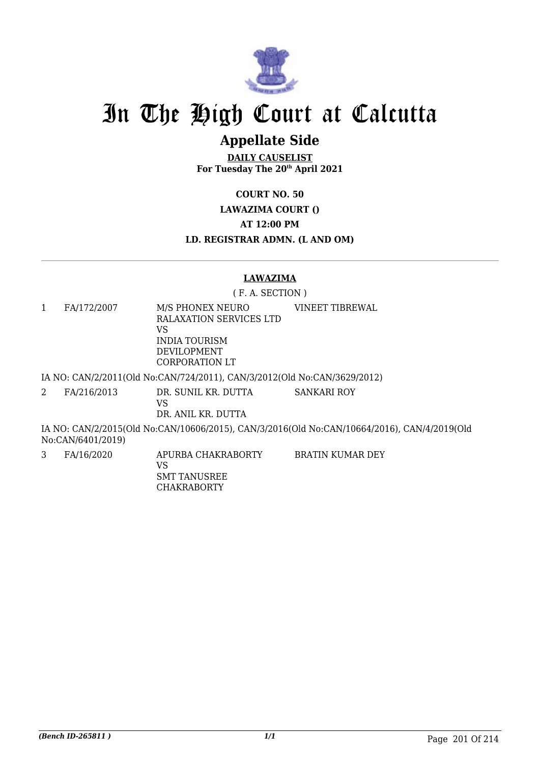

## **Appellate Side**

**DAILY CAUSELIST For Tuesday The 20th April 2021**

**COURT NO. 50**

**LAWAZIMA COURT ()**

**AT 12:00 PM**

**LD. REGISTRAR ADMN. (L AND OM)**

#### **LAWAZIMA**

( F. A. SECTION )

1 FA/172/2007 M/S PHONEX NEURO RALAXATION SERVICES LTD VS INDIA TOURISM DEVILOPMENT CORPORATION LT VINEET TIBREWAL

IA NO: CAN/2/2011(Old No:CAN/724/2011), CAN/3/2012(Old No:CAN/3629/2012)

2 FA/216/2013 DR. SUNIL KR. DUTTA VS SANKARI ROY

DR. ANIL KR. DUTTA

IA NO: CAN/2/2015(Old No:CAN/10606/2015), CAN/3/2016(Old No:CAN/10664/2016), CAN/4/2019(Old No:CAN/6401/2019)

3 FA/16/2020 APURBA CHAKRABORTY

BRATIN KUMAR DEY

VS SMT TANUSREE CHAKRABORTY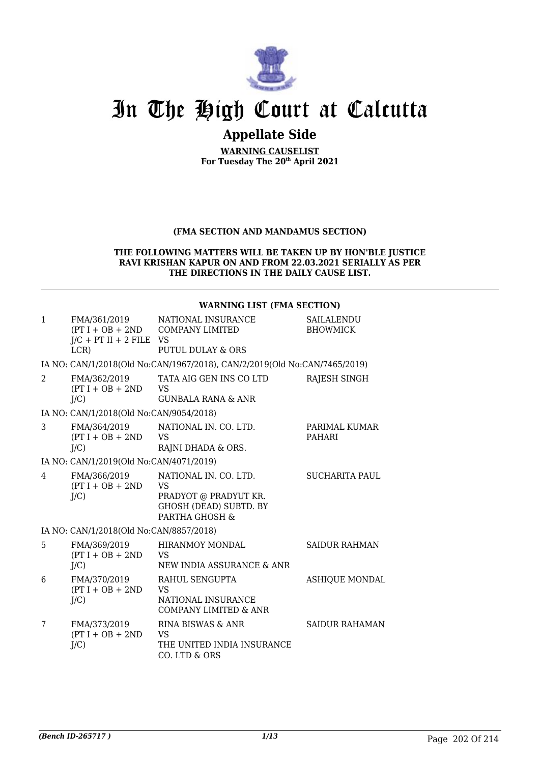

## **Appellate Side**

**WARNING CAUSELIST For Tuesday The 20th April 2021**

#### **(FMA SECTION AND MANDAMUS SECTION)**

#### **THE FOLLOWING MATTERS WILL BE TAKEN UP BY HON'BLE JUSTICE RAVI KRISHAN KAPUR ON AND FROM 22.03.2021 SERIALLY AS PER THE DIRECTIONS IN THE DAILY CAUSE LIST.**

#### **WARNING LIST (FMA SECTION)**

| $\mathbf{1}$   | FMA/361/2019<br>$J/C$ + PT II + 2 FILE VS<br>LCR | NATIONAL INSURANCE<br>(PT I + OB + 2ND COMPANY LIMITED<br><b>PUTUL DULAY &amp; ORS</b>                         | SAILALENDU<br><b>BHOWMICK</b>  |
|----------------|--------------------------------------------------|----------------------------------------------------------------------------------------------------------------|--------------------------------|
|                |                                                  | IA NO: CAN/1/2018(Old No:CAN/1967/2018), CAN/2/2019(Old No:CAN/7465/2019)                                      |                                |
| $\mathcal{L}$  | FMA/362/2019<br>$(PT I + OB + 2ND$<br>$J/C$ )    | TATA AIG GEN INS CO LTD<br><b>VS</b><br><b>GUNBALA RANA &amp; ANR</b>                                          | RAJESH SINGH                   |
|                | IA NO: CAN/1/2018(Old No:CAN/9054/2018)          |                                                                                                                |                                |
| 3              | FMA/364/2019<br>$(PT I + OB + 2ND$<br>$J/C$ )    | NATIONAL IN. CO. LTD.<br><b>VS</b><br>RAJNI DHADA & ORS.                                                       | PARIMAL KUMAR<br><b>PAHARI</b> |
|                | IA NO: CAN/1/2019(Old No:CAN/4071/2019)          |                                                                                                                |                                |
| $\overline{4}$ | FMA/366/2019<br>$(PT I + OB + 2ND$<br>$J/C$ )    | NATIONAL IN. CO. LTD.<br><b>VS</b><br>PRADYOT @ PRADYUT KR.<br><b>GHOSH (DEAD) SUBTD. BY</b><br>PARTHA GHOSH & | <b>SUCHARITA PAUL</b>          |
|                | IA NO: CAN/1/2018(Old No:CAN/8857/2018)          |                                                                                                                |                                |
| 5              | FMA/369/2019<br>$(PT I + OB + 2ND$<br>J/C        | <b>HIRANMOY MONDAL</b><br><b>VS</b><br>NEW INDIA ASSURANCE & ANR                                               | <b>SAIDUR RAHMAN</b>           |
| 6              | FMA/370/2019<br>$(PT I + OB + 2ND$<br>J/C        | RAHUL SENGUPTA<br><b>VS</b><br>NATIONAL INSURANCE<br><b>COMPANY LIMITED &amp; ANR</b>                          | <b>ASHIQUE MONDAL</b>          |
| 7              | FMA/373/2019<br>$(PT I + OB + 2ND$<br>$J/C$ )    | RINA BISWAS & ANR<br><b>VS</b><br>THE UNITED INDIA INSURANCE<br>CO. LTD & ORS                                  | <b>SAIDUR RAHAMAN</b>          |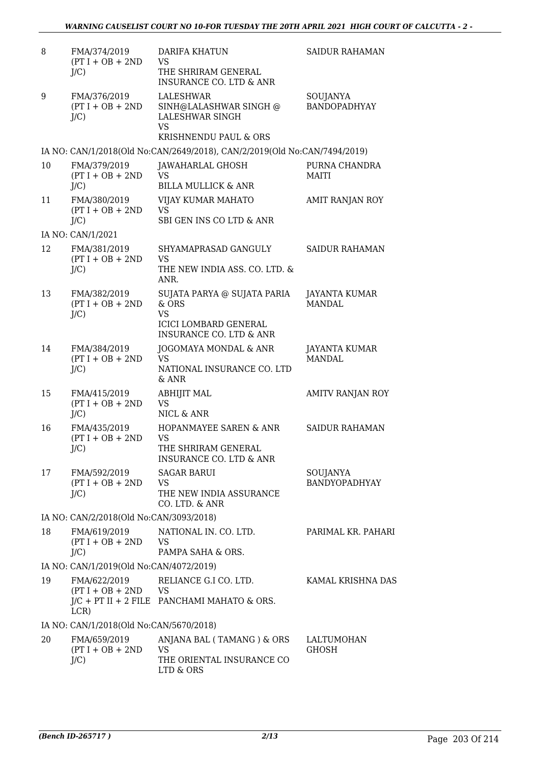| 8  | FMA/374/2019                                  | <b>DARIFA KHATUN</b>                                                                                                              | <b>SAIDUR RAHAMAN</b>                 |
|----|-----------------------------------------------|-----------------------------------------------------------------------------------------------------------------------------------|---------------------------------------|
|    | $(PT I + OB + 2ND$<br>$J/C$ )                 | <b>VS</b><br>THE SHRIRAM GENERAL<br><b>INSURANCE CO. LTD &amp; ANR</b>                                                            |                                       |
| 9  | FMA/376/2019<br>$(PT I + OB + 2ND$<br>$J/C$ ) | LALESHWAR<br>SINH@LALASHWAR SINGH @<br>LALESHWAR SINGH<br><b>VS</b><br>KRISHNENDU PAUL & ORS                                      | SOUJANYA<br><b>BANDOPADHYAY</b>       |
|    |                                               | IA NO: CAN/1/2018(Old No:CAN/2649/2018), CAN/2/2019(Old No:CAN/7494/2019)                                                         |                                       |
| 10 | FMA/379/2019<br>$(PT I + OB + 2ND$<br>$J/C$ ) | JAWAHARLAL GHOSH<br><b>VS</b><br><b>BILLA MULLICK &amp; ANR</b>                                                                   | PURNA CHANDRA<br><b>MAITI</b>         |
| 11 | FMA/380/2019<br>$(PT I + OB + 2ND$<br>$J/C$ ) | VIJAY KUMAR MAHATO<br><b>VS</b><br>SBI GEN INS CO LTD & ANR                                                                       | AMIT RANJAN ROY                       |
|    | IA NO: CAN/1/2021                             |                                                                                                                                   |                                       |
| 12 | FMA/381/2019<br>$(PT I + OB + 2ND$<br>$J/C$ ) | SHYAMAPRASAD GANGULY<br><b>VS</b><br>THE NEW INDIA ASS. CO. LTD. &                                                                | <b>SAIDUR RAHAMAN</b>                 |
| 13 | FMA/382/2019<br>$(PT I + OB + 2ND$<br>$J/C$ ) | ANR.<br>SUJATA PARYA @ SUJATA PARIA<br>$&$ ORS<br><b>VS</b><br><b>ICICI LOMBARD GENERAL</b><br><b>INSURANCE CO. LTD &amp; ANR</b> | <b>JAYANTA KUMAR</b><br>MANDAL.       |
| 14 | FMA/384/2019<br>$(PT I + OB + 2ND$<br>$J/C$ ) | JOGOMAYA MONDAL & ANR<br><b>VS</b><br>NATIONAL INSURANCE CO. LTD<br>& ANR                                                         | <b>JAYANTA KUMAR</b><br><b>MANDAL</b> |
| 15 | FMA/415/2019<br>$(PT I + OB + 2ND$<br>$J/C$ ) | <b>ABHIJIT MAL</b><br><b>VS</b><br>NICL & ANR                                                                                     | AMITV RANJAN ROY                      |
| 16 | FMA/435/2019<br>$(PT I + OB + 2ND$<br>$J/C$ ) | <b>HOPANMAYEE SAREN &amp; ANR</b><br><b>VS</b><br>THE SHRIRAM GENERAL<br><b>INSURANCE CO. LTD &amp; ANR</b>                       | <b>SAIDUR RAHAMAN</b>                 |
| 17 | FMA/592/2019<br>$(PT I + OB + 2ND$<br>$J/C$ ) | <b>SAGAR BARUI</b><br><b>VS</b><br>THE NEW INDIA ASSURANCE<br>CO. LTD. & ANR                                                      | SOUJANYA<br><b>BANDYOPADHYAY</b>      |
|    | IA NO: CAN/2/2018(Old No:CAN/3093/2018)       |                                                                                                                                   |                                       |
| 18 | FMA/619/2019<br>$(PT I + OB + 2ND$<br>$J/C$ ) | NATIONAL IN. CO. LTD.<br><b>VS</b><br>PAMPA SAHA & ORS.                                                                           | PARIMAL KR. PAHARI                    |
|    | IA NO: CAN/1/2019(Old No:CAN/4072/2019)       |                                                                                                                                   |                                       |
| 19 | FMA/622/2019<br>$(PT I + OB + 2ND$ VS<br>LCR) | RELIANCE G.I CO. LTD.<br>$J/C$ + PT II + 2 FILE PANCHAMI MAHATO & ORS.                                                            | KAMAL KRISHNA DAS                     |
|    | IA NO: CAN/1/2018(Old No:CAN/5670/2018)       |                                                                                                                                   |                                       |
| 20 | FMA/659/2019<br>$(PT I + OB + 2ND$<br>$J/C$ ) | ANJANA BAL (TAMANG) & ORS<br><b>VS</b><br>THE ORIENTAL INSURANCE CO<br>LTD & ORS                                                  | LALTUMOHAN<br><b>GHOSH</b>            |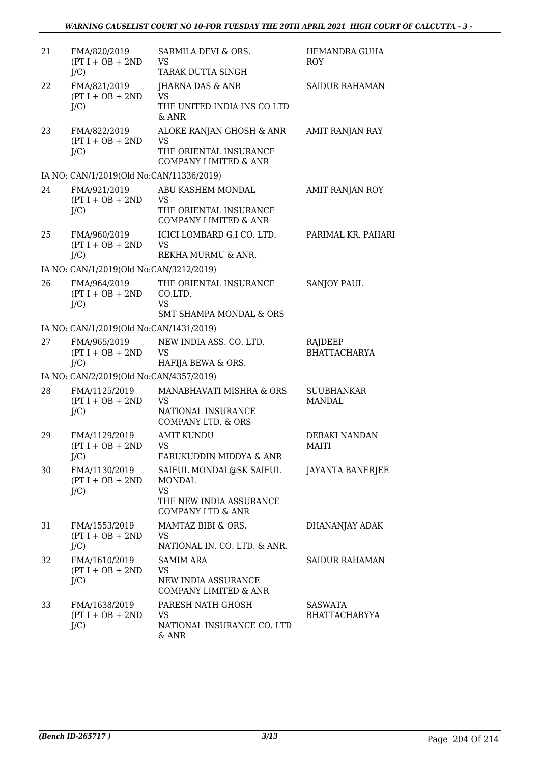| 21 | FMA/820/2019<br>$(PT I + OB + 2ND$<br>$J/C$ )  | SARMILA DEVI & ORS.<br><b>VS</b><br>TARAK DUTTA SINGH                                                     | HEMANDRA GUHA<br><b>ROY</b>        |
|----|------------------------------------------------|-----------------------------------------------------------------------------------------------------------|------------------------------------|
| 22 | FMA/821/2019<br>$(PT I + OB + 2ND$<br>$J/C$ )  | JHARNA DAS & ANR<br><b>VS</b><br>THE UNITED INDIA INS CO LTD<br>& ANR                                     | <b>SAIDUR RAHAMAN</b>              |
| 23 | FMA/822/2019<br>$(PT I + OB + 2ND$<br>$J/C$ )  | ALOKE RANJAN GHOSH & ANR<br><b>VS</b><br>THE ORIENTAL INSURANCE<br><b>COMPANY LIMITED &amp; ANR</b>       | AMIT RANJAN RAY                    |
|    | IA NO: CAN/1/2019(Old No:CAN/11336/2019)       |                                                                                                           |                                    |
| 24 | FMA/921/2019<br>$(PT I + OB + 2ND$<br>$J/C$ )  | ABU KASHEM MONDAL<br><b>VS</b><br>THE ORIENTAL INSURANCE<br><b>COMPANY LIMITED &amp; ANR</b>              | AMIT RANJAN ROY                    |
| 25 | FMA/960/2019<br>$(PT I + OB + 2ND$<br>$J/C$ )  | ICICI LOMBARD G.I CO. LTD.<br><b>VS</b><br>REKHA MURMU & ANR.                                             | PARIMAL KR. PAHARI                 |
|    | IA NO: CAN/1/2019(Old No:CAN/3212/2019)        |                                                                                                           |                                    |
| 26 | FMA/964/2019<br>$(PT I + OB + 2ND$<br>$J/C$ )  | THE ORIENTAL INSURANCE<br>CO.LTD.<br><b>VS</b>                                                            | <b>SANJOY PAUL</b>                 |
|    |                                                | <b>SMT SHAMPA MONDAL &amp; ORS</b>                                                                        |                                    |
|    | IA NO: CAN/1/2019(Old No:CAN/1431/2019)        |                                                                                                           |                                    |
| 27 | FMA/965/2019<br>$(PT I + OB + 2ND$<br>$J/C$ )  | NEW INDIA ASS. CO. LTD.<br><b>VS</b><br>HAFIJA BEWA & ORS.                                                | RAJDEEP<br><b>BHATTACHARYA</b>     |
|    | IA NO: CAN/2/2019(Old No:CAN/4357/2019)        |                                                                                                           |                                    |
| 28 | FMA/1125/2019<br>$(PT I + OB + 2ND$<br>$J/C$ ) | MANABHAVATI MISHRA & ORS<br><b>VS</b><br>NATIONAL INSURANCE<br><b>COMPANY LTD. &amp; ORS</b>              | <b>SUUBHANKAR</b><br><b>MANDAL</b> |
| 29 | FMA/1129/2019<br>$(PT I + OB + 2ND$<br>$J/C$ ) | <b>AMIT KUNDU</b><br>VS.<br>FARUKUDDIN MIDDYA & ANR                                                       | <b>DEBAKI NANDAN</b><br>MAITI      |
| 30 | FMA/1130/2019<br>$(PT I + OB + 2ND$<br>$J/C$ ) | SAIFUL MONDAL@SK SAIFUL<br>MONDAL<br><b>VS</b><br>THE NEW INDIA ASSURANCE<br><b>COMPANY LTD &amp; ANR</b> | <b>JAYANTA BANERJEE</b>            |
| 31 | FMA/1553/2019<br>$(PT I + OB + 2ND$<br>$J/C$ ) | MAMTAZ BIBI & ORS.<br>VS<br>NATIONAL IN. CO. LTD. & ANR.                                                  | DHANANJAY ADAK                     |
| 32 | FMA/1610/2019<br>$(PT I + OB + 2ND$<br>$J/C$ ) | <b>SAMIM ARA</b><br>VS<br>NEW INDIA ASSURANCE<br>COMPANY LIMITED & ANR                                    | <b>SAIDUR RAHAMAN</b>              |
| 33 | FMA/1638/2019<br>$(PT I + OB + 2ND$<br>$J/C$ ) | PARESH NATH GHOSH<br><b>VS</b><br>NATIONAL INSURANCE CO. LTD<br>& ANR                                     | SASWATA<br><b>BHATTACHARYYA</b>    |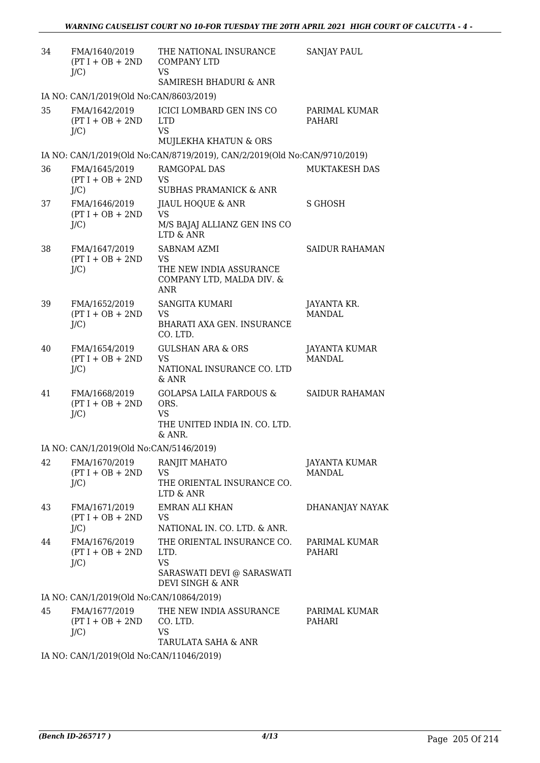| 34 | FMA/1640/2019<br>$(PT I + OB + 2ND$<br>$J/C$ ) | THE NATIONAL INSURANCE<br><b>COMPANY LTD</b><br><b>VS</b><br>SAMIRESH BHADURI & ANR                | <b>SANJAY PAUL</b>                    |
|----|------------------------------------------------|----------------------------------------------------------------------------------------------------|---------------------------------------|
|    | IA NO: CAN/1/2019(Old No:CAN/8603/2019)        |                                                                                                    |                                       |
| 35 | FMA/1642/2019<br>$(PT I + OB + 2ND$<br>$J/C$ ) | <b>ICICI LOMBARD GEN INS CO</b><br><b>LTD</b><br><b>VS</b><br>MUJLEKHA KHATUN & ORS                | PARIMAL KUMAR<br>PAHARI               |
|    |                                                | IA NO: CAN/1/2019(Old No:CAN/8719/2019), CAN/2/2019(Old No:CAN/9710/2019)                          |                                       |
| 36 | FMA/1645/2019<br>$(PT I + OB + 2ND$<br>$J/C$ ) | RAMGOPAL DAS<br><b>VS</b><br><b>SUBHAS PRAMANICK &amp; ANR</b>                                     | <b>MUKTAKESH DAS</b>                  |
| 37 | FMA/1646/2019<br>$(PT I + OB + 2ND$<br>$J/C$ ) | JIAUL HOQUE & ANR<br><b>VS</b><br>M/S BAJAJ ALLIANZ GEN INS CO<br>LTD & ANR                        | <b>S GHOSH</b>                        |
| 38 | FMA/1647/2019<br>$(PT I + OB + 2ND$<br>$J/C$ ) | SABNAM AZMI<br><b>VS</b><br>THE NEW INDIA ASSURANCE<br>COMPANY LTD, MALDA DIV. &<br><b>ANR</b>     | SAIDUR RAHAMAN                        |
| 39 | FMA/1652/2019<br>$(PT I + OB + 2ND$<br>$J/C$ ) | <b>SANGITA KUMARI</b><br>VS<br>BHARATI AXA GEN. INSURANCE<br>CO. LTD.                              | JAYANTA KR.<br><b>MANDAL</b>          |
| 40 | FMA/1654/2019<br>$(PT I + OB + 2ND$<br>$J/C$ ) | <b>GULSHAN ARA &amp; ORS</b><br><b>VS</b><br>NATIONAL INSURANCE CO. LTD<br>& ANR                   | JAYANTA KUMAR<br>MANDAL               |
| 41 | FMA/1668/2019<br>$(PT I + OB + 2ND$<br>$J/C$ ) | <b>GOLAPSA LAILA FARDOUS &amp;</b><br>ORS.<br><b>VS</b><br>THE UNITED INDIA IN. CO. LTD.<br>& ANR. | <b>SAIDUR RAHAMAN</b>                 |
|    | IA NO: CAN/1/2019(Old No:CAN/5146/2019)        |                                                                                                    |                                       |
| 42 | FMA/1670/2019<br>$(PT I + OB + 2ND$<br>$J/C$ ) | RANJIT MAHATO<br><b>VS</b><br>THE ORIENTAL INSURANCE CO.<br>LTD & ANR                              | <b>JAYANTA KUMAR</b><br><b>MANDAL</b> |
| 43 | FMA/1671/2019<br>$(PT I + OB + 2ND$<br>$J/C$ ) | <b>EMRAN ALI KHAN</b><br>VS.<br>NATIONAL IN. CO. LTD. & ANR.                                       | DHANANJAY NAYAK                       |
| 44 | FMA/1676/2019<br>$(PT I + OB + 2ND$<br>$J/C$ ) | THE ORIENTAL INSURANCE CO.<br>LTD.<br><b>VS</b><br>SARASWATI DEVI @ SARASWATI<br>DEVI SINGH & ANR  | PARIMAL KUMAR<br>PAHARI               |
|    | IA NO: CAN/1/2019(Old No:CAN/10864/2019)       |                                                                                                    |                                       |
| 45 | FMA/1677/2019<br>$(PT I + OB + 2ND$<br>$J/C$ ) | THE NEW INDIA ASSURANCE<br>CO. LTD.<br>VS.<br>TARULATA SAHA & ANR                                  | PARIMAL KUMAR<br>PAHARI               |
|    | IA NO: CAN/1/2019(Old No:CAN/11046/2019)       |                                                                                                    |                                       |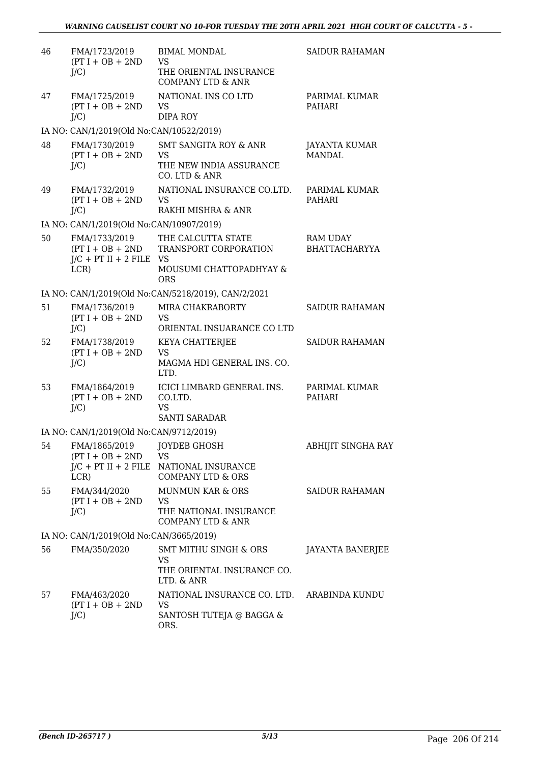| 46 | FMA/1723/2019<br>$(PT I + OB + 2ND$<br>$J/C$ )     | <b>BIMAL MONDAL</b><br><b>VS</b><br>THE ORIENTAL INSURANCE<br><b>COMPANY LTD &amp; ANR</b>            | <b>SAIDUR RAHAMAN</b>                   |
|----|----------------------------------------------------|-------------------------------------------------------------------------------------------------------|-----------------------------------------|
| 47 | FMA/1725/2019<br>$(PT I + OB + 2ND$<br>$J/C$ )     | NATIONAL INS CO LTD<br><b>VS</b><br><b>DIPA ROY</b>                                                   | PARIMAL KUMAR<br>PAHARI                 |
|    | IA NO: CAN/1/2019(Old No:CAN/10522/2019)           |                                                                                                       |                                         |
| 48 | FMA/1730/2019<br>$(PT I + OB + 2ND$<br>$J/C$ )     | SMT SANGITA ROY & ANR<br><b>VS</b><br>THE NEW INDIA ASSURANCE<br>CO. LTD & ANR                        | JAYANTA KUMAR<br><b>MANDAL</b>          |
| 49 | FMA/1732/2019<br>$(PT I + OB + 2ND$<br>$J/C$ )     | NATIONAL INSURANCE CO.LTD.<br><b>VS</b><br>RAKHI MISHRA & ANR                                         | PARIMAL KUMAR<br>PAHARI                 |
|    | IA NO: CAN/1/2019(Old No:CAN/10907/2019)           |                                                                                                       |                                         |
| 50 | FMA/1733/2019<br>$J/C$ + PT II + 2 FILE VS<br>LCR) | THE CALCUTTA STATE<br>(PT I + OB + 2ND TRANSPORT CORPORATION<br>MOUSUMI CHATTOPADHYAY &<br><b>ORS</b> | <b>RAM UDAY</b><br><b>BHATTACHARYYA</b> |
|    |                                                    | IA NO: CAN/1/2019(Old No:CAN/5218/2019), CAN/2/2021                                                   |                                         |
| 51 | FMA/1736/2019<br>$(PT I + OB + 2ND$<br>$J/C$ )     | MIRA CHAKRABORTY<br><b>VS</b><br>ORIENTAL INSUARANCE CO LTD                                           | <b>SAIDUR RAHAMAN</b>                   |
| 52 | FMA/1738/2019<br>$(PT I + OB + 2ND$<br>$J/C$ )     | KEYA CHATTERJEE<br><b>VS</b><br>MAGMA HDI GENERAL INS. CO.<br>LTD.                                    | <b>SAIDUR RAHAMAN</b>                   |
| 53 | FMA/1864/2019<br>$(PT I + OB + 2ND$<br>$J/C$ )     | ICICI LIMBARD GENERAL INS.<br>CO.LTD.<br><b>VS</b><br><b>SANTI SARADAR</b>                            | PARIMAL KUMAR<br>PAHARI                 |
|    | IA NO: CAN/1/2019(Old No:CAN/9712/2019)            |                                                                                                       |                                         |
| 54 | FMA/1865/2019<br>$(PT I + OB + 2ND$<br>LCR)        | JOYDEB GHOSH<br><b>VS</b><br>J/C + PT II + 2 FILE NATIONAL INSURANCE<br><b>COMPANY LTD &amp; ORS</b>  | ABHIJIT SINGHA RAY                      |
| 55 | FMA/344/2020<br>$(PT I + OB + 2ND$<br>$J/C$ )      | <b>MUNMUN KAR &amp; ORS</b><br><b>VS</b><br>THE NATIONAL INSURANCE<br><b>COMPANY LTD &amp; ANR</b>    | SAIDUR RAHAMAN                          |
|    | IA NO: CAN/1/2019(Old No:CAN/3665/2019)            |                                                                                                       |                                         |
| 56 | FMA/350/2020                                       | <b>SMT MITHU SINGH &amp; ORS</b><br><b>VS</b><br>THE ORIENTAL INSURANCE CO.<br>LTD. & ANR             | JAYANTA BANERJEE                        |
| 57 | FMA/463/2020<br>$(PT I + OB + 2ND$<br>$J/C$ )      | NATIONAL INSURANCE CO. LTD. ARABINDA KUNDU<br><b>VS</b><br>SANTOSH TUTEJA @ BAGGA &<br>ORS.           |                                         |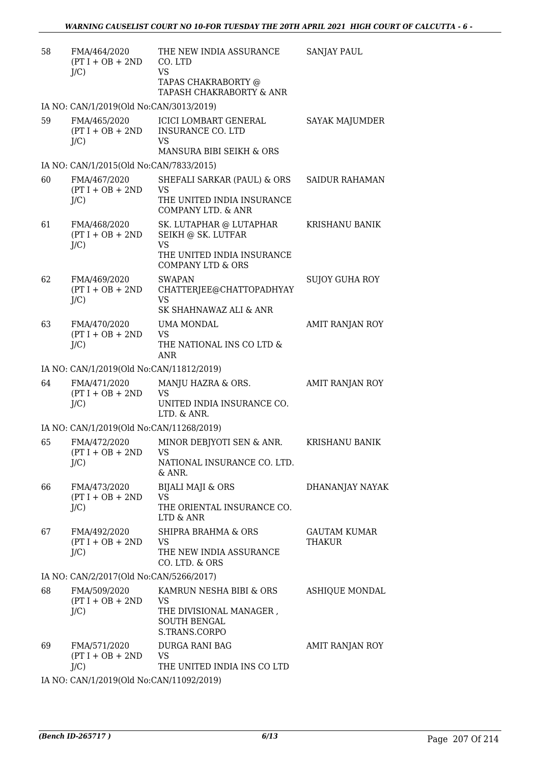| 58 | FMA/464/2020<br>$(PT I + OB + 2ND$<br>$J/C$ )    | THE NEW INDIA ASSURANCE<br>CO. LTD<br><b>VS</b>                                                  | <b>SANJAY PAUL</b>            |
|----|--------------------------------------------------|--------------------------------------------------------------------------------------------------|-------------------------------|
|    |                                                  | TAPAS CHAKRABORTY @<br>TAPASH CHAKRABORTY & ANR                                                  |                               |
|    | IA NO: CAN/1/2019(Old No:CAN/3013/2019)          |                                                                                                  |                               |
| 59 | FMA/465/2020<br>$(PT I + OB + 2ND$<br>$J/C$ )    | ICICI LOMBART GENERAL<br><b>INSURANCE CO. LTD</b><br><b>VS</b><br>MANSURA BIBI SEIKH & ORS       | SAYAK MAJUMDER                |
|    | IA NO: CAN/1/2015(Old No:CAN/7833/2015)          |                                                                                                  |                               |
| 60 | FMA/467/2020<br>$(PT I + OB + 2ND$               | SHEFALI SARKAR (PAUL) & ORS<br><b>VS</b>                                                         | <b>SAIDUR RAHAMAN</b>         |
|    | $J/C$ )                                          | THE UNITED INDIA INSURANCE<br>COMPANY LTD. & ANR                                                 |                               |
| 61 | FMA/468/2020<br>$(PT I + OB + 2ND$<br>$J/C$ )    | SK. LUTAPHAR @ LUTAPHAR<br>SEIKH @ SK. LUTFAR<br><b>VS</b>                                       | KRISHANU BANIK                |
|    |                                                  | THE UNITED INDIA INSURANCE<br><b>COMPANY LTD &amp; ORS</b>                                       |                               |
| 62 | FMA/469/2020<br>$(PT I + OB + 2ND$<br>$J/C$ )    | <b>SWAPAN</b><br>CHATTERJEE@CHATTOPADHYAY<br><b>VS</b>                                           | SUJOY GUHA ROY                |
|    |                                                  | SK SHAHNAWAZ ALI & ANR                                                                           |                               |
| 63 | FMA/470/2020<br>$(PT I + OB + 2ND$               | UMA MONDAL<br><b>VS</b>                                                                          | AMIT RANJAN ROY               |
|    | $J/C$ )                                          | THE NATIONAL INS CO LTD &<br><b>ANR</b>                                                          |                               |
|    | IA NO: CAN/1/2019(Old No:CAN/11812/2019)         |                                                                                                  |                               |
| 64 | FMA/471/2020<br>$(PT I + OB + 2ND$<br>$J/C$ )    | MANJU HAZRA & ORS.<br><b>VS</b><br>UNITED INDIA INSURANCE CO.<br>LTD. & ANR.                     | AMIT RANJAN ROY               |
|    | IA NO: CAN/1/2019(Old No:CAN/11268/2019)         |                                                                                                  |                               |
| 65 | FMA/472/2020<br>$(PT I + OB + 2ND$ VS<br>$J/C$ ) | MINOR DEBJYOTI SEN & ANR.<br>NATIONAL INSURANCE CO. LTD.<br>& ANR.                               | KRISHANU BANIK                |
| 66 | FMA/473/2020                                     | <b>BIJALI MAJI &amp; ORS</b>                                                                     | DHANANJAY NAYAK               |
|    | $(PT I + OB + 2ND$<br>$J/C$ )                    | <b>VS</b><br>THE ORIENTAL INSURANCE CO.<br>LTD & ANR                                             |                               |
| 67 | FMA/492/2020<br>$(PT I + OB + 2ND$<br>$J/C$ )    | SHIPRA BRAHMA & ORS<br><b>VS</b><br>THE NEW INDIA ASSURANCE                                      | <b>GAUTAM KUMAR</b><br>THAKUR |
|    |                                                  | CO. LTD. & ORS                                                                                   |                               |
|    | IA NO: CAN/2/2017(Old No:CAN/5266/2017)          |                                                                                                  |                               |
| 68 | FMA/509/2020<br>$(PT I + OB + 2ND$<br>$J/C$ )    | KAMRUN NESHA BIBI & ORS<br>VS<br>THE DIVISIONAL MANAGER,<br><b>SOUTH BENGAL</b><br>S.TRANS.CORPO | ASHIQUE MONDAL                |
| 69 | FMA/571/2020<br>$(PT I + OB + 2ND$<br>$J/C$ )    | DURGA RANI BAG<br><b>VS</b><br>THE UNITED INDIA INS CO LTD                                       | AMIT RANJAN ROY               |
|    | IA NO: CAN/1/2019(Old No:CAN/11092/2019)         |                                                                                                  |                               |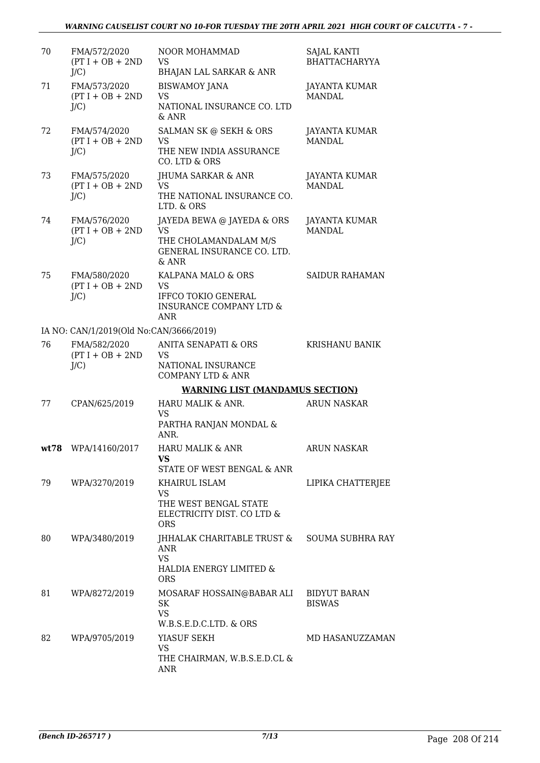| 70 | FMA/572/2020<br>$(PT I + OB + 2ND$<br>$J/C$ ) | NOOR MOHAMMAD<br><b>VS</b><br><b>BHAJAN LAL SARKAR &amp; ANR</b>                                                  | <b>SAJAL KANTI</b><br><b>BHATTACHARYYA</b> |
|----|-----------------------------------------------|-------------------------------------------------------------------------------------------------------------------|--------------------------------------------|
| 71 | FMA/573/2020<br>$(PT I + OB + 2ND$<br>$J/C$ ) | <b>BISWAMOY JANA</b><br><b>VS</b><br>NATIONAL INSURANCE CO. LTD<br>& ANR                                          | JAYANTA KUMAR<br><b>MANDAL</b>             |
| 72 | FMA/574/2020<br>$(PT I + OB + 2ND$<br>$J/C$ ) | SALMAN SK @ SEKH & ORS<br><b>VS</b><br>THE NEW INDIA ASSURANCE<br>CO. LTD & ORS                                   | JAYANTA KUMAR<br><b>MANDAL</b>             |
| 73 | FMA/575/2020<br>$(PT I + OB + 2ND$<br>$J/C$ ) | JHUMA SARKAR & ANR<br><b>VS</b><br>THE NATIONAL INSURANCE CO.<br>LTD. & ORS                                       | JAYANTA KUMAR<br><b>MANDAL</b>             |
| 74 | FMA/576/2020<br>$(PT I + OB + 2ND$<br>$J/C$ ) | JAYEDA BEWA @ JAYEDA & ORS<br><b>VS</b><br>THE CHOLAMANDALAM M/S<br>GENERAL INSURANCE CO. LTD.<br>$&$ ANR         | <b>JAYANTA KUMAR</b><br><b>MANDAL</b>      |
| 75 | FMA/580/2020<br>$(PT I + OB + 2ND$<br>$J/C$ ) | KALPANA MALO & ORS<br><b>VS</b><br><b>IFFCO TOKIO GENERAL</b><br><b>INSURANCE COMPANY LTD &amp;</b><br><b>ANR</b> | <b>SAIDUR RAHAMAN</b>                      |
|    | IA NO: CAN/1/2019(Old No:CAN/3666/2019)       |                                                                                                                   |                                            |
| 76 | FMA/582/2020<br>$(PT I + OB + 2ND$<br>$J/C$ ) | <b>ANITA SENAPATI &amp; ORS</b><br><b>VS</b><br>NATIONAL INSURANCE<br><b>COMPANY LTD &amp; ANR</b>                | <b>KRISHANU BANIK</b>                      |
|    |                                               | <b>WARNING LIST (MANDAMUS SECTION)</b>                                                                            |                                            |
| 77 | CPAN/625/2019                                 | HARU MALIK & ANR.<br><b>VS</b><br>PARTHA RANJAN MONDAL &<br>ANR.                                                  | <b>ARUN NASKAR</b>                         |
|    | wt78 WPA/14160/2017                           | HARU MALIK & ANR<br>VS<br>STATE OF WEST BENGAL & ANR                                                              | <b>ARUN NASKAR</b>                         |
| 79 | WPA/3270/2019                                 | KHAIRUL ISLAM<br><b>VS</b><br>THE WEST BENGAL STATE<br>ELECTRICITY DIST. CO LTD &<br><b>ORS</b>                   | LIPIKA CHATTERJEE                          |
| 80 | WPA/3480/2019                                 | JHHALAK CHARITABLE TRUST &<br><b>ANR</b><br><b>VS</b><br>HALDIA ENERGY LIMITED &<br><b>ORS</b>                    | <b>SOUMA SUBHRA RAY</b>                    |
| 81 | WPA/8272/2019                                 | MOSARAF HOSSAIN@BABAR ALI<br>SK<br><b>VS</b><br>W.B.S.E.D.C.LTD. & ORS                                            | <b>BIDYUT BARAN</b><br><b>BISWAS</b>       |
| 82 | WPA/9705/2019                                 | YIASUF SEKH<br><b>VS</b><br>THE CHAIRMAN, W.B.S.E.D.CL &<br>ANR                                                   | MD HASANUZZAMAN                            |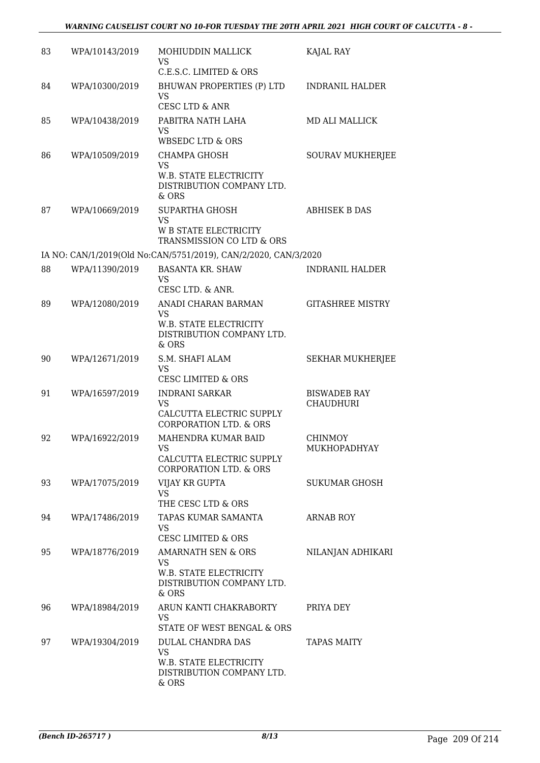| 83 | WPA/10143/2019 | MOHIUDDIN MALLICK<br><b>VS</b>                                                                               | KAJAL RAY                               |
|----|----------------|--------------------------------------------------------------------------------------------------------------|-----------------------------------------|
| 84 | WPA/10300/2019 | C.E.S.C. LIMITED & ORS<br>BHUWAN PROPERTIES (P) LTD<br><b>VS</b>                                             | <b>INDRANIL HALDER</b>                  |
| 85 | WPA/10438/2019 | <b>CESC LTD &amp; ANR</b><br>PABITRA NATH LAHA<br><b>VS</b><br><b>WBSEDC LTD &amp; ORS</b>                   | <b>MD ALI MALLICK</b>                   |
| 86 | WPA/10509/2019 | <b>CHAMPA GHOSH</b><br>VS<br><b>W.B. STATE ELECTRICITY</b><br>DISTRIBUTION COMPANY LTD.<br>& ORS             | <b>SOURAV MUKHERJEE</b>                 |
| 87 | WPA/10669/2019 | <b>SUPARTHA GHOSH</b><br><b>VS</b><br><b>W B STATE ELECTRICITY</b><br>TRANSMISSION CO LTD & ORS              | <b>ABHISEK B DAS</b>                    |
|    |                | IA NO: CAN/1/2019(Old No:CAN/5751/2019), CAN/2/2020, CAN/3/2020                                              |                                         |
| 88 | WPA/11390/2019 | <b>BASANTA KR. SHAW</b><br>VS.<br>CESC LTD. & ANR.                                                           | <b>INDRANIL HALDER</b>                  |
| 89 | WPA/12080/2019 | ANADI CHARAN BARMAN<br>VS<br>W.B. STATE ELECTRICITY<br>DISTRIBUTION COMPANY LTD.<br>& ORS                    | <b>GITASHREE MISTRY</b>                 |
| 90 | WPA/12671/2019 | S.M. SHAFI ALAM<br><b>VS</b><br><b>CESC LIMITED &amp; ORS</b>                                                | <b>SEKHAR MUKHERJEE</b>                 |
| 91 | WPA/16597/2019 | <b>INDRANI SARKAR</b><br><b>VS</b><br>CALCUTTA ELECTRIC SUPPLY<br><b>CORPORATION LTD. &amp; ORS</b>          | <b>BISWADEB RAY</b><br><b>CHAUDHURI</b> |
| 92 | WPA/16922/2019 | MAHENDRA KUMAR BAID<br><b>VS</b><br>CALCUTTA ELECTRIC SUPPLY<br><b>CORPORATION LTD. &amp; ORS</b>            | <b>CHINMOY</b><br>MUKHOPADHYAY          |
| 93 | WPA/17075/2019 | VIJAY KR GUPTA<br><b>VS</b><br>THE CESC LTD & ORS                                                            | SUKUMAR GHOSH                           |
| 94 | WPA/17486/2019 | TAPAS KUMAR SAMANTA<br><b>VS</b><br><b>CESC LIMITED &amp; ORS</b>                                            | <b>ARNAB ROY</b>                        |
| 95 | WPA/18776/2019 | <b>AMARNATH SEN &amp; ORS</b><br><b>VS</b><br>W.B. STATE ELECTRICITY<br>DISTRIBUTION COMPANY LTD.<br>$&$ ORS | NILANJAN ADHIKARI                       |
| 96 | WPA/18984/2019 | ARUN KANTI CHAKRABORTY<br><b>VS</b><br>STATE OF WEST BENGAL & ORS                                            | PRIYA DEY                               |
| 97 | WPA/19304/2019 | DULAL CHANDRA DAS<br><b>VS</b><br>W.B. STATE ELECTRICITY<br>DISTRIBUTION COMPANY LTD.<br>& ORS               | <b>TAPAS MAITY</b>                      |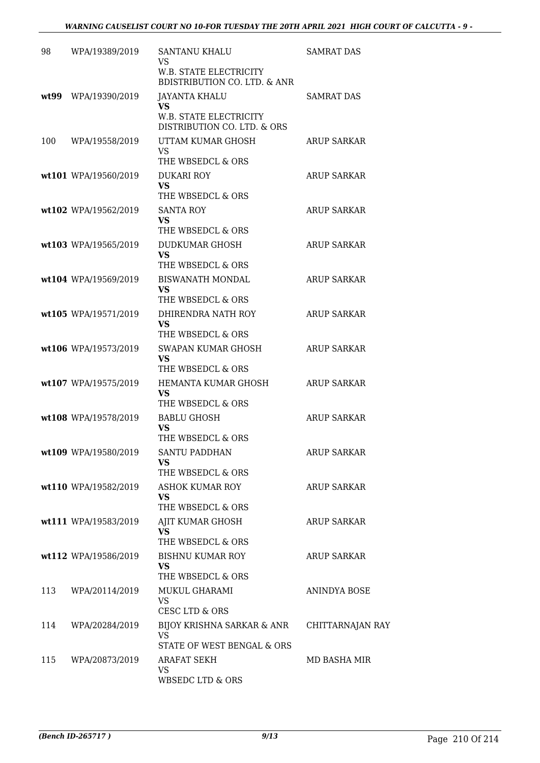| 98  | WPA/19389/2019       | SANTANU KHALU<br>VS                                               | <b>SAMRAT DAS</b>  |
|-----|----------------------|-------------------------------------------------------------------|--------------------|
|     |                      | W.B. STATE ELECTRICITY<br><b>BDISTRIBUTION CO. LTD. &amp; ANR</b> |                    |
|     | wt99 WPA/19390/2019  | JAYANTA KHALU<br><b>VS</b>                                        | <b>SAMRAT DAS</b>  |
|     |                      | W.B. STATE ELECTRICITY<br>DISTRIBUTION CO. LTD. & ORS             |                    |
| 100 | WPA/19558/2019       | UTTAM KUMAR GHOSH<br>VS.<br>THE WBSEDCL & ORS                     | ARUP SARKAR        |
|     | wt101 WPA/19560/2019 | <b>DUKARI ROY</b>                                                 | <b>ARUP SARKAR</b> |
|     |                      | <b>VS</b><br>THE WBSEDCL & ORS                                    |                    |
|     | wt102 WPA/19562/2019 | <b>SANTA ROY</b><br><b>VS</b><br>THE WBSEDCL & ORS                | <b>ARUP SARKAR</b> |
|     | wt103 WPA/19565/2019 | DUDKUMAR GHOSH                                                    | <b>ARUP SARKAR</b> |
|     |                      | <b>VS</b><br>THE WBSEDCL & ORS                                    |                    |
|     | wt104 WPA/19569/2019 | <b>BISWANATH MONDAL</b>                                           | <b>ARUP SARKAR</b> |
|     |                      | VS<br>THE WBSEDCL & ORS                                           |                    |
|     | wt105 WPA/19571/2019 | DHIRENDRA NATH ROY                                                | <b>ARUP SARKAR</b> |
|     |                      | <b>VS</b><br>THE WBSEDCL & ORS                                    |                    |
|     | wt106 WPA/19573/2019 | SWAPAN KUMAR GHOSH                                                | <b>ARUP SARKAR</b> |
|     |                      | <b>VS</b><br>THE WBSEDCL & ORS                                    |                    |
|     | wt107 WPA/19575/2019 | HEMANTA KUMAR GHOSH                                               | <b>ARUP SARKAR</b> |
|     |                      | <b>VS</b><br>THE WBSEDCL & ORS                                    |                    |
|     | wt108 WPA/19578/2019 | <b>BABLU GHOSH</b>                                                | <b>ARUP SARKAR</b> |
|     |                      | VS<br>THE WBSEDCL & ORS                                           |                    |
|     | wt109 WPA/19580/2019 | <b>SANTU PADDHAN</b>                                              | ARUP SARKAR        |
|     |                      | VS<br>THE WBSEDCL & ORS                                           |                    |
|     | wt110 WPA/19582/2019 | <b>ASHOK KUMAR ROY</b>                                            | <b>ARUP SARKAR</b> |
|     |                      | <b>VS</b><br>THE WBSEDCL & ORS                                    |                    |
|     | wt111 WPA/19583/2019 | AJIT KUMAR GHOSH                                                  | <b>ARUP SARKAR</b> |
|     |                      | <b>VS</b><br>THE WBSEDCL & ORS                                    |                    |
|     | wt112 WPA/19586/2019 | <b>BISHNU KUMAR ROY</b>                                           | <b>ARUP SARKAR</b> |
|     |                      | <b>VS</b><br>THE WBSEDCL & ORS                                    |                    |
| 113 | WPA/20114/2019       | MUKUL GHARAMI                                                     | ANINDYA BOSE       |
|     |                      | <b>VS</b><br>CESC LTD & ORS                                       |                    |
| 114 | WPA/20284/2019       | BIJOY KRISHNA SARKAR & ANR                                        | CHITTARNAJAN RAY   |
|     |                      | <b>VS</b><br>STATE OF WEST BENGAL & ORS                           |                    |
| 115 | WPA/20873/2019       | ARAFAT SEKH                                                       | MD BASHA MIR       |
|     |                      | <b>VS</b><br>WBSEDC LTD & ORS                                     |                    |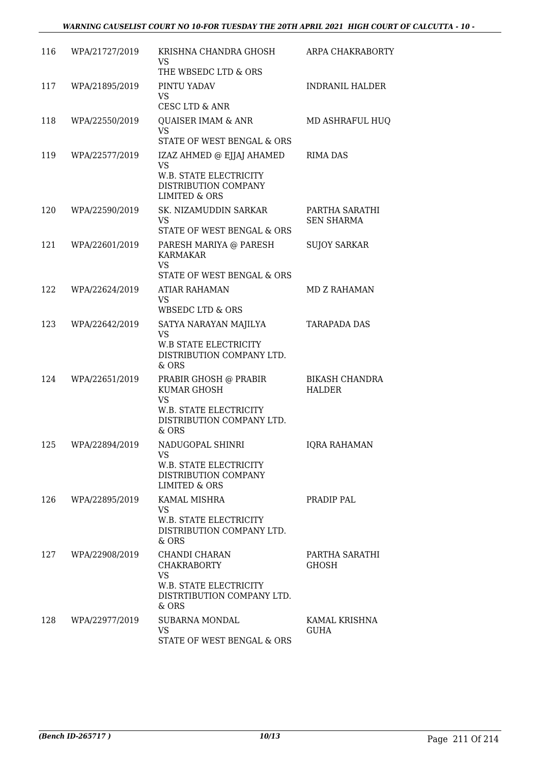| 116 | WPA/21727/2019 | KRISHNA CHANDRA GHOSH<br><b>VS</b><br>THE WBSEDC LTD & ORS                                                           | ARPA CHAKRABORTY                       |
|-----|----------------|----------------------------------------------------------------------------------------------------------------------|----------------------------------------|
| 117 | WPA/21895/2019 | PINTU YADAV<br><b>VS</b><br><b>CESC LTD &amp; ANR</b>                                                                | <b>INDRANIL HALDER</b>                 |
| 118 | WPA/22550/2019 | <b>QUAISER IMAM &amp; ANR</b><br><b>VS</b><br>STATE OF WEST BENGAL & ORS                                             | MD ASHRAFUL HUQ                        |
| 119 | WPA/22577/2019 | IZAZ AHMED @ EJJAJ AHAMED<br><b>VS</b><br>W.B. STATE ELECTRICITY<br>DISTRIBUTION COMPANY<br><b>LIMITED &amp; ORS</b> | <b>RIMA DAS</b>                        |
| 120 | WPA/22590/2019 | SK. NIZAMUDDIN SARKAR<br><b>VS</b><br>STATE OF WEST BENGAL & ORS                                                     | PARTHA SARATHI<br><b>SEN SHARMA</b>    |
| 121 | WPA/22601/2019 | PARESH MARIYA @ PARESH<br><b>KARMAKAR</b><br><b>VS</b><br>STATE OF WEST BENGAL & ORS                                 | <b>SUJOY SARKAR</b>                    |
| 122 | WPA/22624/2019 | ATIAR RAHAMAN<br><b>VS</b><br>WBSEDC LTD & ORS                                                                       | MD Z RAHAMAN                           |
| 123 | WPA/22642/2019 | SATYA NARAYAN MAJILYA<br><b>VS</b><br><b>W.B STATE ELECTRICITY</b><br>DISTRIBUTION COMPANY LTD.<br>& ORS             | <b>TARAPADA DAS</b>                    |
| 124 | WPA/22651/2019 | PRABIR GHOSH @ PRABIR<br>KUMAR GHOSH<br><b>VS</b><br>W.B. STATE ELECTRICITY<br>DISTRIBUTION COMPANY LTD.<br>$&$ ORS  | <b>BIKASH CHANDRA</b><br><b>HALDER</b> |
| 125 | WPA/22894/2019 | NADUGOPAL SHINRI<br><b>VS</b><br><b>W.B. STATE ELECTRICITY</b><br>DISTRIBUTION COMPANY<br>LIMITED & ORS              | <b>IORA RAHAMAN</b>                    |
| 126 | WPA/22895/2019 | KAMAL MISHRA<br><b>VS</b><br>W.B. STATE ELECTRICITY<br>DISTRIBUTION COMPANY LTD.<br>& ORS                            | PRADIP PAL                             |
| 127 | WPA/22908/2019 | CHANDI CHARAN<br><b>CHAKRABORTY</b><br><b>VS</b><br>W.B. STATE ELECTRICITY<br>DISTRTIBUTION COMPANY LTD.<br>& ORS    | PARTHA SARATHI<br><b>GHOSH</b>         |
| 128 | WPA/22977/2019 | <b>SUBARNA MONDAL</b><br><b>VS</b><br>STATE OF WEST BENGAL & ORS                                                     | KAMAL KRISHNA<br><b>GUHA</b>           |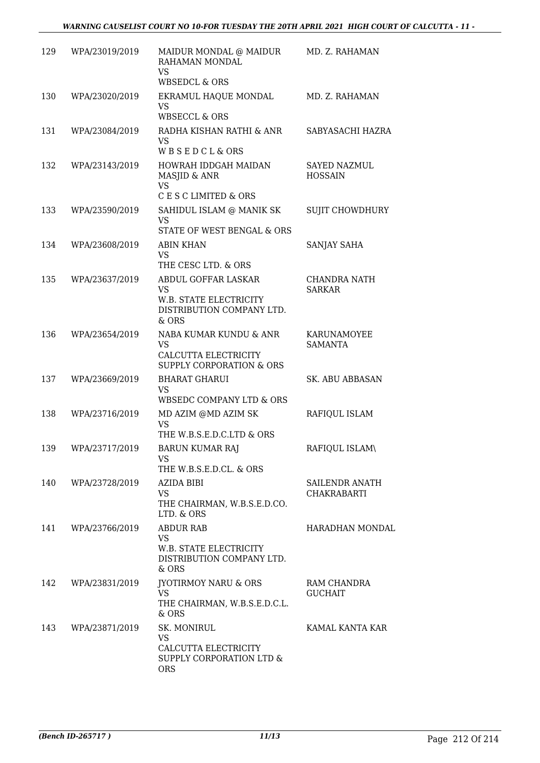| 129 | WPA/23019/2019 | MAIDUR MONDAL @ MAIDUR<br>RAHAMAN MONDAL<br><b>VS</b>                                                   | MD. Z. RAHAMAN                        |
|-----|----------------|---------------------------------------------------------------------------------------------------------|---------------------------------------|
| 130 | WPA/23020/2019 | <b>WBSEDCL &amp; ORS</b><br>EKRAMUL HAQUE MONDAL<br><b>VS</b><br><b>WBSECCL &amp; ORS</b>               | MD. Z. RAHAMAN                        |
| 131 | WPA/23084/2019 | RADHA KISHAN RATHI & ANR<br><b>VS</b><br>WBSEDCL&ORS                                                    | SABYASACHI HAZRA                      |
| 132 | WPA/23143/2019 | HOWRAH IDDGAH MAIDAN<br>MASJID & ANR<br><b>VS</b>                                                       | <b>SAYED NAZMUL</b><br><b>HOSSAIN</b> |
| 133 | WPA/23590/2019 | C E S C LIMITED & ORS<br>SAHIDUL ISLAM @ MANIK SK<br><b>VS</b><br>STATE OF WEST BENGAL & ORS            | <b>SUJIT CHOWDHURY</b>                |
| 134 | WPA/23608/2019 | <b>ABIN KHAN</b><br><b>VS</b><br>THE CESC LTD. & ORS                                                    | SANJAY SAHA                           |
| 135 | WPA/23637/2019 | ABDUL GOFFAR LASKAR<br><b>VS</b><br><b>W.B. STATE ELECTRICITY</b><br>DISTRIBUTION COMPANY LTD.<br>& ORS | <b>CHANDRA NATH</b><br><b>SARKAR</b>  |
| 136 | WPA/23654/2019 | NABA KUMAR KUNDU & ANR<br><b>VS</b><br>CALCUTTA ELECTRICITY<br>SUPPLY CORPORATION & ORS                 | KARUNAMOYEE<br><b>SAMANTA</b>         |
| 137 | WPA/23669/2019 | <b>BHARAT GHARUI</b><br><b>VS</b><br>WBSEDC COMPANY LTD & ORS                                           | SK. ABU ABBASAN                       |
| 138 | WPA/23716/2019 | MD AZIM @MD AZIM SK<br><b>VS</b><br>THE W.B.S.E.D.C.LTD & ORS                                           | RAFIQUL ISLAM                         |
| 139 | WPA/23717/2019 | <b>BARUN KUMAR RAJ</b><br>VS<br>THE W.B.S.E.D.CL. & ORS                                                 | RAFIQUL ISLAM\                        |
| 140 | WPA/23728/2019 | AZIDA BIBI<br><b>VS</b><br>THE CHAIRMAN, W.B.S.E.D.CO.<br>LTD. & ORS                                    | SAILENDR ANATH<br><b>CHAKRABARTI</b>  |
| 141 | WPA/23766/2019 | <b>ABDUR RAB</b><br><b>VS</b><br>W.B. STATE ELECTRICITY<br>DISTRIBUTION COMPANY LTD.<br>& ORS           | HARADHAN MONDAL                       |
| 142 | WPA/23831/2019 | <b>JYOTIRMOY NARU &amp; ORS</b><br><b>VS</b><br>THE CHAIRMAN, W.B.S.E.D.C.L.<br>& ORS                   | RAM CHANDRA<br><b>GUCHAIT</b>         |
| 143 | WPA/23871/2019 | SK. MONIRUL<br><b>VS</b><br>CALCUTTA ELECTRICITY<br>SUPPLY CORPORATION LTD &<br><b>ORS</b>              | KAMAL KANTA KAR                       |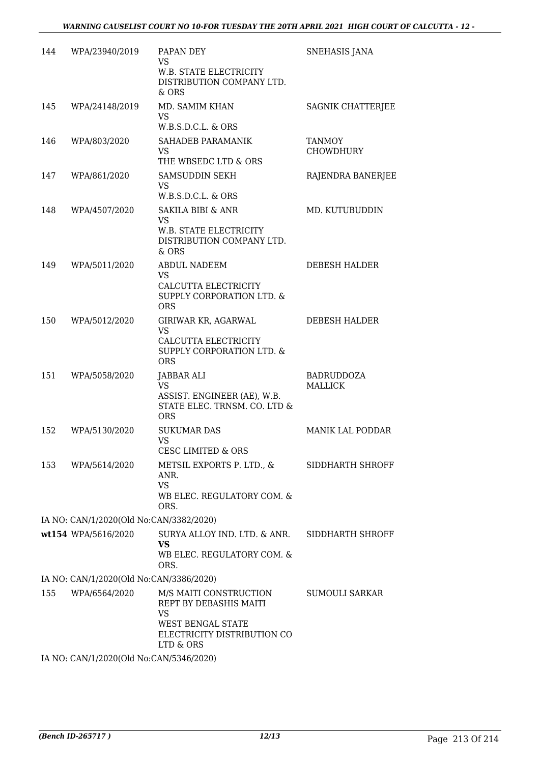| 144 | WPA/23940/2019                          | PAPAN DEY<br>VS<br>W.B. STATE ELECTRICITY<br>DISTRIBUTION COMPANY LTD.<br>& ORS                                                | SNEHASIS JANA                     |
|-----|-----------------------------------------|--------------------------------------------------------------------------------------------------------------------------------|-----------------------------------|
| 145 | WPA/24148/2019                          | MD. SAMIM KHAN<br>VS.<br>W.B.S.D.C.L. & ORS                                                                                    | SAGNIK CHATTERJEE                 |
| 146 | WPA/803/2020                            | SAHADEB PARAMANIK<br><b>VS</b><br>THE WBSEDC LTD & ORS                                                                         | <b>TANMOY</b><br><b>CHOWDHURY</b> |
| 147 | WPA/861/2020                            | <b>SAMSUDDIN SEKH</b><br><b>VS</b><br>W.B.S.D.C.L. & ORS                                                                       | RAJENDRA BANERJEE                 |
| 148 | WPA/4507/2020                           | <b>SAKILA BIBI &amp; ANR</b><br>VS.<br>W.B. STATE ELECTRICITY<br>DISTRIBUTION COMPANY LTD.<br>$&$ ORS                          | MD. KUTUBUDDIN                    |
| 149 | WPA/5011/2020                           | <b>ABDUL NADEEM</b><br><b>VS</b><br>CALCUTTA ELECTRICITY<br>SUPPLY CORPORATION LTD. &<br><b>ORS</b>                            | DEBESH HALDER                     |
| 150 | WPA/5012/2020                           | GIRIWAR KR, AGARWAL<br><b>VS</b><br>CALCUTTA ELECTRICITY<br>SUPPLY CORPORATION LTD. &<br><b>ORS</b>                            | DEBESH HALDER                     |
| 151 | WPA/5058/2020                           | JABBAR ALI<br><b>VS</b><br>ASSIST. ENGINEER (AE), W.B.<br>STATE ELEC. TRNSM. CO. LTD &<br><b>ORS</b>                           | BADRUDDOZA<br><b>MALLICK</b>      |
| 152 | WPA/5130/2020                           | <b>SUKUMAR DAS</b><br>VS<br><b>CESC LIMITED &amp; ORS</b>                                                                      | <b>MANIK LAL PODDAR</b>           |
| 153 | WPA/5614/2020                           | METSIL EXPORTS P. LTD., &<br>ANR.<br><b>VS</b><br>WB ELEC. REGULATORY COM. &<br>ORS.                                           | SIDDHARTH SHROFF                  |
|     | IA NO: CAN/1/2020(Old No:CAN/3382/2020) |                                                                                                                                |                                   |
|     | wt154 WPA/5616/2020                     | SURYA ALLOY IND. LTD. & ANR.<br><b>VS</b><br>WB ELEC. REGULATORY COM. &<br>ORS.                                                | SIDDHARTH SHROFF                  |
|     | IA NO: CAN/1/2020(Old No:CAN/3386/2020) |                                                                                                                                |                                   |
| 155 | WPA/6564/2020                           | M/S MAITI CONSTRUCTION<br>REPT BY DEBASHIS MAITI<br><b>VS</b><br>WEST BENGAL STATE<br>ELECTRICITY DISTRIBUTION CO<br>LTD & ORS | SUMOULI SARKAR                    |
|     | IA NO: CAN/1/2020(Old No:CAN/5346/2020) |                                                                                                                                |                                   |